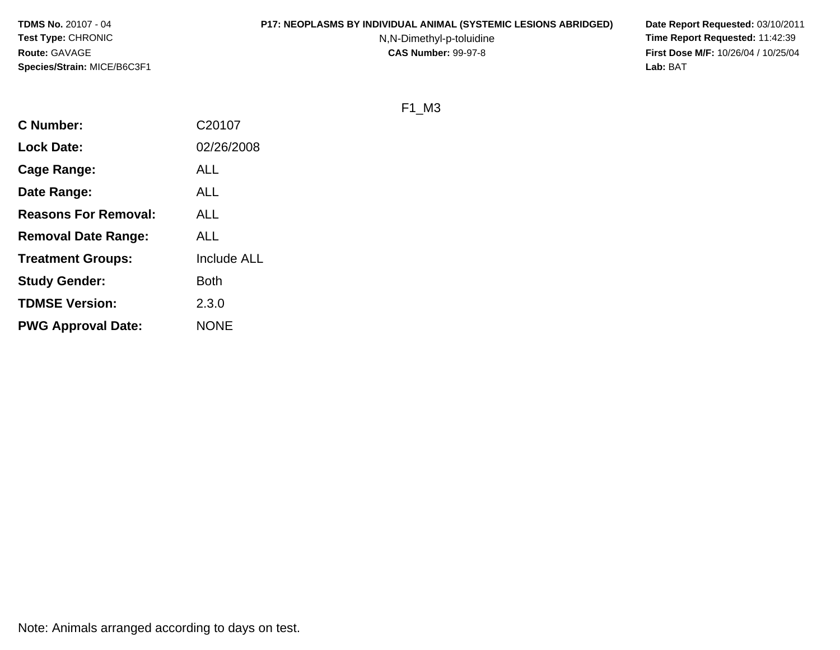#### **P17: NEOPLASMS BY INDIVIDUAL ANIMAL (SYSTEMIC LESIONS ABRIDGED) Date Report Requested:** 03/10/2011

N,N-Dimethyl-p-toluidine

 **Time Report Requested:** 11:42:39 **First Dose M/F:** 10/26/04 / 10/25/04<br>Lab: BAT **Lab:** BAT

F1\_M3

| <b>C</b> Number:            | C20107      |
|-----------------------------|-------------|
| <b>Lock Date:</b>           | 02/26/2008  |
| Cage Range:                 | <b>ALL</b>  |
| Date Range:                 | ALL         |
| <b>Reasons For Removal:</b> | <b>ALL</b>  |
| <b>Removal Date Range:</b>  | ALL         |
| <b>Treatment Groups:</b>    | Include ALL |
| <b>Study Gender:</b>        | <b>Both</b> |
| <b>TDMSE Version:</b>       | 2.3.0       |
| <b>PWG Approval Date:</b>   | <b>NONE</b> |
|                             |             |

Note: Animals arranged according to days on test.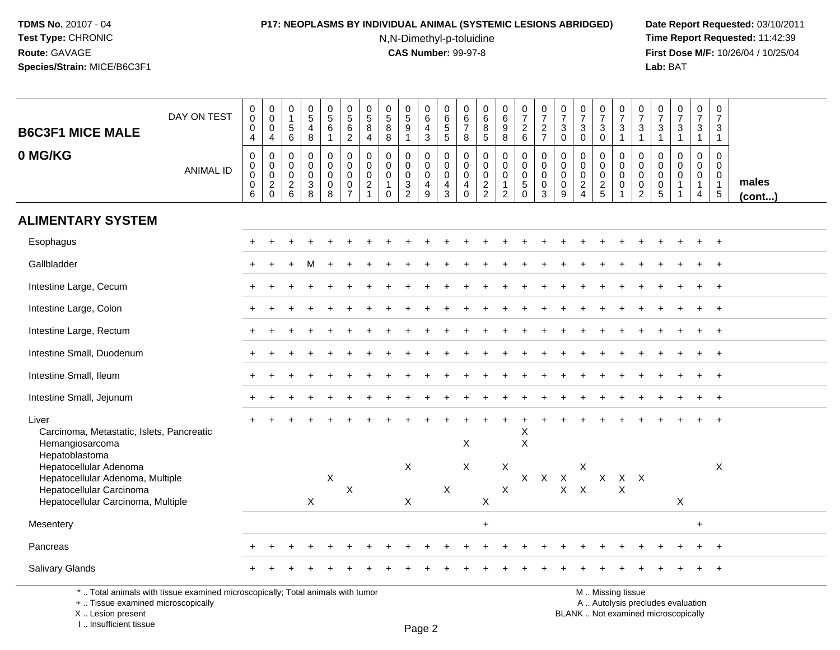# **P17: NEOPLASMS BY INDIVIDUAL ANIMAL (SYSTEMIC LESIONS ABRIDGED) Date Report Requested:** 03/10/2011

N,N-Dimethyl-p-toluidine

 **Time Report Requested:** 11:42:39 **First Dose M/F:** 10/26/04 / 10/25/04 Lab: BAT **Lab:** BAT

| <b>B6C3F1 MICE MALE</b><br>0 MG/KG                                                                                                             | DAY ON TEST<br><b>ANIMAL ID</b> | 0<br>$\ddot{\mathbf{0}}$<br>0<br>$\overline{4}$<br>$\pmb{0}$<br>$\mathbf 0$<br>$\mathbf 0$ | $_{\rm 0}^{\rm 0}$<br>$\pmb{0}$<br>$\overline{4}$<br>$\mathsf{O}$<br>$\mathsf{O}\xspace$<br>$\pmb{0}$ | 0<br>$\overline{1}$<br>$\begin{array}{c} 5 \\ 6 \end{array}$<br>0<br>$\mathbf 0$<br>$\mathbf 0$ | $\begin{array}{c} 0 \\ 5 \\ 4 \end{array}$<br>$\,8\,$<br>$\pmb{0}$<br>$\mathbf 0$<br>$\pmb{0}$ | $\begin{array}{c} 0 \\ 5 \end{array}$<br>$\,6\,$<br>$\overline{1}$<br>$\pmb{0}$<br>0<br>$\mathbf 0$ | $\begin{array}{c} 0 \\ 5 \end{array}$<br>$\,6\,$<br>$\overline{c}$<br>$\pmb{0}$<br>$\mathbf 0$<br>$\mathbf 0$ | $\begin{array}{c} 0 \\ 5 \end{array}$<br>8<br>$\overline{4}$<br>$\mathbf 0$<br>$\mathbf 0$<br>$\mathbf 0$ | 0<br>$\frac{5}{8}$<br>8<br>$\mathbf 0$<br>$\mathbf 0$<br>$\Omega$ | $\begin{array}{c} 0 \\ 5 \\ 9 \end{array}$<br>$\mathbf{1}$<br>0<br>$\mathbf 0$<br>$\mathsf{O}\xspace$ | $\begin{array}{c} 0 \\ 6 \end{array}$<br>$\overline{4}$<br>$\sqrt{3}$<br>0<br>$\mathbf 0$<br>$\mathbf 0$ | 0<br>$6\phantom{a}$<br>$\frac{5}{5}$<br>$\pmb{0}$<br>$\mathbf 0$<br>$\mathbf 0$ | 0<br>$\,6\,$<br>$\overline{7}$<br>8<br>0<br>$\mathbf 0$<br>$\mathbf 0$ | $\begin{array}{c} 0 \\ 6 \\ 8 \\ 5 \end{array}$<br>$\pmb{0}$<br>$\boldsymbol{0}$<br>$\pmb{0}$ | $\begin{array}{c} 0 \\ 6 \\ 9 \end{array}$<br>$\overline{8}$<br>$\pmb{0}$<br>$\mathsf{O}$<br>$\mathsf{O}$ | $\begin{smallmatrix}0\\7\end{smallmatrix}$<br>$\frac{2}{6}$<br>0<br>$\mathbf{0}$<br>0 | $\frac{0}{7}$<br>$\frac{2}{7}$<br>$\pmb{0}$<br>$\mathbf 0$<br>$\mathbf 0$ | $\frac{0}{7}$<br>$\sqrt{3}$<br>$\mathbf 0$<br>$\mathbf 0$<br>$\mathbf 0$<br>$\mathbf 0$ | $\begin{array}{c} 0 \\ 7 \end{array}$<br>$\ensuremath{\mathsf{3}}$<br>$\mathbf 0$<br>$\mathbf 0$<br>$\mathbf 0$<br>$\mathbf 0$ | $\frac{0}{7}$<br>$\mathbf{3}$<br>$\mathbf 0$<br>0<br>$\mathbf 0$<br>$\mathbf 0$ | $\frac{0}{7}$<br>$\frac{3}{1}$<br>0<br>$\mathsf{O}$<br>$\mathbf 0$ | $\frac{0}{7}$<br>$\ensuremath{\mathsf{3}}$<br>$\mathbf{1}$<br>0<br>$\mathbf 0$<br>$\mathbf 0$ | $\frac{0}{7}$<br>$\mathbf{3}$<br>$\overline{1}$<br>0<br>$\mathbf 0$<br>$\mathbf 0$ | $\begin{array}{c} 0 \\ 7 \end{array}$<br>$\sqrt{3}$<br>$\mathbf{1}$<br>$\mathbf 0$<br>$\mathbf 0$<br>$\Omega$ | $\frac{0}{7}$<br>3<br>$\mathbf{1}$<br>0<br>$\mathbf{0}$<br>$\mathbf{0}$ | $\begin{array}{c} 0 \\ 7 \end{array}$<br>$\ensuremath{\mathsf{3}}$<br>$\mathbf{1}$<br>$\mathbf 0$<br>$\mathbf 0$<br>$\mathbf 0$ |                 |
|------------------------------------------------------------------------------------------------------------------------------------------------|---------------------------------|--------------------------------------------------------------------------------------------|-------------------------------------------------------------------------------------------------------|-------------------------------------------------------------------------------------------------|------------------------------------------------------------------------------------------------|-----------------------------------------------------------------------------------------------------|---------------------------------------------------------------------------------------------------------------|-----------------------------------------------------------------------------------------------------------|-------------------------------------------------------------------|-------------------------------------------------------------------------------------------------------|----------------------------------------------------------------------------------------------------------|---------------------------------------------------------------------------------|------------------------------------------------------------------------|-----------------------------------------------------------------------------------------------|-----------------------------------------------------------------------------------------------------------|---------------------------------------------------------------------------------------|---------------------------------------------------------------------------|-----------------------------------------------------------------------------------------|--------------------------------------------------------------------------------------------------------------------------------|---------------------------------------------------------------------------------|--------------------------------------------------------------------|-----------------------------------------------------------------------------------------------|------------------------------------------------------------------------------------|---------------------------------------------------------------------------------------------------------------|-------------------------------------------------------------------------|---------------------------------------------------------------------------------------------------------------------------------|-----------------|
|                                                                                                                                                |                                 | $\mathbf 0$<br>6                                                                           | $^2_{\rm 0}$                                                                                          | $^2\phantom{1}6$                                                                                | $\frac{3}{8}$                                                                                  | $\mathbf 0$<br>8                                                                                    | $\mathbf 0$<br>$\overline{7}$                                                                                 | $\overline{2}$<br>$\mathbf{1}$                                                                            | $\mathbf{1}$<br>$\Omega$                                          | $\frac{3}{2}$                                                                                         | $\overline{4}$<br>$\overline{9}$                                                                         | 4<br>$\overline{3}$                                                             | $\overline{a}$<br>$\Omega$                                             | $\frac{2}{2}$                                                                                 | $\mathbf{1}$<br>$\overline{2}$                                                                            | $\sqrt{5}$<br>$\mathbf 0$                                                             | $\mathbf 0$<br>$\overline{3}$                                             | $\mathbf 0$<br>9                                                                        | $\frac{2}{4}$                                                                                                                  | $\frac{2}{5}$                                                                   | $\pmb{0}$<br>$\mathbf{1}$                                          | 0<br>$\overline{2}$                                                                           | 0<br>$\overline{5}$                                                                | $\mathbf{1}$<br>$\overline{1}$                                                                                | $\mathbf{1}$<br>$\overline{4}$                                          | $\mathbf{1}$<br>$\overline{5}$                                                                                                  | males<br>(cont) |
| <b>ALIMENTARY SYSTEM</b>                                                                                                                       |                                 |                                                                                            |                                                                                                       |                                                                                                 |                                                                                                |                                                                                                     |                                                                                                               |                                                                                                           |                                                                   |                                                                                                       |                                                                                                          |                                                                                 |                                                                        |                                                                                               |                                                                                                           |                                                                                       |                                                                           |                                                                                         |                                                                                                                                |                                                                                 |                                                                    |                                                                                               |                                                                                    |                                                                                                               |                                                                         |                                                                                                                                 |                 |
| Esophagus                                                                                                                                      |                                 |                                                                                            |                                                                                                       |                                                                                                 |                                                                                                |                                                                                                     |                                                                                                               |                                                                                                           |                                                                   |                                                                                                       |                                                                                                          |                                                                                 |                                                                        |                                                                                               |                                                                                                           |                                                                                       |                                                                           |                                                                                         |                                                                                                                                |                                                                                 |                                                                    |                                                                                               |                                                                                    |                                                                                                               |                                                                         | $\ddot{}$                                                                                                                       |                 |
| Gallbladder                                                                                                                                    |                                 |                                                                                            |                                                                                                       |                                                                                                 |                                                                                                |                                                                                                     |                                                                                                               |                                                                                                           |                                                                   |                                                                                                       |                                                                                                          |                                                                                 |                                                                        |                                                                                               |                                                                                                           |                                                                                       |                                                                           |                                                                                         |                                                                                                                                |                                                                                 |                                                                    |                                                                                               |                                                                                    |                                                                                                               |                                                                         |                                                                                                                                 |                 |
| Intestine Large, Cecum                                                                                                                         |                                 |                                                                                            |                                                                                                       |                                                                                                 |                                                                                                |                                                                                                     |                                                                                                               |                                                                                                           |                                                                   |                                                                                                       |                                                                                                          |                                                                                 |                                                                        |                                                                                               |                                                                                                           |                                                                                       |                                                                           |                                                                                         |                                                                                                                                |                                                                                 |                                                                    |                                                                                               |                                                                                    |                                                                                                               |                                                                         | $\overline{1}$                                                                                                                  |                 |
| Intestine Large, Colon                                                                                                                         |                                 |                                                                                            |                                                                                                       |                                                                                                 |                                                                                                |                                                                                                     |                                                                                                               |                                                                                                           |                                                                   |                                                                                                       |                                                                                                          |                                                                                 |                                                                        |                                                                                               |                                                                                                           |                                                                                       |                                                                           |                                                                                         |                                                                                                                                |                                                                                 |                                                                    |                                                                                               |                                                                                    |                                                                                                               | $\div$                                                                  | $^{+}$                                                                                                                          |                 |
| Intestine Large, Rectum                                                                                                                        |                                 |                                                                                            |                                                                                                       |                                                                                                 |                                                                                                |                                                                                                     |                                                                                                               |                                                                                                           |                                                                   |                                                                                                       |                                                                                                          |                                                                                 |                                                                        |                                                                                               |                                                                                                           |                                                                                       |                                                                           |                                                                                         |                                                                                                                                |                                                                                 |                                                                    |                                                                                               |                                                                                    |                                                                                                               |                                                                         | $\ddot{}$                                                                                                                       |                 |
| Intestine Small, Duodenum                                                                                                                      |                                 |                                                                                            |                                                                                                       |                                                                                                 |                                                                                                |                                                                                                     |                                                                                                               |                                                                                                           |                                                                   |                                                                                                       |                                                                                                          |                                                                                 |                                                                        |                                                                                               |                                                                                                           |                                                                                       |                                                                           |                                                                                         |                                                                                                                                |                                                                                 |                                                                    |                                                                                               |                                                                                    |                                                                                                               |                                                                         |                                                                                                                                 |                 |
| Intestine Small, Ileum                                                                                                                         |                                 |                                                                                            |                                                                                                       |                                                                                                 |                                                                                                |                                                                                                     |                                                                                                               |                                                                                                           |                                                                   |                                                                                                       |                                                                                                          |                                                                                 |                                                                        |                                                                                               |                                                                                                           |                                                                                       |                                                                           |                                                                                         |                                                                                                                                |                                                                                 |                                                                    |                                                                                               |                                                                                    |                                                                                                               | $\div$                                                                  | $\ddot{}$                                                                                                                       |                 |
| Intestine Small, Jejunum                                                                                                                       |                                 |                                                                                            |                                                                                                       |                                                                                                 |                                                                                                |                                                                                                     |                                                                                                               |                                                                                                           |                                                                   |                                                                                                       |                                                                                                          |                                                                                 |                                                                        |                                                                                               |                                                                                                           |                                                                                       |                                                                           |                                                                                         |                                                                                                                                |                                                                                 |                                                                    |                                                                                               |                                                                                    |                                                                                                               |                                                                         | $\ddot{}$                                                                                                                       |                 |
| Liver<br>Carcinoma, Metastatic, Islets, Pancreatic<br>Hemangiosarcoma                                                                          |                                 |                                                                                            |                                                                                                       |                                                                                                 |                                                                                                |                                                                                                     |                                                                                                               |                                                                                                           |                                                                   |                                                                                                       |                                                                                                          |                                                                                 | X                                                                      |                                                                                               |                                                                                                           | X<br>$\boldsymbol{\mathsf{X}}$                                                        |                                                                           |                                                                                         |                                                                                                                                |                                                                                 |                                                                    |                                                                                               |                                                                                    |                                                                                                               |                                                                         |                                                                                                                                 |                 |
| Hepatoblastoma<br>Hepatocellular Adenoma<br>Hepatocellular Adenoma, Multiple<br>Hepatocellular Carcinoma<br>Hepatocellular Carcinoma, Multiple |                                 |                                                                                            |                                                                                                       |                                                                                                 | $\mathsf X$                                                                                    | $\pmb{\times}$                                                                                      | $\boldsymbol{\mathsf{X}}$                                                                                     |                                                                                                           |                                                                   | $\boldsymbol{\mathsf{X}}$<br>X                                                                        |                                                                                                          | $\sf X$                                                                         | $\pmb{\times}$                                                         | X                                                                                             | X<br>X                                                                                                    |                                                                                       | $X$ $X$                                                                   | $\mathsf{X}$                                                                            | X<br>$X$ $X$                                                                                                                   | $\mathsf{X}$                                                                    | $X$ $X$<br>X                                                       |                                                                                               |                                                                                    | $\mathsf X$                                                                                                   |                                                                         | X                                                                                                                               |                 |
| Mesentery                                                                                                                                      |                                 |                                                                                            |                                                                                                       |                                                                                                 |                                                                                                |                                                                                                     |                                                                                                               |                                                                                                           |                                                                   |                                                                                                       |                                                                                                          |                                                                                 |                                                                        | $\ddot{}$                                                                                     |                                                                                                           |                                                                                       |                                                                           |                                                                                         |                                                                                                                                |                                                                                 |                                                                    |                                                                                               |                                                                                    |                                                                                                               | $\ddot{}$                                                               |                                                                                                                                 |                 |
| Pancreas                                                                                                                                       |                                 |                                                                                            |                                                                                                       |                                                                                                 |                                                                                                |                                                                                                     |                                                                                                               |                                                                                                           |                                                                   |                                                                                                       |                                                                                                          |                                                                                 |                                                                        |                                                                                               |                                                                                                           |                                                                                       |                                                                           |                                                                                         |                                                                                                                                |                                                                                 |                                                                    |                                                                                               |                                                                                    |                                                                                                               |                                                                         |                                                                                                                                 |                 |
| <b>Salivary Glands</b>                                                                                                                         |                                 |                                                                                            |                                                                                                       |                                                                                                 |                                                                                                |                                                                                                     |                                                                                                               |                                                                                                           |                                                                   |                                                                                                       |                                                                                                          |                                                                                 |                                                                        |                                                                                               |                                                                                                           |                                                                                       |                                                                           |                                                                                         |                                                                                                                                |                                                                                 |                                                                    |                                                                                               |                                                                                    |                                                                                                               |                                                                         |                                                                                                                                 |                 |

\* .. Total animals with tissue examined microscopically; Total animals with tumor

+ .. Tissue examined microscopically

X .. Lesion present

I .. Insufficient tissue

M .. Missing tissue

y the contract of the contract of the contract of the contract of the contract of  $\mathsf A$  . Autolysis precludes evaluation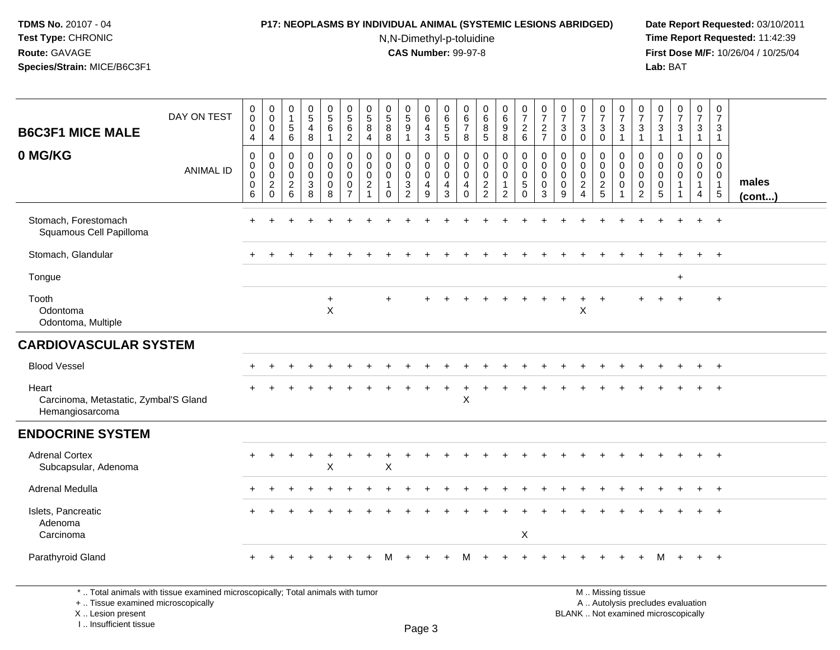## **P17: NEOPLASMS BY INDIVIDUAL ANIMAL (SYSTEMIC LESIONS ABRIDGED) Date Report Requested:** 03/10/2011

N,N-Dimethyl-p-toluidine

 **Time Report Requested:** 11:42:39 **First Dose M/F:** 10/26/04 / 10/25/04<br>Lab: BAT **Lab:** BAT

| <b>B6C3F1 MICE MALE</b>                                           | DAY ON TEST                                                                     | $\pmb{0}$<br>$\overline{0}$<br>$\mathbf 0$<br>$\overline{4}$ | $\begin{smallmatrix} 0\\0 \end{smallmatrix}$<br>$\mathbf 0$<br>$\overline{4}$ | $\begin{smallmatrix}0\\1\end{smallmatrix}$<br>$\overline{5}$<br>6 | $\begin{matrix} 0 \\ 5 \end{matrix}$<br>$\overline{4}$<br>8              | $\begin{array}{c} 0 \\ 5 \end{array}$<br>$\,6\,$<br>$\mathbf{1}$                 | $\begin{array}{c} 0 \\ 5 \\ 6 \end{array}$<br>$\overline{2}$ | $\begin{array}{c} 0 \\ 5 \end{array}$<br>$\bf 8$<br>$\overline{4}$  | $\begin{array}{c} 0 \\ 5 \end{array}$<br>$\, 8$<br>8                     | 0<br>$\overline{5}$<br>$\boldsymbol{9}$<br>$\mathbf{1}$ | $\,0\,$<br>$6\phantom{a}$<br>$\overline{4}$<br>$\mathbf{3}$        | 0<br>$\,6\,$<br>$\frac{5}{5}$              | $\pmb{0}$<br>$6\phantom{a}$<br>$\overline{7}$<br>8     | $\begin{array}{c} 0 \\ 6 \end{array}$<br>$\bf 8$<br>$\overline{5}$ | 0<br>0<br>0<br>0<br>0                                                       | $\frac{0}{7}$<br>$\begin{array}{c} 2 \\ 6 \end{array}$                             | $\frac{0}{7}$<br>$\frac{2}{7}$  | $\begin{array}{c} 0 \\ 7 \end{array}$<br>$\sqrt{3}$<br>$\mathbf 0$ | $\begin{array}{c} 0 \\ 7 \end{array}$<br>$\sqrt{3}$<br>$\mathbf 0$  | $\begin{array}{c} 0 \\ 7 \end{array}$<br>$\mathsf 3$<br>$\ddot{\mathbf{0}}$ | $\frac{0}{7}$<br>$\frac{3}{1}$                                                     | 0<br>$\overline{7}$<br>$\mathbf{3}$<br>$\mathbf{1}$              | $\begin{array}{c} 0 \\ 7 \end{array}$<br>$\ensuremath{\mathsf{3}}$<br>$\mathbf{1}$ | $\frac{0}{7}$<br>3<br>$\mathbf{1}$                                        | $\frac{0}{7}$<br>$\ensuremath{\mathsf{3}}$<br>$\overline{1}$                | $\begin{smallmatrix}0\\7\end{smallmatrix}$<br>$\frac{3}{1}$   |                       |
|-------------------------------------------------------------------|---------------------------------------------------------------------------------|--------------------------------------------------------------|-------------------------------------------------------------------------------|-------------------------------------------------------------------|--------------------------------------------------------------------------|----------------------------------------------------------------------------------|--------------------------------------------------------------|---------------------------------------------------------------------|--------------------------------------------------------------------------|---------------------------------------------------------|--------------------------------------------------------------------|--------------------------------------------|--------------------------------------------------------|--------------------------------------------------------------------|-----------------------------------------------------------------------------|------------------------------------------------------------------------------------|---------------------------------|--------------------------------------------------------------------|---------------------------------------------------------------------|-----------------------------------------------------------------------------|------------------------------------------------------------------------------------|------------------------------------------------------------------|------------------------------------------------------------------------------------|---------------------------------------------------------------------------|-----------------------------------------------------------------------------|---------------------------------------------------------------|-----------------------|
| 0 MG/KG                                                           | <b>ANIMAL ID</b>                                                                | 0<br>0<br>$\mathbf 0$<br>$\pmb{0}$<br>$6\overline{6}$        | $\mathbf 0$<br>$_{\rm 0}^{\rm 0}$<br>$^2_{\rm 0}$                             | $\mathbf 0$<br>$\mathbf 0$<br>$\mathbf 0$<br>$\frac{2}{6}$        | 0<br>$\mathbf 0$<br>$\mathbf 0$<br>$\begin{array}{c} 3 \\ 8 \end{array}$ | $\mathbf 0$<br>$\ddot{\mathbf{0}}$<br>$\mathbf 0$<br>$\pmb{0}$<br>$\overline{8}$ | $\mathbf 0$<br>$\pmb{0}$<br>$\mathbf 0$<br>$\frac{0}{7}$     | $\mathbf 0$<br>0<br>$\mathbf 0$<br>$\overline{c}$<br>$\overline{1}$ | $\mathbf 0$<br>$\mathbf 0$<br>$\mathbf{0}$<br>$\overline{1}$<br>$\Omega$ | $\mathbf 0$<br>0<br>$\mathbf 0$<br>$\frac{3}{2}$        | $\mathbf 0$<br>$\mathbf 0$<br>$\mathbf 0$<br>4<br>$\boldsymbol{9}$ | 0<br>0<br>$\mathbf 0$<br>4<br>$\mathbf{3}$ | 0<br>0<br>$\mathbf 0$<br>$\overline{4}$<br>$\mathbf 0$ | $\mathbf 0$<br>0<br>$\mathbf 0$<br>$\frac{2}{2}$                   | $\mathbf 0$<br>$\mathbf 0$<br>$\mathbf 0$<br>$\mathbf{1}$<br>$\overline{2}$ | $\mathbf 0$<br>$\mathbf 0$<br>$\mathbf 0$<br>$\begin{array}{c} 5 \\ 0 \end{array}$ | 0<br>0<br>$\mathbf 0$<br>0<br>3 | 0<br>$\mathbf 0$<br>$\mathbf 0$<br>0<br>$\overline{9}$             | $\mathbf 0$<br>0<br>$\mathbf 0$<br>$\overline{c}$<br>$\overline{4}$ | 0<br>$\mathbf 0$<br>$\mathbf 0$<br>$\frac{2}{5}$                            | $\mathbf 0$<br>$\mathsf{O}\xspace$<br>$\mathbf 0$<br>$\mathbf 0$<br>$\overline{1}$ | $\mathbf 0$<br>$\mathbf 0$<br>$\mathbf 0$<br>0<br>$\overline{2}$ | 0<br>$\mathbf 0$<br>$\mathbf 0$<br>0<br>$\overline{5}$                             | $\mathbf 0$<br>$\mathbf 0$<br>$\mathbf 0$<br>$\mathbf{1}$<br>$\mathbf{1}$ | $\mathbf 0$<br>$\mathbf 0$<br>$\mathbf 0$<br>$\mathbf{1}$<br>$\overline{4}$ | $\mathbf 0$<br>0<br>$\mathbf 0$<br>$\mathbf{1}$<br>$\sqrt{5}$ | males<br>$($ cont $)$ |
| Stomach, Forestomach<br>Squamous Cell Papilloma                   |                                                                                 |                                                              |                                                                               |                                                                   |                                                                          |                                                                                  |                                                              |                                                                     |                                                                          |                                                         |                                                                    |                                            |                                                        |                                                                    |                                                                             |                                                                                    |                                 |                                                                    |                                                                     |                                                                             |                                                                                    |                                                                  |                                                                                    |                                                                           |                                                                             |                                                               |                       |
| Stomach, Glandular                                                |                                                                                 |                                                              |                                                                               |                                                                   |                                                                          |                                                                                  |                                                              |                                                                     |                                                                          |                                                         |                                                                    |                                            |                                                        |                                                                    |                                                                             |                                                                                    |                                 |                                                                    |                                                                     |                                                                             |                                                                                    |                                                                  |                                                                                    |                                                                           |                                                                             | $\overline{+}$                                                |                       |
| Tongue                                                            |                                                                                 |                                                              |                                                                               |                                                                   |                                                                          |                                                                                  |                                                              |                                                                     |                                                                          |                                                         |                                                                    |                                            |                                                        |                                                                    |                                                                             |                                                                                    |                                 |                                                                    |                                                                     |                                                                             |                                                                                    |                                                                  |                                                                                    | $\ddot{}$                                                                 |                                                                             |                                                               |                       |
| Tooth<br>Odontoma<br>Odontoma, Multiple                           |                                                                                 |                                                              |                                                                               |                                                                   |                                                                          | $\ddot{}$<br>$\mathsf{X}$                                                        |                                                              |                                                                     |                                                                          |                                                         |                                                                    |                                            |                                                        |                                                                    |                                                                             |                                                                                    |                                 |                                                                    | $\ddot{}$<br>$\mathsf X$                                            | $\overline{1}$                                                              |                                                                                    |                                                                  |                                                                                    |                                                                           |                                                                             | $\overline{ }$                                                |                       |
| <b>CARDIOVASCULAR SYSTEM</b>                                      |                                                                                 |                                                              |                                                                               |                                                                   |                                                                          |                                                                                  |                                                              |                                                                     |                                                                          |                                                         |                                                                    |                                            |                                                        |                                                                    |                                                                             |                                                                                    |                                 |                                                                    |                                                                     |                                                                             |                                                                                    |                                                                  |                                                                                    |                                                                           |                                                                             |                                                               |                       |
| <b>Blood Vessel</b>                                               |                                                                                 |                                                              |                                                                               |                                                                   |                                                                          |                                                                                  |                                                              |                                                                     |                                                                          |                                                         |                                                                    |                                            |                                                        |                                                                    |                                                                             |                                                                                    |                                 |                                                                    |                                                                     |                                                                             |                                                                                    |                                                                  |                                                                                    |                                                                           |                                                                             |                                                               |                       |
| Heart<br>Carcinoma, Metastatic, Zymbal'S Gland<br>Hemangiosarcoma |                                                                                 |                                                              |                                                                               |                                                                   |                                                                          |                                                                                  |                                                              |                                                                     |                                                                          |                                                         |                                                                    |                                            | X                                                      |                                                                    |                                                                             |                                                                                    |                                 |                                                                    |                                                                     |                                                                             |                                                                                    |                                                                  |                                                                                    |                                                                           |                                                                             | $\overline{1}$                                                |                       |
| <b>ENDOCRINE SYSTEM</b>                                           |                                                                                 |                                                              |                                                                               |                                                                   |                                                                          |                                                                                  |                                                              |                                                                     |                                                                          |                                                         |                                                                    |                                            |                                                        |                                                                    |                                                                             |                                                                                    |                                 |                                                                    |                                                                     |                                                                             |                                                                                    |                                                                  |                                                                                    |                                                                           |                                                                             |                                                               |                       |
| <b>Adrenal Cortex</b><br>Subcapsular, Adenoma                     |                                                                                 |                                                              |                                                                               |                                                                   |                                                                          | $\mathsf{X}$                                                                     |                                                              |                                                                     | $\sf X$                                                                  |                                                         |                                                                    |                                            |                                                        |                                                                    |                                                                             |                                                                                    |                                 |                                                                    |                                                                     |                                                                             |                                                                                    |                                                                  |                                                                                    |                                                                           |                                                                             | $+$                                                           |                       |
| Adrenal Medulla                                                   |                                                                                 |                                                              |                                                                               |                                                                   |                                                                          |                                                                                  |                                                              |                                                                     |                                                                          |                                                         |                                                                    |                                            |                                                        |                                                                    |                                                                             |                                                                                    |                                 |                                                                    |                                                                     |                                                                             |                                                                                    |                                                                  |                                                                                    |                                                                           |                                                                             | $\overline{1}$                                                |                       |
| Islets, Pancreatic<br>Adenoma<br>Carcinoma                        |                                                                                 |                                                              |                                                                               |                                                                   |                                                                          |                                                                                  |                                                              |                                                                     |                                                                          |                                                         |                                                                    |                                            |                                                        |                                                                    |                                                                             | $\boldsymbol{\mathsf{X}}$                                                          |                                 |                                                                    |                                                                     |                                                                             |                                                                                    |                                                                  |                                                                                    |                                                                           |                                                                             |                                                               |                       |
| Parathyroid Gland                                                 |                                                                                 |                                                              |                                                                               |                                                                   |                                                                          |                                                                                  |                                                              |                                                                     |                                                                          |                                                         |                                                                    |                                            |                                                        |                                                                    |                                                                             |                                                                                    |                                 |                                                                    |                                                                     |                                                                             |                                                                                    |                                                                  |                                                                                    |                                                                           | $\ddot{}$                                                                   | $+$                                                           |                       |
| +  Tissue examined microscopically                                | *  Total animals with tissue examined microscopically; Total animals with tumor |                                                              |                                                                               |                                                                   |                                                                          |                                                                                  |                                                              |                                                                     |                                                                          |                                                         |                                                                    |                                            |                                                        |                                                                    |                                                                             |                                                                                    |                                 |                                                                    | M  Missing tissue                                                   |                                                                             | A  Autolysis precludes evaluation                                                  |                                                                  |                                                                                    |                                                                           |                                                                             |                                                               |                       |

X .. Lesion present

I .. Insufficient tissue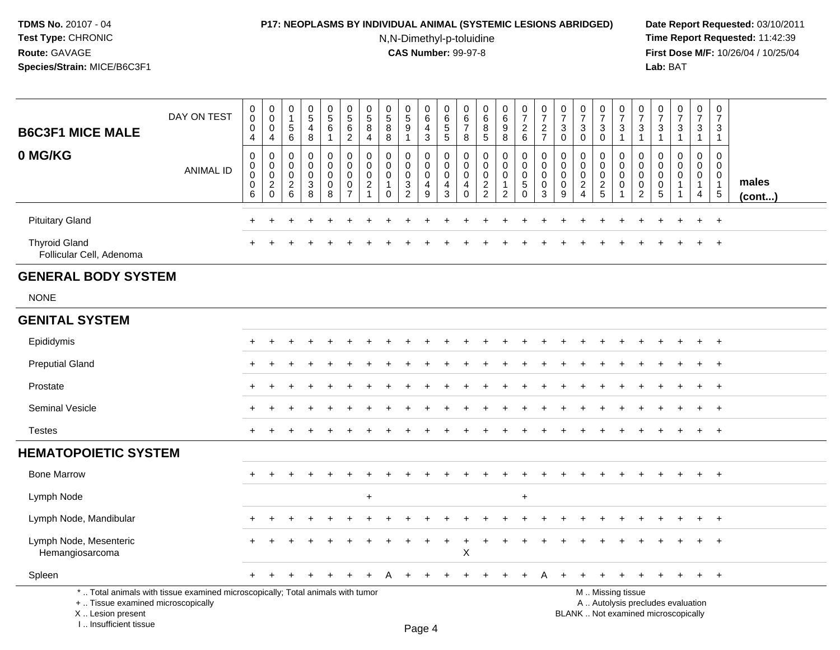# **P17: NEOPLASMS BY INDIVIDUAL ANIMAL (SYSTEMIC LESIONS ABRIDGED) Date Report Requested:** 03/10/2011

N,N-Dimethyl-p-toluidine

| <b>B6C3F1 MICE MALE</b>                                                         | DAY ON TEST                                                                     | $\mathbf 0$<br>$\mathbf 0$<br>$\mathbf 0$<br>4            | $\pmb{0}$<br>$\mathbf 0$<br>$\mathbf 0$<br>4  | 0<br>$\mathbf{1}$<br>$\sqrt{5}$<br>$\,6\,$   | $\begin{array}{c} 0 \\ 5 \end{array}$<br>$\overline{4}$<br>8   | $\begin{array}{c} 0 \\ 5 \end{array}$<br>6<br>-1 | $\overline{0}$<br>$\overline{5}$<br>$6\phantom{1}6$<br>$\overline{2}$      | $\mathbf 0$<br>$\,$ 5 $\,$<br>8<br>4                           | $\pmb{0}$<br>$\overline{5}$<br>8<br>8                              | 0<br>$\overline{5}$<br>9<br>1             | 0<br>$6\overline{6}$<br>4<br>3               | $\mathbf 0$<br>$\,6\,$<br>$\,$ 5 $\,$<br>$\sqrt{5}$    | $\pmb{0}$<br>$6\phantom{1}6$<br>$\overline{7}$<br>8                     | 0<br>$\,6\,$<br>8<br>5                                                       | $\pmb{0}$<br>$\overline{6}$<br>9<br>8                                     | $\pmb{0}$<br>$\overline{7}$<br>$\overline{2}$<br>$6\phantom{1}$ | $\begin{smallmatrix}0\\7\end{smallmatrix}$<br>$\overline{c}$<br>$\overline{7}$ | $\pmb{0}$<br>$\overline{7}$<br>$\mathbf{3}$<br>$\mathbf 0$ | $\begin{array}{c} 0 \\ 7 \end{array}$<br>$\mathbf{3}$<br>$\mathbf 0$                  | $\frac{0}{7}$<br>$\mathbf{3}$<br>$\mathbf 0$                    | $\pmb{0}$<br>$\overline{7}$<br>$\mathbf{3}$<br>$\overline{1}$              | 0<br>$\overline{7}$<br>3<br>1                       | 0<br>$\overline{7}$<br>$\mathbf{3}$<br>$\mathbf{1}$ | $\frac{0}{7}$<br>$\mathbf{3}$<br>1                                       | 0<br>$\overline{7}$<br>3<br>1                                         | $\pmb{0}$<br>$\overline{7}$<br>3<br>$\overline{1}$                                |                 |
|---------------------------------------------------------------------------------|---------------------------------------------------------------------------------|-----------------------------------------------------------|-----------------------------------------------|----------------------------------------------|----------------------------------------------------------------|--------------------------------------------------|----------------------------------------------------------------------------|----------------------------------------------------------------|--------------------------------------------------------------------|-------------------------------------------|----------------------------------------------|--------------------------------------------------------|-------------------------------------------------------------------------|------------------------------------------------------------------------------|---------------------------------------------------------------------------|-----------------------------------------------------------------|--------------------------------------------------------------------------------|------------------------------------------------------------|---------------------------------------------------------------------------------------|-----------------------------------------------------------------|----------------------------------------------------------------------------|-----------------------------------------------------|-----------------------------------------------------|--------------------------------------------------------------------------|-----------------------------------------------------------------------|-----------------------------------------------------------------------------------|-----------------|
| 0 MG/KG                                                                         | <b>ANIMAL ID</b>                                                                | $\pmb{0}$<br>$\mathbf 0$<br>$\pmb{0}$<br>$\mathbf 0$<br>6 | 0<br>0<br>$\pmb{0}$<br>$\sqrt{2}$<br>$\Omega$ | 0<br>$\mathbf 0$<br>0<br>$\overline{2}$<br>6 | $\mathbf 0$<br>$\mathbf 0$<br>$\mathsf 0$<br>$\mathbf{3}$<br>8 | 0<br>$\mathbf 0$<br>0<br>0<br>8                  | $\mathbf 0$<br>$\mathbf 0$<br>$\mathbf 0$<br>$\mathbf 0$<br>$\overline{7}$ | 0<br>$\Omega$<br>$\mathbf 0$<br>$\overline{2}$<br>$\mathbf{1}$ | $\mathbf 0$<br>$\Omega$<br>$\mathbf 0$<br>$\mathbf{1}$<br>$\Omega$ | 0<br>$\mathbf 0$<br>$\mathbf 0$<br>3<br>2 | 0<br>$\mathbf 0$<br>0<br>$\overline{4}$<br>9 | $\mathbf 0$<br>$\mathbf 0$<br>0<br>$\overline{4}$<br>3 | $\mathbf 0$<br>$\mathbf 0$<br>$\mathbf 0$<br>$\overline{4}$<br>$\Omega$ | $\mathbf 0$<br>$\Omega$<br>$\mathbf 0$<br>$\boldsymbol{2}$<br>$\overline{2}$ | 0<br>$\mathbf 0$<br>$\mathsf{O}\xspace$<br>$\mathbf{1}$<br>$\overline{2}$ | 0<br>$\mathbf 0$<br>$\mathbf 0$<br>$\sqrt{5}$<br>$\Omega$       | 0<br>$\mathbf 0$<br>0<br>$\mathbf 0$<br>3                                      | $\mathbf 0$<br>$\mathbf{0}$<br>0<br>0<br>9                 | $\mathbf 0$<br>$\mathbf 0$<br>$\mathbf 0$<br>$\overline{c}$<br>$\boldsymbol{\Lambda}$ | 0<br>$\mathbf 0$<br>$\mathbf 0$<br>$\sqrt{2}$<br>$\overline{5}$ | $\mathbf 0$<br>$\mathbf 0$<br>$\mathbf 0$<br>$\mathbf 0$<br>$\overline{1}$ | 0<br>$\Omega$<br>0<br>$\mathbf 0$<br>$\overline{c}$ | 0<br>$\Omega$<br>0<br>0<br>$\overline{5}$           | $\mathbf 0$<br>$\Omega$<br>0<br>$\mathbf{1}$                             | 0<br>$\mathbf{0}$<br>$\overline{0}$<br>$\mathbf{1}$<br>$\overline{4}$ | $\mathsf{O}\xspace$<br>$\mathbf 0$<br>$\mathbf 0$<br>$\overline{1}$<br>$\sqrt{5}$ | males<br>(cont) |
| <b>Pituitary Gland</b>                                                          |                                                                                 | ٠                                                         |                                               |                                              |                                                                |                                                  |                                                                            |                                                                |                                                                    |                                           |                                              |                                                        |                                                                         |                                                                              |                                                                           |                                                                 |                                                                                |                                                            |                                                                                       |                                                                 |                                                                            |                                                     |                                                     |                                                                          | $\ddot{}$                                                             | $+$                                                                               |                 |
| <b>Thyroid Gland</b><br>Follicular Cell, Adenoma                                |                                                                                 |                                                           |                                               |                                              |                                                                |                                                  |                                                                            |                                                                |                                                                    |                                           |                                              |                                                        |                                                                         |                                                                              |                                                                           |                                                                 |                                                                                |                                                            |                                                                                       |                                                                 |                                                                            |                                                     |                                                     |                                                                          |                                                                       | $\overline{+}$                                                                    |                 |
| <b>GENERAL BODY SYSTEM</b>                                                      |                                                                                 |                                                           |                                               |                                              |                                                                |                                                  |                                                                            |                                                                |                                                                    |                                           |                                              |                                                        |                                                                         |                                                                              |                                                                           |                                                                 |                                                                                |                                                            |                                                                                       |                                                                 |                                                                            |                                                     |                                                     |                                                                          |                                                                       |                                                                                   |                 |
| <b>NONE</b>                                                                     |                                                                                 |                                                           |                                               |                                              |                                                                |                                                  |                                                                            |                                                                |                                                                    |                                           |                                              |                                                        |                                                                         |                                                                              |                                                                           |                                                                 |                                                                                |                                                            |                                                                                       |                                                                 |                                                                            |                                                     |                                                     |                                                                          |                                                                       |                                                                                   |                 |
| <b>GENITAL SYSTEM</b>                                                           |                                                                                 |                                                           |                                               |                                              |                                                                |                                                  |                                                                            |                                                                |                                                                    |                                           |                                              |                                                        |                                                                         |                                                                              |                                                                           |                                                                 |                                                                                |                                                            |                                                                                       |                                                                 |                                                                            |                                                     |                                                     |                                                                          |                                                                       |                                                                                   |                 |
| Epididymis                                                                      |                                                                                 |                                                           |                                               |                                              |                                                                |                                                  |                                                                            |                                                                |                                                                    |                                           |                                              |                                                        |                                                                         |                                                                              |                                                                           |                                                                 |                                                                                |                                                            |                                                                                       |                                                                 |                                                                            |                                                     |                                                     |                                                                          |                                                                       | $^{+}$                                                                            |                 |
| <b>Preputial Gland</b>                                                          |                                                                                 |                                                           |                                               |                                              |                                                                |                                                  |                                                                            |                                                                |                                                                    |                                           |                                              |                                                        |                                                                         |                                                                              |                                                                           |                                                                 |                                                                                |                                                            |                                                                                       |                                                                 |                                                                            |                                                     |                                                     |                                                                          | $\pm$                                                                 | $+$                                                                               |                 |
| Prostate                                                                        |                                                                                 |                                                           |                                               |                                              |                                                                |                                                  |                                                                            |                                                                |                                                                    |                                           |                                              |                                                        |                                                                         |                                                                              |                                                                           |                                                                 |                                                                                |                                                            |                                                                                       |                                                                 |                                                                            |                                                     |                                                     |                                                                          | $\ddot{}$                                                             | $+$                                                                               |                 |
| Seminal Vesicle                                                                 |                                                                                 |                                                           |                                               |                                              |                                                                |                                                  |                                                                            |                                                                |                                                                    |                                           |                                              |                                                        |                                                                         |                                                                              |                                                                           |                                                                 |                                                                                |                                                            |                                                                                       |                                                                 |                                                                            |                                                     |                                                     |                                                                          |                                                                       | $+$                                                                               |                 |
| <b>Testes</b>                                                                   |                                                                                 | $\pm$                                                     | $\div$                                        |                                              |                                                                |                                                  |                                                                            |                                                                |                                                                    |                                           |                                              |                                                        |                                                                         |                                                                              |                                                                           |                                                                 |                                                                                |                                                            |                                                                                       |                                                                 |                                                                            |                                                     |                                                     | $\overline{ }$                                                           | $\ddot{}$                                                             | $+$                                                                               |                 |
| <b>HEMATOPOIETIC SYSTEM</b>                                                     |                                                                                 |                                                           |                                               |                                              |                                                                |                                                  |                                                                            |                                                                |                                                                    |                                           |                                              |                                                        |                                                                         |                                                                              |                                                                           |                                                                 |                                                                                |                                                            |                                                                                       |                                                                 |                                                                            |                                                     |                                                     |                                                                          |                                                                       |                                                                                   |                 |
| <b>Bone Marrow</b>                                                              |                                                                                 |                                                           |                                               |                                              |                                                                |                                                  |                                                                            |                                                                |                                                                    |                                           |                                              |                                                        |                                                                         |                                                                              |                                                                           |                                                                 |                                                                                |                                                            |                                                                                       |                                                                 |                                                                            |                                                     |                                                     |                                                                          |                                                                       | $+$                                                                               |                 |
| Lymph Node                                                                      |                                                                                 |                                                           |                                               |                                              |                                                                |                                                  |                                                                            | $\ddot{}$                                                      |                                                                    |                                           |                                              |                                                        |                                                                         |                                                                              |                                                                           | $\ddot{}$                                                       |                                                                                |                                                            |                                                                                       |                                                                 |                                                                            |                                                     |                                                     |                                                                          |                                                                       |                                                                                   |                 |
| Lymph Node, Mandibular                                                          |                                                                                 |                                                           |                                               |                                              |                                                                |                                                  |                                                                            |                                                                |                                                                    |                                           |                                              |                                                        |                                                                         |                                                                              |                                                                           |                                                                 |                                                                                |                                                            |                                                                                       |                                                                 |                                                                            |                                                     |                                                     |                                                                          |                                                                       | $\overline{ }$                                                                    |                 |
| Lymph Node, Mesenteric<br>Hemangiosarcoma                                       |                                                                                 |                                                           |                                               |                                              |                                                                |                                                  |                                                                            |                                                                |                                                                    |                                           |                                              | $\ddot{}$                                              | $\boldsymbol{\mathsf{X}}$                                               |                                                                              |                                                                           |                                                                 |                                                                                |                                                            |                                                                                       |                                                                 |                                                                            |                                                     |                                                     |                                                                          | $\ddot{}$                                                             | $+$                                                                               |                 |
| Spleen                                                                          |                                                                                 | $\ddot{}$                                                 |                                               |                                              |                                                                |                                                  |                                                                            |                                                                |                                                                    |                                           |                                              |                                                        |                                                                         |                                                                              |                                                                           |                                                                 |                                                                                |                                                            |                                                                                       | ÷                                                               |                                                                            |                                                     |                                                     |                                                                          | $\ddot{}$                                                             | $+$                                                                               |                 |
| +  Tissue examined microscopically<br>X Lesion present<br>I Insufficient tissue | *  Total animals with tissue examined microscopically; Total animals with tumor |                                                           |                                               |                                              |                                                                |                                                  |                                                                            |                                                                |                                                                    |                                           | $D_{200}$ $\Lambda$                          |                                                        |                                                                         |                                                                              |                                                                           |                                                                 |                                                                                |                                                            |                                                                                       |                                                                 | M  Missing tissue                                                          |                                                     |                                                     | A  Autolysis precludes evaluation<br>BLANK  Not examined microscopically |                                                                       |                                                                                   |                 |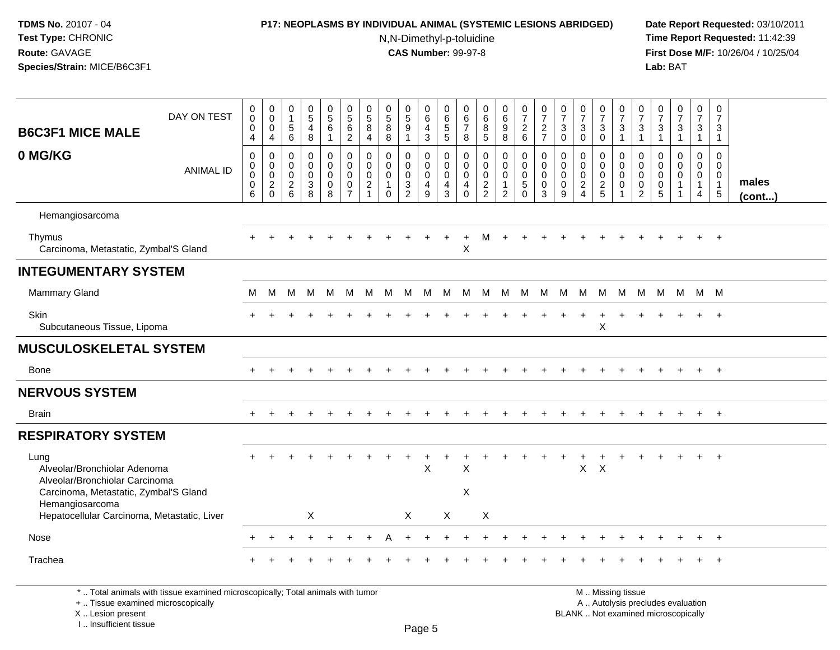# **P17: NEOPLASMS BY INDIVIDUAL ANIMAL (SYSTEMIC LESIONS ABRIDGED) Date Report Requested:** 03/10/2011

N,N-Dimethyl-p-toluidine

 **Time Report Requested:** 11:42:39 **First Dose M/F:** 10/26/04 / 10/25/04 Lab: BAT **Lab:** BAT

| <b>B6C3F1 MICE MALE</b>                                                                                         | DAY ON TEST      | 0<br>$\mathbf 0$<br>0<br>$\overline{4}$             | $\mathbf 0$<br>$\ddot{\mathbf{0}}$<br>$\mathbf 0$<br>$\overline{4}$        | $\begin{smallmatrix}0\\1\end{smallmatrix}$<br>$\sqrt{5}$<br>$\,6\,$ | $\begin{array}{c} 0 \\ 5 \end{array}$<br>4<br>8 | $\begin{array}{c} 0 \\ 5 \\ 6 \end{array}$<br>$\mathbf{1}$ | $\begin{array}{c} 0 \\ 5 \\ 6 \end{array}$<br>$\overline{2}$             | $\mathbf 0$<br>$\overline{5}$<br>8<br>4                             | $\begin{array}{c} 0 \\ 5 \end{array}$<br>$\overline{8}$<br>8              | $\begin{array}{c} 0 \\ 5 \end{array}$<br>9<br>$\mathbf{1}$ | $_{6}^{\rm 0}$<br>$\overline{4}$<br>$\mathbf{3}$               | 0<br>6<br>5<br>5                                    | 0<br>6<br>$\overline{7}$<br>8                                           | $\begin{array}{c} 0 \\ 6 \\ 5 \end{array}$                       | $\begin{array}{c} 0 \\ 6 \end{array}$<br>$\overline{9}$<br>8      | $\frac{0}{7}$<br>$\boldsymbol{2}$<br>$6\phantom{1}6$                            | $\frac{0}{7}$<br>$\overline{c}$<br>$\overline{7}$   | $\frac{0}{7}$<br>$\ensuremath{\mathsf{3}}$<br>$\mathbf 0$ | $\frac{0}{7}$<br>$\ensuremath{\mathsf{3}}$<br>$\mathbf 0$         | $\frac{0}{7}$<br>$\ensuremath{\mathsf{3}}$<br>$\mathbf 0$ | $\frac{0}{7}$<br>$\sqrt{3}$<br>$\overline{1}$                              | $\frac{0}{7}$<br>$\sqrt{3}$<br>$\mathbf{1}$                                | $\frac{0}{7}$<br>$\ensuremath{\mathsf{3}}$<br>$\mathbf{1}$ | $\frac{0}{7}$<br>3<br>$\mathbf{1}$                              | $\frac{0}{7}$<br>$\mathbf{3}$<br>$\mathbf{1}$        | $\begin{array}{c} 0 \\ 7 \end{array}$<br>3<br>$\mathbf{1}$              |                 |
|-----------------------------------------------------------------------------------------------------------------|------------------|-----------------------------------------------------|----------------------------------------------------------------------------|---------------------------------------------------------------------|-------------------------------------------------|------------------------------------------------------------|--------------------------------------------------------------------------|---------------------------------------------------------------------|---------------------------------------------------------------------------|------------------------------------------------------------|----------------------------------------------------------------|-----------------------------------------------------|-------------------------------------------------------------------------|------------------------------------------------------------------|-------------------------------------------------------------------|---------------------------------------------------------------------------------|-----------------------------------------------------|-----------------------------------------------------------|-------------------------------------------------------------------|-----------------------------------------------------------|----------------------------------------------------------------------------|----------------------------------------------------------------------------|------------------------------------------------------------|-----------------------------------------------------------------|------------------------------------------------------|-------------------------------------------------------------------------|-----------------|
| 0 MG/KG                                                                                                         | <b>ANIMAL ID</b> | $\mathbf 0$<br>$\mathbf 0$<br>0<br>$\mathbf 0$<br>6 | $\mathbf 0$<br>$\mathbf 0$<br>$\mathbf 0$<br>$\overline{c}$<br>$\mathbf 0$ | $\mathbf 0$<br>$\mathbf 0$<br>$\mathbf 0$<br>$\frac{2}{6}$          | $\mathbf 0$<br>$\mathbf 0$<br>0<br>3<br>8       | 0<br>$\mathbf 0$<br>$\mathbf 0$<br>$\mathbf 0$<br>8        | $\mathbf 0$<br>$\mathbf 0$<br>$\mathbf 0$<br>$\pmb{0}$<br>$\overline{7}$ | 0<br>$\mathbf 0$<br>$\mathbf 0$<br>$\overline{2}$<br>$\overline{1}$ | $\mathbf 0$<br>$\mathbf 0$<br>$\mathbf 0$<br>$\mathbf{1}$<br>$\mathbf{0}$ | 0<br>$\mathbf 0$<br>$\mathbf 0$<br>3<br>$\overline{2}$     | 0<br>$\mathbf 0$<br>$\mathsf{O}\xspace$<br>$\overline{4}$<br>9 | $\mathbf 0$<br>$\mathbf 0$<br>$\mathbf 0$<br>4<br>3 | $\mathbf 0$<br>$\mathbf 0$<br>$\mathbf 0$<br>$\overline{4}$<br>$\Omega$ | $\mathbf 0$<br>$\mathsf{O}\xspace$<br>$\pmb{0}$<br>$\frac{2}{2}$ | 0<br>$\mathbf 0$<br>$\mathbf 0$<br>$\mathbf{1}$<br>$\overline{2}$ | $\mathbf 0$<br>$\mathbf 0$<br>$\mathsf{O}\xspace$<br>$\overline{5}$<br>$\Omega$ | $\mathbf 0$<br>$\mathbf 0$<br>0<br>$\mathbf 0$<br>3 | $\Omega$<br>$\Omega$<br>$\mathbf 0$<br>$\mathbf 0$<br>9   | $\mathbf 0$<br>0<br>$\pmb{0}$<br>$\overline{c}$<br>$\overline{4}$ | 0<br>$\mathbf 0$<br>$\mathbf 0$<br>$\frac{2}{5}$          | $\mathbf 0$<br>$\mathbf 0$<br>$\mathbf 0$<br>$\mathbf 0$<br>$\overline{1}$ | $\mathbf 0$<br>$\mathbf 0$<br>$\mathbf 0$<br>$\mathbf 0$<br>$\overline{2}$ | $\Omega$<br>$\Omega$<br>0<br>0<br>5                        | $\mathbf 0$<br>$\mathbf 0$<br>0<br>$\mathbf{1}$<br>$\mathbf{1}$ | 0<br>$\mathbf 0$<br>$\mathbf 0$<br>$\mathbf{1}$<br>4 | $\mathbf 0$<br>$\mathbf 0$<br>$\mathbf 0$<br>$\mathbf{1}$<br>$\sqrt{5}$ | males<br>(cont) |
| Hemangiosarcoma                                                                                                 |                  |                                                     |                                                                            |                                                                     |                                                 |                                                            |                                                                          |                                                                     |                                                                           |                                                            |                                                                |                                                     |                                                                         |                                                                  |                                                                   |                                                                                 |                                                     |                                                           |                                                                   |                                                           |                                                                            |                                                                            |                                                            |                                                                 |                                                      |                                                                         |                 |
| Thymus<br>Carcinoma, Metastatic, Zymbal'S Gland                                                                 |                  |                                                     |                                                                            |                                                                     |                                                 |                                                            |                                                                          |                                                                     |                                                                           |                                                            |                                                                | $\ddot{}$                                           | $\ddot{}$<br>X                                                          | м                                                                | $+$                                                               |                                                                                 |                                                     |                                                           |                                                                   |                                                           |                                                                            |                                                                            |                                                            |                                                                 |                                                      | $+$                                                                     |                 |
| <b>INTEGUMENTARY SYSTEM</b>                                                                                     |                  |                                                     |                                                                            |                                                                     |                                                 |                                                            |                                                                          |                                                                     |                                                                           |                                                            |                                                                |                                                     |                                                                         |                                                                  |                                                                   |                                                                                 |                                                     |                                                           |                                                                   |                                                           |                                                                            |                                                                            |                                                            |                                                                 |                                                      |                                                                         |                 |
| <b>Mammary Gland</b>                                                                                            |                  | м                                                   | M                                                                          | M                                                                   | M                                               | M                                                          | M                                                                        | M                                                                   | M                                                                         | M                                                          | M                                                              | M                                                   | M                                                                       | M                                                                | M                                                                 | M                                                                               | M                                                   | M                                                         | M                                                                 | M                                                         | M                                                                          | M                                                                          | M                                                          | M                                                               | M M                                                  |                                                                         |                 |
| <b>Skin</b><br>Subcutaneous Tissue, Lipoma                                                                      |                  |                                                     |                                                                            |                                                                     |                                                 |                                                            |                                                                          |                                                                     |                                                                           |                                                            |                                                                |                                                     |                                                                         |                                                                  |                                                                   |                                                                                 |                                                     |                                                           |                                                                   | $\ddot{}$<br>$\pmb{\times}$                               |                                                                            |                                                                            |                                                            |                                                                 |                                                      | $\overline{+}$                                                          |                 |
| <b>MUSCULOSKELETAL SYSTEM</b>                                                                                   |                  |                                                     |                                                                            |                                                                     |                                                 |                                                            |                                                                          |                                                                     |                                                                           |                                                            |                                                                |                                                     |                                                                         |                                                                  |                                                                   |                                                                                 |                                                     |                                                           |                                                                   |                                                           |                                                                            |                                                                            |                                                            |                                                                 |                                                      |                                                                         |                 |
| Bone                                                                                                            |                  |                                                     |                                                                            |                                                                     |                                                 |                                                            |                                                                          |                                                                     |                                                                           |                                                            |                                                                |                                                     |                                                                         |                                                                  |                                                                   |                                                                                 |                                                     |                                                           |                                                                   |                                                           |                                                                            |                                                                            |                                                            |                                                                 |                                                      | $+$                                                                     |                 |
| <b>NERVOUS SYSTEM</b>                                                                                           |                  |                                                     |                                                                            |                                                                     |                                                 |                                                            |                                                                          |                                                                     |                                                                           |                                                            |                                                                |                                                     |                                                                         |                                                                  |                                                                   |                                                                                 |                                                     |                                                           |                                                                   |                                                           |                                                                            |                                                                            |                                                            |                                                                 |                                                      |                                                                         |                 |
| <b>Brain</b>                                                                                                    |                  |                                                     |                                                                            |                                                                     |                                                 |                                                            |                                                                          |                                                                     |                                                                           |                                                            |                                                                |                                                     |                                                                         |                                                                  |                                                                   |                                                                                 |                                                     |                                                           |                                                                   |                                                           |                                                                            |                                                                            |                                                            |                                                                 | $+$                                                  | $+$                                                                     |                 |
| <b>RESPIRATORY SYSTEM</b>                                                                                       |                  |                                                     |                                                                            |                                                                     |                                                 |                                                            |                                                                          |                                                                     |                                                                           |                                                            |                                                                |                                                     |                                                                         |                                                                  |                                                                   |                                                                                 |                                                     |                                                           |                                                                   |                                                           |                                                                            |                                                                            |                                                            |                                                                 |                                                      |                                                                         |                 |
| Lung<br>Alveolar/Bronchiolar Adenoma<br>Alveolar/Bronchiolar Carcinoma<br>Carcinoma, Metastatic, Zymbal'S Gland |                  |                                                     |                                                                            |                                                                     |                                                 |                                                            |                                                                          |                                                                     |                                                                           |                                                            | $\boldsymbol{\mathsf{X}}$                                      |                                                     | X<br>X                                                                  |                                                                  |                                                                   |                                                                                 |                                                     |                                                           | X                                                                 | $\times$                                                  |                                                                            |                                                                            |                                                            |                                                                 |                                                      | $\ddot{}$                                                               |                 |
| Hemangiosarcoma<br>Hepatocellular Carcinoma, Metastatic, Liver                                                  |                  |                                                     |                                                                            |                                                                     | X                                               |                                                            |                                                                          |                                                                     |                                                                           | X                                                          |                                                                | X                                                   |                                                                         | $\boldsymbol{\mathsf{X}}$                                        |                                                                   |                                                                                 |                                                     |                                                           |                                                                   |                                                           |                                                                            |                                                                            |                                                            |                                                                 |                                                      |                                                                         |                 |
| Nose                                                                                                            |                  |                                                     |                                                                            |                                                                     |                                                 |                                                            |                                                                          |                                                                     |                                                                           |                                                            |                                                                |                                                     |                                                                         |                                                                  |                                                                   |                                                                                 |                                                     |                                                           |                                                                   |                                                           |                                                                            |                                                                            |                                                            |                                                                 |                                                      | $\ddot{}$                                                               |                 |
| Trachea                                                                                                         |                  |                                                     |                                                                            |                                                                     |                                                 |                                                            |                                                                          |                                                                     |                                                                           |                                                            |                                                                |                                                     |                                                                         |                                                                  |                                                                   |                                                                                 |                                                     |                                                           |                                                                   |                                                           |                                                                            |                                                                            |                                                            |                                                                 |                                                      | $\pm$                                                                   |                 |

\* .. Total animals with tissue examined microscopically; Total animals with tumor

+ .. Tissue examined microscopically

X .. Lesion present

I .. Insufficient tissue

M .. Missing tissue y the contract of the contract of the contract of the contract of the contract of  $\mathsf A$  . Autolysis precludes evaluation Lesion present BLANK .. Not examined microscopically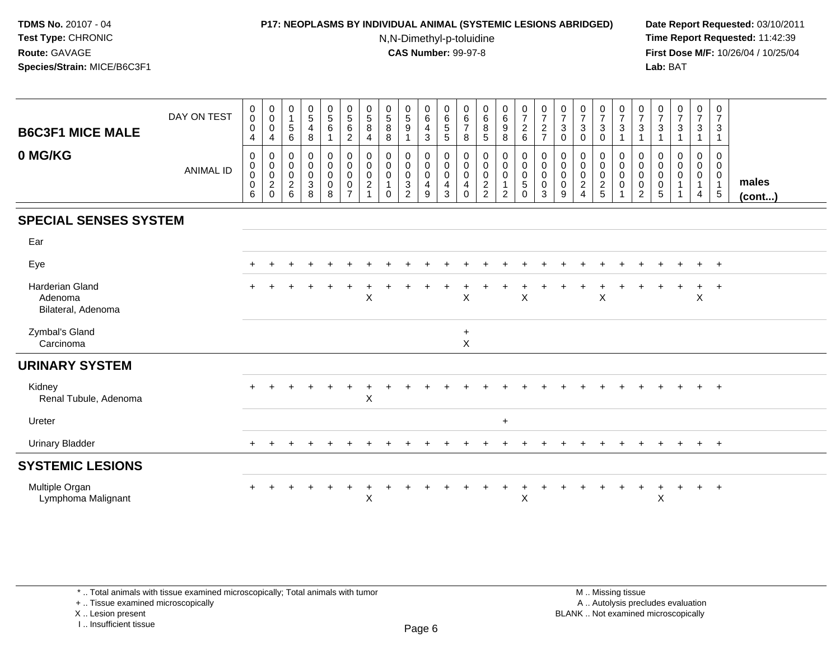## **P17: NEOPLASMS BY INDIVIDUAL ANIMAL (SYSTEMIC LESIONS ABRIDGED) Date Report Requested:** 03/10/2011

N,N-Dimethyl-p-toluidine

 **Time Report Requested:** 11:42:39 **First Dose M/F:** 10/26/04 / 10/25/04 Lab: BAT **Lab:** BAT

| <b>B6C3F1 MICE MALE</b>                                 | DAY ON TEST      | 0<br>$\pmb{0}$<br>$\mathbf 0$<br>4                        | 0<br>$\pmb{0}$<br>$\mathbf 0$<br>4                       | 0<br>$\mathbf{1}$<br>$\sqrt{5}$<br>6         | $\begin{smallmatrix} 0\\5 \end{smallmatrix}$<br>$\overline{\mathbf{4}}$<br>$\,8\,$ | $\begin{array}{c} 0 \\ 5 \\ 6 \end{array}$<br>$\overline{1}$ | $\begin{array}{c} 0 \\ 5 \\ 6 \end{array}$<br>$\sqrt{2}$ | 0<br>$\overline{5}$<br>8<br>4               | $\begin{array}{c} 0 \\ 5 \\ 8 \end{array}$<br>8 | $\begin{array}{c} 0 \\ 5 \\ 9 \end{array}$<br>1           | $_{6}^{\rm 0}$<br>$\overline{4}$<br>$\sqrt{3}$ | $\pmb{0}$<br>$\begin{array}{c} 6 \\ 5 \\ 5 \end{array}$     | 0<br>$\,6$<br>$\overline{7}$<br>8 | 0<br>$\,6$<br>8<br>$\sqrt{5}$                     | $0$<br>$6$<br>$9$<br>8             | $\begin{array}{c} 0 \\ 7 \end{array}$<br>$\frac{2}{6}$ | $\frac{0}{7}$<br>$\frac{2}{7}$        | $\frac{0}{7}$<br>$\ensuremath{\mathsf{3}}$<br>$\mathbf 0$ | $\frac{0}{7}$<br>$\mathbf{3}$<br>$\mathbf 0$          | $\frac{0}{7}$<br>$\mathbf{3}$<br>0   | $\frac{0}{7}$<br>$\mathbf{3}$<br>$\mathbf{1}$                   | $\frac{0}{7}$<br>$\ensuremath{\mathsf{3}}$<br>$\mathbf{1}$ | 0<br>$\overline{7}$<br>3       | $\begin{array}{c} 0 \\ 7 \end{array}$<br>$\sqrt{3}$<br>1 | 0<br>$\overline{7}$<br>$\mathbf{3}$<br>$\mathbf{1}$ | 0<br>$\overline{7}$<br>3<br>$\overline{1}$                          |                       |
|---------------------------------------------------------|------------------|-----------------------------------------------------------|----------------------------------------------------------|----------------------------------------------|------------------------------------------------------------------------------------|--------------------------------------------------------------|----------------------------------------------------------|---------------------------------------------|-------------------------------------------------|-----------------------------------------------------------|------------------------------------------------|-------------------------------------------------------------|-----------------------------------|---------------------------------------------------|------------------------------------|--------------------------------------------------------|---------------------------------------|-----------------------------------------------------------|-------------------------------------------------------|--------------------------------------|-----------------------------------------------------------------|------------------------------------------------------------|--------------------------------|----------------------------------------------------------|-----------------------------------------------------|---------------------------------------------------------------------|-----------------------|
| 0 MG/KG                                                 | <b>ANIMAL ID</b> | $\mathbf 0$<br>$\mathbf 0$<br>$\pmb{0}$<br>$\pmb{0}$<br>6 | 0<br>0<br>$\boldsymbol{0}$<br>$\overline{c}$<br>$\Omega$ | 0<br>$\mathbf 0$<br>0<br>$\overline{2}$<br>6 | 0<br>0<br>0<br>$\ensuremath{\mathsf{3}}$<br>8                                      | 0<br>$\mathbf 0$<br>$\mathbf 0$<br>$\mathbf 0$<br>8          | 0<br>0<br>0<br>$\pmb{0}$<br>$\overline{7}$               | 0<br>0<br>0<br>$\overline{\mathbf{c}}$<br>1 | $\mathbf 0$<br>0<br>$\mathbf 0$<br>$\Omega$     | 0<br>0<br>$\mathbf 0$<br>$\overline{3}$<br>$\overline{2}$ | 0<br>$\mathsf{O}$<br>$\mathbf 0$<br>4<br>9     | 0<br>$\mathbf 0$<br>$\boldsymbol{0}$<br>$\overline{4}$<br>3 | 0<br>0<br>0<br>4<br>$\Omega$      | 0<br>0<br>0<br>$\boldsymbol{2}$<br>$\overline{2}$ | 0<br>0<br>0<br>1<br>$\overline{2}$ | 0<br>$\mathbf 0$<br>$\mathbf 0$<br>5<br>$\Omega$       | 0<br>$\pmb{0}$<br>$\pmb{0}$<br>0<br>3 | 0<br>0<br>0<br>0<br>9                                     | 0<br>0<br>$\mathbf 0$<br>$\sqrt{2}$<br>$\overline{4}$ | 0<br>$\mathbf 0$<br>0<br>$rac{2}{5}$ | 0<br>$\mathbf 0$<br>$\mathsf{O}$<br>$\pmb{0}$<br>$\overline{1}$ | 0<br>$\mathbf 0$<br>$\mathbf 0$<br>0<br>$\overline{2}$     | 0<br>0<br>0<br>0<br>$\sqrt{5}$ | 0<br>0<br>0                                              | 0<br>$\mathbf 0$<br>0<br>1<br>4                     | $\mathbf 0$<br>$\mathbf{0}$<br>0<br>$\mathbf{1}$<br>$5\phantom{.0}$ | males<br>$($ cont $)$ |
| <b>SPECIAL SENSES SYSTEM</b>                            |                  |                                                           |                                                          |                                              |                                                                                    |                                                              |                                                          |                                             |                                                 |                                                           |                                                |                                                             |                                   |                                                   |                                    |                                                        |                                       |                                                           |                                                       |                                      |                                                                 |                                                            |                                |                                                          |                                                     |                                                                     |                       |
| Ear                                                     |                  |                                                           |                                                          |                                              |                                                                                    |                                                              |                                                          |                                             |                                                 |                                                           |                                                |                                                             |                                   |                                                   |                                    |                                                        |                                       |                                                           |                                                       |                                      |                                                                 |                                                            |                                |                                                          |                                                     |                                                                     |                       |
| Eye                                                     |                  |                                                           |                                                          |                                              |                                                                                    |                                                              |                                                          |                                             |                                                 |                                                           |                                                |                                                             |                                   |                                                   |                                    |                                                        |                                       |                                                           |                                                       |                                      |                                                                 |                                                            |                                |                                                          | $\ddot{}$                                           | $+$                                                                 |                       |
| <b>Harderian Gland</b><br>Adenoma<br>Bilateral, Adenoma |                  |                                                           |                                                          |                                              |                                                                                    |                                                              |                                                          | X                                           |                                                 |                                                           |                                                |                                                             | X                                 |                                                   |                                    | $\boldsymbol{\mathsf{X}}$                              |                                       |                                                           |                                                       | X                                    |                                                                 |                                                            |                                |                                                          | $\ddot{}$<br>X                                      | $^{+}$                                                              |                       |
| Zymbal's Gland<br>Carcinoma                             |                  |                                                           |                                                          |                                              |                                                                                    |                                                              |                                                          |                                             |                                                 |                                                           |                                                |                                                             | $\ddot{}$<br>$\pmb{\times}$       |                                                   |                                    |                                                        |                                       |                                                           |                                                       |                                      |                                                                 |                                                            |                                |                                                          |                                                     |                                                                     |                       |
| <b>URINARY SYSTEM</b>                                   |                  |                                                           |                                                          |                                              |                                                                                    |                                                              |                                                          |                                             |                                                 |                                                           |                                                |                                                             |                                   |                                                   |                                    |                                                        |                                       |                                                           |                                                       |                                      |                                                                 |                                                            |                                |                                                          |                                                     |                                                                     |                       |
| Kidney<br>Renal Tubule, Adenoma                         |                  | $+$                                                       |                                                          |                                              |                                                                                    |                                                              |                                                          | X                                           |                                                 |                                                           |                                                |                                                             |                                   |                                                   |                                    |                                                        |                                       |                                                           |                                                       |                                      |                                                                 |                                                            |                                |                                                          | $+$                                                 | $+$                                                                 |                       |
| Ureter                                                  |                  |                                                           |                                                          |                                              |                                                                                    |                                                              |                                                          |                                             |                                                 |                                                           |                                                |                                                             |                                   |                                                   | $\ddot{}$                          |                                                        |                                       |                                                           |                                                       |                                      |                                                                 |                                                            |                                |                                                          |                                                     |                                                                     |                       |
| <b>Urinary Bladder</b>                                  |                  |                                                           |                                                          |                                              |                                                                                    |                                                              |                                                          |                                             |                                                 |                                                           |                                                |                                                             |                                   |                                                   |                                    |                                                        |                                       |                                                           |                                                       |                                      |                                                                 |                                                            |                                |                                                          | $\pm$                                               | $^{+}$                                                              |                       |
| <b>SYSTEMIC LESIONS</b>                                 |                  |                                                           |                                                          |                                              |                                                                                    |                                                              |                                                          |                                             |                                                 |                                                           |                                                |                                                             |                                   |                                                   |                                    |                                                        |                                       |                                                           |                                                       |                                      |                                                                 |                                                            |                                |                                                          |                                                     |                                                                     |                       |
| Multiple Organ<br>Lymphoma Malignant                    |                  |                                                           |                                                          |                                              |                                                                                    |                                                              |                                                          | X                                           |                                                 |                                                           |                                                |                                                             |                                   |                                                   |                                    | X                                                      |                                       |                                                           |                                                       |                                      |                                                                 |                                                            | X                              |                                                          | $\ddot{}$                                           | $^{+}$                                                              |                       |

\* .. Total animals with tissue examined microscopically; Total animals with tumor

+ .. Tissue examined microscopically

X .. Lesion present

I .. Insufficient tissue

M .. Missing tissue y the contract of the contract of the contract of the contract of the contract of  $\mathsf A$  . Autolysis precludes evaluation Lesion present BLANK .. Not examined microscopically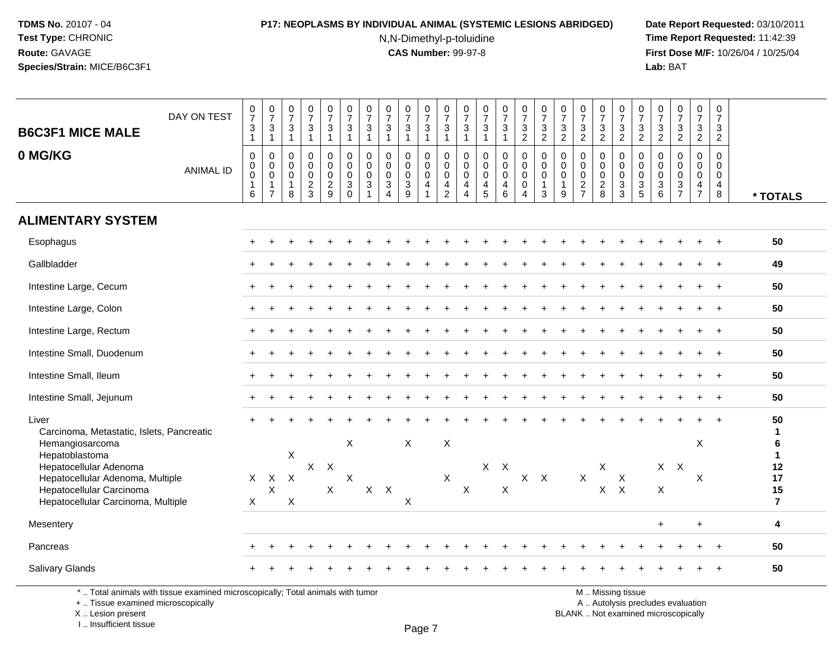# **P17: NEOPLASMS BY INDIVIDUAL ANIMAL (SYSTEMIC LESIONS ABRIDGED) Date Report Requested:** 03/10/2011

N,N-Dimethyl-p-toluidine

 **Time Report Requested:** 11:42:39 **First Dose M/F:** 10/26/04 / 10/25/04 Lab: BAT **Lab:** BAT

| <b>B6C3F1 MICE MALE</b><br>0 MG/KG                                                                                                                                                                                      | DAY ON TEST<br><b>ANIMAL ID</b> | $\frac{0}{7}$<br>$\frac{3}{1}$<br>$\pmb{0}$<br>$\pmb{0}$<br>$\mathbf 0$<br>$\mathbf{1}$<br>6 | $\frac{0}{7}$<br>$\frac{3}{1}$<br>$\pmb{0}$<br>$\pmb{0}$<br>$\pmb{0}$<br>$\mathbf{1}$<br>$\overline{7}$ | $\begin{array}{c} 0 \\ 7 \end{array}$<br>$\ensuremath{\mathsf{3}}$<br>$\overline{1}$<br>$\mathbf 0$<br>$\mathbf 0$<br>$\mathbf 0$<br>$\mathbf{1}$<br>8 | $\begin{array}{c} 0 \\ 7 \end{array}$<br>$\ensuremath{\mathsf{3}}$<br>$\overline{1}$<br>$\mathbf 0$<br>$\mathbf 0$<br>$\mathbf 0$<br>$\frac{2}{3}$ | $\frac{0}{7}$<br>$\ensuremath{\mathsf{3}}$<br>$\mathbf{1}$<br>0<br>$\mathbf 0$<br>$\mathbf 0$<br>$\frac{2}{9}$ | $\frac{0}{7}$<br>$\frac{3}{1}$<br>$\mathbf 0$<br>$\mathsf{O}\xspace$<br>$\mathbf 0$<br>$\mathbf{3}$<br>$\mathbf 0$ | $\frac{0}{7}$<br>$\ensuremath{\mathsf{3}}$<br>$\mathbf{1}$<br>$\mathbf 0$<br>$\mathbf 0$<br>$\mathbf 0$<br>3 | $\begin{array}{c} 0 \\ 7 \end{array}$<br>$\sqrt{3}$<br>$\overline{1}$<br>$\mathbf 0$<br>$\mathbf 0$<br>0<br>$\mathbf{3}$<br>$\overline{4}$ | $\begin{array}{c} 0 \\ 7 \end{array}$<br>$\mathbf 3$<br>$\overline{1}$<br>$\mathbf 0$<br>$\mathbf 0$<br>$\mathbf 0$<br>$\ensuremath{\mathsf{3}}$<br>9 | $\frac{0}{7}$<br>$\ensuremath{\mathsf{3}}$<br>$\mathbf{1}$<br>0<br>$\mathbf 0$<br>$\mathbf 0$<br>4<br>$\mathbf{1}$ | $\frac{0}{7}$<br>3<br>$\mathbf{1}$<br>$\mathbf 0$<br>$\mathbf 0$<br>$\mathbf 0$<br>4<br>$\overline{2}$ | $\frac{0}{7}$<br>3<br>$\mathbf{1}$<br>$\mathbf 0$<br>$\mathbf 0$<br>$\mathbf 0$<br>4<br>$\overline{4}$ | $\begin{smallmatrix}0\\7\end{smallmatrix}$<br>$\ensuremath{\mathsf{3}}$<br>$\mathbf{1}$<br>$\mathbf 0$<br>$\mathbf 0$<br>0<br>$\frac{4}{5}$ | $\begin{array}{c} 0 \\ 7 \end{array}$<br>$\ensuremath{\mathsf{3}}$<br>$\mathbf{1}$<br>$\mathbf 0$<br>$\mathsf{O}\xspace$<br>$\pmb{0}$<br>$\overline{4}$<br>$6\phantom{a}$ | $\frac{0}{7}$<br>$\frac{3}{2}$<br>0<br>$\mathsf{O}\xspace$<br>0<br>$\mathbf 0$<br>$\overline{4}$ | $\frac{0}{7}$<br>$\sqrt{3}$<br>$\overline{2}$<br>$\mathbf 0$<br>$\pmb{0}$<br>$\pmb{0}$<br>$\overline{1}$<br>$\mathbf{3}$ | $\begin{array}{c} 0 \\ 7 \end{array}$<br>$\ensuremath{\mathsf{3}}$<br>$\overline{2}$<br>0<br>$\pmb{0}$<br>$\mathbf 0$<br>$\mathbf{1}$<br>9 | $\begin{smallmatrix}0\\7\end{smallmatrix}$<br>$\ensuremath{\mathsf{3}}$<br>$\overline{2}$<br>$\mathbf 0$<br>$\mathbf 0$<br>$\mathbf 0$<br>$\frac{2}{7}$ | $\frac{0}{7}$<br>$\ensuremath{\mathsf{3}}$<br>$\overline{2}$<br>0<br>$\mathbf 0$<br>0<br>$^2_{\bf 8}$ | $\frac{0}{7}$<br>$\frac{3}{2}$<br>0<br>$\mathbf 0$<br>$\mathbf 0$<br>$\ensuremath{\mathsf{3}}$<br>$\mathbf{3}$ | $\frac{0}{7}$<br>$\frac{3}{2}$<br>0<br>$\mathbf 0$<br>$\mathbf 0$<br>$\ensuremath{\mathsf{3}}$<br>$\sqrt{5}$ | $\frac{0}{7}$<br>3<br>$\overline{2}$<br>$\mathbf 0$<br>$\mathbf 0$<br>0<br>3<br>6 | $\frac{0}{7}$<br>$\frac{3}{2}$<br>$\mathbf 0$<br>$\mathbf 0$<br>$\mathbf 0$<br>$\frac{3}{7}$ | $\frac{0}{7}$<br>$\frac{3}{2}$<br>$\mathbf 0$<br>$\mathsf 0$<br>$\mathsf 0$<br>$\frac{4}{7}$ | $\frac{0}{7}$<br>$\frac{3}{2}$<br>$\mathbf 0$<br>$\mathbf 0$<br>$\mathbf 0$<br>$\overline{4}$<br>8 | * TOTALS                                                         |
|-------------------------------------------------------------------------------------------------------------------------------------------------------------------------------------------------------------------------|---------------------------------|----------------------------------------------------------------------------------------------|---------------------------------------------------------------------------------------------------------|--------------------------------------------------------------------------------------------------------------------------------------------------------|----------------------------------------------------------------------------------------------------------------------------------------------------|----------------------------------------------------------------------------------------------------------------|--------------------------------------------------------------------------------------------------------------------|--------------------------------------------------------------------------------------------------------------|--------------------------------------------------------------------------------------------------------------------------------------------|-------------------------------------------------------------------------------------------------------------------------------------------------------|--------------------------------------------------------------------------------------------------------------------|--------------------------------------------------------------------------------------------------------|--------------------------------------------------------------------------------------------------------|---------------------------------------------------------------------------------------------------------------------------------------------|---------------------------------------------------------------------------------------------------------------------------------------------------------------------------|--------------------------------------------------------------------------------------------------|--------------------------------------------------------------------------------------------------------------------------|--------------------------------------------------------------------------------------------------------------------------------------------|---------------------------------------------------------------------------------------------------------------------------------------------------------|-------------------------------------------------------------------------------------------------------|----------------------------------------------------------------------------------------------------------------|--------------------------------------------------------------------------------------------------------------|-----------------------------------------------------------------------------------|----------------------------------------------------------------------------------------------|----------------------------------------------------------------------------------------------|----------------------------------------------------------------------------------------------------|------------------------------------------------------------------|
| <b>ALIMENTARY SYSTEM</b>                                                                                                                                                                                                |                                 |                                                                                              |                                                                                                         |                                                                                                                                                        |                                                                                                                                                    |                                                                                                                |                                                                                                                    |                                                                                                              |                                                                                                                                            |                                                                                                                                                       |                                                                                                                    |                                                                                                        |                                                                                                        |                                                                                                                                             |                                                                                                                                                                           |                                                                                                  |                                                                                                                          |                                                                                                                                            |                                                                                                                                                         |                                                                                                       |                                                                                                                |                                                                                                              |                                                                                   |                                                                                              |                                                                                              |                                                                                                    |                                                                  |
| Esophagus                                                                                                                                                                                                               |                                 |                                                                                              |                                                                                                         |                                                                                                                                                        |                                                                                                                                                    |                                                                                                                |                                                                                                                    |                                                                                                              |                                                                                                                                            |                                                                                                                                                       |                                                                                                                    |                                                                                                        |                                                                                                        |                                                                                                                                             |                                                                                                                                                                           |                                                                                                  |                                                                                                                          |                                                                                                                                            |                                                                                                                                                         |                                                                                                       |                                                                                                                |                                                                                                              |                                                                                   |                                                                                              |                                                                                              |                                                                                                    | 50                                                               |
| Gallbladder                                                                                                                                                                                                             |                                 |                                                                                              |                                                                                                         |                                                                                                                                                        |                                                                                                                                                    |                                                                                                                |                                                                                                                    |                                                                                                              |                                                                                                                                            |                                                                                                                                                       |                                                                                                                    |                                                                                                        |                                                                                                        |                                                                                                                                             |                                                                                                                                                                           |                                                                                                  |                                                                                                                          |                                                                                                                                            |                                                                                                                                                         |                                                                                                       |                                                                                                                |                                                                                                              |                                                                                   |                                                                                              |                                                                                              |                                                                                                    | 49                                                               |
| Intestine Large, Cecum                                                                                                                                                                                                  |                                 |                                                                                              |                                                                                                         |                                                                                                                                                        |                                                                                                                                                    |                                                                                                                |                                                                                                                    |                                                                                                              |                                                                                                                                            |                                                                                                                                                       |                                                                                                                    |                                                                                                        |                                                                                                        |                                                                                                                                             |                                                                                                                                                                           |                                                                                                  |                                                                                                                          |                                                                                                                                            |                                                                                                                                                         |                                                                                                       |                                                                                                                |                                                                                                              |                                                                                   |                                                                                              |                                                                                              |                                                                                                    | 50                                                               |
| Intestine Large, Colon                                                                                                                                                                                                  |                                 |                                                                                              |                                                                                                         |                                                                                                                                                        |                                                                                                                                                    |                                                                                                                |                                                                                                                    |                                                                                                              |                                                                                                                                            |                                                                                                                                                       |                                                                                                                    |                                                                                                        |                                                                                                        |                                                                                                                                             |                                                                                                                                                                           |                                                                                                  |                                                                                                                          |                                                                                                                                            |                                                                                                                                                         |                                                                                                       |                                                                                                                |                                                                                                              |                                                                                   |                                                                                              |                                                                                              | $\overline{1}$                                                                                     | 50                                                               |
| Intestine Large, Rectum                                                                                                                                                                                                 |                                 |                                                                                              |                                                                                                         |                                                                                                                                                        |                                                                                                                                                    |                                                                                                                |                                                                                                                    |                                                                                                              |                                                                                                                                            |                                                                                                                                                       |                                                                                                                    |                                                                                                        |                                                                                                        |                                                                                                                                             |                                                                                                                                                                           |                                                                                                  |                                                                                                                          |                                                                                                                                            |                                                                                                                                                         |                                                                                                       |                                                                                                                |                                                                                                              |                                                                                   |                                                                                              |                                                                                              |                                                                                                    | 50                                                               |
| Intestine Small, Duodenum                                                                                                                                                                                               |                                 |                                                                                              |                                                                                                         |                                                                                                                                                        |                                                                                                                                                    |                                                                                                                |                                                                                                                    |                                                                                                              |                                                                                                                                            |                                                                                                                                                       |                                                                                                                    |                                                                                                        |                                                                                                        |                                                                                                                                             |                                                                                                                                                                           |                                                                                                  |                                                                                                                          |                                                                                                                                            |                                                                                                                                                         |                                                                                                       |                                                                                                                |                                                                                                              |                                                                                   |                                                                                              |                                                                                              |                                                                                                    | 50                                                               |
| Intestine Small, Ileum                                                                                                                                                                                                  |                                 |                                                                                              |                                                                                                         |                                                                                                                                                        |                                                                                                                                                    |                                                                                                                |                                                                                                                    |                                                                                                              |                                                                                                                                            |                                                                                                                                                       |                                                                                                                    |                                                                                                        |                                                                                                        |                                                                                                                                             |                                                                                                                                                                           |                                                                                                  |                                                                                                                          |                                                                                                                                            |                                                                                                                                                         |                                                                                                       |                                                                                                                |                                                                                                              |                                                                                   |                                                                                              |                                                                                              |                                                                                                    | 50                                                               |
| Intestine Small, Jejunum                                                                                                                                                                                                |                                 |                                                                                              |                                                                                                         |                                                                                                                                                        |                                                                                                                                                    |                                                                                                                |                                                                                                                    |                                                                                                              |                                                                                                                                            |                                                                                                                                                       |                                                                                                                    |                                                                                                        |                                                                                                        |                                                                                                                                             |                                                                                                                                                                           |                                                                                                  |                                                                                                                          |                                                                                                                                            |                                                                                                                                                         |                                                                                                       |                                                                                                                |                                                                                                              |                                                                                   |                                                                                              |                                                                                              | $\ddot{}$                                                                                          | 50                                                               |
| Liver<br>Carcinoma, Metastatic, Islets, Pancreatic<br>Hemangiosarcoma<br>Hepatoblastoma<br>Hepatocellular Adenoma<br>Hepatocellular Adenoma, Multiple<br>Hepatocellular Carcinoma<br>Hepatocellular Carcinoma, Multiple |                                 | $\mathsf{X}$<br>$\times$                                                                     | $\mathsf{X}$<br>$\boldsymbol{\mathsf{X}}$                                                               | $\mathsf X$<br>$\sf X$<br>X                                                                                                                            | X                                                                                                                                                  | $\times$<br>X                                                                                                  | $\boldsymbol{X}$<br>$\mathsf X$                                                                                    | $X$ $X$                                                                                                      |                                                                                                                                            | X<br>X                                                                                                                                                |                                                                                                                    | $\boldsymbol{\mathsf{X}}$<br>$\mathsf{X}$                                                              | $\boldsymbol{\mathsf{X}}$                                                                              |                                                                                                                                             | $X$ $X$<br>$\boldsymbol{\mathsf{X}}$                                                                                                                                      |                                                                                                  | $X$ $X$                                                                                                                  |                                                                                                                                            | $\sf X$                                                                                                                                                 | X                                                                                                     | X<br>$X$ $X$                                                                                                   |                                                                                                              | X                                                                                 | $X$ $X$                                                                                      | X<br>X                                                                                       |                                                                                                    | 50<br>1<br>6<br>$\mathbf{1}$<br>12<br>17<br>15<br>$\overline{7}$ |
| Mesentery                                                                                                                                                                                                               |                                 |                                                                                              |                                                                                                         |                                                                                                                                                        |                                                                                                                                                    |                                                                                                                |                                                                                                                    |                                                                                                              |                                                                                                                                            |                                                                                                                                                       |                                                                                                                    |                                                                                                        |                                                                                                        |                                                                                                                                             |                                                                                                                                                                           |                                                                                                  |                                                                                                                          |                                                                                                                                            |                                                                                                                                                         |                                                                                                       |                                                                                                                |                                                                                                              | $\ddot{}$                                                                         |                                                                                              | $\ddot{}$                                                                                    |                                                                                                    | 4                                                                |
| Pancreas                                                                                                                                                                                                                |                                 |                                                                                              |                                                                                                         |                                                                                                                                                        |                                                                                                                                                    |                                                                                                                |                                                                                                                    |                                                                                                              |                                                                                                                                            |                                                                                                                                                       |                                                                                                                    |                                                                                                        |                                                                                                        |                                                                                                                                             |                                                                                                                                                                           |                                                                                                  |                                                                                                                          |                                                                                                                                            |                                                                                                                                                         |                                                                                                       |                                                                                                                |                                                                                                              |                                                                                   |                                                                                              |                                                                                              |                                                                                                    | 50                                                               |
| Salivary Glands                                                                                                                                                                                                         |                                 |                                                                                              |                                                                                                         |                                                                                                                                                        |                                                                                                                                                    |                                                                                                                |                                                                                                                    |                                                                                                              |                                                                                                                                            |                                                                                                                                                       |                                                                                                                    |                                                                                                        |                                                                                                        |                                                                                                                                             |                                                                                                                                                                           |                                                                                                  |                                                                                                                          |                                                                                                                                            |                                                                                                                                                         |                                                                                                       |                                                                                                                |                                                                                                              |                                                                                   |                                                                                              |                                                                                              |                                                                                                    | 50                                                               |

\* .. Total animals with tissue examined microscopically; Total animals with tumor

+ .. Tissue examined microscopically

X .. Lesion present

I .. Insufficient tissue

M .. Missing tissue

y the contract of the contract of the contract of the contract of the contract of  $\mathsf A$  . Autolysis precludes evaluation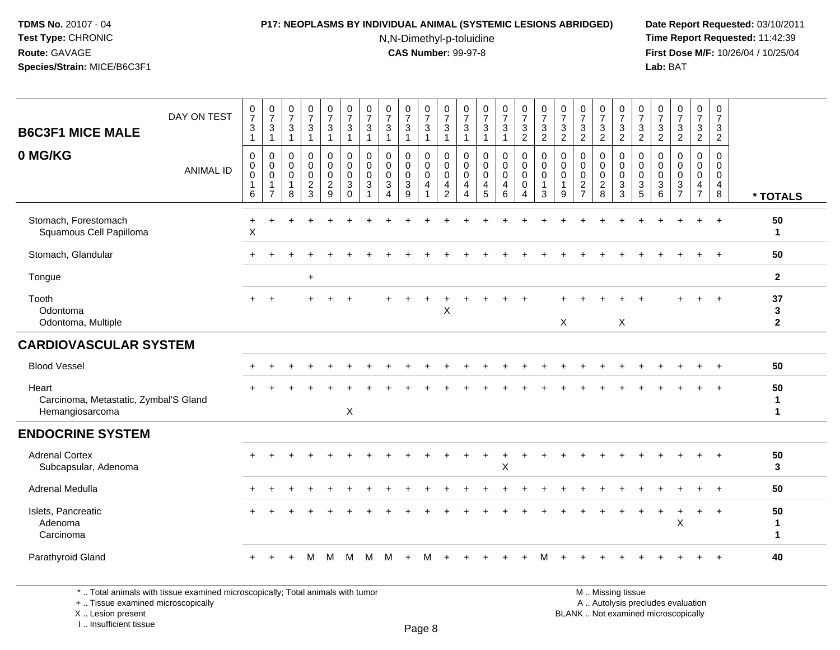#### **P17: NEOPLASMS BY INDIVIDUAL ANIMAL (SYSTEMIC LESIONS ABRIDGED) Date Report Requested:** 03/10/2011

N,N-Dimethyl-p-toluidine

 **Time Report Requested:** 11:42:39 **First Dose M/F:** 10/26/04 / 10/25/04 Lab: BAT **Lab:** BAT

| <b>B6C3F1 MICE MALE</b>                                           | DAY ON TEST      | $\begin{array}{c} 0 \\ 7 \end{array}$<br>3<br>$\mathbf{1}$ | $\begin{smallmatrix}0\\7\end{smallmatrix}$<br>3<br>$\mathbf{1}$           | $\frac{0}{7}$<br>3<br>$\overline{1}$                   | $\frac{0}{7}$<br>$\mathbf{3}$<br>$\mathbf{1}$                         | $\frac{0}{7}$<br>$\mathsf 3$<br>$\mathbf{1}$                             | $\frac{0}{7}$<br>$\mathbf{3}$<br>$\mathbf{1}$                            | $\frac{0}{7}$<br>3                    | $\frac{0}{7}$<br>$\mathbf 3$<br>$\overline{1}$               | $\frac{0}{7}$<br>$\mathbf{3}$<br>$\mathbf{1}$                     | $\frac{0}{7}$<br>3<br>$\mathbf{1}$        | $\frac{0}{7}$<br>$\mathbf{3}$<br>$\mathbf{1}$ | $\frac{0}{7}$<br>3<br>$\mathbf{1}$           | $\frac{0}{7}$<br>$\sqrt{3}$<br>$\mathbf{1}$                         | $\frac{0}{7}$<br>$\mathbf{3}$<br>$\mathbf{1}$                                    | $\frac{0}{7}$<br>$\sqrt{3}$<br>$\overline{2}$             | $\frac{0}{7}$<br>$\sqrt{3}$<br>$\overline{2}$ | $\frac{0}{7}$<br>$\mathbf{3}$<br>$\overline{2}$      | $\frac{0}{7}$<br>$\ensuremath{\mathsf{3}}$<br>$\overline{2}$ | $\frac{0}{7}$<br>$\frac{3}{2}$                             | $\frac{0}{7}$<br>$\mathbf{3}$<br>$\overline{2}$                                   | $\frac{0}{7}$<br>3<br>$\overline{c}$ | 0<br>$\overline{7}$<br>3<br>$\overline{2}$                        | $\frac{0}{7}$<br>$\frac{3}{2}$                                     | $\begin{smallmatrix}0\\7\end{smallmatrix}$<br>$\mathbf{3}$<br>$\overline{2}$ | 0<br>$\overline{7}$<br>3<br>$\overline{2}$             |                         |
|-------------------------------------------------------------------|------------------|------------------------------------------------------------|---------------------------------------------------------------------------|--------------------------------------------------------|-----------------------------------------------------------------------|--------------------------------------------------------------------------|--------------------------------------------------------------------------|---------------------------------------|--------------------------------------------------------------|-------------------------------------------------------------------|-------------------------------------------|-----------------------------------------------|----------------------------------------------|---------------------------------------------------------------------|----------------------------------------------------------------------------------|-----------------------------------------------------------|-----------------------------------------------|------------------------------------------------------|--------------------------------------------------------------|------------------------------------------------------------|-----------------------------------------------------------------------------------|--------------------------------------|-------------------------------------------------------------------|--------------------------------------------------------------------|------------------------------------------------------------------------------|--------------------------------------------------------|-------------------------|
| 0 MG/KG                                                           | <b>ANIMAL ID</b> | 0<br>$\pmb{0}$<br>$\mathbf 0$<br>$\mathbf 1$<br>6          | $\mathbf 0$<br>0<br>$\mathsf{O}\xspace$<br>$\mathbf{1}$<br>$\overline{7}$ | $\mathbf 0$<br>0<br>$\mathbf 0$<br>$\overline{1}$<br>8 | $\mathbf 0$<br>$\mathbf 0$<br>$\pmb{0}$<br>$\sqrt{2}$<br>$\mathbf{3}$ | $\mathbf 0$<br>$\mathbf 0$<br>$\ddot{\mathbf{0}}$<br>$\overline{2}$<br>9 | 0<br>$\mathbf 0$<br>$\mathbf 0$<br>$\ensuremath{\mathsf{3}}$<br>$\Omega$ | 0<br>0<br>$\mathbf 0$<br>$\mathbf{3}$ | $\mathbf 0$<br>$\mathbf 0$<br>$\pmb{0}$<br>$\mathbf{3}$<br>4 | 0<br>$\mathbf 0$<br>$\mathbf 0$<br>$\ensuremath{\mathsf{3}}$<br>9 | 0<br>$\mathbf 0$<br>$\mathbf 0$<br>4<br>1 | 0<br>0<br>$\mathbf 0$<br>4<br>$\overline{c}$  | 0<br>0<br>$\mathbf 0$<br>4<br>$\overline{4}$ | $\mathbf 0$<br>$\mathsf{O}\xspace$<br>$\ddot{\mathbf{0}}$<br>4<br>5 | 0<br>$\overline{0}$<br>$\mathsf{O}\xspace$<br>$\overline{\mathbf{4}}$<br>$\,6\,$ | $\mathbf 0$<br>$\mathbf 0$<br>$\pmb{0}$<br>$\pmb{0}$<br>4 | 0<br>0<br>$\mathbf 0$<br>$\mathbf{1}$<br>3    | $\mathbf 0$<br>0<br>$\mathbf 0$<br>$\mathbf{1}$<br>9 | 0<br>0<br>$\pmb{0}$<br>$\boldsymbol{2}$<br>$\overline{7}$    | $\mathbf 0$<br>$\mathbf 0$<br>$\mathbf 0$<br>$\frac{2}{8}$ | 0<br>$\boldsymbol{0}$<br>$\mathbf 0$<br>$\ensuremath{\mathsf{3}}$<br>$\mathbf{3}$ | 0<br>0<br>$\mathbf 0$<br>3<br>5      | 0<br>$\Omega$<br>0<br>$\ensuremath{\mathsf{3}}$<br>$6\phantom{1}$ | 0<br>0<br>$\pmb{0}$<br>$\ensuremath{\mathsf{3}}$<br>$\overline{7}$ | 0<br>$\mathbf 0$<br>$\mathbf 0$<br>$\overline{4}$<br>$\overline{7}$          | $\mathbf 0$<br>$\mathbf 0$<br>0<br>$\overline{4}$<br>8 | * TOTALS                |
| Stomach, Forestomach<br>Squamous Cell Papilloma                   |                  | $\ddot{}$<br>$\boldsymbol{\mathsf{X}}$                     |                                                                           |                                                        |                                                                       |                                                                          |                                                                          |                                       |                                                              |                                                                   |                                           |                                               |                                              |                                                                     |                                                                                  |                                                           |                                               |                                                      |                                                              |                                                            |                                                                                   |                                      |                                                                   |                                                                    |                                                                              | $+$                                                    | 50<br>1                 |
| Stomach, Glandular                                                |                  |                                                            |                                                                           |                                                        |                                                                       |                                                                          |                                                                          |                                       |                                                              |                                                                   |                                           |                                               |                                              |                                                                     |                                                                                  |                                                           |                                               |                                                      |                                                              |                                                            |                                                                                   |                                      |                                                                   |                                                                    |                                                                              | $\ddot{}$                                              | 50                      |
| Tongue                                                            |                  |                                                            |                                                                           |                                                        | $\ddot{}$                                                             |                                                                          |                                                                          |                                       |                                                              |                                                                   |                                           |                                               |                                              |                                                                     |                                                                                  |                                                           |                                               |                                                      |                                                              |                                                            |                                                                                   |                                      |                                                                   |                                                                    |                                                                              |                                                        | $\overline{2}$          |
| Tooth<br>Odontoma<br>Odontoma, Multiple                           |                  |                                                            |                                                                           |                                                        |                                                                       |                                                                          |                                                                          |                                       |                                                              |                                                                   |                                           | X                                             |                                              |                                                                     |                                                                                  |                                                           |                                               | X                                                    |                                                              |                                                            | X                                                                                 |                                      |                                                                   |                                                                    |                                                                              |                                                        | 37<br>3<br>$\mathbf{2}$ |
| <b>CARDIOVASCULAR SYSTEM</b>                                      |                  |                                                            |                                                                           |                                                        |                                                                       |                                                                          |                                                                          |                                       |                                                              |                                                                   |                                           |                                               |                                              |                                                                     |                                                                                  |                                                           |                                               |                                                      |                                                              |                                                            |                                                                                   |                                      |                                                                   |                                                                    |                                                                              |                                                        |                         |
| <b>Blood Vessel</b>                                               |                  |                                                            |                                                                           |                                                        |                                                                       |                                                                          |                                                                          |                                       |                                                              |                                                                   |                                           |                                               |                                              |                                                                     |                                                                                  |                                                           |                                               |                                                      |                                                              |                                                            |                                                                                   |                                      |                                                                   |                                                                    |                                                                              |                                                        | 50                      |
| Heart<br>Carcinoma, Metastatic, Zymbal'S Gland<br>Hemangiosarcoma |                  |                                                            |                                                                           |                                                        |                                                                       |                                                                          | X                                                                        |                                       |                                                              |                                                                   |                                           |                                               |                                              |                                                                     |                                                                                  |                                                           |                                               |                                                      |                                                              |                                                            |                                                                                   |                                      |                                                                   |                                                                    |                                                                              |                                                        | 50<br>1<br>1            |
| <b>ENDOCRINE SYSTEM</b>                                           |                  |                                                            |                                                                           |                                                        |                                                                       |                                                                          |                                                                          |                                       |                                                              |                                                                   |                                           |                                               |                                              |                                                                     |                                                                                  |                                                           |                                               |                                                      |                                                              |                                                            |                                                                                   |                                      |                                                                   |                                                                    |                                                                              |                                                        |                         |
| <b>Adrenal Cortex</b><br>Subcapsular, Adenoma                     |                  |                                                            |                                                                           |                                                        |                                                                       |                                                                          |                                                                          |                                       |                                                              |                                                                   |                                           |                                               |                                              |                                                                     | X                                                                                |                                                           |                                               |                                                      |                                                              |                                                            |                                                                                   |                                      |                                                                   |                                                                    |                                                                              | $\overline{1}$                                         | 50<br>3                 |
| Adrenal Medulla                                                   |                  |                                                            |                                                                           |                                                        |                                                                       |                                                                          |                                                                          |                                       |                                                              |                                                                   |                                           |                                               |                                              |                                                                     |                                                                                  |                                                           |                                               |                                                      |                                                              |                                                            |                                                                                   |                                      |                                                                   |                                                                    |                                                                              |                                                        | 50                      |
| Islets, Pancreatic<br>Adenoma<br>Carcinoma                        |                  |                                                            |                                                                           |                                                        |                                                                       |                                                                          |                                                                          |                                       |                                                              |                                                                   |                                           |                                               |                                              |                                                                     |                                                                                  |                                                           |                                               |                                                      |                                                              |                                                            |                                                                                   |                                      |                                                                   | X                                                                  |                                                                              | $\overline{1}$                                         | 50<br>1<br>$\mathbf{1}$ |
| Parathyroid Gland                                                 |                  |                                                            |                                                                           |                                                        | M                                                                     | M                                                                        | M                                                                        | м                                     |                                                              |                                                                   |                                           |                                               |                                              |                                                                     |                                                                                  |                                                           |                                               |                                                      |                                                              |                                                            |                                                                                   |                                      |                                                                   |                                                                    |                                                                              |                                                        | 40                      |

\* .. Total animals with tissue examined microscopically; Total animals with tumor

+ .. Tissue examined microscopically

 Lesion present BLANK .. Not examined microscopicallyX .. Lesion present

I .. Insufficient tissue

M .. Missing tissue y the contract of the contract of the contract of the contract of the contract of  $\mathsf A$  . Autolysis precludes evaluation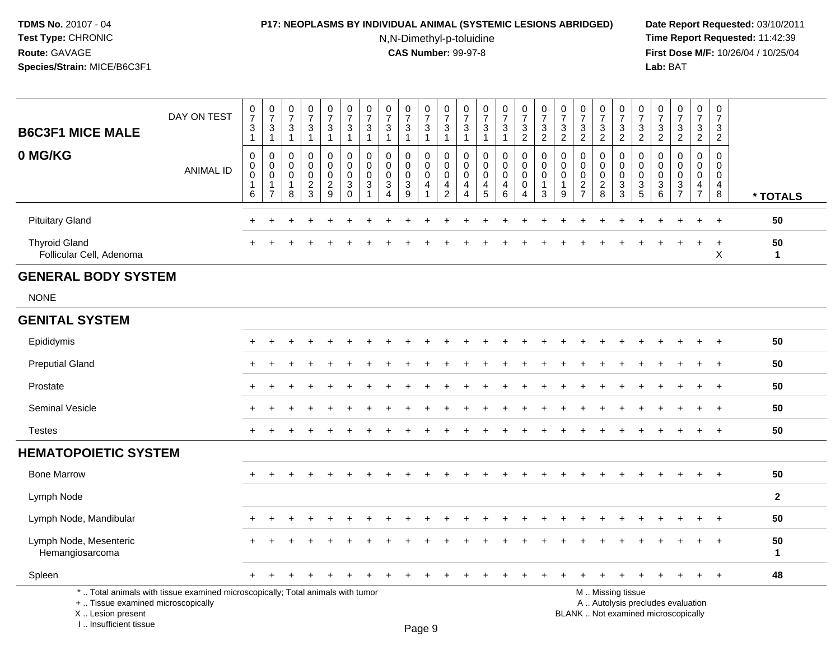# **P17: NEOPLASMS BY INDIVIDUAL ANIMAL (SYSTEMIC LESIONS ABRIDGED) Date Report Requested:** 03/10/2011

N,N-Dimethyl-p-toluidine

 **Time Report Requested:** 11:42:39 **First Dose M/F:** 10/26/04 / 10/25/04 Lab: BAT **Lab:** BAT

| <b>B6C3F1 MICE MALE</b>                          | DAY ON TEST                                                                     | 0<br>$\overline{7}$<br>$\mathbf{3}$<br>$\mathbf{1}$ | $\frac{0}{7}$<br>$\mathbf{3}$<br>$\mathbf{1}$                       | 0<br>$\overline{7}$<br>$\mathbf{3}$<br>$\mathbf{1}$            | 0<br>$\overline{7}$<br>3<br>$\mathbf 1$ | 0<br>$\overline{7}$<br>$\mathbf{3}$<br>$\mathbf{1}$              | $\frac{0}{7}$<br>$\sqrt{3}$<br>$\overline{1}$                                         | $\frac{0}{7}$<br>$\ensuremath{\mathsf{3}}$<br>$\overline{1}$                | 0<br>$\overline{7}$<br>$\sqrt{3}$<br>$\mathbf{1}$                              | $\frac{0}{7}$<br>3<br>1                              | 0<br>$\overline{7}$<br>$\ensuremath{\mathsf{3}}$<br>$\overline{1}$                     | $\frac{0}{7}$<br>3<br>$\mathbf{1}$                                  | 0<br>$\overline{7}$<br>3<br>$\mathbf{1}$                      | 0<br>$\overline{7}$<br>3<br>$\overline{1}$          | $\frac{0}{7}$<br>3<br>$\mathbf{1}$      | 0<br>$\overline{7}$<br>$\ensuremath{\mathsf{3}}$<br>$\overline{2}$       | $\frac{0}{7}$<br>$\mathbf{3}$<br>$\overline{2}$                           | 0<br>$\overline{7}$<br>3<br>$\overline{2}$    | $\frac{0}{7}$<br>$\frac{3}{2}$                             | $\frac{0}{7}$<br>3<br>$\overline{2}$                   | 0<br>$\overline{7}$<br>3<br>$\overline{2}$                                          | $\frac{0}{7}$<br>3<br>$\overline{2}$                           | 0<br>$\overline{7}$<br>$\ensuremath{\mathsf{3}}$<br>$\overline{2}$ | $\frac{0}{7}$<br>$\frac{3}{2}$                             | 0<br>$\overline{7}$<br>$\ensuremath{\mathsf{3}}$<br>$\overline{2}$ | 0<br>$\overline{7}$<br>$\sqrt{3}$<br>$\overline{2}$              |                    |
|--------------------------------------------------|---------------------------------------------------------------------------------|-----------------------------------------------------|---------------------------------------------------------------------|----------------------------------------------------------------|-----------------------------------------|------------------------------------------------------------------|---------------------------------------------------------------------------------------|-----------------------------------------------------------------------------|--------------------------------------------------------------------------------|------------------------------------------------------|----------------------------------------------------------------------------------------|---------------------------------------------------------------------|---------------------------------------------------------------|-----------------------------------------------------|-----------------------------------------|--------------------------------------------------------------------------|---------------------------------------------------------------------------|-----------------------------------------------|------------------------------------------------------------|--------------------------------------------------------|-------------------------------------------------------------------------------------|----------------------------------------------------------------|--------------------------------------------------------------------|------------------------------------------------------------|--------------------------------------------------------------------|------------------------------------------------------------------|--------------------|
| 0 MG/KG                                          | <b>ANIMAL ID</b>                                                                | 0<br>$\mathbf 0$<br>$\Omega$<br>$\,6\,$             | 0<br>$\mathbf 0$<br>$\mathbf 0$<br>$\overline{1}$<br>$\overline{7}$ | $\mathbf 0$<br>$\mathbf 0$<br>$\mathbf 0$<br>$\mathbf{1}$<br>8 | 0<br>0<br>$\mathbf 0$<br>$\frac{2}{3}$  | $\mathbf 0$<br>$\mathbf 0$<br>$\mathbf 0$<br>$\overline{c}$<br>9 | $\mathbf 0$<br>$\mathbf 0$<br>$\mathbf 0$<br>$\ensuremath{\mathsf{3}}$<br>$\mathbf 0$ | $\mathbf 0$<br>$\mathbf 0$<br>$\mathbf 0$<br>$\mathbf{3}$<br>$\overline{1}$ | 0<br>$\mathbf 0$<br>$\mathbf 0$<br>$\ensuremath{\mathsf{3}}$<br>$\overline{4}$ | 0<br>$\mathbf 0$<br>$\mathbf 0$<br>$\mathbf{3}$<br>9 | $\mathbf 0$<br>$\mathbf 0$<br>$\mathbf 0$<br>$\overline{\mathbf{4}}$<br>$\overline{1}$ | 0<br>$\mathbf 0$<br>$\mathbf 0$<br>$\overline{4}$<br>$\overline{2}$ | $\Omega$<br>$\mathbf 0$<br>$\mathbf 0$<br>4<br>$\overline{4}$ | $\mathbf 0$<br>$\mathbf 0$<br>$\mathbf 0$<br>4<br>5 | 0<br>$\pmb{0}$<br>$\mathbf 0$<br>4<br>6 | $\mathbf 0$<br>$\mathbf 0$<br>$\mathbf 0$<br>$\pmb{0}$<br>$\overline{4}$ | $\mathbf 0$<br>$\mathbf 0$<br>$\mathbf 0$<br>$\mathbf{1}$<br>$\mathbf{3}$ | $\Omega$<br>0<br>$\Omega$<br>$\mathbf 1$<br>9 | $\mathbf 0$<br>$\mathbf 0$<br>$\mathbf 0$<br>$\frac{2}{7}$ | 0<br>$\mathbf 0$<br>$\mathbf 0$<br>$\overline{c}$<br>8 | $\Omega$<br>$\mathbf 0$<br>$\mathbf 0$<br>$\ensuremath{\mathsf{3}}$<br>$\mathbf{3}$ | 0<br>$\Omega$<br>$\mathbf 0$<br>$\ensuremath{\mathsf{3}}$<br>5 | 0<br>0<br>$\mathbf 0$<br>$\begin{array}{c} 3 \\ 6 \end{array}$     | $\mathbf 0$<br>$\mathbf 0$<br>$\mathbf 0$<br>$\frac{3}{7}$ | 0<br>0<br>$\mathbf 0$<br>$\frac{4}{7}$                             | $\Omega$<br>$\mathbf 0$<br>$\overline{0}$<br>$\overline{a}$<br>8 | * TOTALS           |
| <b>Pituitary Gland</b>                           |                                                                                 |                                                     |                                                                     |                                                                |                                         |                                                                  |                                                                                       |                                                                             |                                                                                |                                                      |                                                                                        |                                                                     |                                                               |                                                     |                                         |                                                                          |                                                                           |                                               |                                                            |                                                        |                                                                                     |                                                                |                                                                    |                                                            |                                                                    | $\ddot{+}$                                                       | 50                 |
| <b>Thyroid Gland</b><br>Follicular Cell, Adenoma |                                                                                 |                                                     |                                                                     |                                                                |                                         |                                                                  |                                                                                       |                                                                             |                                                                                |                                                      |                                                                                        |                                                                     |                                                               |                                                     |                                         |                                                                          |                                                                           |                                               |                                                            |                                                        |                                                                                     |                                                                |                                                                    |                                                            |                                                                    | $\ddot{}$<br>$\mathsf X$                                         | 50<br>$\mathbf 1$  |
| <b>GENERAL BODY SYSTEM</b>                       |                                                                                 |                                                     |                                                                     |                                                                |                                         |                                                                  |                                                                                       |                                                                             |                                                                                |                                                      |                                                                                        |                                                                     |                                                               |                                                     |                                         |                                                                          |                                                                           |                                               |                                                            |                                                        |                                                                                     |                                                                |                                                                    |                                                            |                                                                    |                                                                  |                    |
| <b>NONE</b>                                      |                                                                                 |                                                     |                                                                     |                                                                |                                         |                                                                  |                                                                                       |                                                                             |                                                                                |                                                      |                                                                                        |                                                                     |                                                               |                                                     |                                         |                                                                          |                                                                           |                                               |                                                            |                                                        |                                                                                     |                                                                |                                                                    |                                                            |                                                                    |                                                                  |                    |
| <b>GENITAL SYSTEM</b>                            |                                                                                 |                                                     |                                                                     |                                                                |                                         |                                                                  |                                                                                       |                                                                             |                                                                                |                                                      |                                                                                        |                                                                     |                                                               |                                                     |                                         |                                                                          |                                                                           |                                               |                                                            |                                                        |                                                                                     |                                                                |                                                                    |                                                            |                                                                    |                                                                  |                    |
| Epididymis                                       |                                                                                 |                                                     |                                                                     |                                                                |                                         |                                                                  |                                                                                       |                                                                             |                                                                                |                                                      |                                                                                        |                                                                     |                                                               |                                                     |                                         |                                                                          |                                                                           |                                               |                                                            |                                                        |                                                                                     |                                                                |                                                                    |                                                            |                                                                    |                                                                  | 50                 |
| <b>Preputial Gland</b>                           |                                                                                 |                                                     |                                                                     |                                                                |                                         |                                                                  |                                                                                       |                                                                             |                                                                                |                                                      |                                                                                        |                                                                     |                                                               |                                                     |                                         |                                                                          |                                                                           |                                               |                                                            |                                                        |                                                                                     |                                                                |                                                                    |                                                            |                                                                    | $\pm$                                                            | 50                 |
| Prostate                                         |                                                                                 |                                                     |                                                                     |                                                                |                                         |                                                                  |                                                                                       |                                                                             |                                                                                |                                                      |                                                                                        |                                                                     |                                                               |                                                     |                                         |                                                                          |                                                                           |                                               |                                                            |                                                        |                                                                                     |                                                                |                                                                    |                                                            |                                                                    | $\ddot{}$                                                        | 50                 |
| <b>Seminal Vesicle</b>                           |                                                                                 |                                                     |                                                                     |                                                                |                                         |                                                                  |                                                                                       |                                                                             |                                                                                |                                                      |                                                                                        |                                                                     |                                                               |                                                     |                                         |                                                                          |                                                                           |                                               |                                                            |                                                        |                                                                                     |                                                                |                                                                    |                                                            |                                                                    |                                                                  | 50                 |
| <b>Testes</b>                                    |                                                                                 |                                                     |                                                                     |                                                                |                                         |                                                                  |                                                                                       |                                                                             |                                                                                |                                                      |                                                                                        |                                                                     |                                                               |                                                     |                                         |                                                                          |                                                                           |                                               |                                                            |                                                        |                                                                                     |                                                                |                                                                    |                                                            |                                                                    | $\div$                                                           | 50                 |
| <b>HEMATOPOIETIC SYSTEM</b>                      |                                                                                 |                                                     |                                                                     |                                                                |                                         |                                                                  |                                                                                       |                                                                             |                                                                                |                                                      |                                                                                        |                                                                     |                                                               |                                                     |                                         |                                                                          |                                                                           |                                               |                                                            |                                                        |                                                                                     |                                                                |                                                                    |                                                            |                                                                    |                                                                  |                    |
| <b>Bone Marrow</b>                               |                                                                                 |                                                     |                                                                     |                                                                |                                         |                                                                  |                                                                                       |                                                                             |                                                                                |                                                      |                                                                                        |                                                                     |                                                               |                                                     |                                         |                                                                          |                                                                           |                                               |                                                            |                                                        |                                                                                     |                                                                |                                                                    |                                                            | $\ddot{}$                                                          | $\ddot{}$                                                        | 50                 |
| Lymph Node                                       |                                                                                 |                                                     |                                                                     |                                                                |                                         |                                                                  |                                                                                       |                                                                             |                                                                                |                                                      |                                                                                        |                                                                     |                                                               |                                                     |                                         |                                                                          |                                                                           |                                               |                                                            |                                                        |                                                                                     |                                                                |                                                                    |                                                            |                                                                    |                                                                  | $\mathbf{2}$       |
| Lymph Node, Mandibular                           |                                                                                 |                                                     |                                                                     |                                                                |                                         |                                                                  |                                                                                       |                                                                             |                                                                                |                                                      |                                                                                        |                                                                     |                                                               |                                                     |                                         |                                                                          |                                                                           |                                               |                                                            |                                                        |                                                                                     |                                                                |                                                                    |                                                            |                                                                    |                                                                  | 50                 |
| Lymph Node, Mesenteric<br>Hemangiosarcoma        |                                                                                 |                                                     |                                                                     |                                                                |                                         |                                                                  |                                                                                       |                                                                             |                                                                                |                                                      |                                                                                        |                                                                     |                                                               |                                                     |                                         |                                                                          |                                                                           |                                               |                                                            |                                                        |                                                                                     |                                                                |                                                                    |                                                            | $\ddot{}$                                                          | $+$                                                              | 50<br>$\mathbf{1}$ |
| Spleen                                           |                                                                                 | $\ddot{}$                                           |                                                                     |                                                                |                                         |                                                                  |                                                                                       |                                                                             |                                                                                |                                                      |                                                                                        |                                                                     |                                                               |                                                     |                                         |                                                                          |                                                                           |                                               |                                                            |                                                        |                                                                                     |                                                                |                                                                    |                                                            | $\ddot{}$                                                          | $+$                                                              | 48                 |
| +  Tissue examined microscopically               | *  Total animals with tissue examined microscopically; Total animals with tumor |                                                     |                                                                     |                                                                |                                         |                                                                  |                                                                                       |                                                                             |                                                                                |                                                      |                                                                                        |                                                                     |                                                               |                                                     |                                         |                                                                          |                                                                           |                                               |                                                            |                                                        | M  Missing tissue                                                                   | A  Autolysis precludes evaluation                              |                                                                    |                                                            |                                                                    |                                                                  |                    |

X .. Lesion present

I .. Insufficient tissue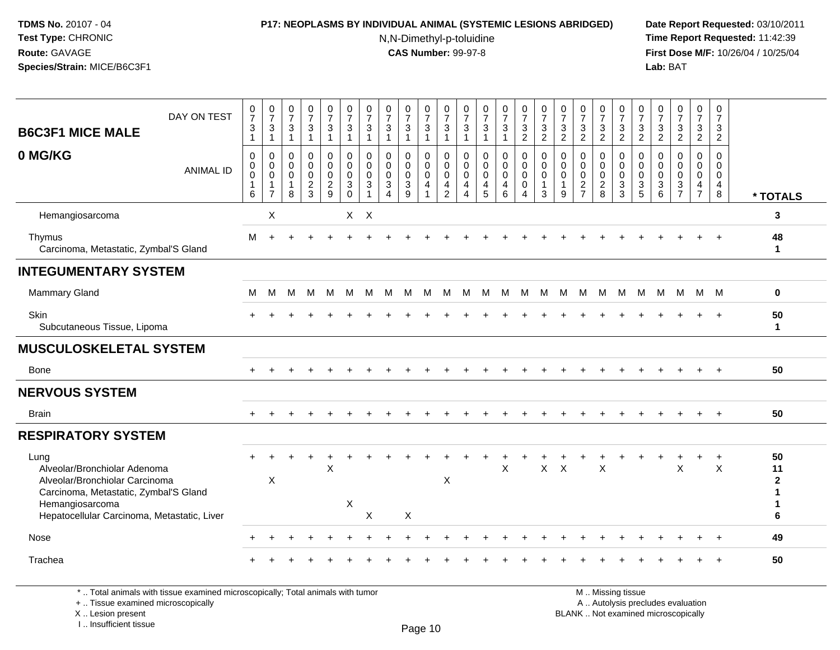# **P17: NEOPLASMS BY INDIVIDUAL ANIMAL (SYSTEMIC LESIONS ABRIDGED) Date Report Requested:** 03/10/2011

N,N-Dimethyl-p-toluidine

 **Time Report Requested:** 11:42:39 **First Dose M/F:** 10/26/04 / 10/25/04 Lab: BAT **Lab:** BAT

| DAY ON TEST<br><b>B6C3F1 MICE MALE</b>                                                                                                                                            | $\begin{array}{c} 0 \\ 7 \end{array}$<br>$\sqrt{3}$ | $\begin{smallmatrix}0\\7\end{smallmatrix}$<br>$\frac{3}{1}$       | $\frac{0}{7}$<br>$\sqrt{3}$<br>$\mathbf{1}$                               | $\frac{0}{7}$<br>3                           | $\frac{0}{7}$<br>$\mathbf{3}$<br>$\overline{1}$                  | $\frac{0}{7}$<br>$\mathbf{3}$<br>$\mathbf{1}$                                                       | $\frac{0}{7}$<br>$\ensuremath{\mathsf{3}}$ | $\frac{0}{7}$<br>$\mathbf 3$<br>$\overline{1}$                 | $\frac{0}{7}$<br>$\sqrt{3}$<br>$\mathbf{1}$      | $\frac{0}{7}$<br>3<br>$\mathbf{1}$        | $\frac{0}{7}$<br>3<br>$\mathbf{1}$           | $\frac{0}{7}$<br>$\mathbf{3}$<br>$\overline{1}$                                   | $\frac{0}{7}$<br>$\sqrt{3}$                                  | $\frac{0}{7}$<br>$\ensuremath{\mathsf{3}}$<br>$\overline{1}$                | $\frac{0}{7}$<br>$\frac{3}{2}$                                              | $\frac{0}{7}$<br>$\mathbf{3}$<br>$\overline{2}$ | $\frac{0}{7}$<br>$\frac{3}{2}$                       | $\frac{0}{7}$<br>$\ensuremath{\mathsf{3}}$<br>$\overline{2}$    | $\frac{0}{7}$<br>$\frac{3}{2}$                                   | $\frac{0}{7}$<br>$\frac{3}{2}$                                  | 0<br>$\overline{7}$<br>3<br>$\overline{2}$                                | $\frac{0}{7}$<br>$\frac{3}{2}$                                    | $\frac{0}{7}$<br>$\mathbf{3}$<br>$\overline{2}$ | $\begin{array}{c} 0 \\ 7 \end{array}$<br>$\mathbf{3}$<br>$\overline{2}$ | 0<br>$\overline{7}$<br>3<br>$\overline{2}$                   |                                         |
|-----------------------------------------------------------------------------------------------------------------------------------------------------------------------------------|-----------------------------------------------------|-------------------------------------------------------------------|---------------------------------------------------------------------------|----------------------------------------------|------------------------------------------------------------------|-----------------------------------------------------------------------------------------------------|--------------------------------------------|----------------------------------------------------------------|--------------------------------------------------|-------------------------------------------|----------------------------------------------|-----------------------------------------------------------------------------------|--------------------------------------------------------------|-----------------------------------------------------------------------------|-----------------------------------------------------------------------------|-------------------------------------------------|------------------------------------------------------|-----------------------------------------------------------------|------------------------------------------------------------------|-----------------------------------------------------------------|---------------------------------------------------------------------------|-------------------------------------------------------------------|-------------------------------------------------|-------------------------------------------------------------------------|--------------------------------------------------------------|-----------------------------------------|
| 0 MG/KG<br><b>ANIMAL ID</b>                                                                                                                                                       | 0<br>0<br>$\mathbf 0$<br>6                          | $\mathbf 0$<br>$\overline{0}$<br>$\overline{1}$<br>$\overline{7}$ | $\mathbf 0$<br>$\mathsf{O}\xspace$<br>$\overline{0}$<br>$\mathbf{1}$<br>8 | 0<br>0<br>$\mathbf 0$<br>$\overline{a}$<br>3 | $\pmb{0}$<br>$\mathbf 0$<br>$\ddot{\mathbf{0}}$<br>$\frac{2}{9}$ | $\pmb{0}$<br>$\mathsf{O}\xspace$<br>$\ddot{\mathbf{0}}$<br>$\ensuremath{\mathsf{3}}$<br>$\mathbf 0$ | $\mathbf 0$<br>0<br>$\mathbf 0$<br>3       | $\mathbf 0$<br>$\mathbf 0$<br>$\mathbf 0$<br>$\mathbf{3}$<br>4 | 0<br>$\mathbf 0$<br>$\pmb{0}$<br>$\sqrt{3}$<br>9 | 0<br>$\mathbf 0$<br>$\mathbf 0$<br>4<br>1 | 0<br>0<br>$\mathbf 0$<br>4<br>$\overline{2}$ | 0<br>$\boldsymbol{0}$<br>$\mathbf 0$<br>$\overline{\mathbf{4}}$<br>$\overline{4}$ | 0<br>$\pmb{0}$<br>$\ddot{\mathbf{0}}$<br>$\overline{4}$<br>5 | $\mathbf 0$<br>$\overline{0}$<br>$\ddot{\mathbf{0}}$<br>4<br>$6\phantom{1}$ | $\pmb{0}$<br>$\mathbf 0$<br>$\overline{0}$<br>$\mathbf 0$<br>$\overline{4}$ | 0<br>0<br>$\mathbf 0$<br>1<br>3                 | 0<br>$\mathbf 0$<br>$\mathbf 0$<br>$\mathbf{1}$<br>9 | 0<br>$\pmb{0}$<br>$\pmb{0}$<br>$\overline{c}$<br>$\overline{7}$ | $\mathbf 0$<br>$\mathbf 0$<br>$\mathbf 0$<br>$\overline{2}$<br>8 | 0<br>$\mathbf 0$<br>$\mathbf 0$<br>$\sqrt{3}$<br>$\overline{3}$ | $\mathbf 0$<br>$\mathbf 0$<br>$\mathbf 0$<br>$\sqrt{3}$<br>$\overline{5}$ | 0<br>0<br>$\mathbf 0$<br>$\ensuremath{\mathsf{3}}$<br>$6^{\circ}$ | 0<br>0<br>$\bar{0}$<br>$\frac{3}{7}$            | 0<br>$\mathbf 0$<br>$\ddot{\mathbf{0}}$<br>$\frac{4}{7}$                | 0<br>$\mathbf 0$<br>$\mathbf 0$<br>$\overline{4}$<br>$\bf 8$ | * TOTALS                                |
| Hemangiosarcoma                                                                                                                                                                   |                                                     | X                                                                 |                                                                           |                                              |                                                                  |                                                                                                     | $X$ $X$                                    |                                                                |                                                  |                                           |                                              |                                                                                   |                                                              |                                                                             |                                                                             |                                                 |                                                      |                                                                 |                                                                  |                                                                 |                                                                           |                                                                   |                                                 |                                                                         |                                                              | 3                                       |
| Thymus<br>Carcinoma, Metastatic, Zymbal'S Gland                                                                                                                                   | м                                                   |                                                                   |                                                                           |                                              |                                                                  |                                                                                                     |                                            |                                                                |                                                  |                                           |                                              |                                                                                   |                                                              |                                                                             |                                                                             |                                                 |                                                      |                                                                 |                                                                  |                                                                 |                                                                           |                                                                   |                                                 |                                                                         |                                                              | 48<br>$\mathbf 1$                       |
| <b>INTEGUMENTARY SYSTEM</b>                                                                                                                                                       |                                                     |                                                                   |                                                                           |                                              |                                                                  |                                                                                                     |                                            |                                                                |                                                  |                                           |                                              |                                                                                   |                                                              |                                                                             |                                                                             |                                                 |                                                      |                                                                 |                                                                  |                                                                 |                                                                           |                                                                   |                                                 |                                                                         |                                                              |                                         |
| <b>Mammary Gland</b>                                                                                                                                                              | м                                                   | м                                                                 | М                                                                         | м                                            | M                                                                | M                                                                                                   | M                                          | M                                                              | M                                                | M                                         | M                                            | M                                                                                 | M                                                            | M                                                                           | M                                                                           | M                                               | M                                                    | M                                                               | M                                                                | M                                                               | M                                                                         | M                                                                 | M                                               | M M                                                                     |                                                              | 0                                       |
| Skin<br>Subcutaneous Tissue, Lipoma                                                                                                                                               |                                                     |                                                                   |                                                                           |                                              |                                                                  |                                                                                                     |                                            |                                                                |                                                  |                                           |                                              |                                                                                   |                                                              |                                                                             |                                                                             |                                                 |                                                      |                                                                 |                                                                  |                                                                 |                                                                           |                                                                   |                                                 |                                                                         |                                                              | 50<br>$\mathbf{1}$                      |
| <b>MUSCULOSKELETAL SYSTEM</b>                                                                                                                                                     |                                                     |                                                                   |                                                                           |                                              |                                                                  |                                                                                                     |                                            |                                                                |                                                  |                                           |                                              |                                                                                   |                                                              |                                                                             |                                                                             |                                                 |                                                      |                                                                 |                                                                  |                                                                 |                                                                           |                                                                   |                                                 |                                                                         |                                                              |                                         |
| <b>Bone</b>                                                                                                                                                                       |                                                     |                                                                   |                                                                           |                                              |                                                                  |                                                                                                     |                                            |                                                                |                                                  |                                           |                                              |                                                                                   |                                                              |                                                                             |                                                                             |                                                 |                                                      |                                                                 |                                                                  |                                                                 |                                                                           |                                                                   |                                                 |                                                                         | $+$                                                          | 50                                      |
| <b>NERVOUS SYSTEM</b>                                                                                                                                                             |                                                     |                                                                   |                                                                           |                                              |                                                                  |                                                                                                     |                                            |                                                                |                                                  |                                           |                                              |                                                                                   |                                                              |                                                                             |                                                                             |                                                 |                                                      |                                                                 |                                                                  |                                                                 |                                                                           |                                                                   |                                                 |                                                                         |                                                              |                                         |
| <b>Brain</b>                                                                                                                                                                      | $\ddot{}$                                           |                                                                   |                                                                           |                                              |                                                                  |                                                                                                     |                                            |                                                                |                                                  |                                           |                                              |                                                                                   |                                                              |                                                                             |                                                                             |                                                 |                                                      |                                                                 |                                                                  |                                                                 |                                                                           |                                                                   |                                                 | $+$                                                                     |                                                              | 50                                      |
| <b>RESPIRATORY SYSTEM</b>                                                                                                                                                         |                                                     |                                                                   |                                                                           |                                              |                                                                  |                                                                                                     |                                            |                                                                |                                                  |                                           |                                              |                                                                                   |                                                              |                                                                             |                                                                             |                                                 |                                                      |                                                                 |                                                                  |                                                                 |                                                                           |                                                                   |                                                 |                                                                         |                                                              |                                         |
| Lung<br>Alveolar/Bronchiolar Adenoma<br>Alveolar/Bronchiolar Carcinoma<br>Carcinoma, Metastatic, Zymbal'S Gland<br>Hemangiosarcoma<br>Hepatocellular Carcinoma, Metastatic, Liver |                                                     | X                                                                 |                                                                           |                                              | $\boldsymbol{\mathsf{X}}$                                        | X                                                                                                   | X                                          |                                                                | X                                                |                                           | X                                            |                                                                                   |                                                              | $\mathsf X$                                                                 |                                                                             | $\mathsf{X}$                                    | $\boldsymbol{\mathsf{X}}$                            |                                                                 | $\sf X$                                                          |                                                                 |                                                                           |                                                                   | $\sf X$                                         |                                                                         | $\sf X$                                                      | 50<br>11<br>$\mathbf{2}$<br>1<br>1<br>6 |
| Nose                                                                                                                                                                              |                                                     |                                                                   |                                                                           |                                              |                                                                  |                                                                                                     |                                            |                                                                |                                                  |                                           |                                              |                                                                                   |                                                              |                                                                             |                                                                             |                                                 |                                                      |                                                                 |                                                                  |                                                                 |                                                                           |                                                                   |                                                 |                                                                         |                                                              | 49                                      |
| Trachea                                                                                                                                                                           |                                                     |                                                                   |                                                                           |                                              |                                                                  |                                                                                                     |                                            |                                                                |                                                  |                                           |                                              |                                                                                   |                                                              |                                                                             |                                                                             |                                                 |                                                      |                                                                 |                                                                  |                                                                 |                                                                           |                                                                   |                                                 |                                                                         |                                                              | 50                                      |

\* .. Total animals with tissue examined microscopically; Total animals with tumor

+ .. Tissue examined microscopically

X .. Lesion present

I .. Insufficient tissue

M .. Missing tissue y the contract of the contract of the contract of the contract of the contract of  $\mathsf A$  . Autolysis precludes evaluation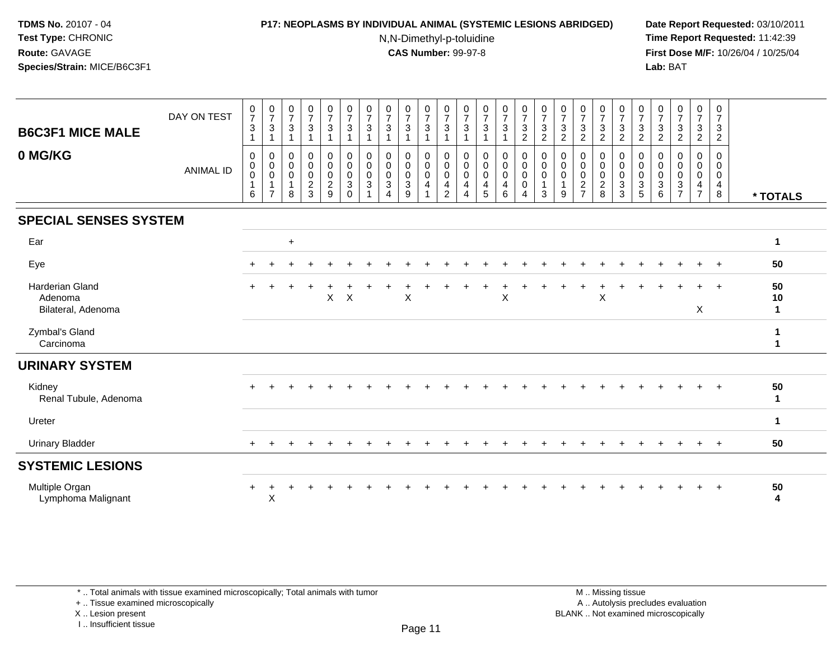### **P17: NEOPLASMS BY INDIVIDUAL ANIMAL (SYSTEMIC LESIONS ABRIDGED) Date Report Requested:** 03/10/2011

N,N-Dimethyl-p-toluidine

 **Time Report Requested:** 11:42:39 **First Dose M/F:** 10/26/04 / 10/25/04 Lab: BAT **Lab:** BAT

| <b>B6C3F1 MICE MALE</b><br>0 MG/KG               | DAY ON TEST<br><b>ANIMAL ID</b> | $\frac{0}{7}$<br>3<br>0<br>0<br>$\mathbf 0$<br>6 | $\frac{0}{7}$<br>$\mathbf{3}$<br>$\mathbf{1}$<br>0<br>$\pmb{0}$<br>$\pmb{0}$<br>$\mathbf{1}$<br>$\overline{7}$ | $\begin{array}{c} 0 \\ 7 \end{array}$<br>$\sqrt{3}$<br>$\mathbf{1}$<br>$\pmb{0}$<br>$\mathsf{O}\xspace$<br>$\pmb{0}$<br>8 | $\begin{array}{c} 0 \\ 7 \end{array}$<br>$\sqrt{3}$<br>$\overline{1}$<br>0<br>$\ddot{\mathbf{0}}$<br>$\mathbf 0$<br>$\frac{2}{3}$ | $\begin{array}{c} 0 \\ 7 \end{array}$<br>$\mathbf{3}$<br>$\mathbf{1}$<br>$\mathbf 0$<br>$\mathbf 0$<br>$\mathbf 0$<br>$\frac{2}{9}$ | 0<br>$\overline{7}$<br>$\mathbf{3}$<br>0<br>0<br>0<br>3<br>$\Omega$ | 0<br>$\overline{7}$<br>$\sqrt{3}$<br>$\Omega$<br>0<br>$\Omega$<br>3 | $\frac{0}{7}$<br>$\sqrt{3}$<br>0<br>$\pmb{0}$<br>$\pmb{0}$<br>$\sqrt{3}$<br>4 | 0<br>$\overline{7}$<br>$\mathbf{3}$<br>$\overline{1}$<br>0<br>$\mathbf 0$<br>$\mathbf 0$<br>$\mathsf 3$<br>9 | $\frac{0}{7}$<br>$\sqrt{3}$<br>$\overline{1}$<br>$\mathbf 0$<br>$\mathbf 0$<br>$\mathsf{O}\xspace$<br>4 | 0<br>$\overline{7}$<br>$\sqrt{3}$<br>1<br>$\mathbf 0$<br>$\mathbf 0$<br>$\mathbf 0$<br>4<br>$\overline{2}$ | 0<br>$\overline{7}$<br>$\mathbf{3}$<br>1<br>$\mathbf 0$<br>$\mathbf 0$<br>0<br>4<br>4 | $\begin{smallmatrix}0\\7\end{smallmatrix}$<br>3<br>0<br>$\boldsymbol{0}$<br>0<br>4<br>5 | $\frac{0}{7}$<br>$\mathbf{3}$<br>$\mathbf{1}$<br>0<br>$\pmb{0}$<br>$\mathbf 0$<br>$\overline{\mathbf{4}}$<br>$6\phantom{a}$ | $\begin{smallmatrix}0\\7\end{smallmatrix}$<br>$\sqrt{3}$<br>$\overline{2}$<br>0<br>$\pmb{0}$<br>$\pmb{0}$<br>$\pmb{0}$<br>$\overline{4}$ | $\frac{0}{7}$<br>$\sqrt{3}$<br>$\overline{c}$<br>0<br>$\mathbf 0$<br>$\mathbf 0$<br>3 | $\frac{0}{7}$<br>$\mathbf{3}$<br>$\overline{c}$<br>$\mathbf 0$<br>$\pmb{0}$<br>$\mathbf 0$<br>1<br>9 | $\frac{0}{7}$<br>$\mathbf{3}$<br>$\overline{c}$<br>0<br>0<br>0<br>$\overline{a}$<br>$\overline{ }$ | $\frac{0}{7}$<br>$\mathfrak{Z}$<br>$\overline{c}$<br>0<br>$\mathbf 0$<br>$\mathbf 0$<br>$\frac{2}{8}$ | $\frac{0}{7}$<br>$\mathbf{3}$<br>$\overline{2}$<br>0<br>$\pmb{0}$<br>$\,0\,$<br>$\overline{3}$<br>3 | 0<br>$\overline{7}$<br>$\sqrt{3}$<br>$\sqrt{2}$<br>$\Omega$<br>0<br>0<br>$\frac{3}{5}$ | $\frac{0}{7}$<br>$\sqrt{3}$<br>$\overline{c}$<br>0<br>0<br>0<br>$\ensuremath{\mathsf{3}}$<br>6 | $\frac{0}{7}$<br>$\mathbf{3}$<br>$\overline{c}$<br>0<br>$\mathbf 0$<br>$\pmb{0}$<br>$\frac{3}{7}$ | 0<br>$\overline{7}$<br>$\mathbf{3}$<br>$\overline{2}$<br>0<br>$\mathbf 0$<br>0<br>$\overline{4}$<br>$\overline{7}$ | 0<br>$\overline{7}$<br>3<br>$\overline{2}$<br>0<br>0<br>0<br>4<br>8 | * TOTALS      |
|--------------------------------------------------|---------------------------------|--------------------------------------------------|----------------------------------------------------------------------------------------------------------------|---------------------------------------------------------------------------------------------------------------------------|-----------------------------------------------------------------------------------------------------------------------------------|-------------------------------------------------------------------------------------------------------------------------------------|---------------------------------------------------------------------|---------------------------------------------------------------------|-------------------------------------------------------------------------------|--------------------------------------------------------------------------------------------------------------|---------------------------------------------------------------------------------------------------------|------------------------------------------------------------------------------------------------------------|---------------------------------------------------------------------------------------|-----------------------------------------------------------------------------------------|-----------------------------------------------------------------------------------------------------------------------------|------------------------------------------------------------------------------------------------------------------------------------------|---------------------------------------------------------------------------------------|------------------------------------------------------------------------------------------------------|----------------------------------------------------------------------------------------------------|-------------------------------------------------------------------------------------------------------|-----------------------------------------------------------------------------------------------------|----------------------------------------------------------------------------------------|------------------------------------------------------------------------------------------------|---------------------------------------------------------------------------------------------------|--------------------------------------------------------------------------------------------------------------------|---------------------------------------------------------------------|---------------|
| <b>SPECIAL SENSES SYSTEM</b>                     |                                 |                                                  |                                                                                                                |                                                                                                                           |                                                                                                                                   |                                                                                                                                     |                                                                     |                                                                     |                                                                               |                                                                                                              |                                                                                                         |                                                                                                            |                                                                                       |                                                                                         |                                                                                                                             |                                                                                                                                          |                                                                                       |                                                                                                      |                                                                                                    |                                                                                                       |                                                                                                     |                                                                                        |                                                                                                |                                                                                                   |                                                                                                                    |                                                                     |               |
| Ear                                              |                                 |                                                  |                                                                                                                | $\ddot{}$                                                                                                                 |                                                                                                                                   |                                                                                                                                     |                                                                     |                                                                     |                                                                               |                                                                                                              |                                                                                                         |                                                                                                            |                                                                                       |                                                                                         |                                                                                                                             |                                                                                                                                          |                                                                                       |                                                                                                      |                                                                                                    |                                                                                                       |                                                                                                     |                                                                                        |                                                                                                |                                                                                                   |                                                                                                                    |                                                                     | 1             |
| Eye                                              |                                 |                                                  |                                                                                                                |                                                                                                                           |                                                                                                                                   |                                                                                                                                     |                                                                     |                                                                     |                                                                               |                                                                                                              |                                                                                                         |                                                                                                            |                                                                                       |                                                                                         |                                                                                                                             |                                                                                                                                          |                                                                                       |                                                                                                      |                                                                                                    |                                                                                                       |                                                                                                     |                                                                                        |                                                                                                |                                                                                                   |                                                                                                                    | $^{+}$                                                              | 50            |
| Harderian Gland<br>Adenoma<br>Bilateral, Adenoma |                                 |                                                  |                                                                                                                |                                                                                                                           |                                                                                                                                   | $\mathsf{X}$                                                                                                                        | $\boldsymbol{\mathsf{X}}$                                           |                                                                     |                                                                               | $\mathsf X$                                                                                                  |                                                                                                         |                                                                                                            |                                                                                       |                                                                                         | $\boldsymbol{\mathsf{X}}$                                                                                                   |                                                                                                                                          |                                                                                       |                                                                                                      |                                                                                                    | X                                                                                                     |                                                                                                     |                                                                                        |                                                                                                |                                                                                                   | X                                                                                                                  | $+$                                                                 | 50<br>10<br>1 |
| Zymbal's Gland<br>Carcinoma                      |                                 |                                                  |                                                                                                                |                                                                                                                           |                                                                                                                                   |                                                                                                                                     |                                                                     |                                                                     |                                                                               |                                                                                                              |                                                                                                         |                                                                                                            |                                                                                       |                                                                                         |                                                                                                                             |                                                                                                                                          |                                                                                       |                                                                                                      |                                                                                                    |                                                                                                       |                                                                                                     |                                                                                        |                                                                                                |                                                                                                   |                                                                                                                    |                                                                     |               |
| <b>URINARY SYSTEM</b>                            |                                 |                                                  |                                                                                                                |                                                                                                                           |                                                                                                                                   |                                                                                                                                     |                                                                     |                                                                     |                                                                               |                                                                                                              |                                                                                                         |                                                                                                            |                                                                                       |                                                                                         |                                                                                                                             |                                                                                                                                          |                                                                                       |                                                                                                      |                                                                                                    |                                                                                                       |                                                                                                     |                                                                                        |                                                                                                |                                                                                                   |                                                                                                                    |                                                                     |               |
| Kidney<br>Renal Tubule, Adenoma                  |                                 | $\ddot{}$                                        |                                                                                                                |                                                                                                                           |                                                                                                                                   |                                                                                                                                     |                                                                     |                                                                     |                                                                               |                                                                                                              |                                                                                                         |                                                                                                            |                                                                                       |                                                                                         |                                                                                                                             |                                                                                                                                          |                                                                                       |                                                                                                      |                                                                                                    |                                                                                                       |                                                                                                     |                                                                                        |                                                                                                |                                                                                                   |                                                                                                                    | $+$                                                                 | 50<br>1       |
| Ureter                                           |                                 |                                                  |                                                                                                                |                                                                                                                           |                                                                                                                                   |                                                                                                                                     |                                                                     |                                                                     |                                                                               |                                                                                                              |                                                                                                         |                                                                                                            |                                                                                       |                                                                                         |                                                                                                                             |                                                                                                                                          |                                                                                       |                                                                                                      |                                                                                                    |                                                                                                       |                                                                                                     |                                                                                        |                                                                                                |                                                                                                   |                                                                                                                    |                                                                     | 1.            |
| <b>Urinary Bladder</b>                           |                                 | $\pm$                                            |                                                                                                                |                                                                                                                           |                                                                                                                                   |                                                                                                                                     |                                                                     |                                                                     |                                                                               |                                                                                                              |                                                                                                         |                                                                                                            |                                                                                       |                                                                                         |                                                                                                                             |                                                                                                                                          |                                                                                       |                                                                                                      |                                                                                                    |                                                                                                       |                                                                                                     |                                                                                        |                                                                                                |                                                                                                   |                                                                                                                    | $+$                                                                 | 50            |
| <b>SYSTEMIC LESIONS</b>                          |                                 |                                                  |                                                                                                                |                                                                                                                           |                                                                                                                                   |                                                                                                                                     |                                                                     |                                                                     |                                                                               |                                                                                                              |                                                                                                         |                                                                                                            |                                                                                       |                                                                                         |                                                                                                                             |                                                                                                                                          |                                                                                       |                                                                                                      |                                                                                                    |                                                                                                       |                                                                                                     |                                                                                        |                                                                                                |                                                                                                   |                                                                                                                    |                                                                     |               |
| Multiple Organ<br>Lymphoma Malignant             |                                 | $\ddot{}$                                        | X                                                                                                              |                                                                                                                           |                                                                                                                                   |                                                                                                                                     |                                                                     |                                                                     |                                                                               |                                                                                                              |                                                                                                         |                                                                                                            |                                                                                       |                                                                                         |                                                                                                                             |                                                                                                                                          |                                                                                       |                                                                                                      |                                                                                                    |                                                                                                       |                                                                                                     |                                                                                        |                                                                                                |                                                                                                   |                                                                                                                    | $^{+}$                                                              | 50<br>4       |

\* .. Total animals with tissue examined microscopically; Total animals with tumor

+ .. Tissue examined microscopically

X .. Lesion present

I .. Insufficient tissue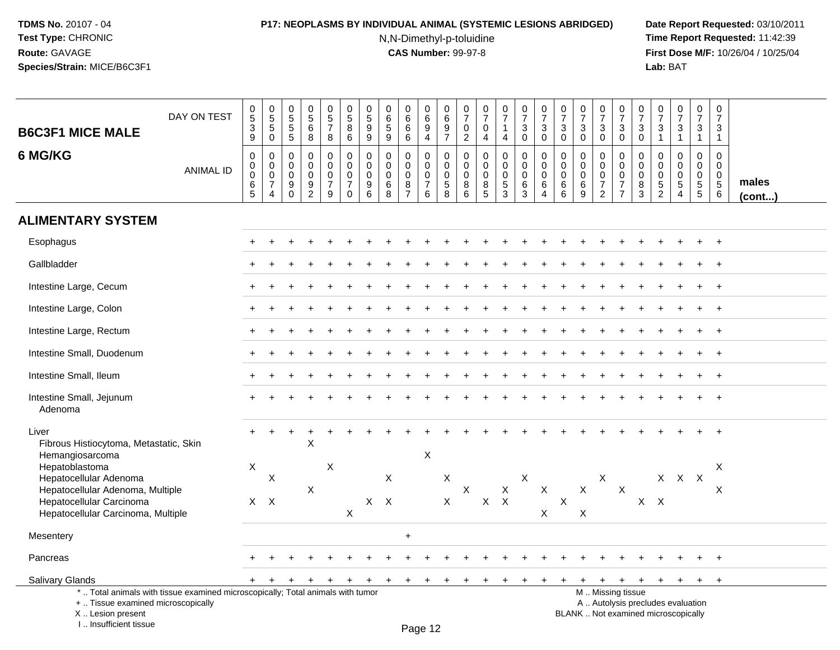# **P17: NEOPLASMS BY INDIVIDUAL ANIMAL (SYSTEMIC LESIONS ABRIDGED) Date Report Requested:** 03/10/2011

N,N-Dimethyl-p-toluidine

| <b>B6C3F1 MICE MALE</b>                                                                                                                                             | DAY ON TEST      | 0<br>$\overline{5}$<br>$\ensuremath{\mathsf{3}}$<br>$\mathsf g$ | $\begin{array}{c} 0 \\ 5 \\ 5 \end{array}$<br>$\bar{0}$                     | $\begin{array}{c} 0 \\ 5 \\ 5 \end{array}$<br>$\overline{5}$ | $\begin{array}{c} 0 \\ 5 \\ 6 \end{array}$<br>8                             | $\begin{array}{c} 0 \\ 5 \end{array}$<br>$\overline{7}$<br>8     | $\pmb{0}$<br>$\overline{5}$<br>8<br>6                                    | $\pmb{0}$<br>$\overline{5}$<br>9<br>$\boldsymbol{9}$               | $\pmb{0}$<br>$6\overline{6}$<br>$\sqrt{5}$<br>$9\,$        | $_{6}^{\rm 0}$<br>$\,6\,$<br>$\,6\,$                             | $_{6}^{\rm 0}$<br>9<br>$\overline{4}$                  | $\pmb{0}$<br>$\overline{6}$<br>$\boldsymbol{9}$<br>$\overline{7}$ | $\mathbf 0$<br>$\overline{7}$<br>$\mathsf 0$<br>$\overline{2}$ | $\begin{smallmatrix}0\\7\end{smallmatrix}$<br>$\mathbf 0$<br>$\overline{4}$ | $\begin{smallmatrix}0\\7\end{smallmatrix}$<br>$\mathbf{1}$<br>4             | $\pmb{0}$<br>$\overline{7}$<br>3<br>0                      | $\begin{smallmatrix}0\\7\end{smallmatrix}$<br>3<br>$\mathbf 0$ | $\begin{array}{c} 0 \\ 7 \end{array}$<br>$\mathbf{3}$<br>$\mathbf 0$ | $\begin{array}{c} 0 \\ 7 \end{array}$<br>$\sqrt{3}$<br>$\pmb{0}$ | $\begin{smallmatrix}0\\7\end{smallmatrix}$<br>$\mathbf{3}$<br>$\pmb{0}$ | $\frac{0}{7}$<br>$\mathbf 3$<br>$\overline{0}$                                                | $\mathbf 0$<br>$\overline{7}$<br>3<br>$\mathbf 0$         | $\,0\,$<br>$\overline{7}$<br>$\sqrt{3}$<br>$\mathbf{1}$                | $\frac{0}{7}$<br>$\mathbf{3}$<br>$\mathbf{1}$                                 | $\frac{0}{7}$<br>$\mathbf{3}$<br>$\mathbf{1}$                                 | $\pmb{0}$<br>$\overline{7}$<br>3<br>$\mathbf{1}$                                       |                 |
|---------------------------------------------------------------------------------------------------------------------------------------------------------------------|------------------|-----------------------------------------------------------------|-----------------------------------------------------------------------------|--------------------------------------------------------------|-----------------------------------------------------------------------------|------------------------------------------------------------------|--------------------------------------------------------------------------|--------------------------------------------------------------------|------------------------------------------------------------|------------------------------------------------------------------|--------------------------------------------------------|-------------------------------------------------------------------|----------------------------------------------------------------|-----------------------------------------------------------------------------|-----------------------------------------------------------------------------|------------------------------------------------------------|----------------------------------------------------------------|----------------------------------------------------------------------|------------------------------------------------------------------|-------------------------------------------------------------------------|-----------------------------------------------------------------------------------------------|-----------------------------------------------------------|------------------------------------------------------------------------|-------------------------------------------------------------------------------|-------------------------------------------------------------------------------|----------------------------------------------------------------------------------------|-----------------|
| 6 MG/KG                                                                                                                                                             | <b>ANIMAL ID</b> | $\mathbf 0$<br>0<br>$\mathbf 0$<br>6<br>5                       | $\mathbf 0$<br>$\pmb{0}$<br>$\mathbf 0$<br>$\overline{7}$<br>$\overline{4}$ | $\mathbf 0$<br>$\mathbf 0$<br>$\mathbf 0$<br>9<br>$\Omega$   | $\mathbf 0$<br>$\pmb{0}$<br>$\pmb{0}$<br>$\boldsymbol{9}$<br>$\overline{2}$ | $\mathbf 0$<br>$\mathbf 0$<br>$\mathbf 0$<br>$\overline{7}$<br>9 | $\mathbf 0$<br>$\mathbf 0$<br>$\pmb{0}$<br>$\overline{7}$<br>$\mathbf 0$ | $\mathbf 0$<br>$\mathbf 0$<br>$\mathbf 0$<br>$\boldsymbol{9}$<br>6 | $\mathbf 0$<br>$\mathbf{0}$<br>$\mathbf 0$<br>$\,6\,$<br>8 | $\mathbf 0$<br>$\mathbf 0$<br>$\mathbf 0$<br>8<br>$\overline{7}$ | 0<br>$\mathbf 0$<br>$\mathbf 0$<br>$\overline{7}$<br>6 | $\mathbf 0$<br>$\pmb{0}$<br>$\pmb{0}$<br>$\overline{5}$<br>8      | $\mathbf 0$<br>$\mathbf 0$<br>$\mathbf 0$<br>8<br>6            | $\mathbf 0$<br>$\mathbf 0$<br>$\mathbf 0$<br>8<br>5                         | $\mathbf 0$<br>$\mathbf 0$<br>$\mathbf 0$<br>$\overline{5}$<br>$\mathbf{3}$ | $\pmb{0}$<br>$\pmb{0}$<br>$\mathbf 0$<br>6<br>$\mathbf{3}$ | $\mathbf 0$<br>$\pmb{0}$<br>$\pmb{0}$<br>$\,6\,$<br>4          | $\Omega$<br>0<br>$\mathbf 0$<br>$\,6\,$<br>6                         | $\mathbf 0$<br>0<br>$\mathsf{O}\xspace$<br>$\,6\,$<br>9          | $\mathbf 0$<br>$\mathbf 0$<br>$\mathbf 0$<br>$\overline{7}$<br>2        | $\mathbf 0$<br>$\mathsf{O}\xspace$<br>$\mathsf{O}\xspace$<br>$\overline{7}$<br>$\overline{7}$ | $\mathbf 0$<br>$\mathbf 0$<br>$\mathbf 0$<br>$\,8\,$<br>3 | $\mathbf 0$<br>$\Omega$<br>$\mathbf 0$<br>$\sqrt{5}$<br>$\overline{c}$ | $\mathbf 0$<br>$\mathsf 0$<br>$\mathbf 0$<br>$\overline{5}$<br>$\overline{4}$ | $\mathbf 0$<br>$\mathbf 0$<br>$\mathbf 0$<br>$\overline{5}$<br>$\overline{5}$ | $\mathbf 0$<br>$\mathsf{O}\xspace$<br>$\mathsf{O}\xspace$<br>$\overline{5}$<br>$\,6\,$ | males<br>(cont) |
| <b>ALIMENTARY SYSTEM</b>                                                                                                                                            |                  |                                                                 |                                                                             |                                                              |                                                                             |                                                                  |                                                                          |                                                                    |                                                            |                                                                  |                                                        |                                                                   |                                                                |                                                                             |                                                                             |                                                            |                                                                |                                                                      |                                                                  |                                                                         |                                                                                               |                                                           |                                                                        |                                                                               |                                                                               |                                                                                        |                 |
| Esophagus                                                                                                                                                           |                  |                                                                 |                                                                             |                                                              |                                                                             |                                                                  |                                                                          |                                                                    |                                                            |                                                                  |                                                        |                                                                   |                                                                |                                                                             |                                                                             |                                                            |                                                                |                                                                      |                                                                  |                                                                         |                                                                                               |                                                           |                                                                        |                                                                               |                                                                               | $\ddot{}$                                                                              |                 |
| Gallbladder                                                                                                                                                         |                  |                                                                 |                                                                             |                                                              |                                                                             |                                                                  |                                                                          |                                                                    |                                                            |                                                                  |                                                        |                                                                   |                                                                |                                                                             |                                                                             |                                                            |                                                                |                                                                      |                                                                  |                                                                         |                                                                                               |                                                           |                                                                        |                                                                               |                                                                               | $\overline{ }$                                                                         |                 |
| Intestine Large, Cecum                                                                                                                                              |                  |                                                                 |                                                                             |                                                              |                                                                             |                                                                  |                                                                          |                                                                    |                                                            |                                                                  |                                                        |                                                                   |                                                                |                                                                             |                                                                             |                                                            |                                                                |                                                                      |                                                                  |                                                                         |                                                                                               |                                                           |                                                                        |                                                                               |                                                                               | $\overline{+}$                                                                         |                 |
| Intestine Large, Colon                                                                                                                                              |                  |                                                                 |                                                                             |                                                              |                                                                             |                                                                  |                                                                          |                                                                    |                                                            |                                                                  |                                                        |                                                                   |                                                                |                                                                             |                                                                             |                                                            |                                                                |                                                                      |                                                                  |                                                                         |                                                                                               |                                                           |                                                                        |                                                                               | $\ddot{}$                                                                     | $\ddot{}$                                                                              |                 |
| Intestine Large, Rectum                                                                                                                                             |                  |                                                                 |                                                                             |                                                              |                                                                             |                                                                  |                                                                          |                                                                    |                                                            |                                                                  |                                                        |                                                                   |                                                                |                                                                             |                                                                             |                                                            |                                                                |                                                                      |                                                                  |                                                                         |                                                                                               |                                                           |                                                                        |                                                                               |                                                                               | $+$                                                                                    |                 |
| Intestine Small, Duodenum                                                                                                                                           |                  |                                                                 |                                                                             |                                                              |                                                                             |                                                                  |                                                                          |                                                                    |                                                            |                                                                  |                                                        |                                                                   |                                                                |                                                                             |                                                                             |                                                            |                                                                |                                                                      |                                                                  |                                                                         |                                                                                               |                                                           |                                                                        |                                                                               |                                                                               | $\overline{+}$                                                                         |                 |
| Intestine Small, Ileum                                                                                                                                              |                  |                                                                 |                                                                             |                                                              |                                                                             |                                                                  |                                                                          |                                                                    |                                                            |                                                                  |                                                        |                                                                   |                                                                |                                                                             |                                                                             |                                                            |                                                                |                                                                      |                                                                  |                                                                         |                                                                                               |                                                           |                                                                        |                                                                               |                                                                               |                                                                                        |                 |
| Intestine Small, Jejunum<br>Adenoma                                                                                                                                 |                  |                                                                 |                                                                             |                                                              |                                                                             |                                                                  |                                                                          |                                                                    |                                                            |                                                                  |                                                        |                                                                   |                                                                |                                                                             |                                                                             |                                                            |                                                                |                                                                      |                                                                  |                                                                         |                                                                                               |                                                           |                                                                        |                                                                               |                                                                               |                                                                                        |                 |
| Liver<br>Fibrous Histiocytoma, Metastatic, Skin<br>Hemangiosarcoma                                                                                                  |                  |                                                                 |                                                                             |                                                              | $\boldsymbol{\mathsf{X}}$                                                   |                                                                  |                                                                          |                                                                    |                                                            |                                                                  | $\mathsf X$                                            |                                                                   |                                                                |                                                                             |                                                                             |                                                            |                                                                |                                                                      |                                                                  |                                                                         |                                                                                               |                                                           |                                                                        |                                                                               |                                                                               |                                                                                        |                 |
| Hepatoblastoma<br>Hepatocellular Adenoma<br>Hepatocellular Adenoma, Multiple<br>Hepatocellular Carcinoma<br>Hepatocellular Carcinoma, Multiple                      |                  | X                                                               | $\boldsymbol{\mathsf{X}}$<br>$X \times$                                     |                                                              | X                                                                           | X                                                                | $\boldsymbol{\mathsf{X}}$                                                |                                                                    | X<br>$X$ $X$                                               |                                                                  |                                                        | X<br>X                                                            | $\mathsf X$                                                    | $X$ $X$                                                                     | X                                                                           | X                                                          | $\boldsymbol{X}$<br>X                                          | $\mathsf X$                                                          | $\mathsf X$<br>X                                                 | X                                                                       | $\mathsf{X}$                                                                                  | $\mathsf{X}$                                              | $\mathsf{X}$                                                           | X X X                                                                         |                                                                               | X<br>X                                                                                 |                 |
| Mesentery                                                                                                                                                           |                  |                                                                 |                                                                             |                                                              |                                                                             |                                                                  |                                                                          |                                                                    |                                                            | $\ddot{}$                                                        |                                                        |                                                                   |                                                                |                                                                             |                                                                             |                                                            |                                                                |                                                                      |                                                                  |                                                                         |                                                                                               |                                                           |                                                                        |                                                                               |                                                                               |                                                                                        |                 |
| Pancreas                                                                                                                                                            |                  |                                                                 |                                                                             |                                                              |                                                                             |                                                                  |                                                                          |                                                                    |                                                            |                                                                  |                                                        |                                                                   |                                                                |                                                                             |                                                                             |                                                            |                                                                |                                                                      |                                                                  |                                                                         |                                                                                               |                                                           |                                                                        |                                                                               |                                                                               | $\overline{+}$                                                                         |                 |
| Salivary Glands                                                                                                                                                     |                  |                                                                 |                                                                             |                                                              |                                                                             |                                                                  |                                                                          |                                                                    | $\ddot{}$                                                  | $\ddot{}$                                                        | $\ddot{}$                                              | $\ddot{}$                                                         |                                                                |                                                                             |                                                                             |                                                            |                                                                |                                                                      |                                                                  | $\ddot{}$                                                               | $+$                                                                                           | $+$                                                       |                                                                        | $+$ $+$                                                                       | $+$                                                                           | $\ddot{}$                                                                              |                 |
| *  Total animals with tissue examined microscopically; Total animals with tumor<br>+  Tissue examined microscopically<br>X  Lesion present<br>I Insufficient tissue |                  |                                                                 |                                                                             |                                                              |                                                                             |                                                                  |                                                                          |                                                                    |                                                            |                                                                  | D <sub>2</sub> 200                                     |                                                                   |                                                                |                                                                             |                                                                             |                                                            |                                                                |                                                                      | BLANK  Not examined microscopically                              |                                                                         | M  Missing tissue<br>A  Autolysis precludes evaluation                                        |                                                           |                                                                        |                                                                               |                                                                               |                                                                                        |                 |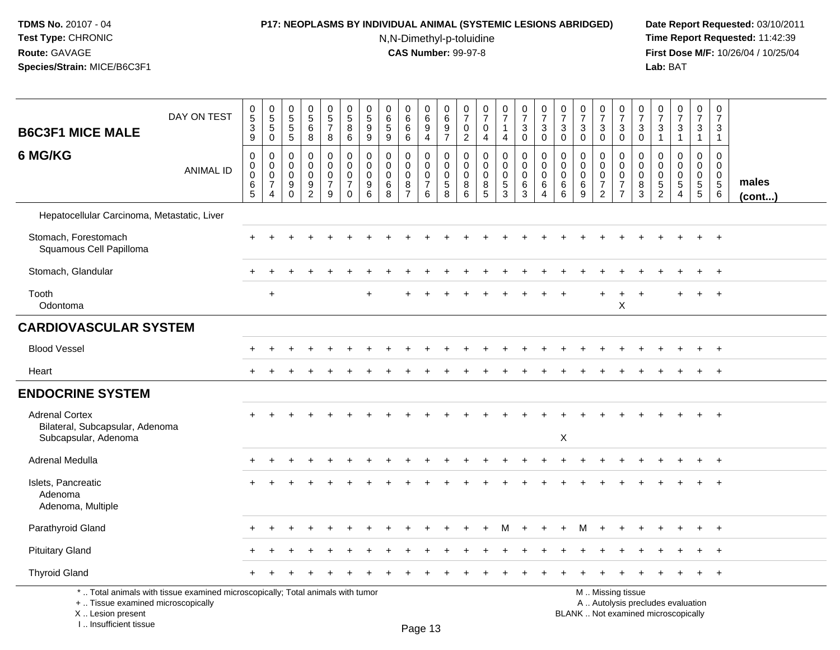## **P17: NEOPLASMS BY INDIVIDUAL ANIMAL (SYSTEMIC LESIONS ABRIDGED) Date Report Requested:** 03/10/2011

N,N-Dimethyl-p-toluidine

 **Time Report Requested:** 11:42:39 **First Dose M/F:** 10/26/04 / 10/25/04<br>Lab: BAT **Lab:** BAT

| <b>B6C3F1 MICE MALE</b>                                  | DAY ON TEST                                                                     | $\begin{array}{c} 0 \\ 5 \\ 3 \end{array}$<br>$\boldsymbol{9}$ | $\begin{array}{c} 0 \\ 5 \end{array}$<br>$\,$ 5 $\,$<br>$\pmb{0}$             | $\begin{array}{c} 0 \\ 5 \end{array}$<br>$\sqrt{5}$<br>$\sqrt{5}$ | $0$<br>5<br>6<br>8                               | $\begin{array}{c} 0 \\ 5 \\ 7 \end{array}$<br>8        | $\begin{array}{c} 0 \\ 5 \end{array}$<br>$\bf 8$<br>6                 | 0<br>$\frac{5}{9}$<br>$\boldsymbol{9}$    | $\mathbf 0$<br>$6\phantom{1}6$<br>$\sqrt{5}$<br>9                    | 0<br>6<br>$\,6$<br>$\,6\,$                                               | $\begin{array}{c} 0 \\ 6 \\ 9 \end{array}$<br>$\overline{4}$     | $\pmb{0}$<br>$6\phantom{a}$<br>$\frac{9}{7}$                             | 0<br>$\overline{7}$<br>$\pmb{0}$<br>$\overline{2}$       | $\begin{array}{c} 0 \\ 7 \end{array}$<br>$\pmb{0}$<br>$\overline{4}$               | $\frac{0}{7}$<br>$\mathbf{1}$<br>4               | $\begin{array}{c} 0 \\ 7 \end{array}$<br>$\mathbf{3}$<br>0 | $\frac{0}{7}$<br>3<br>$\overline{0}$                | $\begin{smallmatrix}0\\7\end{smallmatrix}$<br>$\mathbf{3}$<br>$\mathbf 0$ | $\begin{array}{c} 0 \\ 7 \end{array}$<br>$\mathbf{3}$<br>$\mathbf 0$ | $\frac{0}{7}$<br>$_{\rm 0}^3$                                       | $\begin{smallmatrix}0\\7\end{smallmatrix}$<br>$_{0}^{3}$            | $\frac{0}{7}$<br>3<br>$\mathsf 0$                          | $\frac{0}{7}$<br>$\sqrt{3}$<br>$\overline{1}$     | $\frac{0}{7}$<br>$\mathbf{3}$<br>$\mathbf{1}$                             | $\frac{0}{7}$<br>$\mathbf{3}$<br>$\mathbf{1}$                 | $\mathbf 0$<br>$\overline{7}$<br>$\mathbf{3}$<br>$\overline{1}$             |                       |
|----------------------------------------------------------|---------------------------------------------------------------------------------|----------------------------------------------------------------|-------------------------------------------------------------------------------|-------------------------------------------------------------------|--------------------------------------------------|--------------------------------------------------------|-----------------------------------------------------------------------|-------------------------------------------|----------------------------------------------------------------------|--------------------------------------------------------------------------|------------------------------------------------------------------|--------------------------------------------------------------------------|----------------------------------------------------------|------------------------------------------------------------------------------------|--------------------------------------------------|------------------------------------------------------------|-----------------------------------------------------|---------------------------------------------------------------------------|----------------------------------------------------------------------|---------------------------------------------------------------------|---------------------------------------------------------------------|------------------------------------------------------------|---------------------------------------------------|---------------------------------------------------------------------------|---------------------------------------------------------------|-----------------------------------------------------------------------------|-----------------------|
| 6 MG/KG                                                  | <b>ANIMAL ID</b>                                                                | $\mathbf 0$<br>$\mathbf 0$<br>$\,0\,$<br>$6\over 5$            | $\mathbf 0$<br>$\mathbf 0$<br>$\mathbf 0$<br>$\overline{7}$<br>$\overline{4}$ | $\mathbf 0$<br>$\mathbf 0$<br>$\Omega$<br>9<br>$\mathbf 0$        | $\mathbf 0$<br>0<br>$\mathbf 0$<br>$\frac{9}{2}$ | 0<br>$\mathbf 0$<br>$\mathbf 0$<br>$\overline{7}$<br>9 | $\mathbf 0$<br>$\pmb{0}$<br>$\mathbf 0$<br>$\overline{7}$<br>$\Omega$ | 0<br>$\mathbf 0$<br>$\mathbf 0$<br>9<br>6 | $\mathbf 0$<br>$\mathbf 0$<br>$\mathbf 0$<br>$\,6$<br>$\overline{8}$ | 0<br>$\mathbf 0$<br>$\mathbf 0$<br>$\begin{array}{c} 8 \\ 7 \end{array}$ | 0<br>$\ddot{\mathbf{0}}$<br>$\mathsf{O}\xspace$<br>$\frac{7}{6}$ | 0<br>$\mathbf 0$<br>$\mathbf 0$<br>$\begin{array}{c} 5 \\ 8 \end{array}$ | $\mathbf 0$<br>$\mathbf{0}$<br>$\mathbf 0$<br>$_{6}^{8}$ | $\mathbf 0$<br>$\mathbf 0$<br>$\mathbf 0$<br>$\begin{array}{c} 8 \\ 5 \end{array}$ | 0<br>$\mathbf 0$<br>$\mathbf 0$<br>$\frac{5}{3}$ | $\mathbf 0$<br>0<br>$\mathbf 0$<br>6<br>$\overline{3}$     | 0<br>$\mathbf 0$<br>$\Omega$<br>6<br>$\overline{4}$ | 0<br>0<br>$\mathbf 0$<br>$^6_{\ 6}$                                       | $\mathbf 0$<br>$\mathbf 0$<br>$\Omega$<br>$^6_9$                     | 0<br>$\mathbf 0$<br>$\mathbf 0$<br>$\overline{7}$<br>$\overline{2}$ | 0<br>$\mathbf 0$<br>$\mathbf 0$<br>$\overline{7}$<br>$\overline{7}$ | $\Omega$<br>$\mathbf 0$<br>$\Omega$<br>8<br>$\overline{3}$ | 0<br>$\mathbf{0}$<br>$\mathbf 0$<br>$\frac{5}{2}$ | $\mathbf 0$<br>$\mathbf 0$<br>$\mathbf 0$<br>$\sqrt{5}$<br>$\overline{4}$ | $\mathbf 0$<br>$\overline{0}$<br>$\mathbf 0$<br>$\frac{5}{5}$ | $\mathbf 0$<br>$\mathbf{0}$<br>$\mathbf 0$<br>$\sqrt{5}$<br>$6\overline{6}$ | males<br>$($ cont $)$ |
| Hepatocellular Carcinoma, Metastatic, Liver              |                                                                                 |                                                                |                                                                               |                                                                   |                                                  |                                                        |                                                                       |                                           |                                                                      |                                                                          |                                                                  |                                                                          |                                                          |                                                                                    |                                                  |                                                            |                                                     |                                                                           |                                                                      |                                                                     |                                                                     |                                                            |                                                   |                                                                           |                                                               |                                                                             |                       |
| Stomach, Forestomach<br>Squamous Cell Papilloma          |                                                                                 |                                                                |                                                                               |                                                                   |                                                  |                                                        |                                                                       |                                           |                                                                      |                                                                          |                                                                  |                                                                          |                                                          |                                                                                    |                                                  |                                                            |                                                     |                                                                           |                                                                      |                                                                     |                                                                     |                                                            |                                                   |                                                                           |                                                               |                                                                             |                       |
| Stomach, Glandular                                       |                                                                                 |                                                                |                                                                               |                                                                   |                                                  |                                                        |                                                                       |                                           |                                                                      |                                                                          |                                                                  |                                                                          |                                                          |                                                                                    |                                                  |                                                            |                                                     |                                                                           |                                                                      |                                                                     |                                                                     |                                                            |                                                   |                                                                           | $\ddot{}$                                                     | $+$                                                                         |                       |
| Tooth<br>Odontoma                                        |                                                                                 |                                                                | $\ddot{}$                                                                     |                                                                   |                                                  |                                                        |                                                                       | ÷                                         |                                                                      |                                                                          |                                                                  |                                                                          |                                                          |                                                                                    |                                                  |                                                            |                                                     |                                                                           |                                                                      |                                                                     | X                                                                   |                                                            |                                                   | $+$                                                                       | $\ddot{}$                                                     | $+$                                                                         |                       |
| <b>CARDIOVASCULAR SYSTEM</b>                             |                                                                                 |                                                                |                                                                               |                                                                   |                                                  |                                                        |                                                                       |                                           |                                                                      |                                                                          |                                                                  |                                                                          |                                                          |                                                                                    |                                                  |                                                            |                                                     |                                                                           |                                                                      |                                                                     |                                                                     |                                                            |                                                   |                                                                           |                                                               |                                                                             |                       |
| <b>Blood Vessel</b>                                      |                                                                                 |                                                                |                                                                               |                                                                   |                                                  |                                                        |                                                                       |                                           |                                                                      |                                                                          |                                                                  |                                                                          |                                                          |                                                                                    |                                                  |                                                            |                                                     |                                                                           |                                                                      |                                                                     |                                                                     |                                                            |                                                   |                                                                           |                                                               | $+$                                                                         |                       |
| Heart                                                    |                                                                                 |                                                                |                                                                               |                                                                   |                                                  |                                                        |                                                                       |                                           |                                                                      |                                                                          |                                                                  |                                                                          |                                                          |                                                                                    |                                                  |                                                            |                                                     |                                                                           |                                                                      |                                                                     |                                                                     |                                                            |                                                   |                                                                           |                                                               |                                                                             |                       |
| <b>ENDOCRINE SYSTEM</b>                                  |                                                                                 |                                                                |                                                                               |                                                                   |                                                  |                                                        |                                                                       |                                           |                                                                      |                                                                          |                                                                  |                                                                          |                                                          |                                                                                    |                                                  |                                                            |                                                     |                                                                           |                                                                      |                                                                     |                                                                     |                                                            |                                                   |                                                                           |                                                               |                                                                             |                       |
| <b>Adrenal Cortex</b><br>Bilateral, Subcapsular, Adenoma |                                                                                 |                                                                |                                                                               |                                                                   |                                                  |                                                        |                                                                       |                                           |                                                                      |                                                                          |                                                                  |                                                                          |                                                          |                                                                                    |                                                  |                                                            |                                                     |                                                                           |                                                                      |                                                                     |                                                                     |                                                            |                                                   |                                                                           |                                                               | $+$                                                                         |                       |
| Subcapsular, Adenoma                                     |                                                                                 |                                                                |                                                                               |                                                                   |                                                  |                                                        |                                                                       |                                           |                                                                      |                                                                          |                                                                  |                                                                          |                                                          |                                                                                    |                                                  |                                                            |                                                     | $\mathsf X$                                                               |                                                                      |                                                                     |                                                                     |                                                            |                                                   |                                                                           |                                                               |                                                                             |                       |
| Adrenal Medulla                                          |                                                                                 |                                                                |                                                                               |                                                                   |                                                  |                                                        |                                                                       |                                           |                                                                      |                                                                          |                                                                  |                                                                          |                                                          |                                                                                    |                                                  |                                                            |                                                     |                                                                           |                                                                      |                                                                     |                                                                     |                                                            |                                                   |                                                                           |                                                               |                                                                             |                       |
| Islets, Pancreatic<br>Adenoma<br>Adenoma, Multiple       |                                                                                 |                                                                |                                                                               |                                                                   |                                                  |                                                        |                                                                       |                                           |                                                                      |                                                                          |                                                                  |                                                                          |                                                          |                                                                                    |                                                  |                                                            |                                                     |                                                                           |                                                                      |                                                                     |                                                                     |                                                            |                                                   |                                                                           |                                                               |                                                                             |                       |
| Parathyroid Gland                                        |                                                                                 |                                                                |                                                                               |                                                                   |                                                  |                                                        |                                                                       |                                           |                                                                      |                                                                          |                                                                  |                                                                          |                                                          |                                                                                    | м                                                |                                                            |                                                     |                                                                           |                                                                      |                                                                     |                                                                     |                                                            |                                                   |                                                                           |                                                               |                                                                             |                       |
| <b>Pituitary Gland</b>                                   |                                                                                 |                                                                |                                                                               |                                                                   |                                                  |                                                        |                                                                       |                                           |                                                                      |                                                                          |                                                                  |                                                                          |                                                          |                                                                                    |                                                  |                                                            |                                                     |                                                                           |                                                                      |                                                                     |                                                                     |                                                            |                                                   |                                                                           |                                                               | $+$                                                                         |                       |
| <b>Thyroid Gland</b>                                     |                                                                                 |                                                                |                                                                               |                                                                   |                                                  |                                                        |                                                                       |                                           |                                                                      |                                                                          |                                                                  |                                                                          |                                                          |                                                                                    |                                                  |                                                            |                                                     |                                                                           |                                                                      |                                                                     |                                                                     |                                                            |                                                   |                                                                           |                                                               | $+$                                                                         |                       |
| +  Tissue examined microscopically                       | *  Total animals with tissue examined microscopically; Total animals with tumor |                                                                |                                                                               |                                                                   |                                                  |                                                        |                                                                       |                                           |                                                                      |                                                                          |                                                                  |                                                                          |                                                          |                                                                                    |                                                  |                                                            |                                                     |                                                                           |                                                                      |                                                                     | M  Missing tissue                                                   |                                                            |                                                   | A  Autolysis precludes evaluation                                         |                                                               |                                                                             |                       |

 Lesion present BLANK .. Not examined microscopicallyX .. Lesion present

I .. Insufficient tissue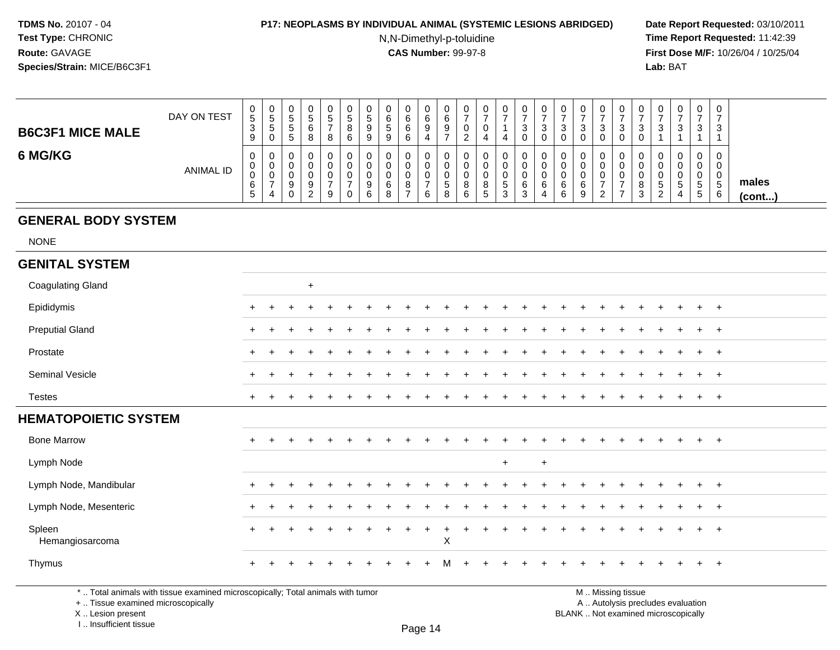#### **P17: NEOPLASMS BY INDIVIDUAL ANIMAL (SYSTEMIC LESIONS ABRIDGED) Date Report Requested:** 03/10/2011

N,N-Dimethyl-p-toluidine

 **Time Report Requested:** 11:42:39 **First Dose M/F:** 10/26/04 / 10/25/04 Lab: BAT **Lab:** BAT

| <b>B6C3F1 MICE MALE</b> | DAY ON TEST      | 0<br>5 <sup>5</sup><br>3<br>9    | U<br>.5<br>.5<br>0                | $\mathbf 0$<br>ັ<br>ັ<br>G | 0<br>ົວ<br>8 | 0<br>đ<br>-<br>8      | ν<br>đ<br>ິ<br>6 | 0<br>৾৾<br>9<br>9 | 0<br>6<br>C.<br>9     | 0<br>6<br>6<br>$\epsilon$ | 0<br>6<br>a<br>◡ | v<br>c<br>U<br>9       | U<br>U       | ◡<br>U                     |        | -<br>د | v<br>J      | υ<br>3<br>0      | ັບ<br>ັ      | v<br>ົ<br>ت.<br>0 | ◡<br>3                      | v<br>3                  | 0<br>◠<br>J.                | 0<br>-<br>3                                 | 0<br>$\sqrt{2}$<br>J                    |                       |
|-------------------------|------------------|----------------------------------|-----------------------------------|----------------------------|--------------|-----------------------|------------------|-------------------|-----------------------|---------------------------|------------------|------------------------|--------------|----------------------------|--------|--------|-------------|------------------|--------------|-------------------|-----------------------------|-------------------------|-----------------------------|---------------------------------------------|-----------------------------------------|-----------------------|
| 6 MG/KG                 | <b>ANIMAL ID</b> | 0<br>0<br>$\mathbf{0}$<br>6<br>5 | U<br>U<br>U<br>$\rightarrow$<br>4 | υ<br>0<br>υ<br>9<br>0      | O<br>2       | 0<br>0<br>0<br>-<br>9 | U                | U<br>0<br>9<br>6  | 0<br>0<br>0<br>6<br>8 | 0<br>8                    | 0<br>υ<br>6      | U<br>v<br>∽<br>ັບ<br>8 | $\circ$<br>6 | v<br>ັ<br>◡<br>o<br>o<br>G | G<br>3 | 6<br>◠ | U<br>U<br>6 | 0<br>U<br>6<br>6 | ν<br>ັບ<br>6 | ົ                 | u<br>u<br>U<br>$\circ$<br>3 | υ<br>υ<br>G<br><u>_</u> | 0<br>0<br><sub>5</sub><br>4 | 0<br>0<br>0<br>$\mathbf{p}$<br>$\mathbf{p}$ | 0<br>$\overline{\phantom{0}}$<br>5<br>6 | males<br>$($ cont $)$ |

# **GENERAL BODY SYSTEM**

NONE

#### **GENITAL SYSTEM**Coagulating Gland $\alpha$ Epididymis <sup>+</sup> <sup>+</sup> <sup>+</sup> <sup>+</sup> <sup>+</sup> <sup>+</sup> <sup>+</sup> <sup>+</sup> <sup>+</sup> <sup>+</sup> <sup>+</sup> <sup>+</sup> <sup>+</sup> <sup>+</sup> <sup>+</sup> <sup>+</sup> <sup>+</sup> <sup>+</sup> <sup>+</sup> <sup>+</sup> <sup>+</sup> <sup>+</sup> <sup>+</sup> <sup>+</sup> <sup>+</sup> Preputial Gland $\alpha$  <sup>+</sup> <sup>+</sup> <sup>+</sup> <sup>+</sup> <sup>+</sup> <sup>+</sup> <sup>+</sup> <sup>+</sup> <sup>+</sup> <sup>+</sup> <sup>+</sup> <sup>+</sup> <sup>+</sup> <sup>+</sup> <sup>+</sup> <sup>+</sup> <sup>+</sup> <sup>+</sup> <sup>+</sup> <sup>+</sup> <sup>+</sup> <sup>+</sup> <sup>+</sup> <sup>+</sup> Prostate $e$  + <sup>+</sup> <sup>+</sup> <sup>+</sup> <sup>+</sup> <sup>+</sup> <sup>+</sup> <sup>+</sup> <sup>+</sup> <sup>+</sup> <sup>+</sup> <sup>+</sup> <sup>+</sup> <sup>+</sup> <sup>+</sup> <sup>+</sup> <sup>+</sup> <sup>+</sup> <sup>+</sup> <sup>+</sup> <sup>+</sup> <sup>+</sup> <sup>+</sup> <sup>+</sup> <sup>+</sup> Seminal Vesicle $e$  + <sup>+</sup> <sup>+</sup> <sup>+</sup> <sup>+</sup> <sup>+</sup> <sup>+</sup> <sup>+</sup> <sup>+</sup> <sup>+</sup> <sup>+</sup> <sup>+</sup> <sup>+</sup> <sup>+</sup> <sup>+</sup> <sup>+</sup> <sup>+</sup> <sup>+</sup> <sup>+</sup> <sup>+</sup> <sup>+</sup> <sup>+</sup> <sup>+</sup> <sup>+</sup> <sup>+</sup> Testes <sup>+</sup> <sup>+</sup> <sup>+</sup> <sup>+</sup> <sup>+</sup> <sup>+</sup> <sup>+</sup> <sup>+</sup> <sup>+</sup> <sup>+</sup> <sup>+</sup> <sup>+</sup> <sup>+</sup> <sup>+</sup> <sup>+</sup> <sup>+</sup> <sup>+</sup> <sup>+</sup> <sup>+</sup> <sup>+</sup> <sup>+</sup> <sup>+</sup> <sup>+</sup> <sup>+</sup> <sup>+</sup> **HEMATOPOIETIC SYSTEM**Bone Marrow <sup>+</sup> <sup>+</sup> <sup>+</sup> <sup>+</sup> <sup>+</sup> <sup>+</sup> <sup>+</sup> <sup>+</sup> <sup>+</sup> <sup>+</sup> <sup>+</sup> <sup>+</sup> <sup>+</sup> <sup>+</sup> <sup>+</sup> <sup>+</sup> <sup>+</sup> <sup>+</sup> <sup>+</sup> <sup>+</sup> <sup>+</sup> <sup>+</sup> <sup>+</sup> <sup>+</sup> <sup>+</sup> Lymph Node <sup>+</sup> <sup>+</sup> Lymph Node, Mandibularr + <sup>+</sup> <sup>+</sup> <sup>+</sup> <sup>+</sup> <sup>+</sup> <sup>+</sup> <sup>+</sup> <sup>+</sup> <sup>+</sup> <sup>+</sup> <sup>+</sup> <sup>+</sup> <sup>+</sup> <sup>+</sup> <sup>+</sup> <sup>+</sup> <sup>+</sup> <sup>+</sup> <sup>+</sup> <sup>+</sup> <sup>+</sup> <sup>+</sup> <sup>+</sup> <sup>+</sup> Lymph Node, Mesenteric $\overline{c}$  + <sup>+</sup> <sup>+</sup> <sup>+</sup> <sup>+</sup> <sup>+</sup> <sup>+</sup> <sup>+</sup> <sup>+</sup> <sup>+</sup> <sup>+</sup> <sup>+</sup> <sup>+</sup> <sup>+</sup> <sup>+</sup> <sup>+</sup> <sup>+</sup> <sup>+</sup> <sup>+</sup> <sup>+</sup> <sup>+</sup> <sup>+</sup> <sup>+</sup> <sup>+</sup> <sup>+</sup> Spleenleen<br>Hemangiosarcoma <sup>+</sup> <sup>+</sup> <sup>+</sup> <sup>+</sup> <sup>+</sup> <sup>+</sup> <sup>+</sup> <sup>+</sup> <sup>+</sup> <sup>+</sup> <sup>+</sup> <sup>+</sup> <sup>+</sup> <sup>+</sup> <sup>+</sup> <sup>+</sup> <sup>+</sup> <sup>+</sup> <sup>+</sup> <sup>+</sup> <sup>+</sup> <sup>+</sup> <sup>+</sup> <sup>+</sup> a  $X$ Thymus <sup>+</sup> <sup>+</sup> <sup>+</sup> <sup>+</sup> <sup>+</sup> <sup>+</sup> <sup>+</sup> <sup>+</sup> <sup>+</sup> <sup>+</sup> <sup>M</sup><sup>+</sup> <sup>+</sup> <sup>+</sup> <sup>+</sup> <sup>+</sup> <sup>+</sup> <sup>+</sup> <sup>+</sup> <sup>+</sup> <sup>+</sup> <sup>+</sup> <sup>+</sup> <sup>+</sup> <sup>+</sup>

\* .. Total animals with tissue examined microscopically; Total animals with tumor

+ .. Tissue examined microscopically

X .. Lesion present

I .. Insufficient tissue

 M .. Missing tissuey the contract of the contract of the contract of the contract of the contract of  $\mathsf A$  . Autolysis precludes evaluation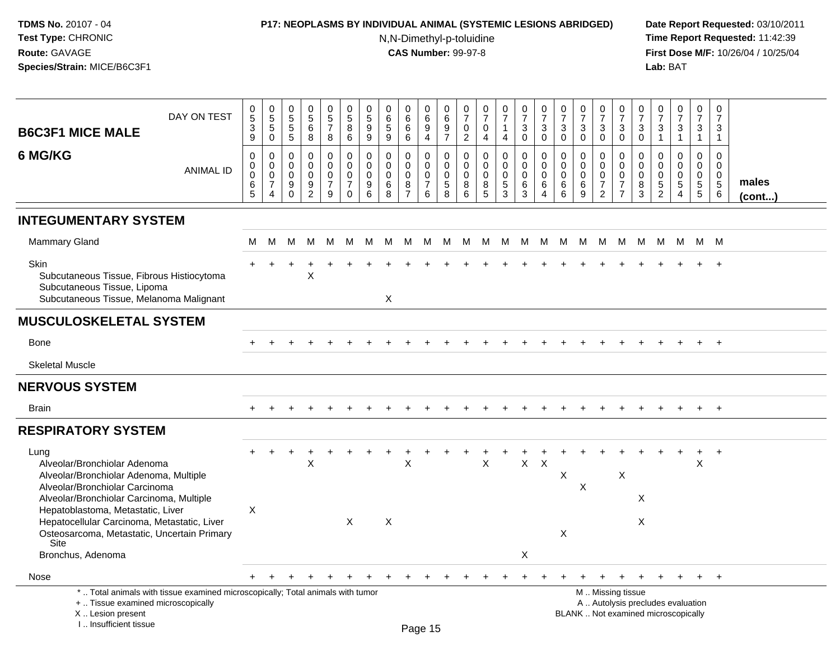# **P17: NEOPLASMS BY INDIVIDUAL ANIMAL (SYSTEMIC LESIONS ABRIDGED) Date Report Requested:** 03/10/2011

N,N-Dimethyl-p-toluidine

| DAY ON TEST<br><b>B6C3F1 MICE MALE</b>                                                                                                                                                                                                                                                                                       | $\begin{array}{c} 0 \\ 5 \end{array}$<br>$\ensuremath{\mathsf{3}}$<br>9 | $\begin{array}{c} 0 \\ 5 \end{array}$<br>5<br>$\mathbf 0$ | $\pmb{0}$<br>$\overline{5}$<br>$\sqrt{5}$<br>5                 | $\begin{array}{c} 0 \\ 5 \end{array}$<br>6<br>8                       | $\begin{array}{c} 0 \\ 5 \end{array}$<br>$\overline{7}$<br>8 | $\begin{array}{c} 0 \\ 5 \end{array}$<br>$\bf 8$<br>6       | $\begin{smallmatrix}0\0\5\end{smallmatrix}$<br>9<br>9    | $\begin{array}{c} 0 \\ 6 \\ 5 \end{array}$<br>9           | 0<br>$\overline{6}$<br>$\,6\,$<br>6               | $\mathbf 0$<br>$\,6\,$<br>9<br>$\overline{4}$                    | 0<br>$\,6\,$<br>9<br>$\overline{7}$                | $\frac{0}{7}$<br>$\mathbf 0$<br>$\overline{2}$                | $\frac{0}{7}$<br>$\mathbf 0$<br>4         | $\begin{array}{c} 0 \\ 7 \end{array}$<br>$\mathbf{1}$<br>$\overline{4}$ | $\frac{0}{7}$<br>$\sqrt{3}$<br>$\mathbf 0$                         | $\frac{0}{7}$<br>$\mathbf{3}$<br>$\mathbf 0$                     | $\begin{array}{c} 0 \\ 7 \end{array}$<br>$\sqrt{3}$<br>$\mathbf 0$ | $\frac{0}{7}$<br>3<br>$\mathbf 0$     | $\frac{0}{7}$<br>$\mathbf{3}$<br>$\mathbf 0$                        | $\frac{0}{7}$<br>3<br>$\mathbf 0$                                                             | $\begin{smallmatrix}0\\7\end{smallmatrix}$<br>$\sqrt{3}$<br>$\mathbf 0$ | $\frac{0}{7}$<br>$\sqrt{3}$<br>1                                        | $\begin{smallmatrix}0\\7\end{smallmatrix}$<br>$\mathsf 3$<br>$\mathbf{1}$ | $\mathbf 0$<br>$\overline{7}$<br>$\ensuremath{\mathsf{3}}$<br>$\overline{1}$ | $\mathbf 0$<br>$\overline{7}$<br>3<br>$\mathbf{1}$           |                       |
|------------------------------------------------------------------------------------------------------------------------------------------------------------------------------------------------------------------------------------------------------------------------------------------------------------------------------|-------------------------------------------------------------------------|-----------------------------------------------------------|----------------------------------------------------------------|-----------------------------------------------------------------------|--------------------------------------------------------------|-------------------------------------------------------------|----------------------------------------------------------|-----------------------------------------------------------|---------------------------------------------------|------------------------------------------------------------------|----------------------------------------------------|---------------------------------------------------------------|-------------------------------------------|-------------------------------------------------------------------------|--------------------------------------------------------------------|------------------------------------------------------------------|--------------------------------------------------------------------|---------------------------------------|---------------------------------------------------------------------|-----------------------------------------------------------------------------------------------|-------------------------------------------------------------------------|-------------------------------------------------------------------------|---------------------------------------------------------------------------|------------------------------------------------------------------------------|--------------------------------------------------------------|-----------------------|
| 6 MG/KG<br><b>ANIMAL ID</b>                                                                                                                                                                                                                                                                                                  | $\boldsymbol{0}$<br>$\mathbf 0$<br>$\mathbf 0$<br>$\,6\,$<br>5          | $\mathbf 0$<br>$\mathbf 0$<br>0<br>$\overline{7}$<br>4    | $\mathbf 0$<br>$\mathbf 0$<br>$\mathbf 0$<br>$9\,$<br>$\Omega$ | $\mathbf 0$<br>$\mathbf 0$<br>0<br>$\boldsymbol{9}$<br>$\overline{2}$ | 0<br>$\mathbf 0$<br>$\mathbf 0$<br>$\overline{7}$<br>9       | $\pmb{0}$<br>$\mathbf 0$<br>0<br>$\overline{7}$<br>$\Omega$ | $\mathbf 0$<br>$\mathbf 0$<br>0<br>$\boldsymbol{9}$<br>6 | $\mathbf 0$<br>$\mathbf 0$<br>$\mathbf 0$<br>$\,6\,$<br>8 | $\mathbf 0$<br>0<br>0<br>$\bf8$<br>$\overline{7}$ | $\mathbf 0$<br>$\mathbf 0$<br>$\mathbf 0$<br>$\overline{7}$<br>6 | $\mathbf 0$<br>0<br>$\mathbf 0$<br>$\sqrt{5}$<br>8 | $\mathbf 0$<br>$\mathbf 0$<br>$\mathbf 0$<br>8<br>$6^{\circ}$ | $\mathbf 0$<br>$\mathbf 0$<br>0<br>8<br>5 | $\mathsf 0$<br>$\mathsf 0$<br>$\mathbf 0$<br>5<br>$\overline{3}$        | $\pmb{0}$<br>$\mathsf 0$<br>$\mathbf 0$<br>$\,6\,$<br>$\mathbf{3}$ | $\mathbf 0$<br>$\mathbf 0$<br>$\mathbf 0$<br>6<br>$\overline{4}$ | $\mathbf 0$<br>$\mathbf 0$<br>$\mathbf 0$<br>$\,6$<br>6            | 0<br>$\mathbf 0$<br>0<br>$\,6\,$<br>9 | 0<br>$\mathbf 0$<br>$\mathbf 0$<br>$\overline{7}$<br>$\overline{2}$ | $\mathbf 0$<br>$\mathbf 0$<br>0<br>$\overline{7}$<br>$\overline{7}$                           | $\mathbf 0$<br>$\mathbf 0$<br>0<br>$\, 8$<br>3                          | $\mathbf 0$<br>$\mathbf 0$<br>$\pmb{0}$<br>$\sqrt{5}$<br>$\overline{2}$ | $\mathbf 0$<br>$\mathbf 0$<br>$\mathbf 0$<br>$\sqrt{5}$<br>$\overline{4}$ | $\mathbf 0$<br>$\mathbf 0$<br>$\mathbf 0$<br>$\sqrt{5}$<br>$5\phantom{.0}$   | $\mathbf 0$<br>$\mathbf 0$<br>$\mathbf 0$<br>$\sqrt{5}$<br>6 | males<br>$($ cont $)$ |
| <b>INTEGUMENTARY SYSTEM</b>                                                                                                                                                                                                                                                                                                  |                                                                         |                                                           |                                                                |                                                                       |                                                              |                                                             |                                                          |                                                           |                                                   |                                                                  |                                                    |                                                               |                                           |                                                                         |                                                                    |                                                                  |                                                                    |                                       |                                                                     |                                                                                               |                                                                         |                                                                         |                                                                           |                                                                              |                                                              |                       |
| <b>Mammary Gland</b>                                                                                                                                                                                                                                                                                                         | м                                                                       | м                                                         | м                                                              | M                                                                     | M                                                            | M                                                           | M                                                        | M                                                         | M                                                 | M                                                                | M                                                  | M                                                             | M                                         | M                                                                       | M                                                                  | M                                                                | M                                                                  | M                                     | M                                                                   | M                                                                                             | M                                                                       | M                                                                       | - M                                                                       | M M                                                                          |                                                              |                       |
| Skin<br>Subcutaneous Tissue, Fibrous Histiocytoma<br>Subcutaneous Tissue, Lipoma<br>Subcutaneous Tissue, Melanoma Malignant                                                                                                                                                                                                  |                                                                         |                                                           |                                                                | X                                                                     |                                                              |                                                             |                                                          | X                                                         |                                                   |                                                                  |                                                    |                                                               |                                           |                                                                         |                                                                    |                                                                  |                                                                    |                                       |                                                                     |                                                                                               |                                                                         |                                                                         |                                                                           |                                                                              |                                                              |                       |
| <b>MUSCULOSKELETAL SYSTEM</b>                                                                                                                                                                                                                                                                                                |                                                                         |                                                           |                                                                |                                                                       |                                                              |                                                             |                                                          |                                                           |                                                   |                                                                  |                                                    |                                                               |                                           |                                                                         |                                                                    |                                                                  |                                                                    |                                       |                                                                     |                                                                                               |                                                                         |                                                                         |                                                                           |                                                                              |                                                              |                       |
| <b>Bone</b>                                                                                                                                                                                                                                                                                                                  |                                                                         |                                                           |                                                                |                                                                       |                                                              |                                                             |                                                          |                                                           |                                                   |                                                                  |                                                    |                                                               |                                           |                                                                         |                                                                    |                                                                  |                                                                    |                                       |                                                                     |                                                                                               |                                                                         |                                                                         |                                                                           |                                                                              |                                                              |                       |
| <b>Skeletal Muscle</b>                                                                                                                                                                                                                                                                                                       |                                                                         |                                                           |                                                                |                                                                       |                                                              |                                                             |                                                          |                                                           |                                                   |                                                                  |                                                    |                                                               |                                           |                                                                         |                                                                    |                                                                  |                                                                    |                                       |                                                                     |                                                                                               |                                                                         |                                                                         |                                                                           |                                                                              |                                                              |                       |
| <b>NERVOUS SYSTEM</b>                                                                                                                                                                                                                                                                                                        |                                                                         |                                                           |                                                                |                                                                       |                                                              |                                                             |                                                          |                                                           |                                                   |                                                                  |                                                    |                                                               |                                           |                                                                         |                                                                    |                                                                  |                                                                    |                                       |                                                                     |                                                                                               |                                                                         |                                                                         |                                                                           |                                                                              |                                                              |                       |
| <b>Brain</b>                                                                                                                                                                                                                                                                                                                 |                                                                         |                                                           |                                                                |                                                                       |                                                              |                                                             |                                                          |                                                           |                                                   |                                                                  |                                                    |                                                               |                                           |                                                                         |                                                                    |                                                                  |                                                                    |                                       |                                                                     |                                                                                               |                                                                         |                                                                         |                                                                           |                                                                              | $\overline{+}$                                               |                       |
| <b>RESPIRATORY SYSTEM</b>                                                                                                                                                                                                                                                                                                    |                                                                         |                                                           |                                                                |                                                                       |                                                              |                                                             |                                                          |                                                           |                                                   |                                                                  |                                                    |                                                               |                                           |                                                                         |                                                                    |                                                                  |                                                                    |                                       |                                                                     |                                                                                               |                                                                         |                                                                         |                                                                           |                                                                              |                                                              |                       |
| Lung<br>Alveolar/Bronchiolar Adenoma<br>Alveolar/Bronchiolar Adenoma, Multiple<br>Alveolar/Bronchiolar Carcinoma<br>Alveolar/Bronchiolar Carcinoma, Multiple<br>Hepatoblastoma, Metastatic, Liver<br>Hepatocellular Carcinoma, Metastatic, Liver<br>Osteosarcoma, Metastatic, Uncertain Primary<br>Site<br>Bronchus, Adenoma | X                                                                       |                                                           |                                                                | X                                                                     |                                                              | $\times$                                                    |                                                          | X                                                         | X                                                 |                                                                  |                                                    |                                                               | $\sf X$                                   |                                                                         | $\mathsf{X}$<br>X                                                  | $\boldsymbol{\mathsf{X}}$                                        | Χ<br>X                                                             | X                                     |                                                                     | X                                                                                             | X<br>X                                                                  |                                                                         |                                                                           | $\ddot{}$<br>$\boldsymbol{\mathsf{X}}$                                       | $+$                                                          |                       |
| Nose                                                                                                                                                                                                                                                                                                                         |                                                                         |                                                           |                                                                |                                                                       |                                                              |                                                             |                                                          |                                                           |                                                   |                                                                  |                                                    |                                                               |                                           |                                                                         |                                                                    |                                                                  |                                                                    |                                       |                                                                     |                                                                                               |                                                                         |                                                                         | $\pm$                                                                     | $+$                                                                          | $+$                                                          |                       |
| *  Total animals with tissue examined microscopically; Total animals with tumor<br>+  Tissue examined microscopically<br>X  Lesion present<br>I Insufficient tissue                                                                                                                                                          |                                                                         |                                                           |                                                                |                                                                       |                                                              |                                                             |                                                          |                                                           | Page 15                                           |                                                                  |                                                    |                                                               |                                           |                                                                         |                                                                    |                                                                  |                                                                    |                                       |                                                                     | M. Missing tissue<br>A  Autolysis precludes evaluation<br>BLANK  Not examined microscopically |                                                                         |                                                                         |                                                                           |                                                                              |                                                              |                       |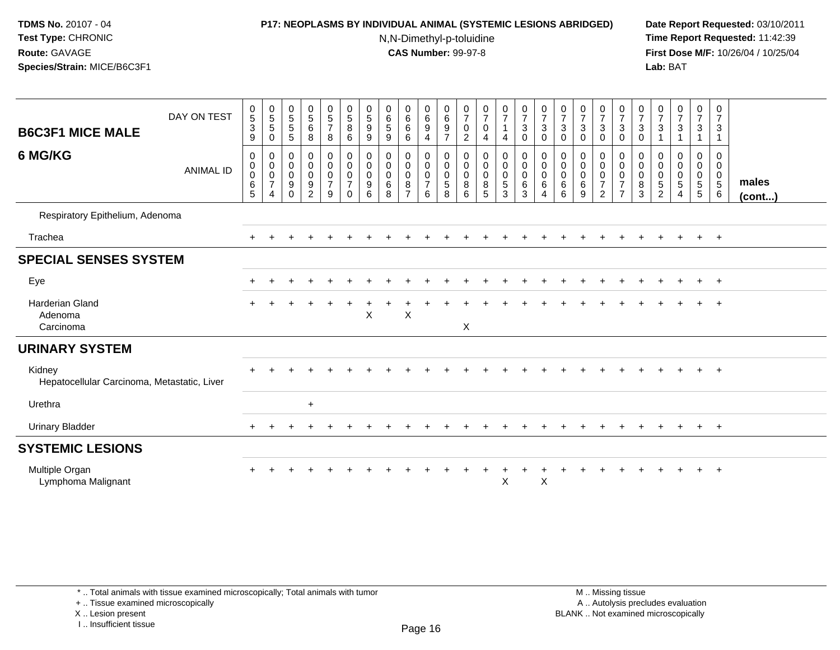## **P17: NEOPLASMS BY INDIVIDUAL ANIMAL (SYSTEMIC LESIONS ABRIDGED) Date Report Requested:** 03/10/2011

N,N-Dimethyl-p-toluidine

 **Time Report Requested:** 11:42:39 **First Dose M/F:** 10/26/04 / 10/25/04 Lab: BAT **Lab:** BAT

| <b>B6C3F1 MICE MALE</b><br>6 MG/KG                    | DAY ON TEST<br><b>ANIMAL ID</b> | $\begin{array}{c} 0 \\ 5 \\ 3 \end{array}$<br>9<br>$\boldsymbol{0}$<br>$\boldsymbol{0}$<br>$\pmb{0}$<br>$\frac{6}{5}$ | $\begin{array}{c} 0 \\ 5 \\ 5 \end{array}$<br>$\,0\,$<br>$\pmb{0}$<br>$\pmb{0}$<br>$\mathbf 0$<br>$\overline{7}$<br>$\overline{4}$ | $\begin{array}{c} 0 \\ 5 \end{array}$<br>$\,$ 5 $\,$<br>5<br>0<br>$\mathbf 0$<br>$\mathbf 0$<br>$\boldsymbol{9}$<br>$\Omega$ | $\begin{array}{c} 0 \\ 5 \\ 6 \end{array}$<br>8<br>0<br>$\pmb{0}$<br>$\pmb{0}$<br>$\frac{9}{2}$ | $\begin{array}{c} 0 \\ 5 \\ 7 \end{array}$<br>8<br>$\mathbf 0$<br>$\pmb{0}$<br>$\pmb{0}$<br>$\overline{7}$<br>9 | $\begin{matrix} 0 \\ 5 \end{matrix}$<br>8<br>6<br>$\mathbf 0$<br>$\mathbf 0$<br>$\mathbf 0$<br>$\overline{7}$<br>$\Omega$ | $\begin{matrix} 0 \\ 5 \end{matrix}$<br>$\boldsymbol{9}$<br>9<br>0<br>$\pmb{0}$<br>0<br>9<br>6 | 0<br>$\,6\,$<br>5<br>9<br>0<br>0<br>$\mathbf 0$<br>6<br>8 | $_{6}^{\rm 0}$<br>$\,6\,$<br>6<br>0<br>0<br>0<br>$\bf8$<br>$\overline{ }$ | $\begin{array}{c} 0 \\ 6 \end{array}$<br>$\overline{9}$<br>$\overline{4}$<br>0<br>$\mathbf 0$<br>$\mathsf{O}\xspace$<br>$\overline{7}$<br>6 | 0<br>$6\phantom{a}$<br>$\boldsymbol{9}$<br>$\overline{7}$<br>0<br>$\mathbf 0$<br>$\mathbf 0$<br>5<br>8 | 0<br>$\overline{7}$<br>$\mathbf 0$<br>$\overline{c}$<br>$\mathbf 0$<br>$\mathbf 0$<br>$\mathbf 0$<br>8<br>6 | 0<br>$\overline{7}$<br>$\mathbf 0$<br>4<br>0<br>$\mathbf 0$<br>$\mathsf 0$<br>$\bf 8$<br>5 | $\frac{0}{7}$<br>4<br>0<br>0<br>$\mathsf{O}$<br>5<br>3 | $\frac{0}{7}$<br>$\mathbf{3}$<br>0<br>0<br>$\pmb{0}$<br>$\mathbf 0$<br>$\frac{6}{3}$ | $\frac{0}{7}$<br>$\sqrt{3}$<br>$\mathbf 0$<br>0<br>$\pmb{0}$<br>$\pmb{0}$<br>$\,6\,$<br>$\overline{4}$ | $\frac{0}{7}$<br>3<br>0<br>0<br>$\boldsymbol{0}$<br>$\mathbf 0$<br>6<br>6 | $\frac{0}{7}$<br>$\sqrt{3}$<br>$\mathbf 0$<br>0<br>$\pmb{0}$<br>$\pmb{0}$<br>$\,6\,$<br>9 | $\frac{0}{7}$<br>3<br>0<br>0<br>$\mathbf 0$<br>$\mathbf 0$<br>$\overline{7}$<br>$\overline{2}$ | $\begin{array}{c} 0 \\ 7 \\ 3 \end{array}$<br>$\mathbf 0$<br>0<br>$\mathbf 0$<br>$\mathbf 0$<br>$\overline{7}$<br>$\overline{7}$ | $\frac{0}{7}$<br>$\sqrt{3}$<br>$\mathbf 0$<br>0<br>$\mathbf 0$<br>$\mathbf 0$<br>$\bf 8$<br>$\overline{3}$ | 0<br>$\overline{7}$<br>3<br>0<br>0<br>0<br>$\frac{5}{2}$ | $\frac{0}{7}$<br>$\sqrt{3}$<br>0<br>$\mathbf 0$<br>$\pmb{0}$<br>$\,$ 5 $\,$<br>$\overline{4}$ | $\frac{0}{7}$<br>$\mathbf{3}$<br>1<br>0<br>$\mathbf 0$<br>$\mathbf 0$<br>$\overline{5}$<br>$\overline{5}$ | 0<br>$\overline{7}$<br>$\mathbf{3}$<br>1<br>0<br>$\mathbf 0$<br>$\boldsymbol{0}$<br>$\overline{5}$<br>6 | males<br>$($ cont $)$ |
|-------------------------------------------------------|---------------------------------|-----------------------------------------------------------------------------------------------------------------------|------------------------------------------------------------------------------------------------------------------------------------|------------------------------------------------------------------------------------------------------------------------------|-------------------------------------------------------------------------------------------------|-----------------------------------------------------------------------------------------------------------------|---------------------------------------------------------------------------------------------------------------------------|------------------------------------------------------------------------------------------------|-----------------------------------------------------------|---------------------------------------------------------------------------|---------------------------------------------------------------------------------------------------------------------------------------------|--------------------------------------------------------------------------------------------------------|-------------------------------------------------------------------------------------------------------------|--------------------------------------------------------------------------------------------|--------------------------------------------------------|--------------------------------------------------------------------------------------|--------------------------------------------------------------------------------------------------------|---------------------------------------------------------------------------|-------------------------------------------------------------------------------------------|------------------------------------------------------------------------------------------------|----------------------------------------------------------------------------------------------------------------------------------|------------------------------------------------------------------------------------------------------------|----------------------------------------------------------|-----------------------------------------------------------------------------------------------|-----------------------------------------------------------------------------------------------------------|---------------------------------------------------------------------------------------------------------|-----------------------|
| Respiratory Epithelium, Adenoma                       |                                 |                                                                                                                       |                                                                                                                                    |                                                                                                                              |                                                                                                 |                                                                                                                 |                                                                                                                           |                                                                                                |                                                           |                                                                           |                                                                                                                                             |                                                                                                        |                                                                                                             |                                                                                            |                                                        |                                                                                      |                                                                                                        |                                                                           |                                                                                           |                                                                                                |                                                                                                                                  |                                                                                                            |                                                          |                                                                                               |                                                                                                           |                                                                                                         |                       |
| Trachea                                               |                                 |                                                                                                                       |                                                                                                                                    |                                                                                                                              |                                                                                                 |                                                                                                                 |                                                                                                                           |                                                                                                |                                                           |                                                                           |                                                                                                                                             |                                                                                                        |                                                                                                             |                                                                                            |                                                        |                                                                                      |                                                                                                        |                                                                           |                                                                                           |                                                                                                |                                                                                                                                  |                                                                                                            |                                                          |                                                                                               | $+$                                                                                                       | $+$                                                                                                     |                       |
| <b>SPECIAL SENSES SYSTEM</b>                          |                                 |                                                                                                                       |                                                                                                                                    |                                                                                                                              |                                                                                                 |                                                                                                                 |                                                                                                                           |                                                                                                |                                                           |                                                                           |                                                                                                                                             |                                                                                                        |                                                                                                             |                                                                                            |                                                        |                                                                                      |                                                                                                        |                                                                           |                                                                                           |                                                                                                |                                                                                                                                  |                                                                                                            |                                                          |                                                                                               |                                                                                                           |                                                                                                         |                       |
| Eye                                                   |                                 |                                                                                                                       |                                                                                                                                    |                                                                                                                              |                                                                                                 |                                                                                                                 |                                                                                                                           |                                                                                                |                                                           |                                                                           |                                                                                                                                             |                                                                                                        |                                                                                                             |                                                                                            |                                                        |                                                                                      |                                                                                                        |                                                                           |                                                                                           |                                                                                                |                                                                                                                                  |                                                                                                            |                                                          |                                                                                               | $\pm$                                                                                                     | $+$                                                                                                     |                       |
| <b>Harderian Gland</b><br>Adenoma<br>Carcinoma        |                                 |                                                                                                                       |                                                                                                                                    |                                                                                                                              |                                                                                                 |                                                                                                                 |                                                                                                                           | X                                                                                              |                                                           | $\boldsymbol{\mathsf{X}}$                                                 |                                                                                                                                             |                                                                                                        | X                                                                                                           |                                                                                            |                                                        |                                                                                      |                                                                                                        |                                                                           |                                                                                           |                                                                                                |                                                                                                                                  |                                                                                                            |                                                          |                                                                                               |                                                                                                           | $\div$                                                                                                  |                       |
| <b>URINARY SYSTEM</b>                                 |                                 |                                                                                                                       |                                                                                                                                    |                                                                                                                              |                                                                                                 |                                                                                                                 |                                                                                                                           |                                                                                                |                                                           |                                                                           |                                                                                                                                             |                                                                                                        |                                                                                                             |                                                                                            |                                                        |                                                                                      |                                                                                                        |                                                                           |                                                                                           |                                                                                                |                                                                                                                                  |                                                                                                            |                                                          |                                                                                               |                                                                                                           |                                                                                                         |                       |
| Kidney<br>Hepatocellular Carcinoma, Metastatic, Liver |                                 |                                                                                                                       |                                                                                                                                    |                                                                                                                              |                                                                                                 |                                                                                                                 |                                                                                                                           |                                                                                                |                                                           |                                                                           |                                                                                                                                             |                                                                                                        |                                                                                                             |                                                                                            |                                                        |                                                                                      |                                                                                                        |                                                                           |                                                                                           |                                                                                                |                                                                                                                                  |                                                                                                            |                                                          |                                                                                               |                                                                                                           | $+$                                                                                                     |                       |
| Urethra                                               |                                 |                                                                                                                       |                                                                                                                                    |                                                                                                                              | $\ddot{}$                                                                                       |                                                                                                                 |                                                                                                                           |                                                                                                |                                                           |                                                                           |                                                                                                                                             |                                                                                                        |                                                                                                             |                                                                                            |                                                        |                                                                                      |                                                                                                        |                                                                           |                                                                                           |                                                                                                |                                                                                                                                  |                                                                                                            |                                                          |                                                                                               |                                                                                                           |                                                                                                         |                       |
| <b>Urinary Bladder</b>                                |                                 |                                                                                                                       |                                                                                                                                    |                                                                                                                              |                                                                                                 |                                                                                                                 |                                                                                                                           |                                                                                                |                                                           |                                                                           |                                                                                                                                             |                                                                                                        |                                                                                                             |                                                                                            |                                                        |                                                                                      |                                                                                                        |                                                                           |                                                                                           |                                                                                                |                                                                                                                                  |                                                                                                            |                                                          |                                                                                               | $+$                                                                                                       | $+$                                                                                                     |                       |
| <b>SYSTEMIC LESIONS</b>                               |                                 |                                                                                                                       |                                                                                                                                    |                                                                                                                              |                                                                                                 |                                                                                                                 |                                                                                                                           |                                                                                                |                                                           |                                                                           |                                                                                                                                             |                                                                                                        |                                                                                                             |                                                                                            |                                                        |                                                                                      |                                                                                                        |                                                                           |                                                                                           |                                                                                                |                                                                                                                                  |                                                                                                            |                                                          |                                                                                               |                                                                                                           |                                                                                                         |                       |
| Multiple Organ<br>Lymphoma Malignant                  |                                 |                                                                                                                       |                                                                                                                                    |                                                                                                                              |                                                                                                 |                                                                                                                 |                                                                                                                           |                                                                                                |                                                           |                                                                           |                                                                                                                                             |                                                                                                        |                                                                                                             |                                                                                            | X                                                      |                                                                                      | X                                                                                                      |                                                                           |                                                                                           |                                                                                                |                                                                                                                                  |                                                                                                            |                                                          |                                                                                               |                                                                                                           |                                                                                                         |                       |

\* .. Total animals with tissue examined microscopically; Total animals with tumor

+ .. Tissue examined microscopically

X .. Lesion present

I .. Insufficient tissue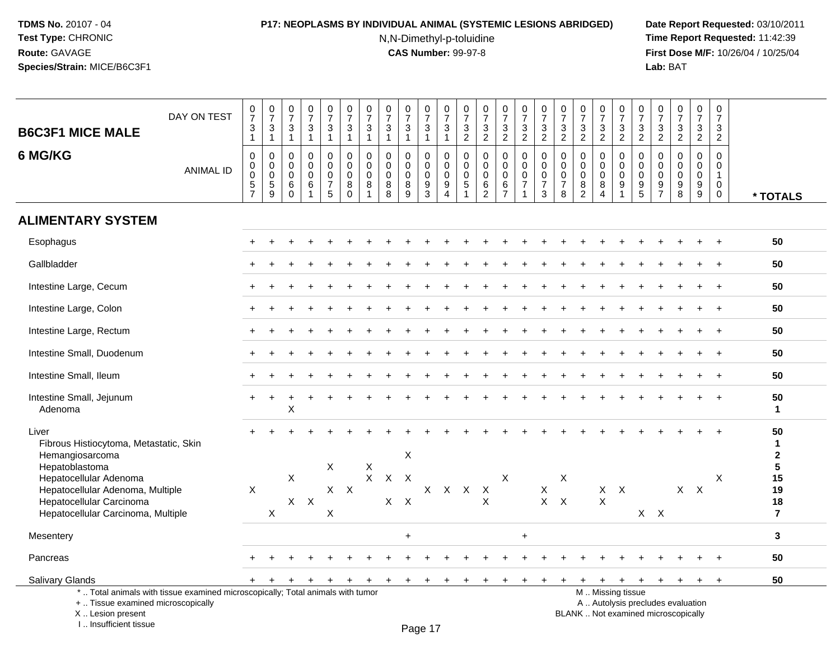# **P17: NEOPLASMS BY INDIVIDUAL ANIMAL (SYSTEMIC LESIONS ABRIDGED) Date Report Requested:** 03/10/2011

N,N-Dimethyl-p-toluidine

| <b>B6C3F1 MICE MALE</b>                                                                                                                        | DAY ON TEST                                                                     | $\frac{0}{7}$<br>3<br>$\mathbf{1}$           | $\frac{0}{7}$<br>$\mathfrak{Z}$<br>$\mathbf{1}$                     | $\frac{0}{7}$<br>3<br>$\overline{1}$                       | $\begin{array}{c} 0 \\ 7 \end{array}$<br>$\mathfrak{Z}$<br>$\overline{1}$ | $\begin{smallmatrix}0\\7\end{smallmatrix}$<br>3<br>$\mathbf{1}$          | $\frac{0}{7}$<br>$\mathbf{3}$<br>$\mathbf{1}$                      | $\frac{0}{7}$<br>3<br>$\mathbf{1}$     | $\frac{0}{7}$<br>$\mathbf{3}$<br>$\mathbf{1}$ | $\frac{0}{7}$<br>$\mathbf{3}$<br>$\overline{1}$         | $\frac{0}{7}$<br>$\mathbf{3}$<br>$\overline{1}$      | $\frac{0}{7}$<br>$\mathbf{3}$<br>$\overline{1}$                         | $\frac{0}{7}$<br>3<br>$\overline{2}$ | $\begin{array}{c} 0 \\ 7 \end{array}$<br>$\mathbf{3}$<br>$\overline{2}$ | $\frac{0}{7}$<br>$\mathfrak{S}$<br>$\overline{2}$                  | $\begin{smallmatrix}0\\7\end{smallmatrix}$<br>$\mathbf{3}$<br>$\overline{2}$ | $\begin{array}{c} 0 \\ 7 \end{array}$<br>$\mathbf{3}$<br>$\overline{2}$ | $\frac{0}{7}$<br>3<br>$\overline{2}$                             | $\begin{array}{c} 0 \\ 7 \end{array}$<br>$\mathbf{3}$<br>$\overline{2}$ | $\frac{0}{7}$<br>3<br>$\overline{2}$                                  | $\begin{smallmatrix}0\\7\end{smallmatrix}$<br>3<br>$\overline{2}$ | $\frac{0}{7}$<br>3<br>$\overline{2}$                               | $\frac{0}{7}$<br>$\mathbf 3$<br>$\overline{2}$                    | $\begin{array}{c} 0 \\ 7 \end{array}$<br>$\frac{3}{2}$                   | $\frac{0}{7}$<br>3<br>$\overline{2}$   | $\begin{smallmatrix}0\\7\end{smallmatrix}$<br>3<br>$\overline{2}$ |                                       |
|------------------------------------------------------------------------------------------------------------------------------------------------|---------------------------------------------------------------------------------|----------------------------------------------|---------------------------------------------------------------------|------------------------------------------------------------|---------------------------------------------------------------------------|--------------------------------------------------------------------------|--------------------------------------------------------------------|----------------------------------------|-----------------------------------------------|---------------------------------------------------------|------------------------------------------------------|-------------------------------------------------------------------------|--------------------------------------|-------------------------------------------------------------------------|--------------------------------------------------------------------|------------------------------------------------------------------------------|-------------------------------------------------------------------------|------------------------------------------------------------------|-------------------------------------------------------------------------|-----------------------------------------------------------------------|-------------------------------------------------------------------|--------------------------------------------------------------------|-------------------------------------------------------------------|--------------------------------------------------------------------------|----------------------------------------|-------------------------------------------------------------------|---------------------------------------|
| 6 MG/KG                                                                                                                                        | <b>ANIMAL ID</b>                                                                | 0<br>0<br>$\mathsf 0$<br>5<br>$\overline{7}$ | $\mathbf 0$<br>$\pmb{0}$<br>$\ddot{\mathbf{0}}$<br>$\,$ 5 $\,$<br>9 | $\mathbf 0$<br>$\mathbf 0$<br>$\mathbf 0$<br>6<br>$\Omega$ | $\Omega$<br>$\mathbf 0$<br>$\mathbf 0$<br>6<br>-1                         | $\mathbf 0$<br>$\mathbf 0$<br>$\mathsf{O}\xspace$<br>$\overline{7}$<br>5 | $\mathbf 0$<br>$\mathbf 0$<br>$\mathsf{O}\xspace$<br>8<br>$\Omega$ | $\Omega$<br>0<br>$\mathbf 0$<br>8<br>1 | $\Omega$<br>0<br>0<br>8<br>8                  | $\mathbf 0$<br>$\mathbf 0$<br>$\pmb{0}$<br>$\bf 8$<br>9 | $\mathbf 0$<br>0<br>$\mathbf 0$<br>9<br>$\mathbf{3}$ | $\mathbf 0$<br>$\mathbf 0$<br>$\overline{0}$<br>$9\,$<br>$\overline{4}$ | $\mathbf 0$<br>0<br>$\mathbf 0$<br>5 | $\Omega$<br>$\mathbf 0$<br>$\mathbf 0$<br>$\,6\,$<br>$\overline{2}$     | $\mathbf 0$<br>$\pmb{0}$<br>$\pmb{0}$<br>$\,6\,$<br>$\overline{7}$ | $\mathbf 0$<br>$\mathbf 0$<br>$\mathbf 0$<br>$\overline{7}$                  | 0<br>$\mathbf 0$<br>$\mathbf 0$<br>$\overline{7}$<br>3                  | $\mathbf 0$<br>$\mathbf 0$<br>$\mathbf 0$<br>$\overline{7}$<br>8 | $\mathbf 0$<br>$\mathbf 0$<br>$\mathbf 0$<br>8<br>$\overline{2}$        | $\Omega$<br>$\mathbf 0$<br>$\mathbf 0$<br>8<br>$\boldsymbol{\Lambda}$ | $\mathbf 0$<br>$\pmb{0}$<br>$\pmb{0}$<br>9<br>$\overline{1}$      | $\mathbf 0$<br>$\mathsf 0$<br>$\mathbf 0$<br>$\boldsymbol{9}$<br>5 | $\mathbf{0}$<br>$\mathbf 0$<br>$\mathbf 0$<br>9<br>$\overline{7}$ | $\Omega$<br>$\mathbf 0$<br>$\mathbf 0$<br>9<br>8                         | $\Omega$<br>0<br>$\mathbf 0$<br>9<br>9 | $\Omega$<br>$\mathbf 0$<br>$\mathbf{1}$<br>0<br>$\mathbf 0$       | * TOTALS                              |
| <b>ALIMENTARY SYSTEM</b>                                                                                                                       |                                                                                 |                                              |                                                                     |                                                            |                                                                           |                                                                          |                                                                    |                                        |                                               |                                                         |                                                      |                                                                         |                                      |                                                                         |                                                                    |                                                                              |                                                                         |                                                                  |                                                                         |                                                                       |                                                                   |                                                                    |                                                                   |                                                                          |                                        |                                                                   |                                       |
| Esophagus                                                                                                                                      |                                                                                 |                                              |                                                                     |                                                            |                                                                           |                                                                          |                                                                    |                                        |                                               |                                                         |                                                      |                                                                         |                                      |                                                                         |                                                                    |                                                                              |                                                                         |                                                                  |                                                                         |                                                                       |                                                                   |                                                                    |                                                                   |                                                                          |                                        |                                                                   | 50                                    |
| Gallbladder                                                                                                                                    |                                                                                 |                                              |                                                                     |                                                            |                                                                           |                                                                          |                                                                    |                                        |                                               |                                                         |                                                      |                                                                         |                                      |                                                                         |                                                                    |                                                                              |                                                                         |                                                                  |                                                                         |                                                                       |                                                                   |                                                                    |                                                                   |                                                                          |                                        |                                                                   | 50                                    |
| Intestine Large, Cecum                                                                                                                         |                                                                                 |                                              |                                                                     |                                                            |                                                                           |                                                                          |                                                                    |                                        |                                               |                                                         |                                                      |                                                                         |                                      |                                                                         |                                                                    |                                                                              |                                                                         |                                                                  |                                                                         |                                                                       |                                                                   |                                                                    |                                                                   |                                                                          |                                        | $\ddot{}$                                                         | 50                                    |
| Intestine Large, Colon                                                                                                                         |                                                                                 |                                              |                                                                     |                                                            |                                                                           |                                                                          |                                                                    |                                        |                                               |                                                         |                                                      |                                                                         |                                      |                                                                         |                                                                    |                                                                              |                                                                         |                                                                  |                                                                         |                                                                       |                                                                   |                                                                    |                                                                   |                                                                          |                                        |                                                                   | 50                                    |
| Intestine Large, Rectum                                                                                                                        |                                                                                 |                                              |                                                                     |                                                            |                                                                           |                                                                          |                                                                    |                                        |                                               |                                                         |                                                      |                                                                         |                                      |                                                                         |                                                                    |                                                                              |                                                                         |                                                                  |                                                                         |                                                                       |                                                                   |                                                                    |                                                                   |                                                                          |                                        |                                                                   | 50                                    |
| Intestine Small, Duodenum                                                                                                                      |                                                                                 |                                              |                                                                     |                                                            |                                                                           |                                                                          |                                                                    |                                        |                                               |                                                         |                                                      |                                                                         |                                      |                                                                         |                                                                    |                                                                              |                                                                         |                                                                  |                                                                         |                                                                       |                                                                   |                                                                    |                                                                   |                                                                          |                                        |                                                                   | 50                                    |
| Intestine Small, Ileum                                                                                                                         |                                                                                 |                                              |                                                                     |                                                            |                                                                           |                                                                          |                                                                    |                                        |                                               |                                                         |                                                      |                                                                         |                                      |                                                                         |                                                                    |                                                                              |                                                                         |                                                                  |                                                                         |                                                                       |                                                                   |                                                                    |                                                                   |                                                                          |                                        |                                                                   | 50                                    |
| Intestine Small, Jejunum<br>Adenoma                                                                                                            |                                                                                 |                                              |                                                                     | X                                                          |                                                                           |                                                                          |                                                                    |                                        |                                               |                                                         |                                                      |                                                                         |                                      |                                                                         |                                                                    |                                                                              |                                                                         |                                                                  |                                                                         |                                                                       |                                                                   |                                                                    |                                                                   |                                                                          |                                        |                                                                   | 50<br>$\mathbf{1}$                    |
| Liver<br>Fibrous Histiocytoma, Metastatic, Skin<br>Hemangiosarcoma                                                                             |                                                                                 |                                              |                                                                     |                                                            |                                                                           |                                                                          |                                                                    |                                        |                                               | $\boldsymbol{\mathsf{X}}$                               |                                                      |                                                                         |                                      |                                                                         |                                                                    |                                                                              |                                                                         |                                                                  |                                                                         |                                                                       |                                                                   |                                                                    |                                                                   |                                                                          |                                        |                                                                   | 50<br>$\mathbf{1}$<br>$\mathbf{2}$    |
| Hepatoblastoma<br>Hepatocellular Adenoma<br>Hepatocellular Adenoma, Multiple<br>Hepatocellular Carcinoma<br>Hepatocellular Carcinoma, Multiple |                                                                                 | $\mathsf{X}$                                 | X                                                                   | X                                                          | $X$ $X$                                                                   | X<br>X                                                                   | $X$ $X$                                                            | $\mathsf X$<br>X                       | $X$ $X$                                       | $X$ $X$                                                 | $\mathsf{X}$                                         |                                                                         | X X X                                | X                                                                       | X                                                                  |                                                                              | $\boldsymbol{\mathsf{X}}$                                               | X<br>$X$ $X$                                                     |                                                                         | $\mathsf{X}$                                                          | $X$ $X$                                                           |                                                                    | $X$ $X$                                                           |                                                                          | $X$ $X$                                | X                                                                 | 5<br>15<br>19<br>18<br>$\overline{7}$ |
| Mesentery                                                                                                                                      |                                                                                 |                                              |                                                                     |                                                            |                                                                           |                                                                          |                                                                    |                                        |                                               | $\ddot{}$                                               |                                                      |                                                                         |                                      |                                                                         |                                                                    | $\ddot{}$                                                                    |                                                                         |                                                                  |                                                                         |                                                                       |                                                                   |                                                                    |                                                                   |                                                                          |                                        |                                                                   | $\mathbf{3}$                          |
| Pancreas                                                                                                                                       |                                                                                 |                                              |                                                                     |                                                            |                                                                           |                                                                          |                                                                    |                                        |                                               |                                                         |                                                      |                                                                         |                                      |                                                                         |                                                                    |                                                                              |                                                                         |                                                                  |                                                                         |                                                                       |                                                                   |                                                                    |                                                                   |                                                                          |                                        |                                                                   | 50                                    |
| Salivary Glands                                                                                                                                |                                                                                 |                                              |                                                                     |                                                            |                                                                           |                                                                          |                                                                    | $\ddot{}$                              | $+$                                           | $\pm$                                                   | $\ddot{}$                                            |                                                                         |                                      |                                                                         |                                                                    |                                                                              |                                                                         |                                                                  |                                                                         | $\ddot{}$                                                             | $+$                                                               | $+$                                                                | $+$                                                               | $+$                                                                      | $\ddot{}$                              | $+$                                                               | 50                                    |
| +  Tissue examined microscopically<br>X Lesion present<br>I Insufficient tissue                                                                | *  Total animals with tissue examined microscopically; Total animals with tumor |                                              |                                                                     |                                                            |                                                                           |                                                                          |                                                                    |                                        |                                               |                                                         | $D_{200}$ 17                                         |                                                                         |                                      |                                                                         |                                                                    |                                                                              |                                                                         |                                                                  |                                                                         |                                                                       | M  Missing tissue                                                 |                                                                    |                                                                   | A  Autolysis precludes evaluation<br>BLANK  Not examined microscopically |                                        |                                                                   |                                       |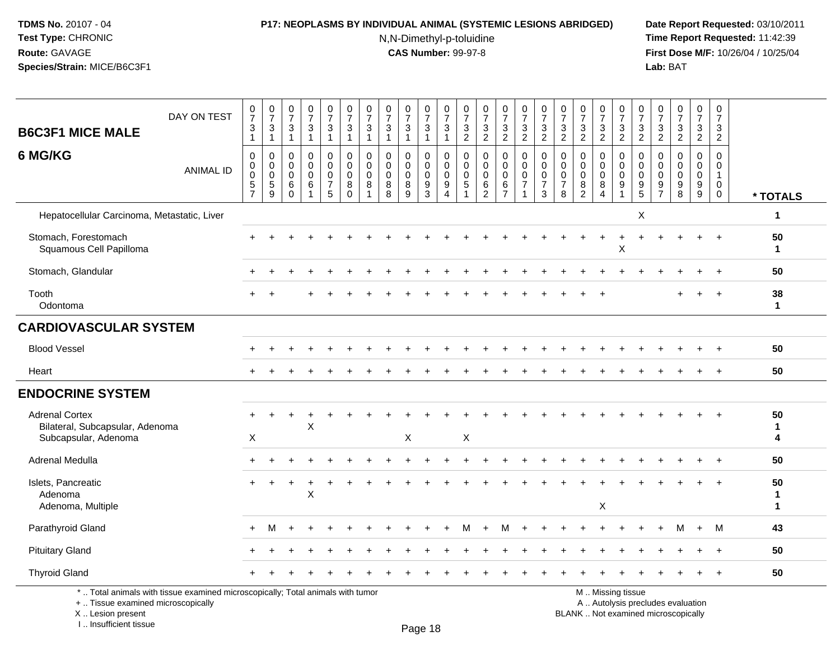#### **P17: NEOPLASMS BY INDIVIDUAL ANIMAL (SYSTEMIC LESIONS ABRIDGED) Date Report Requested:** 03/10/2011

N,N-Dimethyl-p-toluidine

 **Time Report Requested:** 11:42:39 **First Dose M/F:** 10/26/04 / 10/25/04<br>Lab: BAT **Lab:** BAT

| <b>B6C3F1 MICE MALE</b>                                                          | DAY ON TEST                                                                     | $\frac{0}{7}$<br>$\ensuremath{\mathsf{3}}$<br>$\overline{1}$           | $\frac{0}{7}$<br>$\frac{3}{1}$                                | $\frac{0}{7}$<br>$\sqrt{3}$<br>$\mathbf{1}$                  | $\frac{0}{7}$<br>3<br>$\mathbf{1}$    | $\frac{0}{7}$<br>$\sqrt{3}$<br>$\mathbf{1}$              | $\begin{array}{c} 0 \\ 7 \end{array}$<br>$\mathbf{3}$<br>$\mathbf{1}$ | $\frac{0}{7}$<br>$\mathbf{3}$<br>$\overline{1}$ | $\frac{0}{7}$<br>$\mathbf{3}$<br>$\overline{1}$      | $\frac{0}{7}$<br>$\ensuremath{\mathsf{3}}$<br>$\mathbf{1}$ | $\frac{0}{7}$<br>3<br>$\mathbf{1}$                       | $\frac{0}{7}$<br>3<br>$\mathbf{1}$                                    | $\frac{0}{7}$<br>$\frac{3}{2}$                                  | $\frac{0}{7}$<br>$\frac{3}{2}$                                         | $\frac{0}{7}$<br>$\frac{3}{2}$                             | $\frac{0}{7}$<br>$\frac{3}{2}$                                                | $\frac{0}{7}$<br>3<br>$\overline{2}$      | $\frac{0}{7}$<br>$\frac{3}{2}$                       | $\frac{0}{7}$<br>$\frac{3}{2}$                      | $\frac{0}{7}$<br>$\frac{3}{2}$                               | $\frac{0}{7}$<br>$\frac{3}{2}$                    | $\frac{0}{7}$<br>3<br>$\overline{2}$         | $\frac{0}{7}$<br>$\frac{3}{2}$                       | $\frac{0}{7}$<br>$\frac{3}{2}$         | $\frac{0}{7}$<br>$\frac{3}{2}$            | 0<br>$\overline{7}$<br>$\ensuremath{\mathsf{3}}$<br>$\overline{2}$     |                         |
|----------------------------------------------------------------------------------|---------------------------------------------------------------------------------|------------------------------------------------------------------------|---------------------------------------------------------------|--------------------------------------------------------------|---------------------------------------|----------------------------------------------------------|-----------------------------------------------------------------------|-------------------------------------------------|------------------------------------------------------|------------------------------------------------------------|----------------------------------------------------------|-----------------------------------------------------------------------|-----------------------------------------------------------------|------------------------------------------------------------------------|------------------------------------------------------------|-------------------------------------------------------------------------------|-------------------------------------------|------------------------------------------------------|-----------------------------------------------------|--------------------------------------------------------------|---------------------------------------------------|----------------------------------------------|------------------------------------------------------|----------------------------------------|-------------------------------------------|------------------------------------------------------------------------|-------------------------|
| 6 MG/KG                                                                          | <b>ANIMAL ID</b>                                                                | $\mathbf 0$<br>$\pmb{0}$<br>$\pmb{0}$<br>$\mathbf 5$<br>$\overline{7}$ | $\pmb{0}$<br>$\mathbf 0$<br>$\boldsymbol{0}$<br>$\frac{5}{9}$ | $\mathbf 0$<br>$\mathbf{0}$<br>$\mathbf{0}$<br>6<br>$\Omega$ | 0<br>$\mathbf 0$<br>0<br>$\,6\,$<br>1 | 0<br>$\mathbf 0$<br>$\mathbf 0$<br>$\boldsymbol{7}$<br>5 | $\mathbf 0$<br>$\mathbf 0$<br>0<br>8<br>$\mathbf 0$                   | $\mathbf 0$<br>$\Omega$<br>0<br>8               | $\mathbf 0$<br>$\mathbf{0}$<br>$\mathbf 0$<br>8<br>8 | 0<br>$\mathbf 0$<br>$\mathbf 0$<br>8<br>9                  | $\mathbf 0$<br>$\mathbf 0$<br>0<br>$\boldsymbol{9}$<br>3 | $\mathbf 0$<br>$\mathbf 0$<br>0<br>$\boldsymbol{9}$<br>$\overline{4}$ | $\mathbf 0$<br>$\mathbf 0$<br>0<br>$\sqrt{5}$<br>$\overline{1}$ | $\mathbf 0$<br>$\mathbf 0$<br>$\mathbf 0$<br>$\,6\,$<br>$\overline{c}$ | 0<br>$\mathbf 0$<br>0<br>$6\phantom{.}6$<br>$\overline{7}$ | $\mathbf 0$<br>$\mathbf 0$<br>$\mathbf 0$<br>$\overline{7}$<br>$\overline{1}$ | 0<br>$\Omega$<br>0<br>$\overline{7}$<br>3 | $\Omega$<br>$\mathbf{0}$<br>0<br>$\overline{7}$<br>8 | $\mathbf 0$<br>$\Omega$<br>0<br>8<br>$\overline{2}$ | 0<br>$\mathbf 0$<br>$\mathbf 0$<br>$\bf 8$<br>$\overline{4}$ | 0<br>$\Omega$<br>$\mathbf 0$<br>9<br>$\mathbf{1}$ | $\mathbf 0$<br>$\overline{0}$<br>0<br>9<br>5 | $\mathbf 0$<br>$\Omega$<br>$\Omega$<br>$\frac{9}{7}$ | $\mathbf 0$<br>$\Omega$<br>0<br>9<br>8 | 0<br>$\Omega$<br>$\overline{0}$<br>9<br>9 | $\Omega$<br>$\mathbf{0}$<br>$\mathbf{1}$<br>$\mathbf 0$<br>$\mathbf 0$ | * TOTALS                |
| Hepatocellular Carcinoma, Metastatic, Liver                                      |                                                                                 |                                                                        |                                                               |                                                              |                                       |                                                          |                                                                       |                                                 |                                                      |                                                            |                                                          |                                                                       |                                                                 |                                                                        |                                                            |                                                                               |                                           |                                                      |                                                     |                                                              |                                                   | $\boldsymbol{\mathsf{X}}$                    |                                                      |                                        |                                           |                                                                        | $\mathbf{1}$            |
| Stomach, Forestomach<br>Squamous Cell Papilloma                                  |                                                                                 |                                                                        |                                                               |                                                              |                                       |                                                          |                                                                       |                                                 |                                                      |                                                            |                                                          |                                                                       |                                                                 |                                                                        |                                                            |                                                                               |                                           |                                                      |                                                     |                                                              | $\boldsymbol{\mathsf{X}}$                         |                                              |                                                      |                                        |                                           | $\ddot{}$                                                              | 50<br>1                 |
| Stomach, Glandular                                                               |                                                                                 |                                                                        |                                                               |                                                              |                                       |                                                          |                                                                       |                                                 |                                                      |                                                            |                                                          |                                                                       |                                                                 |                                                                        |                                                            |                                                                               |                                           |                                                      |                                                     |                                                              |                                                   |                                              |                                                      |                                        |                                           | $\overline{+}$                                                         | 50                      |
| Tooth<br>Odontoma                                                                |                                                                                 |                                                                        |                                                               |                                                              |                                       |                                                          |                                                                       |                                                 |                                                      |                                                            |                                                          |                                                                       |                                                                 |                                                                        |                                                            |                                                                               |                                           |                                                      |                                                     |                                                              |                                                   |                                              |                                                      |                                        |                                           | $\ddot{+}$                                                             | 38<br>$\mathbf 1$       |
| <b>CARDIOVASCULAR SYSTEM</b>                                                     |                                                                                 |                                                                        |                                                               |                                                              |                                       |                                                          |                                                                       |                                                 |                                                      |                                                            |                                                          |                                                                       |                                                                 |                                                                        |                                                            |                                                                               |                                           |                                                      |                                                     |                                                              |                                                   |                                              |                                                      |                                        |                                           |                                                                        |                         |
| <b>Blood Vessel</b>                                                              |                                                                                 |                                                                        |                                                               |                                                              |                                       |                                                          |                                                                       |                                                 |                                                      |                                                            |                                                          |                                                                       |                                                                 |                                                                        |                                                            |                                                                               |                                           |                                                      |                                                     |                                                              |                                                   |                                              |                                                      |                                        |                                           | $\ddot{}$                                                              | 50                      |
| Heart                                                                            |                                                                                 |                                                                        |                                                               |                                                              |                                       |                                                          |                                                                       |                                                 |                                                      |                                                            |                                                          |                                                                       |                                                                 |                                                                        |                                                            |                                                                               |                                           |                                                      |                                                     |                                                              |                                                   |                                              |                                                      |                                        |                                           |                                                                        | 50                      |
| <b>ENDOCRINE SYSTEM</b>                                                          |                                                                                 |                                                                        |                                                               |                                                              |                                       |                                                          |                                                                       |                                                 |                                                      |                                                            |                                                          |                                                                       |                                                                 |                                                                        |                                                            |                                                                               |                                           |                                                      |                                                     |                                                              |                                                   |                                              |                                                      |                                        |                                           |                                                                        |                         |
| <b>Adrenal Cortex</b><br>Bilateral, Subcapsular, Adenoma<br>Subcapsular, Adenoma |                                                                                 | X                                                                      |                                                               |                                                              | +<br>X                                |                                                          |                                                                       |                                                 |                                                      | X                                                          |                                                          |                                                                       | $\mathsf X$                                                     |                                                                        |                                                            |                                                                               |                                           |                                                      |                                                     |                                                              |                                                   |                                              |                                                      |                                        |                                           |                                                                        | 50<br>$\mathbf{1}$<br>4 |
| Adrenal Medulla                                                                  |                                                                                 |                                                                        |                                                               |                                                              |                                       |                                                          |                                                                       |                                                 |                                                      |                                                            |                                                          |                                                                       |                                                                 |                                                                        |                                                            |                                                                               |                                           |                                                      |                                                     |                                                              |                                                   |                                              |                                                      |                                        |                                           | $\overline{ }$                                                         | 50                      |
| Islets, Pancreatic<br>Adenoma<br>Adenoma, Multiple                               |                                                                                 | $+$                                                                    | $+$                                                           | $\ddot{}$                                                    | $\ddot{}$<br>X                        |                                                          |                                                                       |                                                 |                                                      |                                                            |                                                          |                                                                       |                                                                 |                                                                        |                                                            |                                                                               |                                           |                                                      |                                                     | X                                                            |                                                   |                                              |                                                      |                                        |                                           |                                                                        | 50<br>1<br>$\mathbf{1}$ |
| Parathyroid Gland                                                                |                                                                                 | $\ddot{}$                                                              | м                                                             |                                                              |                                       |                                                          |                                                                       |                                                 |                                                      |                                                            |                                                          |                                                                       | М                                                               |                                                                        | M                                                          |                                                                               |                                           |                                                      |                                                     |                                                              |                                                   |                                              |                                                      | M                                      | $+$                                       | M                                                                      | 43                      |
| <b>Pituitary Gland</b>                                                           |                                                                                 |                                                                        |                                                               |                                                              |                                       |                                                          |                                                                       |                                                 |                                                      |                                                            |                                                          |                                                                       |                                                                 |                                                                        |                                                            |                                                                               |                                           |                                                      |                                                     |                                                              |                                                   |                                              |                                                      |                                        |                                           |                                                                        | 50                      |
| <b>Thyroid Gland</b>                                                             |                                                                                 |                                                                        |                                                               |                                                              |                                       |                                                          |                                                                       |                                                 |                                                      |                                                            |                                                          |                                                                       |                                                                 |                                                                        |                                                            |                                                                               |                                           |                                                      |                                                     |                                                              |                                                   |                                              |                                                      |                                        |                                           | $\overline{+}$                                                         | 50                      |
|                                                                                  | *  Total animals with tissue examined microscopically; Total animals with tumor |                                                                        |                                                               |                                                              |                                       |                                                          |                                                                       |                                                 |                                                      |                                                            |                                                          |                                                                       |                                                                 |                                                                        |                                                            |                                                                               |                                           |                                                      | M  Missing tissue                                   |                                                              |                                                   |                                              |                                                      |                                        |                                           |                                                                        |                         |

+ .. Tissue examined microscopically

X .. Lesion present

I .. Insufficient tissue

y the contract of the contract of the contract of the contract of the contract of  $\mathsf A$  . Autolysis precludes evaluation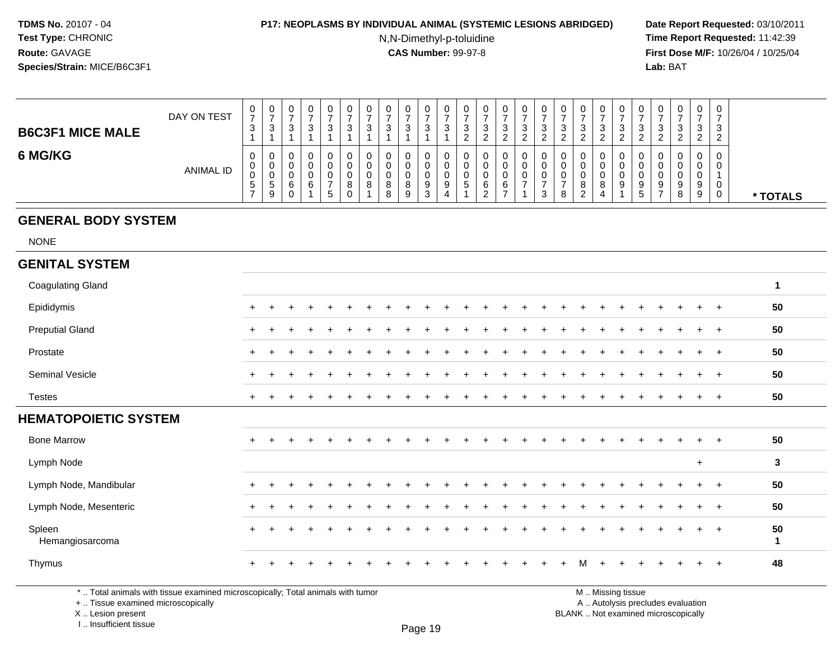#### **P17: NEOPLASMS BY INDIVIDUAL ANIMAL (SYSTEMIC LESIONS ABRIDGED) Date Report Requested:** 03/10/2011

N,N-Dimethyl-p-toluidine

 **Time Report Requested:** 11:42:39 **First Dose M/F:** 10/26/04 / 10/25/04 Lab: BAT **Lab:** BAT

| <b>B6C3F1 MICE MALE</b> | DAY ON TEST      | U<br>$\rightarrow$<br>ົ<br>ు       | U.<br>ີ<br>ు          | v<br>J      | U<br>3           | U<br>ົ<br>ت           | - 12 | ν<br>د           | ◠<br>u | ാ<br>J.      | 0<br>ົ<br>ັ           | - ఎ | ν<br>J                | U<br>ັບ | U<br>3      |  | U<br>J.<br><u>.</u>                      | U<br>ັ<br><u>.</u> | U<br>ີ<br>ູບ<br>റ | v<br>پ<br>▃ | U<br>- 0                   | 0<br>ົ<br>◡<br><sup>o</sup><br>_ | -0<br>3        |          |
|-------------------------|------------------|------------------------------------|-----------------------|-------------|------------------|-----------------------|------|------------------|--------|--------------|-----------------------|-----|-----------------------|---------|-------------|--|------------------------------------------|--------------------|-------------------|-------------|----------------------------|----------------------------------|----------------|----------|
| 6 MG/KG                 | <b>ANIMAL ID</b> | 0<br>U<br>◡<br>.5<br>$\rightarrow$ | U<br>U<br>◡<br>ಾ<br>9 | u<br>ν<br>c | Ü<br>O<br>0<br>১ | υ<br>U<br>υ<br>8<br>0 | 8    | u<br>u<br>8<br>8 | 8<br>9 | a<br>ົ<br>د. | 0<br>0<br>0<br>9<br>4 |     | v<br>u<br>v<br>⌒<br>b | U<br>6  | U<br>ν<br>U |  | u<br>u<br>$\circ$<br>$\circ$<br><u>_</u> | ν<br>ν<br>8<br>4   | U<br>0<br>0<br>9  | ν<br>v<br>9 | 0<br>-9<br>- 92<br>$\circ$ | 0<br>υ<br>U<br>9<br>9            | $\overline{0}$ | * TOTALS |

# **GENERAL BODY SYSTEM**

NONE

#### **GENITAL SYSTEM**Coagulating Gland **<sup>1</sup>** Epididymis <sup>+</sup> <sup>+</sup> <sup>+</sup> <sup>+</sup> <sup>+</sup> <sup>+</sup> <sup>+</sup> <sup>+</sup> <sup>+</sup> <sup>+</sup> <sup>+</sup> <sup>+</sup> <sup>+</sup> <sup>+</sup> <sup>+</sup> <sup>+</sup> <sup>+</sup> <sup>+</sup> <sup>+</sup> <sup>+</sup> <sup>+</sup> <sup>+</sup> <sup>+</sup> <sup>+</sup> <sup>+</sup> **<sup>50</sup>** Preputial Gland $\alpha$  <sup>+</sup> <sup>+</sup> <sup>+</sup> <sup>+</sup> <sup>+</sup> <sup>+</sup> <sup>+</sup> <sup>+</sup> <sup>+</sup> <sup>+</sup> <sup>+</sup> <sup>+</sup> <sup>+</sup> <sup>+</sup> <sup>+</sup> <sup>+</sup> <sup>+</sup> <sup>+</sup> <sup>+</sup> <sup>+</sup> <sup>+</sup> <sup>+</sup> <sup>+</sup> <sup>+</sup> **<sup>50</sup>** Prostate $e$  + <sup>+</sup> <sup>+</sup> <sup>+</sup> <sup>+</sup> <sup>+</sup> <sup>+</sup> <sup>+</sup> <sup>+</sup> <sup>+</sup> <sup>+</sup> <sup>+</sup> <sup>+</sup> <sup>+</sup> <sup>+</sup> <sup>+</sup> <sup>+</sup> <sup>+</sup> <sup>+</sup> <sup>+</sup> <sup>+</sup> <sup>+</sup> <sup>+</sup> <sup>+</sup> <sup>+</sup> **<sup>50</sup>** Seminal Vesicle $e$  + <sup>+</sup> <sup>+</sup> <sup>+</sup> <sup>+</sup> <sup>+</sup> <sup>+</sup> <sup>+</sup> <sup>+</sup> <sup>+</sup> <sup>+</sup> <sup>+</sup> <sup>+</sup> <sup>+</sup> <sup>+</sup> <sup>+</sup> <sup>+</sup> <sup>+</sup> <sup>+</sup> <sup>+</sup> <sup>+</sup> <sup>+</sup> <sup>+</sup> <sup>+</sup> <sup>+</sup> **<sup>50</sup>** Testes <sup>+</sup> <sup>+</sup> <sup>+</sup> <sup>+</sup> <sup>+</sup> <sup>+</sup> <sup>+</sup> <sup>+</sup> <sup>+</sup> <sup>+</sup> <sup>+</sup> <sup>+</sup> <sup>+</sup> <sup>+</sup> <sup>+</sup> <sup>+</sup> <sup>+</sup> <sup>+</sup> <sup>+</sup> <sup>+</sup> <sup>+</sup> <sup>+</sup> <sup>+</sup> <sup>+</sup> <sup>+</sup> **<sup>50</sup> HEMATOPOIETIC SYSTEM**Bone Marrow <sup>+</sup> <sup>+</sup> <sup>+</sup> <sup>+</sup> <sup>+</sup> <sup>+</sup> <sup>+</sup> <sup>+</sup> <sup>+</sup> <sup>+</sup> <sup>+</sup> <sup>+</sup> <sup>+</sup> <sup>+</sup> <sup>+</sup> <sup>+</sup> <sup>+</sup> <sup>+</sup> <sup>+</sup> <sup>+</sup> <sup>+</sup> <sup>+</sup> <sup>+</sup> <sup>+</sup> <sup>+</sup> **<sup>50</sup>** Lymph Node <sup>+</sup> **<sup>3</sup>** Lymph Node, Mandibularr + <sup>+</sup> <sup>+</sup> <sup>+</sup> <sup>+</sup> <sup>+</sup> <sup>+</sup> <sup>+</sup> <sup>+</sup> <sup>+</sup> <sup>+</sup> <sup>+</sup> <sup>+</sup> <sup>+</sup> <sup>+</sup> <sup>+</sup> <sup>+</sup> <sup>+</sup> <sup>+</sup> <sup>+</sup> <sup>+</sup> <sup>+</sup> <sup>+</sup> <sup>+</sup> <sup>+</sup> **<sup>50</sup>** Lymph Node, Mesenteric $\overline{c}$  + <sup>+</sup> <sup>+</sup> <sup>+</sup> <sup>+</sup> <sup>+</sup> <sup>+</sup> <sup>+</sup> <sup>+</sup> <sup>+</sup> <sup>+</sup> <sup>+</sup> <sup>+</sup> <sup>+</sup> <sup>+</sup> <sup>+</sup> <sup>+</sup> <sup>+</sup> <sup>+</sup> <sup>+</sup> <sup>+</sup> <sup>+</sup> <sup>+</sup> <sup>+</sup> <sup>+</sup> **<sup>50</sup>** Spleenleen<br>Hemangiosarcoma <sup>+</sup> <sup>+</sup> <sup>+</sup> <sup>+</sup> <sup>+</sup> <sup>+</sup> <sup>+</sup> <sup>+</sup> <sup>+</sup> <sup>+</sup> <sup>+</sup> <sup>+</sup> <sup>+</sup> <sup>+</sup> <sup>+</sup> <sup>+</sup> <sup>+</sup> <sup>+</sup> <sup>+</sup> <sup>+</sup> <sup>+</sup> <sup>+</sup> <sup>+</sup> <sup>+</sup> **<sup>50</sup> <sup>1</sup>** Thymus <sup>+</sup> <sup>+</sup> <sup>+</sup> <sup>+</sup> <sup>+</sup> <sup>+</sup> <sup>+</sup> <sup>+</sup> <sup>+</sup> <sup>+</sup> <sup>+</sup> <sup>+</sup> <sup>+</sup> <sup>+</sup> <sup>+</sup> <sup>+</sup> <sup>+</sup> <sup>M</sup><sup>+</sup> <sup>+</sup> <sup>+</sup> <sup>+</sup> <sup>+</sup> <sup>+</sup> <sup>+</sup> **<sup>48</sup>**

\* .. Total animals with tissue examined microscopically; Total animals with tumor

+ .. Tissue examined microscopically

 Lesion present BLANK .. Not examined microscopicallyX .. Lesion present

I .. Insufficient tissue

M .. Missing tissue

y the contract of the contract of the contract of the contract of the contract of  $\mathsf A$  . Autolysis precludes evaluation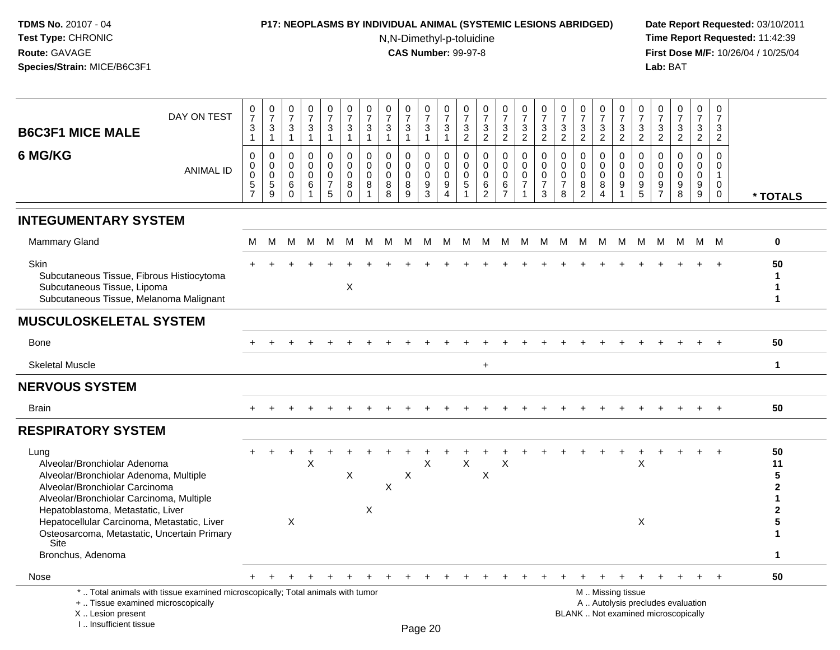## **P17: NEOPLASMS BY INDIVIDUAL ANIMAL (SYSTEMIC LESIONS ABRIDGED) Date Report Requested:** 03/10/2011

N,N-Dimethyl-p-toluidine

| DAY ON TEST<br><b>B6C3F1 MICE MALE</b>                                                                                                                                                                                                                                                                                       | $\frac{0}{7}$<br>$\sqrt{3}$<br>$\mathbf{1}$                         | $\begin{smallmatrix} 0\\7 \end{smallmatrix}$<br>$\mathbf{3}$<br>$\mathbf{1}$ | $\frac{0}{7}$<br>$\sqrt{3}$<br>$\mathbf{1}$       | $\begin{array}{c} 0 \\ 7 \end{array}$<br>$\sqrt{3}$<br>$\overline{1}$ | $\begin{smallmatrix}0\\7\end{smallmatrix}$<br>$\mathbf 3$<br>1 | $\mathbf 0$<br>$\overline{7}$<br>3<br>$\mathbf{1}$ | $\begin{array}{c} 0 \\ 7 \\ 3 \end{array}$<br>$\mathbf{1}$             | $\frac{0}{7}$<br>$\mathbf{3}$<br>$\mathbf{1}$ | $\begin{array}{c} 0 \\ 7 \end{array}$<br>$\mathbf{3}$<br>1 | $\begin{array}{c} 0 \\ 7 \end{array}$<br>$\mathsf 3$<br>$\overline{1}$ | $\pmb{0}$<br>$\overline{7}$<br>$\sqrt{3}$<br>$\mathbf{1}$                       | 0<br>$\overline{7}$<br>$\mathbf{3}$<br>$\overline{2}$ | $\frac{0}{7}$<br>$\sqrt{3}$<br>$\overline{2}$                      | $\frac{0}{7}$<br>$\mathbf{3}$<br>$\overline{2}$                | $\begin{smallmatrix}0\\7\end{smallmatrix}$<br>$\ensuremath{\mathsf{3}}$<br>$\overline{2}$ | $\pmb{0}$<br>$\overline{7}$<br>$\sqrt{3}$<br>$\overline{2}$                 | $\pmb{0}$<br>$\overline{7}$<br>$\ensuremath{\mathsf{3}}$<br>$\overline{2}$ | $\begin{matrix} 0 \\ 7 \\ 3 \end{matrix}$<br>$\overline{2}$            | $\frac{0}{7}$<br>3<br>$\overline{2}$                                  | $\frac{0}{7}$<br>$\frac{3}{2}$                                              | $\frac{0}{7}$<br>$\ensuremath{\mathsf{3}}$<br>2               | 0<br>$\overline{7}$<br>$\sqrt{3}$<br>$\overline{2}$ | $\pmb{0}$<br>$\overline{7}$<br>$\ensuremath{\mathsf{3}}$<br>$\overline{2}$ | $\pmb{0}$<br>$\overline{7}$<br>$\sqrt{3}$<br>$\overline{2}$ | $\pmb{0}$<br>$\overline{7}$<br>$\ensuremath{\mathsf{3}}$<br>$\overline{2}$ |                                              |
|------------------------------------------------------------------------------------------------------------------------------------------------------------------------------------------------------------------------------------------------------------------------------------------------------------------------------|---------------------------------------------------------------------|------------------------------------------------------------------------------|---------------------------------------------------|-----------------------------------------------------------------------|----------------------------------------------------------------|----------------------------------------------------|------------------------------------------------------------------------|-----------------------------------------------|------------------------------------------------------------|------------------------------------------------------------------------|---------------------------------------------------------------------------------|-------------------------------------------------------|--------------------------------------------------------------------|----------------------------------------------------------------|-------------------------------------------------------------------------------------------|-----------------------------------------------------------------------------|----------------------------------------------------------------------------|------------------------------------------------------------------------|-----------------------------------------------------------------------|-----------------------------------------------------------------------------|---------------------------------------------------------------|-----------------------------------------------------|----------------------------------------------------------------------------|-------------------------------------------------------------|----------------------------------------------------------------------------|----------------------------------------------|
| 6 MG/KG<br><b>ANIMAL ID</b>                                                                                                                                                                                                                                                                                                  | $\mathbf 0$<br>0<br>$\overline{0}$<br>$\,$ 5 $\,$<br>$\overline{7}$ | $\mathbf 0$<br>$\mathbf 0$<br>$\pmb{0}$<br>5<br>9                            | $\Omega$<br>$\mathbf 0$<br>0<br>$\,6$<br>$\Omega$ | $\mathbf 0$<br>$\mathbf 0$<br>$\mathbf 0$<br>$\,6\,$<br>-1            | 0<br>$\mathbf 0$<br>$\mathbf 0$<br>$\overline{7}$<br>5         | 0<br>$\mathbf 0$<br>$\mathbf 0$<br>8<br>$\Omega$   | $\mathbf 0$<br>$\mathbf 0$<br>$\mathsf{O}\xspace$<br>8<br>$\mathbf{1}$ | $\Omega$<br>0<br>0<br>8<br>8                  | $\mathbf 0$<br>$\mathbf 0$<br>$\pmb{0}$<br>$\bf 8$<br>9    | 0<br>$\mathbf 0$<br>$\mathbf 0$<br>$\boldsymbol{9}$<br>3               | $\mathbf 0$<br>$\mathbf 0$<br>$\mathbf 0$<br>$\boldsymbol{9}$<br>$\overline{4}$ | $\mathbf 0$<br>$\mathbf 0$<br>0<br>5                  | $\mathbf 0$<br>$\mathbf 0$<br>$\pmb{0}$<br>$\,6$<br>$\overline{2}$ | $\mathbf 0$<br>$\mathbf 0$<br>$\pmb{0}$<br>6<br>$\overline{7}$ | $\mathbf 0$<br>$\mathbf 0$<br>0<br>$\overline{7}$<br>$\mathbf{1}$                         | $\mathbf 0$<br>$\mathbf 0$<br>$\mathbf 0$<br>$\overline{7}$<br>$\mathbf{3}$ | $\mathbf 0$<br>$\mathbf 0$<br>0<br>$\overline{7}$<br>8                     | $\mathbf 0$<br>$\mathbf 0$<br>$\mathbf 0$<br>$\,8\,$<br>$\overline{2}$ | $\Omega$<br>$\mathbf 0$<br>$\mathbf 0$<br>8<br>$\boldsymbol{\Lambda}$ | $\mathbf 0$<br>$\mathbf 0$<br>$\pmb{0}$<br>$\boldsymbol{9}$<br>$\mathbf{1}$ | $\mathbf 0$<br>$\Omega$<br>$\pmb{0}$<br>$\boldsymbol{9}$<br>5 | 0<br>$\mathbf{0}$<br>0<br>9<br>$\overline{7}$       | $\Omega$<br>$\Omega$<br>$\mathbf 0$<br>$\boldsymbol{9}$<br>8               | $\Omega$<br>$\mathbf 0$<br>$\mathsf 0$<br>9<br>9            | $\Omega$<br>0<br>$\mathbf{1}$<br>$\mathbf 0$<br>$\mathbf 0$                | * TOTALS                                     |
| <b>INTEGUMENTARY SYSTEM</b>                                                                                                                                                                                                                                                                                                  |                                                                     |                                                                              |                                                   |                                                                       |                                                                |                                                    |                                                                        |                                               |                                                            |                                                                        |                                                                                 |                                                       |                                                                    |                                                                |                                                                                           |                                                                             |                                                                            |                                                                        |                                                                       |                                                                             |                                                               |                                                     |                                                                            |                                                             |                                                                            |                                              |
| <b>Mammary Gland</b>                                                                                                                                                                                                                                                                                                         | М                                                                   | M                                                                            | М                                                 | M                                                                     | M                                                              | M                                                  | M                                                                      | M                                             | M                                                          | M                                                                      | M                                                                               | M                                                     | M                                                                  | M                                                              | M                                                                                         | M                                                                           | M                                                                          | M                                                                      | M                                                                     | M                                                                           | M                                                             | М                                                   |                                                                            | M M M                                                       |                                                                            | $\mathbf 0$                                  |
| Skin<br>Subcutaneous Tissue, Fibrous Histiocytoma<br>Subcutaneous Tissue, Lipoma<br>Subcutaneous Tissue, Melanoma Malignant                                                                                                                                                                                                  |                                                                     |                                                                              |                                                   |                                                                       |                                                                | $\mathsf X$                                        |                                                                        |                                               |                                                            |                                                                        |                                                                                 |                                                       |                                                                    |                                                                |                                                                                           |                                                                             |                                                                            |                                                                        |                                                                       |                                                                             |                                                               |                                                     |                                                                            |                                                             |                                                                            | 50<br>1<br>1<br>1                            |
| <b>MUSCULOSKELETAL SYSTEM</b>                                                                                                                                                                                                                                                                                                |                                                                     |                                                                              |                                                   |                                                                       |                                                                |                                                    |                                                                        |                                               |                                                            |                                                                        |                                                                                 |                                                       |                                                                    |                                                                |                                                                                           |                                                                             |                                                                            |                                                                        |                                                                       |                                                                             |                                                               |                                                     |                                                                            |                                                             |                                                                            |                                              |
| <b>Bone</b>                                                                                                                                                                                                                                                                                                                  |                                                                     |                                                                              |                                                   |                                                                       |                                                                |                                                    |                                                                        |                                               |                                                            |                                                                        |                                                                                 |                                                       |                                                                    |                                                                |                                                                                           |                                                                             |                                                                            |                                                                        |                                                                       |                                                                             |                                                               |                                                     |                                                                            |                                                             |                                                                            | 50                                           |
| <b>Skeletal Muscle</b>                                                                                                                                                                                                                                                                                                       |                                                                     |                                                                              |                                                   |                                                                       |                                                                |                                                    |                                                                        |                                               |                                                            |                                                                        |                                                                                 |                                                       | $+$                                                                |                                                                |                                                                                           |                                                                             |                                                                            |                                                                        |                                                                       |                                                                             |                                                               |                                                     |                                                                            |                                                             |                                                                            | $\mathbf{1}$                                 |
| <b>NERVOUS SYSTEM</b>                                                                                                                                                                                                                                                                                                        |                                                                     |                                                                              |                                                   |                                                                       |                                                                |                                                    |                                                                        |                                               |                                                            |                                                                        |                                                                                 |                                                       |                                                                    |                                                                |                                                                                           |                                                                             |                                                                            |                                                                        |                                                                       |                                                                             |                                                               |                                                     |                                                                            |                                                             |                                                                            |                                              |
| <b>Brain</b>                                                                                                                                                                                                                                                                                                                 |                                                                     |                                                                              |                                                   |                                                                       |                                                                |                                                    |                                                                        |                                               |                                                            |                                                                        |                                                                                 |                                                       |                                                                    |                                                                |                                                                                           |                                                                             |                                                                            |                                                                        |                                                                       |                                                                             |                                                               |                                                     |                                                                            |                                                             |                                                                            | 50                                           |
| <b>RESPIRATORY SYSTEM</b>                                                                                                                                                                                                                                                                                                    |                                                                     |                                                                              |                                                   |                                                                       |                                                                |                                                    |                                                                        |                                               |                                                            |                                                                        |                                                                                 |                                                       |                                                                    |                                                                |                                                                                           |                                                                             |                                                                            |                                                                        |                                                                       |                                                                             |                                                               |                                                     |                                                                            |                                                             |                                                                            |                                              |
| Lung<br>Alveolar/Bronchiolar Adenoma<br>Alveolar/Bronchiolar Adenoma, Multiple<br>Alveolar/Bronchiolar Carcinoma<br>Alveolar/Bronchiolar Carcinoma, Multiple<br>Hepatoblastoma, Metastatic, Liver<br>Hepatocellular Carcinoma, Metastatic, Liver<br>Osteosarcoma, Metastatic, Uncertain Primary<br>Site<br>Bronchus, Adenoma |                                                                     |                                                                              | X                                                 | X                                                                     |                                                                | X                                                  | $\boldsymbol{\mathsf{X}}$                                              | X                                             | X                                                          | X                                                                      |                                                                                 | X                                                     | X                                                                  | X                                                              |                                                                                           |                                                                             |                                                                            |                                                                        |                                                                       |                                                                             | $\pmb{\times}$<br>X                                           |                                                     |                                                                            |                                                             |                                                                            | 50<br>11<br>5<br>$\mathbf{2}$<br>2<br>5<br>1 |
| Nose                                                                                                                                                                                                                                                                                                                         |                                                                     |                                                                              |                                                   |                                                                       |                                                                |                                                    |                                                                        |                                               |                                                            |                                                                        |                                                                                 |                                                       |                                                                    |                                                                |                                                                                           |                                                                             |                                                                            |                                                                        |                                                                       |                                                                             |                                                               |                                                     |                                                                            |                                                             |                                                                            | 50                                           |
| *  Total animals with tissue examined microscopically; Total animals with tumor<br>+  Tissue examined microscopically<br>X  Lesion present<br>I Insufficient tissue                                                                                                                                                          | $+$                                                                 | $+$                                                                          |                                                   |                                                                       |                                                                |                                                    |                                                                        |                                               | Page 20                                                    |                                                                        |                                                                                 |                                                       |                                                                    |                                                                |                                                                                           |                                                                             |                                                                            |                                                                        |                                                                       | $\ddot{}$<br>M  Missing tissue                                              | $\div$                                                        |                                                     | A  Autolysis precludes evaluation<br>BLANK  Not examined microscopically   | $+$                                                         | $+$                                                                        |                                              |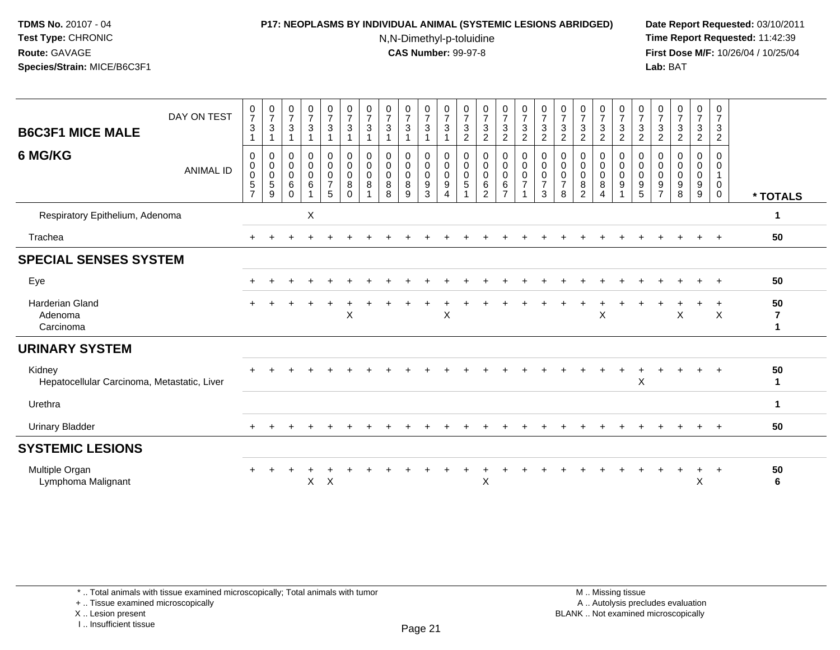#### **P17: NEOPLASMS BY INDIVIDUAL ANIMAL (SYSTEMIC LESIONS ABRIDGED) Date Report Requested:** 03/10/2011

N,N-Dimethyl-p-toluidine

 **Time Report Requested:** 11:42:39 **First Dose M/F:** 10/26/04 / 10/25/04 Lab: BAT **Lab:** BAT

| <b>B6C3F1 MICE MALE</b>                               | DAY ON TEST      | $\frac{0}{7}$<br>$\mathbf{3}$               | $\frac{0}{7}$<br>3                                                 | $\frac{0}{7}$<br>3                             | $\frac{0}{7}$<br>3 | $\begin{smallmatrix}0\\7\end{smallmatrix}$<br>$\mathbf{3}$   | $\frac{0}{7}$<br>$\mathbf{3}$                        | $\frac{0}{7}$<br>3 | $\frac{0}{7}$<br>3                      | $\frac{0}{7}$<br>3              | $\begin{array}{c} 0 \\ 7 \end{array}$<br>3             | $\frac{0}{7}$<br>$\mathbf{3}$                    | $\frac{0}{7}$<br>$\mathsf 3$<br>$\overline{c}$                  | $\frac{0}{7}$<br>$\ensuremath{\mathsf{3}}$<br>$\overline{2}$   | $\frac{0}{7}$<br>$\sqrt{3}$<br>$\overline{2}$      | $\frac{0}{7}$<br>$\sqrt{3}$<br>$\overline{c}$           | $\frac{0}{7}$<br>$\ensuremath{\mathsf{3}}$<br>$\overline{c}$ | $\frac{0}{7}$<br>$\mathbf{3}$<br>$\overline{c}$ | $\frac{0}{7}$<br>$\sqrt{3}$<br>$\overline{c}$        | $\frac{0}{7}$<br>$\sqrt{3}$<br>$\overline{c}$           | $\frac{0}{7}$<br>$\ensuremath{\mathsf{3}}$<br>$\overline{2}$ | $\frac{0}{7}$<br>3<br>$\overline{c}$ | $\mathbf 0$<br>$\overline{7}$<br>3<br>$\overline{c}$ | $\frac{0}{7}$<br>$\mathbf{3}$<br>$\overline{c}$        | $\frac{0}{7}$<br>$\ensuremath{\mathsf{3}}$<br>$\boldsymbol{2}$ | $\frac{0}{7}$<br>3<br>$\overline{c}$                |                    |
|-------------------------------------------------------|------------------|---------------------------------------------|--------------------------------------------------------------------|------------------------------------------------|--------------------|--------------------------------------------------------------|------------------------------------------------------|--------------------|-----------------------------------------|---------------------------------|--------------------------------------------------------|--------------------------------------------------|-----------------------------------------------------------------|----------------------------------------------------------------|----------------------------------------------------|---------------------------------------------------------|--------------------------------------------------------------|-------------------------------------------------|------------------------------------------------------|---------------------------------------------------------|--------------------------------------------------------------|--------------------------------------|------------------------------------------------------|--------------------------------------------------------|----------------------------------------------------------------|-----------------------------------------------------|--------------------|
| 6 MG/KG                                               | <b>ANIMAL ID</b> | 0<br>0<br>0<br>$\sqrt{5}$<br>$\overline{7}$ | $\mathbf 0$<br>$\mathbf 0$<br>$\boldsymbol{0}$<br>$\mathbf 5$<br>9 | 0<br>$\pmb{0}$<br>$\mathbf 0$<br>6<br>$\Omega$ | 0<br>0<br>0<br>6   | 0<br>$\mathsf{O}\xspace$<br>$\pmb{0}$<br>$\overline{7}$<br>5 | $\pmb{0}$<br>$\pmb{0}$<br>$\pmb{0}$<br>8<br>$\Omega$ | 0<br>0<br>0<br>8   | 0<br>$\pmb{0}$<br>$\mathbf 0$<br>8<br>8 | 0<br>$\mathbf 0$<br>0<br>8<br>9 | 0<br>$\pmb{0}$<br>$\mathsf 0$<br>$\boldsymbol{9}$<br>3 | 0<br>$_{\rm 0}^{\rm 0}$<br>$\boldsymbol{9}$<br>4 | 0<br>$\begin{smallmatrix} 0\\0 \end{smallmatrix}$<br>$\sqrt{5}$ | $\pmb{0}$<br>$\pmb{0}$<br>$\pmb{0}$<br>$\,6$<br>$\overline{2}$ | 0<br>$\mathsf 0$<br>0<br>$\,6\,$<br>$\overline{7}$ | 0<br>$\mathsf{O}\xspace$<br>$\pmb{0}$<br>$\overline{7}$ | 0<br>$\pmb{0}$<br>0<br>$\overline{7}$<br>3                   | 0<br>0<br>0<br>$\overline{7}$<br>8              | 0<br>$\pmb{0}$<br>$\mathbf 0$<br>8<br>$\overline{2}$ | 0<br>$\pmb{0}$<br>$\pmb{0}$<br>$\bf8$<br>$\overline{4}$ | 0<br>$\mathsf{O}\xspace$<br>$\pmb{0}$<br>$\boldsymbol{9}$    | 0<br>0<br>0<br>9<br>5                | 0<br>0<br>0<br>9<br>$\overline{7}$                   | 0<br>$\mathbf 0$<br>$\pmb{0}$<br>$\boldsymbol{9}$<br>8 | 0<br>0<br>0<br>9<br>9                                          | 0<br>$\mathbf 0$<br>1<br>$\mathbf 0$<br>$\mathbf 0$ | * TOTALS           |
| Respiratory Epithelium, Adenoma                       |                  |                                             |                                                                    |                                                | X                  |                                                              |                                                      |                    |                                         |                                 |                                                        |                                                  |                                                                 |                                                                |                                                    |                                                         |                                                              |                                                 |                                                      |                                                         |                                                              |                                      |                                                      |                                                        |                                                                |                                                     | 1                  |
| Trachea                                               |                  |                                             |                                                                    |                                                |                    |                                                              |                                                      |                    |                                         |                                 |                                                        |                                                  |                                                                 |                                                                |                                                    |                                                         |                                                              |                                                 |                                                      |                                                         |                                                              |                                      |                                                      |                                                        | $\ddot{}$                                                      | $^{+}$                                              | 50                 |
| <b>SPECIAL SENSES SYSTEM</b>                          |                  |                                             |                                                                    |                                                |                    |                                                              |                                                      |                    |                                         |                                 |                                                        |                                                  |                                                                 |                                                                |                                                    |                                                         |                                                              |                                                 |                                                      |                                                         |                                                              |                                      |                                                      |                                                        |                                                                |                                                     |                    |
| Eye                                                   |                  |                                             |                                                                    |                                                |                    |                                                              |                                                      |                    |                                         |                                 |                                                        |                                                  |                                                                 |                                                                |                                                    |                                                         |                                                              |                                                 |                                                      |                                                         |                                                              |                                      |                                                      |                                                        |                                                                | $\ddot{}$                                           | 50                 |
| <b>Harderian Gland</b><br>Adenoma<br>Carcinoma        |                  |                                             |                                                                    |                                                | $\div$             |                                                              | X                                                    |                    |                                         |                                 |                                                        | X                                                |                                                                 |                                                                |                                                    |                                                         |                                                              |                                                 |                                                      | X                                                       |                                                              |                                      |                                                      | X                                                      | +                                                              | $\ddot{}$<br>$\times$                               | 50<br>7            |
| <b>URINARY SYSTEM</b>                                 |                  |                                             |                                                                    |                                                |                    |                                                              |                                                      |                    |                                         |                                 |                                                        |                                                  |                                                                 |                                                                |                                                    |                                                         |                                                              |                                                 |                                                      |                                                         |                                                              |                                      |                                                      |                                                        |                                                                |                                                     |                    |
| Kidney<br>Hepatocellular Carcinoma, Metastatic, Liver |                  |                                             |                                                                    |                                                |                    |                                                              |                                                      |                    |                                         |                                 |                                                        |                                                  |                                                                 |                                                                |                                                    |                                                         |                                                              |                                                 |                                                      |                                                         |                                                              | X                                    |                                                      |                                                        |                                                                |                                                     | 50<br>$\mathbf{1}$ |
| Urethra                                               |                  |                                             |                                                                    |                                                |                    |                                                              |                                                      |                    |                                         |                                 |                                                        |                                                  |                                                                 |                                                                |                                                    |                                                         |                                                              |                                                 |                                                      |                                                         |                                                              |                                      |                                                      |                                                        |                                                                |                                                     | $\mathbf{1}$       |
| <b>Urinary Bladder</b>                                |                  |                                             |                                                                    |                                                |                    |                                                              |                                                      |                    |                                         |                                 |                                                        |                                                  |                                                                 |                                                                |                                                    |                                                         |                                                              |                                                 |                                                      |                                                         |                                                              |                                      |                                                      |                                                        | $\ddot{}$                                                      | $+$                                                 | 50                 |
| <b>SYSTEMIC LESIONS</b>                               |                  |                                             |                                                                    |                                                |                    |                                                              |                                                      |                    |                                         |                                 |                                                        |                                                  |                                                                 |                                                                |                                                    |                                                         |                                                              |                                                 |                                                      |                                                         |                                                              |                                      |                                                      |                                                        |                                                                |                                                     |                    |
| Multiple Organ<br>Lymphoma Malignant                  |                  |                                             |                                                                    |                                                | X                  | $\mathsf X$                                                  |                                                      |                    |                                         |                                 |                                                        |                                                  |                                                                 | Χ                                                              |                                                    |                                                         |                                                              |                                                 |                                                      |                                                         |                                                              |                                      |                                                      |                                                        | $\ddot{}$<br>X                                                 | $\ddot{}$                                           | 50<br>6            |

+ .. Tissue examined microscopically

X .. Lesion present

I .. Insufficient tissue

 M .. Missing tissuey the contract of the contract of the contract of the contract of the contract of  $\mathsf A$  . Autolysis precludes evaluation Lesion present BLANK .. Not examined microscopically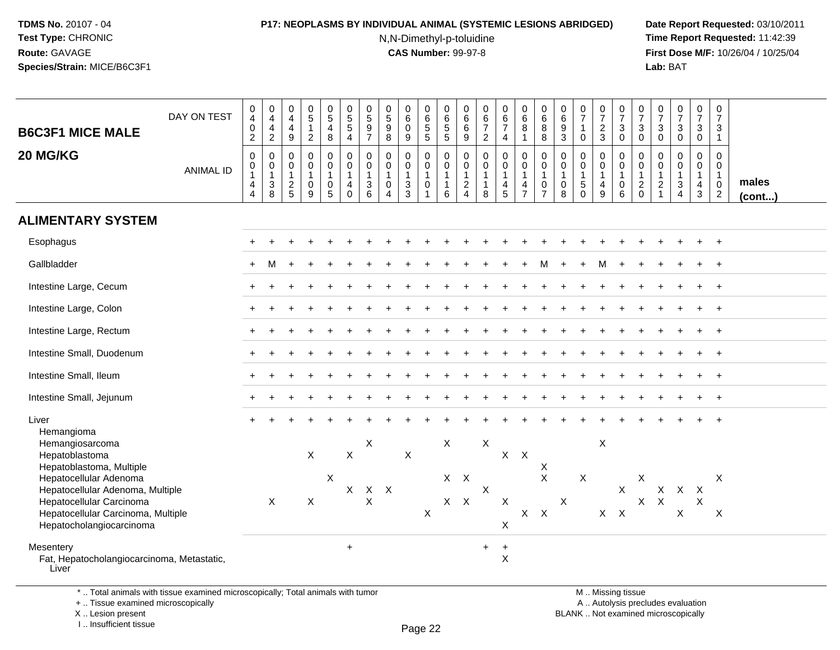# **P17: NEOPLASMS BY INDIVIDUAL ANIMAL (SYSTEMIC LESIONS ABRIDGED) Date Report Requested:** 03/10/2011

N,N-Dimethyl-p-toluidine

 **Time Report Requested:** 11:42:39 **First Dose M/F:** 10/26/04 / 10/25/04<br>Lab: BAT **Lab:** BAT

| <b>B6C3F1 MICE MALE</b>                                                                                               | DAY ON TEST      | 0<br>$\overline{4}$<br>0<br>$\overline{2}$                                     | $\mathbf 0$<br>$\overline{4}$<br>4<br>$\overline{2}$ | 0<br>4<br>$\overline{4}$<br>$\boldsymbol{9}$      | $\begin{array}{c} 0 \\ 5 \end{array}$<br>$\mathbf{1}$<br>$\overline{2}$ | 0<br>$\overline{5}$<br>4<br>$\bf 8$             | $\pmb{0}$<br>$\overline{5}$<br>$\overline{5}$<br>$\overline{4}$           | 0<br>$\overline{5}$<br>9<br>$\overline{7}$ | 0<br>$\overline{5}$<br>9<br>$\bf 8$                               | $\pmb{0}$<br>$6\phantom{a}$<br>$\mathsf{O}\xspace$<br>$9\,$ | $\pmb{0}$<br>$6\phantom{a}$<br>$\,$ 5 $\,$<br>$\overline{5}$                | $\mathsf 0$<br>$\,6\,$<br>$\,$ 5 $\,$<br>$\overline{5}$       | 0<br>$\,6\,$<br>$\,6\,$<br>$\boldsymbol{9}$                                      | 0<br>$6\phantom{a}$<br>$\overline{7}$<br>$\overline{2}$         | $_{6}^{\rm 0}$<br>$\overline{7}$<br>4                              | $_{6}^{\rm 0}$<br>8<br>$\mathbf{1}$                     | $\pmb{0}$<br>$6\phantom{a}$<br>$\bf8$<br>$\bf8$                         | 0<br>$\,6\,$<br>$\boldsymbol{9}$<br>$\mathbf{3}$       | 0<br>$\overline{7}$<br>$\mathbf{1}$<br>$\mathbf 0$                | $\frac{0}{7}$<br>$\overline{2}$<br>3                      | $\begin{array}{c} 0 \\ 7 \end{array}$<br>3<br>0         | $\begin{array}{c} 0 \\ 7 \end{array}$<br>$\mathbf{3}$<br>$\mathbf 0$ | $\frac{0}{7}$<br>$\mathbf{3}$<br>$\mathbf 0$                             | $\begin{array}{c} 0 \\ 7 \end{array}$<br>$\mathbf{3}$<br>0       | $\frac{0}{7}$<br>3<br>$\mathbf 0$                                  | $\pmb{0}$<br>$\overline{7}$<br>3<br>$\mathbf{1}$                                           |                 |
|-----------------------------------------------------------------------------------------------------------------------|------------------|--------------------------------------------------------------------------------|------------------------------------------------------|---------------------------------------------------|-------------------------------------------------------------------------|-------------------------------------------------|---------------------------------------------------------------------------|--------------------------------------------|-------------------------------------------------------------------|-------------------------------------------------------------|-----------------------------------------------------------------------------|---------------------------------------------------------------|----------------------------------------------------------------------------------|-----------------------------------------------------------------|--------------------------------------------------------------------|---------------------------------------------------------|-------------------------------------------------------------------------|--------------------------------------------------------|-------------------------------------------------------------------|-----------------------------------------------------------|---------------------------------------------------------|----------------------------------------------------------------------|--------------------------------------------------------------------------|------------------------------------------------------------------|--------------------------------------------------------------------|--------------------------------------------------------------------------------------------|-----------------|
| 20 MG/KG                                                                                                              | <b>ANIMAL ID</b> | $\mathbf 0$<br>$\pmb{0}$<br>$\overline{1}$<br>$\overline{4}$<br>$\overline{4}$ | $\mathbf 0$<br>0<br>$\mathbf{1}$<br>$\frac{3}{8}$    | $\mathbf 0$<br>0<br>$\mathbf{1}$<br>$\frac{2}{5}$ | $\mathbf 0$<br>$\pmb{0}$<br>$\mathbf{1}$<br>$\pmb{0}$<br>$\overline{9}$ | 0<br>0<br>$\overline{1}$<br>0<br>$\overline{5}$ | $\mathbf 0$<br>$\pmb{0}$<br>$\mathbf{1}$<br>$\overline{4}$<br>$\mathbf 0$ | $\mathbf 0$<br>0<br>$\mathbf{1}$<br>3<br>6 | $\mathbf 0$<br>0<br>$\mathbf{1}$<br>$\mathbf 0$<br>$\overline{4}$ | $\mathbf 0$<br>0<br>1<br>$\sqrt{3}$<br>$\overline{3}$       | $\mathbf 0$<br>$\mathbf 0$<br>$\mathbf{1}$<br>$\mathbf 0$<br>$\overline{1}$ | $\mathbf 0$<br>0<br>$\overline{1}$<br>$\mathbf{1}$<br>$\,6\,$ | $\mathbf 0$<br>$\mathbf 0$<br>$\mathbf{1}$<br>$\boldsymbol{2}$<br>$\overline{4}$ | $\mathbf 0$<br>$\mathbf 0$<br>$\mathbf{1}$<br>$\mathbf{1}$<br>8 | $\mathbf 0$<br>$\mathsf{O}$<br>$\mathbf{1}$<br>4<br>$\overline{5}$ | $\mathbf 0$<br>0<br>$\mathbf{1}$<br>4<br>$\overline{7}$ | $\mathbf 0$<br>$\pmb{0}$<br>$\mathbf{1}$<br>$\pmb{0}$<br>$\overline{7}$ | $\mathbf 0$<br>0<br>$\overline{1}$<br>$\mathbf 0$<br>8 | $\Omega$<br>$\mathbf 0$<br>$\mathbf{1}$<br>$\sqrt{5}$<br>$\Omega$ | $\mathbf 0$<br>0<br>$\mathbf{1}$<br>4<br>$\boldsymbol{9}$ | $\mathbf 0$<br>0<br>$\mathbf{1}$<br>0<br>$\overline{6}$ | $\Omega$<br>0<br>$\mathbf{1}$<br>$^2_{\rm 0}$                        | $\mathbf 0$<br>0<br>$\overline{1}$<br>$\boldsymbol{2}$<br>$\overline{1}$ | $\mathbf 0$<br>0<br>$\mathbf{1}$<br>$\sqrt{3}$<br>$\overline{4}$ | $\mathbf 0$<br>0<br>$\mathbf{1}$<br>$\overline{4}$<br>$\mathbf{3}$ | $\mathbf 0$<br>$\mathbf 0$<br>$\mathbf{1}$<br>$\begin{smallmatrix} 0\\2 \end{smallmatrix}$ | males<br>(cont) |
| <b>ALIMENTARY SYSTEM</b>                                                                                              |                  |                                                                                |                                                      |                                                   |                                                                         |                                                 |                                                                           |                                            |                                                                   |                                                             |                                                                             |                                                               |                                                                                  |                                                                 |                                                                    |                                                         |                                                                         |                                                        |                                                                   |                                                           |                                                         |                                                                      |                                                                          |                                                                  |                                                                    |                                                                                            |                 |
| Esophagus                                                                                                             |                  |                                                                                |                                                      |                                                   |                                                                         |                                                 |                                                                           |                                            |                                                                   |                                                             |                                                                             |                                                               |                                                                                  |                                                                 |                                                                    |                                                         |                                                                         |                                                        |                                                                   |                                                           |                                                         |                                                                      |                                                                          |                                                                  |                                                                    |                                                                                            |                 |
| Gallbladder                                                                                                           |                  |                                                                                |                                                      |                                                   |                                                                         |                                                 |                                                                           |                                            |                                                                   |                                                             |                                                                             |                                                               |                                                                                  |                                                                 |                                                                    |                                                         |                                                                         |                                                        |                                                                   |                                                           |                                                         |                                                                      |                                                                          |                                                                  |                                                                    |                                                                                            |                 |
| Intestine Large, Cecum                                                                                                |                  |                                                                                |                                                      |                                                   |                                                                         |                                                 |                                                                           |                                            |                                                                   |                                                             |                                                                             |                                                               |                                                                                  |                                                                 |                                                                    |                                                         |                                                                         |                                                        |                                                                   |                                                           |                                                         |                                                                      |                                                                          |                                                                  |                                                                    |                                                                                            |                 |
| Intestine Large, Colon                                                                                                |                  |                                                                                |                                                      |                                                   |                                                                         |                                                 |                                                                           |                                            |                                                                   |                                                             |                                                                             |                                                               |                                                                                  |                                                                 |                                                                    |                                                         |                                                                         |                                                        |                                                                   |                                                           |                                                         |                                                                      |                                                                          |                                                                  |                                                                    | $\ddot{}$                                                                                  |                 |
| Intestine Large, Rectum                                                                                               |                  |                                                                                |                                                      |                                                   |                                                                         |                                                 |                                                                           |                                            |                                                                   |                                                             |                                                                             |                                                               |                                                                                  |                                                                 |                                                                    |                                                         |                                                                         |                                                        |                                                                   |                                                           |                                                         |                                                                      |                                                                          |                                                                  |                                                                    |                                                                                            |                 |
| Intestine Small, Duodenum                                                                                             |                  |                                                                                |                                                      |                                                   |                                                                         |                                                 |                                                                           |                                            |                                                                   |                                                             |                                                                             |                                                               |                                                                                  |                                                                 |                                                                    |                                                         |                                                                         |                                                        |                                                                   |                                                           |                                                         |                                                                      |                                                                          |                                                                  |                                                                    |                                                                                            |                 |
| Intestine Small, Ileum                                                                                                |                  |                                                                                |                                                      |                                                   |                                                                         |                                                 |                                                                           |                                            |                                                                   |                                                             |                                                                             |                                                               |                                                                                  |                                                                 |                                                                    |                                                         |                                                                         |                                                        |                                                                   |                                                           |                                                         |                                                                      |                                                                          |                                                                  |                                                                    | $\ddot{+}$                                                                                 |                 |
| Intestine Small, Jejunum                                                                                              |                  |                                                                                |                                                      |                                                   |                                                                         |                                                 |                                                                           |                                            |                                                                   |                                                             |                                                                             |                                                               |                                                                                  |                                                                 |                                                                    |                                                         |                                                                         |                                                        |                                                                   |                                                           |                                                         |                                                                      |                                                                          |                                                                  |                                                                    |                                                                                            |                 |
| Liver<br>Hemangioma                                                                                                   |                  |                                                                                |                                                      |                                                   |                                                                         |                                                 |                                                                           |                                            |                                                                   |                                                             |                                                                             |                                                               |                                                                                  |                                                                 |                                                                    |                                                         |                                                                         |                                                        |                                                                   |                                                           |                                                         |                                                                      |                                                                          |                                                                  |                                                                    |                                                                                            |                 |
| Hemangiosarcoma<br>Hepatoblastoma<br>Hepatoblastoma, Multiple                                                         |                  |                                                                                |                                                      |                                                   | $\mathsf{X}$                                                            |                                                 | $\mathsf{X}$                                                              | X                                          |                                                                   | X                                                           |                                                                             | $\mathsf X$                                                   |                                                                                  | X                                                               | X                                                                  | $\mathsf{X}$                                            | X                                                                       |                                                        |                                                                   | X                                                         |                                                         |                                                                      |                                                                          |                                                                  |                                                                    |                                                                                            |                 |
| Hepatocellular Adenoma<br>Hepatocellular Adenoma, Multiple<br>Hepatocellular Carcinoma                                |                  |                                                                                | $\sf X$                                              |                                                   | X                                                                       | X                                               | $\mathsf{X}$                                                              | $X$ $X$<br>X                               |                                                                   |                                                             |                                                                             |                                                               | $X$ $X$<br>$X$ $X$                                                               | $\mathsf{X}$                                                    | $\sf X$                                                            |                                                         | $\boldsymbol{\mathsf{X}}$                                               | $\sf X$                                                | $\mathsf X$                                                       |                                                           | $\pmb{\times}$                                          | X<br>$\mathsf{X}$                                                    | $\mathsf{X}$<br>$\mathsf{X}$                                             | $\mathsf{X}$                                                     | X<br>X                                                             | X                                                                                          |                 |
| Hepatocellular Carcinoma, Multiple<br>Hepatocholangiocarcinoma                                                        |                  |                                                                                |                                                      |                                                   |                                                                         |                                                 |                                                                           |                                            |                                                                   |                                                             | $\mathsf X$                                                                 |                                                               |                                                                                  |                                                                 | X                                                                  | $\mathsf{X}$                                            | $\boldsymbol{\mathsf{X}}$                                               |                                                        |                                                                   | $X$ $X$                                                   |                                                         |                                                                      |                                                                          | $\boldsymbol{\mathsf{X}}$                                        |                                                                    | $\boldsymbol{X}$                                                                           |                 |
| Mesentery<br>Fat, Hepatocholangiocarcinoma, Metastatic,<br>Liver                                                      |                  |                                                                                |                                                      |                                                   |                                                                         |                                                 | $\ddot{}$                                                                 |                                            |                                                                   |                                                             |                                                                             |                                                               |                                                                                  | $\ddot{}$                                                       | $\ddot{}$<br>$\mathsf X$                                           |                                                         |                                                                         |                                                        |                                                                   |                                                           |                                                         |                                                                      |                                                                          |                                                                  |                                                                    |                                                                                            |                 |
| *  Total animals with tissue examined microscopically; Total animals with tumor<br>+  Tissue examined microscopically |                  |                                                                                |                                                      |                                                   |                                                                         |                                                 |                                                                           |                                            |                                                                   |                                                             |                                                                             |                                                               |                                                                                  |                                                                 |                                                                    |                                                         |                                                                         |                                                        |                                                                   |                                                           | M  Missing tissue<br>A  Autolysis precludes evaluation  |                                                                      |                                                                          |                                                                  |                                                                    |                                                                                            |                 |

X .. Lesion present

I .. Insufficient tissue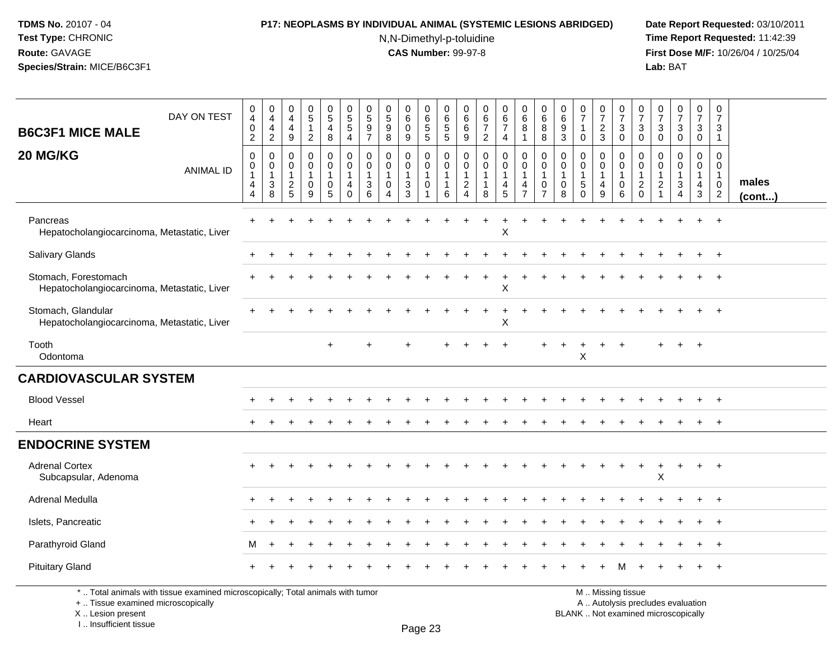# **P17: NEOPLASMS BY INDIVIDUAL ANIMAL (SYSTEMIC LESIONS ABRIDGED) Date Report Requested:** 03/10/2011

N,N-Dimethyl-p-toluidine

 **Time Report Requested:** 11:42:39 **First Dose M/F:** 10/26/04 / 10/25/04<br>Lab: BAT **Lab:** BAT

| <b>B6C3F1 MICE MALE</b>                                                         | DAY ON TEST      | $\pmb{0}$<br>$\overline{4}$<br>$\pmb{0}$<br>$\overline{2}$ | $\begin{array}{c} 0 \\ 4 \\ 4 \\ 2 \end{array}$                     | $\begin{smallmatrix}0\0\4\end{smallmatrix}$<br>$\overline{4}$<br>$9\,$ | $\begin{matrix} 0 \\ 5 \end{matrix}$<br>$\mathbf{1}$<br>$\overline{2}$ | $\begin{matrix} 0 \\ 5 \end{matrix}$<br>$\overline{4}$<br>8 | $\begin{array}{c} 0 \\ 5 \\ 5 \end{array}$<br>$\overline{4}$           | $\begin{matrix} 0 \\ 5 \end{matrix}$<br>9<br>$\overline{7}$ | $\begin{matrix} 0 \\ 5 \end{matrix}$<br>9<br>$\overline{8}$             | $\pmb{0}$<br>$\,6\,$<br>$\mathbf 0$<br>$9\,$                                  | 0<br>$\,6\,$<br>$\begin{array}{c} 5 \\ 5 \end{array}$ | 0<br>6<br>$\frac{5}{5}$                               | 0<br>$\,6\,$<br>$^6_9$                                                               | $\begin{array}{c} 0 \\ 6 \\ 7 \end{array}$<br>$\boldsymbol{2}$ | $_{\rm 6}^{\rm 0}$<br>$\boldsymbol{7}$<br>4                                         | $\begin{array}{c} 0 \\ 6 \end{array}$<br>8<br>$\mathbf{1}$                   | $\begin{array}{c} 0 \\ 6 \end{array}$<br>8<br>8 | 0<br>$\,6\,$<br>9<br>$\overline{3}$                 | $\frac{0}{7}$<br>$\mathbf{1}$<br>$\mathbf 0$   | 0<br>$\overline{7}$<br>$\frac{2}{3}$                      | $\frac{0}{7}$<br>$_{\rm 0}^3$                                  | $\frac{0}{7}$<br>3<br>$\mathbf 0$                                             | $\frac{0}{7}$<br>$_0^3$                                      | $\frac{0}{7}$<br>$_0^3$                                 | 0<br>$\boldsymbol{7}$<br>$_0^3$                                    | $\pmb{0}$<br>$\overline{7}$<br>3<br>$\mathbf{1}$                          |                 |
|---------------------------------------------------------------------------------|------------------|------------------------------------------------------------|---------------------------------------------------------------------|------------------------------------------------------------------------|------------------------------------------------------------------------|-------------------------------------------------------------|------------------------------------------------------------------------|-------------------------------------------------------------|-------------------------------------------------------------------------|-------------------------------------------------------------------------------|-------------------------------------------------------|-------------------------------------------------------|--------------------------------------------------------------------------------------|----------------------------------------------------------------|-------------------------------------------------------------------------------------|------------------------------------------------------------------------------|-------------------------------------------------|-----------------------------------------------------|------------------------------------------------|-----------------------------------------------------------|----------------------------------------------------------------|-------------------------------------------------------------------------------|--------------------------------------------------------------|---------------------------------------------------------|--------------------------------------------------------------------|---------------------------------------------------------------------------|-----------------|
| 20 MG/KG                                                                        | <b>ANIMAL ID</b> | $\mathbf 0$<br>0<br>4<br>4                                 | $\mathbf 0$<br>$\begin{smallmatrix}0\\1\end{smallmatrix}$<br>$_8^3$ | $\pmb{0}$<br>$\mathbf 0$<br>$\mathbf{1}$<br>$\frac{2}{5}$              | 0<br>$\mathbf 0$<br>1<br>$\overline{0}$<br>9                           | $\pmb{0}$<br>$\mathbf 0$<br>$\mathbf{1}$<br>$\pmb{0}$<br>5  | $\pmb{0}$<br>$\mathbf 0$<br>$\mathbf{1}$<br>$\overline{4}$<br>$\Omega$ | $\mathbf 0$<br>$\mathbf 0$<br>$\mathbf{3}$<br>6             | $\mathbf 0$<br>$\mathbf 0$<br>$\overline{1}$<br>$\mathbf 0$<br>$\Delta$ | 0<br>$\mathbf 0$<br>$\mathbf{1}$<br>$\ensuremath{\mathsf{3}}$<br>$\mathbf{3}$ | 0<br>$\mathbf 0$<br>$\mathbf{1}$<br>$\pmb{0}$<br>1    | 0<br>$\mathbf 0$<br>$\mathbf{1}$<br>$\mathbf{1}$<br>6 | $\mathsf{O}\xspace$<br>$\mathbf 0$<br>$\overline{1}$<br>$\sqrt{2}$<br>$\overline{4}$ | $\pmb{0}$<br>$\mathbf 0$<br>$\mathbf{1}$<br>8                  | $\pmb{0}$<br>$\mathbf 0$<br>$\overline{1}$<br>$\begin{array}{c} 4 \\ 5 \end{array}$ | $\pmb{0}$<br>$\mathbf 0$<br>$\mathbf{1}$<br>$\overline{4}$<br>$\overline{7}$ | 0<br>$\mathbf 0$<br>1<br>0<br>$\overline{7}$    | $\mathbf 0$<br>$\mathbf 0$<br>$\mathbf 1$<br>0<br>8 | 0<br>$\pmb{0}$<br>1<br>$\,$ 5 $\,$<br>$\Omega$ | 0<br>$\mathbf 0$<br>$\overline{1}$<br>$\overline{4}$<br>9 | $\mathbf 0$<br>$\mathbf 0$<br>$\overline{1}$<br>$\pmb{0}$<br>6 | $\mathbf 0$<br>$\mathbf 0$<br>$\overline{1}$<br>$\overline{c}$<br>$\mathbf 0$ | $\mathbf 0$<br>$\mathbf 0$<br>$\mathbf 1$<br>$\sqrt{2}$<br>1 | 0<br>$\mathbf 0$<br>$\mathbf{1}$<br>3<br>$\overline{4}$ | 0<br>$\mathbf 0$<br>$\mathbf{1}$<br>$\overline{4}$<br>$\mathbf{3}$ | $\mathbf 0$<br>$\mathbf 0$<br>$\mathbf{1}$<br>$\pmb{0}$<br>$\overline{2}$ | males<br>(cont) |
| Pancreas<br>Hepatocholangiocarcinoma, Metastatic, Liver                         |                  |                                                            |                                                                     |                                                                        |                                                                        |                                                             |                                                                        |                                                             |                                                                         |                                                                               |                                                       |                                                       |                                                                                      |                                                                | $\sf X$                                                                             |                                                                              |                                                 |                                                     |                                                |                                                           |                                                                |                                                                               |                                                              |                                                         | $+$                                                                | $+$                                                                       |                 |
| Salivary Glands                                                                 |                  |                                                            |                                                                     |                                                                        |                                                                        |                                                             |                                                                        |                                                             |                                                                         |                                                                               |                                                       |                                                       |                                                                                      |                                                                |                                                                                     |                                                                              |                                                 |                                                     |                                                |                                                           |                                                                |                                                                               |                                                              |                                                         |                                                                    | $+$                                                                       |                 |
| Stomach, Forestomach<br>Hepatocholangiocarcinoma, Metastatic, Liver             |                  |                                                            |                                                                     |                                                                        |                                                                        |                                                             |                                                                        |                                                             |                                                                         |                                                                               |                                                       |                                                       |                                                                                      |                                                                | $\mathsf X$                                                                         |                                                                              |                                                 |                                                     |                                                |                                                           |                                                                |                                                                               |                                                              |                                                         |                                                                    |                                                                           |                 |
| Stomach, Glandular<br>Hepatocholangiocarcinoma, Metastatic, Liver               |                  |                                                            |                                                                     |                                                                        |                                                                        |                                                             |                                                                        |                                                             |                                                                         |                                                                               |                                                       |                                                       |                                                                                      |                                                                | X                                                                                   |                                                                              |                                                 |                                                     |                                                |                                                           |                                                                |                                                                               |                                                              |                                                         |                                                                    |                                                                           |                 |
| Tooth<br>Odontoma                                                               |                  |                                                            |                                                                     |                                                                        |                                                                        |                                                             |                                                                        |                                                             |                                                                         |                                                                               |                                                       |                                                       |                                                                                      |                                                                |                                                                                     |                                                                              |                                                 |                                                     | X                                              |                                                           |                                                                |                                                                               |                                                              |                                                         | $\overline{+}$                                                     |                                                                           |                 |
| <b>CARDIOVASCULAR SYSTEM</b>                                                    |                  |                                                            |                                                                     |                                                                        |                                                                        |                                                             |                                                                        |                                                             |                                                                         |                                                                               |                                                       |                                                       |                                                                                      |                                                                |                                                                                     |                                                                              |                                                 |                                                     |                                                |                                                           |                                                                |                                                                               |                                                              |                                                         |                                                                    |                                                                           |                 |
| <b>Blood Vessel</b>                                                             |                  |                                                            |                                                                     |                                                                        |                                                                        |                                                             |                                                                        |                                                             |                                                                         |                                                                               |                                                       |                                                       |                                                                                      |                                                                |                                                                                     |                                                                              |                                                 |                                                     |                                                |                                                           |                                                                |                                                                               |                                                              |                                                         |                                                                    |                                                                           |                 |
| Heart                                                                           |                  |                                                            |                                                                     |                                                                        |                                                                        |                                                             |                                                                        |                                                             |                                                                         |                                                                               |                                                       |                                                       |                                                                                      |                                                                |                                                                                     |                                                                              |                                                 |                                                     |                                                |                                                           |                                                                |                                                                               |                                                              |                                                         |                                                                    | $+$                                                                       |                 |
| <b>ENDOCRINE SYSTEM</b>                                                         |                  |                                                            |                                                                     |                                                                        |                                                                        |                                                             |                                                                        |                                                             |                                                                         |                                                                               |                                                       |                                                       |                                                                                      |                                                                |                                                                                     |                                                                              |                                                 |                                                     |                                                |                                                           |                                                                |                                                                               |                                                              |                                                         |                                                                    |                                                                           |                 |
| <b>Adrenal Cortex</b><br>Subcapsular, Adenoma                                   |                  |                                                            |                                                                     |                                                                        |                                                                        |                                                             |                                                                        |                                                             |                                                                         |                                                                               |                                                       |                                                       |                                                                                      |                                                                |                                                                                     |                                                                              |                                                 |                                                     |                                                |                                                           |                                                                |                                                                               | X                                                            | $\ddot{}$                                               | $+$                                                                | $+$                                                                       |                 |
| Adrenal Medulla                                                                 |                  |                                                            |                                                                     |                                                                        |                                                                        |                                                             |                                                                        |                                                             |                                                                         |                                                                               |                                                       |                                                       |                                                                                      |                                                                |                                                                                     |                                                                              |                                                 |                                                     |                                                |                                                           |                                                                |                                                                               |                                                              |                                                         |                                                                    | $\overline{1}$                                                            |                 |
| Islets, Pancreatic                                                              |                  |                                                            |                                                                     |                                                                        |                                                                        |                                                             |                                                                        |                                                             |                                                                         |                                                                               |                                                       |                                                       |                                                                                      |                                                                |                                                                                     |                                                                              |                                                 |                                                     |                                                |                                                           |                                                                |                                                                               |                                                              |                                                         |                                                                    | $\overline{1}$                                                            |                 |
| Parathyroid Gland                                                               |                  | м                                                          |                                                                     |                                                                        |                                                                        |                                                             |                                                                        |                                                             |                                                                         |                                                                               |                                                       |                                                       |                                                                                      |                                                                |                                                                                     |                                                                              |                                                 |                                                     |                                                |                                                           |                                                                |                                                                               |                                                              |                                                         |                                                                    |                                                                           |                 |
| <b>Pituitary Gland</b>                                                          |                  |                                                            |                                                                     |                                                                        |                                                                        |                                                             |                                                                        |                                                             |                                                                         |                                                                               |                                                       |                                                       |                                                                                      |                                                                |                                                                                     |                                                                              |                                                 |                                                     |                                                |                                                           |                                                                |                                                                               |                                                              |                                                         |                                                                    |                                                                           |                 |
| *  Total animals with tissue examined microscopically; Total animals with tumor |                  |                                                            |                                                                     |                                                                        |                                                                        |                                                             |                                                                        |                                                             |                                                                         |                                                                               |                                                       |                                                       |                                                                                      |                                                                |                                                                                     |                                                                              |                                                 |                                                     |                                                |                                                           | M  Missing tissue                                              |                                                                               |                                                              |                                                         |                                                                    |                                                                           |                 |

+ .. Tissue examined microscopically

X .. Lesion present

I .. Insufficient tissue

y the contract of the contract of the contract of the contract of the contract of  $\mathsf A$  . Autolysis precludes evaluation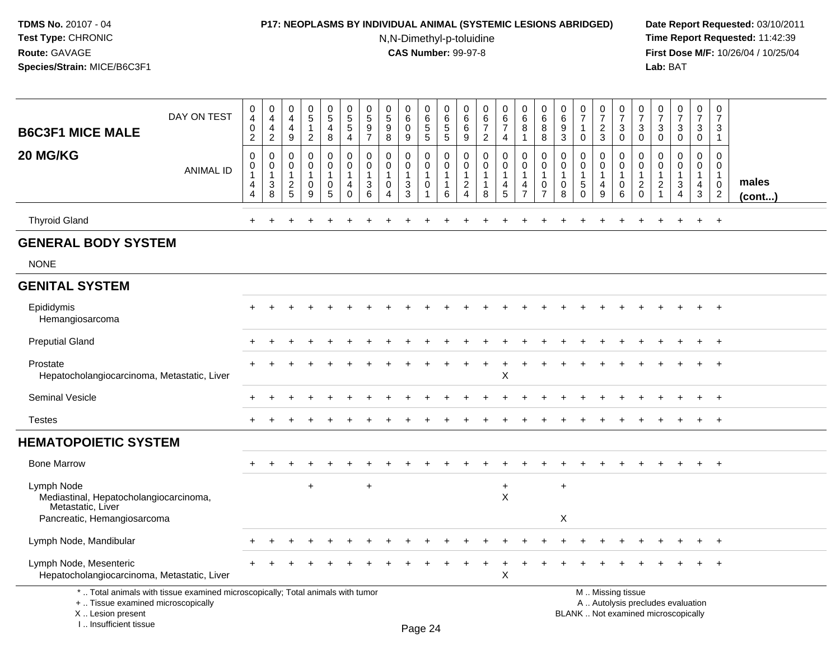## **P17: NEOPLASMS BY INDIVIDUAL ANIMAL (SYSTEMIC LESIONS ABRIDGED) Date Report Requested:** 03/10/2011

N,N-Dimethyl-p-toluidine

| DAY ON TEST<br><b>B6C3F1 MICE MALE</b>                                                                                                                              | $\mathbf 0$<br>$\overline{4}$<br>$\mathbf 0$<br>$\overline{c}$ | $\boldsymbol{0}$<br>$\overline{4}$<br>$\overline{4}$<br>$\overline{2}$       | 0<br>4<br>4<br>9                                        | $\pmb{0}$<br>$\overline{5}$<br>$\mathbf{1}$<br>$\overline{2}$ | $\begin{array}{c} 0 \\ 5 \\ 4 \end{array}$<br>8                             | $\pmb{0}$<br>$\overline{5}$<br>4                           | 0<br>$\,$ 5 $\,$<br>9<br>$\overline{7}$                | 0<br>$\overline{5}$<br>9<br>8                                                       | 0<br>$\,6\,$<br>$\mathbf 0$<br>$\boldsymbol{9}$      | $\,0\,$<br>$\overline{6}$<br>5<br>5                                     | $\pmb{0}$<br>$\overline{6}$<br>5<br>5                                       | 0<br>6<br>$\,6$<br>9                                                           | $\pmb{0}$<br>$rac{6}{7}$<br>$\overline{2}$                      | $\pmb{0}$<br>$rac{6}{7}$<br>4                                     | $\mathbf 0$<br>$\,6\,$<br>8<br>1                                  | $\pmb{0}$<br>$6\phantom{a}$<br>8<br>8                          | $\pmb{0}$<br>$\,6\,$<br>$\boldsymbol{9}$<br>$\mathbf{3}$ | $\begin{array}{c} 0 \\ 7 \end{array}$<br>$\mathbf{1}$<br>$\pmb{0}$   | $\pmb{0}$<br>$\overline{7}$<br>$\frac{2}{3}$                                     | 0<br>$\overline{7}$<br>$\mathbf{3}$<br>$\mathbf 0$   | 0<br>$\overline{7}$<br>3<br>$\mathbf 0$                       | $\,0\,$<br>$\overline{7}$<br>$\mathsf 3$<br>$\mathbf 0$                              | $\frac{0}{7}$<br>3<br>$\mathsf{O}\xspace$  | $\pmb{0}$<br>$\overline{7}$<br>$\mathbf{3}$<br>$\mathsf{O}\xspace$ | $\pmb{0}$<br>$\overline{7}$<br>3<br>$\overline{1}$                            |                 |
|---------------------------------------------------------------------------------------------------------------------------------------------------------------------|----------------------------------------------------------------|------------------------------------------------------------------------------|---------------------------------------------------------|---------------------------------------------------------------|-----------------------------------------------------------------------------|------------------------------------------------------------|--------------------------------------------------------|-------------------------------------------------------------------------------------|------------------------------------------------------|-------------------------------------------------------------------------|-----------------------------------------------------------------------------|--------------------------------------------------------------------------------|-----------------------------------------------------------------|-------------------------------------------------------------------|-------------------------------------------------------------------|----------------------------------------------------------------|----------------------------------------------------------|----------------------------------------------------------------------|----------------------------------------------------------------------------------|------------------------------------------------------|---------------------------------------------------------------|--------------------------------------------------------------------------------------|--------------------------------------------|--------------------------------------------------------------------|-------------------------------------------------------------------------------|-----------------|
| 20 MG/KG<br><b>ANIMAL ID</b>                                                                                                                                        | $\mathbf 0$<br>0<br>$\mathbf{1}$<br>$\overline{4}$<br>4        | $\mathbf 0$<br>$\mathbf 0$<br>$\mathbf{1}$<br>$\ensuremath{\mathsf{3}}$<br>8 | $\mathbf 0$<br>0<br>$\mathbf{1}$<br>$\overline{c}$<br>5 | 0<br>$\mathbf 0$<br>$\mathbf 1$<br>0<br>$\overline{9}$        | $\mathsf 0$<br>$\mathbf 0$<br>$\mathbf{1}$<br>$\mathbf 0$<br>$\overline{5}$ | $\pmb{0}$<br>$\mathbf 0$<br>$\mathbf{1}$<br>4<br>$\pmb{0}$ | $\mathbf 0$<br>$\mathbf 0$<br>$\overline{1}$<br>3<br>6 | $\mathbf 0$<br>$\mathbf 0$<br>$\mathbf{1}$<br>$\mathbf 0$<br>$\boldsymbol{\Lambda}$ | $\mathbf 0$<br>$\mathbf 0$<br>1<br>3<br>$\mathbf{3}$ | $\mathbf 0$<br>$\pmb{0}$<br>$\mathbf{1}$<br>$\mathbf 0$<br>$\mathbf{1}$ | $\mathsf{O}\xspace$<br>$\mathbf 0$<br>$\mathbf{1}$<br>$\mathbf{1}$<br>$\,6$ | $\mathbf 0$<br>$\mathbf 0$<br>$\mathbf{1}$<br>$\overline{2}$<br>$\overline{4}$ | $\pmb{0}$<br>$\mathbf 0$<br>$\overline{1}$<br>$\mathbf{1}$<br>8 | $\mathbf 0$<br>$\mathbf 0$<br>$\mathbf{1}$<br>4<br>$\overline{5}$ | $\mathbf 0$<br>$\mathbf 0$<br>$\mathbf{1}$<br>4<br>$\overline{7}$ | $\mathbf 0$<br>$\pmb{0}$<br>1<br>$\mathbf 0$<br>$\overline{7}$ | $\mathbf 0$<br>$\mathbf 0$<br>$\mathbf{1}$<br>0<br>8     | $\mathbf 0$<br>$\mathbf 0$<br>$\mathbf{1}$<br>$\sqrt{5}$<br>$\Omega$ | $\mathbf 0$<br>$\mathbf 0$<br>$\mathbf{1}$<br>$\overline{4}$<br>$\boldsymbol{9}$ | $\mathbf 0$<br>$\mathbf 0$<br>$\mathbf{1}$<br>0<br>6 | $\mathbf 0$<br>$\mathbf 0$<br>1<br>$\overline{2}$<br>$\Omega$ | $\mathbf 0$<br>$\mathbf 0$<br>$\mathbf{1}$<br>$\overline{c}$<br>$\blacktriangleleft$ | 0<br>$\mathbf 0$<br>$\mathbf{1}$<br>3<br>4 | 0<br>0<br>$\mathbf{1}$<br>$\overline{4}$<br>$\sqrt{3}$             | $\mathbf 0$<br>$\mathbf 0$<br>$\overline{1}$<br>$\mathbf 0$<br>$\overline{2}$ | males<br>(cont) |
| <b>Thyroid Gland</b>                                                                                                                                                |                                                                |                                                                              |                                                         |                                                               |                                                                             |                                                            |                                                        |                                                                                     |                                                      |                                                                         |                                                                             |                                                                                |                                                                 |                                                                   |                                                                   |                                                                |                                                          |                                                                      |                                                                                  |                                                      |                                                               |                                                                                      | $\div$                                     | $\ddot{}$                                                          | $+$                                                                           |                 |
| <b>GENERAL BODY SYSTEM</b>                                                                                                                                          |                                                                |                                                                              |                                                         |                                                               |                                                                             |                                                            |                                                        |                                                                                     |                                                      |                                                                         |                                                                             |                                                                                |                                                                 |                                                                   |                                                                   |                                                                |                                                          |                                                                      |                                                                                  |                                                      |                                                               |                                                                                      |                                            |                                                                    |                                                                               |                 |
| <b>NONE</b>                                                                                                                                                         |                                                                |                                                                              |                                                         |                                                               |                                                                             |                                                            |                                                        |                                                                                     |                                                      |                                                                         |                                                                             |                                                                                |                                                                 |                                                                   |                                                                   |                                                                |                                                          |                                                                      |                                                                                  |                                                      |                                                               |                                                                                      |                                            |                                                                    |                                                                               |                 |
| <b>GENITAL SYSTEM</b>                                                                                                                                               |                                                                |                                                                              |                                                         |                                                               |                                                                             |                                                            |                                                        |                                                                                     |                                                      |                                                                         |                                                                             |                                                                                |                                                                 |                                                                   |                                                                   |                                                                |                                                          |                                                                      |                                                                                  |                                                      |                                                               |                                                                                      |                                            |                                                                    |                                                                               |                 |
| Epididymis<br>Hemangiosarcoma                                                                                                                                       |                                                                |                                                                              |                                                         |                                                               |                                                                             |                                                            |                                                        |                                                                                     |                                                      |                                                                         |                                                                             |                                                                                |                                                                 |                                                                   |                                                                   |                                                                |                                                          |                                                                      |                                                                                  |                                                      |                                                               |                                                                                      |                                            |                                                                    | $\overline{+}$                                                                |                 |
| <b>Preputial Gland</b>                                                                                                                                              |                                                                |                                                                              |                                                         |                                                               |                                                                             |                                                            |                                                        |                                                                                     |                                                      |                                                                         |                                                                             |                                                                                |                                                                 |                                                                   |                                                                   |                                                                |                                                          |                                                                      |                                                                                  |                                                      |                                                               |                                                                                      |                                            | $\ddot{}$                                                          | $+$                                                                           |                 |
| Prostate<br>Hepatocholangiocarcinoma, Metastatic, Liver                                                                                                             |                                                                |                                                                              |                                                         |                                                               |                                                                             |                                                            |                                                        |                                                                                     |                                                      |                                                                         |                                                                             |                                                                                |                                                                 | X                                                                 |                                                                   |                                                                |                                                          |                                                                      |                                                                                  |                                                      |                                                               |                                                                                      |                                            | +                                                                  | $\overline{+}$                                                                |                 |
| <b>Seminal Vesicle</b>                                                                                                                                              |                                                                |                                                                              |                                                         |                                                               |                                                                             |                                                            |                                                        |                                                                                     |                                                      |                                                                         |                                                                             |                                                                                |                                                                 |                                                                   |                                                                   |                                                                |                                                          |                                                                      |                                                                                  |                                                      |                                                               |                                                                                      |                                            | $\pm$                                                              | $\overline{+}$                                                                |                 |
| <b>Testes</b>                                                                                                                                                       |                                                                |                                                                              |                                                         |                                                               |                                                                             |                                                            |                                                        |                                                                                     |                                                      |                                                                         |                                                                             |                                                                                |                                                                 |                                                                   |                                                                   |                                                                |                                                          |                                                                      |                                                                                  |                                                      |                                                               |                                                                                      |                                            | $\ddot{}$                                                          | $+$                                                                           |                 |
| <b>HEMATOPOIETIC SYSTEM</b>                                                                                                                                         |                                                                |                                                                              |                                                         |                                                               |                                                                             |                                                            |                                                        |                                                                                     |                                                      |                                                                         |                                                                             |                                                                                |                                                                 |                                                                   |                                                                   |                                                                |                                                          |                                                                      |                                                                                  |                                                      |                                                               |                                                                                      |                                            |                                                                    |                                                                               |                 |
| <b>Bone Marrow</b>                                                                                                                                                  |                                                                |                                                                              |                                                         |                                                               |                                                                             |                                                            |                                                        |                                                                                     |                                                      |                                                                         |                                                                             |                                                                                |                                                                 |                                                                   |                                                                   |                                                                |                                                          |                                                                      |                                                                                  |                                                      |                                                               |                                                                                      |                                            | $+$                                                                | $+$                                                                           |                 |
| Lymph Node<br>Mediastinal, Hepatocholangiocarcinoma,<br>Metastatic, Liver                                                                                           |                                                                |                                                                              |                                                         | $\ddot{}$                                                     |                                                                             |                                                            | $\ddot{}$                                              |                                                                                     |                                                      |                                                                         |                                                                             |                                                                                |                                                                 | $\ddot{}$<br>X                                                    |                                                                   |                                                                | $\ddot{}$                                                |                                                                      |                                                                                  |                                                      |                                                               |                                                                                      |                                            |                                                                    |                                                                               |                 |
| Pancreatic, Hemangiosarcoma                                                                                                                                         |                                                                |                                                                              |                                                         |                                                               |                                                                             |                                                            |                                                        |                                                                                     |                                                      |                                                                         |                                                                             |                                                                                |                                                                 |                                                                   |                                                                   |                                                                | X                                                        |                                                                      |                                                                                  |                                                      |                                                               |                                                                                      |                                            |                                                                    |                                                                               |                 |
| Lymph Node, Mandibular                                                                                                                                              |                                                                |                                                                              |                                                         |                                                               |                                                                             |                                                            |                                                        |                                                                                     |                                                      |                                                                         |                                                                             |                                                                                |                                                                 |                                                                   |                                                                   |                                                                |                                                          |                                                                      |                                                                                  |                                                      |                                                               |                                                                                      |                                            |                                                                    | $\overline{1}$                                                                |                 |
| Lymph Node, Mesenteric<br>Hepatocholangiocarcinoma, Metastatic, Liver                                                                                               |                                                                |                                                                              |                                                         |                                                               |                                                                             |                                                            |                                                        |                                                                                     |                                                      |                                                                         |                                                                             |                                                                                |                                                                 | $\div$<br>X                                                       |                                                                   |                                                                |                                                          |                                                                      |                                                                                  |                                                      |                                                               |                                                                                      |                                            |                                                                    | $\overline{1}$                                                                |                 |
| *  Total animals with tissue examined microscopically; Total animals with tumor<br>+  Tissue examined microscopically<br>X  Lesion present<br>I Insufficient tissue |                                                                |                                                                              |                                                         |                                                               |                                                                             |                                                            |                                                        |                                                                                     | Page 24                                              |                                                                         |                                                                             |                                                                                |                                                                 |                                                                   |                                                                   |                                                                |                                                          | BLANK  Not examined microscopically                                  |                                                                                  | M  Missing tissue                                    |                                                               |                                                                                      | A  Autolysis precludes evaluation          |                                                                    |                                                                               |                 |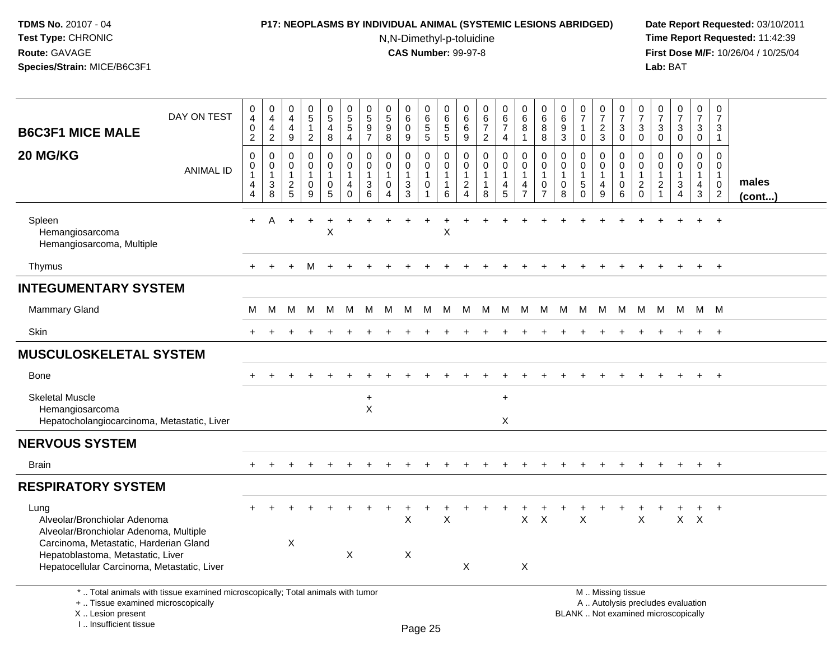# **P17: NEOPLASMS BY INDIVIDUAL ANIMAL (SYSTEMIC LESIONS ABRIDGED) Date Report Requested:** 03/10/2011

N,N-Dimethyl-p-toluidine

| DAY ON TEST<br><b>B6C3F1 MICE MALE</b>                                                                                                                                | 0<br>4<br>$\pmb{0}$<br>$\overline{2}$                   | 0<br>$\overline{4}$<br>$\overline{4}$<br>$\overline{2}$ | $\mathsf{O}\xspace$<br>4<br>$\overline{4}$<br>9   | $\mathbf 0$<br>$\overline{5}$<br>$\mathbf{1}$<br>$\overline{2}$     | $\mathbf 0$<br>$\overline{5}$<br>$\overline{4}$<br>8 | 0<br>$\overline{5}$<br>5<br>4    | 0<br>$\overline{5}$<br>$\boldsymbol{9}$<br>$\overline{7}$ | $\pmb{0}$<br>$\frac{5}{9}$<br>8                                     | 0<br>$\,6\,$<br>$\mathbf 0$<br>9 | $\mathbf 0$<br>$6\phantom{1}6$<br>$\sqrt{5}$<br>$\overline{5}$         | 0<br>$\,6$<br>$\,$ 5 $\,$<br>5                       | 0<br>6<br>$\,6\,$<br>9                                                     | $\pmb{0}$<br>$6\phantom{a}$<br>$\overline{7}$<br>$\overline{2}$ | $\mathbf 0$<br>$rac{6}{7}$<br>$\overline{4}$                  | $\mathbf 0$<br>$\,6\,$<br>8<br>$\mathbf{1}$                         | 0<br>$6\phantom{a}$<br>$\bf 8$<br>8                    | 0<br>$\,6\,$<br>$\boldsymbol{9}$<br>$\mathbf{3}$     | $\frac{0}{7}$<br>$\mathbf{1}$<br>$\mathbf 0$                         | $\mathbf 0$<br>$\overline{7}$<br>$\boldsymbol{2}$<br>3            | 0<br>$\overline{7}$<br>$\sqrt{3}$<br>$\mathbf 0$                 | 0<br>$\overline{7}$<br>$\sqrt{3}$<br>$\overline{0}$ | $\pmb{0}$<br>$\overline{7}$<br>$\mathsf 3$<br>$\mathbf 0$                              | $\frac{0}{7}$<br>$\ensuremath{\mathsf{3}}$<br>$\pmb{0}$                      | $\mathbf 0$<br>$\overline{7}$<br>$\mathbf{3}$<br>$\mathbf 0$ | $\mathbf 0$<br>$\overline{7}$<br>3<br>$\overline{1}$                    |                 |
|-----------------------------------------------------------------------------------------------------------------------------------------------------------------------|---------------------------------------------------------|---------------------------------------------------------|---------------------------------------------------|---------------------------------------------------------------------|------------------------------------------------------|----------------------------------|-----------------------------------------------------------|---------------------------------------------------------------------|----------------------------------|------------------------------------------------------------------------|------------------------------------------------------|----------------------------------------------------------------------------|-----------------------------------------------------------------|---------------------------------------------------------------|---------------------------------------------------------------------|--------------------------------------------------------|------------------------------------------------------|----------------------------------------------------------------------|-------------------------------------------------------------------|------------------------------------------------------------------|-----------------------------------------------------|----------------------------------------------------------------------------------------|------------------------------------------------------------------------------|--------------------------------------------------------------|-------------------------------------------------------------------------|-----------------|
| 20 MG/KG<br><b>ANIMAL ID</b>                                                                                                                                          | $\mathbf 0$<br>0<br>$\mathbf{1}$<br>4<br>$\overline{4}$ | 0<br>0<br>$\mathbf{1}$<br>3<br>8                        | $\mathbf 0$<br>0<br>$\mathbf{1}$<br>$\frac{2}{5}$ | $\mathbf 0$<br>0<br>$\mathbf{1}$<br>$\mathbf 0$<br>$\boldsymbol{9}$ | $\mathbf 0$<br>$\mathbf 0$<br>$\mathbf{1}$<br>0<br>5 | 0<br>0<br>$\mathbf{1}$<br>4<br>0 | $\mathsf{O}\xspace$<br>0<br>$\mathbf{1}$<br>3<br>6        | $\pmb{0}$<br>$\mathbf 0$<br>$\mathbf{1}$<br>$\mathbf 0$<br>$\Delta$ | 0<br>0<br>$\mathbf{1}$<br>3<br>3 | $\pmb{0}$<br>$\mathbf 0$<br>$\mathbf{1}$<br>$\mathbf 0$<br>$\mathbf 1$ | $\mathbf 0$<br>$\mathbf 0$<br>$\mathbf{1}$<br>1<br>6 | $\pmb{0}$<br>$\mathbf 0$<br>$\mathbf{1}$<br>$\mathbf{2}$<br>$\overline{4}$ | $\pmb{0}$<br>$\mathbf 0$<br>$\mathbf{1}$<br>1<br>8              | $\mathbf 0$<br>$\mathbf 0$<br>$\overline{1}$<br>$\frac{4}{5}$ | $\mathbf 0$<br>$\mathsf{O}\xspace$<br>$\mathbf{1}$<br>$\frac{4}{7}$ | $\mathbf 0$<br>0<br>1<br>$\mathbf 0$<br>$\overline{7}$ | $\mathbf 0$<br>$\mathbf 0$<br>$\mathbf{1}$<br>0<br>8 | $\mathbf 0$<br>$\mathbf 0$<br>$\mathbf{1}$<br>$\sqrt{5}$<br>$\Omega$ | $\mathbf 0$<br>$\mathbf 0$<br>$\mathbf{1}$<br>$\overline{4}$<br>9 | $\mathbf 0$<br>$\mathbf 0$<br>$\overline{1}$<br>$\mathbf 0$<br>6 | $\mathbf 0$<br>$\mathbf 0$<br>1<br>$^2_{\rm 0}$     | $\mathbf 0$<br>$\mathbf 0$<br>$\mathbf{1}$<br>$\boldsymbol{2}$<br>$\blacktriangleleft$ | $\mathsf 0$<br>$\mathbf 0$<br>$\mathbf{1}$<br>$\mathbf{3}$<br>$\overline{4}$ | 0<br>0<br>$\mathbf{1}$<br>$\overline{4}$<br>3                | $\mathbf 0$<br>$\mathbf 0$<br>$\mathbf{1}$<br>$\mathbf 0$<br>$\sqrt{2}$ | males<br>(cont) |
| Spleen<br>Hemangiosarcoma<br>Hemangiosarcoma, Multiple                                                                                                                | $+$                                                     | A                                                       |                                                   | $\ddot{}$                                                           | X                                                    |                                  |                                                           |                                                                     |                                  |                                                                        | X                                                    |                                                                            |                                                                 |                                                               |                                                                     |                                                        |                                                      |                                                                      |                                                                   |                                                                  |                                                     |                                                                                        |                                                                              | $\ddot{}$                                                    | $+$                                                                     |                 |
| Thymus                                                                                                                                                                | $+$                                                     |                                                         | $\ddot{}$                                         | м                                                                   |                                                      |                                  |                                                           |                                                                     |                                  |                                                                        |                                                      |                                                                            |                                                                 |                                                               |                                                                     |                                                        |                                                      |                                                                      |                                                                   |                                                                  |                                                     |                                                                                        |                                                                              |                                                              | $\ddot{}$                                                               |                 |
| <b>INTEGUMENTARY SYSTEM</b>                                                                                                                                           |                                                         |                                                         |                                                   |                                                                     |                                                      |                                  |                                                           |                                                                     |                                  |                                                                        |                                                      |                                                                            |                                                                 |                                                               |                                                                     |                                                        |                                                      |                                                                      |                                                                   |                                                                  |                                                     |                                                                                        |                                                                              |                                                              |                                                                         |                 |
| <b>Mammary Gland</b>                                                                                                                                                  | м                                                       | М                                                       | М                                                 | M                                                                   | M                                                    | M                                | M                                                         | M                                                                   | M                                | M                                                                      |                                                      |                                                                            | M M M M                                                         |                                                               |                                                                     | M M                                                    |                                                      | M M M                                                                |                                                                   | M                                                                |                                                     | M M M                                                                                  |                                                                              | M M                                                          |                                                                         |                 |
| <b>Skin</b>                                                                                                                                                           | $+$                                                     |                                                         |                                                   |                                                                     |                                                      |                                  |                                                           |                                                                     |                                  |                                                                        |                                                      |                                                                            |                                                                 |                                                               |                                                                     |                                                        |                                                      |                                                                      | ÷                                                                 |                                                                  |                                                     |                                                                                        | $\ddot{}$                                                                    | $+$                                                          | $+$                                                                     |                 |
| <b>MUSCULOSKELETAL SYSTEM</b>                                                                                                                                         |                                                         |                                                         |                                                   |                                                                     |                                                      |                                  |                                                           |                                                                     |                                  |                                                                        |                                                      |                                                                            |                                                                 |                                                               |                                                                     |                                                        |                                                      |                                                                      |                                                                   |                                                                  |                                                     |                                                                                        |                                                                              |                                                              |                                                                         |                 |
| <b>Bone</b>                                                                                                                                                           |                                                         |                                                         |                                                   |                                                                     |                                                      |                                  |                                                           |                                                                     |                                  |                                                                        |                                                      |                                                                            |                                                                 |                                                               |                                                                     |                                                        |                                                      |                                                                      |                                                                   |                                                                  |                                                     |                                                                                        |                                                                              | $+$                                                          | $+$                                                                     |                 |
| <b>Skeletal Muscle</b><br>Hemangiosarcoma<br>Hepatocholangiocarcinoma, Metastatic, Liver                                                                              |                                                         |                                                         |                                                   |                                                                     |                                                      |                                  | $\ddot{}$<br>X                                            |                                                                     |                                  |                                                                        |                                                      |                                                                            |                                                                 | $+$<br>X                                                      |                                                                     |                                                        |                                                      |                                                                      |                                                                   |                                                                  |                                                     |                                                                                        |                                                                              |                                                              |                                                                         |                 |
| <b>NERVOUS SYSTEM</b>                                                                                                                                                 |                                                         |                                                         |                                                   |                                                                     |                                                      |                                  |                                                           |                                                                     |                                  |                                                                        |                                                      |                                                                            |                                                                 |                                                               |                                                                     |                                                        |                                                      |                                                                      |                                                                   |                                                                  |                                                     |                                                                                        |                                                                              |                                                              |                                                                         |                 |
| <b>Brain</b>                                                                                                                                                          |                                                         |                                                         |                                                   |                                                                     |                                                      |                                  |                                                           |                                                                     |                                  |                                                                        |                                                      |                                                                            |                                                                 |                                                               |                                                                     |                                                        |                                                      |                                                                      |                                                                   |                                                                  |                                                     |                                                                                        |                                                                              | $+$                                                          | $+$                                                                     |                 |
| <b>RESPIRATORY SYSTEM</b>                                                                                                                                             |                                                         |                                                         |                                                   |                                                                     |                                                      |                                  |                                                           |                                                                     |                                  |                                                                        |                                                      |                                                                            |                                                                 |                                                               |                                                                     |                                                        |                                                      |                                                                      |                                                                   |                                                                  |                                                     |                                                                                        |                                                                              |                                                              |                                                                         |                 |
| Lung<br>Alveolar/Bronchiolar Adenoma<br>Alveolar/Bronchiolar Adenoma, Multiple                                                                                        |                                                         |                                                         |                                                   |                                                                     |                                                      |                                  |                                                           |                                                                     | X                                |                                                                        | X                                                    |                                                                            |                                                                 |                                                               | $\mathsf{X}$                                                        | $\times$                                               |                                                      | X                                                                    |                                                                   |                                                                  | X                                                   |                                                                                        |                                                                              | $+$<br>$X$ $X$                                               | $+$                                                                     |                 |
| Carcinoma, Metastatic, Harderian Gland<br>Hepatoblastoma, Metastatic, Liver<br>Hepatocellular Carcinoma, Metastatic, Liver                                            |                                                         |                                                         | $\boldsymbol{\mathsf{X}}$                         |                                                                     |                                                      | X                                |                                                           |                                                                     | Χ                                |                                                                        |                                                      | X                                                                          |                                                                 |                                                               | X                                                                   |                                                        |                                                      |                                                                      |                                                                   |                                                                  |                                                     |                                                                                        |                                                                              |                                                              |                                                                         |                 |
| *  Total animals with tissue examined microscopically; Total animals with tumor<br>+  Tissue examined microscopically<br>X  Lesion present<br>I., Insufficient tissue |                                                         |                                                         |                                                   |                                                                     |                                                      |                                  |                                                           |                                                                     |                                  | Page 25                                                                |                                                      |                                                                            |                                                                 |                                                               |                                                                     |                                                        |                                                      | BLANK  Not examined microscopically                                  |                                                                   | M  Missing tissue<br>A  Autolysis precludes evaluation           |                                                     |                                                                                        |                                                                              |                                                              |                                                                         |                 |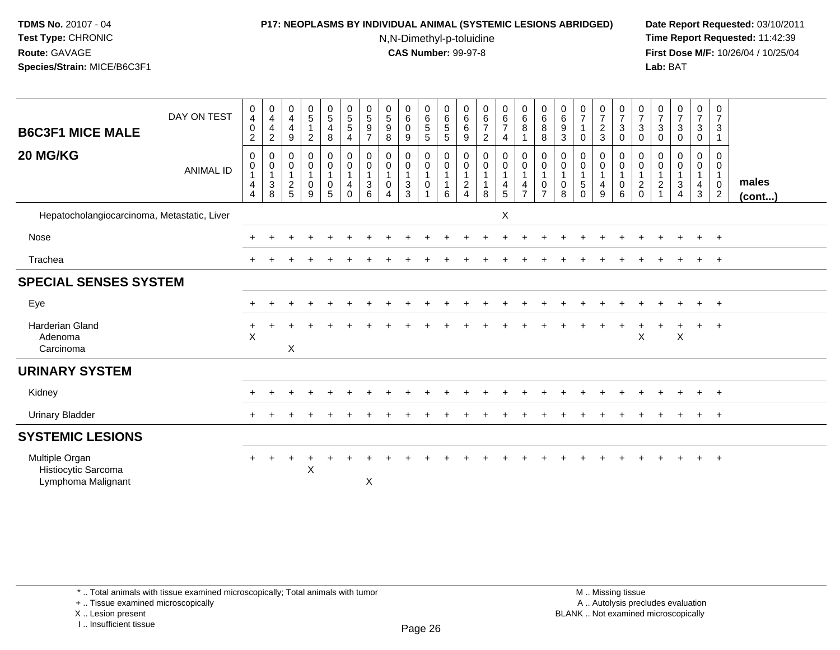#### **P17: NEOPLASMS BY INDIVIDUAL ANIMAL (SYSTEMIC LESIONS ABRIDGED) Date Report Requested:** 03/10/2011

N,N-Dimethyl-p-toluidine

 **Time Report Requested:** 11:42:39 **First Dose M/F:** 10/26/04 / 10/25/04 Lab: BAT **Lab:** BAT

| <b>B6C3F1 MICE MALE</b>                                     | DAY ON TEST      | $\pmb{0}$<br>$\overline{4}$<br>$\pmb{0}$<br>$\boldsymbol{2}$ | $\frac{0}{4}$<br>$\overline{\mathbf{4}}$<br>$\overline{2}$ | $\begin{smallmatrix}0\\4\end{smallmatrix}$<br>$\overline{4}$<br>9 | $\begin{array}{c} 0 \\ 5 \end{array}$<br>2 | $\begin{array}{c} 0 \\ 5 \end{array}$<br>$\overline{\mathbf{4}}$<br>8 | $\begin{array}{c} 0 \\ 5 \\ 5 \end{array}$<br>4      | $\begin{array}{c} 0 \\ 5 \end{array}$<br>$\boldsymbol{9}$<br>$\overline{7}$ | $\begin{array}{c} 0 \\ 5 \end{array}$<br>$\boldsymbol{9}$<br>$\bf8$       | 0<br>$6\phantom{a}$<br>$\mathbf 0$<br>9 | $\begin{array}{c} 0 \\ 6 \\ 5 \end{array}$<br>$\mathbf 5$          | $\begin{array}{c} 0 \\ 6 \\ 5 \end{array}$<br>$\sqrt{5}$              | $\begin{matrix} 0 \\ 6 \end{matrix}$<br>6<br>9 | $\begin{array}{c} 0 \\ 6 \\ 7 \end{array}$<br>$\overline{2}$ | $\begin{array}{c} 0 \\ 6 \end{array}$<br>$\overline{7}$<br>4                      | $\begin{array}{c} 0 \\ 6 \end{array}$<br>8<br>1           | $_{6}^{\rm 0}$<br>$\bf 8$<br>8                          | $\begin{array}{c} 0 \\ 6 \end{array}$<br>9<br>$\sqrt{3}$ | $\begin{array}{c} 0 \\ 7 \end{array}$<br>0         | $\frac{0}{7}$<br>$\overline{c}$<br>$\ensuremath{\mathsf{3}}$ | $\frac{0}{7}$<br>$\sqrt{3}$<br>0                     | 0<br>$\overline{7}$<br>3<br>0                        | $\begin{smallmatrix}0\\7\end{smallmatrix}$<br>$\mathbf{3}$<br>0 | $\begin{array}{c} 0 \\ 7 \end{array}$<br>$\sqrt{3}$<br>0 | $\begin{smallmatrix}0\\7\end{smallmatrix}$<br>$\sqrt{3}$<br>$\mathbf 0$ | 0<br>$\overline{7}$<br>$\mathbf{3}$<br>$\mathbf{1}$                             |                 |
|-------------------------------------------------------------|------------------|--------------------------------------------------------------|------------------------------------------------------------|-------------------------------------------------------------------|--------------------------------------------|-----------------------------------------------------------------------|------------------------------------------------------|-----------------------------------------------------------------------------|---------------------------------------------------------------------------|-----------------------------------------|--------------------------------------------------------------------|-----------------------------------------------------------------------|------------------------------------------------|--------------------------------------------------------------|-----------------------------------------------------------------------------------|-----------------------------------------------------------|---------------------------------------------------------|----------------------------------------------------------|----------------------------------------------------|--------------------------------------------------------------|------------------------------------------------------|------------------------------------------------------|-----------------------------------------------------------------|----------------------------------------------------------|-------------------------------------------------------------------------|---------------------------------------------------------------------------------|-----------------|
| 20 MG/KG                                                    | <b>ANIMAL ID</b> | $\mathsf{O}\xspace$<br>$\pmb{0}$<br>$\overline{4}$<br>4      | 0<br>0<br>$\overline{1}$<br>$\mathbf{3}$<br>$\,8\,$        | $\mathbf 0$<br>0<br>$\mathbf{1}$<br>$\boldsymbol{2}$<br>5         | 0<br>$\mathbf 0$<br>$\boldsymbol{0}$<br>9  | $\pmb{0}$<br>$\mathbf 0$<br>$\mathbf{1}$<br>$\pmb{0}$<br>5            | $\pmb{0}$<br>$\pmb{0}$<br>$\overline{4}$<br>$\Omega$ | 0<br>$\pmb{0}$<br>$\overline{1}$<br>$\begin{array}{c} 3 \\ 6 \end{array}$   | $\mathbf 0$<br>$\pmb{0}$<br>$\mathbf{1}$<br>$\mathbf 0$<br>$\overline{4}$ | 0<br>0<br>$\sqrt{3}$<br>3               | $\,0\,$<br>$\mathsf{O}\xspace$<br>$\mathbf{1}$<br>$\mathbf 0$<br>1 | $\pmb{0}$<br>$\mathsf{O}\xspace$<br>$\mathbf{1}$<br>$\mathbf{1}$<br>6 | 0<br>0<br>$\overline{c}$<br>$\overline{4}$     | $\mathbf 0$<br>$\pmb{0}$<br>$\overline{1}$<br>8              | $\pmb{0}$<br>$\mathbf 0$<br>$\mathbf{1}$<br>$\begin{array}{c} 4 \\ 5 \end{array}$ | $\pmb{0}$<br>$\mathbf 0$<br>$\mathbf{1}$<br>$\frac{4}{7}$ | 0<br>$\mathbf 0$<br>$\mathbf{1}$<br>0<br>$\overline{7}$ | 0<br>0<br>$\overline{1}$<br>0<br>8                       | 0<br>$\mathbf 0$<br>$\overline{5}$<br>$\mathbf{0}$ | 0<br>0<br>$\mathbf 1$<br>4<br>9                              | 0<br>$\mathbf 0$<br>$\overline{1}$<br>$\pmb{0}$<br>6 | 0<br>0<br>$\mathbf{1}$<br>$\overline{c}$<br>$\Omega$ | 0<br>0<br>$\mathbf{1}$<br>$\overline{c}$                        | 0<br>0<br>$\sqrt{3}$<br>4                                | 0<br>$\mathbf 0$<br>$\mathbf{1}$<br>$\overline{4}$<br>$\sqrt{3}$        | $\mathbf 0$<br>$\mathbf{0}$<br>$\mathbf{1}$<br>$\overline{0}$<br>$\overline{2}$ | males<br>(cont) |
| Hepatocholangiocarcinoma, Metastatic, Liver                 |                  |                                                              |                                                            |                                                                   |                                            |                                                                       |                                                      |                                                                             |                                                                           |                                         |                                                                    |                                                                       |                                                |                                                              | X                                                                                 |                                                           |                                                         |                                                          |                                                    |                                                              |                                                      |                                                      |                                                                 |                                                          |                                                                         |                                                                                 |                 |
| Nose                                                        |                  |                                                              |                                                            |                                                                   |                                            |                                                                       |                                                      |                                                                             |                                                                           |                                         |                                                                    |                                                                       |                                                |                                                              |                                                                                   |                                                           |                                                         |                                                          |                                                    |                                                              |                                                      |                                                      |                                                                 | $\ddot{}$                                                | $+$                                                                     | $+$                                                                             |                 |
| Trachea                                                     |                  |                                                              |                                                            |                                                                   |                                            |                                                                       |                                                      |                                                                             |                                                                           |                                         |                                                                    |                                                                       |                                                |                                                              |                                                                                   |                                                           |                                                         |                                                          |                                                    |                                                              |                                                      |                                                      |                                                                 |                                                          | $+$                                                                     | $+$                                                                             |                 |
| <b>SPECIAL SENSES SYSTEM</b>                                |                  |                                                              |                                                            |                                                                   |                                            |                                                                       |                                                      |                                                                             |                                                                           |                                         |                                                                    |                                                                       |                                                |                                                              |                                                                                   |                                                           |                                                         |                                                          |                                                    |                                                              |                                                      |                                                      |                                                                 |                                                          |                                                                         |                                                                                 |                 |
| Eye                                                         |                  |                                                              |                                                            |                                                                   |                                            |                                                                       |                                                      |                                                                             |                                                                           |                                         |                                                                    |                                                                       |                                                |                                                              |                                                                                   |                                                           |                                                         |                                                          |                                                    |                                                              |                                                      |                                                      |                                                                 |                                                          | $\pm$                                                                   | $+$                                                                             |                 |
| <b>Harderian Gland</b><br>Adenoma<br>Carcinoma              |                  | $\pm$<br>$\times$                                            |                                                            | $\boldsymbol{\mathsf{X}}$                                         |                                            |                                                                       |                                                      |                                                                             |                                                                           |                                         |                                                                    |                                                                       |                                                |                                                              |                                                                                   |                                                           |                                                         |                                                          |                                                    |                                                              |                                                      | $\mathsf X$                                          |                                                                 | $\sf X$                                                  | $\pm$                                                                   | $+$                                                                             |                 |
| <b>URINARY SYSTEM</b>                                       |                  |                                                              |                                                            |                                                                   |                                            |                                                                       |                                                      |                                                                             |                                                                           |                                         |                                                                    |                                                                       |                                                |                                                              |                                                                                   |                                                           |                                                         |                                                          |                                                    |                                                              |                                                      |                                                      |                                                                 |                                                          |                                                                         |                                                                                 |                 |
| Kidney                                                      |                  |                                                              |                                                            |                                                                   |                                            |                                                                       |                                                      |                                                                             |                                                                           |                                         |                                                                    |                                                                       |                                                |                                                              |                                                                                   |                                                           |                                                         |                                                          |                                                    |                                                              |                                                      |                                                      |                                                                 |                                                          | $+$                                                                     | $+$                                                                             |                 |
| <b>Urinary Bladder</b>                                      |                  |                                                              |                                                            |                                                                   |                                            |                                                                       |                                                      |                                                                             |                                                                           |                                         |                                                                    |                                                                       |                                                |                                                              |                                                                                   |                                                           |                                                         |                                                          |                                                    |                                                              |                                                      |                                                      |                                                                 |                                                          | $+$                                                                     | $+$                                                                             |                 |
| <b>SYSTEMIC LESIONS</b>                                     |                  |                                                              |                                                            |                                                                   |                                            |                                                                       |                                                      |                                                                             |                                                                           |                                         |                                                                    |                                                                       |                                                |                                                              |                                                                                   |                                                           |                                                         |                                                          |                                                    |                                                              |                                                      |                                                      |                                                                 |                                                          |                                                                         |                                                                                 |                 |
| Multiple Organ<br>Histiocytic Sarcoma<br>Lymphoma Malignant |                  | $+$                                                          | $\ddot{}$                                                  | $\div$                                                            | $\div$<br>$\sf X$                          |                                                                       |                                                      | $\mathsf X$                                                                 |                                                                           |                                         |                                                                    |                                                                       |                                                |                                                              |                                                                                   |                                                           |                                                         |                                                          |                                                    |                                                              |                                                      |                                                      |                                                                 |                                                          | $\pm$                                                                   | $+$                                                                             |                 |

+ .. Tissue examined microscopically

X .. Lesion present

I .. Insufficient tissue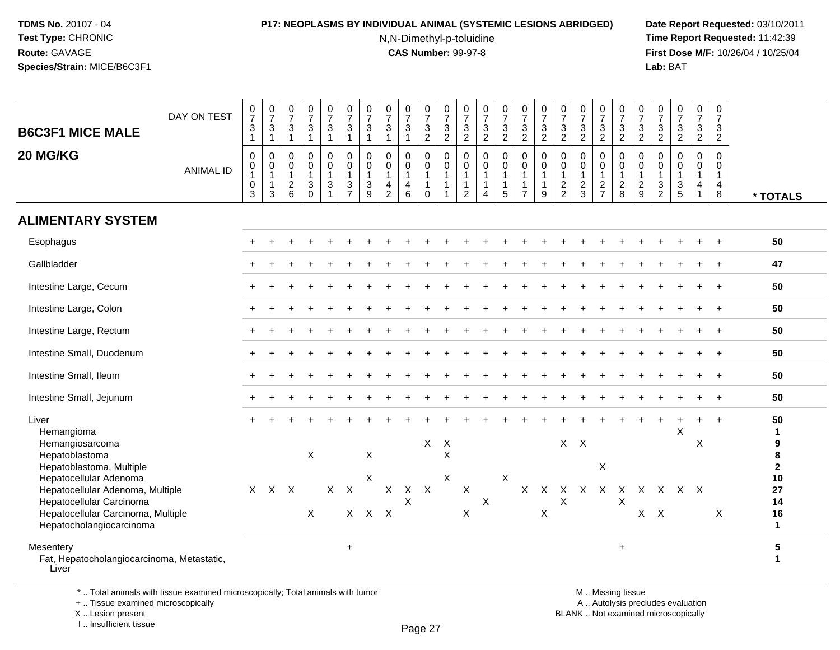# **P17: NEOPLASMS BY INDIVIDUAL ANIMAL (SYSTEMIC LESIONS ABRIDGED) Date Report Requested:** 03/10/2011

N,N-Dimethyl-p-toluidine

 **Time Report Requested:** 11:42:39 **First Dose M/F:** 10/26/04 / 10/25/04 Lab: BAT **Lab:** BAT

| <b>B6C3F1 MICE MALE</b><br>20 MG/KG                                                                                            | DAY ON TEST<br><b>ANIMAL ID</b> | $\frac{0}{7}$<br>$\ensuremath{\mathsf{3}}$<br>$\mathbf{1}$<br>$\pmb{0}$<br>0<br>$\mathbf{1}$ | $\frac{0}{7}$<br>$\ensuremath{\mathsf{3}}$<br>$\mathbf{1}$<br>$\mathbf 0$<br>$\mathbf 0$<br>$\mathbf{1}$ | $\frac{0}{7}$<br>$\ensuremath{\mathsf{3}}$<br>$\overline{1}$<br>$\mathsf{O}\xspace$<br>$\mathbf 0$<br>$\mathbf{1}$ | $\frac{0}{7}$<br>$\sqrt{3}$<br>$\mathbf{1}$<br>$\pmb{0}$<br>$\mathsf{O}$<br>$\mathbf{1}$ | $\frac{0}{7}$<br>$\mathbf{3}$<br>$\mathbf{1}$<br>0<br>$\mathbf 0$<br>1 | $\frac{0}{7}$<br>$\sqrt{3}$<br>$\overline{1}$<br>$\mathbf 0$<br>$\mathbf 0$<br>$\mathbf{1}$ | $\frac{0}{7}$<br>$\ensuremath{\mathsf{3}}$<br>$\overline{1}$<br>$\mathbf 0$<br>$\mathbf 0$<br>$\overline{1}$ | $\begin{array}{c} 0 \\ 7 \end{array}$<br>$\ensuremath{\mathsf{3}}$<br>$\mathbf{1}$<br>$\mathbf 0$<br>$\Omega$<br>$\mathbf{1}$ | $\frac{0}{7}$<br>3<br>$\mathbf 1$<br>$\mathbf 0$<br>$\mathbf 0$<br>$\mathbf{1}$ | $\begin{array}{c} 0 \\ 7 \end{array}$<br>$\frac{3}{2}$<br>$\mathbf 0$<br>$\mathbf 0$<br>$\mathbf{1}$ | $\frac{0}{7}$<br>$\frac{3}{2}$<br>0<br>$\mathsf 0$<br>$\mathbf{1}$ | $\frac{0}{7}$<br>$\frac{3}{2}$<br>$\mathbf 0$<br>$\boldsymbol{0}$<br>$\overline{1}$ | $\frac{0}{7}$<br>$\frac{3}{2}$<br>$\mathsf 0$<br>0<br>$\mathbf{1}$ | $\frac{0}{7}$<br>3<br>$\overline{2}$<br>0<br>$\mathbf 0$<br>1 | $\frac{0}{7}$<br>$\frac{3}{2}$<br>$\pmb{0}$<br>$\pmb{0}$<br>$\mathbf{1}$ | $\begin{array}{c} 0 \\ 7 \end{array}$<br>$\sqrt{3}$<br>$\overline{2}$<br>$\pmb{0}$<br>$\mathsf 0$<br>$\mathbf{1}$ | $\begin{smallmatrix}0\\7\end{smallmatrix}$<br>$\frac{3}{2}$<br>$\mathbf 0$<br>$\mathbf{0}$<br>$\mathbf{1}$ | $\frac{0}{7}$<br>$\frac{3}{2}$<br>$\mathbf 0$<br>$\mathbf 0$<br>$\mathbf{1}$ | $\frac{0}{7}$<br>$\ensuremath{\mathsf{3}}$<br>$\sqrt{2}$<br>0<br>$\mathbf 0$<br>$\mathbf{1}$ | $\frac{0}{7}$<br>$\ensuremath{\mathsf{3}}$<br>$\overline{2}$<br>$\mathbf 0$<br>$\mathsf{O}\xspace$<br>$\mathbf{1}$ | $\frac{0}{7}$<br>$\mathbf{3}$<br>$\overline{2}$<br>$\mathbf 0$<br>0<br>$\mathbf{1}$ | $\frac{0}{7}$<br>$\frac{3}{2}$<br>$\mathbf 0$<br>$\mathbf 0$<br>$\mathbf{1}$ | $\begin{smallmatrix}0\\7\end{smallmatrix}$<br>$\frac{3}{2}$<br>$\pmb{0}$<br>$\mathbf 0$<br>$\mathbf{1}$ | $\begin{array}{c} 0 \\ 7 \end{array}$<br>$\frac{3}{2}$<br>$\mathbf 0$<br>$\mathbf 0$<br>$\mathbf{1}$ | $\frac{0}{7}$<br>$\mathsf 3$<br>$\overline{2}$<br>$\mathbf 0$<br>$\mathbf 0$<br>$\mathbf{1}$ |                                                   |
|--------------------------------------------------------------------------------------------------------------------------------|---------------------------------|----------------------------------------------------------------------------------------------|----------------------------------------------------------------------------------------------------------|--------------------------------------------------------------------------------------------------------------------|------------------------------------------------------------------------------------------|------------------------------------------------------------------------|---------------------------------------------------------------------------------------------|--------------------------------------------------------------------------------------------------------------|-------------------------------------------------------------------------------------------------------------------------------|---------------------------------------------------------------------------------|------------------------------------------------------------------------------------------------------|--------------------------------------------------------------------|-------------------------------------------------------------------------------------|--------------------------------------------------------------------|---------------------------------------------------------------|--------------------------------------------------------------------------|-------------------------------------------------------------------------------------------------------------------|------------------------------------------------------------------------------------------------------------|------------------------------------------------------------------------------|----------------------------------------------------------------------------------------------|--------------------------------------------------------------------------------------------------------------------|-------------------------------------------------------------------------------------|------------------------------------------------------------------------------|---------------------------------------------------------------------------------------------------------|------------------------------------------------------------------------------------------------------|----------------------------------------------------------------------------------------------|---------------------------------------------------|
|                                                                                                                                |                                 | $\mathbf 0$<br>3                                                                             | $\mathbf{1}$<br>3                                                                                        | $\frac{2}{6}$                                                                                                      | $\ensuremath{\mathsf{3}}$<br>$\Omega$                                                    | 3                                                                      | $\frac{3}{7}$                                                                               | $\ensuremath{\mathsf{3}}$<br>9                                                                               | $\overline{\mathbf{4}}$<br>$\overline{2}$                                                                                     | 4<br>6                                                                          | $\mathbf{1}$<br>$\mathbf 0$                                                                          | $\overline{1}$                                                     | $\mathbf{1}$<br>$\overline{2}$                                                      | $\mathbf{1}$<br>$\overline{4}$                                     | 1<br>5                                                        | $\mathbf{1}$<br>$\overline{7}$                                           | $\mathbf{1}$<br>9                                                                                                 | $\frac{2}{2}$                                                                                              | $\frac{2}{3}$                                                                | $\frac{2}{7}$                                                                                | $\boldsymbol{2}$<br>8                                                                                              | $\frac{2}{9}$                                                                       | $\ensuremath{\mathsf{3}}$<br>$\overline{2}$                                  | $\frac{3}{5}$                                                                                           | $\overline{4}$<br>$\overline{1}$                                                                     | $\overline{4}$<br>8                                                                          | * TOTALS                                          |
| <b>ALIMENTARY SYSTEM</b>                                                                                                       |                                 |                                                                                              |                                                                                                          |                                                                                                                    |                                                                                          |                                                                        |                                                                                             |                                                                                                              |                                                                                                                               |                                                                                 |                                                                                                      |                                                                    |                                                                                     |                                                                    |                                                               |                                                                          |                                                                                                                   |                                                                                                            |                                                                              |                                                                                              |                                                                                                                    |                                                                                     |                                                                              |                                                                                                         |                                                                                                      |                                                                                              |                                                   |
| Esophagus                                                                                                                      |                                 |                                                                                              |                                                                                                          |                                                                                                                    |                                                                                          |                                                                        |                                                                                             |                                                                                                              |                                                                                                                               |                                                                                 |                                                                                                      |                                                                    |                                                                                     |                                                                    |                                                               |                                                                          |                                                                                                                   |                                                                                                            |                                                                              |                                                                                              |                                                                                                                    |                                                                                     |                                                                              |                                                                                                         |                                                                                                      |                                                                                              | 50                                                |
| Gallbladder                                                                                                                    |                                 |                                                                                              |                                                                                                          |                                                                                                                    |                                                                                          |                                                                        |                                                                                             |                                                                                                              |                                                                                                                               |                                                                                 |                                                                                                      |                                                                    |                                                                                     |                                                                    |                                                               |                                                                          |                                                                                                                   |                                                                                                            |                                                                              |                                                                                              |                                                                                                                    |                                                                                     |                                                                              |                                                                                                         |                                                                                                      |                                                                                              | 47                                                |
| Intestine Large, Cecum                                                                                                         |                                 |                                                                                              |                                                                                                          |                                                                                                                    |                                                                                          |                                                                        |                                                                                             |                                                                                                              |                                                                                                                               |                                                                                 |                                                                                                      |                                                                    |                                                                                     |                                                                    |                                                               |                                                                          |                                                                                                                   |                                                                                                            |                                                                              |                                                                                              |                                                                                                                    |                                                                                     |                                                                              |                                                                                                         |                                                                                                      |                                                                                              | 50                                                |
| Intestine Large, Colon                                                                                                         |                                 |                                                                                              |                                                                                                          |                                                                                                                    |                                                                                          |                                                                        |                                                                                             |                                                                                                              |                                                                                                                               |                                                                                 |                                                                                                      |                                                                    |                                                                                     |                                                                    |                                                               |                                                                          |                                                                                                                   |                                                                                                            |                                                                              |                                                                                              |                                                                                                                    |                                                                                     |                                                                              |                                                                                                         |                                                                                                      |                                                                                              | 50                                                |
| Intestine Large, Rectum                                                                                                        |                                 |                                                                                              |                                                                                                          |                                                                                                                    |                                                                                          |                                                                        |                                                                                             |                                                                                                              |                                                                                                                               |                                                                                 |                                                                                                      |                                                                    |                                                                                     |                                                                    |                                                               |                                                                          |                                                                                                                   |                                                                                                            |                                                                              |                                                                                              |                                                                                                                    |                                                                                     |                                                                              |                                                                                                         |                                                                                                      |                                                                                              | 50                                                |
| Intestine Small, Duodenum                                                                                                      |                                 |                                                                                              |                                                                                                          |                                                                                                                    |                                                                                          |                                                                        |                                                                                             |                                                                                                              |                                                                                                                               |                                                                                 |                                                                                                      |                                                                    |                                                                                     |                                                                    |                                                               |                                                                          |                                                                                                                   |                                                                                                            |                                                                              |                                                                                              |                                                                                                                    |                                                                                     |                                                                              |                                                                                                         |                                                                                                      |                                                                                              | 50                                                |
| Intestine Small, Ileum                                                                                                         |                                 |                                                                                              |                                                                                                          |                                                                                                                    |                                                                                          |                                                                        |                                                                                             |                                                                                                              |                                                                                                                               |                                                                                 |                                                                                                      |                                                                    |                                                                                     |                                                                    |                                                               |                                                                          |                                                                                                                   |                                                                                                            |                                                                              |                                                                                              |                                                                                                                    |                                                                                     |                                                                              |                                                                                                         |                                                                                                      |                                                                                              | 50                                                |
| Intestine Small, Jejunum                                                                                                       |                                 |                                                                                              |                                                                                                          |                                                                                                                    |                                                                                          |                                                                        |                                                                                             |                                                                                                              |                                                                                                                               |                                                                                 |                                                                                                      |                                                                    |                                                                                     |                                                                    |                                                               |                                                                          |                                                                                                                   |                                                                                                            |                                                                              |                                                                                              |                                                                                                                    |                                                                                     |                                                                              |                                                                                                         |                                                                                                      | $\overline{+}$                                                                               | 50                                                |
| Liver<br>Hemangioma<br>Hemangiosarcoma<br>Hepatoblastoma<br>Hepatoblastoma, Multiple<br>Hepatocellular Adenoma                 |                                 |                                                                                              |                                                                                                          |                                                                                                                    | $\mathsf{X}$                                                                             | X                                                                      |                                                                                             | $\mathsf{X}$<br>$\mathsf{X}$                                                                                 |                                                                                                                               |                                                                                 | $\mathsf{X}$                                                                                         | $\mathsf{X}$<br>$\times$<br>X                                      |                                                                                     |                                                                    | X                                                             |                                                                          |                                                                                                                   | $X$ $X$                                                                                                    |                                                                              | $\mathsf X$                                                                                  |                                                                                                                    |                                                                                     |                                                                              | X                                                                                                       | X                                                                                                    |                                                                                              | 50<br>$\mathbf{1}$<br>9<br>8<br>$\mathbf 2$<br>10 |
| Hepatocellular Adenoma, Multiple<br>Hepatocellular Carcinoma<br>Hepatocellular Carcinoma, Multiple<br>Hepatocholangiocarcinoma |                                 |                                                                                              | $X$ $X$ $X$                                                                                              |                                                                                                                    | X                                                                                        |                                                                        | $\mathsf{X}$                                                                                | X X X                                                                                                        | $\mathsf{X}$                                                                                                                  | $\boldsymbol{X}$<br>X                                                           | $\mathsf{X}$                                                                                         |                                                                    | X<br>$\boldsymbol{\mathsf{X}}$                                                      | X                                                                  |                                                               | $\sf X$                                                                  | X                                                                                                                 | X                                                                                                          | X X X X X                                                                    |                                                                                              | X                                                                                                                  | X                                                                                   | $\mathsf{X}$                                                                 | X X X X                                                                                                 |                                                                                                      | X                                                                                            | 27<br>14<br>16<br>$\mathbf{1}$                    |
| Mesentery<br>Fat, Hepatocholangiocarcinoma, Metastatic,<br>Liver                                                               |                                 |                                                                                              |                                                                                                          |                                                                                                                    |                                                                                          |                                                                        | $+$                                                                                         |                                                                                                              |                                                                                                                               |                                                                                 |                                                                                                      |                                                                    |                                                                                     |                                                                    |                                                               |                                                                          |                                                                                                                   |                                                                                                            |                                                                              |                                                                                              | $\ddot{}$                                                                                                          |                                                                                     |                                                                              |                                                                                                         |                                                                                                      |                                                                                              | ${\bf 5}$<br>$\mathbf{1}$                         |

\* .. Total animals with tissue examined microscopically; Total animals with tumor

+ .. Tissue examined microscopically

X .. Lesion present

I .. Insufficient tissue

 M .. Missing tissuey the contract of the contract of the contract of the contract of the contract of  $\mathsf A$  . Autolysis precludes evaluation Lesion present BLANK .. Not examined microscopically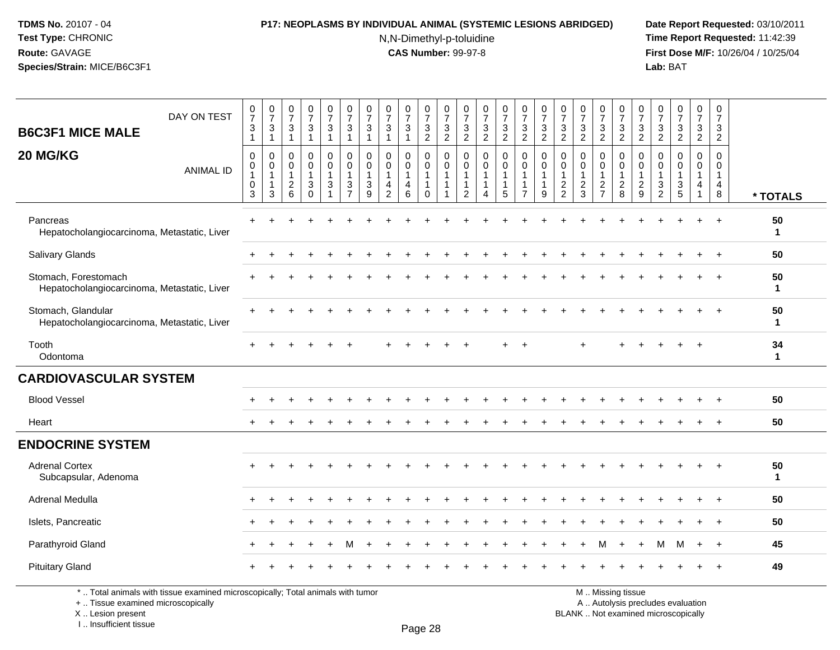#### **P17: NEOPLASMS BY INDIVIDUAL ANIMAL (SYSTEMIC LESIONS ABRIDGED) Date Report Requested:** 03/10/2011

N,N-Dimethyl-p-toluidine

 **Time Report Requested:** 11:42:39 **First Dose M/F:** 10/26/04 / 10/25/04 Lab: BAT **Lab:** BAT

| DAY ON TEST<br><b>B6C3F1 MICE MALE</b>                              | $\frac{0}{7}$<br>$\mathbf{3}$<br>$\mathbf{1}$                       | $\begin{array}{c} 0 \\ 7 \end{array}$<br>$\sqrt{3}$<br>$\mathbf{1}$                        | $\begin{array}{c} 0 \\ 7 \end{array}$<br>$\sqrt{3}$<br>$\overline{1}$ | $\begin{smallmatrix}0\\7\end{smallmatrix}$<br>$\ensuremath{\mathsf{3}}$<br>$\mathbf{1}$ | $\frac{0}{7}$<br>$\mathbf{3}$<br>$\overline{1}$                                          | $\frac{0}{7}$<br>$\sqrt{3}$<br>$\overline{1}$             | $\frac{0}{7}$<br>3<br>1                                                      | $\frac{0}{7}$<br>$\sqrt{3}$<br>$\overline{1}$                                          | $\frac{0}{7}$<br>$\sqrt{3}$<br>$\overline{1}$ | $\frac{0}{7}$<br>$\frac{3}{2}$                            | $\frac{0}{7}$<br>$\frac{3}{2}$                                             | $\frac{0}{7}$<br>$\mathbf{3}$<br>2                                           | $\frac{0}{7}$<br>$\frac{3}{2}$                              | $\frac{0}{7}$<br>$\frac{3}{2}$                      | $\frac{0}{7}$<br>$\frac{3}{2}$                                                       | $\begin{array}{c} 0 \\ 7 \end{array}$<br>$\frac{3}{2}$ | $\frac{0}{7}$<br>$\frac{3}{2}$                                               | $\frac{0}{7}$<br>$\frac{3}{2}$                            | $\frac{0}{7}$<br>$\frac{3}{2}$                    | $\frac{0}{7}$<br>$\frac{3}{2}$                            | $\frac{0}{7}$<br>$\frac{3}{2}$                                           | $\begin{smallmatrix}0\\7\end{smallmatrix}$<br>$\frac{3}{2}$ | $\begin{array}{c} 0 \\ 7 \end{array}$<br>$\frac{3}{2}$ | $\begin{array}{c} 0 \\ 7 \end{array}$<br>$\frac{3}{2}$                         | 0<br>$\overline{7}$<br>$\mathbf{3}$<br>$\overline{2}$             |                    |
|---------------------------------------------------------------------|---------------------------------------------------------------------|--------------------------------------------------------------------------------------------|-----------------------------------------------------------------------|-----------------------------------------------------------------------------------------|------------------------------------------------------------------------------------------|-----------------------------------------------------------|------------------------------------------------------------------------------|----------------------------------------------------------------------------------------|-----------------------------------------------|-----------------------------------------------------------|----------------------------------------------------------------------------|------------------------------------------------------------------------------|-------------------------------------------------------------|-----------------------------------------------------|--------------------------------------------------------------------------------------|--------------------------------------------------------|------------------------------------------------------------------------------|-----------------------------------------------------------|---------------------------------------------------|-----------------------------------------------------------|--------------------------------------------------------------------------|-------------------------------------------------------------|--------------------------------------------------------|--------------------------------------------------------------------------------|-------------------------------------------------------------------|--------------------|
| 20 MG/KG<br><b>ANIMAL ID</b>                                        | $\pmb{0}$<br>$\pmb{0}$<br>$\mathbf{1}$<br>$\pmb{0}$<br>$\mathbf{3}$ | $\mathsf{O}\xspace$<br>$\mathsf{O}\xspace$<br>$\mathbf{1}$<br>$\mathbf{1}$<br>$\mathbf{3}$ | $\mathbf 0$<br>0<br>$\mathbf{1}$<br>$\sqrt{2}$<br>$\,6\,$             | $\mathbf 0$<br>$\pmb{0}$<br>$\mathbf{1}$<br>$\sqrt{3}$<br>$\mathbf 0$                   | 0<br>$\mathbf 0$<br>$\mathbf{1}$<br>$\ensuremath{\mathsf{3}}$<br>$\overline{\mathbf{A}}$ | $\pmb{0}$<br>$\mathbf 0$<br>$\mathbf{1}$<br>$\frac{3}{7}$ | $\mathbf 0$<br>$\mathbf 0$<br>$\mathbf{1}$<br>$\ensuremath{\mathsf{3}}$<br>9 | $\mathbf 0$<br>$\mathsf{O}\xspace$<br>$\mathbf{1}$<br>$\overline{4}$<br>$\overline{c}$ | 0<br>$\pmb{0}$<br>$\mathbf{1}$<br>4<br>6      | 0<br>$\mathsf{O}\xspace$<br>$\overline{1}$<br>$\mathbf 0$ | $\pmb{0}$<br>$\ddot{\mathbf{0}}$<br>$\overline{1}$<br>$\overline{1}$<br>-1 | $\mathbf 0$<br>$\mathbf 0$<br>$\mathbf{1}$<br>$\mathbf{1}$<br>$\overline{c}$ | $\mathbf 0$<br>$\mathbf 0$<br>$\mathbf{1}$<br>1<br>$\Delta$ | 0<br>$\mathbf 0$<br>$\mathbf 1$<br>$\mathbf 1$<br>5 | $\mathsf 0$<br>$\mathsf{O}\xspace$<br>$\mathbf{1}$<br>$\mathbf{1}$<br>$\overline{7}$ | $\pmb{0}$<br>$\pmb{0}$<br>1<br>$\boldsymbol{9}$        | $\mathbf 0$<br>$\mathbf 0$<br>$\overline{1}$<br>$\sqrt{2}$<br>$\overline{2}$ | $\pmb{0}$<br>$\pmb{0}$<br>$\mathbf{1}$<br>$\sqrt{2}$<br>3 | 0<br>$\mathbf 0$<br>$\mathbf{1}$<br>$\frac{2}{7}$ | 0<br>$\mathbf 0$<br>$\mathbf{1}$<br>$\boldsymbol{2}$<br>8 | 0<br>$\mathbf 0$<br>$\mathbf{1}$<br>$\boldsymbol{2}$<br>$\boldsymbol{9}$ | $\mathbf 0$<br>$\pmb{0}$<br>$\mathbf{1}$<br>$\frac{3}{2}$   | $\pmb{0}$<br>$\pmb{0}$<br>1<br>$\frac{3}{5}$           | $\mathbf 0$<br>$\mathbf 0$<br>$\mathbf{1}$<br>$\overline{4}$<br>$\overline{1}$ | $\mathbf 0$<br>$\mathbf 0$<br>$\mathbf{1}$<br>$\overline{4}$<br>8 | * TOTALS           |
| Pancreas<br>Hepatocholangiocarcinoma, Metastatic, Liver             |                                                                     |                                                                                            |                                                                       |                                                                                         |                                                                                          |                                                           |                                                                              |                                                                                        |                                               |                                                           |                                                                            |                                                                              |                                                             |                                                     |                                                                                      |                                                        |                                                                              |                                                           |                                                   |                                                           |                                                                          |                                                             |                                                        |                                                                                |                                                                   | 50<br>$\mathbf 1$  |
| Salivary Glands                                                     |                                                                     |                                                                                            |                                                                       |                                                                                         |                                                                                          |                                                           |                                                                              |                                                                                        |                                               |                                                           |                                                                            |                                                                              |                                                             |                                                     |                                                                                      |                                                        |                                                                              |                                                           |                                                   |                                                           |                                                                          |                                                             |                                                        |                                                                                | $\overline{+}$                                                    | 50                 |
| Stomach, Forestomach<br>Hepatocholangiocarcinoma, Metastatic, Liver |                                                                     |                                                                                            |                                                                       |                                                                                         |                                                                                          |                                                           |                                                                              |                                                                                        |                                               |                                                           |                                                                            |                                                                              |                                                             |                                                     |                                                                                      |                                                        |                                                                              |                                                           |                                                   |                                                           |                                                                          |                                                             |                                                        |                                                                                |                                                                   | 50<br>1            |
| Stomach, Glandular<br>Hepatocholangiocarcinoma, Metastatic, Liver   |                                                                     |                                                                                            |                                                                       |                                                                                         |                                                                                          |                                                           |                                                                              |                                                                                        |                                               |                                                           |                                                                            |                                                                              |                                                             |                                                     |                                                                                      |                                                        |                                                                              |                                                           |                                                   |                                                           |                                                                          |                                                             |                                                        |                                                                                |                                                                   | 50<br>$\mathbf 1$  |
| Tooth<br>Odontoma                                                   |                                                                     |                                                                                            |                                                                       |                                                                                         |                                                                                          |                                                           |                                                                              |                                                                                        |                                               |                                                           |                                                                            |                                                                              |                                                             |                                                     |                                                                                      |                                                        |                                                                              |                                                           |                                                   |                                                           |                                                                          |                                                             |                                                        |                                                                                |                                                                   | 34<br>$\mathbf{1}$ |
| <b>CARDIOVASCULAR SYSTEM</b>                                        |                                                                     |                                                                                            |                                                                       |                                                                                         |                                                                                          |                                                           |                                                                              |                                                                                        |                                               |                                                           |                                                                            |                                                                              |                                                             |                                                     |                                                                                      |                                                        |                                                                              |                                                           |                                                   |                                                           |                                                                          |                                                             |                                                        |                                                                                |                                                                   |                    |
| <b>Blood Vessel</b>                                                 |                                                                     |                                                                                            |                                                                       |                                                                                         |                                                                                          |                                                           |                                                                              |                                                                                        |                                               |                                                           |                                                                            |                                                                              |                                                             |                                                     |                                                                                      |                                                        |                                                                              |                                                           |                                                   |                                                           |                                                                          |                                                             |                                                        |                                                                                |                                                                   | 50                 |
| Heart                                                               |                                                                     |                                                                                            |                                                                       |                                                                                         |                                                                                          |                                                           |                                                                              |                                                                                        |                                               |                                                           |                                                                            |                                                                              |                                                             |                                                     |                                                                                      |                                                        |                                                                              |                                                           |                                                   |                                                           |                                                                          |                                                             |                                                        |                                                                                |                                                                   | 50                 |
| <b>ENDOCRINE SYSTEM</b>                                             |                                                                     |                                                                                            |                                                                       |                                                                                         |                                                                                          |                                                           |                                                                              |                                                                                        |                                               |                                                           |                                                                            |                                                                              |                                                             |                                                     |                                                                                      |                                                        |                                                                              |                                                           |                                                   |                                                           |                                                                          |                                                             |                                                        |                                                                                |                                                                   |                    |
| <b>Adrenal Cortex</b><br>Subcapsular, Adenoma                       |                                                                     |                                                                                            |                                                                       |                                                                                         |                                                                                          |                                                           |                                                                              |                                                                                        |                                               |                                                           |                                                                            |                                                                              |                                                             |                                                     |                                                                                      |                                                        |                                                                              |                                                           |                                                   |                                                           |                                                                          |                                                             |                                                        |                                                                                | $+$                                                               | 50<br>$\mathbf{1}$ |
| Adrenal Medulla                                                     | $+$                                                                 | $\ddot{}$                                                                                  |                                                                       |                                                                                         |                                                                                          |                                                           |                                                                              |                                                                                        |                                               |                                                           |                                                                            |                                                                              |                                                             |                                                     |                                                                                      |                                                        |                                                                              |                                                           |                                                   |                                                           |                                                                          |                                                             |                                                        |                                                                                |                                                                   | 50                 |
| Islets, Pancreatic                                                  |                                                                     |                                                                                            |                                                                       |                                                                                         |                                                                                          |                                                           |                                                                              |                                                                                        |                                               |                                                           |                                                                            |                                                                              |                                                             |                                                     |                                                                                      |                                                        |                                                                              |                                                           |                                                   |                                                           |                                                                          |                                                             |                                                        |                                                                                |                                                                   | 50                 |
| Parathyroid Gland                                                   |                                                                     |                                                                                            |                                                                       |                                                                                         |                                                                                          | М                                                         |                                                                              |                                                                                        |                                               |                                                           |                                                                            |                                                                              |                                                             |                                                     |                                                                                      |                                                        |                                                                              |                                                           | м                                                 |                                                           |                                                                          | м                                                           | м                                                      | $+$                                                                            | $+$                                                               | 45                 |
| <b>Pituitary Gland</b>                                              |                                                                     |                                                                                            |                                                                       |                                                                                         |                                                                                          |                                                           |                                                                              |                                                                                        |                                               |                                                           |                                                                            |                                                                              |                                                             |                                                     |                                                                                      |                                                        |                                                                              |                                                           |                                                   |                                                           |                                                                          |                                                             |                                                        |                                                                                |                                                                   | 49                 |

\* .. Total animals with tissue examined microscopically; Total animals with tumor

+ .. Tissue examined microscopically

X .. Lesion present

I .. Insufficient tissue

Page 28

M .. Missing tissue

y the contract of the contract of the contract of the contract of the contract of  $\mathsf A$  . Autolysis precludes evaluation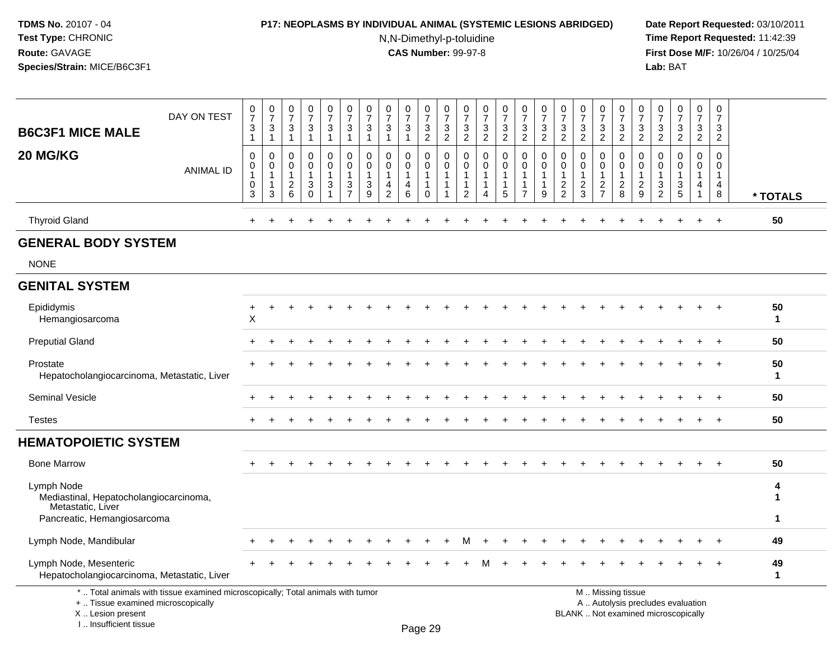#### **P17: NEOPLASMS BY INDIVIDUAL ANIMAL (SYSTEMIC LESIONS ABRIDGED) Date Report Requested:** 03/10/2011

N,N-Dimethyl-p-toluidine

| <b>B6C3F1 MICE MALE</b>                                                                                  | DAY ON TEST                                                                     | $\frac{0}{7}$<br>$\mathbf{3}$<br>$\mathbf{1}$        | $\frac{0}{7}$<br>3<br>$\mathbf{1}$ | $\boldsymbol{0}$<br>$\overline{7}$<br>3<br>$\mathbf{1}$             | $\frac{0}{7}$<br>$\sqrt{3}$<br>$\mathbf{1}$                           | 0<br>$\overline{7}$<br>3<br>$\mathbf{1}$                          | 0<br>$\overline{7}$<br>3<br>$\mathbf{1}$                       | $\pmb{0}$<br>$\overline{7}$<br>3<br>$\mathbf{1}$ | 0<br>$\overline{7}$<br>3<br>$\mathbf{1}$                          | $\begin{array}{c} 0 \\ 7 \end{array}$<br>3<br>$\mathbf{1}$ | $\begin{smallmatrix}0\\7\end{smallmatrix}$<br>3<br>$\overline{2}$                      | $\pmb{0}$<br>$\overline{7}$<br>$\ensuremath{\mathsf{3}}$<br>$\overline{2}$ | 0<br>$\overline{7}$<br>3<br>$\overline{2}$ | $\frac{0}{7}$<br>$\sqrt{3}$<br>$\overline{2}$                          | 0<br>$\overline{7}$<br>$\ensuremath{\mathsf{3}}$<br>$\overline{2}$ | 0<br>$\overline{7}$<br>3<br>$\overline{2}$               | 0<br>$\overline{7}$<br>$\sqrt{3}$<br>$\overline{2}$            | $\pmb{0}$<br>$\overline{7}$<br>3<br>$\overline{2}$                              | $\frac{0}{7}$<br>$\ensuremath{\mathsf{3}}$<br>$\overline{2}$    | 0<br>$\overline{7}$<br>3<br>$\overline{c}$                                 | $\frac{0}{7}$<br>$\sqrt{3}$<br>$\overline{2}$                   | $\pmb{0}$<br>$\overline{7}$<br>$\sqrt{3}$<br>$\overline{2}$    | 0<br>$\overline{7}$<br>3<br>$\overline{2}$ | $\pmb{0}$<br>$\overline{7}$<br>$\sqrt{3}$<br>$\overline{2}$              | $\pmb{0}$<br>$\overline{7}$<br>3<br>$\overline{2}$ | $\pmb{0}$<br>$\overline{7}$<br>3<br>$\overline{2}$ |                        |
|----------------------------------------------------------------------------------------------------------|---------------------------------------------------------------------------------|------------------------------------------------------|------------------------------------|---------------------------------------------------------------------|-----------------------------------------------------------------------|-------------------------------------------------------------------|----------------------------------------------------------------|--------------------------------------------------|-------------------------------------------------------------------|------------------------------------------------------------|----------------------------------------------------------------------------------------|----------------------------------------------------------------------------|--------------------------------------------|------------------------------------------------------------------------|--------------------------------------------------------------------|----------------------------------------------------------|----------------------------------------------------------------|---------------------------------------------------------------------------------|-----------------------------------------------------------------|----------------------------------------------------------------------------|-----------------------------------------------------------------|----------------------------------------------------------------|--------------------------------------------|--------------------------------------------------------------------------|----------------------------------------------------|----------------------------------------------------|------------------------|
| 20 MG/KG                                                                                                 | <b>ANIMAL ID</b>                                                                | 0<br>$\mathbf 0$<br>$\mathbf{1}$<br>$\mathbf 0$<br>3 | 0<br>0<br>$\mathbf{1}$<br>-1<br>3  | $\Omega$<br>0<br>$\overline{1}$<br>$\overline{2}$<br>$6\phantom{1}$ | $\mathbf 0$<br>$\mathbf 0$<br>$\mathbf 1$<br>$\mathbf{3}$<br>$\Omega$ | $\mathbf 0$<br>$\mathbf 0$<br>$\mathbf{1}$<br>3<br>$\overline{1}$ | $\Omega$<br>$\mathbf 0$<br>$\mathbf{1}$<br>3<br>$\overline{7}$ | $\mathbf 0$<br>0<br>$\mathbf{1}$<br>3<br>9       | $\Omega$<br>0<br>$\mathbf{1}$<br>$\overline{4}$<br>$\overline{2}$ | $\mathbf{0}$<br>$\mathbf 0$<br>$\mathbf{1}$<br>4<br>6      | $\mathbf 0$<br>$\mathbf 0$<br>$\overline{1}$<br>$\overline{\mathbf{1}}$<br>$\mathbf 0$ | $\mathbf 0$<br>$\mathbf 0$<br>$\mathbf{1}$<br>$\mathbf{1}$<br>$\mathbf{1}$ | 0<br>0<br>1<br>$\overline{2}$              | $\Omega$<br>$\Omega$<br>-1<br>$\overline{1}$<br>$\boldsymbol{\Lambda}$ | 0<br>$\mathbf 0$<br>1<br>1<br>5                                    | $\mathbf 0$<br>$\mathbf 0$<br>-1<br>-1<br>$\overline{7}$ | $\Omega$<br>$\mathbf 0$<br>$\mathbf{1}$<br>$\overline{1}$<br>9 | $\mathbf{0}$<br>$\mathbf 0$<br>$\mathbf{1}$<br>$\overline{2}$<br>$\overline{2}$ | $\Omega$<br>0<br>$\mathbf{1}$<br>$\overline{2}$<br>$\mathbf{3}$ | $\Omega$<br>$\mathbf 0$<br>$\mathbf 1$<br>$\overline{c}$<br>$\overline{7}$ | 0<br>$\mathsf{O}\xspace$<br>$\mathbf{1}$<br>$\overline{c}$<br>8 | $\Omega$<br>$\mathbf 0$<br>$\mathbf{1}$<br>$\overline{c}$<br>9 | 0<br>0<br>-1<br>3<br>$\overline{2}$        | $\Omega$<br>$\Omega$<br>1<br>3<br>5                                      | $\Omega$<br>0<br>1<br>4<br>1                       | $\Omega$<br>$\mathbf 0$<br>$\mathbf{1}$<br>4<br>8  | * TOTALS               |
| <b>Thyroid Gland</b>                                                                                     |                                                                                 | $+$                                                  | $\div$                             |                                                                     |                                                                       |                                                                   |                                                                |                                                  |                                                                   |                                                            |                                                                                        |                                                                            |                                            |                                                                        |                                                                    |                                                          |                                                                |                                                                                 |                                                                 |                                                                            |                                                                 |                                                                |                                            |                                                                          | $\ddot{}$                                          | $+$                                                | 50                     |
| <b>GENERAL BODY SYSTEM</b>                                                                               |                                                                                 |                                                      |                                    |                                                                     |                                                                       |                                                                   |                                                                |                                                  |                                                                   |                                                            |                                                                                        |                                                                            |                                            |                                                                        |                                                                    |                                                          |                                                                |                                                                                 |                                                                 |                                                                            |                                                                 |                                                                |                                            |                                                                          |                                                    |                                                    |                        |
| <b>NONE</b>                                                                                              |                                                                                 |                                                      |                                    |                                                                     |                                                                       |                                                                   |                                                                |                                                  |                                                                   |                                                            |                                                                                        |                                                                            |                                            |                                                                        |                                                                    |                                                          |                                                                |                                                                                 |                                                                 |                                                                            |                                                                 |                                                                |                                            |                                                                          |                                                    |                                                    |                        |
| <b>GENITAL SYSTEM</b>                                                                                    |                                                                                 |                                                      |                                    |                                                                     |                                                                       |                                                                   |                                                                |                                                  |                                                                   |                                                            |                                                                                        |                                                                            |                                            |                                                                        |                                                                    |                                                          |                                                                |                                                                                 |                                                                 |                                                                            |                                                                 |                                                                |                                            |                                                                          |                                                    |                                                    |                        |
| Epididymis<br>Hemangiosarcoma                                                                            |                                                                                 | +<br>X                                               | ÷                                  |                                                                     |                                                                       |                                                                   |                                                                |                                                  |                                                                   |                                                            |                                                                                        |                                                                            |                                            |                                                                        |                                                                    |                                                          |                                                                |                                                                                 |                                                                 |                                                                            |                                                                 |                                                                |                                            |                                                                          |                                                    | $\ddot{}$                                          | 50<br>$\mathbf{1}$     |
| <b>Preputial Gland</b>                                                                                   |                                                                                 |                                                      |                                    |                                                                     |                                                                       |                                                                   |                                                                |                                                  |                                                                   |                                                            |                                                                                        |                                                                            |                                            |                                                                        |                                                                    |                                                          |                                                                |                                                                                 |                                                                 |                                                                            |                                                                 |                                                                |                                            |                                                                          |                                                    | $\ddot{}$                                          | 50                     |
| Prostate<br>Hepatocholangiocarcinoma, Metastatic, Liver                                                  |                                                                                 |                                                      |                                    |                                                                     |                                                                       |                                                                   |                                                                |                                                  |                                                                   |                                                            |                                                                                        |                                                                            |                                            |                                                                        |                                                                    |                                                          |                                                                |                                                                                 |                                                                 |                                                                            |                                                                 |                                                                |                                            |                                                                          |                                                    | $\overline{1}$                                     | 50<br>$\mathbf{1}$     |
| Seminal Vesicle                                                                                          |                                                                                 |                                                      |                                    |                                                                     |                                                                       |                                                                   |                                                                |                                                  |                                                                   |                                                            |                                                                                        |                                                                            |                                            |                                                                        |                                                                    |                                                          |                                                                |                                                                                 |                                                                 |                                                                            |                                                                 |                                                                |                                            |                                                                          |                                                    |                                                    | 50                     |
| <b>Testes</b>                                                                                            |                                                                                 |                                                      | $\ddot{}$                          |                                                                     |                                                                       |                                                                   |                                                                |                                                  |                                                                   |                                                            |                                                                                        |                                                                            |                                            |                                                                        |                                                                    |                                                          |                                                                |                                                                                 |                                                                 |                                                                            |                                                                 |                                                                |                                            |                                                                          |                                                    | $\ddot{}$                                          | 50                     |
| <b>HEMATOPOIETIC SYSTEM</b>                                                                              |                                                                                 |                                                      |                                    |                                                                     |                                                                       |                                                                   |                                                                |                                                  |                                                                   |                                                            |                                                                                        |                                                                            |                                            |                                                                        |                                                                    |                                                          |                                                                |                                                                                 |                                                                 |                                                                            |                                                                 |                                                                |                                            |                                                                          |                                                    |                                                    |                        |
| <b>Bone Marrow</b>                                                                                       |                                                                                 |                                                      |                                    |                                                                     |                                                                       |                                                                   |                                                                |                                                  |                                                                   |                                                            |                                                                                        |                                                                            |                                            |                                                                        |                                                                    |                                                          |                                                                |                                                                                 |                                                                 |                                                                            |                                                                 |                                                                |                                            |                                                                          |                                                    | $\ddot{}$                                          | 50                     |
| Lymph Node<br>Mediastinal, Hepatocholangiocarcinoma,<br>Metastatic, Liver<br>Pancreatic, Hemangiosarcoma |                                                                                 |                                                      |                                    |                                                                     |                                                                       |                                                                   |                                                                |                                                  |                                                                   |                                                            |                                                                                        |                                                                            |                                            |                                                                        |                                                                    |                                                          |                                                                |                                                                                 |                                                                 |                                                                            |                                                                 |                                                                |                                            |                                                                          |                                                    |                                                    | 4<br>1<br>$\mathbf{1}$ |
| Lymph Node, Mandibular                                                                                   |                                                                                 |                                                      |                                    |                                                                     |                                                                       |                                                                   |                                                                |                                                  |                                                                   |                                                            |                                                                                        |                                                                            | м                                          |                                                                        |                                                                    |                                                          |                                                                |                                                                                 |                                                                 |                                                                            |                                                                 |                                                                |                                            |                                                                          |                                                    | $\ddot{}$                                          | 49                     |
| Lymph Node, Mesenteric<br>Hepatocholangiocarcinoma, Metastatic, Liver                                    |                                                                                 |                                                      |                                    |                                                                     |                                                                       |                                                                   |                                                                |                                                  |                                                                   |                                                            |                                                                                        |                                                                            |                                            |                                                                        |                                                                    |                                                          |                                                                |                                                                                 |                                                                 |                                                                            |                                                                 |                                                                |                                            |                                                                          |                                                    |                                                    | 49<br>$\mathbf{1}$     |
| +  Tissue examined microscopically<br>X  Lesion present<br>I Insufficient tissue                         | *  Total animals with tissue examined microscopically; Total animals with tumor |                                                      |                                    |                                                                     |                                                                       |                                                                   |                                                                |                                                  |                                                                   |                                                            | D <sub>200</sub> 20                                                                    |                                                                            |                                            |                                                                        |                                                                    |                                                          |                                                                |                                                                                 |                                                                 |                                                                            | M  Missing tissue                                               |                                                                |                                            | A  Autolysis precludes evaluation<br>BLANK  Not examined microscopically |                                                    |                                                    |                        |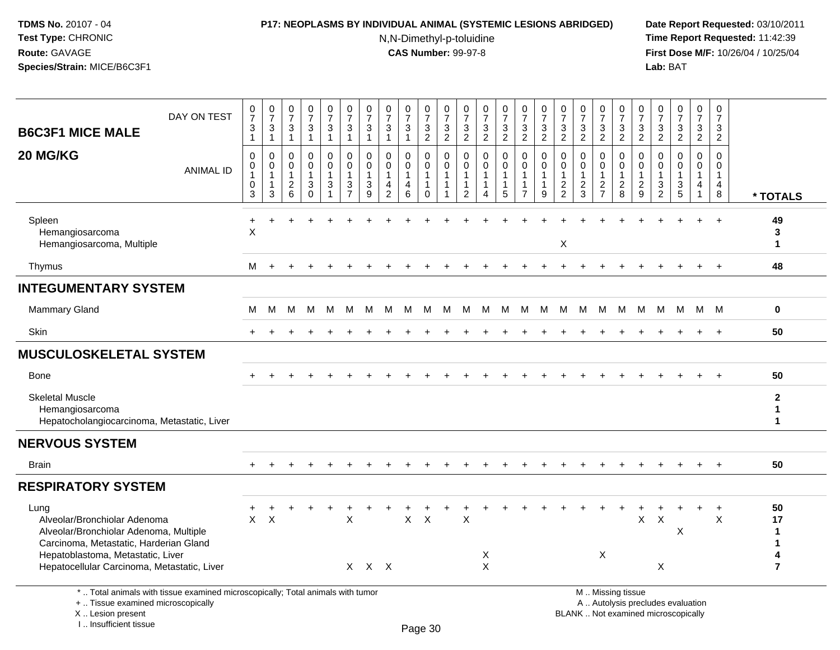## **P17: NEOPLASMS BY INDIVIDUAL ANIMAL (SYSTEMIC LESIONS ABRIDGED) Date Report Requested:** 03/10/2011

N,N-Dimethyl-p-toluidine

 **Time Report Requested:** 11:42:39 **First Dose M/F:** 10/26/04 / 10/25/04<br>Lab: BAT **Lab:** BAT

| <b>B6C3F1 MICE MALE</b>                                                                                                                                       | DAY ON TEST                                                                     | $\begin{array}{c} 0 \\ 7 \end{array}$<br>$\ensuremath{\mathsf{3}}$<br>$\overline{1}$ | $\frac{0}{7}$<br>3<br>$\mathbf{1}$                    | $\frac{0}{7}$<br>3<br>$\mathbf{1}$                                    | $\frac{0}{7}$<br>$\ensuremath{\mathsf{3}}$<br>$\mathbf{1}$  | $\begin{smallmatrix}0\\7\end{smallmatrix}$<br>$\sqrt{3}$<br>$\mathbf{1}$ | $\begin{array}{c} 0 \\ 7 \end{array}$<br>$\ensuremath{\mathsf{3}}$<br>$\mathbf{1}$ | $\begin{array}{c} 0 \\ 7 \end{array}$<br>$\mathbf{3}$<br>$\mathbf{1}$ | $\begin{array}{c} 0 \\ 7 \end{array}$<br>$\ensuremath{\mathsf{3}}$<br>$\mathbf{1}$      | $\begin{array}{c} 0 \\ 7 \end{array}$<br>3<br>$\mathbf{1}$ | $\frac{0}{7}$<br>$\frac{3}{2}$                                                 | $\frac{0}{7}$<br>$\frac{3}{2}$                        | 0<br>$\overline{7}$<br>$\frac{3}{2}$            | $\begin{array}{c} 0 \\ 7 \end{array}$<br>$\frac{3}{2}$ | $\begin{smallmatrix}0\\7\end{smallmatrix}$<br>$\ensuremath{\mathsf{3}}$<br>$\overline{2}$ | $\frac{0}{7}$<br>$\frac{3}{2}$                                     | $\frac{0}{7}$<br>3<br>$\overline{2}$ | $\frac{0}{7}$<br>$\frac{3}{2}$                         | $\begin{array}{c} 0 \\ 7 \end{array}$<br>$\frac{3}{2}$ | $\frac{0}{7}$<br>$\frac{3}{2}$                                   | $\frac{0}{7}$<br>$\frac{3}{2}$                                | $\frac{0}{7}$<br>3<br>$\overline{2}$     | $\frac{0}{7}$<br>$\frac{3}{2}$                               | $\frac{0}{7}$<br>$\frac{3}{2}$                                    | $\begin{array}{c} 0 \\ 7 \end{array}$<br>$\frac{3}{2}$ | $\mathbf 0$<br>$\overline{7}$<br>3<br>$\overline{2}$             |                                   |
|---------------------------------------------------------------------------------------------------------------------------------------------------------------|---------------------------------------------------------------------------------|--------------------------------------------------------------------------------------|-------------------------------------------------------|-----------------------------------------------------------------------|-------------------------------------------------------------|--------------------------------------------------------------------------|------------------------------------------------------------------------------------|-----------------------------------------------------------------------|-----------------------------------------------------------------------------------------|------------------------------------------------------------|--------------------------------------------------------------------------------|-------------------------------------------------------|-------------------------------------------------|--------------------------------------------------------|-------------------------------------------------------------------------------------------|--------------------------------------------------------------------|--------------------------------------|--------------------------------------------------------|--------------------------------------------------------|------------------------------------------------------------------|---------------------------------------------------------------|------------------------------------------|--------------------------------------------------------------|-------------------------------------------------------------------|--------------------------------------------------------|------------------------------------------------------------------|-----------------------------------|
| 20 MG/KG                                                                                                                                                      | <b>ANIMAL ID</b>                                                                | $\mathbf 0$<br>$\mathbf 0$<br>$\overline{1}$<br>$\mathbf 0$<br>3                     | 0<br>$\mathbf 0$<br>$\mathbf{1}$<br>$\mathbf{1}$<br>3 | $\mathbf 0$<br>$\mathbf 0$<br>$\overline{1}$<br>$\boldsymbol{2}$<br>6 | 0<br>$\mathbf 0$<br>$\mathbf 1$<br>$\mathbf{3}$<br>$\Omega$ | 0<br>$\mathbf 0$<br>$\mathbf{1}$<br>$\sqrt{3}$<br>$\overline{1}$         | $\mathbf 0$<br>$\mathbf 0$<br>1<br>$\mathbf{3}$<br>$\overline{7}$                  | $\mathbf 0$<br>$\mathbf 0$<br>-1<br>$\mathbf{3}$<br>9                 | $\mathbf 0$<br>$\mathbf 0$<br>$\mathbf{1}$<br>$\overline{\mathbf{4}}$<br>$\overline{2}$ | 0<br>$\mathbf{0}$<br>$\overline{4}$<br>6                   | $\mathbf 0$<br>$\mathsf{O}\xspace$<br>$\mathbf{1}$<br>$\mathbf{1}$<br>$\Omega$ | 0<br>$\mathbf 0$<br>$\mathbf{1}$<br>$\mathbf{1}$<br>1 | 0<br>$\Omega$<br>$\mathbf{1}$<br>$\overline{2}$ | $\mathbf 0$<br>$\mathbf 0$<br>1<br>1<br>Δ              | 0<br>$\mathbf{0}$<br>$\mathbf{1}$<br>1<br>5                                               | 0<br>$\mathbf 0$<br>$\mathbf{1}$<br>$\mathbf{1}$<br>$\overline{7}$ | 0<br>$\mathbf 0$<br>1<br>1<br>9      | 0<br>0<br>$\mathbf{1}$<br>$\sqrt{2}$<br>$\overline{2}$ | $\mathbf 0$<br>$\mathbf 0$<br>$\frac{2}{3}$            | 0<br>$\mathbf 0$<br>$\mathbf{1}$<br>$\sqrt{2}$<br>$\overline{7}$ | $\mathbf 0$<br>$\mathbf 0$<br>$\mathbf{1}$<br>$\sqrt{2}$<br>8 | 0<br>$\mathbf{0}$<br>$\overline{c}$<br>9 | 0<br>$\Omega$<br>$\ensuremath{\mathsf{3}}$<br>$\overline{2}$ | $\mathbf 0$<br>$\mathbf 0$<br>1<br>$\ensuremath{\mathsf{3}}$<br>5 | 0<br>$\Omega$<br>$\mathbf 1$<br>4                      | $\Omega$<br>$\mathbf 0$<br>$\overline{1}$<br>$\overline{4}$<br>8 | * TOTALS                          |
| Spleen<br>Hemangiosarcoma<br>Hemangiosarcoma, Multiple                                                                                                        |                                                                                 | $\sf X$                                                                              |                                                       |                                                                       |                                                             |                                                                          |                                                                                    |                                                                       |                                                                                         |                                                            |                                                                                |                                                       |                                                 |                                                        |                                                                                           |                                                                    |                                      | $\mathsf X$                                            |                                                        |                                                                  |                                                               |                                          |                                                              |                                                                   |                                                        | $\overline{+}$                                                   | 49<br>3<br>$\mathbf{1}$           |
| Thymus                                                                                                                                                        |                                                                                 | М                                                                                    | $\ddot{}$                                             |                                                                       |                                                             |                                                                          |                                                                                    |                                                                       |                                                                                         |                                                            |                                                                                |                                                       |                                                 |                                                        |                                                                                           |                                                                    |                                      |                                                        |                                                        |                                                                  |                                                               |                                          |                                                              |                                                                   |                                                        | $+$                                                              | 48                                |
| <b>INTEGUMENTARY SYSTEM</b>                                                                                                                                   |                                                                                 |                                                                                      |                                                       |                                                                       |                                                             |                                                                          |                                                                                    |                                                                       |                                                                                         |                                                            |                                                                                |                                                       |                                                 |                                                        |                                                                                           |                                                                    |                                      |                                                        |                                                        |                                                                  |                                                               |                                          |                                                              |                                                                   |                                                        |                                                                  |                                   |
| <b>Mammary Gland</b>                                                                                                                                          |                                                                                 | м                                                                                    | м                                                     | М                                                                     | м                                                           | M                                                                        | M                                                                                  | м                                                                     | м                                                                                       | м                                                          | M                                                                              | M                                                     | М                                               | M                                                      | М                                                                                         | M                                                                  | M                                    | M                                                      | M                                                      | M                                                                | M                                                             | м                                        | M                                                            | M                                                                 | M                                                      | M                                                                | $\mathbf 0$                       |
| <b>Skin</b>                                                                                                                                                   |                                                                                 |                                                                                      |                                                       |                                                                       |                                                             |                                                                          |                                                                                    |                                                                       |                                                                                         |                                                            |                                                                                |                                                       |                                                 |                                                        |                                                                                           |                                                                    |                                      |                                                        |                                                        |                                                                  |                                                               |                                          |                                                              |                                                                   |                                                        |                                                                  | 50                                |
| <b>MUSCULOSKELETAL SYSTEM</b>                                                                                                                                 |                                                                                 |                                                                                      |                                                       |                                                                       |                                                             |                                                                          |                                                                                    |                                                                       |                                                                                         |                                                            |                                                                                |                                                       |                                                 |                                                        |                                                                                           |                                                                    |                                      |                                                        |                                                        |                                                                  |                                                               |                                          |                                                              |                                                                   |                                                        |                                                                  |                                   |
| <b>Bone</b>                                                                                                                                                   |                                                                                 |                                                                                      |                                                       |                                                                       |                                                             |                                                                          |                                                                                    |                                                                       |                                                                                         |                                                            |                                                                                |                                                       |                                                 |                                                        |                                                                                           |                                                                    |                                      |                                                        |                                                        |                                                                  |                                                               |                                          |                                                              |                                                                   |                                                        |                                                                  | 50                                |
| <b>Skeletal Muscle</b><br>Hemangiosarcoma<br>Hepatocholangiocarcinoma, Metastatic, Liver                                                                      |                                                                                 |                                                                                      |                                                       |                                                                       |                                                             |                                                                          |                                                                                    |                                                                       |                                                                                         |                                                            |                                                                                |                                                       |                                                 |                                                        |                                                                                           |                                                                    |                                      |                                                        |                                                        |                                                                  |                                                               |                                          |                                                              |                                                                   |                                                        |                                                                  | $\mathbf{2}$<br>1<br>$\mathbf{1}$ |
| <b>NERVOUS SYSTEM</b>                                                                                                                                         |                                                                                 |                                                                                      |                                                       |                                                                       |                                                             |                                                                          |                                                                                    |                                                                       |                                                                                         |                                                            |                                                                                |                                                       |                                                 |                                                        |                                                                                           |                                                                    |                                      |                                                        |                                                        |                                                                  |                                                               |                                          |                                                              |                                                                   |                                                        |                                                                  |                                   |
| <b>Brain</b>                                                                                                                                                  |                                                                                 |                                                                                      |                                                       |                                                                       |                                                             |                                                                          |                                                                                    |                                                                       |                                                                                         |                                                            |                                                                                |                                                       |                                                 |                                                        |                                                                                           |                                                                    |                                      |                                                        |                                                        |                                                                  |                                                               |                                          |                                                              |                                                                   |                                                        |                                                                  | 50                                |
| <b>RESPIRATORY SYSTEM</b>                                                                                                                                     |                                                                                 |                                                                                      |                                                       |                                                                       |                                                             |                                                                          |                                                                                    |                                                                       |                                                                                         |                                                            |                                                                                |                                                       |                                                 |                                                        |                                                                                           |                                                                    |                                      |                                                        |                                                        |                                                                  |                                                               |                                          |                                                              |                                                                   |                                                        |                                                                  |                                   |
| Lung<br>Alveolar/Bronchiolar Adenoma<br>Alveolar/Bronchiolar Adenoma, Multiple<br>Carcinoma, Metastatic, Harderian Gland<br>Hepatoblastoma, Metastatic, Liver |                                                                                 | X                                                                                    | $\times$                                              |                                                                       |                                                             |                                                                          | X                                                                                  |                                                                       |                                                                                         | X                                                          | $\mathsf{X}$                                                                   |                                                       | X                                               | X                                                      |                                                                                           |                                                                    |                                      |                                                        |                                                        | X                                                                |                                                               | X                                        | $\boldsymbol{\mathsf{X}}$                                    | X                                                                 |                                                        | $\ddot{}$<br>$\boldsymbol{\mathsf{X}}$                           | 50<br>17<br>$\mathbf{1}$<br>1     |
| Hepatocellular Carcinoma, Metastatic, Liver                                                                                                                   |                                                                                 |                                                                                      |                                                       |                                                                       |                                                             |                                                                          |                                                                                    | X X X                                                                 |                                                                                         |                                                            |                                                                                |                                                       |                                                 | X                                                      |                                                                                           |                                                                    |                                      |                                                        |                                                        |                                                                  |                                                               |                                          | $\boldsymbol{\mathsf{X}}$                                    |                                                                   |                                                        |                                                                  | $\overline{7}$                    |
|                                                                                                                                                               | *  Total animals with tissue examined microscopically; Total animals with tumor |                                                                                      |                                                       |                                                                       |                                                             |                                                                          |                                                                                    |                                                                       |                                                                                         |                                                            |                                                                                |                                                       |                                                 |                                                        |                                                                                           |                                                                    |                                      |                                                        |                                                        |                                                                  | M  Missing tissue                                             |                                          |                                                              |                                                                   |                                                        |                                                                  |                                   |

+ .. Tissue examined microscopically

X .. Lesion present

I .. Insufficient tissue

Page 30

y the contract of the contract of the contract of the contract of the contract of  $\mathsf A$  . Autolysis precludes evaluation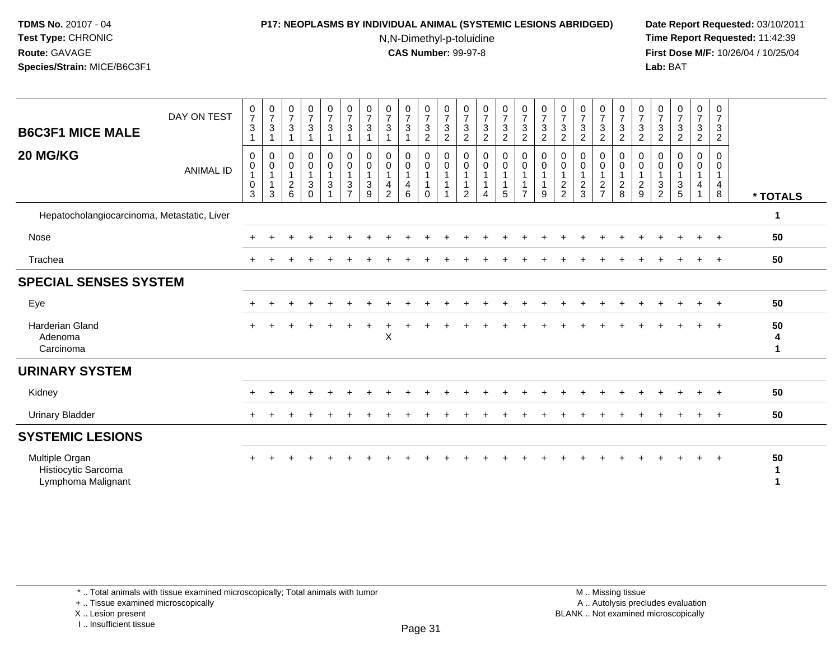# **P17: NEOPLASMS BY INDIVIDUAL ANIMAL (SYSTEMIC LESIONS ABRIDGED) Date Report Requested:** 03/10/2011

N,N-Dimethyl-p-toluidine

 **Time Report Requested:** 11:42:39 **First Dose M/F:** 10/26/04 / 10/25/04 Lab: BAT **Lab:** BAT

| <b>B6C3F1 MICE MALE</b>                                     | DAY ON TEST      | $\frac{0}{7}$<br>$\sqrt{3}$<br>$\mathbf{1}$                  | $\frac{0}{7}$<br>3  | $\frac{0}{7}$<br>$\sqrt{3}$                     | $\frac{0}{7}$<br>$\mathbf{3}$                                              | 0<br>$\boldsymbol{7}$<br>$\mathfrak{S}$                                         | $\frac{0}{7}$<br>$\sqrt{3}$<br>$\overline{\mathbf{1}}$    | $\frac{0}{7}$<br>$\mathbf{3}$<br>1                    | $\frac{0}{7}$<br>$\sqrt{3}$<br>1                                                    | $\frac{0}{7}$<br>3                                      | 0<br>$\boldsymbol{7}$<br>$\mathbf{3}$<br>$\overline{2}$ | $\frac{0}{7}$<br>$\sqrt{3}$<br>2                     | $\frac{0}{7}$<br>$\sqrt{3}$<br>$\overline{c}$         | $\frac{0}{7}$<br>$\ensuremath{\mathsf{3}}$<br>$\overline{c}$ | $\frac{0}{7}$<br>3<br>$\overline{c}$ | $\frac{0}{7}$<br>$\mathbf{3}$<br>$\boldsymbol{2}$                         | $\frac{0}{7}$<br>$\sqrt{3}$<br>$\overline{2}$              | $\frac{0}{7}$<br>3<br>$\overline{c}$         | $\frac{0}{7}$<br>$\sqrt{3}$<br>$\overline{c}$     | 0<br>$\overline{7}$<br>$\sqrt{3}$<br>$\overline{c}$ | $\begin{array}{c} 0 \\ 7 \end{array}$<br>$\sqrt{3}$<br>$\overline{c}$ | $\frac{0}{7}$<br>$\sqrt{3}$<br>$\overline{c}$ | $\begin{smallmatrix}0\\7\end{smallmatrix}$<br>$\mathsf 3$<br>$\overline{2}$ | $\frac{0}{7}$<br>$\sqrt{3}$<br>$\overline{2}$ | 0<br>$\overline{7}$<br>$\mathbf{3}$<br>$\overline{c}$ | $\frac{0}{7}$<br>3<br>$\boldsymbol{2}$ |              |
|-------------------------------------------------------------|------------------|--------------------------------------------------------------|---------------------|-------------------------------------------------|----------------------------------------------------------------------------|---------------------------------------------------------------------------------|-----------------------------------------------------------|-------------------------------------------------------|-------------------------------------------------------------------------------------|---------------------------------------------------------|---------------------------------------------------------|------------------------------------------------------|-------------------------------------------------------|--------------------------------------------------------------|--------------------------------------|---------------------------------------------------------------------------|------------------------------------------------------------|----------------------------------------------|---------------------------------------------------|-----------------------------------------------------|-----------------------------------------------------------------------|-----------------------------------------------|-----------------------------------------------------------------------------|-----------------------------------------------|-------------------------------------------------------|----------------------------------------|--------------|
| 20 MG/KG                                                    | <b>ANIMAL ID</b> | $\mathbf 0$<br>$\pmb{0}$<br>$\mathbf{1}$<br>$\mathbf 0$<br>3 | 0<br>$\pmb{0}$<br>3 | 0<br>$\pmb{0}$<br>$\mathbf{1}$<br>$\frac{2}{6}$ | 0<br>$\pmb{0}$<br>$\mathbf{1}$<br>$\ensuremath{\mathsf{3}}$<br>$\mathbf 0$ | 0<br>$\mathbf 0$<br>$\mathbf{1}$<br>$\ensuremath{\mathsf{3}}$<br>$\overline{A}$ | $\pmb{0}$<br>$\pmb{0}$<br>$\overline{1}$<br>$\frac{3}{7}$ | 0<br>$\mathbf 0$<br>$\mathbf{1}$<br>$\mathbf{3}$<br>9 | $\pmb{0}$<br>$\pmb{0}$<br>$\mathbf{1}$<br>$\overline{\mathbf{4}}$<br>$\overline{2}$ | 0<br>$\mathbf 0$<br>$\mathbf{1}$<br>$\overline{4}$<br>6 | 0<br>$\mathsf{O}\xspace$<br>$\mathbf 0$                 | 0<br>$\mathbf 0$<br>$\overline{1}$<br>$\overline{1}$ | 0<br>$\pmb{0}$<br>1<br>$\mathbf{1}$<br>$\overline{2}$ | 0<br>$\pmb{0}$<br>$\mathbf{1}$<br>4                          | 0<br>$\mathsf{O}\xspace$<br>5        | $\pmb{0}$<br>$\mathbf 0$<br>$\mathbf 1$<br>$\mathbf{1}$<br>$\overline{7}$ | $\pmb{0}$<br>$\pmb{0}$<br>$\mathbf 1$<br>$\mathbf{1}$<br>9 | 0<br>0<br>-1<br>$\sqrt{2}$<br>$\overline{2}$ | 0<br>$\pmb{0}$<br>$\mathbf{1}$<br>$\sqrt{2}$<br>3 | 0<br>$\mathbf 0$<br>$\frac{2}{7}$                   | 0<br>$\mathbf 0$<br>$\mathbf{1}$<br>$_{\rm 8}^2$                      | 0<br>$\pmb{0}$<br>1<br>$\frac{2}{9}$          | 0<br>$\boldsymbol{0}$<br>$\overline{1}$<br>$\frac{3}{2}$                    | 0<br>0<br>$\mathbf{1}$<br>$\frac{3}{5}$       | 0<br>0<br>$\overline{4}$                              | 0<br>$\mathbf 0$<br>1<br>4<br>8        | * TOTALS     |
| Hepatocholangiocarcinoma, Metastatic, Liver                 |                  |                                                              |                     |                                                 |                                                                            |                                                                                 |                                                           |                                                       |                                                                                     |                                                         |                                                         |                                                      |                                                       |                                                              |                                      |                                                                           |                                                            |                                              |                                                   |                                                     |                                                                       |                                               |                                                                             |                                               |                                                       |                                        | 1            |
| Nose                                                        |                  |                                                              |                     |                                                 |                                                                            |                                                                                 |                                                           |                                                       |                                                                                     |                                                         |                                                         |                                                      |                                                       |                                                              |                                      |                                                                           |                                                            |                                              |                                                   |                                                     |                                                                       |                                               |                                                                             |                                               |                                                       | $+$                                    | 50           |
| Trachea                                                     |                  |                                                              |                     |                                                 |                                                                            |                                                                                 |                                                           |                                                       |                                                                                     |                                                         |                                                         |                                                      |                                                       |                                                              |                                      |                                                                           |                                                            |                                              |                                                   |                                                     |                                                                       |                                               |                                                                             |                                               |                                                       | $\ddot{}$                              | 50           |
| <b>SPECIAL SENSES SYSTEM</b>                                |                  |                                                              |                     |                                                 |                                                                            |                                                                                 |                                                           |                                                       |                                                                                     |                                                         |                                                         |                                                      |                                                       |                                                              |                                      |                                                                           |                                                            |                                              |                                                   |                                                     |                                                                       |                                               |                                                                             |                                               |                                                       |                                        |              |
| Eye                                                         |                  |                                                              |                     |                                                 |                                                                            |                                                                                 |                                                           |                                                       |                                                                                     |                                                         |                                                         |                                                      |                                                       |                                                              |                                      |                                                                           |                                                            |                                              |                                                   |                                                     |                                                                       |                                               |                                                                             |                                               |                                                       |                                        | 50           |
| Harderian Gland<br>Adenoma<br>Carcinoma                     |                  |                                                              |                     |                                                 |                                                                            |                                                                                 |                                                           |                                                       | $\pmb{\times}$                                                                      |                                                         |                                                         |                                                      |                                                       |                                                              |                                      |                                                                           |                                                            |                                              |                                                   |                                                     |                                                                       |                                               |                                                                             |                                               |                                                       |                                        | 50<br>4<br>1 |
| <b>URINARY SYSTEM</b>                                       |                  |                                                              |                     |                                                 |                                                                            |                                                                                 |                                                           |                                                       |                                                                                     |                                                         |                                                         |                                                      |                                                       |                                                              |                                      |                                                                           |                                                            |                                              |                                                   |                                                     |                                                                       |                                               |                                                                             |                                               |                                                       |                                        |              |
| Kidney                                                      |                  |                                                              |                     |                                                 |                                                                            |                                                                                 |                                                           |                                                       |                                                                                     |                                                         |                                                         |                                                      |                                                       |                                                              |                                      |                                                                           |                                                            |                                              |                                                   |                                                     |                                                                       |                                               |                                                                             |                                               |                                                       |                                        | 50           |
| <b>Urinary Bladder</b>                                      |                  |                                                              |                     |                                                 |                                                                            |                                                                                 |                                                           |                                                       |                                                                                     |                                                         |                                                         |                                                      |                                                       |                                                              |                                      |                                                                           |                                                            |                                              |                                                   |                                                     |                                                                       |                                               |                                                                             |                                               |                                                       | $\ddot{}$                              | 50           |
| <b>SYSTEMIC LESIONS</b>                                     |                  |                                                              |                     |                                                 |                                                                            |                                                                                 |                                                           |                                                       |                                                                                     |                                                         |                                                         |                                                      |                                                       |                                                              |                                      |                                                                           |                                                            |                                              |                                                   |                                                     |                                                                       |                                               |                                                                             |                                               |                                                       |                                        |              |
| Multiple Organ<br>Histiocytic Sarcoma<br>Lymphoma Malignant |                  |                                                              |                     |                                                 |                                                                            |                                                                                 |                                                           |                                                       |                                                                                     |                                                         |                                                         |                                                      |                                                       |                                                              |                                      |                                                                           |                                                            |                                              |                                                   |                                                     |                                                                       |                                               |                                                                             |                                               |                                                       | $\ddot{}$                              | 50<br>1      |

+ .. Tissue examined microscopically

X .. Lesion present

I .. Insufficient tissue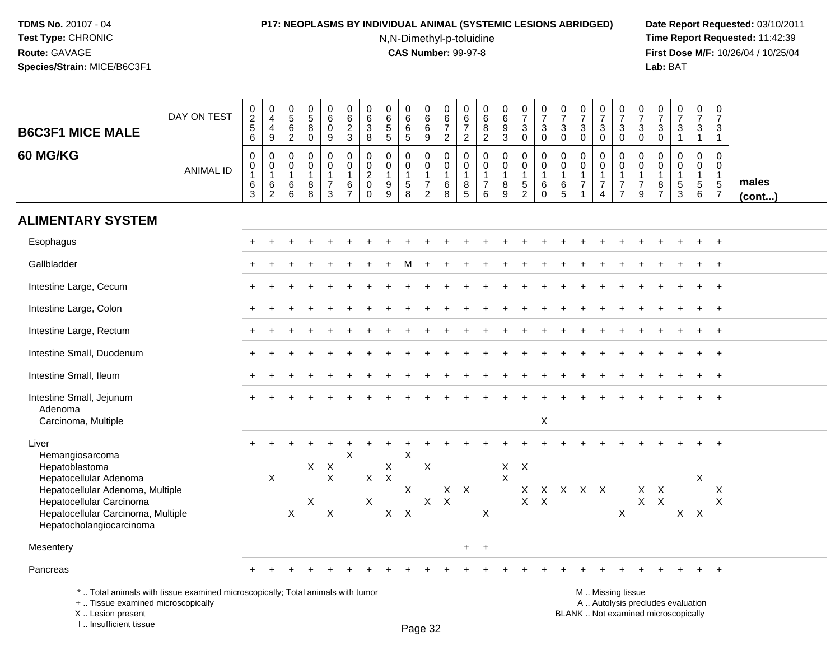# **P17: NEOPLASMS BY INDIVIDUAL ANIMAL (SYSTEMIC LESIONS ABRIDGED) Date Report Requested:** 03/10/2011

N,N-Dimethyl-p-toluidine

 **Time Report Requested:** 11:42:39 **First Dose M/F:** 10/26/04 / 10/25/04<br>**Lab:** BAT **Lab:** BAT

| <b>B6C3F1 MICE MALE</b>                                                                                                                                  | DAY ON TEST      | $\begin{smallmatrix} 0\\2 \end{smallmatrix}$<br>5<br>6 | $\mathbf 0$<br>$\overline{4}$<br>$\overline{\mathbf{4}}$<br>9 | $0$<br>5<br>6<br>2                                           | $\begin{array}{c} 0 \\ 5 \end{array}$<br>$\bf 8$<br>$\mathsf{O}\xspace$ | $\pmb{0}$<br>$6\phantom{a}$<br>$\mathbf 0$<br>9                              | $\pmb{0}$<br>$6\phantom{1}6$<br>$\frac{2}{3}$                       | 0<br>$\,6\,$<br>$\mathbf{3}$<br>8                             | $\pmb{0}$<br>$\overline{6}$<br>$\overline{5}$<br>$5\phantom{.0}$ | $\pmb{0}$<br>$6\phantom{a}$<br>$\,6$<br>5                     | 0<br>$6\overline{6}$<br>$\,6\,$<br>9                 | $\pmb{0}$<br>$rac{6}{7}$                                             | $\mathbf 0$<br>$\,6\,$<br>$\overline{7}$<br>2           | $\pmb{0}$<br>$6\phantom{a}$<br>8<br>$\overline{2}$     | $_{6}^{\rm 0}$<br>$\boldsymbol{9}$<br>3 | $\begin{array}{c} 0 \\ 7 \end{array}$<br>$\ensuremath{\mathsf{3}}$<br>$\mathbf 0$ | $\begin{array}{c} 0 \\ 7 \end{array}$<br>$\ensuremath{\mathsf{3}}$<br>$\mathbf 0$ | $\begin{array}{c} 0 \\ 7 \end{array}$<br>$\sqrt{3}$<br>$\mathbf 0$ | $\frac{0}{7}$<br>$\mathbf{3}$<br>$\Omega$                                      | $\frac{0}{7}$<br>3<br>$\mathbf 0$    | $\frac{0}{7}$<br>$\ensuremath{\mathsf{3}}$<br>$\mathbf 0$                | $\frac{0}{7}$<br>$\mathfrak{S}$<br>$\mathbf 0$          | $\frac{0}{7}$<br>$\mathbf{3}$<br>$\mathbf 0$ | $\begin{array}{c} 0 \\ 7 \end{array}$<br>$\ensuremath{\mathsf{3}}$<br>$\mathbf{1}$ | $\begin{array}{c} 0 \\ 7 \end{array}$<br>$\mathsf 3$<br>$\mathbf{1}$ | $\begin{smallmatrix}0\\7\end{smallmatrix}$<br>$\mathbf{3}$<br>$\mathbf{1}$      |                       |
|----------------------------------------------------------------------------------------------------------------------------------------------------------|------------------|--------------------------------------------------------|---------------------------------------------------------------|--------------------------------------------------------------|-------------------------------------------------------------------------|------------------------------------------------------------------------------|---------------------------------------------------------------------|---------------------------------------------------------------|------------------------------------------------------------------|---------------------------------------------------------------|------------------------------------------------------|----------------------------------------------------------------------|---------------------------------------------------------|--------------------------------------------------------|-----------------------------------------|-----------------------------------------------------------------------------------|-----------------------------------------------------------------------------------|--------------------------------------------------------------------|--------------------------------------------------------------------------------|--------------------------------------|--------------------------------------------------------------------------|---------------------------------------------------------|----------------------------------------------|------------------------------------------------------------------------------------|----------------------------------------------------------------------|---------------------------------------------------------------------------------|-----------------------|
| 60 MG/KG                                                                                                                                                 | <b>ANIMAL ID</b> | $\mathbf 0$<br>0<br>$\mathbf{1}$<br>6<br>3             | 0<br>$\mathbf 0$<br>$\mathbf{1}$<br>$\frac{6}{2}$             | $\mathbf 0$<br>$\pmb{0}$<br>$\mathbf{1}$<br>6<br>$6^{\circ}$ | $\mathbf 0$<br>$\mathbf 0$<br>8<br>8                                    | $\mathbf 0$<br>$\mathbf 0$<br>$\overline{\mathbf{1}}$<br>$\overline{7}$<br>3 | $\mathbf 0$<br>$\mathbf 0$<br>$\overline{1}$<br>6<br>$\overline{7}$ | 0<br>$\mathbf 0$<br>$\overline{c}$<br>$\mathbf 0$<br>$\Omega$ | $\mathbf 0$<br>$\Omega$<br>1<br>9<br>$\overline{9}$              | $\mathbf 0$<br>$\mathbf 0$<br>$\mathbf{1}$<br>$\sqrt{5}$<br>8 | 0<br>$\mathbf 0$<br>$\overline{7}$<br>$\overline{2}$ | $\mathbf 0$<br>$\mathbf 0$<br>$\overline{1}$<br>$6\phantom{1}6$<br>8 | 0<br>$\mathbf 0$<br>$\mathbf{1}$<br>8<br>$\overline{5}$ | $\mathbf 0$<br>$\mathbf 0$<br>1<br>$\overline{7}$<br>6 | 0<br>$\overline{0}$<br>$\frac{8}{9}$    | $\pmb{0}$<br>$\overline{0}$<br>$\mathbf{1}$<br>$\frac{5}{2}$                      | $\mathbf 0$<br>$\mathbf 0$<br>$\mathbf{1}$<br>$\,6$<br>$\Omega$                   | $\mathbf 0$<br>$\Omega$<br>-1<br>6<br>$\overline{5}$               | $\mathbf 0$<br>$\mathbf 0$<br>$\mathbf{1}$<br>$\overline{7}$<br>$\overline{1}$ | 0<br>$\Omega$<br>$\overline{7}$<br>4 | $_{\rm 0}^{\rm 0}$<br>$\mathbf{1}$<br>$\boldsymbol{7}$<br>$\overline{7}$ | 0<br>$\mathbf 0$<br>$\mathbf{1}$<br>$\overline{7}$<br>9 | 0<br>$\mathbf 0$<br>8<br>$\overline{7}$      | $\mathbf 0$<br>$\mathbf 0$<br>$\mathbf{1}$<br>$\sqrt{5}$<br>$\overline{3}$         | $\mathbf 0$<br>$\mathbf 0$<br>$\mathbf{1}$<br>$\sqrt{5}$<br>$\,6\,$  | $\mathbf 0$<br>$\mathbf 0$<br>$\mathbf{1}$<br>$5\phantom{.0}$<br>$\overline{7}$ | males<br>$($ cont $)$ |
| <b>ALIMENTARY SYSTEM</b>                                                                                                                                 |                  |                                                        |                                                               |                                                              |                                                                         |                                                                              |                                                                     |                                                               |                                                                  |                                                               |                                                      |                                                                      |                                                         |                                                        |                                         |                                                                                   |                                                                                   |                                                                    |                                                                                |                                      |                                                                          |                                                         |                                              |                                                                                    |                                                                      |                                                                                 |                       |
| Esophagus                                                                                                                                                |                  |                                                        |                                                               |                                                              |                                                                         |                                                                              |                                                                     |                                                               |                                                                  |                                                               |                                                      |                                                                      |                                                         |                                                        |                                         |                                                                                   |                                                                                   |                                                                    |                                                                                |                                      |                                                                          |                                                         |                                              |                                                                                    |                                                                      | $+$                                                                             |                       |
| Gallbladder                                                                                                                                              |                  |                                                        |                                                               |                                                              |                                                                         |                                                                              |                                                                     |                                                               |                                                                  |                                                               |                                                      |                                                                      |                                                         |                                                        |                                         |                                                                                   |                                                                                   |                                                                    |                                                                                |                                      |                                                                          |                                                         |                                              |                                                                                    |                                                                      | $\overline{+}$                                                                  |                       |
| Intestine Large, Cecum                                                                                                                                   |                  |                                                        |                                                               |                                                              |                                                                         |                                                                              |                                                                     |                                                               |                                                                  |                                                               |                                                      |                                                                      |                                                         |                                                        |                                         |                                                                                   |                                                                                   |                                                                    |                                                                                |                                      |                                                                          |                                                         |                                              |                                                                                    |                                                                      | $\overline{1}$                                                                  |                       |
| Intestine Large, Colon                                                                                                                                   |                  |                                                        |                                                               |                                                              |                                                                         |                                                                              |                                                                     |                                                               |                                                                  |                                                               |                                                      |                                                                      |                                                         |                                                        |                                         |                                                                                   |                                                                                   |                                                                    |                                                                                |                                      |                                                                          |                                                         |                                              |                                                                                    |                                                                      | $+$                                                                             |                       |
| Intestine Large, Rectum                                                                                                                                  |                  |                                                        |                                                               |                                                              |                                                                         |                                                                              |                                                                     |                                                               |                                                                  |                                                               |                                                      |                                                                      |                                                         |                                                        |                                         |                                                                                   |                                                                                   |                                                                    |                                                                                |                                      |                                                                          |                                                         |                                              |                                                                                    |                                                                      |                                                                                 |                       |
| Intestine Small, Duodenum                                                                                                                                |                  |                                                        |                                                               |                                                              |                                                                         |                                                                              |                                                                     |                                                               |                                                                  |                                                               |                                                      |                                                                      |                                                         |                                                        |                                         |                                                                                   |                                                                                   |                                                                    |                                                                                |                                      |                                                                          |                                                         |                                              |                                                                                    |                                                                      | $\overline{1}$                                                                  |                       |
| Intestine Small, Ileum                                                                                                                                   |                  |                                                        |                                                               |                                                              |                                                                         |                                                                              |                                                                     |                                                               |                                                                  |                                                               |                                                      |                                                                      |                                                         |                                                        |                                         |                                                                                   |                                                                                   |                                                                    |                                                                                |                                      |                                                                          |                                                         |                                              |                                                                                    |                                                                      | $^{+}$                                                                          |                       |
| Intestine Small, Jejunum<br>Adenoma<br>Carcinoma, Multiple                                                                                               |                  |                                                        |                                                               |                                                              |                                                                         |                                                                              |                                                                     |                                                               |                                                                  |                                                               |                                                      |                                                                      |                                                         |                                                        |                                         |                                                                                   | X                                                                                 |                                                                    |                                                                                |                                      |                                                                          |                                                         |                                              |                                                                                    |                                                                      |                                                                                 |                       |
| Liver<br>Hemangiosarcoma<br>Hepatoblastoma                                                                                                               |                  |                                                        |                                                               |                                                              | X                                                                       | $\boldsymbol{\mathsf{X}}$                                                    | $\boldsymbol{\mathsf{X}}$                                           |                                                               | X                                                                | X                                                             | X                                                    |                                                                      |                                                         |                                                        | $\mathsf{X}$                            | $\boldsymbol{X}$                                                                  |                                                                                   |                                                                    |                                                                                |                                      |                                                                          |                                                         |                                              |                                                                                    |                                                                      |                                                                                 |                       |
| Hepatocellular Adenoma<br>Hepatocellular Adenoma, Multiple<br>Hepatocellular Carcinoma<br>Hepatocellular Carcinoma, Multiple<br>Hepatocholangiocarcinoma |                  |                                                        | $\boldsymbol{\mathsf{X}}$                                     | X                                                            | X                                                                       | $\pmb{\times}$<br>X                                                          |                                                                     | X<br>X                                                        | $\boldsymbol{\mathsf{X}}$<br>$X$ $X$                             | X                                                             | $\boldsymbol{\mathsf{X}}$                            | X<br>$\boldsymbol{\mathsf{X}}$                                       | $\mathsf{X}$                                            | $\sf X$                                                | $\mathsf{X}$                            | $\mathsf{X}$<br>$\mathsf{X}$                                                      | $\sf X$                                                                           |                                                                    | X X X X                                                                        |                                      | X                                                                        | X<br>$\mathsf{X}$                                       | $\boldsymbol{X}$<br>$\pmb{\times}$           | $X$ $X$                                                                            | X                                                                    | $\boldsymbol{\mathsf{X}}$<br>$\boldsymbol{\mathsf{X}}$                          |                       |
| Mesentery                                                                                                                                                |                  |                                                        |                                                               |                                                              |                                                                         |                                                                              |                                                                     |                                                               |                                                                  |                                                               |                                                      |                                                                      | $+$                                                     | $+$                                                    |                                         |                                                                                   |                                                                                   |                                                                    |                                                                                |                                      |                                                                          |                                                         |                                              |                                                                                    |                                                                      |                                                                                 |                       |
| Pancreas                                                                                                                                                 |                  |                                                        |                                                               |                                                              |                                                                         |                                                                              |                                                                     |                                                               |                                                                  |                                                               |                                                      |                                                                      |                                                         |                                                        |                                         |                                                                                   |                                                                                   |                                                                    |                                                                                |                                      |                                                                          |                                                         |                                              |                                                                                    |                                                                      | $+$                                                                             |                       |
| *  Total animals with tissue examined microscopically; Total animals with tumor                                                                          |                  |                                                        |                                                               |                                                              |                                                                         |                                                                              |                                                                     |                                                               |                                                                  |                                                               |                                                      |                                                                      |                                                         |                                                        |                                         |                                                                                   |                                                                                   |                                                                    |                                                                                |                                      | M  Missing tissue                                                        |                                                         |                                              |                                                                                    |                                                                      |                                                                                 |                       |

+ .. Tissue examined microscopically

 Lesion present BLANK .. Not examined microscopicallyX .. Lesion present

I .. Insufficient tissue

M .. Missing tissue

y the contract of the contract of the contract of the contract of the contract of  $\mathsf A$  . Autolysis precludes evaluation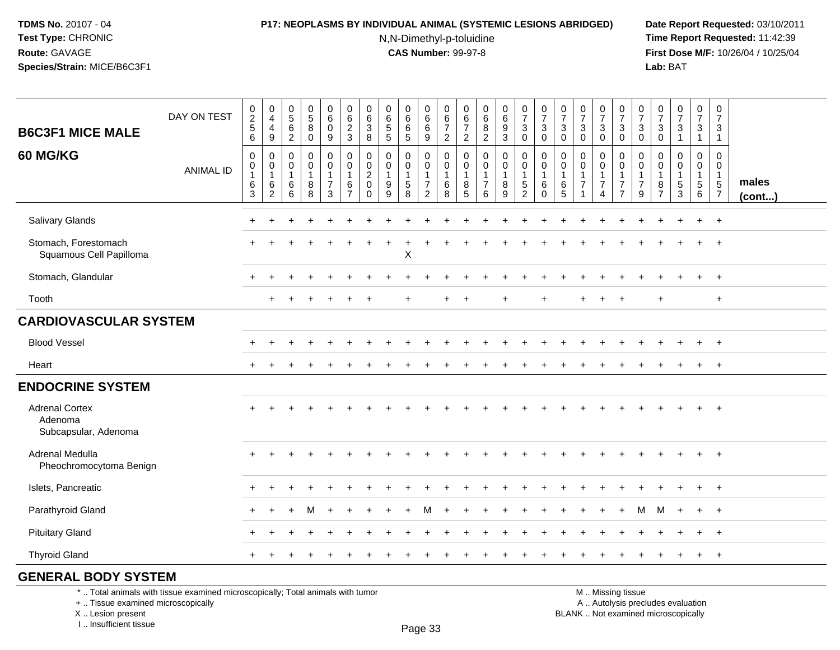# **P17: NEOPLASMS BY INDIVIDUAL ANIMAL (SYSTEMIC LESIONS ABRIDGED) Date Report Requested:** 03/10/2011

N,N-Dimethyl-p-toluidine

 **Time Report Requested:** 11:42:39 **First Dose M/F:** 10/26/04 / 10/25/04 Lab: BAT **Lab:** BAT

|                                                          |                  |                                            |                                                              |                                                   |                                                 | $\boldsymbol{0}$                                     | 0                                               | 0                                                         | 0                               |                                                           |                                                      | $\pmb{0}$                                             | 0                           |                                                                                        |                                            |                                     |                                                   |                               |                                                      |                                          |                                                    |                                            |                                                 |                                                          |                                                | $\mathbf 0$                                |              |
|----------------------------------------------------------|------------------|--------------------------------------------|--------------------------------------------------------------|---------------------------------------------------|-------------------------------------------------|------------------------------------------------------|-------------------------------------------------|-----------------------------------------------------------|---------------------------------|-----------------------------------------------------------|------------------------------------------------------|-------------------------------------------------------|-----------------------------|----------------------------------------------------------------------------------------|--------------------------------------------|-------------------------------------|---------------------------------------------------|-------------------------------|------------------------------------------------------|------------------------------------------|----------------------------------------------------|--------------------------------------------|-------------------------------------------------|----------------------------------------------------------|------------------------------------------------|--------------------------------------------|--------------|
| <b>B6C3F1 MICE MALE</b>                                  | DAY ON TEST      | $\begin{array}{c} 0 \\ 2 \\ 5 \end{array}$ | $\begin{smallmatrix}0\\4\end{smallmatrix}$<br>$\overline{4}$ | $\begin{matrix} 0 \\ 5 \end{matrix}$<br>6         | $\begin{array}{c} 0 \\ 5 \end{array}$<br>8      | $6\phantom{a}$<br>$\mathbf 0$                        | $\,6\,$<br>$\frac{2}{3}$                        | $\,6$<br>$\mathbf{3}$                                     | $6\phantom{a}$<br>$\frac{5}{5}$ | $_{6}^{\rm 0}$<br>$\,6\,$                                 | $\begin{matrix} 0 \\ 6 \\ 6 \end{matrix}$            | $rac{6}{7}$                                           | $\,6\,$<br>$\overline{7}$   | $\begin{matrix} 0 \\ 6 \end{matrix}$<br>$\begin{smallmatrix} 8 \\ 2 \end{smallmatrix}$ | $\begin{array}{c} 0 \\ 6 \end{array}$<br>9 | $\frac{0}{7}$<br>$\mathbf{3}$       | $\frac{0}{7}$<br>$\ensuremath{\mathsf{3}}$        | $\frac{0}{7}$<br>$\mathbf{3}$ | $\frac{0}{7}$<br>$\mathbf{3}$                        | $\frac{0}{7}$<br>3                       | $\frac{0}{7}$<br>$\sqrt{3}$                        | $\frac{0}{7}$<br>$\ensuremath{\mathsf{3}}$ | $\frac{0}{7}$<br>$\ensuremath{\mathsf{3}}$      | $\frac{0}{7}$<br>$\sqrt{3}$                              | $\frac{0}{7}$<br>$\ensuremath{\mathsf{3}}$     | $\overline{7}$<br>$\mathbf{3}$             |              |
|                                                          |                  | 6                                          | 9                                                            | $\overline{2}$                                    | $\mathbf 0$                                     | 9                                                    |                                                 | 8                                                         |                                 | $\sqrt{5}$                                                | 9                                                    | 2                                                     | $\overline{c}$              |                                                                                        | 3                                          | $\mathbf 0$                         | $\mathbf 0$                                       | $\mathbf 0$                   | $\mathbf 0$                                          | $\Omega$                                 | $\mathbf 0$                                        | $\mathbf 0$                                | $\mathbf 0$                                     | $\overline{1}$                                           | $\mathbf{1}$                                   | $\mathbf{1}$                               |              |
| 60 MG/KG                                                 | <b>ANIMAL ID</b> | 0<br>0<br>$\mathbf{1}$<br>$\,6\,$          | 0<br>$\boldsymbol{0}$<br>$\mathbf{1}$<br>$\,6\,$             | $\mathbf 0$<br>$\mathbf 0$<br>$\overline{1}$<br>6 | $\mathbf 0$<br>$\mathbf 0$<br>$\mathbf{1}$<br>8 | 0<br>$\mathbf 0$<br>$\mathbf{1}$<br>$\boldsymbol{7}$ | $\mathbf 0$<br>$\mathbf 0$<br>$\mathbf{1}$<br>6 | 0<br>$\mathbf 0$<br>$\overline{2}$<br>$\mathsf{O}\xspace$ | 0<br>0<br>$\mathbf{1}$<br>9     | $\mathbf 0$<br>$\mathbf 0$<br>$\mathbf{1}$<br>$\,$ 5 $\,$ | 0<br>$\mathbf 0$<br>$\overline{1}$<br>$\overline{7}$ | $\mathbf 0$<br>$\mathbf 0$<br>$\mathbf{1}$<br>$\,6\,$ | 0<br>0<br>$\mathbf{1}$<br>8 | 0<br>$\mathbf 0$<br>$\mathbf{1}$<br>$\boldsymbol{7}$                                   | 0<br>$\mathbf 0$<br>$\mathbf{1}$           | 0<br>$\overline{0}$<br>$\mathbf{1}$ | $\mathbf 0$<br>$\pmb{0}$<br>$\mathbf{1}$<br>$\,6$ | 0<br>0<br>$\overline{1}$<br>6 | 0<br>$\mathbf 0$<br>$\overline{1}$<br>$\overline{7}$ | 0<br>0<br>$\mathbf{1}$<br>$\overline{7}$ | $\mathbf 0$<br>0<br>$\mathbf{1}$<br>$\overline{7}$ | 0<br>0<br>$\mathbf 1$<br>$\overline{7}$    | $\mathbf 0$<br>$\mathbf 0$<br>$\mathbf{1}$<br>8 | $\mathbf 0$<br>$\mathbf 0$<br>$\mathbf{1}$<br>$\sqrt{5}$ | 0<br>$\mathbf 0$<br>$\mathbf{1}$<br>$\sqrt{5}$ | $\mathbf 0$<br>$\mathbf 0$<br>$\mathbf{1}$ | males        |
|                                                          |                  | $\overline{3}$                             | $\overline{2}$                                               | $\,6\,$                                           | 8                                               | $\mathbf{3}$                                         | $\overline{7}$                                  | $\mathbf 0$                                               | $\overline{9}$                  | $\overline{8}$                                            | $\overline{2}$                                       | 8                                                     | 5                           | 6                                                                                      | $^8_9$                                     | $\frac{5}{2}$                       | $\mathbf 0$                                       | $\overline{5}$                | $\mathbf{1}$                                         | 4                                        | $\overline{7}$                                     | 9                                          | $\overline{7}$                                  | $\overline{3}$                                           | 6                                              | $\frac{5}{7}$                              | $($ cont $)$ |
| Salivary Glands                                          |                  |                                            |                                                              |                                                   |                                                 |                                                      |                                                 |                                                           |                                 |                                                           |                                                      |                                                       |                             |                                                                                        |                                            |                                     |                                                   |                               |                                                      |                                          |                                                    |                                            |                                                 |                                                          | $\div$                                         | $+$                                        |              |
| Stomach, Forestomach<br>Squamous Cell Papilloma          |                  |                                            |                                                              |                                                   |                                                 |                                                      |                                                 |                                                           |                                 | X                                                         |                                                      |                                                       |                             |                                                                                        |                                            |                                     |                                                   |                               |                                                      |                                          |                                                    |                                            |                                                 |                                                          |                                                | $\overline{1}$                             |              |
| Stomach, Glandular                                       |                  |                                            |                                                              |                                                   |                                                 |                                                      |                                                 |                                                           |                                 |                                                           |                                                      |                                                       |                             |                                                                                        |                                            |                                     |                                                   |                               |                                                      |                                          |                                                    |                                            |                                                 |                                                          | $\ddot{}$                                      | $+$                                        |              |
| Tooth                                                    |                  |                                            | $+$                                                          |                                                   |                                                 |                                                      |                                                 |                                                           |                                 |                                                           |                                                      |                                                       | $\overline{ }$              |                                                                                        | $\ddot{}$                                  |                                     |                                                   |                               |                                                      |                                          |                                                    |                                            | $\ddot{}$                                       |                                                          |                                                | $\ddot{}$                                  |              |
| <b>CARDIOVASCULAR SYSTEM</b>                             |                  |                                            |                                                              |                                                   |                                                 |                                                      |                                                 |                                                           |                                 |                                                           |                                                      |                                                       |                             |                                                                                        |                                            |                                     |                                                   |                               |                                                      |                                          |                                                    |                                            |                                                 |                                                          |                                                |                                            |              |
| <b>Blood Vessel</b>                                      |                  |                                            |                                                              |                                                   |                                                 |                                                      |                                                 |                                                           |                                 |                                                           |                                                      |                                                       |                             |                                                                                        |                                            |                                     |                                                   |                               |                                                      |                                          |                                                    |                                            |                                                 |                                                          |                                                | $\overline{ }$                             |              |
| Heart                                                    |                  | $\pm$                                      |                                                              |                                                   |                                                 |                                                      |                                                 |                                                           |                                 |                                                           |                                                      |                                                       |                             |                                                                                        |                                            |                                     |                                                   |                               |                                                      |                                          |                                                    |                                            |                                                 |                                                          |                                                | $\overline{ }$                             |              |
| <b>ENDOCRINE SYSTEM</b>                                  |                  |                                            |                                                              |                                                   |                                                 |                                                      |                                                 |                                                           |                                 |                                                           |                                                      |                                                       |                             |                                                                                        |                                            |                                     |                                                   |                               |                                                      |                                          |                                                    |                                            |                                                 |                                                          |                                                |                                            |              |
| <b>Adrenal Cortex</b><br>Adenoma<br>Subcapsular, Adenoma |                  |                                            |                                                              |                                                   |                                                 |                                                      |                                                 |                                                           |                                 |                                                           |                                                      |                                                       |                             |                                                                                        |                                            |                                     |                                                   |                               |                                                      |                                          |                                                    |                                            |                                                 |                                                          |                                                |                                            |              |
| Adrenal Medulla<br>Pheochromocytoma Benign               |                  |                                            |                                                              |                                                   |                                                 |                                                      |                                                 |                                                           |                                 |                                                           |                                                      |                                                       |                             |                                                                                        |                                            |                                     |                                                   |                               |                                                      |                                          |                                                    |                                            |                                                 |                                                          |                                                | $+$                                        |              |
| Islets, Pancreatic                                       |                  |                                            |                                                              |                                                   |                                                 |                                                      |                                                 |                                                           |                                 |                                                           |                                                      |                                                       |                             |                                                                                        |                                            |                                     |                                                   |                               |                                                      |                                          |                                                    |                                            |                                                 |                                                          |                                                | $^{+}$                                     |              |
| Parathyroid Gland                                        |                  | $+$                                        |                                                              |                                                   | м                                               |                                                      |                                                 |                                                           |                                 |                                                           |                                                      |                                                       |                             |                                                                                        |                                            |                                     |                                                   |                               |                                                      |                                          |                                                    | м                                          | м                                               |                                                          | $\ddot{}$                                      | $+$                                        |              |
| <b>Pituitary Gland</b>                                   |                  | +                                          |                                                              |                                                   |                                                 |                                                      |                                                 |                                                           |                                 |                                                           |                                                      |                                                       |                             |                                                                                        |                                            |                                     |                                                   |                               |                                                      |                                          |                                                    |                                            |                                                 |                                                          |                                                | $\overline{1}$                             |              |
| <b>Thyroid Gland</b>                                     |                  |                                            |                                                              |                                                   |                                                 |                                                      |                                                 |                                                           |                                 |                                                           |                                                      |                                                       |                             |                                                                                        |                                            |                                     |                                                   |                               |                                                      |                                          |                                                    |                                            |                                                 |                                                          | $\ddot{}$                                      | $+$                                        |              |
| <b>GENERAL BODY SYSTEM</b>                               |                  |                                            |                                                              |                                                   |                                                 |                                                      |                                                 |                                                           |                                 |                                                           |                                                      |                                                       |                             |                                                                                        |                                            |                                     |                                                   |                               |                                                      |                                          |                                                    |                                            |                                                 |                                                          |                                                |                                            |              |

\* .. Total animals with tissue examined microscopically; Total animals with tumor

+ .. Tissue examined microscopically

X .. Lesion present

I .. Insufficient tissue

 M .. Missing tissuey the contract of the contract of the contract of the contract of the contract of  $\mathsf A$  . Autolysis precludes evaluation Lesion present BLANK .. Not examined microscopically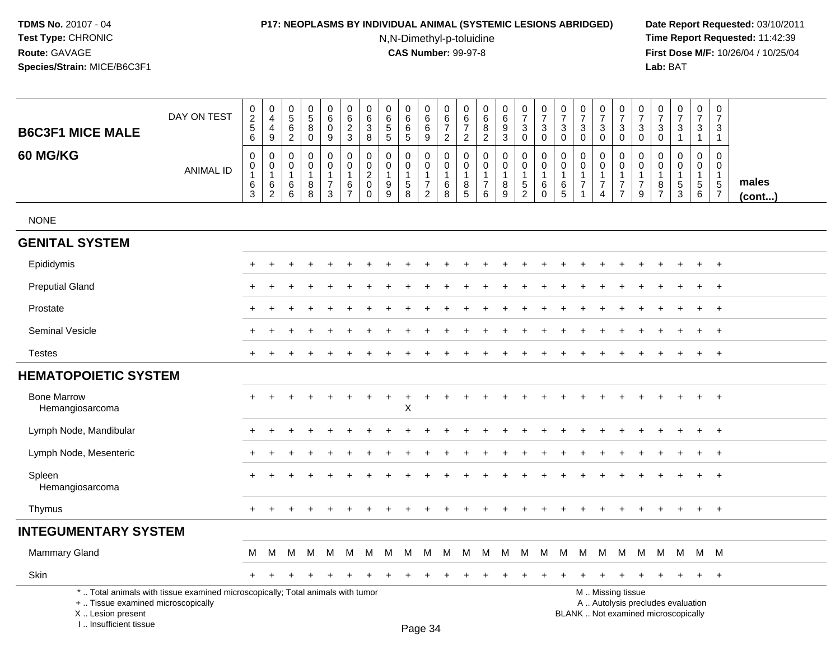# **P17: NEOPLASMS BY INDIVIDUAL ANIMAL (SYSTEMIC LESIONS ABRIDGED) Date Report Requested:** 03/10/2011

N,N-Dimethyl-p-toluidine

 **Time Report Requested:** 11:42:39 **First Dose M/F:** 10/26/04 / 10/25/04<br>Lab: BAT **Lab:** BAT

| <b>B6C3F1 MICE MALE</b>                                | DAY ON TEST                                                                     | 0<br>$\overline{c}$<br>$\overline{5}$                     | 0<br>$\overline{4}$<br>$\overline{4}$           | 0<br>5<br>$\,6\,$                                         | $\begin{array}{c} 0 \\ 5 \end{array}$<br>$\overline{8}$   | 0<br>6<br>$\mathbf 0$                                                    | $\mathbf 0$<br>$\,6\,$<br>$\overline{c}$                               | 0<br>$\,6\,$<br>$\sqrt{3}$                                                   | 0<br>$\,6\,$<br>$\,$ 5 $\,$                                        | 0<br>6<br>$\overline{6}$                     | 0<br>6<br>$6\overline{6}$                                       | 0<br>$\,6$<br>$\overline{7}$                                 | 0<br>$\,6$<br>$\boldsymbol{7}$                                                        | 0<br>$\,6\,$<br>$\bf 8$                                                             | 0<br>$\,6\,$<br>$\boldsymbol{9}$                          | $\pmb{0}$<br>$\boldsymbol{7}$<br>$\sqrt{3}$                    | $\pmb{0}$<br>$\overline{7}$<br>$\mathbf{3}$                                 | 0<br>$\overline{7}$<br>$\mathbf{3}$                                 | $\boldsymbol{0}$<br>$\overline{7}$<br>$\mathbf{3}$                                  | 0<br>$\overline{7}$<br>$\ensuremath{\mathsf{3}}$                          | 0<br>$\overline{7}$<br>$\mathbf 3$                                                            | 0<br>$\overline{7}$<br>3                                         | 0<br>$\overline{7}$<br>3                                  | $\pmb{0}$<br>$\overline{7}$<br>$\sqrt{3}$                                | 0<br>$\overline{7}$<br>$\mathsf 3$                                                                      | $\mathbf 0$<br>$\overline{7}$<br>$\mathbf{3}$                                 |                       |
|--------------------------------------------------------|---------------------------------------------------------------------------------|-----------------------------------------------------------|-------------------------------------------------|-----------------------------------------------------------|-----------------------------------------------------------|--------------------------------------------------------------------------|------------------------------------------------------------------------|------------------------------------------------------------------------------|--------------------------------------------------------------------|----------------------------------------------|-----------------------------------------------------------------|--------------------------------------------------------------|---------------------------------------------------------------------------------------|-------------------------------------------------------------------------------------|-----------------------------------------------------------|----------------------------------------------------------------|-----------------------------------------------------------------------------|---------------------------------------------------------------------|-------------------------------------------------------------------------------------|---------------------------------------------------------------------------|-----------------------------------------------------------------------------------------------|------------------------------------------------------------------|-----------------------------------------------------------|--------------------------------------------------------------------------|---------------------------------------------------------------------------------------------------------|-------------------------------------------------------------------------------|-----------------------|
| 60 MG/KG                                               | <b>ANIMAL ID</b>                                                                | 6<br>$\mathbf 0$<br>$\mathbf 0$<br>$\mathbf{1}$<br>6<br>3 | 9<br>$\mathbf 0$<br>0<br>$\mathbf{1}$<br>6<br>2 | $\overline{2}$<br>$\Omega$<br>0<br>$\mathbf{1}$<br>6<br>6 | $\mathbf 0$<br>$\mathbf 0$<br>0<br>$\mathbf{1}$<br>8<br>8 | 9<br>$\mathbf 0$<br>$\mathbf 0$<br>$\overline{1}$<br>$\overline{7}$<br>3 | 3<br>$\mathbf 0$<br>$\mathbf 0$<br>$\mathbf{1}$<br>6<br>$\overline{7}$ | 8<br>$\mathbf 0$<br>$\mathbf 0$<br>$\overline{c}$<br>$\mathbf 0$<br>$\Omega$ | $\sqrt{5}$<br>$\mathbf 0$<br>$\mathbf 0$<br>$\mathbf{1}$<br>9<br>9 | 5<br>$\Omega$<br>0<br>$\mathbf{1}$<br>5<br>8 | 9<br>0<br>0<br>$\mathbf{1}$<br>$\overline{7}$<br>$\overline{2}$ | $\overline{2}$<br>$\mathbf 0$<br>0<br>$\mathbf{1}$<br>6<br>8 | $\overline{2}$<br>$\mathbf 0$<br>$\mathbf 0$<br>$\overline{1}$<br>8<br>$\overline{5}$ | $\overline{2}$<br>$\mathbf 0$<br>$\mathbf 0$<br>$\mathbf{1}$<br>$\overline{7}$<br>6 | $\mathbf{3}$<br>$\mathbf 0$<br>$\mathbf 0$<br>1<br>8<br>9 | $\mathbf 0$<br>0<br>$\pmb{0}$<br>$\mathbf{1}$<br>$\frac{5}{2}$ | $\mathbf 0$<br>$\mathbf 0$<br>$\pmb{0}$<br>$\mathbf{1}$<br>6<br>$\mathbf 0$ | 0<br>$\Omega$<br>$\mathbf 0$<br>$\mathbf{1}$<br>6<br>$\overline{5}$ | $\mathbf 0$<br>$\mathbf 0$<br>$\mathbf 0$<br>$\overline{1}$<br>$\overline{7}$<br>-1 | $\mathbf 0$<br>0<br>0<br>$\mathbf{1}$<br>$\overline{7}$<br>$\overline{4}$ | $\mathbf 0$<br>$\mathbf 0$<br>$\mathbf 0$<br>$\mathbf{1}$<br>$\overline{7}$<br>$\overline{7}$ | $\mathbf 0$<br>$\Omega$<br>$\Omega$<br>-1<br>$\overline{7}$<br>9 | 0<br>$\Omega$<br>0<br>$\mathbf{1}$<br>8<br>$\overline{7}$ | 1<br>$\mathbf 0$<br>$\mathbf 0$<br>1<br>$\sqrt{5}$<br>$\overline{3}$     | $\overline{1}$<br>$\mathbf 0$<br>$\mathbf 0$<br>$\overline{1}$<br>$\begin{array}{c} 5 \\ 6 \end{array}$ | $\overline{1}$<br>$\mathbf 0$<br>$\mathbf 0$<br>$\mathbf{1}$<br>$\frac{5}{7}$ | males<br>$($ cont $)$ |
| <b>NONE</b>                                            |                                                                                 |                                                           |                                                 |                                                           |                                                           |                                                                          |                                                                        |                                                                              |                                                                    |                                              |                                                                 |                                                              |                                                                                       |                                                                                     |                                                           |                                                                |                                                                             |                                                                     |                                                                                     |                                                                           |                                                                                               |                                                                  |                                                           |                                                                          |                                                                                                         |                                                                               |                       |
| <b>GENITAL SYSTEM</b>                                  |                                                                                 |                                                           |                                                 |                                                           |                                                           |                                                                          |                                                                        |                                                                              |                                                                    |                                              |                                                                 |                                                              |                                                                                       |                                                                                     |                                                           |                                                                |                                                                             |                                                                     |                                                                                     |                                                                           |                                                                                               |                                                                  |                                                           |                                                                          |                                                                                                         |                                                                               |                       |
| Epididymis                                             |                                                                                 |                                                           |                                                 |                                                           |                                                           |                                                                          |                                                                        |                                                                              |                                                                    |                                              |                                                                 |                                                              |                                                                                       |                                                                                     |                                                           |                                                                |                                                                             |                                                                     |                                                                                     |                                                                           |                                                                                               |                                                                  |                                                           | $\ddot{}$                                                                | $\ddot{}$                                                                                               | $+$                                                                           |                       |
| <b>Preputial Gland</b>                                 |                                                                                 |                                                           |                                                 |                                                           |                                                           |                                                                          |                                                                        |                                                                              |                                                                    |                                              |                                                                 |                                                              |                                                                                       |                                                                                     |                                                           |                                                                |                                                                             |                                                                     |                                                                                     |                                                                           |                                                                                               |                                                                  |                                                           |                                                                          | $\ddot{}$                                                                                               | $+$                                                                           |                       |
| Prostate                                               |                                                                                 |                                                           |                                                 |                                                           |                                                           |                                                                          |                                                                        |                                                                              |                                                                    |                                              |                                                                 |                                                              |                                                                                       |                                                                                     |                                                           |                                                                |                                                                             |                                                                     |                                                                                     |                                                                           |                                                                                               |                                                                  |                                                           |                                                                          | +                                                                                                       | $+$                                                                           |                       |
| Seminal Vesicle                                        |                                                                                 |                                                           |                                                 |                                                           |                                                           |                                                                          |                                                                        |                                                                              |                                                                    |                                              |                                                                 |                                                              |                                                                                       |                                                                                     |                                                           |                                                                |                                                                             |                                                                     |                                                                                     |                                                                           |                                                                                               |                                                                  |                                                           |                                                                          |                                                                                                         | $+$                                                                           |                       |
| <b>Testes</b>                                          |                                                                                 | $+$                                                       |                                                 |                                                           |                                                           |                                                                          |                                                                        |                                                                              |                                                                    |                                              |                                                                 |                                                              |                                                                                       |                                                                                     |                                                           |                                                                |                                                                             |                                                                     |                                                                                     | $\ddot{}$                                                                 |                                                                                               |                                                                  |                                                           | $\pm$                                                                    | $\ddot{}$                                                                                               | $+$                                                                           |                       |
| <b>HEMATOPOIETIC SYSTEM</b>                            |                                                                                 |                                                           |                                                 |                                                           |                                                           |                                                                          |                                                                        |                                                                              |                                                                    |                                              |                                                                 |                                                              |                                                                                       |                                                                                     |                                                           |                                                                |                                                                             |                                                                     |                                                                                     |                                                                           |                                                                                               |                                                                  |                                                           |                                                                          |                                                                                                         |                                                                               |                       |
| <b>Bone Marrow</b><br>Hemangiosarcoma                  |                                                                                 |                                                           |                                                 |                                                           |                                                           |                                                                          |                                                                        |                                                                              |                                                                    | $\pm$<br>$\mathsf X$                         |                                                                 |                                                              |                                                                                       |                                                                                     |                                                           |                                                                |                                                                             |                                                                     |                                                                                     |                                                                           |                                                                                               |                                                                  |                                                           |                                                                          | $\ddot{}$                                                                                               | $^{+}$                                                                        |                       |
| Lymph Node, Mandibular                                 |                                                                                 |                                                           |                                                 |                                                           |                                                           |                                                                          |                                                                        |                                                                              |                                                                    |                                              |                                                                 |                                                              |                                                                                       |                                                                                     |                                                           |                                                                |                                                                             |                                                                     |                                                                                     |                                                                           |                                                                                               |                                                                  |                                                           |                                                                          | $\ddot{}$                                                                                               | $+$                                                                           |                       |
| Lymph Node, Mesenteric                                 |                                                                                 |                                                           |                                                 |                                                           |                                                           |                                                                          |                                                                        |                                                                              |                                                                    |                                              |                                                                 |                                                              |                                                                                       |                                                                                     |                                                           |                                                                |                                                                             |                                                                     |                                                                                     |                                                                           |                                                                                               |                                                                  |                                                           |                                                                          |                                                                                                         | $\ddot{}$                                                                     |                       |
| Spleen<br>Hemangiosarcoma                              |                                                                                 |                                                           |                                                 |                                                           |                                                           |                                                                          |                                                                        |                                                                              |                                                                    |                                              |                                                                 |                                                              |                                                                                       |                                                                                     |                                                           |                                                                |                                                                             |                                                                     |                                                                                     |                                                                           |                                                                                               |                                                                  |                                                           |                                                                          | $+$                                                                                                     | $\overline{+}$                                                                |                       |
| Thymus                                                 |                                                                                 | $\pm$                                                     |                                                 |                                                           |                                                           |                                                                          |                                                                        |                                                                              |                                                                    |                                              |                                                                 |                                                              |                                                                                       |                                                                                     |                                                           |                                                                |                                                                             |                                                                     |                                                                                     |                                                                           |                                                                                               |                                                                  |                                                           |                                                                          | $+$                                                                                                     | $+$                                                                           |                       |
| <b>INTEGUMENTARY SYSTEM</b>                            |                                                                                 |                                                           |                                                 |                                                           |                                                           |                                                                          |                                                                        |                                                                              |                                                                    |                                              |                                                                 |                                                              |                                                                                       |                                                                                     |                                                           |                                                                |                                                                             |                                                                     |                                                                                     |                                                                           |                                                                                               |                                                                  |                                                           |                                                                          |                                                                                                         |                                                                               |                       |
| <b>Mammary Gland</b>                                   |                                                                                 | M                                                         | M                                               | M                                                         | M                                                         | M                                                                        | M                                                                      | M                                                                            | M                                                                  | M                                            | M                                                               | M                                                            | M                                                                                     | M                                                                                   | M                                                         | M                                                              | M                                                                           | M                                                                   | M                                                                                   | M                                                                         | M                                                                                             | M                                                                | M                                                         | M                                                                        | M M                                                                                                     |                                                                               |                       |
| Skin                                                   |                                                                                 | $+$                                                       |                                                 |                                                           |                                                           |                                                                          |                                                                        |                                                                              |                                                                    |                                              |                                                                 |                                                              |                                                                                       |                                                                                     |                                                           |                                                                |                                                                             |                                                                     |                                                                                     | $\pm$                                                                     |                                                                                               | ÷                                                                | $\pm$                                                     | $\pm$                                                                    | $+$                                                                                                     | $+$                                                                           |                       |
| +  Tissue examined microscopically<br>X Lesion present | *  Total animals with tissue examined microscopically; Total animals with tumor |                                                           |                                                 |                                                           |                                                           |                                                                          |                                                                        |                                                                              |                                                                    |                                              |                                                                 |                                                              |                                                                                       |                                                                                     |                                                           |                                                                |                                                                             |                                                                     |                                                                                     |                                                                           | M  Missing tissue                                                                             |                                                                  |                                                           | A  Autolysis precludes evaluation<br>BLANK  Not examined microscopically |                                                                                                         |                                                                               |                       |

I .. Insufficient tissue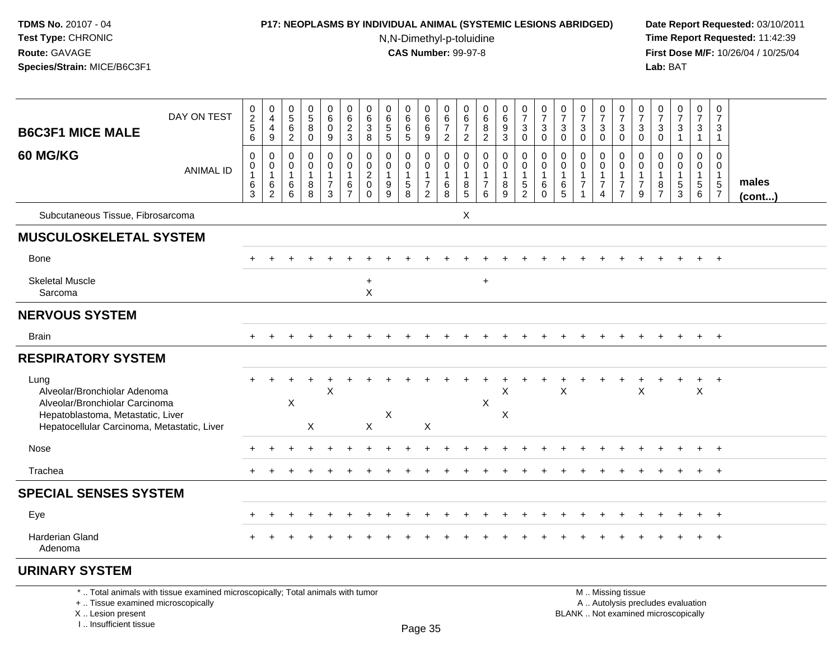# **P17: NEOPLASMS BY INDIVIDUAL ANIMAL (SYSTEMIC LESIONS ABRIDGED) Date Report Requested:** 03/10/2011

N,N-Dimethyl-p-toluidine

 **Time Report Requested:** 11:42:39 **First Dose M/F:** 10/26/04 / 10/25/04<br>Lab: BAT **Lab:** BAT

| <b>B6C3F1 MICE MALE</b>                                                                                                                                    | DAY ON TEST                                                                     | $0$<br>$2$<br>$5$<br>$6$                   | $\pmb{0}$<br>4<br>4<br>$\boldsymbol{9}$    | 0<br>$\sqrt{5}$<br>$\,6\,$<br>$\overline{2}$ | $\begin{array}{c} 0 \\ 5 \end{array}$<br>$\, 8$<br>$\mathbf 0$    | 0<br>$6\phantom{a}$<br>$\pmb{0}$<br>9                    | $\mathbf 0$<br>6<br>$\frac{2}{3}$                           | 0<br>6<br>$\ensuremath{\mathsf{3}}$<br>8                      | 0<br>$6\phantom{a}$<br>$\sqrt{5}$<br>$\sqrt{5}$                               | 0<br>$6\overline{6}$<br>6<br>5                                  | 0<br>$6\overline{6}$<br>$\frac{6}{9}$  | $\mathbf 0$<br>$\,6\,$<br>$\overline{7}$<br>$\overline{2}$ | 0<br>6<br>$\overline{7}$<br>$\overline{2}$       | 0<br>6<br>$\frac{8}{2}$                                                        | 0<br>$\overline{6}$<br>$\frac{9}{3}$              | $\begin{array}{c} 0 \\ 7 \end{array}$<br>$\ensuremath{\mathsf{3}}$<br>$\mathbf 0$ | $\frac{0}{7}$<br>$\mathbf{3}$<br>$\mathbf 0$                | 0<br>$\overline{7}$<br>$\mathbf{3}$<br>$\mathbf 0$ | $\begin{array}{c} 0 \\ 7 \end{array}$<br>$\ensuremath{\mathsf{3}}$<br>$\mathbf 0$ | $\frac{0}{7}$<br>$\ensuremath{\mathsf{3}}$<br>$\mathbf 0$  | $\frac{0}{7}$<br>$_{0}^{3}$                                 | 0<br>$\overline{7}$<br>3<br>$\mathbf 0$ | $\frac{0}{7}$<br>$\mathsf 3$<br>$\mathbf 0$           | $\frac{0}{7}$<br>$\mathbf 3$<br>$\mathbf{1}$ | $\frac{0}{7}$<br>$\ensuremath{\mathsf{3}}$<br>$\mathbf{1}$      | $\begin{array}{c} 0 \\ 7 \end{array}$<br>$\mathsf 3$<br>$\overline{1}$ |                 |
|------------------------------------------------------------------------------------------------------------------------------------------------------------|---------------------------------------------------------------------------------|--------------------------------------------|--------------------------------------------|----------------------------------------------|-------------------------------------------------------------------|----------------------------------------------------------|-------------------------------------------------------------|---------------------------------------------------------------|-------------------------------------------------------------------------------|-----------------------------------------------------------------|----------------------------------------|------------------------------------------------------------|--------------------------------------------------|--------------------------------------------------------------------------------|---------------------------------------------------|-----------------------------------------------------------------------------------|-------------------------------------------------------------|----------------------------------------------------|-----------------------------------------------------------------------------------|------------------------------------------------------------|-------------------------------------------------------------|-----------------------------------------|-------------------------------------------------------|----------------------------------------------|-----------------------------------------------------------------|------------------------------------------------------------------------|-----------------|
| 60 MG/KG                                                                                                                                                   | <b>ANIMAL ID</b>                                                                | $\mathbf 0$<br>0<br>$\mathbf{1}$<br>$^6_3$ | $\mathbf 0$<br>0<br>$\mathbf{1}$<br>$^6_2$ | $\mathbf{0}$<br>0<br>$\mathbf 1$<br>6<br>6   | $\mathbf 0$<br>$\mathbf 0$<br>$\mathbf{1}$<br>8<br>$\overline{8}$ | 0<br>0<br>$\mathbf{1}$<br>$\overline{7}$<br>$\mathbf{3}$ | $\mathbf 0$<br>$\mathbf 0$<br>$\mathbf{1}$<br>$\frac{6}{7}$ | 0<br>$\mathbf 0$<br>$\overline{c}$<br>$\mathbf 0$<br>$\Omega$ | $\mathbf 0$<br>$\Omega$<br>$\mathbf{1}$<br>$\boldsymbol{9}$<br>$\overline{9}$ | 0<br>0<br>$\mathbf{1}$<br>$\begin{array}{c} 5 \\ 8 \end{array}$ | 0<br>0<br>$\mathbf 1$<br>$\frac{7}{2}$ | $\mathbf 0$<br>0<br>$\mathbf{1}$<br>$^6_8$                 | 0<br>$\Omega$<br>$\overline{1}$<br>$\frac{8}{5}$ | $\mathbf 0$<br>$\mathbf 0$<br>$\mathbf{1}$<br>$\overline{7}$<br>$6\phantom{1}$ | $\mathbf 0$<br>$\mathbf 0$<br>8<br>$\overline{9}$ | $\mathbf 0$<br>$\mathbf 0$<br>$\mathbf{1}$<br>$\frac{5}{2}$                       | $\mathbf 0$<br>$\mathbf 0$<br>$\mathbf{1}$<br>6<br>$\Omega$ | $\Omega$<br>$\Omega$<br>$\mathbf{1}$<br>$6\over 5$ | $\mathbf 0$<br>$\mathbf 0$<br>$\mathbf{1}$<br>$\overline{7}$                      | 0<br>$\mathbf 0$<br>-1<br>$\overline{7}$<br>$\overline{4}$ | $\mathbf 0$<br>$\mathbf 0$<br>$\mathbf{1}$<br>$\frac{7}{7}$ | $\Omega$<br>0<br>$\overline{7}$<br>9    | $\Omega$<br>$\Omega$<br>$\mathbf{1}$<br>$\frac{8}{7}$ | $\mathbf 0$<br>0<br>$\frac{5}{3}$            | 0<br>0<br>$\mathbf{1}$<br>$\begin{array}{c} 5 \\ 6 \end{array}$ | $\Omega$<br>0<br>$\mathbf{1}$<br>$\frac{5}{7}$                         | males<br>(cont) |
| Subcutaneous Tissue, Fibrosarcoma                                                                                                                          |                                                                                 |                                            |                                            |                                              |                                                                   |                                                          |                                                             |                                                               |                                                                               |                                                                 |                                        |                                                            | $\boldsymbol{\mathsf{X}}$                        |                                                                                |                                                   |                                                                                   |                                                             |                                                    |                                                                                   |                                                            |                                                             |                                         |                                                       |                                              |                                                                 |                                                                        |                 |
| <b>MUSCULOSKELETAL SYSTEM</b>                                                                                                                              |                                                                                 |                                            |                                            |                                              |                                                                   |                                                          |                                                             |                                                               |                                                                               |                                                                 |                                        |                                                            |                                                  |                                                                                |                                                   |                                                                                   |                                                             |                                                    |                                                                                   |                                                            |                                                             |                                         |                                                       |                                              |                                                                 |                                                                        |                 |
| <b>Bone</b>                                                                                                                                                |                                                                                 |                                            |                                            |                                              |                                                                   |                                                          |                                                             |                                                               |                                                                               |                                                                 |                                        |                                                            |                                                  |                                                                                |                                                   |                                                                                   |                                                             |                                                    |                                                                                   |                                                            |                                                             |                                         |                                                       |                                              |                                                                 | $+$                                                                    |                 |
| <b>Skeletal Muscle</b><br>Sarcoma                                                                                                                          |                                                                                 |                                            |                                            |                                              |                                                                   |                                                          |                                                             | $\ddot{}$<br>X                                                |                                                                               |                                                                 |                                        |                                                            |                                                  | $\ddot{}$                                                                      |                                                   |                                                                                   |                                                             |                                                    |                                                                                   |                                                            |                                                             |                                         |                                                       |                                              |                                                                 |                                                                        |                 |
| <b>NERVOUS SYSTEM</b>                                                                                                                                      |                                                                                 |                                            |                                            |                                              |                                                                   |                                                          |                                                             |                                                               |                                                                               |                                                                 |                                        |                                                            |                                                  |                                                                                |                                                   |                                                                                   |                                                             |                                                    |                                                                                   |                                                            |                                                             |                                         |                                                       |                                              |                                                                 |                                                                        |                 |
| <b>Brain</b>                                                                                                                                               |                                                                                 |                                            |                                            |                                              |                                                                   |                                                          |                                                             |                                                               |                                                                               |                                                                 |                                        |                                                            |                                                  |                                                                                |                                                   |                                                                                   |                                                             |                                                    |                                                                                   |                                                            |                                                             |                                         |                                                       |                                              | $\ddot{}$                                                       | $+$                                                                    |                 |
| <b>RESPIRATORY SYSTEM</b>                                                                                                                                  |                                                                                 |                                            |                                            |                                              |                                                                   |                                                          |                                                             |                                                               |                                                                               |                                                                 |                                        |                                                            |                                                  |                                                                                |                                                   |                                                                                   |                                                             |                                                    |                                                                                   |                                                            |                                                             |                                         |                                                       |                                              |                                                                 |                                                                        |                 |
| Lung<br>Alveolar/Bronchiolar Adenoma<br>Alveolar/Bronchiolar Carcinoma<br>Hepatoblastoma, Metastatic, Liver<br>Hepatocellular Carcinoma, Metastatic, Liver |                                                                                 |                                            | $\ddot{}$                                  | X                                            | X                                                                 | $\ddot{}$<br>X                                           |                                                             | X                                                             | $\boldsymbol{\mathsf{X}}$                                                     |                                                                 | X                                      |                                                            |                                                  | X                                                                              | X<br>X                                            |                                                                                   |                                                             | X                                                  |                                                                                   |                                                            |                                                             | X                                       |                                                       | $\ddot{}$                                    | $+$<br>$\times$                                                 | $+$                                                                    |                 |
| Nose                                                                                                                                                       |                                                                                 |                                            |                                            |                                              |                                                                   |                                                          |                                                             |                                                               |                                                                               |                                                                 |                                        |                                                            |                                                  |                                                                                |                                                   |                                                                                   |                                                             |                                                    |                                                                                   |                                                            |                                                             |                                         |                                                       |                                              |                                                                 | $\overline{+}$                                                         |                 |
| Trachea                                                                                                                                                    |                                                                                 |                                            |                                            |                                              |                                                                   |                                                          |                                                             |                                                               |                                                                               |                                                                 |                                        |                                                            |                                                  |                                                                                |                                                   |                                                                                   |                                                             |                                                    |                                                                                   |                                                            |                                                             |                                         |                                                       | $\div$                                       | $\ddot{}$                                                       | $+$                                                                    |                 |
| <b>SPECIAL SENSES SYSTEM</b>                                                                                                                               |                                                                                 |                                            |                                            |                                              |                                                                   |                                                          |                                                             |                                                               |                                                                               |                                                                 |                                        |                                                            |                                                  |                                                                                |                                                   |                                                                                   |                                                             |                                                    |                                                                                   |                                                            |                                                             |                                         |                                                       |                                              |                                                                 |                                                                        |                 |
| Eye                                                                                                                                                        |                                                                                 |                                            |                                            |                                              |                                                                   |                                                          |                                                             |                                                               |                                                                               |                                                                 |                                        |                                                            |                                                  |                                                                                |                                                   |                                                                                   |                                                             |                                                    |                                                                                   |                                                            |                                                             |                                         |                                                       |                                              |                                                                 | $+$                                                                    |                 |
| Harderian Gland<br>Adenoma                                                                                                                                 |                                                                                 |                                            |                                            |                                              |                                                                   |                                                          |                                                             |                                                               |                                                                               |                                                                 |                                        |                                                            |                                                  |                                                                                |                                                   |                                                                                   |                                                             |                                                    |                                                                                   |                                                            |                                                             |                                         |                                                       |                                              |                                                                 | $\overline{1}$                                                         |                 |
| <b>URINARY SYSTEM</b>                                                                                                                                      |                                                                                 |                                            |                                            |                                              |                                                                   |                                                          |                                                             |                                                               |                                                                               |                                                                 |                                        |                                                            |                                                  |                                                                                |                                                   |                                                                                   |                                                             |                                                    |                                                                                   |                                                            |                                                             |                                         |                                                       |                                              |                                                                 |                                                                        |                 |
| +  Tissue examined microscopically                                                                                                                         | *  Total animals with tissue examined microscopically; Total animals with tumor |                                            |                                            |                                              |                                                                   |                                                          |                                                             |                                                               |                                                                               |                                                                 |                                        |                                                            |                                                  |                                                                                |                                                   |                                                                                   |                                                             |                                                    |                                                                                   |                                                            | M  Missing tissue<br>A  Autolysis precludes evaluation      |                                         |                                                       |                                              |                                                                 |                                                                        |                 |

X .. Lesion present I .. Insufficient tissue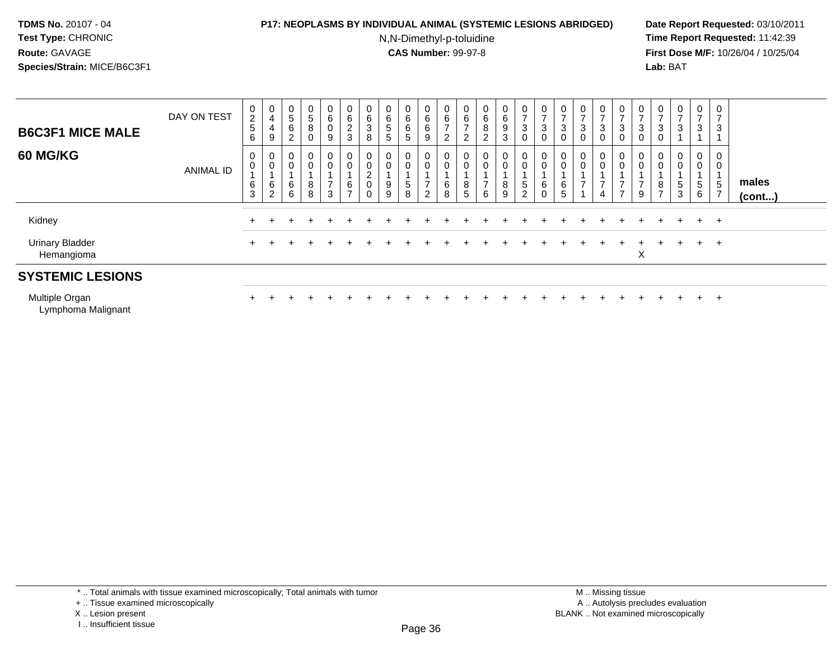# **P17: NEOPLASMS BY INDIVIDUAL ANIMAL (SYSTEMIC LESIONS ABRIDGED) Date Report Requested:** 03/10/2011

N,N-Dimethyl-p-toluidine

 **Time Report Requested:** 11:42:39 **First Dose M/F:** 10/26/04 / 10/25/04 Lab: BAT **Lab:** BAT

| <b>B6C3F1 MICE MALE</b>              | DAY ON TEST      | 0<br>$\frac{2}{5}$<br>6     | $\mathbf 0$<br>4<br>4<br>9                      | $\mathbf 0$<br>$\sqrt{5}$<br>$\,6$<br>$\overline{2}$ | $\mathbf{0}$<br>5<br>8<br>0 | 0<br>6<br>$\mathbf 0$<br>9              | 0<br>6<br>$\frac{2}{3}$                          | U<br>6<br>3<br>8 | 0<br>$\,6\,$<br>5<br>5     | 0<br>6<br>6<br>5 | 0<br>6<br>6<br>9              | 0<br>6<br>$\rightarrow$<br>ົ<br>$\epsilon$ | 0<br>$\,6$<br>-<br>$\overline{2}$ | $\mathbf{0}$<br>$\,6\,$<br>$\bf 8$<br>$\overline{2}$ | $\begin{matrix} 0 \\ 6 \end{matrix}$<br>$\boldsymbol{9}$<br>3 | $\frac{0}{7}$<br>$\mathbf{3}$<br>$\mathbf 0$                 | 0<br>3<br>0      | $\overline{ }$<br>3<br>$\mathbf 0$ | 0<br>$\rightarrow$<br>3<br>0 | 0<br>$\rightarrow$<br>3<br>0 | $\frac{0}{7}$<br>3<br>$\mathbf 0$ | 0<br>$\overline{ }$<br>3<br>0 | 0<br>⇁<br>3<br>$\mathbf 0$    | 0<br>⇁<br>3      | $\mathbf{0}$<br>$\overline{ }$<br>3 | 0<br>-<br>3                           |                 |
|--------------------------------------|------------------|-----------------------------|-------------------------------------------------|------------------------------------------------------|-----------------------------|-----------------------------------------|--------------------------------------------------|------------------|----------------------------|------------------|-------------------------------|--------------------------------------------|-----------------------------------|------------------------------------------------------|---------------------------------------------------------------|--------------------------------------------------------------|------------------|------------------------------------|------------------------------|------------------------------|-----------------------------------|-------------------------------|-------------------------------|------------------|-------------------------------------|---------------------------------------|-----------------|
| <b>60 MG/KG</b>                      | <b>ANIMAL ID</b> | 0<br>0<br>6<br>$\mathbf{3}$ | $\mathbf 0$<br>$\pmb{0}$<br>6<br>$\overline{2}$ | $\mathbf 0$<br>$\pmb{0}$<br>$\,6\,$<br>6             | 0<br>0<br>8<br>8            | 0<br>$\mathbf 0$<br>$\overline{ }$<br>3 | $\pmb{0}$<br>$\pmb{0}$<br>$\,6$<br>$\rightarrow$ | 0<br>L<br>0<br>0 | 0<br>$\mathbf 0$<br>9<br>9 | 0<br>0<br>5<br>8 | 0<br>0<br>$\overline{ }$<br>2 | 6<br>8                                     | 0<br>0<br>8<br>5                  | 0<br>0<br>-<br>6                                     | $\mathbf 0$<br>$\boldsymbol{0}$<br>8<br>9                     | $\mathbf 0$<br>$\pmb{0}$<br>$\overline{5}$<br>$\overline{2}$ | 0<br>0<br>6<br>0 | $\mathbf 0$<br>$\,6\,$<br>5        | 0<br>0<br>⇁                  | 0<br>0<br>$\rightarrow$<br>4 | 0<br>0<br>$\overline{ }$          | 0<br>0<br>$\rightarrow$<br>9  | 0<br>0<br>8<br>$\overline{ }$ | 0<br>0<br>5<br>3 | $\overline{0}$<br>0<br>5<br>6       | 0<br>0<br>$\sqrt{5}$<br>$\rightarrow$ | males<br>(cont) |
| Kidney                               |                  |                             |                                                 | ÷                                                    | ۰                           |                                         |                                                  |                  |                            |                  |                               |                                            |                                   |                                                      |                                                               |                                                              |                  |                                    |                              |                              |                                   |                               | $+$                           | $\div$           | $+$                                 | $+$                                   |                 |
| <b>Urinary Bladder</b><br>Hemangioma |                  |                             |                                                 |                                                      |                             |                                         |                                                  |                  |                            |                  |                               |                                            |                                   |                                                      |                                                               |                                                              |                  |                                    |                              |                              |                                   | X                             |                               |                  | $+$                                 | $^{+}$                                |                 |
| <b>SYSTEMIC LESIONS</b>              |                  |                             |                                                 |                                                      |                             |                                         |                                                  |                  |                            |                  |                               |                                            |                                   |                                                      |                                                               |                                                              |                  |                                    |                              |                              |                                   |                               |                               |                  |                                     |                                       |                 |

<sup>+</sup> <sup>+</sup> <sup>+</sup> <sup>+</sup> <sup>+</sup> <sup>+</sup> <sup>+</sup> <sup>+</sup> <sup>+</sup> <sup>+</sup> <sup>+</sup> <sup>+</sup> <sup>+</sup> <sup>+</sup> <sup>+</sup> <sup>+</sup> <sup>+</sup> <sup>+</sup> <sup>+</sup> <sup>+</sup> <sup>+</sup> <sup>+</sup> <sup>+</sup> <sup>+</sup>

Multiple Organıitipie Organ<br>Lymphoma Malignant

\* .. Total animals with tissue examined microscopically; Total animals with tumor

+ .. Tissue examined microscopically

X .. Lesion present

I .. Insufficient tissue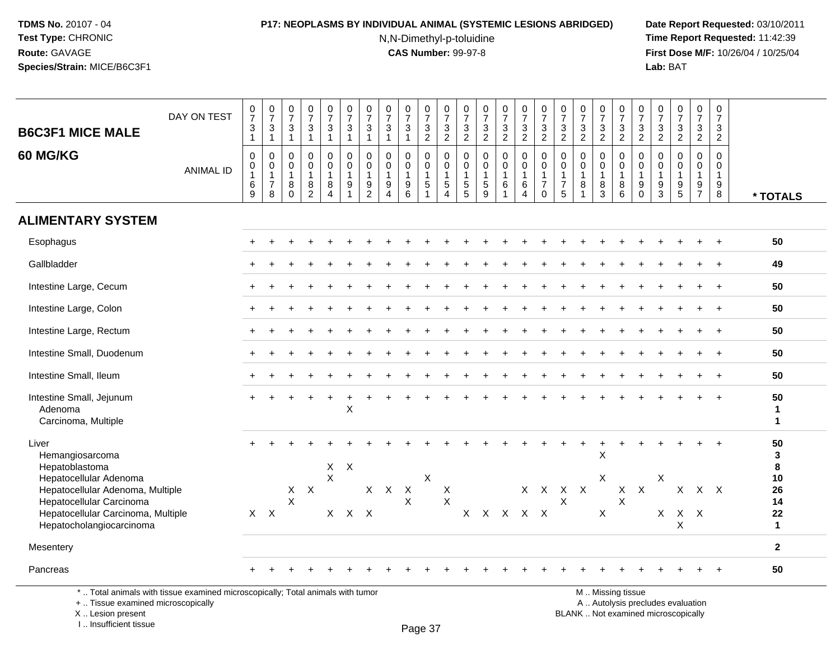## **P17: NEOPLASMS BY INDIVIDUAL ANIMAL (SYSTEMIC LESIONS ABRIDGED) Date Report Requested:** 03/10/2011

N,N-Dimethyl-p-toluidine

 **Time Report Requested:** 11:42:39 **First Dose M/F:** 10/26/04 / 10/25/04 Lab: BAT **Lab:** BAT

| <b>ANIMAL ID</b> | $\mathbf{1}$<br>$\mathbf 0$<br>0<br>1<br>$\,6\,$ | $\frac{3}{1}$<br>$\mathbf 0$<br>0     | $\overline{1}$<br>$\Omega$                     | $\mathbf{1}$                                                      | $\mathbf{1}$                                                           | $\mathbf{1}$               | $\overline{1}$                                        | $\mathbf{1}$                                                                                   | $\mathbf{3}$<br>$\mathbf{1}$               | $\frac{3}{2}$                                            | $\frac{3}{2}$                                                    | $\frac{0}{7}$<br>$\frac{3}{2}$                    | $\frac{0}{7}$<br>$\ensuremath{\mathsf{3}}$<br>$\overline{2}$ | $\frac{0}{7}$<br>$\mathbf{3}$<br>$\overline{2}$      | $\frac{0}{7}$<br>$\ensuremath{\mathsf{3}}$<br>$\overline{2}$  | $\frac{0}{7}$<br>$\ensuremath{\mathsf{3}}$<br>$\overline{2}$          | $\frac{0}{7}$<br>$\frac{3}{2}$                          | $\frac{0}{7}$<br>$\ensuremath{\mathsf{3}}$<br>$\overline{2}$ | $\frac{0}{7}$<br>$\frac{3}{2}$                                         | $\frac{0}{7}$<br>3<br>$\overline{2}$             | $\frac{0}{7}$<br>$\mathsf 3$<br>$\overline{2}$                          | $\mathbf{3}$<br>$\overline{2}$             | $\frac{0}{7}$<br>$\frac{3}{2}$                                                      | $\frac{0}{7}$<br>$\mathbf{3}$<br>$\overline{2}$                       | 3<br>$\overline{2}$                            |                                   |
|------------------|--------------------------------------------------|---------------------------------------|------------------------------------------------|-------------------------------------------------------------------|------------------------------------------------------------------------|----------------------------|-------------------------------------------------------|------------------------------------------------------------------------------------------------|--------------------------------------------|----------------------------------------------------------|------------------------------------------------------------------|---------------------------------------------------|--------------------------------------------------------------|------------------------------------------------------|---------------------------------------------------------------|-----------------------------------------------------------------------|---------------------------------------------------------|--------------------------------------------------------------|------------------------------------------------------------------------|--------------------------------------------------|-------------------------------------------------------------------------|--------------------------------------------|-------------------------------------------------------------------------------------|-----------------------------------------------------------------------|------------------------------------------------|-----------------------------------|
|                  | 9                                                | $\overline{1}$<br>$\overline{7}$<br>8 | $\mathbf 0$<br>$\overline{1}$<br>8<br>$\Omega$ | $\mathbf 0$<br>$\mathbf 0$<br>$\mathbf{1}$<br>8<br>$\overline{2}$ | $\Omega$<br>$\mathbf 0$<br>$\mathbf{1}$<br>8<br>$\boldsymbol{\Lambda}$ | $\mathbf 0$<br>0<br>1<br>9 | $\Omega$<br>$\Omega$<br>$\mathbf{1}$<br>$\frac{9}{2}$ | $\mathbf 0$<br>0<br>$\mathbf{1}$<br>9<br>4                                                     | $\mathbf 0$<br>0<br>$\mathbf{1}$<br>9<br>6 | $\mathbf 0$<br>$\mathbf 0$<br>$\mathbf{1}$<br>$\sqrt{5}$ | $\mathbf 0$<br>0<br>$\mathbf{1}$<br>$\sqrt{5}$<br>$\overline{4}$ | $\mathbf 0$<br>0<br>$\mathbf{1}$<br>$\frac{5}{5}$ | 0<br>$\mathbf 0$<br>$\mathbf{1}$<br>$\frac{5}{9}$            | $\mathbf 0$<br>$\mathbf 0$<br>$\mathbf{1}$<br>6<br>1 | 0<br>$\mathbf 0$<br>$\mathbf{1}$<br>$\,6\,$<br>$\overline{4}$ | $\Omega$<br>$\mathbf 0$<br>$\mathbf{1}$<br>$\overline{7}$<br>$\Omega$ | $\mathbf 0$<br>0<br>$\mathbf{1}$<br>$\overline{7}$<br>5 | $\Omega$<br>$\mathbf 0$<br>$\overline{1}$<br>8               | $\mathbf 0$<br>$\mathbf 0$<br>$\mathbf{1}$<br>$\, 8$<br>$\overline{3}$ | $\Omega$<br>$\Omega$<br>$\overline{1}$<br>8<br>6 | $\Omega$<br>$\mathbf 0$<br>$\mathbf{1}$<br>$\boldsymbol{9}$<br>$\Omega$ | 0<br>$\mathbf 0$<br>$\mathbf{1}$<br>9<br>3 | $\mathbf 0$<br>$\mathbf 0$<br>$\mathbf{1}$<br>$\begin{array}{c} 9 \\ 5 \end{array}$ | $\mathbf 0$<br>$\mathbf 0$<br>$\mathbf{1}$<br>$9\,$<br>$\overline{7}$ | $\Omega$<br>$\Omega$<br>$\mathbf{1}$<br>9<br>8 | * TOTALS                          |
|                  |                                                  |                                       |                                                |                                                                   |                                                                        |                            |                                                       |                                                                                                |                                            |                                                          |                                                                  |                                                   |                                                              |                                                      |                                                               |                                                                       |                                                         |                                                              |                                                                        |                                                  |                                                                         |                                            |                                                                                     |                                                                       |                                                |                                   |
|                  |                                                  |                                       |                                                |                                                                   |                                                                        |                            |                                                       |                                                                                                |                                            |                                                          |                                                                  |                                                   |                                                              |                                                      |                                                               |                                                                       |                                                         |                                                              |                                                                        |                                                  |                                                                         |                                            |                                                                                     |                                                                       |                                                | 50                                |
|                  |                                                  |                                       |                                                |                                                                   |                                                                        |                            |                                                       |                                                                                                |                                            |                                                          |                                                                  |                                                   |                                                              |                                                      |                                                               |                                                                       |                                                         |                                                              |                                                                        |                                                  |                                                                         |                                            |                                                                                     |                                                                       |                                                | 49                                |
|                  |                                                  |                                       |                                                |                                                                   |                                                                        |                            |                                                       |                                                                                                |                                            |                                                          |                                                                  |                                                   |                                                              |                                                      |                                                               |                                                                       |                                                         |                                                              |                                                                        |                                                  |                                                                         |                                            |                                                                                     |                                                                       | $\div$                                         | 50                                |
|                  |                                                  |                                       |                                                |                                                                   |                                                                        |                            |                                                       |                                                                                                |                                            |                                                          |                                                                  |                                                   |                                                              |                                                      |                                                               |                                                                       |                                                         |                                                              |                                                                        |                                                  |                                                                         |                                            |                                                                                     |                                                                       |                                                | 50                                |
|                  |                                                  |                                       |                                                |                                                                   |                                                                        |                            |                                                       |                                                                                                |                                            |                                                          |                                                                  |                                                   |                                                              |                                                      |                                                               |                                                                       |                                                         |                                                              |                                                                        |                                                  |                                                                         |                                            |                                                                                     |                                                                       |                                                | 50                                |
|                  |                                                  |                                       |                                                |                                                                   |                                                                        |                            |                                                       |                                                                                                |                                            |                                                          |                                                                  |                                                   |                                                              |                                                      |                                                               |                                                                       |                                                         |                                                              |                                                                        |                                                  |                                                                         |                                            |                                                                                     |                                                                       | $\ddot{}$                                      | 50                                |
|                  |                                                  |                                       |                                                |                                                                   |                                                                        |                            |                                                       |                                                                                                |                                            |                                                          |                                                                  |                                                   |                                                              |                                                      |                                                               |                                                                       |                                                         |                                                              |                                                                        |                                                  |                                                                         |                                            |                                                                                     |                                                                       |                                                | 50                                |
|                  |                                                  |                                       |                                                |                                                                   |                                                                        | X                          |                                                       |                                                                                                |                                            |                                                          |                                                                  |                                                   |                                                              |                                                      |                                                               |                                                                       |                                                         |                                                              |                                                                        |                                                  |                                                                         |                                            |                                                                                     |                                                                       |                                                | 50<br>$\mathbf 1$<br>$\mathbf{1}$ |
|                  |                                                  |                                       |                                                |                                                                   |                                                                        |                            |                                                       |                                                                                                |                                            |                                                          |                                                                  |                                                   |                                                              |                                                      |                                                               |                                                                       |                                                         |                                                              | $\pmb{\times}$                                                         |                                                  |                                                                         |                                            |                                                                                     |                                                                       |                                                | 50<br>3<br>8                      |
|                  |                                                  |                                       | X<br>$\mathsf{X}$                              | $\mathsf{X}$                                                      |                                                                        |                            |                                                       |                                                                                                | X<br>X                                     |                                                          | X<br>X                                                           |                                                   |                                                              |                                                      |                                                               |                                                                       | $\mathsf{X}$                                            |                                                              |                                                                        | X<br>X                                           | $\mathsf{X}$                                                            |                                            | X                                                                                   |                                                                       |                                                | 10<br>26<br>14<br>22              |
|                  |                                                  |                                       |                                                |                                                                   |                                                                        |                            |                                                       |                                                                                                |                                            |                                                          |                                                                  |                                                   |                                                              |                                                      |                                                               |                                                                       |                                                         |                                                              |                                                                        |                                                  |                                                                         |                                            | $\pmb{\times}$                                                                      |                                                                       |                                                | $\mathbf{1}$                      |
|                  |                                                  |                                       |                                                |                                                                   |                                                                        |                            |                                                       |                                                                                                |                                            |                                                          |                                                                  |                                                   |                                                              |                                                      |                                                               |                                                                       |                                                         |                                                              |                                                                        |                                                  |                                                                         |                                            |                                                                                     |                                                                       |                                                | $\mathbf{2}$                      |
|                  |                                                  |                                       |                                                |                                                                   |                                                                        |                            |                                                       |                                                                                                |                                            |                                                          |                                                                  |                                                   |                                                              |                                                      |                                                               |                                                                       |                                                         |                                                              |                                                                        |                                                  |                                                                         |                                            |                                                                                     |                                                                       |                                                | 50                                |
|                  |                                                  |                                       | $X$ $X$                                        |                                                                   |                                                                        | $\mathsf{X}$               | $X$ $X$                                               | $X$ $X$ $X$<br>*  Total animals with tissue examined microscopically; Total animals with tumor |                                            | $X$ $X$                                                  | X                                                                |                                                   |                                                              |                                                      |                                                               |                                                                       | X X X X X                                               |                                                              | X X X X                                                                | $\times$<br>X                                    | M  Missing tissue                                                       |                                            | X<br>$\mathsf{X}$                                                                   |                                                                       | $X$ $X$                                        | $X$ $X$                           |

+ .. Tissue examined microscopically

X .. Lesion present

I .. Insufficient tissue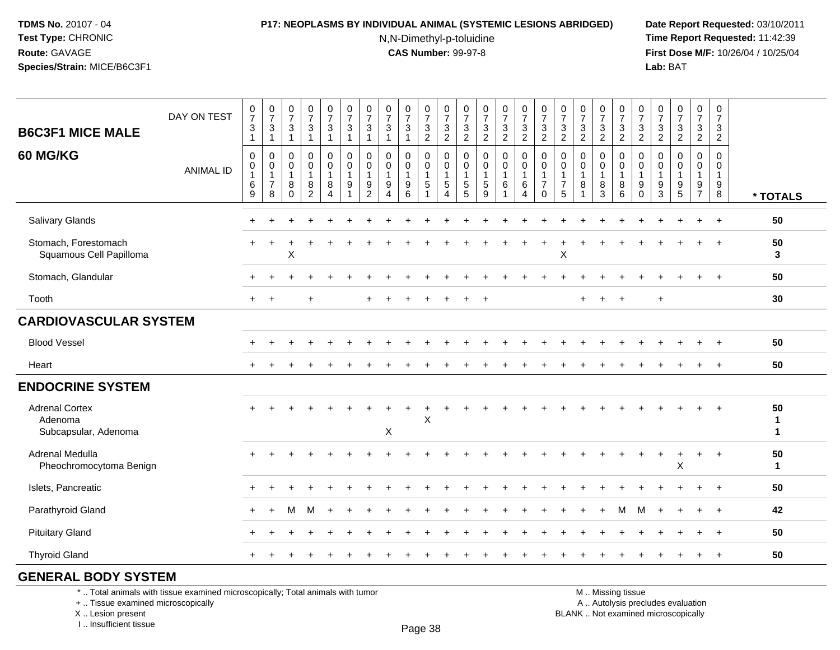#### **P17: NEOPLASMS BY INDIVIDUAL ANIMAL (SYSTEMIC LESIONS ABRIDGED) Date Report Requested:** 03/10/2011

N,N-Dimethyl-p-toluidine

 **Time Report Requested:** 11:42:39 **First Dose M/F:** 10/26/04 / 10/25/04 Lab: BAT **Lab:** BAT

|                                                          | DAY ON TEST      | $\frac{0}{7}$                               | $\frac{0}{7}$                                                          | $\frac{0}{7}$                                            | $\frac{0}{7}$                                                     | $\frac{0}{7}$                              | $\frac{0}{7}$                                                     | $\frac{0}{7}$                                         | $\frac{0}{7}$                                                     | $\frac{0}{7}$                    | $\frac{0}{7}$                                            | $\frac{0}{7}$                                          | $\frac{0}{7}$                                                     | $\frac{0}{7}$                                        | $\frac{0}{7}$                         | $\frac{0}{7}$                                        | $\frac{0}{7}$                                                            | $\frac{0}{7}$                    | $\frac{0}{7}$                                                     | $\frac{0}{7}$              | $\frac{0}{7}$                                             | $\frac{0}{7}$                                               | $\frac{0}{7}$                      | $\frac{0}{7}$                                             | $\frac{0}{7}$                                            | $\frac{0}{7}$                                                    |                                   |
|----------------------------------------------------------|------------------|---------------------------------------------|------------------------------------------------------------------------|----------------------------------------------------------|-------------------------------------------------------------------|--------------------------------------------|-------------------------------------------------------------------|-------------------------------------------------------|-------------------------------------------------------------------|----------------------------------|----------------------------------------------------------|--------------------------------------------------------|-------------------------------------------------------------------|------------------------------------------------------|---------------------------------------|------------------------------------------------------|--------------------------------------------------------------------------|----------------------------------|-------------------------------------------------------------------|----------------------------|-----------------------------------------------------------|-------------------------------------------------------------|------------------------------------|-----------------------------------------------------------|----------------------------------------------------------|------------------------------------------------------------------|-----------------------------------|
| <b>B6C3F1 MICE MALE</b>                                  |                  | $\ensuremath{\mathsf{3}}$<br>$\overline{1}$ | $\ensuremath{\mathsf{3}}$<br>$\mathbf{1}$                              | $\mathsf 3$<br>$\mathbf 1$                               | $\sqrt{3}$<br>-1                                                  | $\mathsf 3$<br>1                           | $\ensuremath{\mathsf{3}}$<br>$\mathbf{1}$                         | $\ensuremath{\mathsf{3}}$<br>1                        | $\mathsf 3$<br>$\overline{1}$                                     | $\sqrt{3}$                       | $\frac{3}{2}$                                            | $\frac{3}{2}$                                          | $\mathbf{3}$<br>$\sqrt{2}$                                        | $\ensuremath{\mathsf{3}}$<br>$\sqrt{2}$              | 3<br>$\overline{a}$                   | $\frac{3}{2}$                                        | $\frac{3}{2}$                                                            | 3<br>$\overline{2}$              | $\ensuremath{\mathsf{3}}$<br>$\overline{2}$                       | 3<br>$\overline{2}$        | $\frac{3}{2}$                                             | $\ensuremath{\mathsf{3}}$<br>$\overline{2}$                 | $\mathsf 3$<br>$\sqrt{2}$          | $\frac{3}{2}$                                             | $\ensuremath{\mathsf{3}}$<br>$\overline{2}$              | $\ensuremath{\mathsf{3}}$<br>$\sqrt{2}$                          |                                   |
| 60 MG/KG                                                 | <b>ANIMAL ID</b> | 0<br>0<br>$\mathbf{1}$<br>6<br>9            | $\mathbf 0$<br>$\boldsymbol{0}$<br>$\mathbf{1}$<br>$\overline{7}$<br>8 | $\Omega$<br>$\mathbf 0$<br>$\mathbf{1}$<br>8<br>$\Omega$ | $\mathbf 0$<br>$\mathbf 0$<br>$\mathbf{1}$<br>8<br>$\overline{2}$ | 0<br>$\mathbf 0$<br>$\mathbf{1}$<br>8<br>4 | $\pmb{0}$<br>$\mathbf 0$<br>$\mathbf{1}$<br>$\boldsymbol{9}$<br>1 | 0<br>$\pmb{0}$<br>$\mathbf{1}$<br>9<br>$\overline{2}$ | 0<br>$\mathbf 0$<br>$\overline{1}$<br>9<br>$\boldsymbol{\Lambda}$ | 0<br>0<br>$\mathbf{1}$<br>9<br>6 | $\mathbf 0$<br>$\mathbf 0$<br>$\mathbf{1}$<br>$\sqrt{5}$ | $\mathbf 0$<br>$\mathbf 0$<br>$\overline{1}$<br>5<br>4 | $\mathbf 0$<br>$\mathbf 0$<br>$\mathbf{1}$<br>$\overline{5}$<br>5 | $\mathbf 0$<br>$\mathbf 0$<br>$\mathbf{1}$<br>5<br>9 | 0<br>$\mathbf 0$<br>$\mathbf{1}$<br>6 | $\pmb{0}$<br>$\mathbf 0$<br>$\overline{1}$<br>6<br>4 | $\mathbf 0$<br>$\pmb{0}$<br>$\overline{1}$<br>$\overline{7}$<br>$\Omega$ | $\mathbf 0$<br>0<br>-1<br>7<br>5 | $\mathbf 0$<br>$\mathbf 0$<br>$\mathbf{1}$<br>8<br>$\overline{1}$ | 0<br>$\mathbf 0$<br>8<br>3 | $\mathbf 0$<br>$\mathbf 0$<br>$\mathbf{1}$<br>$\bf8$<br>6 | $\mathbf 0$<br>$\mathbf 0$<br>$\mathbf{1}$<br>9<br>$\Omega$ | $\Omega$<br>0<br>9<br>$\mathbf{3}$ | $\mathbf 0$<br>0<br>$\mathbf{1}$<br>$\boldsymbol{9}$<br>5 | 0<br>$\mathsf{O}$<br>$\mathbf{1}$<br>9<br>$\overline{7}$ | $\Omega$<br>$\mathbf 0$<br>$\mathbf{1}$<br>$\boldsymbol{9}$<br>8 | * TOTALS                          |
| Salivary Glands                                          |                  |                                             |                                                                        |                                                          |                                                                   |                                            |                                                                   |                                                       |                                                                   |                                  |                                                          |                                                        |                                                                   |                                                      |                                       |                                                      |                                                                          |                                  |                                                                   |                            |                                                           |                                                             |                                    |                                                           |                                                          | $\ddot{}$                                                        | 50                                |
| Stomach, Forestomach<br>Squamous Cell Papilloma          |                  |                                             |                                                                        | $\mathsf X$                                              |                                                                   |                                            |                                                                   |                                                       |                                                                   |                                  |                                                          |                                                        |                                                                   |                                                      |                                       |                                                      |                                                                          | $\times$                         |                                                                   |                            |                                                           |                                                             |                                    |                                                           |                                                          |                                                                  | 50<br>3                           |
| Stomach, Glandular                                       |                  |                                             |                                                                        |                                                          |                                                                   |                                            |                                                                   |                                                       |                                                                   |                                  |                                                          |                                                        |                                                                   |                                                      |                                       |                                                      |                                                                          |                                  |                                                                   |                            |                                                           |                                                             |                                    |                                                           |                                                          | $+$                                                              | 50                                |
| Tooth                                                    |                  | $+$                                         | $+$                                                                    |                                                          | 4                                                                 |                                            |                                                                   |                                                       |                                                                   |                                  |                                                          |                                                        |                                                                   | $\overline{ }$                                       |                                       |                                                      |                                                                          |                                  | $\ddot{}$                                                         | $\ddot{}$                  | $\overline{+}$                                            |                                                             | $+$                                |                                                           |                                                          |                                                                  | 30                                |
| <b>CARDIOVASCULAR SYSTEM</b>                             |                  |                                             |                                                                        |                                                          |                                                                   |                                            |                                                                   |                                                       |                                                                   |                                  |                                                          |                                                        |                                                                   |                                                      |                                       |                                                      |                                                                          |                                  |                                                                   |                            |                                                           |                                                             |                                    |                                                           |                                                          |                                                                  |                                   |
| <b>Blood Vessel</b>                                      |                  |                                             |                                                                        |                                                          |                                                                   |                                            |                                                                   |                                                       |                                                                   |                                  |                                                          |                                                        |                                                                   |                                                      |                                       |                                                      |                                                                          |                                  |                                                                   |                            |                                                           |                                                             |                                    |                                                           | $\ddot{}$                                                | $\ddot{}$                                                        | 50                                |
| Heart                                                    |                  |                                             |                                                                        |                                                          |                                                                   |                                            |                                                                   |                                                       |                                                                   |                                  |                                                          |                                                        |                                                                   |                                                      |                                       |                                                      |                                                                          |                                  |                                                                   |                            |                                                           |                                                             |                                    |                                                           |                                                          | $\ddot{}$                                                        | 50                                |
| <b>ENDOCRINE SYSTEM</b>                                  |                  |                                             |                                                                        |                                                          |                                                                   |                                            |                                                                   |                                                       |                                                                   |                                  |                                                          |                                                        |                                                                   |                                                      |                                       |                                                      |                                                                          |                                  |                                                                   |                            |                                                           |                                                             |                                    |                                                           |                                                          |                                                                  |                                   |
| <b>Adrenal Cortex</b><br>Adenoma<br>Subcapsular, Adenoma |                  |                                             |                                                                        |                                                          |                                                                   |                                            |                                                                   |                                                       | X                                                                 |                                  | $\mathsf X$                                              |                                                        |                                                                   |                                                      |                                       |                                                      |                                                                          |                                  |                                                                   |                            |                                                           |                                                             |                                    |                                                           |                                                          |                                                                  | 50<br>$\mathbf{1}$<br>$\mathbf 1$ |
| Adrenal Medulla<br>Pheochromocytoma Benign               |                  |                                             |                                                                        |                                                          |                                                                   |                                            |                                                                   |                                                       |                                                                   |                                  |                                                          |                                                        |                                                                   |                                                      |                                       |                                                      |                                                                          |                                  |                                                                   |                            |                                                           |                                                             |                                    | $\pmb{\times}$                                            |                                                          | $\div$                                                           | 50<br>$\mathbf{1}$                |
| Islets, Pancreatic                                       |                  |                                             |                                                                        |                                                          |                                                                   |                                            |                                                                   |                                                       |                                                                   |                                  |                                                          |                                                        |                                                                   |                                                      |                                       |                                                      |                                                                          |                                  |                                                                   |                            |                                                           |                                                             |                                    |                                                           |                                                          | $\ddot{}$                                                        | 50                                |
| Parathyroid Gland                                        |                  |                                             |                                                                        |                                                          |                                                                   |                                            |                                                                   |                                                       |                                                                   |                                  |                                                          |                                                        |                                                                   |                                                      |                                       |                                                      |                                                                          |                                  |                                                                   |                            | м                                                         | м                                                           |                                    |                                                           |                                                          |                                                                  | 42                                |
| <b>Pituitary Gland</b>                                   |                  |                                             |                                                                        |                                                          |                                                                   |                                            |                                                                   |                                                       |                                                                   |                                  |                                                          |                                                        |                                                                   |                                                      |                                       |                                                      |                                                                          |                                  |                                                                   |                            |                                                           |                                                             |                                    |                                                           |                                                          | $\ddot{+}$                                                       | 50                                |
| <b>Thyroid Gland</b>                                     |                  |                                             |                                                                        |                                                          |                                                                   |                                            |                                                                   |                                                       |                                                                   |                                  |                                                          |                                                        |                                                                   |                                                      |                                       |                                                      |                                                                          |                                  |                                                                   |                            |                                                           |                                                             |                                    |                                                           |                                                          |                                                                  | 50                                |
|                                                          |                  |                                             |                                                                        |                                                          |                                                                   |                                            |                                                                   |                                                       |                                                                   |                                  |                                                          |                                                        |                                                                   |                                                      |                                       |                                                      |                                                                          |                                  |                                                                   |                            |                                                           |                                                             |                                    |                                                           |                                                          |                                                                  |                                   |

### **GENERAL BODY SYSTEM**

\* .. Total animals with tissue examined microscopically; Total animals with tumor

+ .. Tissue examined microscopically

X .. Lesion present

I .. Insufficient tissue

M .. Missing tissue

y the contract of the contract of the contract of the contract of the contract of  $\mathsf A$  . Autolysis precludes evaluation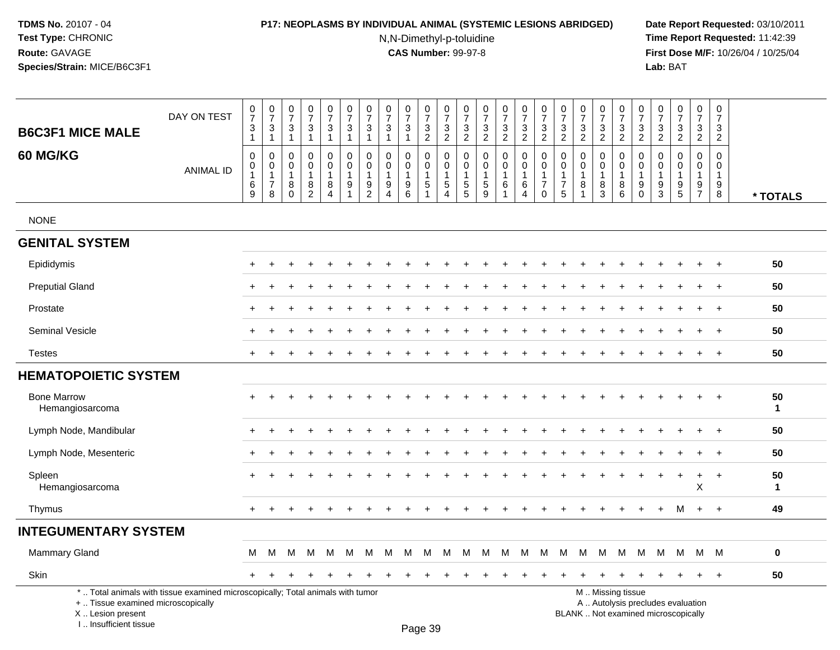### **P17: NEOPLASMS BY INDIVIDUAL ANIMAL (SYSTEMIC LESIONS ABRIDGED) Date Report Requested:** 03/10/2011

N,N-Dimethyl-p-toluidine

 **Time Report Requested:** 11:42:39 **First Dose M/F:** 10/26/04 / 10/25/04<br>Lab: BAT **Lab:** BAT

| <b>B6C3F1 MICE MALE</b>                                 | DAY ON TEST                                                                     | $\frac{0}{7}$<br>$\mathbf{3}$<br>$\mathbf{1}$              | $\frac{0}{7}$<br>3<br>$\overline{1}$                  | $\frac{0}{7}$<br>3<br>$\overline{1}$                             | $\begin{array}{c} 0 \\ 7 \end{array}$<br>$\mathbf{3}$<br>$\mathbf{1}$   | $\frac{0}{7}$<br>3<br>$\mathbf{1}$                 | $\frac{0}{7}$<br>3<br>$\mathbf{1}$                                                | $\frac{0}{7}$<br>3<br>$\mathbf{1}$                                             | $\pmb{0}$<br>$\overline{7}$<br>3<br>$\mathbf{1}$                              | $\begin{array}{c} 0 \\ 7 \end{array}$<br>3<br>$\overline{1}$ | 0<br>$\overline{7}$<br>3<br>$\overline{c}$                               | $\,0\,$<br>$\overline{7}$<br>$\mathbf{3}$<br>$\overline{2}$                            | $\frac{0}{7}$<br>3<br>$\overline{2}$       | 0<br>$\overline{7}$<br>3<br>$\overline{2}$                    | $\begin{array}{c} 0 \\ 7 \end{array}$<br>$\mathbf{3}$<br>$\overline{2}$ | $\frac{0}{7}$<br>$\sqrt{3}$<br>$\overline{2}$                                     | $\pmb{0}$<br>$\overline{7}$<br>3<br>$\overline{2}$                        | 0<br>$\overline{7}$<br>3<br>$\overline{2}$ | $\frac{0}{7}$<br>3<br>$\overline{2}$                              | $\frac{0}{7}$<br>3<br>$\overline{2}$                 | $\begin{smallmatrix}0\\7\end{smallmatrix}$<br>3<br>$\overline{2}$ | $\pmb{0}$<br>$\overline{7}$<br>$\frac{3}{2}$                              | 0<br>$\overline{7}$<br>3<br>$\overline{2}$ | 0<br>$\overline{7}$<br>3<br>$\overline{2}$                               | $\frac{0}{7}$<br>3<br>$\overline{2}$                        | $\pmb{0}$<br>$\overline{7}$<br>3<br>$\overline{2}$                  |                    |
|---------------------------------------------------------|---------------------------------------------------------------------------------|------------------------------------------------------------|-------------------------------------------------------|------------------------------------------------------------------|-------------------------------------------------------------------------|----------------------------------------------------|-----------------------------------------------------------------------------------|--------------------------------------------------------------------------------|-------------------------------------------------------------------------------|--------------------------------------------------------------|--------------------------------------------------------------------------|----------------------------------------------------------------------------------------|--------------------------------------------|---------------------------------------------------------------|-------------------------------------------------------------------------|-----------------------------------------------------------------------------------|---------------------------------------------------------------------------|--------------------------------------------|-------------------------------------------------------------------|------------------------------------------------------|-------------------------------------------------------------------|---------------------------------------------------------------------------|--------------------------------------------|--------------------------------------------------------------------------|-------------------------------------------------------------|---------------------------------------------------------------------|--------------------|
| 60 MG/KG                                                | <b>ANIMAL ID</b>                                                                | $\pmb{0}$<br>$\mathbf 0$<br>$\mathbf{1}$<br>$\,6$<br>$9\,$ | 0<br>$\pmb{0}$<br>$\mathbf{1}$<br>$\overline{7}$<br>8 | $\mathbf 0$<br>$\mathbf 0$<br>$\overline{1}$<br>8<br>$\mathbf 0$ | $\mathbf 0$<br>$\mathbf 0$<br>$\mathbf{1}$<br>$\,8\,$<br>$\overline{2}$ | $\mathbf 0$<br>0<br>1<br>$\bf 8$<br>$\overline{4}$ | $\pmb{0}$<br>$\overline{0}$<br>$\mathbf{1}$<br>$\boldsymbol{9}$<br>$\overline{1}$ | 0<br>$\mathsf{O}\xspace$<br>$\mathbf{1}$<br>$\boldsymbol{9}$<br>$\overline{c}$ | $\Omega$<br>$\mathbf 0$<br>$\mathbf{1}$<br>$\boldsymbol{9}$<br>$\overline{4}$ | $\mathbf 0$<br>$\mathbf 0$<br>$\overline{1}$<br>9<br>6       | $\mathbf 0$<br>$\mathbf 0$<br>$\mathbf{1}$<br>$\sqrt{5}$<br>$\mathbf{1}$ | $\mathbf 0$<br>$\mathsf{O}\xspace$<br>$\mathbf{1}$<br>$\overline{5}$<br>$\overline{4}$ | 0<br>0<br>$\mathbf{1}$<br>$\,$ 5 $\,$<br>5 | $\mathbf 0$<br>$\mathbf 0$<br>$\mathbf{1}$<br>$\sqrt{5}$<br>9 | $\mathbf 0$<br>$\pmb{0}$<br>$\mathbf{1}$<br>$\,6\,$                     | $\mathbf 0$<br>$\mathsf{O}\xspace$<br>$\overline{1}$<br>$\,6\,$<br>$\overline{4}$ | $\mathbf 0$<br>$\pmb{0}$<br>$\mathbf{1}$<br>$\overline{7}$<br>$\mathbf 0$ | $\Omega$<br>0<br>1<br>$\overline{7}$<br>5  | $\mathbf 0$<br>$\mathbf 0$<br>$\mathbf{1}$<br>8<br>$\overline{1}$ | $\mathbf 0$<br>$\mathbf 0$<br>$\mathbf{1}$<br>8<br>3 | 0<br>0<br>$\mathbf{1}$<br>$\bf 8$<br>6                            | $\mathbf 0$<br>$\boldsymbol{0}$<br>$\overline{1}$<br>$9\,$<br>$\mathbf 0$ | $\Omega$<br>0<br>$\mathbf{1}$<br>9<br>3    | $\Omega$<br>$\Omega$<br>$\mathbf{1}$<br>$\boldsymbol{9}$<br>5            | $\mathbf 0$<br>$\mathbf 0$<br>$\mathbf{1}$<br>$\frac{9}{7}$ | $\mathbf 0$<br>$\mathbf 0$<br>$\mathbf{1}$<br>$\boldsymbol{9}$<br>8 | * TOTALS           |
| <b>NONE</b>                                             |                                                                                 |                                                            |                                                       |                                                                  |                                                                         |                                                    |                                                                                   |                                                                                |                                                                               |                                                              |                                                                          |                                                                                        |                                            |                                                               |                                                                         |                                                                                   |                                                                           |                                            |                                                                   |                                                      |                                                                   |                                                                           |                                            |                                                                          |                                                             |                                                                     |                    |
| <b>GENITAL SYSTEM</b>                                   |                                                                                 |                                                            |                                                       |                                                                  |                                                                         |                                                    |                                                                                   |                                                                                |                                                                               |                                                              |                                                                          |                                                                                        |                                            |                                                               |                                                                         |                                                                                   |                                                                           |                                            |                                                                   |                                                      |                                                                   |                                                                           |                                            |                                                                          |                                                             |                                                                     |                    |
| Epididymis                                              |                                                                                 |                                                            |                                                       |                                                                  |                                                                         |                                                    |                                                                                   |                                                                                |                                                                               |                                                              |                                                                          |                                                                                        |                                            |                                                               |                                                                         |                                                                                   |                                                                           |                                            |                                                                   |                                                      |                                                                   |                                                                           |                                            |                                                                          |                                                             |                                                                     | 50                 |
| <b>Preputial Gland</b>                                  |                                                                                 |                                                            |                                                       |                                                                  |                                                                         |                                                    |                                                                                   |                                                                                |                                                                               |                                                              |                                                                          |                                                                                        |                                            |                                                               |                                                                         |                                                                                   |                                                                           |                                            |                                                                   |                                                      |                                                                   |                                                                           |                                            |                                                                          |                                                             |                                                                     | 50                 |
| Prostate                                                |                                                                                 |                                                            |                                                       |                                                                  |                                                                         |                                                    |                                                                                   |                                                                                |                                                                               |                                                              |                                                                          |                                                                                        |                                            |                                                               |                                                                         |                                                                                   |                                                                           |                                            |                                                                   |                                                      |                                                                   |                                                                           |                                            |                                                                          |                                                             |                                                                     | 50                 |
| <b>Seminal Vesicle</b>                                  |                                                                                 |                                                            |                                                       |                                                                  |                                                                         |                                                    |                                                                                   |                                                                                |                                                                               |                                                              |                                                                          |                                                                                        |                                            |                                                               |                                                                         |                                                                                   |                                                                           |                                            |                                                                   |                                                      |                                                                   |                                                                           |                                            |                                                                          |                                                             | $\overline{ }$                                                      | 50                 |
| <b>Testes</b>                                           |                                                                                 | $+$                                                        | $\div$                                                | $+$                                                              | ÷                                                                       | $\ddot{}$                                          |                                                                                   | ÷                                                                              |                                                                               |                                                              | $\div$                                                                   |                                                                                        | ÷                                          |                                                               | $\div$                                                                  | $+$                                                                               | ÷.                                                                        | ÷                                          |                                                                   | $\ddot{}$                                            | $\ddot{}$                                                         | $\div$                                                                    | $\div$                                     |                                                                          | $\ddot{}$                                                   | $+$                                                                 | 50                 |
| <b>HEMATOPOIETIC SYSTEM</b>                             |                                                                                 |                                                            |                                                       |                                                                  |                                                                         |                                                    |                                                                                   |                                                                                |                                                                               |                                                              |                                                                          |                                                                                        |                                            |                                                               |                                                                         |                                                                                   |                                                                           |                                            |                                                                   |                                                      |                                                                   |                                                                           |                                            |                                                                          |                                                             |                                                                     |                    |
| <b>Bone Marrow</b><br>Hemangiosarcoma                   |                                                                                 |                                                            |                                                       |                                                                  |                                                                         |                                                    |                                                                                   |                                                                                |                                                                               |                                                              |                                                                          |                                                                                        |                                            |                                                               |                                                                         |                                                                                   |                                                                           |                                            |                                                                   |                                                      |                                                                   |                                                                           |                                            |                                                                          |                                                             | $\overline{+}$                                                      | 50<br>$\mathbf{1}$ |
| Lymph Node, Mandibular                                  |                                                                                 |                                                            |                                                       |                                                                  |                                                                         |                                                    |                                                                                   |                                                                                |                                                                               |                                                              |                                                                          |                                                                                        |                                            |                                                               |                                                                         |                                                                                   |                                                                           |                                            |                                                                   |                                                      |                                                                   |                                                                           |                                            |                                                                          |                                                             |                                                                     | 50                 |
| Lymph Node, Mesenteric                                  |                                                                                 |                                                            |                                                       |                                                                  |                                                                         |                                                    |                                                                                   |                                                                                |                                                                               |                                                              |                                                                          |                                                                                        |                                            |                                                               |                                                                         |                                                                                   |                                                                           |                                            |                                                                   |                                                      |                                                                   |                                                                           |                                            |                                                                          |                                                             |                                                                     | 50                 |
| Spleen<br>Hemangiosarcoma                               |                                                                                 |                                                            |                                                       |                                                                  |                                                                         |                                                    |                                                                                   |                                                                                |                                                                               |                                                              |                                                                          |                                                                                        |                                            |                                                               |                                                                         |                                                                                   |                                                                           |                                            |                                                                   |                                                      |                                                                   |                                                                           |                                            |                                                                          | $\ddot{}$<br>X                                              | $\ddot{}$                                                           | 50<br>$\mathbf{1}$ |
| Thymus                                                  |                                                                                 | $+$                                                        |                                                       |                                                                  |                                                                         |                                                    |                                                                                   |                                                                                |                                                                               |                                                              |                                                                          |                                                                                        |                                            |                                                               |                                                                         |                                                                                   |                                                                           |                                            |                                                                   |                                                      |                                                                   |                                                                           | $\ddot{}$                                  | м                                                                        |                                                             | $+$ $+$                                                             | 49                 |
| <b>INTEGUMENTARY SYSTEM</b>                             |                                                                                 |                                                            |                                                       |                                                                  |                                                                         |                                                    |                                                                                   |                                                                                |                                                                               |                                                              |                                                                          |                                                                                        |                                            |                                                               |                                                                         |                                                                                   |                                                                           |                                            |                                                                   |                                                      |                                                                   |                                                                           |                                            |                                                                          |                                                             |                                                                     |                    |
| Mammary Gland                                           |                                                                                 | M                                                          | M                                                     | м                                                                | M                                                                       | M                                                  | M                                                                                 | M                                                                              | м                                                                             | M                                                            | M                                                                        | M                                                                                      | M                                          | M                                                             | M                                                                       | M                                                                                 | M                                                                         | M                                          | M                                                                 | M                                                    | M                                                                 | M                                                                         | M                                          |                                                                          | M M M                                                       |                                                                     | $\mathbf 0$        |
| Skin                                                    |                                                                                 |                                                            |                                                       |                                                                  |                                                                         |                                                    |                                                                                   |                                                                                |                                                                               |                                                              |                                                                          |                                                                                        |                                            |                                                               |                                                                         |                                                                                   |                                                                           |                                            |                                                                   | $\div$                                               |                                                                   |                                                                           |                                            |                                                                          | $\ddot{}$                                                   | $\pm$                                                               | 50                 |
| +  Tissue examined microscopically<br>X  Lesion present | *  Total animals with tissue examined microscopically; Total animals with tumor |                                                            |                                                       |                                                                  |                                                                         |                                                    |                                                                                   |                                                                                |                                                                               |                                                              |                                                                          |                                                                                        |                                            |                                                               |                                                                         |                                                                                   |                                                                           |                                            |                                                                   |                                                      | M  Missing tissue                                                 |                                                                           |                                            | A  Autolysis precludes evaluation<br>BLANK  Not examined microscopically |                                                             |                                                                     |                    |

X .. Lesion present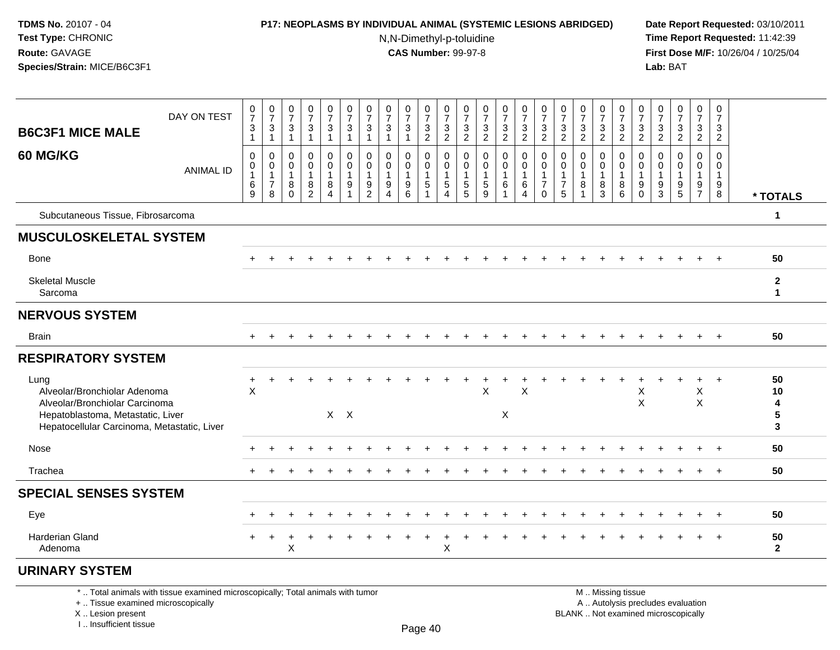### **P17: NEOPLASMS BY INDIVIDUAL ANIMAL (SYSTEMIC LESIONS ABRIDGED) Date Report Requested:** 03/10/2011

N,N-Dimethyl-p-toluidine

 **Time Report Requested:** 11:42:39 **First Dose M/F:** 10/26/04 / 10/25/04 Lab: BAT **Lab:** BAT

| <b>B6C3F1 MICE MALE</b>                                                                                                                                    | DAY ON TEST                                                                     | $\frac{0}{7}$<br>$\sqrt{3}$                                | $\frac{0}{7}$<br>$\ensuremath{\mathsf{3}}$                     | 0<br>$\overline{7}$<br>3                                   | $\frac{0}{7}$<br>$\mathbf{3}$                        | $\frac{0}{7}$<br>$\ensuremath{\mathsf{3}}$ | 0<br>$\overline{7}$<br>$\ensuremath{\mathsf{3}}$ | $\frac{0}{7}$<br>3                | 0<br>$\overline{7}$<br>$\mathbf{3}$                | $\frac{0}{7}$<br>$\ensuremath{\mathsf{3}}$            | $\frac{0}{7}$<br>$\frac{3}{2}$                                         | 0<br>$\overline{7}$<br>$\ensuremath{\mathsf{3}}$              | 0<br>$\overline{7}$<br>3 | 0<br>$\overline{7}$<br>$\sqrt{3}$                           | $\frac{0}{7}$<br>$\ensuremath{\mathsf{3}}$ | $\frac{0}{7}$<br>$\mathbf{3}$ | 0<br>$\overline{7}$<br>$\sqrt{3}$                                | 0<br>$\overline{7}$<br>3                            | 0<br>$\overline{7}$<br>$\ensuremath{\mathsf{3}}$ | 0<br>$\overline{7}$<br>$\ensuremath{\mathsf{3}}$ | 0<br>$\overline{7}$<br>$\ensuremath{\mathsf{3}}$ | 0<br>$\overline{7}$<br>$\ensuremath{\mathsf{3}}$    | 0<br>$\overline{7}$<br>3                     | $\pmb{0}$<br>$\overline{7}$<br>$\sqrt{3}$            | $\frac{0}{7}$<br>$\ensuremath{\mathsf{3}}$          | 0<br>$\overline{7}$<br>3                          |                              |
|------------------------------------------------------------------------------------------------------------------------------------------------------------|---------------------------------------------------------------------------------|------------------------------------------------------------|----------------------------------------------------------------|------------------------------------------------------------|------------------------------------------------------|--------------------------------------------|--------------------------------------------------|-----------------------------------|----------------------------------------------------|-------------------------------------------------------|------------------------------------------------------------------------|---------------------------------------------------------------|--------------------------|-------------------------------------------------------------|--------------------------------------------|-------------------------------|------------------------------------------------------------------|-----------------------------------------------------|--------------------------------------------------|--------------------------------------------------|--------------------------------------------------|-----------------------------------------------------|----------------------------------------------|------------------------------------------------------|-----------------------------------------------------|---------------------------------------------------|------------------------------|
|                                                                                                                                                            |                                                                                 | $\mathbf{1}$                                               | $\mathbf{1}$                                                   | $\mathbf{1}$                                               | $\overline{1}$                                       | $\mathbf{1}$                               | $\mathbf{1}$                                     | $\mathbf{1}$                      | $\mathbf{1}$                                       | $\mathbf{1}$                                          |                                                                        | 2                                                             | $\overline{2}$           | $\overline{2}$                                              | $\overline{2}$                             | $\overline{2}$                | $\overline{2}$                                                   | $\overline{2}$                                      | $\overline{2}$                                   | $\overline{2}$                                   | $\overline{2}$                                   | $\overline{2}$                                      | 2                                            | $\overline{2}$                                       | $\overline{c}$                                      | $\overline{2}$                                    |                              |
| 60 MG/KG                                                                                                                                                   | <b>ANIMAL ID</b>                                                                | $\mathbf 0$<br>$\mathbf 0$<br>$\overline{1}$<br>$\,6$<br>9 | $\mathbf 0$<br>$\pmb{0}$<br>$\mathbf 1$<br>$\overline{7}$<br>8 | $\mathbf 0$<br>$\Omega$<br>$\mathbf 1$<br>8<br>$\mathbf 0$ | $\mathbf 0$<br>$\Omega$<br>-1<br>8<br>$\overline{2}$ | $\mathbf 0$<br>$\mathbf 0$<br>1<br>8<br>4  | 0<br>$\mathbf 0$<br>$\mathbf{1}$<br>9<br>1       | $\mathbf 0$<br>0<br>$\frac{9}{2}$ | 0<br>$\Omega$<br>-1<br>9<br>$\boldsymbol{\Lambda}$ | $\mathbf 0$<br>$\mathbf{0}$<br>$\mathbf{1}$<br>9<br>6 | 0<br>$\mathbf 0$<br>$\overline{1}$<br>$\overline{5}$<br>$\overline{1}$ | $\mathbf 0$<br>$\mathbf 0$<br>$\mathbf{1}$<br>$\sqrt{5}$<br>4 | 0<br>0<br>5<br>5         | 0<br>$\Omega$<br>1<br>$\begin{array}{c} 5 \\ 9 \end{array}$ | 0<br>$\mathbf 0$<br>1<br>6                 | 0<br>0<br>6<br>4              | 0<br>$\mathbf 0$<br>$\overline{1}$<br>$\overline{7}$<br>$\Omega$ | 0<br>$\Omega$<br>$\mathbf 1$<br>$\overline{7}$<br>5 | $\Omega$<br>$\Omega$<br>1<br>8                   | 0<br>$\Omega$<br>8<br>$\mathbf{3}$               | $\mathbf 0$<br>$\Omega$<br>1<br>8<br>6           | 0<br>$\mathbf 0$<br>$\mathbf 1$<br>9<br>$\mathbf 0$ | $\mathbf 0$<br>$\Omega$<br>9<br>$\mathbf{3}$ | $\mathbf 0$<br>$\Omega$<br>-1<br>9<br>$\overline{5}$ | $\mathbf 0$<br>$\Omega$<br>1<br>9<br>$\overline{7}$ | $\mathbf 0$<br>$\Omega$<br>$\mathbf{1}$<br>9<br>8 | * TOTALS                     |
| Subcutaneous Tissue, Fibrosarcoma                                                                                                                          |                                                                                 |                                                            |                                                                |                                                            |                                                      |                                            |                                                  |                                   |                                                    |                                                       |                                                                        |                                                               |                          |                                                             |                                            |                               |                                                                  |                                                     |                                                  |                                                  |                                                  |                                                     |                                              |                                                      |                                                     |                                                   | $\mathbf 1$                  |
| <b>MUSCULOSKELETAL SYSTEM</b>                                                                                                                              |                                                                                 |                                                            |                                                                |                                                            |                                                      |                                            |                                                  |                                   |                                                    |                                                       |                                                                        |                                                               |                          |                                                             |                                            |                               |                                                                  |                                                     |                                                  |                                                  |                                                  |                                                     |                                              |                                                      |                                                     |                                                   |                              |
| Bone                                                                                                                                                       |                                                                                 |                                                            |                                                                |                                                            |                                                      |                                            |                                                  |                                   |                                                    |                                                       |                                                                        |                                                               |                          |                                                             |                                            |                               |                                                                  |                                                     |                                                  |                                                  |                                                  |                                                     |                                              |                                                      |                                                     |                                                   | 50                           |
| <b>Skeletal Muscle</b><br>Sarcoma                                                                                                                          |                                                                                 |                                                            |                                                                |                                                            |                                                      |                                            |                                                  |                                   |                                                    |                                                       |                                                                        |                                                               |                          |                                                             |                                            |                               |                                                                  |                                                     |                                                  |                                                  |                                                  |                                                     |                                              |                                                      |                                                     |                                                   | $\mathbf{2}$<br>$\mathbf{1}$ |
| <b>NERVOUS SYSTEM</b>                                                                                                                                      |                                                                                 |                                                            |                                                                |                                                            |                                                      |                                            |                                                  |                                   |                                                    |                                                       |                                                                        |                                                               |                          |                                                             |                                            |                               |                                                                  |                                                     |                                                  |                                                  |                                                  |                                                     |                                              |                                                      |                                                     |                                                   |                              |
| <b>Brain</b>                                                                                                                                               |                                                                                 |                                                            |                                                                |                                                            |                                                      |                                            |                                                  |                                   |                                                    |                                                       |                                                                        |                                                               |                          |                                                             |                                            |                               |                                                                  |                                                     |                                                  |                                                  |                                                  |                                                     |                                              |                                                      |                                                     |                                                   | 50                           |
| <b>RESPIRATORY SYSTEM</b>                                                                                                                                  |                                                                                 |                                                            |                                                                |                                                            |                                                      |                                            |                                                  |                                   |                                                    |                                                       |                                                                        |                                                               |                          |                                                             |                                            |                               |                                                                  |                                                     |                                                  |                                                  |                                                  |                                                     |                                              |                                                      |                                                     |                                                   |                              |
| Lung<br>Alveolar/Bronchiolar Adenoma<br>Alveolar/Bronchiolar Carcinoma<br>Hepatoblastoma, Metastatic, Liver<br>Hepatocellular Carcinoma, Metastatic, Liver |                                                                                 | +<br>$\times$                                              |                                                                |                                                            |                                                      |                                            | $X$ $X$                                          |                                   |                                                    |                                                       |                                                                        |                                                               |                          | X                                                           | X                                          | $\sf X$                       |                                                                  |                                                     |                                                  |                                                  |                                                  | X<br>$\boldsymbol{\mathsf{X}}$                      |                                              |                                                      | Χ<br>X                                              |                                                   | 50<br>10<br>4<br>5<br>3      |
| Nose                                                                                                                                                       |                                                                                 |                                                            |                                                                |                                                            |                                                      |                                            |                                                  |                                   |                                                    |                                                       |                                                                        |                                                               |                          |                                                             |                                            |                               |                                                                  |                                                     |                                                  |                                                  |                                                  |                                                     |                                              |                                                      |                                                     | $\overline{ }$                                    | 50                           |
| Trachea                                                                                                                                                    |                                                                                 |                                                            |                                                                |                                                            |                                                      |                                            |                                                  |                                   |                                                    |                                                       |                                                                        |                                                               |                          |                                                             |                                            |                               |                                                                  |                                                     |                                                  |                                                  |                                                  |                                                     |                                              |                                                      |                                                     | $\overline{ }$                                    | 50                           |
| <b>SPECIAL SENSES SYSTEM</b>                                                                                                                               |                                                                                 |                                                            |                                                                |                                                            |                                                      |                                            |                                                  |                                   |                                                    |                                                       |                                                                        |                                                               |                          |                                                             |                                            |                               |                                                                  |                                                     |                                                  |                                                  |                                                  |                                                     |                                              |                                                      |                                                     |                                                   |                              |
| Eye                                                                                                                                                        |                                                                                 |                                                            |                                                                |                                                            |                                                      |                                            |                                                  |                                   |                                                    |                                                       |                                                                        |                                                               |                          |                                                             |                                            |                               |                                                                  |                                                     |                                                  |                                                  |                                                  |                                                     |                                              |                                                      |                                                     | $\overline{ }$                                    | 50                           |
| Harderian Gland<br>Adenoma                                                                                                                                 |                                                                                 |                                                            |                                                                | X                                                          |                                                      |                                            |                                                  |                                   |                                                    |                                                       |                                                                        | X                                                             |                          |                                                             |                                            |                               |                                                                  |                                                     |                                                  |                                                  |                                                  |                                                     |                                              |                                                      |                                                     |                                                   | 50<br>$\overline{2}$         |
| <b>URINARY SYSTEM</b>                                                                                                                                      |                                                                                 |                                                            |                                                                |                                                            |                                                      |                                            |                                                  |                                   |                                                    |                                                       |                                                                        |                                                               |                          |                                                             |                                            |                               |                                                                  |                                                     |                                                  |                                                  |                                                  |                                                     |                                              |                                                      |                                                     |                                                   |                              |
|                                                                                                                                                            | *  Total animals with tissue examined microscopically; Total animals with tumor |                                                            |                                                                |                                                            |                                                      |                                            |                                                  |                                   |                                                    |                                                       |                                                                        |                                                               |                          |                                                             |                                            |                               |                                                                  |                                                     |                                                  |                                                  | M  Missing tissue                                |                                                     |                                              |                                                      |                                                     |                                                   |                              |

+ .. Tissue examined microscopically

X .. Lesion present

I .. Insufficient tissue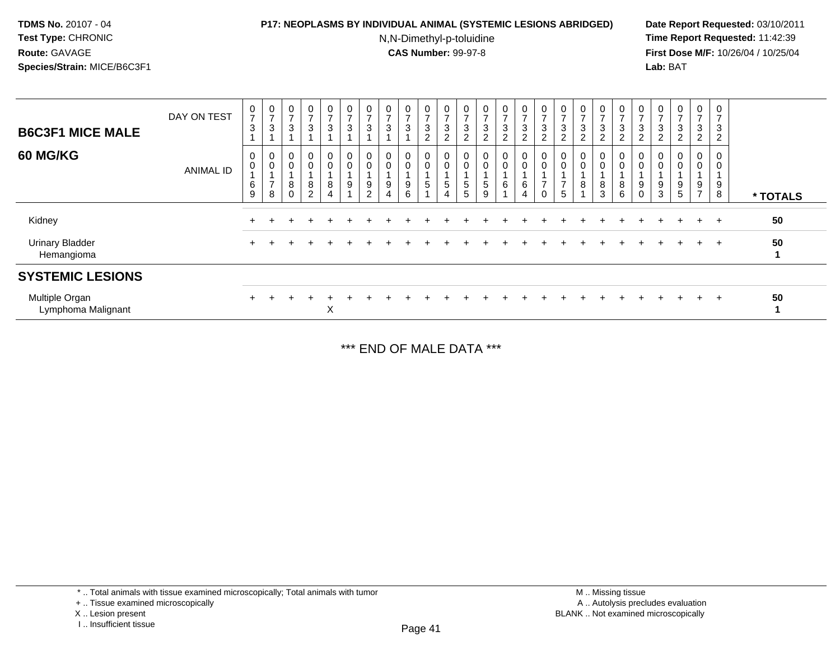### **P17: NEOPLASMS BY INDIVIDUAL ANIMAL (SYSTEMIC LESIONS ABRIDGED) Date Report Requested:** 03/10/2011

N,N-Dimethyl-p-toluidine

 **Time Report Requested:** 11:42:39 **First Dose M/F:** 10/26/04 / 10/25/04 Lab: BAT **Lab:** BAT

| <b>B6C3F1 MICE MALE</b><br><b>60 MG/KG</b> | DAY ON TEST<br><b>ANIMAL ID</b> | 0<br>$\overline{ }$<br>3<br>0<br>0<br>6<br>9 | $\frac{0}{7}$<br>$\sqrt{3}$<br>$\pmb{0}$<br>$\pmb{0}$<br>$\overline{7}$<br>8 | $\,0\,$<br>$\overline{ }$<br>$\ensuremath{\mathsf{3}}$<br>$\pmb{0}$<br>$\mathbf 0$<br>$\bf 8$<br>$\mathbf 0$ | $\overline{0}$<br>⇁<br>3<br>$\mathbf 0$<br>0<br>8<br>$\overline{2}$ | 0<br>$\overline{7}$<br>$\ensuremath{\mathsf{3}}$<br>0<br>$\pmb{0}$<br>8 | 0<br>$\rightarrow$<br>$\sqrt{3}$<br>0<br>$\pmb{0}$<br>9 | 0<br>$\overline{ }$<br>3<br>$\pmb{0}$<br>$\pmb{0}$<br>$9\,$<br>$\overline{2}$ | 0<br>$\overline{ }$<br>3<br>0<br>0<br>9<br>$\overline{4}$ | 0<br>$\overline{ }$<br>3<br>0<br>0<br>9<br>6 | $\boldsymbol{0}$<br>$\overline{7}$<br>3<br>$\overline{c}$<br>0<br>$\mathbf 0$<br>5 | 0<br>$\rightarrow$<br>$\ensuremath{\mathsf{3}}$<br>$\overline{c}$<br>$\overline{0}$<br>$\pmb{0}$<br>$\mathbf 5$<br>4 | 0<br>$\rightarrow$<br>3<br>$\sqrt{2}$<br>0<br>$\mathbf 0$<br>5<br>5 | 0<br>$\overline{\phantom{0}}$<br>$\sqrt{3}$<br>$\overline{2}$<br>$\boldsymbol{0}$<br>$\mathbf 0$<br>$\sqrt{5}$<br>$\boldsymbol{9}$ | 0<br>$\overline{\phantom{a}}$<br>3<br>$\overline{2}$<br>$\mathbf 0$<br>0<br>6 | 0<br>$\overline{7}$<br>3<br>$\overline{2}$<br>$\mathbf 0$<br>$\pmb{0}$<br>6<br>4 | 0<br>$\overline{ }$<br>3<br>$\overline{2}$<br>0<br>$\pmb{0}$<br>$\overline{ }$<br>0 | O<br>$\rightarrow$<br>3<br>$\overline{c}$<br>0<br>$\overline{ }$<br>5 | 0<br>$\overline{ }$<br>$\sqrt{3}$<br>$\overline{2}$<br>$\boldsymbol{0}$<br>$\mathbf 0$<br>8 | 0<br>$\overline{ }$<br>$\mathbf{3}$<br>$\overline{a}$<br>0<br>$\mathsf{O}\xspace$<br>8<br>3 | 0<br>$\overline{ }$<br>3<br>$\overline{c}$<br>0<br>$\pmb{0}$<br>8<br>6 | 0<br>$\overline{ }$<br>3<br>$\overline{c}$<br>0<br>0<br>9<br>0 | U<br>$\rightarrow$<br>3<br>$\overline{c}$<br>U<br>9<br>3 | 0<br>$\overline{ }$<br>$\sqrt{3}$<br>$\sqrt{2}$<br>0<br>$\boldsymbol{0}$<br>$\boldsymbol{9}$<br>$\sqrt{5}$ | 0<br>$\overline{ }$<br>3<br>$\overline{2}$<br>0<br>0<br>9<br>$\overline{ }$ | 0<br>$\overline{ }$<br>3<br>$\overline{c}$<br>0<br>9<br>8 | * TOTALS |
|--------------------------------------------|---------------------------------|----------------------------------------------|------------------------------------------------------------------------------|--------------------------------------------------------------------------------------------------------------|---------------------------------------------------------------------|-------------------------------------------------------------------------|---------------------------------------------------------|-------------------------------------------------------------------------------|-----------------------------------------------------------|----------------------------------------------|------------------------------------------------------------------------------------|----------------------------------------------------------------------------------------------------------------------|---------------------------------------------------------------------|------------------------------------------------------------------------------------------------------------------------------------|-------------------------------------------------------------------------------|----------------------------------------------------------------------------------|-------------------------------------------------------------------------------------|-----------------------------------------------------------------------|---------------------------------------------------------------------------------------------|---------------------------------------------------------------------------------------------|------------------------------------------------------------------------|----------------------------------------------------------------|----------------------------------------------------------|------------------------------------------------------------------------------------------------------------|-----------------------------------------------------------------------------|-----------------------------------------------------------|----------|
| Kidney                                     |                                 |                                              |                                                                              |                                                                                                              |                                                                     |                                                                         |                                                         |                                                                               |                                                           |                                              |                                                                                    |                                                                                                                      |                                                                     |                                                                                                                                    |                                                                               |                                                                                  |                                                                                     |                                                                       |                                                                                             |                                                                                             |                                                                        |                                                                |                                                          |                                                                                                            | $\div$                                                                      | $+$                                                       | 50       |
| <b>Urinary Bladder</b><br>Hemangioma       |                                 | $\pm$                                        |                                                                              |                                                                                                              |                                                                     |                                                                         |                                                         |                                                                               |                                                           |                                              |                                                                                    |                                                                                                                      |                                                                     |                                                                                                                                    |                                                                               |                                                                                  |                                                                                     |                                                                       |                                                                                             |                                                                                             |                                                                        |                                                                |                                                          |                                                                                                            | $+$                                                                         | $+$                                                       | 50       |
| <b>SYSTEMIC LESIONS</b>                    |                                 |                                              |                                                                              |                                                                                                              |                                                                     |                                                                         |                                                         |                                                                               |                                                           |                                              |                                                                                    |                                                                                                                      |                                                                     |                                                                                                                                    |                                                                               |                                                                                  |                                                                                     |                                                                       |                                                                                             |                                                                                             |                                                                        |                                                                |                                                          |                                                                                                            |                                                                             |                                                           |          |
| Multiple Organ<br>Lymphoma Malignant       |                                 | $\pm$                                        |                                                                              |                                                                                                              |                                                                     | Χ                                                                       |                                                         |                                                                               |                                                           |                                              |                                                                                    |                                                                                                                      |                                                                     |                                                                                                                                    |                                                                               |                                                                                  |                                                                                     |                                                                       |                                                                                             |                                                                                             |                                                                        |                                                                |                                                          |                                                                                                            | $\ddot{}$                                                                   | $+$                                                       | 50       |

\*\*\* END OF MALE DATA \*\*\*

\* .. Total animals with tissue examined microscopically; Total animals with tumor

+ .. Tissue examined microscopically

X .. Lesion present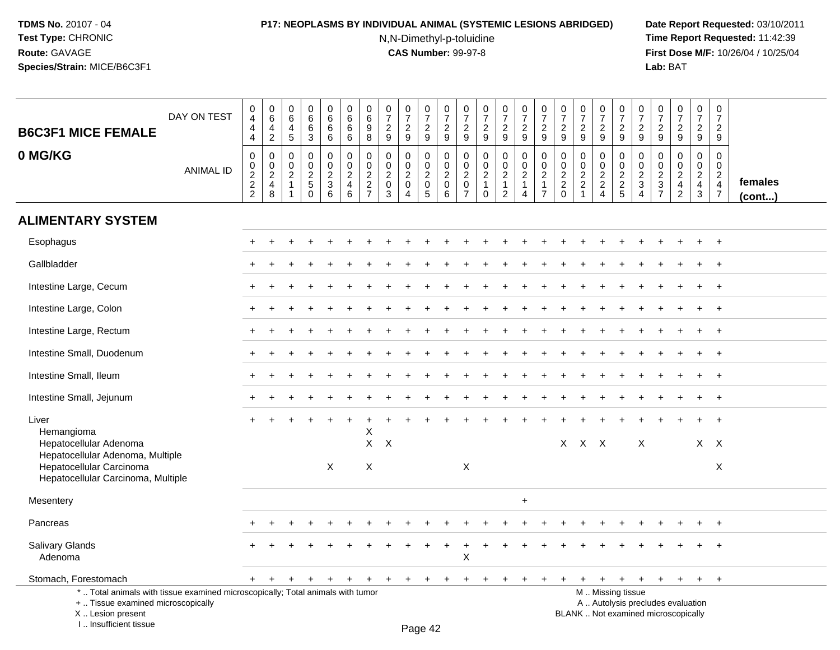# **P17: NEOPLASMS BY INDIVIDUAL ANIMAL (SYSTEMIC LESIONS ABRIDGED) Date Report Requested:** 03/10/2011

N,N-Dimethyl-p-toluidine

| <b>B6C3F1 MICE FEMALE</b>                                                                                                                                          | DAY ON TEST      | 0<br>$\overline{4}$<br>4<br>$\overline{4}$ | $\mathbf 0$<br>$6\phantom{a}$<br>$\overline{4}$<br>$\overline{2}$   | $\pmb{0}$<br>$\,6\,$<br>$\overline{a}$<br>5                  | $\pmb{0}$<br>$6\phantom{a}$<br>$\,6\,$<br>$\mathbf{3}$ | $\pmb{0}$<br>$6\phantom{a}$<br>$\,6\,$<br>6    | $\mathbf 0$<br>6<br>6<br>6                                          | 0<br>$\,6\,$<br>9<br>8                                                 | $\pmb{0}$<br>$\overline{7}$<br>$\overline{2}$<br>9 | $\frac{0}{7}$<br>$\overline{c}$<br>9                                                   | $\frac{0}{7}$<br>$\overline{c}$<br>9                 | $\begin{array}{c} 0 \\ 7 \end{array}$<br>$\boldsymbol{2}$<br>9 | 0<br>$\overline{7}$<br>$\overline{2}$<br>9                           | $\pmb{0}$<br>$\overline{7}$<br>$\sqrt{2}$<br>9                    | $\frac{0}{7}$<br>$\overline{c}$<br>9                                           | 0<br>$\overline{7}$<br>$\overline{a}$<br>9                           | $\frac{0}{7}$<br>$\boldsymbol{2}$<br>9                                         | $\pmb{0}$<br>$\overline{7}$<br>$\overline{2}$<br>9                     | $\pmb{0}$<br>$\overline{7}$<br>$\overline{2}$<br>9            | $\pmb{0}$<br>$\overline{7}$<br>$\boldsymbol{2}$<br>9 | $\,0\,$<br>$\overline{7}$<br>$\overline{2}$<br>9 | 0<br>$\overline{7}$<br>$\mathbf{2}$<br>9                             | $\pmb{0}$<br>$\overline{7}$<br>$\overline{2}$<br>9         | $\frac{0}{7}$<br>$\overline{a}$<br>$\overline{9}$                                | $\pmb{0}$<br>$\overline{7}$<br>$\overline{2}$<br>9 | $\mathbf 0$<br>$\overline{7}$<br>$\sqrt{2}$<br>9                                  |                   |
|--------------------------------------------------------------------------------------------------------------------------------------------------------------------|------------------|--------------------------------------------|---------------------------------------------------------------------|--------------------------------------------------------------|--------------------------------------------------------|------------------------------------------------|---------------------------------------------------------------------|------------------------------------------------------------------------|----------------------------------------------------|----------------------------------------------------------------------------------------|------------------------------------------------------|----------------------------------------------------------------|----------------------------------------------------------------------|-------------------------------------------------------------------|--------------------------------------------------------------------------------|----------------------------------------------------------------------|--------------------------------------------------------------------------------|------------------------------------------------------------------------|---------------------------------------------------------------|------------------------------------------------------|--------------------------------------------------|----------------------------------------------------------------------|------------------------------------------------------------|----------------------------------------------------------------------------------|----------------------------------------------------|-----------------------------------------------------------------------------------|-------------------|
| 0 MG/KG                                                                                                                                                            | <b>ANIMAL ID</b> | 0<br>0<br>$\frac{2}{2}$<br>$\overline{2}$  | $\mathbf 0$<br>$\mathbf 0$<br>$\overline{c}$<br>$\overline{4}$<br>8 | $\mathbf 0$<br>$\mathbf 0$<br>$\overline{c}$<br>$\mathbf{1}$ | $\pmb{0}$<br>$\mathbf 0$<br>$\frac{2}{5}$<br>$\Omega$  | $\mathbf 0$<br>$\pmb{0}$<br>$\frac{2}{3}$<br>6 | $\mathbf 0$<br>$\mathsf 0$<br>$\overline{2}$<br>$\overline{4}$<br>6 | 0<br>$\mathbf 0$<br>$\overline{2}$<br>$\overline{2}$<br>$\overline{7}$ | $\mathbf 0$<br>$\mathbf 0$<br>$^2_{\rm 0}$<br>3    | $\mathbf 0$<br>$\mathbf 0$<br>$\overline{a}$<br>$\mathbf{0}$<br>$\boldsymbol{\Lambda}$ | 0<br>$\mathbf 0$<br>$\overline{c}$<br>$\pmb{0}$<br>5 | $\mathbf 0$<br>$\mathbf 0$<br>$\sqrt{2}$<br>$\pmb{0}$<br>6     | 0<br>$\mathbf{0}$<br>$\overline{2}$<br>$\mathbf 0$<br>$\overline{7}$ | $\mathbf 0$<br>$\Omega$<br>$\sqrt{2}$<br>$\mathbf{1}$<br>$\Omega$ | $\mathbf 0$<br>$\mathbf 0$<br>$\overline{2}$<br>$\mathbf{1}$<br>$\overline{c}$ | 0<br>$\mathbf 0$<br>$\overline{2}$<br>$\mathbf{1}$<br>$\overline{4}$ | $\mathbf 0$<br>$\pmb{0}$<br>$\boldsymbol{2}$<br>$\mathbf{1}$<br>$\overline{7}$ | $\mathbf 0$<br>$\mathbf 0$<br>$\overline{2}$<br>$\sqrt{2}$<br>$\Omega$ | $\mathbf 0$<br>$\mathbf 0$<br>$\frac{2}{2}$<br>$\overline{1}$ | 0<br>$\mathbf 0$<br>$\frac{2}{2}$<br>$\overline{4}$  | 0<br>$\mathbf 0$<br>$\frac{2}{2}$<br>5           | 0<br>$\mathbf 0$<br>$\overline{c}$<br>$\mathbf{3}$<br>$\overline{4}$ | $\mathbf 0$<br>$\Omega$<br>$\frac{2}{3}$<br>$\overline{7}$ | $\mathbf 0$<br>$\mathbf 0$<br>$\overline{2}$<br>$\overline{4}$<br>$\overline{2}$ | $\mathbf 0$<br>$\mathbf 0$<br>$\frac{2}{4}$<br>3   | $\mathbf 0$<br>$\mathbf{0}$<br>$\overline{2}$<br>$\overline{4}$<br>$\overline{7}$ | females<br>(cont) |
| <b>ALIMENTARY SYSTEM</b>                                                                                                                                           |                  |                                            |                                                                     |                                                              |                                                        |                                                |                                                                     |                                                                        |                                                    |                                                                                        |                                                      |                                                                |                                                                      |                                                                   |                                                                                |                                                                      |                                                                                |                                                                        |                                                               |                                                      |                                                  |                                                                      |                                                            |                                                                                  |                                                    |                                                                                   |                   |
| Esophagus                                                                                                                                                          |                  |                                            |                                                                     |                                                              |                                                        |                                                |                                                                     |                                                                        |                                                    |                                                                                        |                                                      |                                                                |                                                                      |                                                                   |                                                                                |                                                                      |                                                                                |                                                                        |                                                               |                                                      |                                                  |                                                                      |                                                            |                                                                                  | $\pm$                                              | $+$                                                                               |                   |
| Gallbladder                                                                                                                                                        |                  |                                            |                                                                     |                                                              |                                                        |                                                |                                                                     |                                                                        |                                                    |                                                                                        |                                                      |                                                                |                                                                      |                                                                   |                                                                                |                                                                      |                                                                                |                                                                        |                                                               |                                                      |                                                  |                                                                      |                                                            |                                                                                  |                                                    |                                                                                   |                   |
| Intestine Large, Cecum                                                                                                                                             |                  |                                            |                                                                     |                                                              |                                                        |                                                |                                                                     |                                                                        |                                                    |                                                                                        |                                                      |                                                                |                                                                      |                                                                   |                                                                                |                                                                      |                                                                                |                                                                        |                                                               |                                                      |                                                  |                                                                      |                                                            |                                                                                  |                                                    | $+$                                                                               |                   |
| Intestine Large, Colon                                                                                                                                             |                  |                                            |                                                                     |                                                              |                                                        |                                                |                                                                     |                                                                        |                                                    |                                                                                        |                                                      |                                                                |                                                                      |                                                                   |                                                                                |                                                                      |                                                                                |                                                                        |                                                               |                                                      |                                                  |                                                                      |                                                            |                                                                                  |                                                    | $+$                                                                               |                   |
| Intestine Large, Rectum                                                                                                                                            |                  |                                            |                                                                     |                                                              |                                                        |                                                |                                                                     |                                                                        |                                                    |                                                                                        |                                                      |                                                                |                                                                      |                                                                   |                                                                                |                                                                      |                                                                                |                                                                        |                                                               |                                                      |                                                  |                                                                      |                                                            |                                                                                  | $\ddot{}$                                          | $+$                                                                               |                   |
| Intestine Small, Duodenum                                                                                                                                          |                  |                                            |                                                                     |                                                              |                                                        |                                                |                                                                     |                                                                        |                                                    |                                                                                        |                                                      |                                                                |                                                                      |                                                                   |                                                                                |                                                                      |                                                                                |                                                                        |                                                               |                                                      |                                                  |                                                                      |                                                            |                                                                                  |                                                    | $+$                                                                               |                   |
| Intestine Small, Ileum                                                                                                                                             |                  |                                            |                                                                     |                                                              |                                                        |                                                |                                                                     |                                                                        |                                                    |                                                                                        |                                                      |                                                                |                                                                      |                                                                   |                                                                                |                                                                      |                                                                                |                                                                        |                                                               |                                                      |                                                  |                                                                      |                                                            |                                                                                  |                                                    | $\ddot{}$                                                                         |                   |
| Intestine Small, Jejunum                                                                                                                                           |                  |                                            |                                                                     |                                                              |                                                        |                                                |                                                                     |                                                                        |                                                    |                                                                                        |                                                      |                                                                |                                                                      |                                                                   |                                                                                |                                                                      |                                                                                |                                                                        |                                                               |                                                      |                                                  |                                                                      |                                                            |                                                                                  |                                                    | $\ddot{}$                                                                         |                   |
| Liver<br>Hemangioma                                                                                                                                                |                  |                                            |                                                                     |                                                              |                                                        |                                                |                                                                     | Χ                                                                      |                                                    |                                                                                        |                                                      |                                                                |                                                                      |                                                                   |                                                                                |                                                                      |                                                                                |                                                                        |                                                               |                                                      |                                                  |                                                                      |                                                            |                                                                                  |                                                    |                                                                                   |                   |
| Hepatocellular Adenoma<br>Hepatocellular Adenoma, Multiple<br>Hepatocellular Carcinoma<br>Hepatocellular Carcinoma, Multiple                                       |                  |                                            |                                                                     |                                                              |                                                        | X                                              |                                                                     | $X$ $X$<br>$\boldsymbol{\mathsf{X}}$                                   |                                                    |                                                                                        |                                                      |                                                                | $\mathsf{X}$                                                         |                                                                   |                                                                                |                                                                      |                                                                                |                                                                        | $X$ $X$ $X$                                                   |                                                      |                                                  | $\sf X$                                                              |                                                            |                                                                                  | $X$ $X$                                            | X                                                                                 |                   |
| Mesentery                                                                                                                                                          |                  |                                            |                                                                     |                                                              |                                                        |                                                |                                                                     |                                                                        |                                                    |                                                                                        |                                                      |                                                                |                                                                      |                                                                   |                                                                                | $\ddot{}$                                                            |                                                                                |                                                                        |                                                               |                                                      |                                                  |                                                                      |                                                            |                                                                                  |                                                    |                                                                                   |                   |
| Pancreas                                                                                                                                                           |                  |                                            |                                                                     |                                                              |                                                        |                                                |                                                                     |                                                                        |                                                    |                                                                                        |                                                      |                                                                |                                                                      |                                                                   |                                                                                |                                                                      |                                                                                |                                                                        |                                                               |                                                      |                                                  |                                                                      |                                                            |                                                                                  |                                                    | $\ddot{}$                                                                         |                   |
| <b>Salivary Glands</b><br>Adenoma                                                                                                                                  |                  |                                            |                                                                     |                                                              |                                                        |                                                |                                                                     |                                                                        |                                                    |                                                                                        |                                                      |                                                                | X                                                                    |                                                                   |                                                                                |                                                                      |                                                                                |                                                                        |                                                               |                                                      |                                                  |                                                                      |                                                            |                                                                                  |                                                    |                                                                                   |                   |
| Stomach, Forestomach                                                                                                                                               |                  |                                            |                                                                     |                                                              |                                                        |                                                |                                                                     |                                                                        |                                                    | $\ddot{}$                                                                              | ÷                                                    |                                                                |                                                                      |                                                                   |                                                                                |                                                                      |                                                                                |                                                                        |                                                               | $\ddot{}$                                            | $\ddot{}$                                        | $\ddot{}$                                                            | $+$                                                        | $+$                                                                              | $+$                                                | $+$                                                                               |                   |
| *  Total animals with tissue examined microscopically; Total animals with tumor<br>+  Tissue examined microscopically<br>X Lesion present<br>I Insufficient tissue |                  |                                            |                                                                     |                                                              |                                                        |                                                |                                                                     |                                                                        |                                                    |                                                                                        | $D_{200}$ $A2$                                       |                                                                |                                                                      |                                                                   |                                                                                |                                                                      |                                                                                |                                                                        |                                                               |                                                      | M  Missing tissue                                |                                                                      |                                                            | A  Autolysis precludes evaluation<br>BLANK  Not examined microscopically         |                                                    |                                                                                   |                   |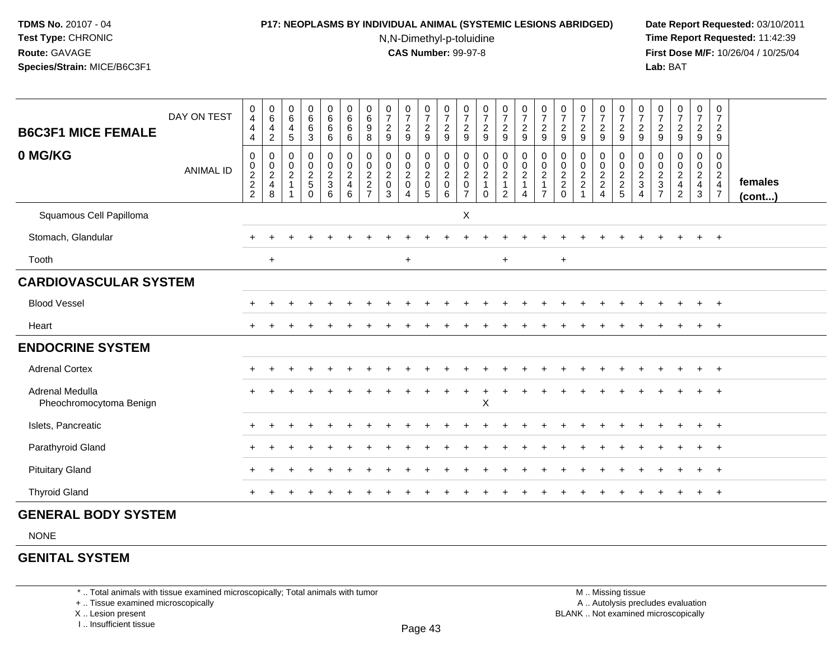### **P17: NEOPLASMS BY INDIVIDUAL ANIMAL (SYSTEMIC LESIONS ABRIDGED) Date Report Requested:** 03/10/2011

N,N-Dimethyl-p-toluidine

 **Time Report Requested:** 11:42:39 **First Dose M/F:** 10/26/04 / 10/25/04 Lab: BAT **Lab:** BAT

| <b>B6C3F1 MICE FEMALE</b>                  | DAY ON TEST      | 0<br>$\overline{4}$<br>4<br>4 | $_{6}^{\rm 0}$<br>4<br>$\overline{c}$                | $\begin{array}{c} 0 \\ 6 \end{array}$<br>$\overline{\mathbf{4}}$<br>$\sqrt{5}$ | $\begin{array}{c} 0 \\ 6 \end{array}$<br>6<br>$\mathbf{3}$  | $\begin{array}{c} 0 \\ 6 \end{array}$<br>6<br>6      | $\begin{array}{c} 0 \\ 6 \end{array}$<br>6<br>6                        | $\begin{matrix} 0 \\ 6 \end{matrix}$<br>9<br>8           | $\begin{array}{c} 0 \\ 7 \end{array}$<br>$\boldsymbol{2}$<br>$9\,$ | $\frac{0}{7}$<br>$\boldsymbol{2}$<br>9 | $\frac{0}{7}$<br>$\overline{c}$<br>9                                  | $\frac{0}{7}$<br>$\overline{a}$<br>9 | $\frac{0}{7}$<br>$\overline{c}$<br>9                                           | $\begin{array}{c} 0 \\ 7 \end{array}$<br>$\sqrt{2}$<br>$\boldsymbol{9}$ | $\frac{0}{7}$<br>$\frac{2}{9}$ | $\frac{0}{7}$<br>$\boldsymbol{2}$<br>$\overline{9}$  | $\frac{0}{7}$<br>$\frac{2}{9}$                                              | $\frac{0}{7}$<br>$\boldsymbol{2}$<br>$\boldsymbol{9}$ | $\begin{array}{c} 0 \\ 7 \end{array}$<br>$\boldsymbol{2}$<br>$9\,$ | $\frac{0}{7}$<br>$\boldsymbol{2}$<br>9 | $\frac{0}{7}$<br>$\boldsymbol{2}$<br>9 | $\frac{0}{7}$<br>$\overline{2}$<br>9 | $\frac{0}{7}$<br>$\overline{c}$<br>9 | $\frac{0}{7}$<br>$\boldsymbol{2}$<br>$\boldsymbol{9}$ | $\frac{0}{7}$<br>$\frac{2}{9}$               | $\frac{0}{7}$<br>$\overline{2}$<br>9                               |                   |
|--------------------------------------------|------------------|-------------------------------|------------------------------------------------------|--------------------------------------------------------------------------------|-------------------------------------------------------------|------------------------------------------------------|------------------------------------------------------------------------|----------------------------------------------------------|--------------------------------------------------------------------|----------------------------------------|-----------------------------------------------------------------------|--------------------------------------|--------------------------------------------------------------------------------|-------------------------------------------------------------------------|--------------------------------|------------------------------------------------------|-----------------------------------------------------------------------------|-------------------------------------------------------|--------------------------------------------------------------------|----------------------------------------|----------------------------------------|--------------------------------------|--------------------------------------|-------------------------------------------------------|----------------------------------------------|--------------------------------------------------------------------|-------------------|
| 0 MG/KG                                    | <b>ANIMAL ID</b> | 0<br>$\frac{0}{2}$<br>2<br>2  | 0<br>$\begin{array}{c} 0 \\ 2 \\ 4 \end{array}$<br>8 | $\mathbf 0$<br>$\frac{0}{2}$                                                   | 0<br>$\begin{array}{c} 0 \\ 2 \\ 5 \end{array}$<br>$\Omega$ | $\begin{array}{c} 0 \\ 0 \\ 2 \\ 3 \end{array}$<br>6 | $\begin{smallmatrix} 0\\0\\2 \end{smallmatrix}$<br>$\overline{4}$<br>6 | 0<br>$_2^0$<br>$\overline{\mathbf{c}}$<br>$\overline{7}$ | $\begin{matrix} 0 \\ 0 \\ 2 \\ 0 \end{matrix}$<br>3                | 0<br>$\frac{0}{2}$<br>$\overline{4}$   | $\begin{matrix} 0 \\ 0 \\ 2 \end{matrix}$<br>$\mathsf{O}\xspace$<br>5 | 0<br>$\frac{0}{2}$<br>6              | $\pmb{0}$<br>$\begin{smallmatrix} 0\\2\\0 \end{smallmatrix}$<br>$\overline{7}$ | $\begin{array}{c} 0 \\ 0 \\ 2 \\ 1 \end{array}$<br>$\Omega$             | 0<br>$\frac{0}{2}$<br>2        | $\begin{array}{c} 0 \\ 0 \\ 2 \\ 1 \end{array}$<br>4 | $\begin{matrix} 0 \\ 0 \\ 2 \end{matrix}$<br>$\mathbf{1}$<br>$\overline{7}$ | 0<br>$\frac{0}{2}$<br>0                               | 0002                                                               | 0<br>$\frac{0}{2}$<br>$\overline{4}$   | $0002$<br>$25$                         | 0<br>$\frac{0}{2}$<br>4              | 0<br>$\pmb{0}$<br>$\frac{2}{3}$      | $\begin{array}{c} 0 \\ 0 \\ 2 \\ 4 \end{array}$<br>2  | $\mathbf 0$<br>$\frac{0}{2}$<br>$\mathbf{3}$ | 0<br>$\mathbf 0$<br>$\sqrt{2}$<br>$\overline{4}$<br>$\overline{7}$ | females<br>(cont) |
| Squamous Cell Papilloma                    |                  |                               |                                                      |                                                                                |                                                             |                                                      |                                                                        |                                                          |                                                                    |                                        |                                                                       |                                      | X                                                                              |                                                                         |                                |                                                      |                                                                             |                                                       |                                                                    |                                        |                                        |                                      |                                      |                                                       |                                              |                                                                    |                   |
| Stomach, Glandular                         |                  | $\ddot{}$                     |                                                      |                                                                                |                                                             |                                                      |                                                                        |                                                          |                                                                    |                                        |                                                                       |                                      |                                                                                |                                                                         |                                |                                                      |                                                                             |                                                       |                                                                    |                                        |                                        |                                      |                                      |                                                       | $\ddot{}$                                    | $+$                                                                |                   |
| Tooth                                      |                  |                               | $+$                                                  |                                                                                |                                                             |                                                      |                                                                        |                                                          |                                                                    | $+$                                    |                                                                       |                                      |                                                                                |                                                                         | $+$                            |                                                      |                                                                             | $\ddot{}$                                             |                                                                    |                                        |                                        |                                      |                                      |                                                       |                                              |                                                                    |                   |
| <b>CARDIOVASCULAR SYSTEM</b>               |                  |                               |                                                      |                                                                                |                                                             |                                                      |                                                                        |                                                          |                                                                    |                                        |                                                                       |                                      |                                                                                |                                                                         |                                |                                                      |                                                                             |                                                       |                                                                    |                                        |                                        |                                      |                                      |                                                       |                                              |                                                                    |                   |
| <b>Blood Vessel</b>                        |                  | $+$                           |                                                      |                                                                                |                                                             |                                                      |                                                                        |                                                          |                                                                    |                                        |                                                                       |                                      |                                                                                |                                                                         |                                |                                                      |                                                                             |                                                       |                                                                    |                                        |                                        |                                      |                                      |                                                       | $\pm$                                        | $+$                                                                |                   |
| Heart                                      |                  | $\ddot{}$                     |                                                      |                                                                                |                                                             |                                                      |                                                                        |                                                          |                                                                    |                                        |                                                                       |                                      |                                                                                |                                                                         |                                |                                                      |                                                                             |                                                       |                                                                    |                                        |                                        |                                      |                                      |                                                       |                                              | $^{+}$                                                             |                   |
| <b>ENDOCRINE SYSTEM</b>                    |                  |                               |                                                      |                                                                                |                                                             |                                                      |                                                                        |                                                          |                                                                    |                                        |                                                                       |                                      |                                                                                |                                                                         |                                |                                                      |                                                                             |                                                       |                                                                    |                                        |                                        |                                      |                                      |                                                       |                                              |                                                                    |                   |
| <b>Adrenal Cortex</b>                      |                  | $+$                           |                                                      |                                                                                |                                                             |                                                      |                                                                        |                                                          |                                                                    |                                        |                                                                       |                                      |                                                                                |                                                                         |                                |                                                      |                                                                             |                                                       |                                                                    |                                        |                                        |                                      |                                      |                                                       | $\pm$                                        | $+$                                                                |                   |
| Adrenal Medulla<br>Pheochromocytoma Benign |                  |                               |                                                      |                                                                                |                                                             |                                                      |                                                                        |                                                          |                                                                    |                                        |                                                                       |                                      |                                                                                | $\mathsf X$                                                             |                                |                                                      |                                                                             |                                                       |                                                                    |                                        |                                        |                                      |                                      |                                                       |                                              |                                                                    |                   |
| Islets, Pancreatic                         |                  | $+$                           |                                                      |                                                                                |                                                             |                                                      |                                                                        |                                                          |                                                                    |                                        |                                                                       |                                      |                                                                                |                                                                         |                                |                                                      |                                                                             |                                                       |                                                                    |                                        |                                        |                                      |                                      |                                                       | $\ddot{}$                                    | $+$                                                                |                   |
| Parathyroid Gland                          |                  | $\div$                        |                                                      |                                                                                |                                                             |                                                      |                                                                        |                                                          |                                                                    |                                        |                                                                       |                                      |                                                                                |                                                                         |                                |                                                      |                                                                             |                                                       |                                                                    |                                        |                                        |                                      |                                      |                                                       | $+$                                          | $+$                                                                |                   |
| <b>Pituitary Gland</b>                     |                  |                               |                                                      |                                                                                |                                                             |                                                      |                                                                        |                                                          |                                                                    |                                        |                                                                       |                                      |                                                                                |                                                                         |                                |                                                      |                                                                             |                                                       |                                                                    |                                        |                                        |                                      |                                      |                                                       | $+$                                          | $+$                                                                |                   |
| <b>Thyroid Gland</b>                       |                  |                               |                                                      |                                                                                |                                                             |                                                      |                                                                        |                                                          |                                                                    |                                        |                                                                       |                                      |                                                                                |                                                                         |                                |                                                      |                                                                             |                                                       |                                                                    |                                        |                                        |                                      |                                      |                                                       |                                              | $+$                                                                |                   |

# **GENERAL BODY SYSTEM**

NONE

# **GENITAL SYSTEM**

\* .. Total animals with tissue examined microscopically; Total animals with tumor

+ .. Tissue examined microscopically

X .. Lesion present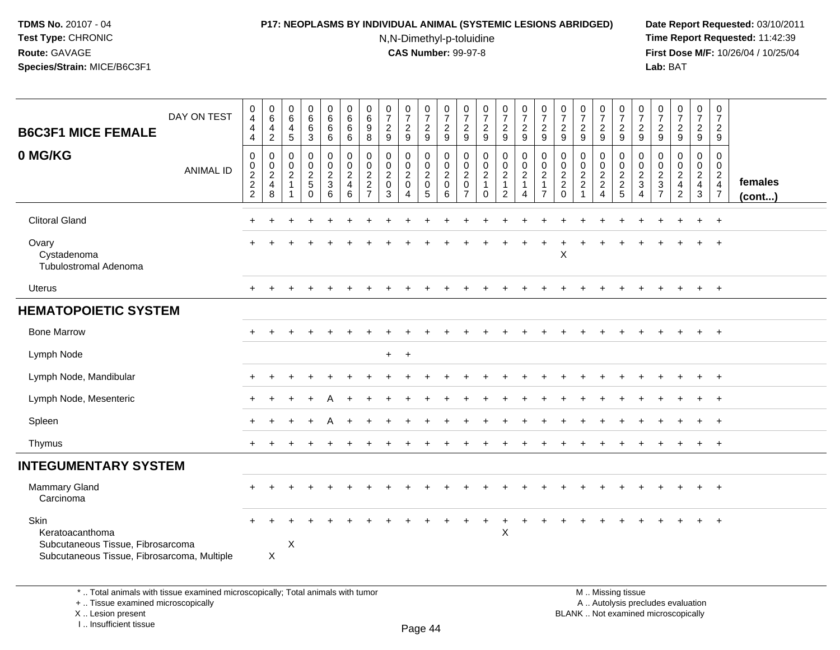### **P17: NEOPLASMS BY INDIVIDUAL ANIMAL (SYSTEMIC LESIONS ABRIDGED) Date Report Requested:** 03/10/2011

N,N-Dimethyl-p-toluidine

 **Time Report Requested:** 11:42:39 **First Dose M/F:** 10/26/04 / 10/25/04 Lab: BAT **Lab:** BAT

| <b>B6C3F1 MICE FEMALE</b><br>0 MG/KG                                                                        | DAY ON TEST<br><b>ANIMAL ID</b> | 0<br>4<br>$\overline{4}$<br>$\overline{4}$<br>$\pmb{0}$<br>$\begin{smallmatrix} 0\\2 \end{smallmatrix}$<br>$\overline{c}$<br>$\overline{2}$ | $\begin{array}{c} 0 \\ 6 \end{array}$<br>$\overline{4}$<br>$\sqrt{2}$<br>$\mathbf 0$<br>$\mathbf 0$<br>$\sqrt{2}$<br>$\overline{4}$<br>8 | 0<br>$\,6\,$<br>$\overline{4}$<br>$\sqrt{5}$<br>0<br>$\mathbf 0$<br>$\overline{2}$<br>$\overline{1}$<br>-1 | 0<br>$\,6\,$<br>$\,6\,$<br>$\mathbf{3}$<br>$\pmb{0}$<br>$\mathbf 0$<br>$\boldsymbol{2}$<br>$\,$ 5 $\,$<br>$\mathbf 0$ | 0<br>$\,6\,$<br>6<br>6<br>$\mathbf 0$<br>$\frac{0}{2}$<br>6 | 0<br>$\,6\,$<br>$\,6$<br>6<br>$\mathbf 0$<br>$\mathsf{O}\xspace$<br>$\overline{2}$<br>$\overline{4}$<br>6 | 0<br>$\,6\,$<br>9<br>8<br>0<br>0<br>$\overline{c}$<br>$\overline{c}$<br>$\overline{7}$ | $\frac{0}{7}$<br>$\boldsymbol{2}$<br>9<br>$\mathbf 0$<br>$\pmb{0}$<br>$\overline{2}$<br>$\pmb{0}$<br>3 | 0<br>$\overline{7}$<br>$\overline{2}$<br>$9\,$<br>0<br>$\mathbf 0$<br>$\sqrt{2}$<br>$\pmb{0}$<br>$\overline{4}$ | 0<br>$\overline{7}$<br>$\overline{2}$<br>9<br>$\pmb{0}$<br>$\mathbf 0$<br>$\boldsymbol{2}$<br>$\mathsf 0$<br>5 | $\frac{0}{7}$<br>$\frac{2}{9}$<br>0<br>$\mathsf{O}$<br>$\overline{c}$<br>$\mathsf{O}\xspace$<br>6 | 0<br>$\overline{7}$<br>$\frac{2}{9}$<br>$\pmb{0}$<br>$\pmb{0}$<br>$\overline{2}$<br>$\mathbf 0$<br>$\overline{7}$ | $\frac{0}{7}$<br>$\frac{2}{9}$<br>$\pmb{0}$<br>$\frac{0}{2}$<br>$\mathbf{1}$<br>$\mathbf 0$ | $\frac{0}{7}$<br>$\overline{2}$<br>$\overline{9}$<br>0<br>$\overline{0}$<br>$\sqrt{2}$<br>$\mathbf{1}$<br>$\overline{c}$ | $\frac{0}{7}$<br>$\overline{2}$<br>9<br>$\pmb{0}$<br>$\begin{smallmatrix} 0\\2 \end{smallmatrix}$<br>$\mathbf{1}$<br>$\overline{4}$ | $\frac{0}{7}$<br>$\frac{2}{9}$<br>0<br>$\mathbf 0$<br>$\overline{c}$<br>$\mathbf{1}$<br>$\overline{7}$ | $\frac{0}{7}$<br>$\frac{2}{9}$<br>$\mathbf 0$<br>0<br>$\overline{c}$<br>$\overline{c}$<br>$\mathbf{0}$ | $\frac{0}{7}$<br>$\overline{c}$<br>9<br>$\mathbf 0$<br>$\pmb{0}$<br>$\overline{2}$<br>$\boldsymbol{2}$<br>$\overline{1}$ | $\frac{0}{7}$<br>$\frac{2}{9}$<br>0<br>$\frac{0}{2}$<br>$\overline{4}$ | $\frac{0}{7}$<br>$\overline{c}$<br>9<br>0<br>$\begin{array}{c}\n0 \\ 2 \\ 2 \\ 5\n\end{array}$ | $\frac{0}{7}$<br>$\overline{c}$<br>9<br>0<br>0<br>$\overline{c}$<br>3<br>4 | $\frac{0}{7}$<br>$\frac{2}{9}$<br>0<br>$\pmb{0}$<br>$rac{2}{7}$ | $\frac{0}{7}$<br>$\frac{2}{9}$<br>$\pmb{0}$<br>$^0_2$<br>$\overline{\mathbf{4}}$<br>$\overline{2}$ | $\mathbf 0$<br>$\boldsymbol{7}$<br>$\frac{2}{9}$<br>0<br>$\overline{0}$<br>$\overline{2}$<br>$\overline{4}$<br>$\mathbf{3}$ | 0<br>$\overline{7}$<br>$\overline{2}$<br>9<br>0<br>$\overline{0}$<br>$\overline{2}$<br>$\overline{4}$<br>$\overline{7}$ | females<br>(cont) |
|-------------------------------------------------------------------------------------------------------------|---------------------------------|---------------------------------------------------------------------------------------------------------------------------------------------|------------------------------------------------------------------------------------------------------------------------------------------|------------------------------------------------------------------------------------------------------------|-----------------------------------------------------------------------------------------------------------------------|-------------------------------------------------------------|-----------------------------------------------------------------------------------------------------------|----------------------------------------------------------------------------------------|--------------------------------------------------------------------------------------------------------|-----------------------------------------------------------------------------------------------------------------|----------------------------------------------------------------------------------------------------------------|---------------------------------------------------------------------------------------------------|-------------------------------------------------------------------------------------------------------------------|---------------------------------------------------------------------------------------------|--------------------------------------------------------------------------------------------------------------------------|-------------------------------------------------------------------------------------------------------------------------------------|--------------------------------------------------------------------------------------------------------|--------------------------------------------------------------------------------------------------------|--------------------------------------------------------------------------------------------------------------------------|------------------------------------------------------------------------|------------------------------------------------------------------------------------------------|----------------------------------------------------------------------------|-----------------------------------------------------------------|----------------------------------------------------------------------------------------------------|-----------------------------------------------------------------------------------------------------------------------------|-------------------------------------------------------------------------------------------------------------------------|-------------------|
| <b>Clitoral Gland</b>                                                                                       |                                 | ÷                                                                                                                                           |                                                                                                                                          |                                                                                                            |                                                                                                                       |                                                             |                                                                                                           |                                                                                        |                                                                                                        |                                                                                                                 |                                                                                                                |                                                                                                   |                                                                                                                   |                                                                                             |                                                                                                                          |                                                                                                                                     |                                                                                                        |                                                                                                        |                                                                                                                          |                                                                        |                                                                                                |                                                                            |                                                                 |                                                                                                    | $\ddot{}$                                                                                                                   | $+$                                                                                                                     |                   |
| Ovary<br>Cystadenoma<br><b>Tubulostromal Adenoma</b>                                                        |                                 | $\ddot{}$                                                                                                                                   |                                                                                                                                          |                                                                                                            |                                                                                                                       |                                                             |                                                                                                           |                                                                                        |                                                                                                        |                                                                                                                 |                                                                                                                |                                                                                                   |                                                                                                                   |                                                                                             |                                                                                                                          |                                                                                                                                     |                                                                                                        | X                                                                                                      |                                                                                                                          |                                                                        |                                                                                                |                                                                            |                                                                 |                                                                                                    | $\ddot{}$                                                                                                                   | $+$                                                                                                                     |                   |
| Uterus                                                                                                      |                                 |                                                                                                                                             |                                                                                                                                          |                                                                                                            |                                                                                                                       |                                                             |                                                                                                           |                                                                                        |                                                                                                        |                                                                                                                 |                                                                                                                |                                                                                                   |                                                                                                                   |                                                                                             |                                                                                                                          |                                                                                                                                     |                                                                                                        |                                                                                                        |                                                                                                                          |                                                                        |                                                                                                |                                                                            |                                                                 |                                                                                                    | $\pm$                                                                                                                       | $+$                                                                                                                     |                   |
| <b>HEMATOPOIETIC SYSTEM</b>                                                                                 |                                 |                                                                                                                                             |                                                                                                                                          |                                                                                                            |                                                                                                                       |                                                             |                                                                                                           |                                                                                        |                                                                                                        |                                                                                                                 |                                                                                                                |                                                                                                   |                                                                                                                   |                                                                                             |                                                                                                                          |                                                                                                                                     |                                                                                                        |                                                                                                        |                                                                                                                          |                                                                        |                                                                                                |                                                                            |                                                                 |                                                                                                    |                                                                                                                             |                                                                                                                         |                   |
| <b>Bone Marrow</b>                                                                                          |                                 |                                                                                                                                             |                                                                                                                                          |                                                                                                            |                                                                                                                       |                                                             |                                                                                                           |                                                                                        |                                                                                                        |                                                                                                                 |                                                                                                                |                                                                                                   |                                                                                                                   |                                                                                             |                                                                                                                          |                                                                                                                                     |                                                                                                        |                                                                                                        |                                                                                                                          |                                                                        |                                                                                                |                                                                            |                                                                 |                                                                                                    | $+$                                                                                                                         | $+$                                                                                                                     |                   |
| Lymph Node                                                                                                  |                                 |                                                                                                                                             |                                                                                                                                          |                                                                                                            |                                                                                                                       |                                                             |                                                                                                           |                                                                                        | $+$                                                                                                    | $+$                                                                                                             |                                                                                                                |                                                                                                   |                                                                                                                   |                                                                                             |                                                                                                                          |                                                                                                                                     |                                                                                                        |                                                                                                        |                                                                                                                          |                                                                        |                                                                                                |                                                                            |                                                                 |                                                                                                    |                                                                                                                             |                                                                                                                         |                   |
| Lymph Node, Mandibular                                                                                      |                                 |                                                                                                                                             |                                                                                                                                          |                                                                                                            |                                                                                                                       |                                                             |                                                                                                           |                                                                                        |                                                                                                        |                                                                                                                 |                                                                                                                |                                                                                                   |                                                                                                                   |                                                                                             |                                                                                                                          |                                                                                                                                     |                                                                                                        |                                                                                                        |                                                                                                                          |                                                                        |                                                                                                |                                                                            |                                                                 |                                                                                                    |                                                                                                                             | $+$                                                                                                                     |                   |
| Lymph Node, Mesenteric                                                                                      |                                 |                                                                                                                                             |                                                                                                                                          |                                                                                                            |                                                                                                                       |                                                             |                                                                                                           |                                                                                        |                                                                                                        |                                                                                                                 |                                                                                                                |                                                                                                   |                                                                                                                   |                                                                                             |                                                                                                                          |                                                                                                                                     |                                                                                                        |                                                                                                        |                                                                                                                          |                                                                        |                                                                                                |                                                                            |                                                                 |                                                                                                    |                                                                                                                             |                                                                                                                         |                   |
| Spleen                                                                                                      |                                 |                                                                                                                                             |                                                                                                                                          |                                                                                                            |                                                                                                                       |                                                             |                                                                                                           |                                                                                        |                                                                                                        |                                                                                                                 |                                                                                                                |                                                                                                   |                                                                                                                   |                                                                                             |                                                                                                                          |                                                                                                                                     |                                                                                                        |                                                                                                        |                                                                                                                          |                                                                        |                                                                                                |                                                                            |                                                                 |                                                                                                    |                                                                                                                             | $+$                                                                                                                     |                   |
| Thymus                                                                                                      |                                 |                                                                                                                                             |                                                                                                                                          |                                                                                                            |                                                                                                                       |                                                             |                                                                                                           |                                                                                        |                                                                                                        |                                                                                                                 |                                                                                                                |                                                                                                   |                                                                                                                   |                                                                                             |                                                                                                                          |                                                                                                                                     |                                                                                                        |                                                                                                        |                                                                                                                          |                                                                        |                                                                                                |                                                                            |                                                                 |                                                                                                    |                                                                                                                             | $+$                                                                                                                     |                   |
| <b>INTEGUMENTARY SYSTEM</b>                                                                                 |                                 |                                                                                                                                             |                                                                                                                                          |                                                                                                            |                                                                                                                       |                                                             |                                                                                                           |                                                                                        |                                                                                                        |                                                                                                                 |                                                                                                                |                                                                                                   |                                                                                                                   |                                                                                             |                                                                                                                          |                                                                                                                                     |                                                                                                        |                                                                                                        |                                                                                                                          |                                                                        |                                                                                                |                                                                            |                                                                 |                                                                                                    |                                                                                                                             |                                                                                                                         |                   |
| <b>Mammary Gland</b><br>Carcinoma                                                                           |                                 | $\ddot{}$                                                                                                                                   |                                                                                                                                          |                                                                                                            |                                                                                                                       |                                                             |                                                                                                           |                                                                                        |                                                                                                        |                                                                                                                 |                                                                                                                |                                                                                                   |                                                                                                                   |                                                                                             |                                                                                                                          |                                                                                                                                     |                                                                                                        |                                                                                                        |                                                                                                                          |                                                                        |                                                                                                |                                                                            |                                                                 |                                                                                                    | $\ddot{}$                                                                                                                   | $+$                                                                                                                     |                   |
| Skin<br>Keratoacanthoma<br>Subcutaneous Tissue, Fibrosarcoma<br>Subcutaneous Tissue, Fibrosarcoma, Multiple |                                 |                                                                                                                                             | X                                                                                                                                        | X                                                                                                          |                                                                                                                       |                                                             |                                                                                                           |                                                                                        |                                                                                                        |                                                                                                                 |                                                                                                                |                                                                                                   |                                                                                                                   |                                                                                             | $\pmb{\times}$                                                                                                           |                                                                                                                                     |                                                                                                        |                                                                                                        |                                                                                                                          |                                                                        |                                                                                                |                                                                            |                                                                 |                                                                                                    |                                                                                                                             | $\ddot{}$                                                                                                               |                   |

\* .. Total animals with tissue examined microscopically; Total animals with tumor

+ .. Tissue examined microscopically

X .. Lesion present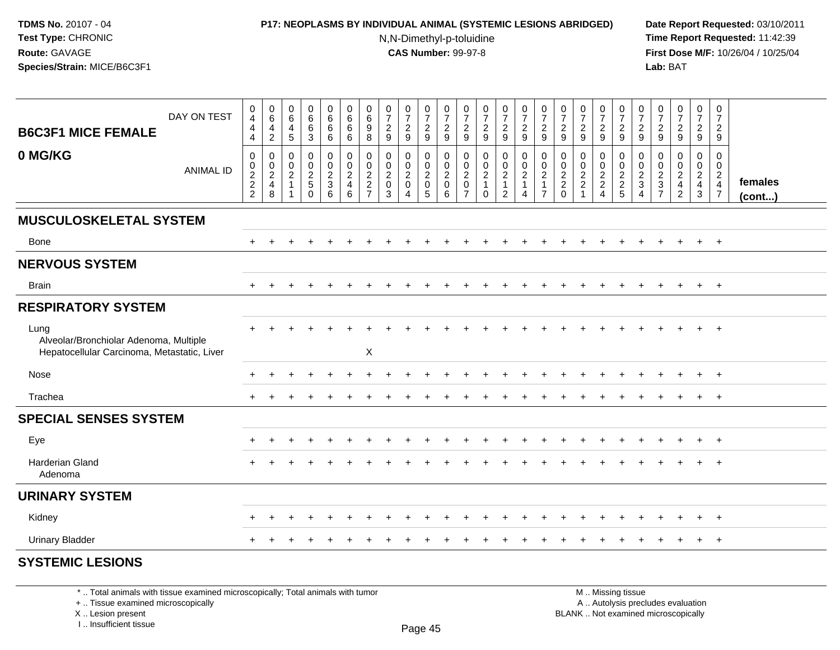### **P17: NEOPLASMS BY INDIVIDUAL ANIMAL (SYSTEMIC LESIONS ABRIDGED) Date Report Requested:** 03/10/2011

N,N-Dimethyl-p-toluidine

 **Time Report Requested:** 11:42:39 **First Dose M/F:** 10/26/04 / 10/25/04 Lab: BAT **Lab:** BAT

| DAY ON TEST<br><b>B6C3F1 MICE FEMALE</b>                                                      | $\pmb{0}$<br>$\overline{4}$<br>$\overline{4}$<br>$\overline{4}$ | $\begin{array}{c} 0 \\ 6 \end{array}$<br>$\frac{4}{2}$              | $\begin{array}{c} 0 \\ 6 \end{array}$<br>$\overline{4}$<br>$\overline{5}$            | $\begin{array}{c} 0 \\ 6 \end{array}$<br>$\,6\,$<br>3 | $_{6}^{\rm 0}$<br>6<br>6                                       | $\begin{array}{c} 0 \\ 6 \end{array}$<br>$\,6\,$<br>6        | $\pmb{0}$<br>$\,6\,$<br>$_{8}^9$                | $\frac{0}{7}$<br>$\frac{2}{9}$                                                               | $\frac{0}{7}$<br>$\frac{2}{9}$                                                   | $\frac{0}{7}$<br>$\frac{2}{9}$                                                   | $\frac{0}{7}$<br>$\frac{2}{9}$             | $\frac{0}{7}$<br>$\frac{2}{9}$                                                             | $\frac{0}{7}$<br>$\frac{2}{9}$                                              | $\frac{0}{7}$<br>$\frac{2}{9}$                         | $\frac{0}{7}$<br>$\frac{2}{9}$                               | $\begin{smallmatrix}0\\7\end{smallmatrix}$<br>$\frac{2}{9}$          | $\frac{0}{7}$<br>$\frac{2}{9}$                                                  | $\frac{0}{7}$<br>$\frac{2}{9}$                                   | $\frac{0}{7}$<br>$\frac{2}{9}$ | $\frac{0}{7}$<br>$\frac{2}{9}$                                     | $\frac{0}{7}$<br>$\frac{2}{9}$                  | $\frac{0}{7}$<br>$\frac{2}{9}$                         | $\frac{0}{7}$<br>$\frac{2}{9}$                         | $\frac{0}{7}$<br>$\frac{2}{9}$       | $\frac{0}{7}$<br>$\frac{2}{9}$                                                   |                   |
|-----------------------------------------------------------------------------------------------|-----------------------------------------------------------------|---------------------------------------------------------------------|--------------------------------------------------------------------------------------|-------------------------------------------------------|----------------------------------------------------------------|--------------------------------------------------------------|-------------------------------------------------|----------------------------------------------------------------------------------------------|----------------------------------------------------------------------------------|----------------------------------------------------------------------------------|--------------------------------------------|--------------------------------------------------------------------------------------------|-----------------------------------------------------------------------------|--------------------------------------------------------|--------------------------------------------------------------|----------------------------------------------------------------------|---------------------------------------------------------------------------------|------------------------------------------------------------------|--------------------------------|--------------------------------------------------------------------|-------------------------------------------------|--------------------------------------------------------|--------------------------------------------------------|--------------------------------------|----------------------------------------------------------------------------------|-------------------|
| 0 MG/KG<br><b>ANIMAL ID</b>                                                                   | 0<br>$\frac{0}{2}$<br>2<br>2                                    | $\boldsymbol{0}$<br>$\begin{array}{c} 0 \\ 2 \\ 4 \end{array}$<br>8 | 0<br>$\begin{smallmatrix} 0\\ 2 \end{smallmatrix}$<br>$\mathbf{1}$<br>$\overline{ }$ | 0<br>$_2^0$<br>$\overline{5}$<br>$\Omega$             | $\begin{array}{c} 0 \\ 0 \\ 2 \\ 3 \end{array}$<br>$6^{\circ}$ | $\mathbf 0$<br>$\frac{0}{2}$<br>$\overline{\mathbf{4}}$<br>6 | 0<br>$_2^0$<br>$\overline{2}$<br>$\overline{7}$ | $\mathbf 0$<br>$\begin{smallmatrix} 0\\2 \end{smallmatrix}$<br>$\mathsf 0$<br>$\overline{3}$ | 0<br>$\begin{smallmatrix} 0\\2 \end{smallmatrix}$<br>$\pmb{0}$<br>$\overline{4}$ | $\mathbf 0$<br>$\mathop{2}\limits^{\mathbb{O}}$<br>$\mathbf 0$<br>$\overline{5}$ | 0<br>$_2^0$<br>$\pmb{0}$<br>$6\phantom{a}$ | 0<br>$\begin{smallmatrix} 0\\2 \end{smallmatrix}$<br>$\mathsf{O}\xspace$<br>$\overline{7}$ | $\begin{smallmatrix} 0\\0\\2 \end{smallmatrix}$<br>$\mathbf{1}$<br>$\Omega$ | 0<br>$\frac{0}{2}$<br>$\overline{1}$<br>$\overline{2}$ | $\pmb{0}$<br>$\frac{0}{2}$<br>$\mathbf{1}$<br>$\overline{4}$ | 0<br>$\pmb{0}$<br>$\boldsymbol{2}$<br>$\mathbf{1}$<br>$\overline{7}$ | 0<br>$\begin{smallmatrix} 0\\2 \end{smallmatrix}$<br>$\overline{c}$<br>$\Omega$ | 0<br>$\begin{smallmatrix} 0\\2 \end{smallmatrix}$<br>$\mathbf 2$ | 0<br>$\frac{0}{2}$<br>4        | 0<br>$\begin{smallmatrix} 0\\2 \end{smallmatrix}$<br>$\frac{2}{5}$ | 0<br>$\pmb{0}$<br>$\sqrt{2}$<br>$\sqrt{3}$<br>4 | 0<br>$\begin{array}{c}\n0 \\ 2 \\ 3 \\ 7\n\end{array}$ | 0<br>$\frac{0}{2}$<br>$\overline{4}$<br>$\overline{2}$ | 0<br>$\frac{0}{2}$<br>$\overline{3}$ | $\mathbf 0$<br>$\pmb{0}$<br>$\boldsymbol{2}$<br>$\overline{4}$<br>$\overline{7}$ | females<br>(cont) |
| <b>MUSCULOSKELETAL SYSTEM</b>                                                                 |                                                                 |                                                                     |                                                                                      |                                                       |                                                                |                                                              |                                                 |                                                                                              |                                                                                  |                                                                                  |                                            |                                                                                            |                                                                             |                                                        |                                                              |                                                                      |                                                                                 |                                                                  |                                |                                                                    |                                                 |                                                        |                                                        |                                      |                                                                                  |                   |
| Bone                                                                                          | $+$                                                             |                                                                     |                                                                                      |                                                       |                                                                |                                                              |                                                 |                                                                                              |                                                                                  |                                                                                  |                                            |                                                                                            |                                                                             |                                                        |                                                              |                                                                      |                                                                                 |                                                                  |                                |                                                                    |                                                 |                                                        | $\ddot{}$                                              | $+$                                  | $+$                                                                              |                   |
| <b>NERVOUS SYSTEM</b>                                                                         |                                                                 |                                                                     |                                                                                      |                                                       |                                                                |                                                              |                                                 |                                                                                              |                                                                                  |                                                                                  |                                            |                                                                                            |                                                                             |                                                        |                                                              |                                                                      |                                                                                 |                                                                  |                                |                                                                    |                                                 |                                                        |                                                        |                                      |                                                                                  |                   |
| <b>Brain</b>                                                                                  | $\pm$                                                           |                                                                     |                                                                                      |                                                       |                                                                |                                                              |                                                 |                                                                                              |                                                                                  |                                                                                  |                                            |                                                                                            |                                                                             |                                                        |                                                              |                                                                      |                                                                                 |                                                                  |                                |                                                                    |                                                 |                                                        | $\div$                                                 | $+$                                  | $+$                                                                              |                   |
| <b>RESPIRATORY SYSTEM</b>                                                                     |                                                                 |                                                                     |                                                                                      |                                                       |                                                                |                                                              |                                                 |                                                                                              |                                                                                  |                                                                                  |                                            |                                                                                            |                                                                             |                                                        |                                                              |                                                                      |                                                                                 |                                                                  |                                |                                                                    |                                                 |                                                        |                                                        |                                      |                                                                                  |                   |
| Lung<br>Alveolar/Bronchiolar Adenoma, Multiple<br>Hepatocellular Carcinoma, Metastatic, Liver |                                                                 |                                                                     |                                                                                      |                                                       |                                                                |                                                              | X                                               |                                                                                              |                                                                                  |                                                                                  |                                            |                                                                                            |                                                                             |                                                        |                                                              |                                                                      |                                                                                 |                                                                  |                                |                                                                    |                                                 |                                                        |                                                        | $\div$                               | $\pm$                                                                            |                   |
| Nose                                                                                          | +                                                               |                                                                     |                                                                                      |                                                       |                                                                |                                                              |                                                 |                                                                                              |                                                                                  |                                                                                  |                                            |                                                                                            |                                                                             |                                                        |                                                              |                                                                      |                                                                                 |                                                                  |                                |                                                                    |                                                 |                                                        |                                                        | $\pm$                                | $+$                                                                              |                   |
| Trachea                                                                                       |                                                                 |                                                                     |                                                                                      |                                                       |                                                                |                                                              |                                                 |                                                                                              |                                                                                  |                                                                                  |                                            |                                                                                            |                                                                             |                                                        |                                                              |                                                                      |                                                                                 |                                                                  |                                |                                                                    |                                                 |                                                        |                                                        | $+$                                  | $+$                                                                              |                   |
| <b>SPECIAL SENSES SYSTEM</b>                                                                  |                                                                 |                                                                     |                                                                                      |                                                       |                                                                |                                                              |                                                 |                                                                                              |                                                                                  |                                                                                  |                                            |                                                                                            |                                                                             |                                                        |                                                              |                                                                      |                                                                                 |                                                                  |                                |                                                                    |                                                 |                                                        |                                                        |                                      |                                                                                  |                   |
| Eye                                                                                           |                                                                 |                                                                     |                                                                                      |                                                       |                                                                |                                                              |                                                 |                                                                                              |                                                                                  |                                                                                  |                                            |                                                                                            |                                                                             |                                                        |                                                              |                                                                      |                                                                                 |                                                                  |                                |                                                                    |                                                 |                                                        |                                                        |                                      | $^{+}$                                                                           |                   |
| <b>Harderian Gland</b><br>Adenoma                                                             |                                                                 |                                                                     |                                                                                      |                                                       |                                                                |                                                              |                                                 |                                                                                              |                                                                                  |                                                                                  |                                            |                                                                                            |                                                                             |                                                        |                                                              |                                                                      |                                                                                 |                                                                  |                                |                                                                    |                                                 |                                                        |                                                        |                                      | $\overline{+}$                                                                   |                   |
| <b>URINARY SYSTEM</b>                                                                         |                                                                 |                                                                     |                                                                                      |                                                       |                                                                |                                                              |                                                 |                                                                                              |                                                                                  |                                                                                  |                                            |                                                                                            |                                                                             |                                                        |                                                              |                                                                      |                                                                                 |                                                                  |                                |                                                                    |                                                 |                                                        |                                                        |                                      |                                                                                  |                   |
| Kidney                                                                                        |                                                                 |                                                                     |                                                                                      |                                                       |                                                                |                                                              |                                                 |                                                                                              |                                                                                  |                                                                                  |                                            |                                                                                            |                                                                             |                                                        |                                                              |                                                                      |                                                                                 |                                                                  |                                |                                                                    |                                                 |                                                        |                                                        | $\pm$                                | $+$                                                                              |                   |
| <b>Urinary Bladder</b>                                                                        | ÷                                                               |                                                                     |                                                                                      |                                                       |                                                                |                                                              |                                                 |                                                                                              |                                                                                  |                                                                                  |                                            |                                                                                            |                                                                             |                                                        |                                                              |                                                                      |                                                                                 |                                                                  |                                |                                                                    |                                                 |                                                        | $\pm$                                                  | $\pm$                                | $+$                                                                              |                   |

# **SYSTEMIC LESIONS**

\* .. Total animals with tissue examined microscopically; Total animals with tumor

+ .. Tissue examined microscopically

X .. Lesion present

I .. Insufficient tissue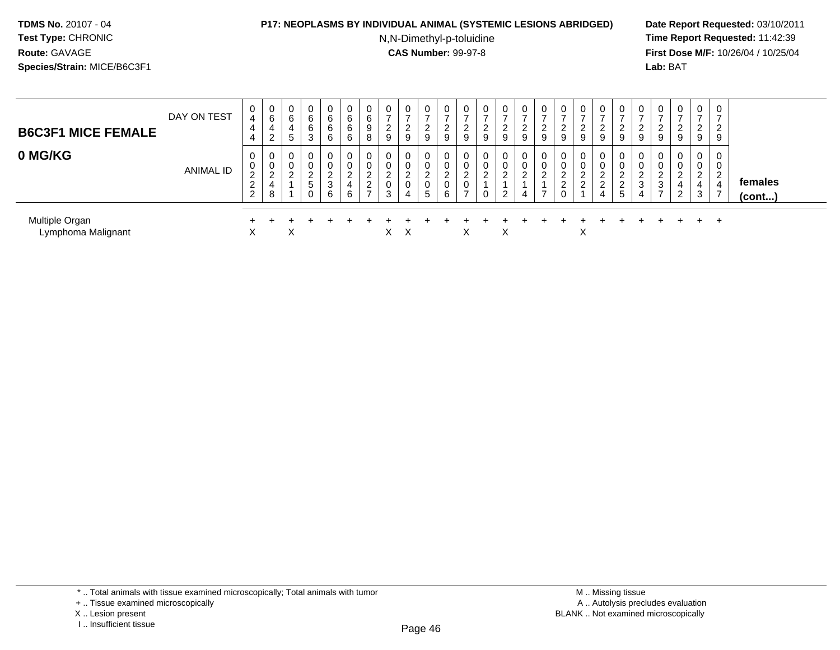#### **P17: NEOPLASMS BY INDIVIDUAL ANIMAL (SYSTEMIC LESIONS ABRIDGED) Date Report Requested:** 03/10/2011

N,N-Dimethyl-p-toluidine

| <b>B6C3F1 MICE FEMALE</b>            | DAY ON TEST | 0<br>$\overline{4}$<br>4<br>4                                      | 0<br>$\,6$<br>4<br>2              | 0<br>6<br>4<br><sub>5</sub> | 6<br>6<br>ۍ                               | 6<br>6<br>$\sim$<br>6 | U<br>6<br>6<br>6      | 0<br>6<br>9<br>8                                            | 0<br>$\overline{ }$<br>2<br>9 | 0<br>$\rightarrow$<br><sup>o</sup><br><u>L</u><br>9 |   | 0<br>ົ<br>∠<br>9      | ⌒<br><u>L</u><br>9 | 0<br>$\overline{ }$<br>$\overline{c}$<br>$\overline{9}$ | 0<br>$\rightarrow$<br>2<br>9 | 2<br>9             | 0<br>-<br>◠<br>∠<br>9             | 9                | 0<br>9                           | 0<br>ົ<br>∼<br>9                       | 0<br>າ<br>9                       | 9 | ے<br>9                                  | 0<br>◠<br>∠<br>9                             | $\overline{0}$<br>$\overline{ }$<br>2<br>9      | 0<br>$\overline{ }$<br>2<br>9                              |                         |  |
|--------------------------------------|-------------|--------------------------------------------------------------------|-----------------------------------|-----------------------------|-------------------------------------------|-----------------------|-----------------------|-------------------------------------------------------------|-------------------------------|-----------------------------------------------------|---|-----------------------|--------------------|---------------------------------------------------------|------------------------------|--------------------|-----------------------------------|------------------|----------------------------------|----------------------------------------|-----------------------------------|---|-----------------------------------------|----------------------------------------------|-------------------------------------------------|------------------------------------------------------------|-------------------------|--|
| 0 MG/KG                              | ANIMAL ID   | 0<br>0<br>$\sim$<br>$\epsilon$<br>ົ<br>$\epsilon$<br>$\mathcal{D}$ | 0<br>0<br>റ<br><u>_</u><br>4<br>8 | 0<br>0<br>ົ                 | $\Omega$<br>∼<br>$\overline{a}$<br>5<br>C | 0<br>$\sim$<br>3<br>6 | 0<br>0<br>_<br>4<br>6 | 0<br>0<br>ົ<br><u>.</u><br>$\overline{2}$<br>$\overline{ }$ | 0<br>0<br>ົ<br>0<br>3         | 0<br>$\sim$<br>$\sim$<br>U<br>4                     | 5 | 0<br>0<br>ົ<br>0<br>6 | U<br>$\rightarrow$ | 0<br>0<br>ົ<br>0                                        | 0<br>0<br>ົ<br>2             | $\Omega$<br>ے<br>4 | 0<br>0<br>$\sim$<br>$\rightarrow$ | U<br>$\sim$<br>▵ | 0<br>0<br>$\sqrt{2}$<br>$\Omega$ | 0<br>U<br>ົ<br><u>.</u><br>ົ<br>∠<br>4 | 0<br>0<br>ົ<br>$\mathcal{P}$<br>5 | 4 | 0<br>0<br>$\sim$<br>3<br>$\overline{7}$ | 0<br>0<br>ົ<br>∸<br>$^{4}$<br>$\overline{2}$ | 0<br>0<br>$\mathcal{P}$<br>$\epsilon$<br>4<br>3 | 0<br>$\mathbf{0}$<br>2<br>$\overline{4}$<br>$\overline{7}$ | females<br>$($ cont $)$ |  |
| Multiple Organ<br>Lymphoma Malignant |             | $\sim$                                                             |                                   | X                           |                                           |                       |                       |                                                             | X.                            | X                                                   |   |                       | X                  |                                                         | X                            |                    |                                   |                  | X                                |                                        |                                   |   |                                         |                                              | $+$                                             | $+$                                                        |                         |  |

<sup>+ ..</sup> Tissue examined microscopically

X .. Lesion present

I .. Insufficient tissue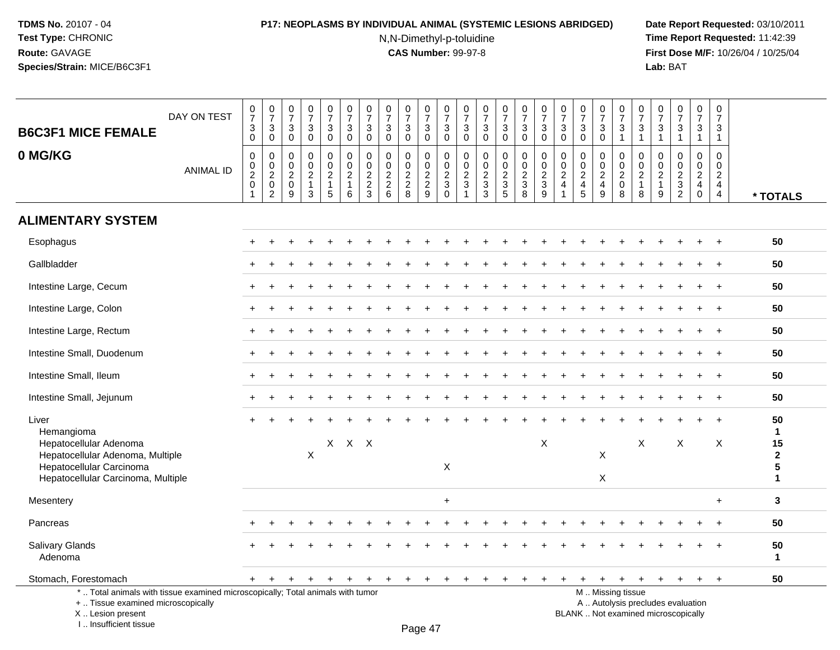# **P17: NEOPLASMS BY INDIVIDUAL ANIMAL (SYSTEMIC LESIONS ABRIDGED) Date Report Requested:** 03/10/2011

N,N-Dimethyl-p-toluidine

| <b>B6C3F1 MICE FEMALE</b>                                                                                                                                           | DAY ON TEST      | $\frac{0}{7}$<br>3<br>0                                 | $\frac{0}{7}$<br>$\mathsf 3$<br>$\mathbf 0$               | $\begin{smallmatrix}0\\7\end{smallmatrix}$<br>$\sqrt{3}$<br>$\mathbf 0$ | $\begin{smallmatrix}0\\7\end{smallmatrix}$<br>$\sqrt{3}$<br>$\mathbf 0$    | $\frac{0}{7}$<br>3<br>$\mathbf 0$                                    | $\frac{0}{7}$<br>$\mathbf{3}$<br>$\mathbf 0$          | $\begin{array}{c} 0 \\ 7 \end{array}$<br>$\mathfrak{S}$<br>$\mathbf 0$         | $\pmb{0}$<br>$\overline{7}$<br>$\mathbf{3}$<br>0                             | $\begin{array}{c} 0 \\ 7 \end{array}$<br>$\mathbf{3}$<br>$\mathbf 0$ | $\begin{smallmatrix}0\\7\end{smallmatrix}$<br>$\sqrt{3}$<br>0 | $\frac{0}{7}$<br>$\mathbf{3}$<br>$\mathbf 0$                                        | 0<br>$\overline{7}$<br>$\mathbf{3}$<br>$\mathbf 0$             | 0<br>$\overline{7}$<br>$\mathbf{3}$<br>$\mathbf 0$  | $\frac{0}{7}$<br>$\mathfrak{Z}$<br>0                          | $\begin{array}{c} 0 \\ 7 \end{array}$<br>$\ensuremath{\mathsf{3}}$<br>$\mathbf 0$ | $\begin{array}{c} 0 \\ 7 \end{array}$<br>$\sqrt{3}$<br>$\mathbf 0$           | $\frac{0}{7}$<br>3<br>$\mathbf{0}$                   | $\begin{array}{c} 0 \\ 7 \end{array}$<br>$\mathfrak{Z}$<br>$\mathbf 0$ | $\frac{0}{7}$<br>$\mathbf{3}$<br>$\mathbf 0$                                | $\begin{array}{c} 0 \\ 7 \end{array}$<br>$\mathbf{3}$<br>$\mathbf{1}$ | $\frac{0}{7}$<br>$\sqrt{3}$<br>$\overline{1}$                             | $\pmb{0}$<br>$\overline{7}$<br>$\sqrt{3}$<br>$\mathbf{1}$      | $\begin{array}{c} 0 \\ 7 \end{array}$<br>3<br>$\mathbf{1}$    | $\frac{0}{7}$<br>3<br>$\mathbf{1}$                                                    | $\pmb{0}$<br>$\overline{7}$<br>3<br>$\mathbf{1}$                       |                              |
|---------------------------------------------------------------------------------------------------------------------------------------------------------------------|------------------|---------------------------------------------------------|-----------------------------------------------------------|-------------------------------------------------------------------------|----------------------------------------------------------------------------|----------------------------------------------------------------------|-------------------------------------------------------|--------------------------------------------------------------------------------|------------------------------------------------------------------------------|----------------------------------------------------------------------|---------------------------------------------------------------|-------------------------------------------------------------------------------------|----------------------------------------------------------------|-----------------------------------------------------|---------------------------------------------------------------|-----------------------------------------------------------------------------------|------------------------------------------------------------------------------|------------------------------------------------------|------------------------------------------------------------------------|-----------------------------------------------------------------------------|-----------------------------------------------------------------------|---------------------------------------------------------------------------|----------------------------------------------------------------|---------------------------------------------------------------|---------------------------------------------------------------------------------------|------------------------------------------------------------------------|------------------------------|
| 0 MG/KG                                                                                                                                                             | <b>ANIMAL ID</b> | 0<br>$\mathbf 0$<br>$\overline{2}$<br>$\mathbf 0$<br>-1 | $\pmb{0}$<br>$\frac{0}{2}$<br>$\pmb{0}$<br>$\overline{c}$ | $\mathbf 0$<br>$\mathbf 0$<br>$\sqrt{2}$<br>$\mathsf 0$<br>9            | $\mathbf 0$<br>$\pmb{0}$<br>$\overline{2}$<br>$\mathbf{1}$<br>$\mathbf{3}$ | 0<br>$\mathbf 0$<br>$\overline{2}$<br>$\mathbf{1}$<br>$\overline{5}$ | 0<br>$\pmb{0}$<br>$\overline{2}$<br>$\mathbf{1}$<br>6 | 0<br>$\mathsf{O}\xspace$<br>$\overline{2}$<br>$\overline{2}$<br>$\overline{3}$ | $\mathbf 0$<br>$\mathbf 0$<br>$\sqrt{2}$<br>$\overline{2}$<br>$6\phantom{a}$ | $\mathbf 0$<br>$\mathbf 0$<br>$\frac{2}{2}$<br>8                     | 0<br>$\mathbf 0$<br>$\overline{2}$<br>$\overline{2}$<br>9     | $\mathbf 0$<br>$\mathsf{O}\xspace$<br>$\overline{2}$<br>$\mathbf{3}$<br>$\mathbf 0$ | $\mathbf 0$<br>$\mathsf{O}\xspace$<br>$\overline{2}$<br>3<br>1 | 0<br>$\mathbf 0$<br>$\frac{2}{3}$<br>$\overline{3}$ | $\mathbf 0$<br>$\mathbf 0$<br>$\frac{2}{3}$<br>$\overline{5}$ | 0<br>$\pmb{0}$<br>$\overline{2}$<br>$\mathbf{3}$<br>$\overline{8}$                | $\mathbf 0$<br>$\mathbf 0$<br>$\overline{2}$<br>$\sqrt{3}$<br>$\overline{9}$ | 0<br>$\mathbf 0$<br>$\overline{c}$<br>$\overline{4}$ | $\mathbf 0$<br>$\mathbf 0$<br>$\overline{2}$<br>$\overline{4}$<br>5    | $\mathbf 0$<br>$\mathsf{O}\xspace$<br>$\overline{2}$<br>$\overline{4}$<br>9 | $\mathbf 0$<br>$\mathbf 0$<br>$\overline{2}$<br>$\mathbf 0$<br>8      | $\mathbf 0$<br>$\mathsf{O}\xspace$<br>$\overline{2}$<br>$\mathbf{1}$<br>8 | $\Omega$<br>$\mathbf 0$<br>$\overline{c}$<br>$\mathbf{1}$<br>9 | $\mathbf 0$<br>$\mathbf 0$<br>$\frac{2}{3}$<br>$\overline{2}$ | $\mathbf 0$<br>$\mathbf 0$<br>$\overline{2}$<br>$\overline{4}$<br>$\mathsf{O}\xspace$ | 0<br>$\mathbf 0$<br>$\overline{2}$<br>$\overline{4}$<br>$\overline{4}$ | * TOTALS                     |
| <b>ALIMENTARY SYSTEM</b>                                                                                                                                            |                  |                                                         |                                                           |                                                                         |                                                                            |                                                                      |                                                       |                                                                                |                                                                              |                                                                      |                                                               |                                                                                     |                                                                |                                                     |                                                               |                                                                                   |                                                                              |                                                      |                                                                        |                                                                             |                                                                       |                                                                           |                                                                |                                                               |                                                                                       |                                                                        |                              |
| Esophagus                                                                                                                                                           |                  |                                                         |                                                           |                                                                         |                                                                            |                                                                      |                                                       |                                                                                |                                                                              |                                                                      |                                                               |                                                                                     |                                                                |                                                     |                                                               |                                                                                   |                                                                              |                                                      |                                                                        |                                                                             |                                                                       |                                                                           |                                                                |                                                               |                                                                                       | $\overline{+}$                                                         | 50                           |
| Gallbladder                                                                                                                                                         |                  |                                                         |                                                           |                                                                         |                                                                            |                                                                      |                                                       |                                                                                |                                                                              |                                                                      |                                                               |                                                                                     |                                                                |                                                     |                                                               |                                                                                   |                                                                              |                                                      |                                                                        |                                                                             |                                                                       |                                                                           |                                                                |                                                               |                                                                                       | $\ddot{}$                                                              | 50                           |
| Intestine Large, Cecum                                                                                                                                              |                  |                                                         |                                                           |                                                                         |                                                                            |                                                                      |                                                       |                                                                                |                                                                              |                                                                      |                                                               |                                                                                     |                                                                |                                                     |                                                               |                                                                                   |                                                                              |                                                      |                                                                        |                                                                             |                                                                       |                                                                           |                                                                |                                                               | $\ddot{}$                                                                             | $\ddot{}$                                                              | 50                           |
| Intestine Large, Colon                                                                                                                                              |                  |                                                         |                                                           |                                                                         |                                                                            |                                                                      |                                                       |                                                                                |                                                                              |                                                                      |                                                               |                                                                                     |                                                                |                                                     |                                                               |                                                                                   |                                                                              |                                                      |                                                                        |                                                                             |                                                                       |                                                                           |                                                                |                                                               |                                                                                       | $\ddot{}$                                                              | 50                           |
| Intestine Large, Rectum                                                                                                                                             |                  |                                                         |                                                           |                                                                         |                                                                            |                                                                      |                                                       |                                                                                |                                                                              |                                                                      |                                                               |                                                                                     |                                                                |                                                     |                                                               |                                                                                   |                                                                              |                                                      |                                                                        |                                                                             |                                                                       |                                                                           |                                                                |                                                               |                                                                                       | $\ddot{}$                                                              | 50                           |
| Intestine Small, Duodenum                                                                                                                                           |                  |                                                         |                                                           |                                                                         |                                                                            |                                                                      |                                                       |                                                                                |                                                                              |                                                                      |                                                               |                                                                                     |                                                                |                                                     |                                                               |                                                                                   |                                                                              |                                                      |                                                                        |                                                                             |                                                                       |                                                                           |                                                                |                                                               |                                                                                       | $\ddot{}$                                                              | 50                           |
| Intestine Small, Ileum                                                                                                                                              |                  |                                                         |                                                           |                                                                         |                                                                            |                                                                      |                                                       |                                                                                |                                                                              |                                                                      |                                                               |                                                                                     |                                                                |                                                     |                                                               |                                                                                   |                                                                              |                                                      |                                                                        |                                                                             |                                                                       |                                                                           |                                                                |                                                               |                                                                                       |                                                                        | 50                           |
| Intestine Small, Jejunum                                                                                                                                            |                  |                                                         |                                                           |                                                                         |                                                                            |                                                                      |                                                       |                                                                                |                                                                              |                                                                      |                                                               |                                                                                     |                                                                |                                                     |                                                               |                                                                                   |                                                                              |                                                      |                                                                        |                                                                             |                                                                       |                                                                           |                                                                |                                                               |                                                                                       |                                                                        | 50                           |
| Liver<br>Hemangioma                                                                                                                                                 |                  |                                                         |                                                           |                                                                         |                                                                            |                                                                      |                                                       |                                                                                |                                                                              |                                                                      |                                                               |                                                                                     |                                                                |                                                     |                                                               |                                                                                   |                                                                              |                                                      |                                                                        |                                                                             |                                                                       |                                                                           |                                                                |                                                               |                                                                                       |                                                                        | 50<br>1                      |
| Hepatocellular Adenoma<br>Hepatocellular Adenoma, Multiple<br>Hepatocellular Carcinoma<br>Hepatocellular Carcinoma, Multiple                                        |                  |                                                         |                                                           |                                                                         | $\mathsf X$                                                                |                                                                      | $X$ $X$ $X$                                           |                                                                                |                                                                              |                                                                      |                                                               | $\pmb{\times}$                                                                      |                                                                |                                                     |                                                               |                                                                                   | X                                                                            |                                                      |                                                                        | X<br>X                                                                      |                                                                       | X                                                                         |                                                                | X                                                             |                                                                                       | X                                                                      | 15<br>$\mathbf{2}$<br>5<br>1 |
| Mesentery                                                                                                                                                           |                  |                                                         |                                                           |                                                                         |                                                                            |                                                                      |                                                       |                                                                                |                                                                              |                                                                      |                                                               | +                                                                                   |                                                                |                                                     |                                                               |                                                                                   |                                                                              |                                                      |                                                                        |                                                                             |                                                                       |                                                                           |                                                                |                                                               |                                                                                       | $+$                                                                    | 3                            |
| Pancreas                                                                                                                                                            |                  |                                                         |                                                           |                                                                         |                                                                            |                                                                      |                                                       |                                                                                |                                                                              |                                                                      |                                                               |                                                                                     |                                                                |                                                     |                                                               |                                                                                   |                                                                              |                                                      |                                                                        |                                                                             |                                                                       |                                                                           |                                                                |                                                               |                                                                                       |                                                                        | 50                           |
| Salivary Glands<br>Adenoma                                                                                                                                          |                  |                                                         |                                                           |                                                                         |                                                                            |                                                                      |                                                       |                                                                                |                                                                              |                                                                      |                                                               |                                                                                     |                                                                |                                                     |                                                               |                                                                                   |                                                                              |                                                      |                                                                        |                                                                             |                                                                       |                                                                           |                                                                |                                                               |                                                                                       |                                                                        | 50<br>$\mathbf{1}$           |
| Stomach, Forestomach                                                                                                                                                |                  | $+$                                                     | $\ddot{}$                                                 | $\ddot{}$                                                               |                                                                            | $\ddot{}$                                                            | $\ddot{}$                                             | $\ddot{}$                                                                      | $+$                                                                          | $\ddot{}$                                                            | $\overline{+}$                                                |                                                                                     |                                                                |                                                     |                                                               |                                                                                   |                                                                              |                                                      |                                                                        | $\ddot{}$                                                                   | $\ddot{}$                                                             | $+$                                                                       | $+$                                                            | $+$                                                           | $\ddot{}$                                                                             | $+$                                                                    | 50                           |
| *  Total animals with tissue examined microscopically; Total animals with tumor<br>+  Tissue examined microscopically<br>X  Lesion present<br>I Insufficient tissue |                  |                                                         |                                                           |                                                                         |                                                                            |                                                                      |                                                       |                                                                                |                                                                              |                                                                      | $P$ <sub>200</sub> $A$ 7                                      |                                                                                     |                                                                |                                                     |                                                               |                                                                                   |                                                                              |                                                      | BLANK  Not examined microscopically                                    |                                                                             | M  Missing tissue                                                     |                                                                           |                                                                | A  Autolysis precludes evaluation                             |                                                                                       |                                                                        |                              |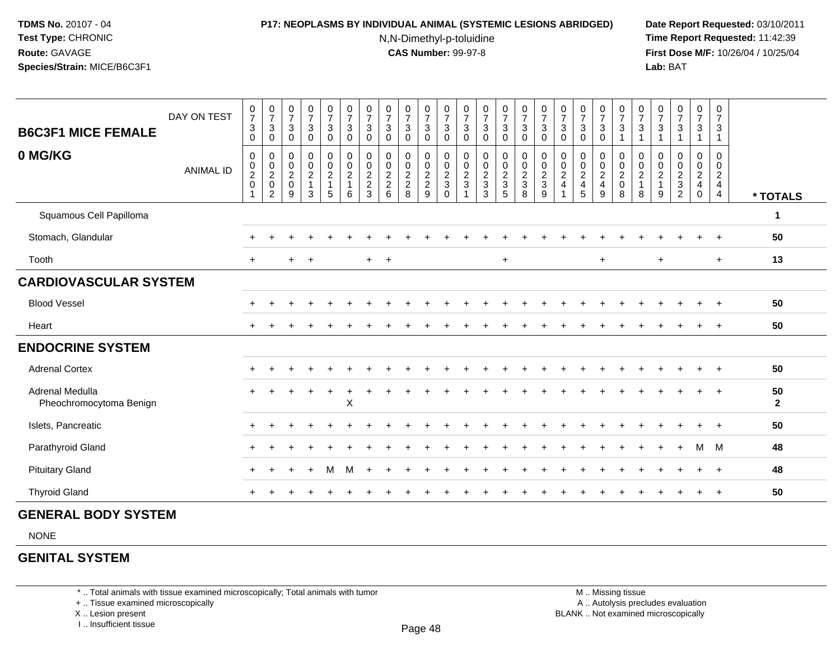#### **P17: NEOPLASMS BY INDIVIDUAL ANIMAL (SYSTEMIC LESIONS ABRIDGED) Date Report Requested:** 03/10/2011

N,N-Dimethyl-p-toluidine

 **Time Report Requested:** 11:42:39 **First Dose M/F:** 10/26/04 / 10/25/04 Lab: BAT **Lab:** BAT

| <b>B6C3F1 MICE FEMALE</b>                  | DAY ON TEST      | $\frac{0}{7}$<br>$\sqrt{3}$<br>$\mathbf{0}$ | $\frac{0}{7}$<br>$\sqrt{3}$<br>$\mathbf 0$ | $\frac{0}{7}$<br>$\sqrt{3}$<br>$\mathbf 0$ | $\frac{0}{7}$<br>$\mathbf{3}$<br>$\mathbf 0$ | $\frac{0}{7}$<br>$\sqrt{3}$<br>$\mathbf 0$ | $\frac{0}{7}$<br>$\ensuremath{\mathsf{3}}$<br>$\mathbf 0$ | $\frac{0}{7}$<br>$\ensuremath{\mathsf{3}}$<br>$\mathbf 0$    | $\begin{array}{c} 0 \\ 7 \end{array}$<br>$\sqrt{3}$<br>$\mathbf 0$ | $\frac{0}{7}$<br>$\mathbf{3}$<br>$\mathbf 0$ | $\begin{array}{c} 0 \\ 7 \\ 3 \end{array}$<br>$\mathbf 0$ | $\frac{0}{7}$<br>$\ensuremath{\mathsf{3}}$<br>$\mathbf 0$ | $\frac{0}{7}$<br>$\mathsf 3$<br>$\mathbf 0$ | $\frac{0}{7}$<br>$\mathbf{3}$<br>$\mathbf 0$ | $\begin{smallmatrix}0\\7\end{smallmatrix}$<br>$\ensuremath{\mathsf{3}}$<br>$\mathbf 0$ | $\frac{0}{7}$<br>$\ensuremath{\mathsf{3}}$<br>$\mathbf 0$ | $\begin{array}{c} 0 \\ 7 \end{array}$<br>$\ensuremath{\mathsf{3}}$<br>$\mathbf 0$ | $\frac{0}{7}$<br>$\sqrt{3}$<br>$\mathbf 0$ | $\begin{array}{c} 0 \\ 7 \end{array}$<br>$\sqrt{3}$<br>$\mathbf 0$ | $\frac{0}{7}$<br>$\ensuremath{\mathsf{3}}$<br>$\mathbf 0$ | $\frac{0}{7}$<br>$\ensuremath{\mathsf{3}}$<br>$\overline{1}$ | $\frac{0}{7}$<br>$\sqrt{3}$<br>$\mathbf{1}$ | $\frac{0}{7}$<br>$\ensuremath{\mathsf{3}}$<br>$\overline{1}$ | $\frac{0}{7}$<br>$\ensuremath{\mathsf{3}}$                   | $\frac{0}{7}$<br>$\ensuremath{\mathsf{3}}$<br>$\overline{\mathbf{1}}$ | $\frac{0}{7}$<br>$\sqrt{3}$<br>$\overline{1}$                                    |                      |
|--------------------------------------------|------------------|---------------------------------------------|--------------------------------------------|--------------------------------------------|----------------------------------------------|--------------------------------------------|-----------------------------------------------------------|--------------------------------------------------------------|--------------------------------------------------------------------|----------------------------------------------|-----------------------------------------------------------|-----------------------------------------------------------|---------------------------------------------|----------------------------------------------|----------------------------------------------------------------------------------------|-----------------------------------------------------------|-----------------------------------------------------------------------------------|--------------------------------------------|--------------------------------------------------------------------|-----------------------------------------------------------|--------------------------------------------------------------|---------------------------------------------|--------------------------------------------------------------|--------------------------------------------------------------|-----------------------------------------------------------------------|----------------------------------------------------------------------------------|----------------------|
| 0 MG/KG                                    | <b>ANIMAL ID</b> | $\mathbf 0$<br>$\frac{0}{2}$                | $\pmb{0}$<br>$\frac{0}{2}$<br>$\sqrt{2}$   | $\pmb{0}$<br>$\frac{0}{2}$<br>9            | $\mathbf 0$<br>$\frac{0}{2}$<br>3            | 0<br>$\frac{0}{2}$<br>1<br>$\sqrt{5}$      | $\pmb{0}$<br>$\frac{0}{2}$<br>6                           | $\pmb{0}$<br>$\begin{array}{c} 0 \\ 2 \\ 2 \\ 3 \end{array}$ | $\pmb{0}$<br>$\frac{0}{2}$<br>6                                    | 0<br>$\frac{0}{2}$<br>8                      | $\pmb{0}$<br>$\frac{0}{2}$<br>9                           | $\pmb{0}$<br>$\frac{0}{2}$<br>$\mathbf 0$                 | 0<br>$\frac{0}{2}$                          | $\pmb{0}$<br>$\frac{0}{2}$<br>$\mathbf{3}$   | $\pmb{0}$<br>$\frac{0}{2}$<br>$\overline{5}$                                           | $\pmb{0}$<br>$\frac{0}{2}$<br>8                           | $\pmb{0}$<br>$\frac{0}{2}$<br>9                                                   | 0<br>$_{2}^{\rm 0}$<br>$\overline{4}$      | $\pmb{0}$<br>$\frac{0}{2}$<br>5                                    | 0<br>$\frac{0}{2}$<br>$9\,$                               | $\mathbf 0$<br>$\frac{0}{2}$<br>8                            | 0<br>$\frac{0}{2}$<br>1<br>8                | 0<br>$\frac{0}{2}$<br>9                                      | $\pmb{0}$<br>$\begin{array}{c} 0 \\ 2 \\ 3 \\ 2 \end{array}$ | 0<br>$\frac{0}{2}$<br>$\mathbf 0$                                     | $\mathbf 0$<br>$\mathbf 0$<br>$\overline{2}$<br>$\overline{4}$<br>$\overline{4}$ | * TOTALS             |
| Squamous Cell Papilloma                    |                  |                                             |                                            |                                            |                                              |                                            |                                                           |                                                              |                                                                    |                                              |                                                           |                                                           |                                             |                                              |                                                                                        |                                                           |                                                                                   |                                            |                                                                    |                                                           |                                                              |                                             |                                                              |                                                              |                                                                       |                                                                                  | 1                    |
| Stomach, Glandular                         |                  |                                             |                                            |                                            |                                              |                                            |                                                           |                                                              |                                                                    |                                              |                                                           |                                                           |                                             |                                              |                                                                                        |                                                           |                                                                                   |                                            |                                                                    |                                                           |                                                              |                                             |                                                              |                                                              |                                                                       |                                                                                  | 50                   |
| Tooth                                      |                  | $\ddot{}$                                   |                                            | $+$                                        | $+$                                          |                                            |                                                           | $+$ $+$                                                      |                                                                    |                                              |                                                           |                                                           |                                             |                                              | $\ddot{}$                                                                              |                                                           |                                                                                   |                                            |                                                                    | $\ddot{}$                                                 |                                                              |                                             | $\ddot{}$                                                    |                                                              |                                                                       | $+$                                                                              | 13                   |
| <b>CARDIOVASCULAR SYSTEM</b>               |                  |                                             |                                            |                                            |                                              |                                            |                                                           |                                                              |                                                                    |                                              |                                                           |                                                           |                                             |                                              |                                                                                        |                                                           |                                                                                   |                                            |                                                                    |                                                           |                                                              |                                             |                                                              |                                                              |                                                                       |                                                                                  |                      |
| <b>Blood Vessel</b>                        |                  |                                             |                                            |                                            |                                              |                                            |                                                           |                                                              |                                                                    |                                              |                                                           |                                                           |                                             |                                              |                                                                                        |                                                           |                                                                                   |                                            |                                                                    |                                                           |                                                              |                                             |                                                              |                                                              |                                                                       |                                                                                  | 50                   |
| Heart                                      |                  |                                             |                                            |                                            |                                              |                                            |                                                           |                                                              |                                                                    |                                              |                                                           |                                                           |                                             |                                              |                                                                                        |                                                           |                                                                                   |                                            |                                                                    |                                                           |                                                              |                                             |                                                              |                                                              |                                                                       |                                                                                  | 50                   |
| <b>ENDOCRINE SYSTEM</b>                    |                  |                                             |                                            |                                            |                                              |                                            |                                                           |                                                              |                                                                    |                                              |                                                           |                                                           |                                             |                                              |                                                                                        |                                                           |                                                                                   |                                            |                                                                    |                                                           |                                                              |                                             |                                                              |                                                              |                                                                       |                                                                                  |                      |
| <b>Adrenal Cortex</b>                      |                  |                                             |                                            |                                            |                                              |                                            |                                                           |                                                              |                                                                    |                                              |                                                           |                                                           |                                             |                                              |                                                                                        |                                                           |                                                                                   |                                            |                                                                    |                                                           |                                                              |                                             |                                                              |                                                              |                                                                       |                                                                                  | 50                   |
| Adrenal Medulla<br>Pheochromocytoma Benign |                  |                                             |                                            |                                            |                                              |                                            | $\boldsymbol{\mathsf{X}}$                                 |                                                              |                                                                    |                                              |                                                           |                                                           |                                             |                                              |                                                                                        |                                                           |                                                                                   |                                            |                                                                    |                                                           |                                                              |                                             |                                                              |                                                              |                                                                       |                                                                                  | 50<br>$\overline{2}$ |
| Islets, Pancreatic                         |                  |                                             |                                            |                                            |                                              |                                            |                                                           |                                                              |                                                                    |                                              |                                                           |                                                           |                                             |                                              |                                                                                        |                                                           |                                                                                   |                                            |                                                                    |                                                           |                                                              |                                             |                                                              |                                                              |                                                                       |                                                                                  | 50                   |
| Parathyroid Gland                          |                  |                                             |                                            |                                            |                                              |                                            |                                                           |                                                              |                                                                    |                                              |                                                           |                                                           |                                             |                                              |                                                                                        |                                                           |                                                                                   |                                            |                                                                    |                                                           |                                                              |                                             |                                                              |                                                              | м                                                                     | M                                                                                | 48                   |
| <b>Pituitary Gland</b>                     |                  |                                             |                                            |                                            |                                              | м                                          | м                                                         |                                                              |                                                                    |                                              |                                                           |                                                           |                                             |                                              |                                                                                        |                                                           |                                                                                   |                                            |                                                                    |                                                           |                                                              |                                             |                                                              |                                                              |                                                                       | $\div$                                                                           | 48                   |
| <b>Thyroid Gland</b>                       |                  |                                             |                                            |                                            |                                              |                                            |                                                           |                                                              |                                                                    |                                              |                                                           |                                                           |                                             |                                              |                                                                                        |                                                           |                                                                                   |                                            |                                                                    |                                                           |                                                              |                                             |                                                              |                                                              |                                                                       | $\ddot{}$                                                                        | 50                   |

### **GENERAL BODY SYSTEM**

NONE

# **GENITAL SYSTEM**

\* .. Total animals with tissue examined microscopically; Total animals with tumor

+ .. Tissue examined microscopically

X .. Lesion present

I .. Insufficient tissue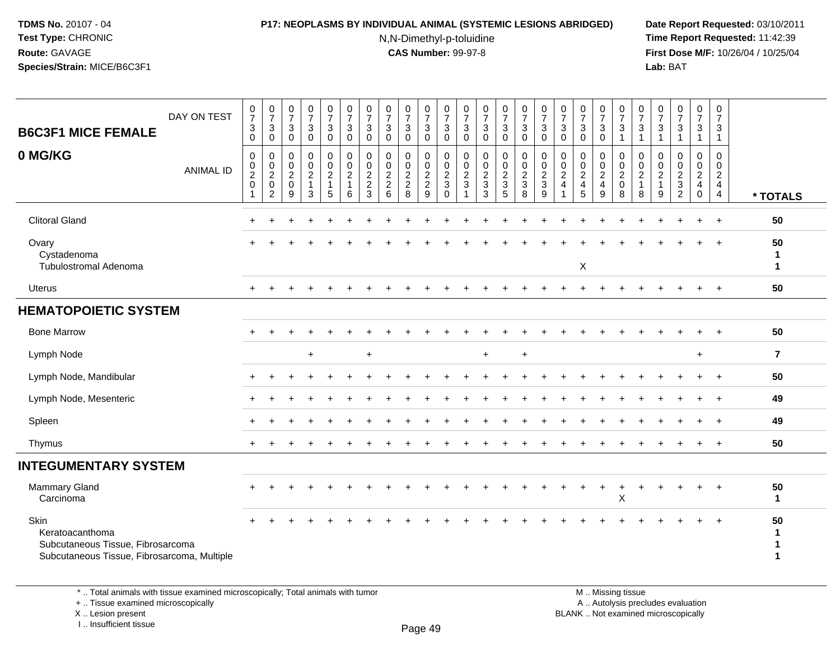### **P17: NEOPLASMS BY INDIVIDUAL ANIMAL (SYSTEMIC LESIONS ABRIDGED) Date Report Requested:** 03/10/2011

N,N-Dimethyl-p-toluidine

 **Time Report Requested:** 11:42:39 **First Dose M/F:** 10/26/04 / 10/25/04 Lab: BAT **Lab:** BAT

| DAY ON TEST<br><b>B6C3F1 MICE FEMALE</b><br>0 MG/KG                                                         | <b>ANIMAL ID</b> | $\frac{0}{7}$<br>$\sqrt{3}$<br>$\mathbf 0$<br>0<br>$\mathbf 0$<br>$\overline{2}$<br>$\mathbf 0$<br>1 | $\frac{0}{7}$<br>$\mathbf{3}$<br>$\mathbf 0$<br>$\mathbf 0$<br>$\mathbf 0$<br>$\frac{2}{0}$<br>2 | $\frac{0}{7}$<br>3<br>0<br>0<br>0<br>$\sqrt{2}$<br>$\mathbf 0$<br>9 | $\frac{0}{7}$<br>3<br>$\mathbf 0$<br>0<br>0<br>$\overline{2}$<br>$\mathbf{1}$<br>3 | $\frac{0}{7}$<br>$\mathbf{3}$<br>$\mathbf 0$<br>0<br>$\overline{0}$<br>$\overline{2}$<br>$\mathbf{1}$<br>$\sqrt{5}$ | $\frac{0}{7}$<br>$\sqrt{3}$<br>0<br>0<br>$^{\rm 0}_{\rm 2}$<br>$\mathbf{1}$<br>6 | $\frac{0}{7}$<br>3<br>$\mathbf 0$<br>0<br>0<br>$\sqrt{2}$<br>$\overline{c}$<br>3 | 0<br>$\overline{7}$<br>$\mathbf{3}$<br>$\Omega$<br>0<br>0<br>$\overline{2}$<br>$\overline{2}$<br>6 | $\frac{0}{7}$<br>3<br>$\Omega$<br>0<br>0<br>$\frac{2}{2}$<br>8 | $\frac{0}{7}$<br>$\ensuremath{\mathsf{3}}$<br>$\mathbf 0$<br>0<br>0<br>$\frac{2}{2}$<br>9 | $\frac{0}{7}$<br>$\mathsf 3$<br>$\mathbf 0$<br>0<br>$\mathbf 0$<br>$\overline{2}$<br>$\sqrt{3}$<br>$\mathbf 0$ | $\frac{0}{7}$<br>$\mathbf{3}$<br>$\mathbf 0$<br>0<br>0<br>$\frac{2}{3}$ | $\frac{0}{7}$<br>$\sqrt{3}$<br>$\mathbf 0$<br>0<br>0<br>$\frac{2}{3}$<br>$\overline{3}$ | $\frac{0}{7}$<br>3<br>$\mathbf 0$<br>0<br>0<br>$\frac{2}{3}$<br>$\overline{5}$ | $\frac{0}{7}$<br>$\mathbf{3}$<br>$\mathbf 0$<br>0<br>$\mathbf 0$<br>$\overline{2}$<br>$\sqrt{3}$<br>8 | $\frac{0}{7}$<br>$\ensuremath{\mathsf{3}}$<br>$\mathbf 0$<br>0<br>$\begin{smallmatrix} 0\\2 \end{smallmatrix}$<br>$\sqrt{3}$<br>9 | 0<br>$\overline{7}$<br>$\sqrt{3}$<br>$\mathbf 0$<br>0<br>0<br>$\overline{2}$<br>$\overline{4}$ | 0<br>$\overline{7}$<br>$\mathbf{3}$<br>$\Omega$<br>0<br>0<br>$\sqrt{2}$<br>$\overline{4}$<br>5 | $\frac{0}{7}$<br>$\ensuremath{\mathsf{3}}$<br>$\mathbf 0$<br>0<br>0<br>$\sqrt{2}$<br>$\overline{4}$<br>9 | 0<br>$\boldsymbol{7}$<br>$\ensuremath{\mathsf{3}}$<br>$\mathbf{1}$<br>0<br>$\overline{0}$<br>$\frac{2}{0}$<br>8 | $\frac{0}{7}$<br>3<br>$\mathbf{1}$<br>0<br>0<br>$\overline{a}$<br>$\mathbf{1}$<br>8 | 0<br>$\boldsymbol{7}$<br>3<br>0<br>0<br>$\overline{c}$<br>$\mathbf{1}$<br>9 | $\frac{0}{7}$<br>$\sqrt{3}$<br>$\mathbf{1}$<br>0<br>$\mathbf 0$<br>$\frac{2}{3}$ | 0<br>$\overline{7}$<br>3<br>$\mathbf{1}$<br>0<br>$\mathbf 0$<br>$\sqrt{2}$<br>$\overline{4}$<br>0 | 0<br>$\overline{7}$<br>3<br>$\mathbf{1}$<br>0<br>$\overline{0}$<br>$\overline{2}$<br>$\overline{4}$<br>$\overline{4}$ | * TOTALS               |
|-------------------------------------------------------------------------------------------------------------|------------------|------------------------------------------------------------------------------------------------------|--------------------------------------------------------------------------------------------------|---------------------------------------------------------------------|------------------------------------------------------------------------------------|---------------------------------------------------------------------------------------------------------------------|----------------------------------------------------------------------------------|----------------------------------------------------------------------------------|----------------------------------------------------------------------------------------------------|----------------------------------------------------------------|-------------------------------------------------------------------------------------------|----------------------------------------------------------------------------------------------------------------|-------------------------------------------------------------------------|-----------------------------------------------------------------------------------------|--------------------------------------------------------------------------------|-------------------------------------------------------------------------------------------------------|-----------------------------------------------------------------------------------------------------------------------------------|------------------------------------------------------------------------------------------------|------------------------------------------------------------------------------------------------|----------------------------------------------------------------------------------------------------------|-----------------------------------------------------------------------------------------------------------------|-------------------------------------------------------------------------------------|-----------------------------------------------------------------------------|----------------------------------------------------------------------------------|---------------------------------------------------------------------------------------------------|-----------------------------------------------------------------------------------------------------------------------|------------------------|
| <b>Clitoral Gland</b>                                                                                       |                  |                                                                                                      |                                                                                                  |                                                                     |                                                                                    |                                                                                                                     |                                                                                  |                                                                                  |                                                                                                    |                                                                |                                                                                           |                                                                                                                |                                                                         |                                                                                         |                                                                                |                                                                                                       |                                                                                                                                   |                                                                                                |                                                                                                |                                                                                                          |                                                                                                                 |                                                                                     |                                                                             |                                                                                  | $\ddot{}$                                                                                         | $^{+}$                                                                                                                | 50                     |
| Ovary<br>Cystadenoma<br><b>Tubulostromal Adenoma</b>                                                        |                  |                                                                                                      |                                                                                                  |                                                                     |                                                                                    |                                                                                                                     |                                                                                  |                                                                                  |                                                                                                    |                                                                |                                                                                           |                                                                                                                |                                                                         |                                                                                         |                                                                                |                                                                                                       |                                                                                                                                   |                                                                                                | X                                                                                              |                                                                                                          |                                                                                                                 |                                                                                     |                                                                             |                                                                                  |                                                                                                   | $\ddot{}$                                                                                                             | 50<br>1<br>$\mathbf 1$ |
| Uterus                                                                                                      |                  |                                                                                                      |                                                                                                  |                                                                     |                                                                                    |                                                                                                                     |                                                                                  |                                                                                  |                                                                                                    |                                                                |                                                                                           |                                                                                                                |                                                                         |                                                                                         |                                                                                |                                                                                                       |                                                                                                                                   |                                                                                                |                                                                                                |                                                                                                          |                                                                                                                 |                                                                                     |                                                                             |                                                                                  |                                                                                                   |                                                                                                                       | 50                     |
| <b>HEMATOPOIETIC SYSTEM</b>                                                                                 |                  |                                                                                                      |                                                                                                  |                                                                     |                                                                                    |                                                                                                                     |                                                                                  |                                                                                  |                                                                                                    |                                                                |                                                                                           |                                                                                                                |                                                                         |                                                                                         |                                                                                |                                                                                                       |                                                                                                                                   |                                                                                                |                                                                                                |                                                                                                          |                                                                                                                 |                                                                                     |                                                                             |                                                                                  |                                                                                                   |                                                                                                                       |                        |
| <b>Bone Marrow</b>                                                                                          |                  |                                                                                                      |                                                                                                  |                                                                     |                                                                                    |                                                                                                                     |                                                                                  |                                                                                  |                                                                                                    |                                                                |                                                                                           |                                                                                                                |                                                                         |                                                                                         |                                                                                |                                                                                                       |                                                                                                                                   |                                                                                                |                                                                                                |                                                                                                          |                                                                                                                 |                                                                                     |                                                                             |                                                                                  |                                                                                                   |                                                                                                                       | 50                     |
| Lymph Node                                                                                                  |                  |                                                                                                      |                                                                                                  |                                                                     | $\ddot{}$                                                                          |                                                                                                                     |                                                                                  | $\ddot{}$                                                                        |                                                                                                    |                                                                |                                                                                           |                                                                                                                |                                                                         | $\ddot{}$                                                                               |                                                                                | $\ddot{}$                                                                                             |                                                                                                                                   |                                                                                                |                                                                                                |                                                                                                          |                                                                                                                 |                                                                                     |                                                                             |                                                                                  | $\ddot{}$                                                                                         |                                                                                                                       | $\overline{7}$         |
| Lymph Node, Mandibular                                                                                      |                  |                                                                                                      |                                                                                                  |                                                                     |                                                                                    |                                                                                                                     |                                                                                  |                                                                                  |                                                                                                    |                                                                |                                                                                           |                                                                                                                |                                                                         |                                                                                         |                                                                                |                                                                                                       |                                                                                                                                   |                                                                                                |                                                                                                |                                                                                                          |                                                                                                                 |                                                                                     |                                                                             |                                                                                  |                                                                                                   |                                                                                                                       | 50                     |
| Lymph Node, Mesenteric                                                                                      |                  |                                                                                                      |                                                                                                  |                                                                     |                                                                                    |                                                                                                                     |                                                                                  |                                                                                  |                                                                                                    |                                                                |                                                                                           |                                                                                                                |                                                                         |                                                                                         |                                                                                |                                                                                                       |                                                                                                                                   |                                                                                                |                                                                                                |                                                                                                          |                                                                                                                 |                                                                                     |                                                                             |                                                                                  |                                                                                                   |                                                                                                                       | 49                     |
| Spleen                                                                                                      |                  |                                                                                                      |                                                                                                  |                                                                     |                                                                                    |                                                                                                                     |                                                                                  |                                                                                  |                                                                                                    |                                                                |                                                                                           |                                                                                                                |                                                                         |                                                                                         |                                                                                |                                                                                                       |                                                                                                                                   |                                                                                                |                                                                                                |                                                                                                          |                                                                                                                 |                                                                                     |                                                                             |                                                                                  |                                                                                                   | $\div$                                                                                                                | 49                     |
| Thymus                                                                                                      |                  |                                                                                                      |                                                                                                  |                                                                     |                                                                                    |                                                                                                                     |                                                                                  |                                                                                  |                                                                                                    |                                                                |                                                                                           |                                                                                                                |                                                                         |                                                                                         |                                                                                |                                                                                                       |                                                                                                                                   |                                                                                                |                                                                                                |                                                                                                          |                                                                                                                 |                                                                                     |                                                                             |                                                                                  | $\pm$                                                                                             | $^{+}$                                                                                                                | 50                     |
| <b>INTEGUMENTARY SYSTEM</b>                                                                                 |                  |                                                                                                      |                                                                                                  |                                                                     |                                                                                    |                                                                                                                     |                                                                                  |                                                                                  |                                                                                                    |                                                                |                                                                                           |                                                                                                                |                                                                         |                                                                                         |                                                                                |                                                                                                       |                                                                                                                                   |                                                                                                |                                                                                                |                                                                                                          |                                                                                                                 |                                                                                     |                                                                             |                                                                                  |                                                                                                   |                                                                                                                       |                        |
| <b>Mammary Gland</b><br>Carcinoma                                                                           |                  |                                                                                                      |                                                                                                  |                                                                     |                                                                                    |                                                                                                                     |                                                                                  |                                                                                  |                                                                                                    |                                                                |                                                                                           |                                                                                                                |                                                                         |                                                                                         |                                                                                |                                                                                                       |                                                                                                                                   |                                                                                                |                                                                                                | +                                                                                                        | $\ddot{}$<br>$\mathsf X$                                                                                        | +                                                                                   |                                                                             |                                                                                  | $\ddot{}$                                                                                         | $^{+}$                                                                                                                | 50<br>$\mathbf{1}$     |
| Skin<br>Keratoacanthoma<br>Subcutaneous Tissue, Fibrosarcoma<br>Subcutaneous Tissue, Fibrosarcoma, Multiple |                  |                                                                                                      |                                                                                                  |                                                                     |                                                                                    |                                                                                                                     |                                                                                  |                                                                                  |                                                                                                    |                                                                |                                                                                           |                                                                                                                |                                                                         |                                                                                         |                                                                                |                                                                                                       |                                                                                                                                   |                                                                                                |                                                                                                |                                                                                                          |                                                                                                                 |                                                                                     |                                                                             |                                                                                  | $\div$                                                                                            | $+$                                                                                                                   | 50<br>1<br>1<br>1      |

\* .. Total animals with tissue examined microscopically; Total animals with tumor

+ .. Tissue examined microscopically

X .. Lesion present

I .. Insufficient tissue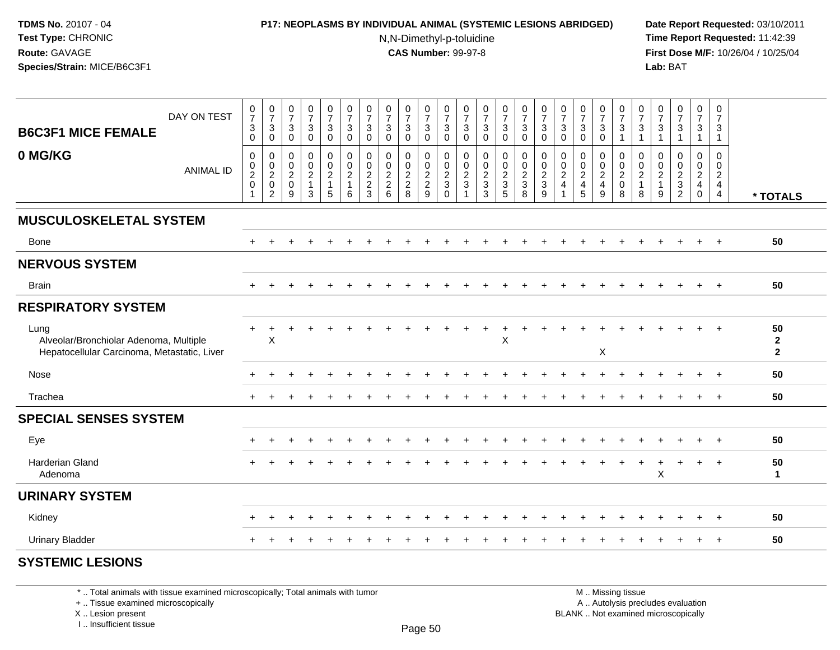### **P17: NEOPLASMS BY INDIVIDUAL ANIMAL (SYSTEMIC LESIONS ABRIDGED) Date Report Requested:** 03/10/2011

N,N-Dimethyl-p-toluidine

 **Time Report Requested:** 11:42:39 **First Dose M/F:** 10/26/04 / 10/25/04 Lab: BAT **Lab:** BAT

| DAY ON TEST<br><b>B6C3F1 MICE FEMALE</b><br>0 MG/KG<br><b>ANIMAL ID</b>                       | $\begin{array}{c} 0 \\ 7 \end{array}$<br>$\ensuremath{\mathsf{3}}$<br>$\mathbf 0$<br>$\mathbf 0$<br>$\pmb{0}$<br>$\frac{2}{0}$ | $\frac{0}{7}$<br>$\sqrt{3}$<br>$\mathsf{O}\xspace$<br>$\mathbf 0$<br>$\frac{0}{2}$<br>$\overline{2}$ | $\frac{0}{7}$<br>$\sqrt{3}$<br>$\overline{0}$<br>$\pmb{0}$<br>$\boldsymbol{0}$<br>$\frac{2}{0}$<br>9 | $\frac{0}{7}$<br>3<br>$\mathbf 0$<br>$\mathbf 0$<br>$\pmb{0}$<br>$\overline{c}$<br>$\mathbf{1}$<br>3 | $\begin{smallmatrix}0\\7\end{smallmatrix}$<br>$\ensuremath{\mathsf{3}}$<br>$\Omega$<br>0<br>$\ddot{\mathbf{0}}$<br>$\frac{2}{1}$<br>5 | $\begin{array}{c} 0 \\ 7 \end{array}$<br>$\ensuremath{\mathsf{3}}$<br>$\Omega$<br>$\mathbf 0$<br>$\pmb{0}$<br>$\boldsymbol{2}$<br>1<br>6 | $\frac{0}{7}$<br>$\mathbf{3}$<br>$\mathbf 0$<br>$\mathbf 0$<br>$\begin{array}{c} 0 \\ 2 \\ 2 \\ 3 \end{array}$ | $\frac{0}{7}$<br>$\sqrt{3}$<br>$\mathbf{0}$<br>$\pmb{0}$<br>$\mathsf 0$<br>$\frac{2}{2}$ 6 | $\begin{array}{c} 0 \\ 7 \end{array}$<br>3<br>$\Omega$<br>0<br>$\pmb{0}$<br>$\frac{2}{2}$<br>8 | $\frac{0}{7}$<br>$\ddot{\mathbf{3}}$<br>$\mathbf 0$<br>$0002$<br>$29$ | $\frac{0}{7}$<br>$\ensuremath{\mathsf{3}}$<br>$\Omega$<br>$\pmb{0}$<br>$\pmb{0}$<br>$\frac{2}{3}$<br>$\mathbf 0$ | $\frac{0}{7}$<br>$\mathbf{3}$<br>$\mathbf 0$<br>0<br>$\pmb{0}$<br>$\frac{2}{3}$ | $\begin{array}{c} 0 \\ 7 \end{array}$<br>$\sqrt{3}$<br>$\mathbf 0$<br>$\pmb{0}$<br>$\frac{0}{2}$<br>3 | $\begin{array}{c} 0 \\ 7 \end{array}$<br>$\mathbf{3}$<br>$\mathbf 0$<br>0<br>$\pmb{0}$<br>$\frac{2}{3}$<br>5 | $\frac{0}{7}$<br>$\overline{3}$<br>$\mathbf 0$<br>$\pmb{0}$<br>$\frac{0}{2}$<br>8 | $\frac{0}{7}$<br>$\mathbf{3}$<br>$\Omega$<br>0<br>$\pmb{0}$<br>$\frac{2}{3}$<br>9 | $\frac{0}{7}$<br>$\mathbf{3}$<br>$\mathbf 0$<br>0<br>$\pmb{0}$<br>$\overline{c}$<br>$\overline{4}$ | $\frac{0}{7}$<br>$\ensuremath{\mathsf{3}}$<br>$\Omega$<br>$\mathbf 0$<br>$\frac{0}{2}$<br>5 | $\frac{0}{7}$<br>$\ensuremath{\mathsf{3}}$<br>$\mathbf 0$<br>0<br>$\pmb{0}$<br>$\frac{2}{4}$<br>$9\,$ | $\frac{0}{7}$<br>$\ensuremath{\mathsf{3}}$<br>$\overline{1}$<br>$\mathbf 0$<br>$\pmb{0}$<br>$\frac{2}{0}$<br>8 | $\frac{0}{7}$<br>3<br>1<br>0<br>$\pmb{0}$<br>$\overline{\mathbf{c}}$<br>$\mathbf{1}$<br>8 | $\frac{0}{7}$<br>3<br>$\overline{1}$<br>0<br>$\begin{matrix} 0 \\ 2 \\ 1 \end{matrix}$<br>9 | $\frac{0}{7}$<br>$\ensuremath{\mathsf{3}}$<br>$\pmb{0}$<br>$\begin{array}{c} 0 \\ 2 \\ 3 \\ 2 \end{array}$ | $\frac{0}{7}$<br>$\ensuremath{\mathsf{3}}$<br>$\overline{1}$<br>0<br>$\pmb{0}$<br>$\frac{2}{4}$<br>$\mathbf 0$ | $\frac{0}{7}$<br>$\mathbf{3}$<br>$\mathbf{1}$<br>$\mathbf 0$<br>$\pmb{0}$<br>$\frac{2}{4}$<br>$\overline{4}$ | * TOTALS                               |
|-----------------------------------------------------------------------------------------------|--------------------------------------------------------------------------------------------------------------------------------|------------------------------------------------------------------------------------------------------|------------------------------------------------------------------------------------------------------|------------------------------------------------------------------------------------------------------|---------------------------------------------------------------------------------------------------------------------------------------|------------------------------------------------------------------------------------------------------------------------------------------|----------------------------------------------------------------------------------------------------------------|--------------------------------------------------------------------------------------------|------------------------------------------------------------------------------------------------|-----------------------------------------------------------------------|------------------------------------------------------------------------------------------------------------------|---------------------------------------------------------------------------------|-------------------------------------------------------------------------------------------------------|--------------------------------------------------------------------------------------------------------------|-----------------------------------------------------------------------------------|-----------------------------------------------------------------------------------|----------------------------------------------------------------------------------------------------|---------------------------------------------------------------------------------------------|-------------------------------------------------------------------------------------------------------|----------------------------------------------------------------------------------------------------------------|-------------------------------------------------------------------------------------------|---------------------------------------------------------------------------------------------|------------------------------------------------------------------------------------------------------------|----------------------------------------------------------------------------------------------------------------|--------------------------------------------------------------------------------------------------------------|----------------------------------------|
| <b>MUSCULOSKELETAL SYSTEM</b>                                                                 |                                                                                                                                |                                                                                                      |                                                                                                      |                                                                                                      |                                                                                                                                       |                                                                                                                                          |                                                                                                                |                                                                                            |                                                                                                |                                                                       |                                                                                                                  |                                                                                 |                                                                                                       |                                                                                                              |                                                                                   |                                                                                   |                                                                                                    |                                                                                             |                                                                                                       |                                                                                                                |                                                                                           |                                                                                             |                                                                                                            |                                                                                                                |                                                                                                              |                                        |
| Bone                                                                                          | $+$                                                                                                                            |                                                                                                      |                                                                                                      |                                                                                                      |                                                                                                                                       |                                                                                                                                          |                                                                                                                |                                                                                            |                                                                                                |                                                                       |                                                                                                                  |                                                                                 |                                                                                                       |                                                                                                              |                                                                                   |                                                                                   |                                                                                                    |                                                                                             |                                                                                                       |                                                                                                                |                                                                                           |                                                                                             |                                                                                                            |                                                                                                                | $+$                                                                                                          | 50                                     |
| <b>NERVOUS SYSTEM</b>                                                                         |                                                                                                                                |                                                                                                      |                                                                                                      |                                                                                                      |                                                                                                                                       |                                                                                                                                          |                                                                                                                |                                                                                            |                                                                                                |                                                                       |                                                                                                                  |                                                                                 |                                                                                                       |                                                                                                              |                                                                                   |                                                                                   |                                                                                                    |                                                                                             |                                                                                                       |                                                                                                                |                                                                                           |                                                                                             |                                                                                                            |                                                                                                                |                                                                                                              |                                        |
| <b>Brain</b>                                                                                  |                                                                                                                                |                                                                                                      |                                                                                                      |                                                                                                      |                                                                                                                                       |                                                                                                                                          |                                                                                                                |                                                                                            |                                                                                                |                                                                       |                                                                                                                  |                                                                                 |                                                                                                       |                                                                                                              |                                                                                   |                                                                                   |                                                                                                    |                                                                                             |                                                                                                       |                                                                                                                |                                                                                           |                                                                                             |                                                                                                            | $\ddot{}$                                                                                                      | $+$                                                                                                          | 50                                     |
| <b>RESPIRATORY SYSTEM</b>                                                                     |                                                                                                                                |                                                                                                      |                                                                                                      |                                                                                                      |                                                                                                                                       |                                                                                                                                          |                                                                                                                |                                                                                            |                                                                                                |                                                                       |                                                                                                                  |                                                                                 |                                                                                                       |                                                                                                              |                                                                                   |                                                                                   |                                                                                                    |                                                                                             |                                                                                                       |                                                                                                                |                                                                                           |                                                                                             |                                                                                                            |                                                                                                                |                                                                                                              |                                        |
| Lung<br>Alveolar/Bronchiolar Adenoma, Multiple<br>Hepatocellular Carcinoma, Metastatic, Liver | $\ddot{}$                                                                                                                      | Χ                                                                                                    |                                                                                                      |                                                                                                      |                                                                                                                                       |                                                                                                                                          |                                                                                                                |                                                                                            |                                                                                                |                                                                       |                                                                                                                  |                                                                                 |                                                                                                       | $\ddot{}$<br>X                                                                                               |                                                                                   |                                                                                   |                                                                                                    |                                                                                             | X                                                                                                     |                                                                                                                |                                                                                           |                                                                                             |                                                                                                            |                                                                                                                |                                                                                                              | 50<br>$\overline{2}$<br>$\overline{2}$ |
| Nose                                                                                          |                                                                                                                                |                                                                                                      |                                                                                                      |                                                                                                      |                                                                                                                                       |                                                                                                                                          |                                                                                                                |                                                                                            |                                                                                                |                                                                       |                                                                                                                  |                                                                                 |                                                                                                       |                                                                                                              |                                                                                   |                                                                                   |                                                                                                    |                                                                                             |                                                                                                       |                                                                                                                |                                                                                           |                                                                                             |                                                                                                            |                                                                                                                |                                                                                                              | 50                                     |
| Trachea                                                                                       |                                                                                                                                |                                                                                                      |                                                                                                      |                                                                                                      |                                                                                                                                       |                                                                                                                                          |                                                                                                                |                                                                                            |                                                                                                |                                                                       |                                                                                                                  |                                                                                 |                                                                                                       |                                                                                                              |                                                                                   |                                                                                   |                                                                                                    |                                                                                             |                                                                                                       |                                                                                                                |                                                                                           |                                                                                             |                                                                                                            |                                                                                                                | $\ddot{}$                                                                                                    | 50                                     |
| <b>SPECIAL SENSES SYSTEM</b>                                                                  |                                                                                                                                |                                                                                                      |                                                                                                      |                                                                                                      |                                                                                                                                       |                                                                                                                                          |                                                                                                                |                                                                                            |                                                                                                |                                                                       |                                                                                                                  |                                                                                 |                                                                                                       |                                                                                                              |                                                                                   |                                                                                   |                                                                                                    |                                                                                             |                                                                                                       |                                                                                                                |                                                                                           |                                                                                             |                                                                                                            |                                                                                                                |                                                                                                              |                                        |
| Eye                                                                                           |                                                                                                                                |                                                                                                      |                                                                                                      |                                                                                                      |                                                                                                                                       |                                                                                                                                          |                                                                                                                |                                                                                            |                                                                                                |                                                                       |                                                                                                                  |                                                                                 |                                                                                                       |                                                                                                              |                                                                                   |                                                                                   |                                                                                                    |                                                                                             |                                                                                                       |                                                                                                                |                                                                                           |                                                                                             |                                                                                                            |                                                                                                                | $\overline{ }$                                                                                               | 50                                     |
| <b>Harderian Gland</b><br>Adenoma                                                             |                                                                                                                                |                                                                                                      |                                                                                                      |                                                                                                      |                                                                                                                                       |                                                                                                                                          |                                                                                                                |                                                                                            |                                                                                                |                                                                       |                                                                                                                  |                                                                                 |                                                                                                       |                                                                                                              |                                                                                   |                                                                                   |                                                                                                    |                                                                                             |                                                                                                       |                                                                                                                | $\ddot{}$                                                                                 | $\ddot{}$<br>X                                                                              | $\overline{1}$                                                                                             | $+$                                                                                                            | $+$                                                                                                          | 50<br>$\mathbf{1}$                     |
| <b>URINARY SYSTEM</b>                                                                         |                                                                                                                                |                                                                                                      |                                                                                                      |                                                                                                      |                                                                                                                                       |                                                                                                                                          |                                                                                                                |                                                                                            |                                                                                                |                                                                       |                                                                                                                  |                                                                                 |                                                                                                       |                                                                                                              |                                                                                   |                                                                                   |                                                                                                    |                                                                                             |                                                                                                       |                                                                                                                |                                                                                           |                                                                                             |                                                                                                            |                                                                                                                |                                                                                                              |                                        |
| Kidney                                                                                        |                                                                                                                                |                                                                                                      |                                                                                                      |                                                                                                      |                                                                                                                                       |                                                                                                                                          |                                                                                                                |                                                                                            |                                                                                                |                                                                       |                                                                                                                  |                                                                                 |                                                                                                       |                                                                                                              |                                                                                   |                                                                                   |                                                                                                    |                                                                                             |                                                                                                       |                                                                                                                |                                                                                           |                                                                                             |                                                                                                            |                                                                                                                | $\ddot{}$                                                                                                    | 50                                     |
| <b>Urinary Bladder</b>                                                                        |                                                                                                                                |                                                                                                      |                                                                                                      |                                                                                                      |                                                                                                                                       |                                                                                                                                          |                                                                                                                |                                                                                            |                                                                                                |                                                                       |                                                                                                                  |                                                                                 |                                                                                                       |                                                                                                              |                                                                                   |                                                                                   |                                                                                                    |                                                                                             |                                                                                                       |                                                                                                                |                                                                                           |                                                                                             |                                                                                                            | $\ddot{}$                                                                                                      | $\ddot{}$                                                                                                    | 50                                     |

# **SYSTEMIC LESIONS**

\* .. Total animals with tissue examined microscopically; Total animals with tumor

+ .. Tissue examined microscopically

X .. Lesion present

I .. Insufficient tissue

 M .. Missing tissuey the contract of the contract of the contract of the contract of the contract of  $\mathsf A$  . Autolysis precludes evaluation

Lesion present BLANK .. Not examined microscopically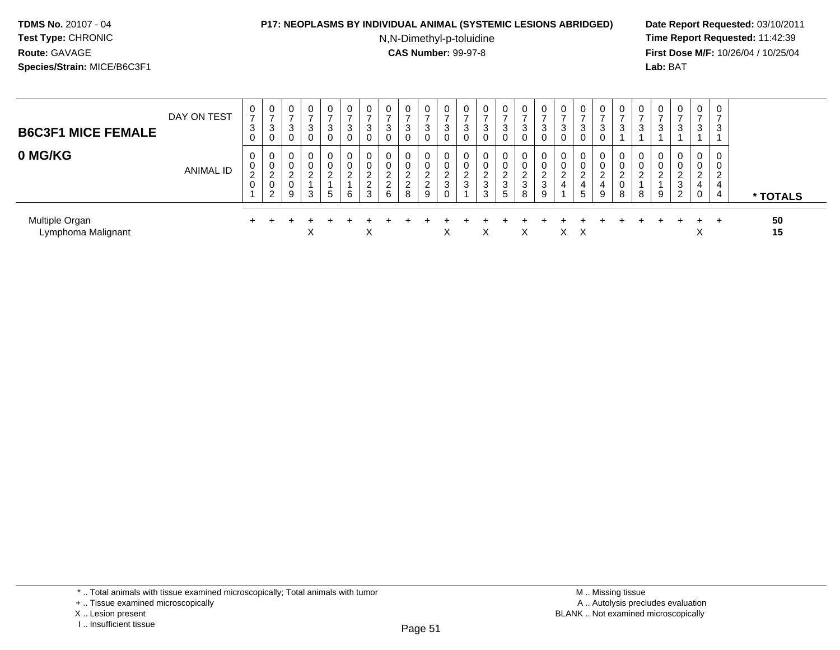#### **P17: NEOPLASMS BY INDIVIDUAL ANIMAL (SYSTEMIC LESIONS ABRIDGED) Date Report Requested:** 03/10/2011

N,N-Dimethyl-p-toluidine

| <b>B6C3F1 MICE FEMALE</b>            | DAY ON TEST | 0<br>$\overline{ }$<br>3<br>0 | 0<br>$\rightarrow$<br>3<br>0      | ⇁<br>3 | 0<br>-<br>3      | 0<br>3<br>0      | 0<br>-<br>3<br>0 | 0<br>$\overline{ }$<br>3<br>0          | 0<br>–<br>3<br>0             | 3                                      | 3                              | 0<br>3<br>υ           | 0<br>3<br>0             | 0<br>$\overline{ }$<br>3<br>0 | 0<br>-<br>3<br>0                | 3                | 0<br>-<br>3<br>0      | 0<br>3<br>0 | 0<br>3<br>0                                               | 0<br>3<br>v           | 0<br>3           |   | 0<br>3       | 0<br>-<br>3                       | $\mathbf{0}$<br>$\overline{ }$<br>3 | 0<br>$\overline{ }$<br>-3 |          |
|--------------------------------------|-------------|-------------------------------|-----------------------------------|--------|------------------|------------------|------------------|----------------------------------------|------------------------------|----------------------------------------|--------------------------------|-----------------------|-------------------------|-------------------------------|---------------------------------|------------------|-----------------------|-------------|-----------------------------------------------------------|-----------------------|------------------|---|--------------|-----------------------------------|-------------------------------------|---------------------------|----------|
| 0 MG/KG                              | ANIMAL ID   | 0<br>0<br>2<br>0              | 0<br>0<br>ົ<br><u>_</u><br>0<br>2 | _<br>9 | 0<br>⌒<br>⌒<br>3 | 0<br>0<br>ົ<br>5 | 0<br>0<br>ົ<br>6 | 0<br>0<br>ົ<br>∼<br>$\Omega$<br>∠<br>3 | 0<br>0<br>ົ<br>$\Omega$<br>6 | $\Omega$<br>$\sim$<br>$\sim$<br>_<br>8 | 0<br>$\sim$<br>$\epsilon$<br>9 | 0<br>υ<br>⌒<br>3<br>0 | 0<br>0<br><u>_</u><br>ు | 0<br>0<br>ົ<br>∼<br>3<br>3    | 0<br>0<br>$\sim$<br>▵<br>3<br>5 | 0<br>z<br>3<br>8 | 0<br>0<br>ົ<br>3<br>9 | 0<br>U<br>4 | 0<br>0<br>$\sqrt{2}$<br>$\overline{4}$<br>$5\phantom{.0}$ | 0<br>U<br>ົ<br>4<br>9 | 0<br>U<br>U<br>8 | 8 | 0<br>-U<br>9 | 0<br>0<br>ີ<br><u>_</u><br>3<br>2 | 0<br>0<br>2<br>4<br>0               | 0<br>0<br>2<br>4<br>-4    | * TOTALS |
| Multiple Organ<br>Lymphoma Malignant |             |                               |                                   |        | v                |                  |                  | X                                      |                              |                                        |                                | N<br>⌒                |                         | X                             |                                 | X                |                       | $X \times$  |                                                           |                       |                  |   |              |                                   | ㅅ                                   | $+$                       | 50<br>15 |

<sup>\* ..</sup> Total animals with tissue examined microscopically; Total animals with tumor

<sup>+ ..</sup> Tissue examined microscopically

X .. Lesion present

I .. Insufficient tissue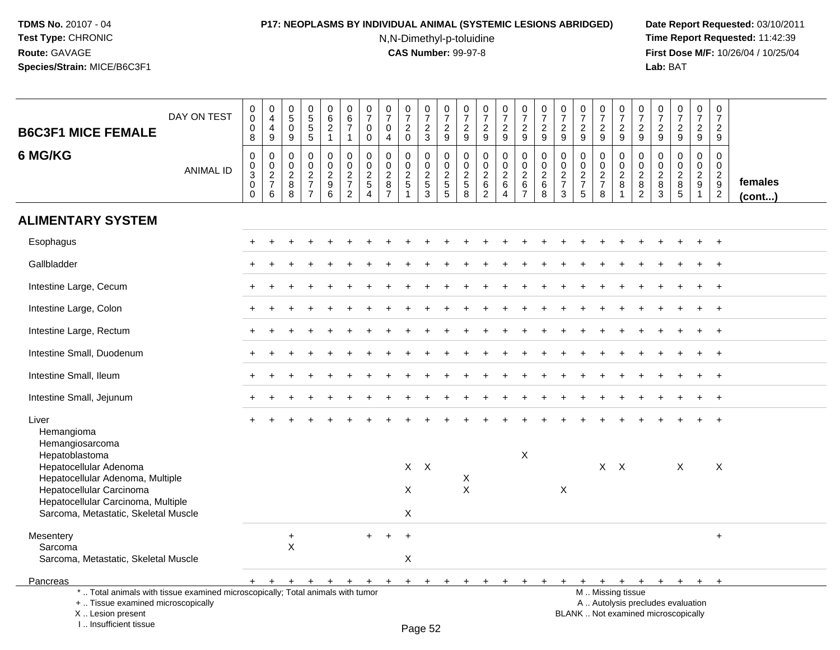# **P17: NEOPLASMS BY INDIVIDUAL ANIMAL (SYSTEMIC LESIONS ABRIDGED) Date Report Requested:** 03/10/2011

N,N-Dimethyl-p-toluidine

| <b>B6C3F1 MICE FEMALE</b>                                                                                                                                            | DAY ON TEST      | $\mathbf 0$<br>$\boldsymbol{0}$<br>$\mathbf 0$<br>8                                   | $_4^{\rm 0}$<br>$\overline{4}$<br>9            | $\begin{array}{c} 0 \\ 5 \end{array}$<br>$\mathbf 0$<br>9 | $\begin{array}{c} 0 \\ 5 \\ 5 \end{array}$<br>$\overline{5}$ | $_{\rm 6}^{\rm 0}$<br>$\sqrt{2}$<br>$\mathbf{1}$ | $\pmb{0}$<br>$\overline{6}$<br>$\overline{7}$<br>$\mathbf{1}$ | 0<br>$\overline{7}$<br>$\mathbf 0$<br>0       | $\frac{0}{7}$<br>$\mathbf 0$<br>$\overline{4}$              | $\frac{0}{7}$<br>$\overline{c}$<br>$\mathbf 0$ | $\frac{0}{7}$<br>$\overline{2}$<br>$\mathbf{3}$           | $\frac{0}{7}$<br>$\boldsymbol{2}$<br>$\boldsymbol{9}$ | 0<br>$\overline{7}$<br>$\sqrt{2}$<br>9  | $\begin{array}{c} 0 \\ 7 \end{array}$<br>$\overline{2}$<br>$9\,$       | $\frac{0}{7}$<br>$\overline{a}$<br>9                        | $\frac{0}{7}$<br>$\overline{2}$<br>$9\,$                      | $\frac{0}{7}$<br>$\boldsymbol{2}$<br>$\boldsymbol{9}$ | $\frac{0}{7}$<br>$\sqrt{2}$<br>9                          | $\begin{array}{c} 0 \\ 7 \end{array}$<br>$\sqrt{2}$<br>9 | $\frac{0}{7}$<br>$\overline{2}$<br>$9\,$       | 0<br>$\overline{7}$<br>$\overline{2}$<br>$\boldsymbol{9}$ | $\begin{array}{c} 0 \\ 7 \end{array}$<br>$\overline{2}$<br>9 | $\begin{array}{c} 0 \\ 7 \end{array}$<br>$\overline{c}$<br>$\mathsf g$ | $\frac{0}{7}$<br>$\overline{2}$<br>9                                     | $\begin{smallmatrix}0\\7\end{smallmatrix}$<br>$\overline{2}$<br>9 | $\pmb{0}$<br>$\overline{7}$<br>$\overline{2}$<br>$9\,$     |                   |
|----------------------------------------------------------------------------------------------------------------------------------------------------------------------|------------------|---------------------------------------------------------------------------------------|------------------------------------------------|-----------------------------------------------------------|--------------------------------------------------------------|--------------------------------------------------|---------------------------------------------------------------|-----------------------------------------------|-------------------------------------------------------------|------------------------------------------------|-----------------------------------------------------------|-------------------------------------------------------|-----------------------------------------|------------------------------------------------------------------------|-------------------------------------------------------------|---------------------------------------------------------------|-------------------------------------------------------|-----------------------------------------------------------|----------------------------------------------------------|------------------------------------------------|-----------------------------------------------------------|--------------------------------------------------------------|------------------------------------------------------------------------|--------------------------------------------------------------------------|-------------------------------------------------------------------|------------------------------------------------------------|-------------------|
| 6 MG/KG                                                                                                                                                              | <b>ANIMAL ID</b> | $\mathbf 0$<br>$\mathbf 0$<br>$\ensuremath{\mathsf{3}}$<br>$\mathbf 0$<br>$\mathbf 0$ | $\mathbf 0$<br>$\pmb{0}$<br>$\frac{2}{7}$<br>6 | $\mathbf 0$<br>$\mathbf 0$<br>$_{8}^{\rm 2}$<br>8         | $\mathbf 0$<br>$\pmb{0}$<br>$\frac{2}{7}$<br>$\overline{7}$  | $\mathbf 0$<br>$\pmb{0}$<br>$\frac{2}{9}$<br>6   | $\pmb{0}$<br>$\mathbf 0$<br>$\frac{2}{7}$<br>$\overline{2}$   | $\mathbf 0$<br>$\Omega$<br>$\frac{2}{5}$<br>4 | $\mathbf 0$<br>$\pmb{0}$<br>$\frac{2}{8}$<br>$\overline{7}$ | $\mathbf 0$<br>$\pmb{0}$<br>$\frac{2}{5}$      | 0<br>$\mathsf{O}\xspace$<br>$\frac{2}{5}$<br>$\mathbf{3}$ | $\mathbf 0$<br>$\pmb{0}$<br>$\frac{2}{5}$<br>5        | 0<br>$\mathbf{0}$<br>$\frac{2}{5}$<br>8 | $\mathbf 0$<br>$\Omega$<br>$\overline{c}$<br>$\,6\,$<br>$\overline{2}$ | $\mathbf 0$<br>$\pmb{0}$<br>$\frac{2}{6}$<br>$\overline{4}$ | $\mathbf 0$<br>$\mathsf 0$<br>$\frac{2}{6}$<br>$\overline{7}$ | $\pmb{0}$<br>$\pmb{0}$<br>$\frac{2}{6}$<br>8          | $\mathbf 0$<br>$\pmb{0}$<br>$\frac{2}{7}$<br>$\mathbf{3}$ | $\mathbf 0$<br>0<br>$\frac{2}{7}$<br>5                   | $\mathbf 0$<br>$\pmb{0}$<br>$\frac{2}{7}$<br>8 | 0<br>$\mathsf{O}\xspace$<br>$\frac{2}{8}$<br>$\mathbf{1}$ | 0<br>0<br>$\overline{c}$<br>8<br>$\overline{2}$              | $\mathbf 0$<br>0<br>$_{8}^{\rm 2}$<br>$\mathbf{3}$                     | $\mathbf 0$<br>$\mathsf 0$<br>$\frac{2}{8}$<br>$\sqrt{5}$                | 0<br>$\mathbf 0$<br>$\frac{2}{9}$<br>$\overline{1}$               | $\mathbf 0$<br>$\Omega$<br>$\frac{2}{9}$<br>$\overline{2}$ | females<br>(cont) |
| <b>ALIMENTARY SYSTEM</b>                                                                                                                                             |                  |                                                                                       |                                                |                                                           |                                                              |                                                  |                                                               |                                               |                                                             |                                                |                                                           |                                                       |                                         |                                                                        |                                                             |                                                               |                                                       |                                                           |                                                          |                                                |                                                           |                                                              |                                                                        |                                                                          |                                                                   |                                                            |                   |
| Esophagus                                                                                                                                                            |                  |                                                                                       |                                                |                                                           |                                                              |                                                  |                                                               |                                               |                                                             |                                                |                                                           |                                                       |                                         |                                                                        |                                                             |                                                               |                                                       |                                                           |                                                          |                                                |                                                           |                                                              |                                                                        |                                                                          |                                                                   |                                                            |                   |
| Gallbladder                                                                                                                                                          |                  |                                                                                       |                                                |                                                           |                                                              |                                                  |                                                               |                                               |                                                             |                                                |                                                           |                                                       |                                         |                                                                        |                                                             |                                                               |                                                       |                                                           |                                                          |                                                |                                                           |                                                              |                                                                        |                                                                          |                                                                   |                                                            |                   |
| Intestine Large, Cecum                                                                                                                                               |                  |                                                                                       |                                                |                                                           |                                                              |                                                  |                                                               |                                               |                                                             |                                                |                                                           |                                                       |                                         |                                                                        |                                                             |                                                               |                                                       |                                                           |                                                          |                                                |                                                           |                                                              |                                                                        |                                                                          | $\div$                                                            | $+$                                                        |                   |
| Intestine Large, Colon                                                                                                                                               |                  |                                                                                       |                                                |                                                           |                                                              |                                                  |                                                               |                                               |                                                             |                                                |                                                           |                                                       |                                         |                                                                        |                                                             |                                                               |                                                       |                                                           |                                                          |                                                |                                                           |                                                              |                                                                        |                                                                          | $\ddot{}$                                                         | $+$                                                        |                   |
| Intestine Large, Rectum                                                                                                                                              |                  |                                                                                       |                                                |                                                           |                                                              |                                                  |                                                               |                                               |                                                             |                                                |                                                           |                                                       |                                         |                                                                        |                                                             |                                                               |                                                       |                                                           |                                                          |                                                |                                                           |                                                              |                                                                        |                                                                          | $\div$                                                            | $+$                                                        |                   |
| Intestine Small, Duodenum                                                                                                                                            |                  |                                                                                       |                                                |                                                           |                                                              |                                                  |                                                               |                                               |                                                             |                                                |                                                           |                                                       |                                         |                                                                        |                                                             |                                                               |                                                       |                                                           |                                                          |                                                |                                                           |                                                              |                                                                        |                                                                          |                                                                   | $\ddot{}$                                                  |                   |
| Intestine Small, Ileum                                                                                                                                               |                  |                                                                                       |                                                |                                                           |                                                              |                                                  |                                                               |                                               |                                                             |                                                |                                                           |                                                       |                                         |                                                                        |                                                             |                                                               |                                                       |                                                           |                                                          |                                                |                                                           |                                                              |                                                                        |                                                                          |                                                                   |                                                            |                   |
| Intestine Small, Jejunum                                                                                                                                             |                  |                                                                                       |                                                |                                                           |                                                              |                                                  |                                                               |                                               |                                                             |                                                |                                                           |                                                       |                                         |                                                                        |                                                             |                                                               |                                                       |                                                           |                                                          |                                                |                                                           |                                                              |                                                                        |                                                                          |                                                                   |                                                            |                   |
| Liver<br>Hemangioma<br>Hemangiosarcoma                                                                                                                               |                  |                                                                                       |                                                |                                                           |                                                              |                                                  |                                                               |                                               |                                                             |                                                |                                                           |                                                       |                                         |                                                                        |                                                             |                                                               |                                                       |                                                           |                                                          |                                                |                                                           |                                                              |                                                                        |                                                                          |                                                                   |                                                            |                   |
| Hepatoblastoma<br>Hepatocellular Adenoma<br>Hepatocellular Adenoma, Multiple                                                                                         |                  |                                                                                       |                                                |                                                           |                                                              |                                                  |                                                               |                                               |                                                             | $X$ $X$                                        |                                                           |                                                       | X                                       |                                                                        |                                                             | X                                                             |                                                       |                                                           |                                                          |                                                | $X$ $X$                                                   |                                                              |                                                                        | X                                                                        |                                                                   | X                                                          |                   |
| Hepatocellular Carcinoma<br>Hepatocellular Carcinoma, Multiple<br>Sarcoma, Metastatic, Skeletal Muscle                                                               |                  |                                                                                       |                                                |                                                           |                                                              |                                                  |                                                               |                                               |                                                             | X<br>X                                         |                                                           |                                                       | $\boldsymbol{\mathsf{X}}$               |                                                                        |                                                             |                                                               |                                                       | $\pmb{\times}$                                            |                                                          |                                                |                                                           |                                                              |                                                                        |                                                                          |                                                                   |                                                            |                   |
| Mesentery<br>Sarcoma                                                                                                                                                 |                  |                                                                                       |                                                | $+$<br>X                                                  |                                                              |                                                  |                                                               | $\ddot{}$                                     |                                                             | $\ddot{}$                                      |                                                           |                                                       |                                         |                                                                        |                                                             |                                                               |                                                       |                                                           |                                                          |                                                |                                                           |                                                              |                                                                        |                                                                          |                                                                   | $\ddot{}$                                                  |                   |
| Sarcoma, Metastatic, Skeletal Muscle                                                                                                                                 |                  |                                                                                       |                                                |                                                           |                                                              |                                                  |                                                               |                                               |                                                             | X                                              |                                                           |                                                       |                                         |                                                                        |                                                             |                                                               |                                                       |                                                           |                                                          |                                                |                                                           |                                                              |                                                                        |                                                                          |                                                                   |                                                            |                   |
| Pancreas                                                                                                                                                             |                  |                                                                                       |                                                |                                                           |                                                              |                                                  |                                                               | $+$                                           | $+$ $+$                                                     |                                                | $+$                                                       | $+$                                                   |                                         |                                                                        |                                                             |                                                               |                                                       |                                                           | $\ddot{}$                                                | $+$                                            | $+$                                                       | $+$                                                          | $+$                                                                    | $+$                                                                      | $+$                                                               | $+$                                                        |                   |
| *  Total animals with tissue examined microscopically; Total animals with tumor<br>+  Tissue examined microscopically<br>X Lesion present<br>I., Insufficient tissue |                  |                                                                                       |                                                |                                                           |                                                              |                                                  |                                                               |                                               |                                                             |                                                | $D_{200}$ $E2$                                            |                                                       |                                         |                                                                        |                                                             |                                                               |                                                       |                                                           |                                                          |                                                | M  Missing tissue                                         |                                                              |                                                                        | A  Autolysis precludes evaluation<br>BLANK  Not examined microscopically |                                                                   |                                                            |                   |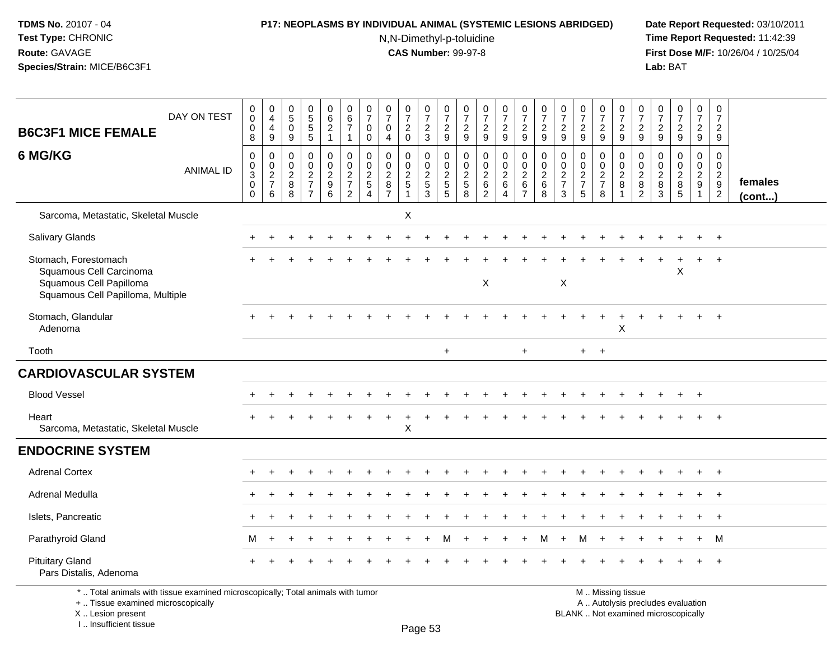### **P17: NEOPLASMS BY INDIVIDUAL ANIMAL (SYSTEMIC LESIONS ABRIDGED) Date Report Requested:** 03/10/2011

N,N-Dimethyl-p-toluidine

 **Time Report Requested:** 11:42:39 **First Dose M/F:** 10/26/04 / 10/25/04<br>**Lab:** BAT **Lab:** BAT

| <b>B6C3F1 MICE FEMALE</b>                                                                                             | DAY ON TEST      | $\pmb{0}$<br>$\mathbf 0$<br>$\mathbf 0$<br>8                     | $\pmb{0}$<br>$\overline{4}$<br>4<br>9                               | $\begin{array}{c} 0 \\ 5 \\ 0 \end{array}$<br>$\boldsymbol{9}$       | 0<br>5<br>5<br>5                                                       | $\begin{array}{c} 0 \\ 6 \\ 2 \end{array}$<br>$\mathbf{1}$                  | $\begin{array}{c} 0 \\ 6 \end{array}$<br>$\overline{7}$<br>$\overline{1}$ | $\frac{0}{7}$<br>$\mathbf 0$<br>$\mathbf 0$                                     | $\frac{0}{7}$<br>$\mathbf{0}$<br>4                                       | $\frac{0}{7}$<br>$\overline{c}$<br>$\mathbf 0$ | $\frac{0}{7}$<br>$\sqrt{2}$<br>$\mathbf{3}$ | $\frac{0}{7}$<br>$\boldsymbol{2}$<br>9                            | $\frac{0}{7}$<br>$\sqrt{2}$<br>9                 | $\begin{array}{c} 0 \\ 7 \end{array}$<br>$\sqrt{2}$<br>$\boldsymbol{9}$ | $\frac{0}{7}$<br>$\sqrt{2}$<br>9                                | $\frac{0}{7}$<br>$\overline{2}$<br>9                                      | $\begin{array}{c} 0 \\ 7 \\ 2 \end{array}$<br>9          | $\begin{array}{c} 0 \\ 7 \end{array}$<br>$\sqrt{2}$<br>9             | $\frac{0}{7}$<br>$\boldsymbol{2}$<br>9                            | $\begin{array}{c} 0 \\ 7 \end{array}$<br>$\frac{2}{9}$ | $\frac{0}{7}$<br>$\sqrt{2}$<br>9                                      | $\frac{0}{7}$<br>$\overline{c}$<br>9                                     | $\frac{0}{7}$<br>$\boldsymbol{2}$<br>9                       | $\frac{0}{7}$<br>$\overline{2}$<br>9                            | $\begin{smallmatrix}0\\7\end{smallmatrix}$<br>$\sqrt{2}$<br>9 | $\frac{0}{7}$<br>$\sqrt{2}$<br>9                              |                         |
|-----------------------------------------------------------------------------------------------------------------------|------------------|------------------------------------------------------------------|---------------------------------------------------------------------|----------------------------------------------------------------------|------------------------------------------------------------------------|-----------------------------------------------------------------------------|---------------------------------------------------------------------------|---------------------------------------------------------------------------------|--------------------------------------------------------------------------|------------------------------------------------|---------------------------------------------|-------------------------------------------------------------------|--------------------------------------------------|-------------------------------------------------------------------------|-----------------------------------------------------------------|---------------------------------------------------------------------------|----------------------------------------------------------|----------------------------------------------------------------------|-------------------------------------------------------------------|--------------------------------------------------------|-----------------------------------------------------------------------|--------------------------------------------------------------------------|--------------------------------------------------------------|-----------------------------------------------------------------|---------------------------------------------------------------|---------------------------------------------------------------|-------------------------|
| 6 MG/KG                                                                                                               | <b>ANIMAL ID</b> | $\mathbf 0$<br>$_{3}^{\rm 0}$<br>$\boldsymbol{0}$<br>$\mathbf 0$ | $\mathbf 0$<br>$\mathbf 0$<br>$\overline{2}$<br>$\overline{7}$<br>6 | $\mathbf 0$<br>$\mathsf{O}\xspace$<br>$\overline{2}$<br>$\bf 8$<br>8 | 0<br>$\mathbf 0$<br>$\overline{2}$<br>$\overline{7}$<br>$\overline{7}$ | 0<br>$\overline{0}$<br>$\overline{2}$<br>$\boldsymbol{9}$<br>$6\phantom{1}$ | $\mathbf 0$<br>$\mathsf{O}\xspace$<br>$\frac{2}{7}$<br>$\overline{2}$     | $\Omega$<br>$\pmb{0}$<br>$\overline{2}$<br>$\sqrt{5}$<br>$\boldsymbol{\Lambda}$ | $\mathbf 0$<br>$\mathbf 0$<br>$\overline{2}$<br>$\, 8$<br>$\overline{7}$ | 0<br>$\pmb{0}$<br>$rac{2}{5}$<br>$\mathbf{1}$  | $\mathbf 0$<br>$\mathbf 0$<br>$rac{2}{3}$   | 0<br>$\mathsf{O}\xspace$<br>$\overline{2}$<br>$\overline{5}$<br>5 | $\mathbf 0$<br>$\mathbf 0$<br>$\frac{2}{5}$<br>8 | $\mathbf 0$<br>$\pmb{0}$<br>$\frac{2}{6}$                               | 0<br>$\mathbf 0$<br>$\overline{2}$<br>$\,6\,$<br>$\overline{4}$ | $\mathbf 0$<br>$\mathbf 0$<br>$\boldsymbol{2}$<br>$\,6$<br>$\overline{7}$ | $\mathbf 0$<br>$\mathbf 0$<br>$\sqrt{2}$<br>$\,6\,$<br>8 | 0<br>$\mathbf 0$<br>$\overline{2}$<br>$\overline{7}$<br>$\mathbf{3}$ | $\mathbf 0$<br>$\mathsf{O}\xspace$<br>$\frac{2}{7}$<br>$\sqrt{5}$ | $\mathbf 0$<br>$\mathbf 0$<br>$\frac{2}{7}$<br>$\,8\,$ | $\mathbf{0}$<br>$\mathsf{O}$<br>$\overline{2}$<br>8<br>$\overline{1}$ | $\mathbf 0$<br>$\mathbf 0$<br>$\overline{2}$<br>$\bf8$<br>$\overline{2}$ | $\mathbf 0$<br>$\mathbf 0$<br>$\overline{2}$<br>$\bf 8$<br>3 | $\mathbf 0$<br>$\overline{0}$<br>$\overline{2}$<br>$\bf 8$<br>5 | $\mathbf 0$<br>$\mathbf 0$<br>$\frac{2}{9}$<br>$\mathbf{1}$   | $\mathbf 0$<br>$\mathbf 0$<br>$\frac{2}{9}$<br>$\overline{2}$ | females<br>$($ cont $)$ |
| Sarcoma, Metastatic, Skeletal Muscle                                                                                  |                  |                                                                  |                                                                     |                                                                      |                                                                        |                                                                             |                                                                           |                                                                                 |                                                                          | X                                              |                                             |                                                                   |                                                  |                                                                         |                                                                 |                                                                           |                                                          |                                                                      |                                                                   |                                                        |                                                                       |                                                                          |                                                              |                                                                 |                                                               |                                                               |                         |
| <b>Salivary Glands</b>                                                                                                |                  |                                                                  |                                                                     |                                                                      |                                                                        |                                                                             |                                                                           |                                                                                 |                                                                          |                                                |                                             |                                                                   |                                                  |                                                                         |                                                                 |                                                                           |                                                          |                                                                      |                                                                   |                                                        |                                                                       |                                                                          |                                                              |                                                                 |                                                               | $+$                                                           |                         |
| Stomach, Forestomach<br>Squamous Cell Carcinoma<br>Squamous Cell Papilloma<br>Squamous Cell Papilloma, Multiple       |                  |                                                                  |                                                                     |                                                                      |                                                                        |                                                                             |                                                                           |                                                                                 |                                                                          |                                                |                                             |                                                                   |                                                  | $\pmb{\times}$                                                          |                                                                 |                                                                           |                                                          | $\boldsymbol{\mathsf{X}}$                                            |                                                                   |                                                        |                                                                       |                                                                          |                                                              | X                                                               | $+$                                                           | $+$                                                           |                         |
| Stomach, Glandular<br>Adenoma                                                                                         |                  |                                                                  |                                                                     |                                                                      |                                                                        |                                                                             |                                                                           |                                                                                 |                                                                          |                                                |                                             |                                                                   |                                                  |                                                                         |                                                                 |                                                                           |                                                          |                                                                      |                                                                   |                                                        | X                                                                     |                                                                          |                                                              |                                                                 |                                                               |                                                               |                         |
| Tooth                                                                                                                 |                  |                                                                  |                                                                     |                                                                      |                                                                        |                                                                             |                                                                           |                                                                                 |                                                                          |                                                |                                             | $\ddot{}$                                                         |                                                  |                                                                         |                                                                 | $+$                                                                       |                                                          |                                                                      | $+$                                                               | $+$                                                    |                                                                       |                                                                          |                                                              |                                                                 |                                                               |                                                               |                         |
| <b>CARDIOVASCULAR SYSTEM</b>                                                                                          |                  |                                                                  |                                                                     |                                                                      |                                                                        |                                                                             |                                                                           |                                                                                 |                                                                          |                                                |                                             |                                                                   |                                                  |                                                                         |                                                                 |                                                                           |                                                          |                                                                      |                                                                   |                                                        |                                                                       |                                                                          |                                                              |                                                                 |                                                               |                                                               |                         |
| <b>Blood Vessel</b>                                                                                                   |                  |                                                                  |                                                                     |                                                                      |                                                                        |                                                                             |                                                                           |                                                                                 |                                                                          |                                                |                                             |                                                                   |                                                  |                                                                         |                                                                 |                                                                           |                                                          |                                                                      |                                                                   |                                                        |                                                                       |                                                                          |                                                              |                                                                 |                                                               |                                                               |                         |
| Heart<br>Sarcoma, Metastatic, Skeletal Muscle                                                                         |                  |                                                                  |                                                                     |                                                                      |                                                                        |                                                                             |                                                                           |                                                                                 |                                                                          | $\mathsf X$                                    |                                             |                                                                   |                                                  |                                                                         |                                                                 |                                                                           |                                                          |                                                                      |                                                                   |                                                        |                                                                       |                                                                          |                                                              |                                                                 |                                                               | $+$                                                           |                         |
| <b>ENDOCRINE SYSTEM</b>                                                                                               |                  |                                                                  |                                                                     |                                                                      |                                                                        |                                                                             |                                                                           |                                                                                 |                                                                          |                                                |                                             |                                                                   |                                                  |                                                                         |                                                                 |                                                                           |                                                          |                                                                      |                                                                   |                                                        |                                                                       |                                                                          |                                                              |                                                                 |                                                               |                                                               |                         |
| <b>Adrenal Cortex</b>                                                                                                 |                  |                                                                  |                                                                     |                                                                      |                                                                        |                                                                             |                                                                           |                                                                                 |                                                                          |                                                |                                             |                                                                   |                                                  |                                                                         |                                                                 |                                                                           |                                                          |                                                                      |                                                                   |                                                        |                                                                       |                                                                          |                                                              |                                                                 | $+$                                                           | $+$                                                           |                         |
| Adrenal Medulla                                                                                                       |                  |                                                                  |                                                                     |                                                                      |                                                                        |                                                                             |                                                                           |                                                                                 |                                                                          |                                                |                                             |                                                                   |                                                  |                                                                         |                                                                 |                                                                           |                                                          |                                                                      |                                                                   |                                                        |                                                                       |                                                                          |                                                              |                                                                 |                                                               | $\overline{1}$                                                |                         |
| Islets, Pancreatic                                                                                                    |                  |                                                                  |                                                                     |                                                                      |                                                                        |                                                                             |                                                                           |                                                                                 |                                                                          |                                                |                                             |                                                                   |                                                  |                                                                         |                                                                 |                                                                           |                                                          |                                                                      |                                                                   |                                                        |                                                                       |                                                                          |                                                              |                                                                 |                                                               | $\overline{1}$                                                |                         |
| Parathyroid Gland                                                                                                     |                  | M                                                                |                                                                     |                                                                      |                                                                        |                                                                             |                                                                           |                                                                                 |                                                                          |                                                |                                             | м                                                                 |                                                  |                                                                         |                                                                 |                                                                           | м                                                        |                                                                      | M                                                                 |                                                        |                                                                       |                                                                          |                                                              |                                                                 | $+$                                                           | M                                                             |                         |
| <b>Pituitary Gland</b><br>Pars Distalis, Adenoma                                                                      |                  |                                                                  |                                                                     |                                                                      |                                                                        |                                                                             |                                                                           |                                                                                 |                                                                          |                                                |                                             |                                                                   |                                                  |                                                                         |                                                                 |                                                                           |                                                          |                                                                      |                                                                   |                                                        |                                                                       |                                                                          |                                                              |                                                                 |                                                               |                                                               |                         |
| *  Total animals with tissue examined microscopically; Total animals with tumor<br>+  Tissue examined microscopically |                  |                                                                  |                                                                     |                                                                      |                                                                        |                                                                             |                                                                           |                                                                                 |                                                                          |                                                |                                             |                                                                   |                                                  |                                                                         |                                                                 |                                                                           |                                                          |                                                                      |                                                                   |                                                        | M  Missing tissue<br>A  Autolysis precludes evaluation                |                                                                          |                                                              |                                                                 |                                                               |                                                               |                         |

 Lesion present BLANK .. Not examined microscopicallyX .. Lesion present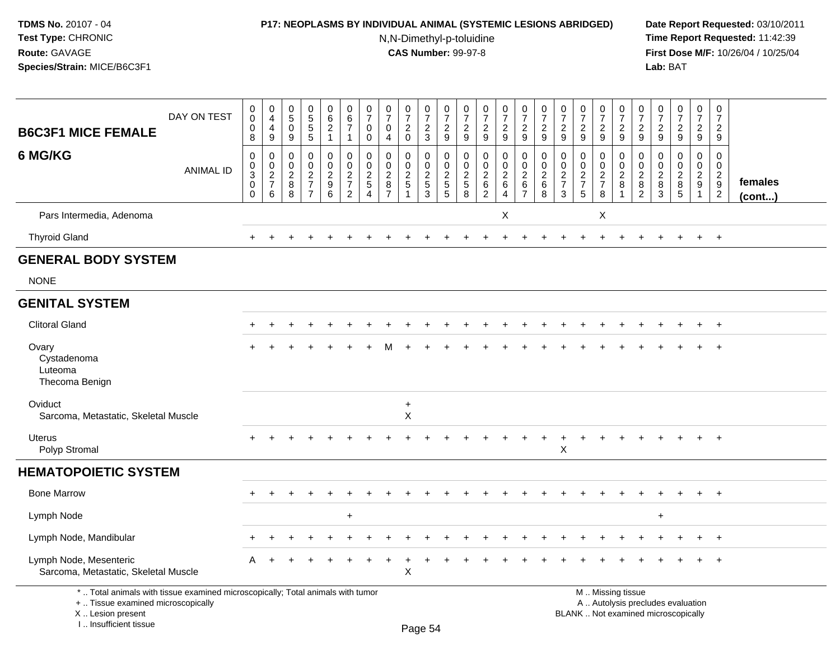### **P17: NEOPLASMS BY INDIVIDUAL ANIMAL (SYSTEMIC LESIONS ABRIDGED) Date Report Requested:** 03/10/2011

N,N-Dimethyl-p-toluidine

| <b>B6C3F1 MICE FEMALE</b>                                                                                                                                           | DAY ON TEST      | $\pmb{0}$<br>$\boldsymbol{0}$<br>$\mathbf 0$<br>8                    | $\pmb{0}$<br>$\overline{4}$<br>$\overline{4}$<br>$\boldsymbol{9}$ | $\begin{array}{c} 0 \\ 5 \end{array}$<br>$\mathbf 0$<br>9 | $\begin{array}{c} 0 \\ 5 \\ 5 \end{array}$<br>$\overline{5}$ | $_{6}^{\rm 0}$<br>$\overline{2}$<br>$\mathbf{1}$                  | $\begin{array}{c} 0 \\ 6 \\ 7 \end{array}$<br>$\mathbf{1}$    | $\begin{smallmatrix}0\\7\end{smallmatrix}$<br>$\mathbf 0$<br>0 | $\begin{array}{c} 0 \\ 7 \end{array}$<br>$\mathbf 0$<br>$\overline{4}$ | $\begin{array}{c} 0 \\ 7 \end{array}$<br>$^2_{\rm 0}$ | $\frac{0}{7}$<br>$\frac{2}{3}$                 | $\frac{0}{7}$<br>$\frac{2}{9}$       | $\begin{array}{c} 0 \\ 7 \end{array}$<br>$\overline{c}$<br>$\boldsymbol{9}$ | $\frac{0}{7}$<br>$\boldsymbol{2}$<br>$\overline{9}$                    | $\begin{array}{c} 0 \\ 7 \end{array}$<br>$\frac{2}{9}$        | $\frac{0}{7}$<br>$\frac{2}{9}$                                | $\frac{0}{7}$<br>$\boldsymbol{2}$<br>$\overline{9}$ | $\begin{array}{c} 0 \\ 7 \end{array}$<br>$\frac{2}{9}$ | $\frac{0}{7}$<br>$\overline{c}$<br>$\overline{9}$             | $\frac{0}{7}$<br>$\frac{2}{9}$               | $\frac{0}{7}$<br>$\sqrt{2}$<br>$\overline{9}$                      | $\frac{0}{7}$<br>$\frac{2}{9}$            | $\begin{array}{c} 0 \\ 7 \end{array}$<br>$\frac{2}{9}$ | $\frac{0}{7}$<br>$\overline{2}$<br>$\overline{9}$                              | $\begin{smallmatrix}0\\7\end{smallmatrix}$<br>$\frac{2}{9}$ | $\pmb{0}$<br>$\overline{7}$<br>$\overline{2}$<br>9                               |                   |
|---------------------------------------------------------------------------------------------------------------------------------------------------------------------|------------------|----------------------------------------------------------------------|-------------------------------------------------------------------|-----------------------------------------------------------|--------------------------------------------------------------|-------------------------------------------------------------------|---------------------------------------------------------------|----------------------------------------------------------------|------------------------------------------------------------------------|-------------------------------------------------------|------------------------------------------------|--------------------------------------|-----------------------------------------------------------------------------|------------------------------------------------------------------------|---------------------------------------------------------------|---------------------------------------------------------------|-----------------------------------------------------|--------------------------------------------------------|---------------------------------------------------------------|----------------------------------------------|--------------------------------------------------------------------|-------------------------------------------|--------------------------------------------------------|--------------------------------------------------------------------------------|-------------------------------------------------------------|----------------------------------------------------------------------------------|-------------------|
| 6 MG/KG                                                                                                                                                             | <b>ANIMAL ID</b> | $\mathbf 0$<br>$\mathbf 0$<br>$\mathsf 3$<br>$\mathbf 0$<br>$\Omega$ | 0<br>$\mathbf 0$<br>$\frac{2}{7}$<br>6                            | $\mathbf 0$<br>$\mathbf 0$<br>$\sqrt{2}$<br>$\,8\,$<br>8  | 0<br>$\pmb{0}$<br>$\frac{2}{7}$<br>$\overline{7}$            | 0<br>$\mathbf 0$<br>$\overline{2}$<br>$\boldsymbol{9}$<br>$\,6\,$ | $\mathbf 0$<br>$\pmb{0}$<br>$\frac{2}{7}$<br>$\boldsymbol{2}$ | $\mathbf 0$<br>$\mathbf 0$<br>$\frac{2}{5}$<br>$\overline{4}$  | $\mathbf 0$<br>$\mathbf 0$<br>$\frac{2}{8}$<br>$\overline{7}$          | 0<br>$\pmb{0}$<br>$\frac{2}{5}$<br>$\mathbf{1}$       | $\mathbf 0$<br>$\pmb{0}$<br>$\frac{2}{5}$<br>3 | 0<br>$\pmb{0}$<br>$\frac{2}{5}$<br>5 | $\mathbf 0$<br>0<br>$\frac{2}{5}$<br>8                                      | 0<br>$\pmb{0}$<br>$\boldsymbol{2}$<br>$\overline{6}$<br>$\overline{2}$ | $\mathbf 0$<br>$\mathsf 0$<br>$\frac{2}{6}$<br>$\overline{4}$ | $\mathbf 0$<br>$\mathbf 0$<br>$\frac{2}{6}$<br>$\overline{7}$ | $\mathbf 0$<br>$\mathbf 0$<br>$\frac{2}{6}$<br>8    | $\mathbf 0$<br>$\pmb{0}$<br>$\frac{2}{7}$<br>3         | $\mathbf 0$<br>$\mathbf 0$<br>$\frac{2}{7}$<br>$\overline{5}$ | 0<br>$\mathbf 0$<br>$\frac{2}{7}$<br>$\bf 8$ | 0<br>$\mathsf 0$<br>$\sqrt{2}$<br>$\overline{8}$<br>$\overline{1}$ | 0<br>0<br>$\frac{2}{8}$<br>$\overline{2}$ | $\mathbf 0$<br>$\mathbf 0$<br>$\frac{2}{8}$<br>3       | 0<br>$\mathsf{O}\xspace$<br>$\overline{c}$<br>$\overline{8}$<br>$\overline{5}$ | 0<br>$\mathbf 0$<br>$\frac{2}{9}$<br>$\overline{1}$         | $\mathbf 0$<br>$\mathbf 0$<br>$\overline{2}$<br>$\overline{9}$<br>$\overline{c}$ | females<br>(cont) |
| Pars Intermedia, Adenoma                                                                                                                                            |                  |                                                                      |                                                                   |                                                           |                                                              |                                                                   |                                                               |                                                                |                                                                        |                                                       |                                                |                                      |                                                                             |                                                                        | X                                                             |                                                               |                                                     |                                                        |                                                               | X                                            |                                                                    |                                           |                                                        |                                                                                |                                                             |                                                                                  |                   |
| <b>Thyroid Gland</b>                                                                                                                                                |                  | $+$                                                                  | ÷.                                                                |                                                           |                                                              |                                                                   |                                                               |                                                                |                                                                        |                                                       |                                                |                                      |                                                                             |                                                                        |                                                               |                                                               |                                                     |                                                        |                                                               | $\ddot{}$                                    |                                                                    |                                           |                                                        | $\div$                                                                         | $\ddot{}$                                                   | $+$                                                                              |                   |
| <b>GENERAL BODY SYSTEM</b>                                                                                                                                          |                  |                                                                      |                                                                   |                                                           |                                                              |                                                                   |                                                               |                                                                |                                                                        |                                                       |                                                |                                      |                                                                             |                                                                        |                                                               |                                                               |                                                     |                                                        |                                                               |                                              |                                                                    |                                           |                                                        |                                                                                |                                                             |                                                                                  |                   |
| <b>NONE</b>                                                                                                                                                         |                  |                                                                      |                                                                   |                                                           |                                                              |                                                                   |                                                               |                                                                |                                                                        |                                                       |                                                |                                      |                                                                             |                                                                        |                                                               |                                                               |                                                     |                                                        |                                                               |                                              |                                                                    |                                           |                                                        |                                                                                |                                                             |                                                                                  |                   |
| <b>GENITAL SYSTEM</b>                                                                                                                                               |                  |                                                                      |                                                                   |                                                           |                                                              |                                                                   |                                                               |                                                                |                                                                        |                                                       |                                                |                                      |                                                                             |                                                                        |                                                               |                                                               |                                                     |                                                        |                                                               |                                              |                                                                    |                                           |                                                        |                                                                                |                                                             |                                                                                  |                   |
| <b>Clitoral Gland</b>                                                                                                                                               |                  |                                                                      |                                                                   |                                                           |                                                              |                                                                   |                                                               |                                                                |                                                                        |                                                       |                                                |                                      |                                                                             |                                                                        |                                                               |                                                               |                                                     |                                                        |                                                               |                                              |                                                                    |                                           |                                                        |                                                                                |                                                             | $+$                                                                              |                   |
| Ovary<br>Cystadenoma<br>Luteoma<br>Thecoma Benign                                                                                                                   |                  |                                                                      |                                                                   |                                                           |                                                              |                                                                   |                                                               |                                                                |                                                                        |                                                       |                                                |                                      |                                                                             |                                                                        |                                                               |                                                               |                                                     |                                                        |                                                               |                                              |                                                                    |                                           |                                                        |                                                                                |                                                             | $\overline{+}$                                                                   |                   |
| Oviduct<br>Sarcoma, Metastatic, Skeletal Muscle                                                                                                                     |                  |                                                                      |                                                                   |                                                           |                                                              |                                                                   |                                                               |                                                                |                                                                        | $\ddot{}$<br>X                                        |                                                |                                      |                                                                             |                                                                        |                                                               |                                                               |                                                     |                                                        |                                                               |                                              |                                                                    |                                           |                                                        |                                                                                |                                                             |                                                                                  |                   |
| Uterus<br>Polyp Stromal                                                                                                                                             |                  |                                                                      |                                                                   |                                                           |                                                              |                                                                   |                                                               |                                                                |                                                                        |                                                       |                                                |                                      |                                                                             |                                                                        |                                                               |                                                               |                                                     | X                                                      |                                                               |                                              |                                                                    |                                           |                                                        |                                                                                |                                                             | $+$                                                                              |                   |
| <b>HEMATOPOIETIC SYSTEM</b>                                                                                                                                         |                  |                                                                      |                                                                   |                                                           |                                                              |                                                                   |                                                               |                                                                |                                                                        |                                                       |                                                |                                      |                                                                             |                                                                        |                                                               |                                                               |                                                     |                                                        |                                                               |                                              |                                                                    |                                           |                                                        |                                                                                |                                                             |                                                                                  |                   |
| <b>Bone Marrow</b>                                                                                                                                                  |                  |                                                                      |                                                                   |                                                           |                                                              |                                                                   |                                                               |                                                                |                                                                        |                                                       |                                                |                                      |                                                                             |                                                                        |                                                               |                                                               |                                                     |                                                        |                                                               |                                              |                                                                    |                                           |                                                        |                                                                                |                                                             | $\ddot{}$                                                                        |                   |
| Lymph Node                                                                                                                                                          |                  |                                                                      |                                                                   |                                                           |                                                              |                                                                   | $\div$                                                        |                                                                |                                                                        |                                                       |                                                |                                      |                                                                             |                                                                        |                                                               |                                                               |                                                     |                                                        |                                                               |                                              |                                                                    |                                           | $\ddot{}$                                              |                                                                                |                                                             |                                                                                  |                   |
| Lymph Node, Mandibular                                                                                                                                              |                  |                                                                      |                                                                   |                                                           |                                                              |                                                                   |                                                               |                                                                |                                                                        |                                                       |                                                |                                      |                                                                             |                                                                        |                                                               |                                                               |                                                     |                                                        |                                                               |                                              |                                                                    |                                           |                                                        |                                                                                |                                                             | $^{+}$                                                                           |                   |
| Lymph Node, Mesenteric<br>Sarcoma, Metastatic, Skeletal Muscle                                                                                                      |                  | A                                                                    |                                                                   |                                                           |                                                              |                                                                   |                                                               |                                                                |                                                                        | X                                                     |                                                |                                      |                                                                             |                                                                        |                                                               |                                                               |                                                     |                                                        |                                                               |                                              |                                                                    |                                           |                                                        |                                                                                |                                                             | $\ddot{}$                                                                        |                   |
| *  Total animals with tissue examined microscopically; Total animals with tumor<br>+  Tissue examined microscopically<br>X  Lesion present<br>I Insufficient tissue |                  |                                                                      |                                                                   |                                                           |                                                              |                                                                   |                                                               |                                                                |                                                                        |                                                       | Page 54                                        |                                      |                                                                             |                                                                        |                                                               |                                                               |                                                     |                                                        | M  Missing tissue<br>BLANK  Not examined microscopically      |                                              | A  Autolysis precludes evaluation                                  |                                           |                                                        |                                                                                |                                                             |                                                                                  |                   |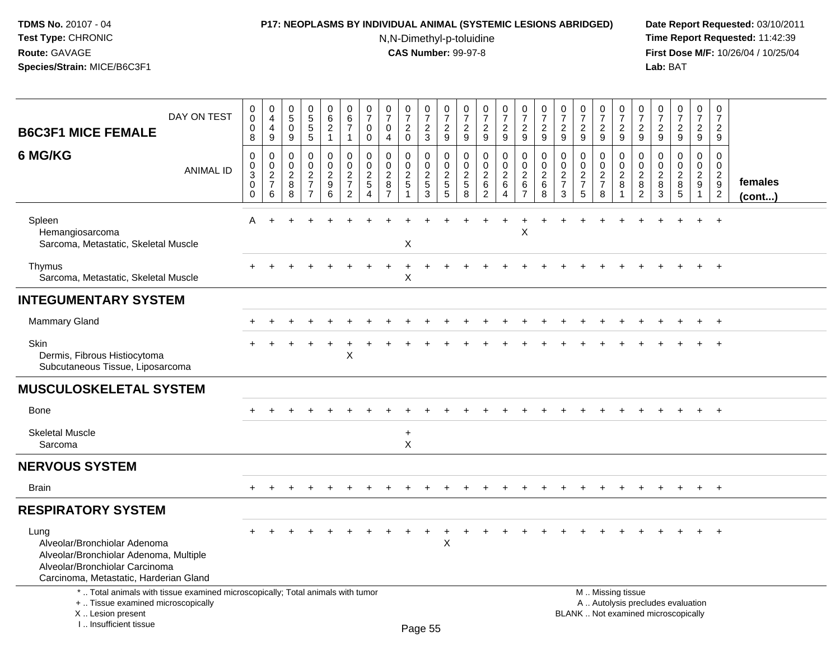### **P17: NEOPLASMS BY INDIVIDUAL ANIMAL (SYSTEMIC LESIONS ABRIDGED) Date Report Requested:** 03/10/2011

N,N-Dimethyl-p-toluidine

| DAY ON TEST<br><b>B6C3F1 MICE FEMALE</b>                                                                                                                              | 0<br>$\pmb{0}$<br>$\mathbf 0$<br>8                   | $\mathbf 0$<br>$\overline{4}$<br>$\overline{4}$<br>9 | $\pmb{0}$<br>$\overline{5}$<br>$\mathbf 0$<br>9 | $\begin{array}{c} 0 \\ 5 \end{array}$<br>$\overline{5}$<br>$\sqrt{5}$ | $\pmb{0}$<br>$6\phantom{a}$<br>$\overline{2}$<br>$\mathbf{1}$ | $\pmb{0}$<br>$\,6\,$<br>$\overline{7}$<br>$\mathbf{1}$        | 0<br>$\overline{7}$<br>$\mathbf 0$<br>0       | $\begin{smallmatrix}0\\7\end{smallmatrix}$<br>$\mathbf 0$<br>$\overline{4}$ | $\frac{0}{7}$<br>$\overline{2}$<br>$\mathbf 0$ | $\begin{smallmatrix}0\\7\end{smallmatrix}$<br>$\frac{2}{3}$ | $\frac{0}{7}$<br>$\frac{2}{9}$                 | $\begin{smallmatrix}0\\7\end{smallmatrix}$<br>$\frac{2}{9}$ | $\begin{array}{c} 0 \\ 7 \end{array}$<br>$\frac{2}{9}$        | $\frac{0}{7}$<br>$\boldsymbol{2}$<br>9           | $\frac{0}{7}$<br>$\frac{2}{9}$                            | $\begin{array}{c} 0 \\ 7 \end{array}$<br>$\overline{c}$<br>9 | 0<br>$\overline{7}$<br>$\sqrt{2}$<br>9           | $\begin{array}{c} 0 \\ 7 \end{array}$<br>$\sqrt{2}$<br>9 | $\frac{0}{7}$<br>$\boldsymbol{2}$<br>9 | $\frac{0}{7}$<br>$\frac{2}{9}$                                | 0<br>$\overline{7}$<br>$\sqrt{2}$<br>9                       | $\frac{0}{7}$<br>$\sqrt{2}$<br>9                 | $\frac{0}{7}$<br>$\overline{a}$<br>9                                     | $\pmb{0}$<br>$\overline{7}$<br>$\overline{a}$<br>9            | $\mathbf 0$<br>$\overline{7}$<br>$\sqrt{2}$<br>9 |                   |
|-----------------------------------------------------------------------------------------------------------------------------------------------------------------------|------------------------------------------------------|------------------------------------------------------|-------------------------------------------------|-----------------------------------------------------------------------|---------------------------------------------------------------|---------------------------------------------------------------|-----------------------------------------------|-----------------------------------------------------------------------------|------------------------------------------------|-------------------------------------------------------------|------------------------------------------------|-------------------------------------------------------------|---------------------------------------------------------------|--------------------------------------------------|-----------------------------------------------------------|--------------------------------------------------------------|--------------------------------------------------|----------------------------------------------------------|----------------------------------------|---------------------------------------------------------------|--------------------------------------------------------------|--------------------------------------------------|--------------------------------------------------------------------------|---------------------------------------------------------------|--------------------------------------------------|-------------------|
| 6 MG/KG<br><b>ANIMAL ID</b>                                                                                                                                           | 0<br>$\pmb{0}$<br>$\overline{3}$<br>0<br>$\mathbf 0$ | 0<br>$\mathbf 0$<br>$\frac{2}{7}$<br>6               | $\mathbf 0$<br>0<br>$\frac{2}{8}$<br>8          | $\mathbf 0$<br>$\mathbf 0$<br>$\frac{2}{7}$<br>$\overline{7}$         | $\mathbf 0$<br>$\pmb{0}$<br>$\frac{2}{9}$<br>6                | $\mathbf 0$<br>$\mathbf 0$<br>$\frac{2}{7}$<br>$\overline{2}$ | $\Omega$<br>$\mathbf 0$<br>$\frac{2}{5}$<br>4 | 0<br>$\pmb{0}$<br>$\frac{2}{8}$<br>$\overline{7}$                           | $\Omega$<br>0<br>$\frac{2}{5}$                 | 0<br>$\mathbf 0$<br>$rac{2}{3}$                             | $\mathbf 0$<br>$\pmb{0}$<br>$\frac{2}{5}$<br>5 | $\mathbf 0$<br>$\mathbf 0$<br>$\frac{2}{5}$<br>8            | $\mathbf 0$<br>$\mathbf 0$<br>$\frac{2}{6}$<br>$\overline{2}$ | $\mathbf 0$<br>$\mathbf 0$<br>$\frac{2}{6}$<br>4 | $\pmb{0}$<br>$\pmb{0}$<br>$\frac{2}{6}$<br>$\overline{7}$ | $\mathbf 0$<br>0<br>$\frac{2}{6}$<br>8                       | $\mathbf 0$<br>$\mathbf 0$<br>$\frac{2}{7}$<br>3 | $\mathbf 0$<br>$\pmb{0}$<br>$\frac{2}{7}$<br>5           | 0<br>$\pmb{0}$<br>$\frac{2}{7}$<br>8   | $\mathbf 0$<br>$\mathbf 0$<br>$\frac{2}{8}$<br>$\overline{1}$ | $\Omega$<br>$\mathbf 0$<br>$\sqrt{2}$<br>8<br>$\overline{c}$ | $\mathbf 0$<br>$\mathbf 0$<br>$\frac{2}{8}$<br>3 | $\mathbf 0$<br>0<br>$\frac{2}{8}$<br>5                                   | $\mathbf 0$<br>$\mathbf 0$<br>$\frac{2}{9}$<br>$\overline{1}$ | $\mathbf 0$<br>$\mathbf 0$<br>$\frac{2}{9}$      | females<br>(cont) |
| Spleen<br>Hemangiosarcoma<br>Sarcoma, Metastatic, Skeletal Muscle                                                                                                     | A                                                    |                                                      |                                                 |                                                                       |                                                               |                                                               |                                               |                                                                             | Χ                                              |                                                             |                                                |                                                             |                                                               |                                                  | $\mathsf{X}$                                              |                                                              |                                                  |                                                          |                                        |                                                               |                                                              |                                                  |                                                                          |                                                               | $+$                                              |                   |
| Thymus<br>Sarcoma, Metastatic, Skeletal Muscle                                                                                                                        |                                                      |                                                      |                                                 |                                                                       |                                                               |                                                               |                                               |                                                                             | $\ddot{}$<br>X                                 |                                                             |                                                |                                                             |                                                               |                                                  |                                                           |                                                              |                                                  |                                                          |                                        |                                                               |                                                              |                                                  |                                                                          |                                                               | $+$                                              |                   |
| <b>INTEGUMENTARY SYSTEM</b>                                                                                                                                           |                                                      |                                                      |                                                 |                                                                       |                                                               |                                                               |                                               |                                                                             |                                                |                                                             |                                                |                                                             |                                                               |                                                  |                                                           |                                                              |                                                  |                                                          |                                        |                                                               |                                                              |                                                  |                                                                          |                                                               |                                                  |                   |
| <b>Mammary Gland</b>                                                                                                                                                  |                                                      |                                                      |                                                 |                                                                       |                                                               |                                                               |                                               |                                                                             |                                                |                                                             |                                                |                                                             |                                                               |                                                  |                                                           |                                                              |                                                  |                                                          |                                        |                                                               |                                                              |                                                  |                                                                          |                                                               |                                                  |                   |
| Skin<br>Dermis, Fibrous Histiocytoma<br>Subcutaneous Tissue, Liposarcoma                                                                                              |                                                      |                                                      |                                                 |                                                                       |                                                               | $\mathsf X$                                                   |                                               |                                                                             |                                                |                                                             |                                                |                                                             |                                                               |                                                  |                                                           |                                                              |                                                  |                                                          |                                        |                                                               |                                                              |                                                  |                                                                          |                                                               |                                                  |                   |
| <b>MUSCULOSKELETAL SYSTEM</b>                                                                                                                                         |                                                      |                                                      |                                                 |                                                                       |                                                               |                                                               |                                               |                                                                             |                                                |                                                             |                                                |                                                             |                                                               |                                                  |                                                           |                                                              |                                                  |                                                          |                                        |                                                               |                                                              |                                                  |                                                                          |                                                               |                                                  |                   |
| <b>Bone</b>                                                                                                                                                           |                                                      |                                                      |                                                 |                                                                       |                                                               |                                                               |                                               |                                                                             |                                                |                                                             |                                                |                                                             |                                                               |                                                  |                                                           |                                                              |                                                  |                                                          |                                        |                                                               |                                                              |                                                  |                                                                          |                                                               | $+$                                              |                   |
| <b>Skeletal Muscle</b><br>Sarcoma                                                                                                                                     |                                                      |                                                      |                                                 |                                                                       |                                                               |                                                               |                                               |                                                                             | $\ddot{}$<br>X                                 |                                                             |                                                |                                                             |                                                               |                                                  |                                                           |                                                              |                                                  |                                                          |                                        |                                                               |                                                              |                                                  |                                                                          |                                                               |                                                  |                   |
| <b>NERVOUS SYSTEM</b>                                                                                                                                                 |                                                      |                                                      |                                                 |                                                                       |                                                               |                                                               |                                               |                                                                             |                                                |                                                             |                                                |                                                             |                                                               |                                                  |                                                           |                                                              |                                                  |                                                          |                                        |                                                               |                                                              |                                                  |                                                                          |                                                               |                                                  |                   |
| <b>Brain</b>                                                                                                                                                          |                                                      |                                                      |                                                 |                                                                       |                                                               |                                                               |                                               |                                                                             |                                                |                                                             |                                                |                                                             |                                                               |                                                  |                                                           |                                                              |                                                  |                                                          |                                        |                                                               |                                                              |                                                  |                                                                          | $+$                                                           | $+$                                              |                   |
| <b>RESPIRATORY SYSTEM</b>                                                                                                                                             |                                                      |                                                      |                                                 |                                                                       |                                                               |                                                               |                                               |                                                                             |                                                |                                                             |                                                |                                                             |                                                               |                                                  |                                                           |                                                              |                                                  |                                                          |                                        |                                                               |                                                              |                                                  |                                                                          |                                                               |                                                  |                   |
| Lung<br>Alveolar/Bronchiolar Adenoma<br>Alveolar/Bronchiolar Adenoma, Multiple<br>Alveolar/Bronchiolar Carcinoma<br>Carcinoma, Metastatic, Harderian Gland            |                                                      |                                                      |                                                 |                                                                       |                                                               |                                                               |                                               |                                                                             |                                                |                                                             | $\mathsf X$                                    |                                                             |                                                               |                                                  |                                                           |                                                              |                                                  |                                                          |                                        |                                                               |                                                              |                                                  |                                                                          | $+$                                                           | $+$                                              |                   |
| *  Total animals with tissue examined microscopically; Total animals with tumor<br>+  Tissue examined microscopically<br>X  Lesion present<br>L., Insufficient tissue |                                                      |                                                      |                                                 |                                                                       |                                                               |                                                               |                                               |                                                                             |                                                | Page 55                                                     |                                                |                                                             |                                                               |                                                  |                                                           |                                                              |                                                  |                                                          | M  Missing tissue                      |                                                               |                                                              |                                                  | A  Autolysis precludes evaluation<br>BLANK  Not examined microscopically |                                                               |                                                  |                   |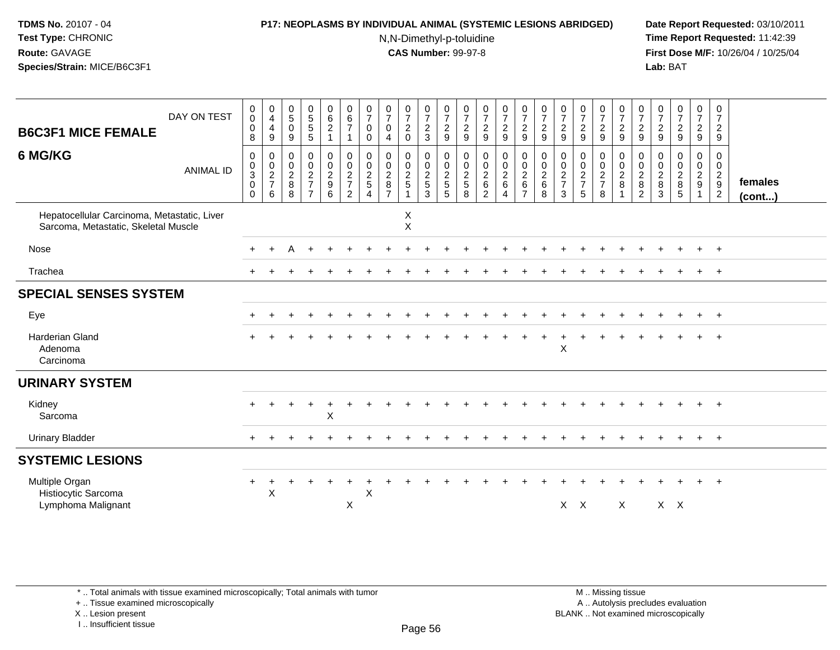### **P17: NEOPLASMS BY INDIVIDUAL ANIMAL (SYSTEMIC LESIONS ABRIDGED) Date Report Requested:** 03/10/2011

N,N-Dimethyl-p-toluidine

 **Time Report Requested:** 11:42:39 **First Dose M/F:** 10/26/04 / 10/25/04 Lab: BAT **Lab:** BAT

| <b>B6C3F1 MICE FEMALE</b>                                                           | DAY ON TEST      | $\begin{smallmatrix}0\\0\end{smallmatrix}$<br>$\mathbf 0$<br>8    | $\begin{smallmatrix}0\0\4\end{smallmatrix}$<br>$\overline{4}$<br>9 | $\begin{array}{c} 0 \\ 5 \end{array}$<br>$\mathbf 0$<br>$9\,$ | $\begin{matrix} 0 \\ 5 \end{matrix}$<br>$\frac{5}{5}$                        | $\begin{array}{c} 0 \\ 6 \end{array}$<br>$\sqrt{2}$<br>1                               | $\begin{array}{c} 0 \\ 6 \end{array}$<br>$\overline{7}$<br>$\mathbf{1}$ | $\frac{0}{7}$<br>$\mathbf 0$<br>$\mathbf 0$      | $\frac{0}{7}$<br>$\mathbf 0$<br>4                                  | $\frac{0}{7}$<br>$\sqrt{2}$<br>$\mathbf 0$      | $\frac{0}{7}$<br>$\frac{2}{3}$                | $\frac{0}{7}$<br>$\frac{2}{9}$            | $\frac{0}{7}$<br>$\sqrt{2}$<br>$\boldsymbol{9}$ | $\frac{0}{7}$<br>$\sqrt{2}$<br>$\boldsymbol{9}$           | $\frac{0}{7}$<br>$\frac{2}{9}$                              | $\frac{0}{7}$<br>$\frac{2}{9}$                         | $\frac{0}{7}$<br>$\boldsymbol{2}$<br>9    | $\frac{0}{7}$<br>$\sqrt{2}$<br>$\boldsymbol{9}$                  | $\frac{0}{7}$<br>$\overline{c}$<br>9   | $\frac{0}{7}$<br>$\frac{2}{9}$                               | $\frac{0}{7}$<br>$\frac{2}{9}$              | $\frac{0}{7}$<br>$\overline{c}$<br>9                         | $\frac{0}{7}$<br>$\overline{c}$<br>$9\,$                            | 0<br>7<br>$\frac{2}{9}$ | $\frac{0}{7}$<br>$\frac{2}{9}$                           | 0<br>$\overline{7}$<br>$\overline{c}$<br>$\boldsymbol{9}$      |                   |
|-------------------------------------------------------------------------------------|------------------|-------------------------------------------------------------------|--------------------------------------------------------------------|---------------------------------------------------------------|------------------------------------------------------------------------------|----------------------------------------------------------------------------------------|-------------------------------------------------------------------------|--------------------------------------------------|--------------------------------------------------------------------|-------------------------------------------------|-----------------------------------------------|-------------------------------------------|-------------------------------------------------|-----------------------------------------------------------|-------------------------------------------------------------|--------------------------------------------------------|-------------------------------------------|------------------------------------------------------------------|----------------------------------------|--------------------------------------------------------------|---------------------------------------------|--------------------------------------------------------------|---------------------------------------------------------------------|-------------------------|----------------------------------------------------------|----------------------------------------------------------------|-------------------|
| 6 MG/KG                                                                             | <b>ANIMAL ID</b> | $\mathbf 0$<br>$\pmb{0}$<br>$\sqrt{3}$<br>$\mathsf 0$<br>$\Omega$ | 0<br>$\pmb{0}$<br>$\frac{2}{7}$<br>6                               | $\mathbf 0$<br>$\boldsymbol{0}$<br>$\overline{c}$<br>8<br>8   | $\mathbf 0$<br>$\mathbf 0$<br>$\sqrt{2}$<br>$\overline{7}$<br>$\overline{7}$ | $\mathbf 0$<br>$\ddot{\mathbf{0}}$<br>$\sqrt{2}$<br>$\boldsymbol{9}$<br>$6\phantom{1}$ | 0<br>$\pmb{0}$<br>$\overline{c}$<br>$\overline{7}$<br>$\overline{c}$    | $\Omega$<br>0<br>$\frac{2}{5}$<br>$\overline{4}$ | $\mathbf 0$<br>$\boldsymbol{0}$<br>$\frac{2}{8}$<br>$\overline{7}$ | 0<br>$\pmb{0}$<br>$\frac{2}{5}$<br>$\mathbf{1}$ | $\Omega$<br>$\mathbf 0$<br>$\frac{2}{5}$<br>3 | $\Omega$<br>0<br>$\overline{c}$<br>5<br>5 | $\mathbf 0$<br>0<br>$\frac{2}{5}$<br>8          | 0<br>$\pmb{0}$<br>$\sqrt{2}$<br>$\,6\,$<br>$\overline{c}$ | 0<br>$\ddot{\mathbf{0}}$<br>$\frac{2}{6}$<br>$\overline{4}$ | 0<br>$\overline{0}$<br>$\frac{2}{6}$<br>$\overline{7}$ | $\Omega$<br>0<br>$\overline{c}$<br>6<br>8 | $\Omega$<br>$\pmb{0}$<br>$\boldsymbol{2}$<br>$\overline{7}$<br>3 | 0<br>$\mathbf 0$<br>$\frac{2}{7}$<br>5 | $\Omega$<br>$\mathbf 0$<br>$\sqrt{2}$<br>$\overline{7}$<br>8 | $\Omega$<br>$\frac{0}{2}$<br>$\overline{1}$ | $\Omega$<br>0<br>$\overline{2}$<br>$\bf 8$<br>$\overline{2}$ | $\Omega$<br>0<br>$\overline{2}$<br>$\boldsymbol{8}$<br>$\mathbf{3}$ | 0<br>0<br>$_{8}^2$<br>5 | $\Omega$<br>$\mathbf 0$<br>$\frac{2}{9}$<br>$\mathbf{1}$ | 0<br>0<br>$\overline{a}$<br>$\boldsymbol{9}$<br>$\overline{c}$ | females<br>(cont) |
| Hepatocellular Carcinoma, Metastatic, Liver<br>Sarcoma, Metastatic, Skeletal Muscle |                  |                                                                   |                                                                    |                                                               |                                                                              |                                                                                        |                                                                         |                                                  |                                                                    | $\mathsf X$<br>$\mathsf X$                      |                                               |                                           |                                                 |                                                           |                                                             |                                                        |                                           |                                                                  |                                        |                                                              |                                             |                                                              |                                                                     |                         |                                                          |                                                                |                   |
| Nose                                                                                |                  |                                                                   |                                                                    |                                                               |                                                                              |                                                                                        |                                                                         |                                                  |                                                                    |                                                 |                                               |                                           |                                                 |                                                           |                                                             |                                                        |                                           |                                                                  |                                        |                                                              |                                             |                                                              |                                                                     |                         |                                                          | $\overline{+}$                                                 |                   |
| Trachea                                                                             |                  |                                                                   |                                                                    |                                                               |                                                                              |                                                                                        |                                                                         |                                                  |                                                                    |                                                 |                                               |                                           |                                                 |                                                           |                                                             |                                                        |                                           |                                                                  |                                        |                                                              |                                             |                                                              |                                                                     |                         |                                                          | $+$                                                            |                   |
| <b>SPECIAL SENSES SYSTEM</b>                                                        |                  |                                                                   |                                                                    |                                                               |                                                                              |                                                                                        |                                                                         |                                                  |                                                                    |                                                 |                                               |                                           |                                                 |                                                           |                                                             |                                                        |                                           |                                                                  |                                        |                                                              |                                             |                                                              |                                                                     |                         |                                                          |                                                                |                   |
| Eye                                                                                 |                  |                                                                   |                                                                    |                                                               |                                                                              |                                                                                        |                                                                         |                                                  |                                                                    |                                                 |                                               |                                           |                                                 |                                                           |                                                             |                                                        |                                           |                                                                  |                                        |                                                              |                                             |                                                              |                                                                     |                         | $+$                                                      | $+$                                                            |                   |
| <b>Harderian Gland</b><br>Adenoma<br>Carcinoma                                      |                  |                                                                   |                                                                    |                                                               |                                                                              |                                                                                        |                                                                         |                                                  |                                                                    |                                                 |                                               |                                           |                                                 |                                                           |                                                             |                                                        |                                           | X                                                                |                                        |                                                              |                                             |                                                              |                                                                     |                         | $+$                                                      | $+$                                                            |                   |
| <b>URINARY SYSTEM</b>                                                               |                  |                                                                   |                                                                    |                                                               |                                                                              |                                                                                        |                                                                         |                                                  |                                                                    |                                                 |                                               |                                           |                                                 |                                                           |                                                             |                                                        |                                           |                                                                  |                                        |                                                              |                                             |                                                              |                                                                     |                         |                                                          |                                                                |                   |
| Kidney<br>Sarcoma                                                                   |                  |                                                                   |                                                                    |                                                               |                                                                              | $\times$                                                                               |                                                                         |                                                  |                                                                    |                                                 |                                               |                                           |                                                 |                                                           |                                                             |                                                        |                                           |                                                                  |                                        |                                                              |                                             |                                                              |                                                                     |                         | $+$                                                      | $+$                                                            |                   |
| <b>Urinary Bladder</b>                                                              |                  |                                                                   |                                                                    |                                                               |                                                                              |                                                                                        |                                                                         |                                                  |                                                                    |                                                 |                                               |                                           |                                                 |                                                           |                                                             |                                                        |                                           |                                                                  |                                        |                                                              |                                             |                                                              |                                                                     |                         | $+$                                                      | $+$                                                            |                   |
| <b>SYSTEMIC LESIONS</b>                                                             |                  |                                                                   |                                                                    |                                                               |                                                                              |                                                                                        |                                                                         |                                                  |                                                                    |                                                 |                                               |                                           |                                                 |                                                           |                                                             |                                                        |                                           |                                                                  |                                        |                                                              |                                             |                                                              |                                                                     |                         |                                                          |                                                                |                   |
| Multiple Organ<br>Histiocytic Sarcoma<br>Lymphoma Malignant                         |                  |                                                                   | $\times$                                                           |                                                               |                                                                              |                                                                                        | X                                                                       | X                                                |                                                                    |                                                 |                                               |                                           |                                                 |                                                           |                                                             |                                                        |                                           | $X$ $X$                                                          |                                        |                                                              | $\mathsf{X}$                                |                                                              | $X$ $X$                                                             |                         |                                                          | $+$                                                            |                   |

+ .. Tissue examined microscopically

X .. Lesion present

I .. Insufficient tissue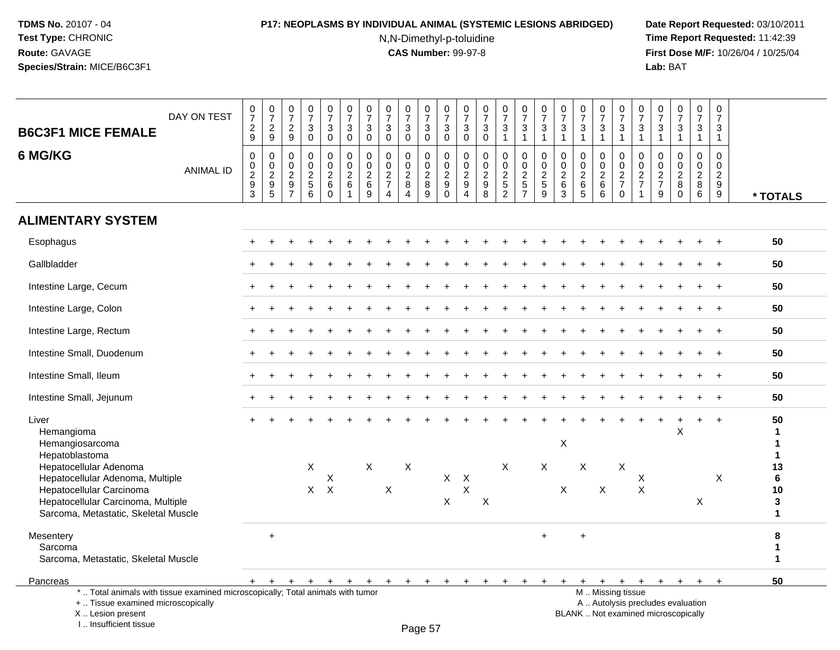# **P17: NEOPLASMS BY INDIVIDUAL ANIMAL (SYSTEMIC LESIONS ABRIDGED) Date Report Requested:** 03/10/2011

N,N-Dimethyl-p-toluidine

| <b>B6C3F1 MICE FEMALE</b>                                                                                                                                            | DAY ON TEST      | $\frac{0}{7}$<br>$\sqrt{2}$<br>9                                                           | $\begin{array}{c} 0 \\ 7 \end{array}$<br>$\frac{2}{9}$                                  | $\frac{0}{7}$<br>$\frac{2}{9}$                                                    | $\frac{0}{7}$<br>$\ensuremath{\mathsf{3}}$<br>$\pmb{0}$                             | $\begin{smallmatrix}0\\7\end{smallmatrix}$<br>$\mathbf{3}$<br>$\mathbf 0$ | $\frac{0}{7}$<br>$\ensuremath{\mathsf{3}}$<br>$\mathbf 0$ | $\frac{0}{7}$<br>$\ensuremath{\mathsf{3}}$<br>$\mathbf 0$      | $\frac{0}{7}$<br>$\mathfrak{Z}$<br>$\mathbf 0$                                    | $\frac{0}{7}$<br>$\ensuremath{\mathsf{3}}$<br>$\mathbf 0$   | 0<br>$\overline{7}$<br>$\ensuremath{\mathsf{3}}$<br>$\mathsf{O}\xspace$ | $\frac{0}{7}$<br>3<br>0                                              | $\begin{smallmatrix}0\\7\end{smallmatrix}$<br>$\mathfrak{Z}$<br>$\mathbf 0$ | $\frac{0}{7}$<br>$_{\rm 0}^3$                                      | $\frac{0}{7}$<br>$\ensuremath{\mathsf{3}}$<br>$\mathbf{1}$ | $\frac{0}{7}$<br>$\frac{3}{1}$                         | $\frac{0}{7}$<br>$\ensuremath{\mathsf{3}}$<br>$\mathbf{1}$                | 0<br>$\overline{7}$<br>$\ensuremath{\mathsf{3}}$<br>$\mathbf{1}$ | $\frac{0}{7}$<br>3<br>$\mathbf{1}$                         | $\frac{0}{7}$<br>$\ensuremath{\mathsf{3}}$<br>$\mathbf{1}$        | $\frac{0}{7}$<br>$\ensuremath{\mathsf{3}}$<br>$\mathbf{1}$                                    | 0<br>$\overline{7}$<br>$\ensuremath{\mathsf{3}}$<br>$\mathbf{1}$ | $\frac{0}{7}$<br>$\ensuremath{\mathsf{3}}$<br>$\mathbf{1}$                        | $\begin{smallmatrix}0\\7\end{smallmatrix}$<br>$\ensuremath{\mathsf{3}}$<br>$\mathbf{1}$ | 0<br>$\overline{7}$<br>3<br>$\mathbf{1}$            | 0<br>$\overline{7}$<br>3<br>$\mathbf{1}$                         |                                         |
|----------------------------------------------------------------------------------------------------------------------------------------------------------------------|------------------|--------------------------------------------------------------------------------------------|-----------------------------------------------------------------------------------------|-----------------------------------------------------------------------------------|-------------------------------------------------------------------------------------|---------------------------------------------------------------------------|-----------------------------------------------------------|----------------------------------------------------------------|-----------------------------------------------------------------------------------|-------------------------------------------------------------|-------------------------------------------------------------------------|----------------------------------------------------------------------|-----------------------------------------------------------------------------|--------------------------------------------------------------------|------------------------------------------------------------|--------------------------------------------------------|---------------------------------------------------------------------------|------------------------------------------------------------------|------------------------------------------------------------|-------------------------------------------------------------------|-----------------------------------------------------------------------------------------------|------------------------------------------------------------------|-----------------------------------------------------------------------------------|-----------------------------------------------------------------------------------------|-----------------------------------------------------|------------------------------------------------------------------|-----------------------------------------|
| 6 MG/KG                                                                                                                                                              | <b>ANIMAL ID</b> | $\mathsf{O}\xspace$<br>$\mathbf 0$<br>$\overline{2}$<br>$\boldsymbol{9}$<br>$\overline{3}$ | $\boldsymbol{0}$<br>$\mathbf 0$<br>$\overline{2}$<br>$\boldsymbol{9}$<br>$\overline{5}$ | $\Omega$<br>$\mathsf 0$<br>$\boldsymbol{2}$<br>$\boldsymbol{9}$<br>$\overline{7}$ | $\Omega$<br>$\mathsf{O}$<br>$\overline{2}$<br>$\begin{array}{c} 5 \\ 6 \end{array}$ | $\mathsf 0$<br>$\mathbf 0$<br>$\overline{c}$<br>6<br>$\mathbf 0$          | $\Omega$<br>$\pmb{0}$<br>$\overline{2}$<br>$\,6\,$        | $\mathbf{0}$<br>$\mathbf 0$<br>$\frac{2}{6}$<br>$\overline{9}$ | $\Omega$<br>$\mathbf 0$<br>$\sqrt{2}$<br>$\overline{7}$<br>$\boldsymbol{\Lambda}$ | 0<br>$\mathsf{O}\xspace$<br>$\frac{2}{8}$<br>$\overline{4}$ | $\Omega$<br>$\mathbf 0$<br>$\overline{2}$<br>8<br>$\mathsf g$           | 0<br>$\mathsf{O}\xspace$<br>$\boldsymbol{2}$<br>$9\,$<br>$\mathbf 0$ | 0<br>$\mathbf 0$<br>$\overline{c}$<br>9<br>$\boldsymbol{\Lambda}$           | 0<br>$\pmb{0}$<br>$\sqrt{2}$<br>$\boldsymbol{9}$<br>$\overline{8}$ | 0<br>$\mathbf 0$<br>$\sqrt{2}$<br>$\frac{5}{2}$            | $\Omega$<br>$\mathbf 0$<br>$\sqrt{2}$<br>$\frac{5}{7}$ | $\Omega$<br>$\mathbf 0$<br>$\overline{c}$<br>$\sqrt{5}$<br>$\overline{9}$ | $\Omega$<br>$\mathbf 0$<br>$\sqrt{2}$<br>$\,6\,$<br>3            | $\Omega$<br>$\mathbf 0$<br>$\frac{2}{6}$<br>$\overline{5}$ | $\Omega$<br>$\mathsf{O}$<br>$\overline{2}$<br>6<br>$\overline{6}$ | $\Omega$<br>$\mathsf{O}\xspace$<br>$\frac{2}{7}$<br>$\pmb{0}$                                 | $\Omega$<br>0<br>$\sqrt{2}$<br>$\overline{7}$                    | $\mathbf{0}$<br>$\mathbf 0$<br>$\overline{2}$<br>$\overline{7}$<br>$\overline{9}$ | 0<br>$\mathbf 0$<br>$\frac{2}{8}$<br>$\overline{0}$                                     | $\Omega$<br>$\mathbf 0$<br>$\overline{2}$<br>8<br>6 | $\Omega$<br>$\mathbf 0$<br>$\overline{c}$<br>9<br>$\overline{9}$ | * TOTALS                                |
| <b>ALIMENTARY SYSTEM</b>                                                                                                                                             |                  |                                                                                            |                                                                                         |                                                                                   |                                                                                     |                                                                           |                                                           |                                                                |                                                                                   |                                                             |                                                                         |                                                                      |                                                                             |                                                                    |                                                            |                                                        |                                                                           |                                                                  |                                                            |                                                                   |                                                                                               |                                                                  |                                                                                   |                                                                                         |                                                     |                                                                  |                                         |
| Esophagus                                                                                                                                                            |                  |                                                                                            |                                                                                         |                                                                                   |                                                                                     |                                                                           |                                                           |                                                                |                                                                                   |                                                             |                                                                         |                                                                      |                                                                             |                                                                    |                                                            |                                                        |                                                                           |                                                                  |                                                            |                                                                   |                                                                                               |                                                                  |                                                                                   |                                                                                         |                                                     |                                                                  | 50                                      |
| Gallbladder                                                                                                                                                          |                  |                                                                                            |                                                                                         |                                                                                   |                                                                                     |                                                                           |                                                           |                                                                |                                                                                   |                                                             |                                                                         |                                                                      |                                                                             |                                                                    |                                                            |                                                        |                                                                           |                                                                  |                                                            |                                                                   |                                                                                               |                                                                  |                                                                                   |                                                                                         |                                                     |                                                                  | 50                                      |
| Intestine Large, Cecum                                                                                                                                               |                  |                                                                                            |                                                                                         |                                                                                   |                                                                                     |                                                                           |                                                           |                                                                |                                                                                   |                                                             |                                                                         |                                                                      |                                                                             |                                                                    |                                                            |                                                        |                                                                           |                                                                  |                                                            |                                                                   |                                                                                               |                                                                  |                                                                                   |                                                                                         |                                                     |                                                                  | 50                                      |
| Intestine Large, Colon                                                                                                                                               |                  |                                                                                            |                                                                                         |                                                                                   |                                                                                     |                                                                           |                                                           |                                                                |                                                                                   |                                                             |                                                                         |                                                                      |                                                                             |                                                                    |                                                            |                                                        |                                                                           |                                                                  |                                                            |                                                                   |                                                                                               |                                                                  |                                                                                   |                                                                                         |                                                     |                                                                  | 50                                      |
| Intestine Large, Rectum                                                                                                                                              |                  |                                                                                            |                                                                                         |                                                                                   |                                                                                     |                                                                           |                                                           |                                                                |                                                                                   |                                                             |                                                                         |                                                                      |                                                                             |                                                                    |                                                            |                                                        |                                                                           |                                                                  |                                                            |                                                                   |                                                                                               |                                                                  |                                                                                   |                                                                                         |                                                     |                                                                  | 50                                      |
| Intestine Small, Duodenum                                                                                                                                            |                  |                                                                                            |                                                                                         |                                                                                   |                                                                                     |                                                                           |                                                           |                                                                |                                                                                   |                                                             |                                                                         |                                                                      |                                                                             |                                                                    |                                                            |                                                        |                                                                           |                                                                  |                                                            |                                                                   |                                                                                               |                                                                  |                                                                                   |                                                                                         |                                                     |                                                                  | 50                                      |
| Intestine Small, Ileum                                                                                                                                               |                  |                                                                                            |                                                                                         |                                                                                   |                                                                                     |                                                                           |                                                           |                                                                |                                                                                   |                                                             |                                                                         |                                                                      |                                                                             |                                                                    |                                                            |                                                        |                                                                           |                                                                  |                                                            |                                                                   |                                                                                               |                                                                  |                                                                                   |                                                                                         |                                                     |                                                                  | 50                                      |
| Intestine Small, Jejunum                                                                                                                                             |                  |                                                                                            |                                                                                         |                                                                                   |                                                                                     |                                                                           |                                                           |                                                                |                                                                                   |                                                             |                                                                         |                                                                      |                                                                             |                                                                    |                                                            |                                                        |                                                                           |                                                                  |                                                            |                                                                   |                                                                                               |                                                                  |                                                                                   |                                                                                         |                                                     | $\ddot{}$                                                        | 50                                      |
| Liver<br>Hemangioma<br>Hemangiosarcoma<br>Hepatoblastoma                                                                                                             |                  |                                                                                            |                                                                                         |                                                                                   |                                                                                     |                                                                           |                                                           |                                                                |                                                                                   |                                                             |                                                                         |                                                                      |                                                                             |                                                                    |                                                            |                                                        |                                                                           | $\boldsymbol{\mathsf{X}}$                                        |                                                            |                                                                   |                                                                                               |                                                                  |                                                                                   | X                                                                                       | $+$                                                 | $\ddot{}$                                                        | 50<br>1<br>$\mathbf{1}$<br>$\mathbf{1}$ |
| Hepatocellular Adenoma<br>Hepatocellular Adenoma, Multiple<br>Hepatocellular Carcinoma<br>Hepatocellular Carcinoma, Multiple<br>Sarcoma, Metastatic, Skeletal Muscle |                  |                                                                                            |                                                                                         |                                                                                   | X                                                                                   | X<br>$X$ $X$                                                              |                                                           | X                                                              | $\sf X$                                                                           | X                                                           |                                                                         | $\mathsf X$<br>$\mathsf{X}$                                          | $\mathsf{X}$<br>X                                                           | X                                                                  | X                                                          |                                                        | X                                                                         | $\mathsf{X}$                                                     | X                                                          | $\sf X$                                                           | X                                                                                             | X<br>$\times$                                                    |                                                                                   |                                                                                         | $\sf X$                                             | $\times$                                                         | 13<br>6<br>10<br>${\bf 3}$<br>1         |
| Mesentery<br>Sarcoma<br>Sarcoma, Metastatic, Skeletal Muscle                                                                                                         |                  |                                                                                            | $+$                                                                                     |                                                                                   |                                                                                     |                                                                           |                                                           |                                                                |                                                                                   |                                                             |                                                                         |                                                                      |                                                                             |                                                                    |                                                            |                                                        | $+$                                                                       |                                                                  | $\ddot{}$                                                  |                                                                   |                                                                                               |                                                                  |                                                                                   |                                                                                         |                                                     |                                                                  | 8<br>1<br>1                             |
| Pancreas                                                                                                                                                             |                  |                                                                                            |                                                                                         |                                                                                   |                                                                                     |                                                                           |                                                           |                                                                | $\ddot{}$                                                                         | $\ddot{}$                                                   |                                                                         |                                                                      |                                                                             |                                                                    |                                                            |                                                        |                                                                           |                                                                  |                                                            | $+$                                                               | $+$                                                                                           | $+$                                                              | $+$                                                                               | $+$                                                                                     | $+$                                                 |                                                                  | 50                                      |
| *  Total animals with tissue examined microscopically; Total animals with tumor<br>+  Tissue examined microscopically<br>X  Lesion present<br>I Insufficient tissue  |                  |                                                                                            |                                                                                         |                                                                                   |                                                                                     |                                                                           |                                                           |                                                                |                                                                                   |                                                             | $D_{200}$ $E7$                                                          |                                                                      |                                                                             |                                                                    |                                                            |                                                        |                                                                           |                                                                  |                                                            |                                                                   | M  Missing tissue<br>A  Autolysis precludes evaluation<br>BLANK  Not examined microscopically |                                                                  |                                                                                   |                                                                                         |                                                     |                                                                  |                                         |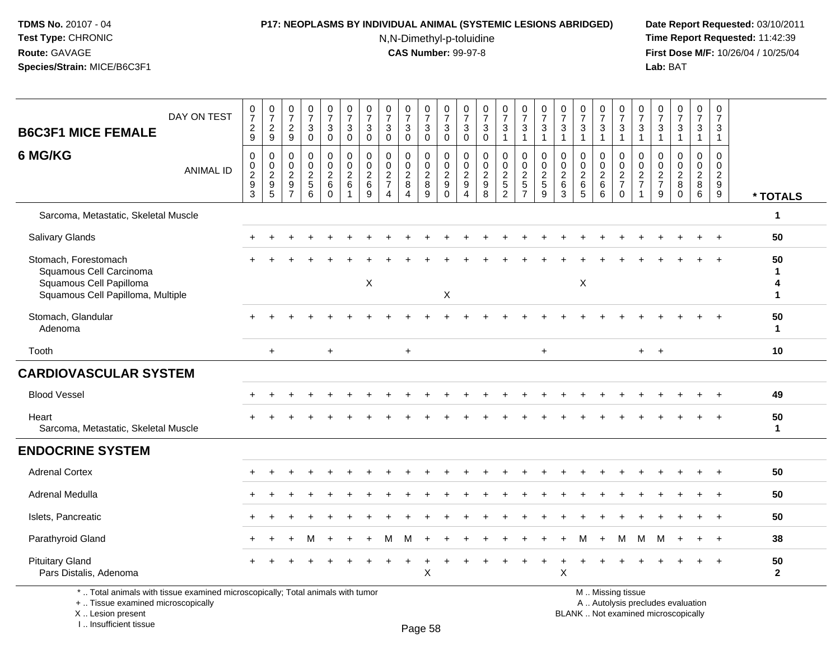#### **P17: NEOPLASMS BY INDIVIDUAL ANIMAL (SYSTEMIC LESIONS ABRIDGED) Date Report Requested:** 03/10/2011

N,N-Dimethyl-p-toluidine

 **Time Report Requested:** 11:42:39 **First Dose M/F:** 10/26/04 / 10/25/04 Lab: BAT **Lab:** BAT

| <b>B6C3F1 MICE FEMALE</b><br>6 MG/KG                                                                            | DAY ON TEST      | $\frac{0}{7}$<br>$\frac{2}{9}$<br>$\mathbf 0$ | $\frac{0}{7}$<br>$\frac{2}{9}$<br>$\mathbf 0$                | $\frac{0}{7}$<br>$\frac{2}{9}$<br>$\mathbf 0$          | $\frac{0}{7}$<br>3<br>$\mathbf 0$<br>$\mathbf 0$ | $\frac{0}{7}$<br>3<br>$\mathbf 0$<br>0 | $\frac{0}{7}$<br>$\sqrt{3}$<br>$\mathbf 0$<br>$\mathbf 0$ | $\frac{0}{7}$<br>$\mathbf{3}$<br>$\mathbf 0$<br>$\mathbf 0$ | $\frac{0}{7}$<br>$\mathbf{3}$<br>$\mathbf 0$<br>$\mathbf 0$ | $\frac{0}{7}$<br>3<br>$\mathbf 0$<br>0 | $\begin{array}{c} 0 \\ 7 \end{array}$<br>3<br>$\mathbf 0$<br>$\mathbf 0$ | $\begin{array}{c} 0 \\ 7 \end{array}$<br>$\ensuremath{\mathsf{3}}$<br>$\mathbf 0$<br>0 | $\frac{0}{7}$<br>$\mathbf{3}$<br>$\mathbf 0$<br>0                 | $\begin{smallmatrix}0\\7\end{smallmatrix}$<br>$\sqrt{3}$<br>$\mathbf 0$<br>$\mathbf 0$ | $\frac{0}{7}$<br>3<br>$\mathbf 0$              | $\frac{0}{7}$<br>3<br>$\overline{1}$<br>0 | $\frac{0}{7}$<br>$\sqrt{3}$<br>$\mathbf{1}$<br>$\mathbf 0$   | $\frac{0}{7}$<br>$\mathbf{3}$<br>$\overline{1}$<br>$\mathbf 0$ | $\frac{0}{7}$<br>$\mathbf{3}$<br>$\overline{1}$<br>$\mathbf 0$ | $\frac{0}{7}$<br>$\sqrt{3}$<br>$\mathbf{1}$<br>0 | $\frac{0}{7}$<br>$\ensuremath{\mathsf{3}}$<br>$\mathbf{1}$<br>0 | $\frac{0}{7}$<br>3<br>$\mathbf{1}$<br>0 | $\frac{0}{7}$<br>3<br>$\mathbf 1$<br>$\Omega$ | $\frac{0}{7}$<br>$\sqrt{3}$<br>$\mathbf{1}$<br>$\mathbf 0$ | $\frac{0}{7}$<br>$\mathbf{3}$<br>$\mathbf{1}$<br>0 | $\mathbf 0$<br>$\overline{7}$<br>3<br>$\mathbf{1}$<br>$\mathbf 0$ |                    |
|-----------------------------------------------------------------------------------------------------------------|------------------|-----------------------------------------------|--------------------------------------------------------------|--------------------------------------------------------|--------------------------------------------------|----------------------------------------|-----------------------------------------------------------|-------------------------------------------------------------|-------------------------------------------------------------|----------------------------------------|--------------------------------------------------------------------------|----------------------------------------------------------------------------------------|-------------------------------------------------------------------|----------------------------------------------------------------------------------------|------------------------------------------------|-------------------------------------------|--------------------------------------------------------------|----------------------------------------------------------------|----------------------------------------------------------------|--------------------------------------------------|-----------------------------------------------------------------|-----------------------------------------|-----------------------------------------------|------------------------------------------------------------|----------------------------------------------------|-------------------------------------------------------------------|--------------------|
|                                                                                                                 | <b>ANIMAL ID</b> | $\frac{0}{2}$<br>$\mathbf{3}$                 | $\begin{array}{c} 0 \\ 2 \\ 9 \end{array}$<br>$\overline{5}$ | $\mathsf{O}\xspace$<br>$\frac{2}{9}$<br>$\overline{7}$ | $\mathsf 0$<br>$\overline{2}$<br>5<br>6          | $\frac{0}{2}$<br>6<br>$\mathbf 0$      | $\frac{0}{2}$<br>$\mathbf 1$                              | $\mathbf 0$<br>$\frac{2}{6}$<br>9                           | $\mathbf 0$<br>$\overline{2}$<br>$\overline{7}$<br>4        | $\pmb{0}$<br>$\frac{2}{8}$<br>4        | $\frac{0}{2}$<br>$\overline{9}$                                          | $\pmb{0}$<br>$\frac{2}{9}$<br>$\ddot{\mathbf{0}}$                                      | $\begin{smallmatrix} 0\\2\\9 \end{smallmatrix}$<br>$\overline{4}$ | $\mathbf 0$<br>$\frac{2}{9}$<br>$\overline{8}$                                         | $\mathbf 0$<br>$\frac{2}{5}$<br>$\overline{2}$ | $\frac{0}{2}$<br>$\overline{7}$           | $\begin{array}{c} 0 \\ 2 \\ 5 \end{array}$<br>$\overline{9}$ | $\mathbf 0$<br>$\frac{2}{6}$<br>$\mathbf{3}$                   | $\mathbf 0$<br>$\overline{2}$<br>$\,6\,$<br>5                  | $\boldsymbol{0}$<br>$\frac{2}{6}$<br>6           | $\frac{0}{2}$<br>$\mathbf 0$                                    | 0<br>$\frac{2}{7}$<br>$\mathbf{1}$      | 0<br>$\frac{2}{7}$<br>9                       | $\frac{0}{2}$<br>$\mathbf 0$                               | $\mathbf 0$<br>$\frac{2}{8}$<br>$6^{\circ}$        | $\mathbf 0$<br>$\overline{2}$<br>$9\,$<br>$\overline{9}$          | * TOTALS           |
| Sarcoma, Metastatic, Skeletal Muscle                                                                            |                  |                                               |                                                              |                                                        |                                                  |                                        |                                                           |                                                             |                                                             |                                        |                                                                          |                                                                                        |                                                                   |                                                                                        |                                                |                                           |                                                              |                                                                |                                                                |                                                  |                                                                 |                                         |                                               |                                                            |                                                    |                                                                   | $\mathbf{1}$       |
| <b>Salivary Glands</b>                                                                                          |                  |                                               |                                                              |                                                        |                                                  |                                        |                                                           |                                                             |                                                             |                                        |                                                                          |                                                                                        |                                                                   |                                                                                        |                                                |                                           |                                                              |                                                                |                                                                |                                                  |                                                                 |                                         |                                               |                                                            |                                                    |                                                                   | 50                 |
| Stomach, Forestomach<br>Squamous Cell Carcinoma<br>Squamous Cell Papilloma<br>Squamous Cell Papilloma, Multiple |                  |                                               |                                                              |                                                        |                                                  |                                        |                                                           | $\sf X$                                                     |                                                             |                                        |                                                                          | X                                                                                      |                                                                   |                                                                                        |                                                |                                           |                                                              |                                                                | $\mathsf X$                                                    |                                                  |                                                                 |                                         |                                               |                                                            |                                                    |                                                                   | 50<br>$\mathbf 1$  |
| Stomach, Glandular<br>Adenoma                                                                                   |                  |                                               |                                                              |                                                        |                                                  |                                        |                                                           |                                                             |                                                             |                                        |                                                                          |                                                                                        |                                                                   |                                                                                        |                                                |                                           |                                                              |                                                                |                                                                |                                                  |                                                                 |                                         |                                               |                                                            |                                                    |                                                                   | 50<br>$\mathbf{1}$ |
| Tooth                                                                                                           |                  |                                               | $+$                                                          |                                                        |                                                  | $+$                                    |                                                           |                                                             |                                                             | $\ddot{}$                              |                                                                          |                                                                                        |                                                                   |                                                                                        |                                                |                                           | $+$                                                          |                                                                |                                                                |                                                  |                                                                 | $+$                                     | $+$                                           |                                                            |                                                    |                                                                   | 10                 |
| <b>CARDIOVASCULAR SYSTEM</b>                                                                                    |                  |                                               |                                                              |                                                        |                                                  |                                        |                                                           |                                                             |                                                             |                                        |                                                                          |                                                                                        |                                                                   |                                                                                        |                                                |                                           |                                                              |                                                                |                                                                |                                                  |                                                                 |                                         |                                               |                                                            |                                                    |                                                                   |                    |
| <b>Blood Vessel</b>                                                                                             |                  |                                               |                                                              |                                                        |                                                  |                                        |                                                           |                                                             |                                                             |                                        |                                                                          |                                                                                        |                                                                   |                                                                                        |                                                |                                           |                                                              |                                                                |                                                                |                                                  |                                                                 |                                         |                                               |                                                            |                                                    |                                                                   | 49                 |
| Heart<br>Sarcoma, Metastatic, Skeletal Muscle                                                                   |                  |                                               |                                                              |                                                        |                                                  |                                        |                                                           |                                                             |                                                             |                                        |                                                                          |                                                                                        |                                                                   |                                                                                        |                                                |                                           |                                                              |                                                                |                                                                |                                                  |                                                                 |                                         |                                               |                                                            |                                                    |                                                                   | 50<br>$\mathbf{1}$ |
| <b>ENDOCRINE SYSTEM</b>                                                                                         |                  |                                               |                                                              |                                                        |                                                  |                                        |                                                           |                                                             |                                                             |                                        |                                                                          |                                                                                        |                                                                   |                                                                                        |                                                |                                           |                                                              |                                                                |                                                                |                                                  |                                                                 |                                         |                                               |                                                            |                                                    |                                                                   |                    |
| <b>Adrenal Cortex</b>                                                                                           |                  |                                               |                                                              |                                                        |                                                  |                                        |                                                           |                                                             |                                                             |                                        |                                                                          |                                                                                        |                                                                   |                                                                                        |                                                |                                           |                                                              |                                                                |                                                                |                                                  |                                                                 |                                         |                                               |                                                            |                                                    |                                                                   | 50                 |
| Adrenal Medulla                                                                                                 |                  |                                               |                                                              |                                                        |                                                  |                                        |                                                           |                                                             |                                                             |                                        |                                                                          |                                                                                        |                                                                   |                                                                                        |                                                |                                           |                                                              |                                                                |                                                                |                                                  |                                                                 |                                         |                                               |                                                            |                                                    | $\ddot{}$                                                         | 50                 |
| Islets, Pancreatic                                                                                              |                  |                                               |                                                              |                                                        |                                                  |                                        |                                                           |                                                             |                                                             |                                        |                                                                          |                                                                                        |                                                                   |                                                                                        |                                                |                                           |                                                              |                                                                |                                                                |                                                  |                                                                 |                                         |                                               |                                                            |                                                    |                                                                   | 50                 |
| Parathyroid Gland                                                                                               |                  |                                               |                                                              |                                                        |                                                  |                                        |                                                           |                                                             | м                                                           | M                                      |                                                                          |                                                                                        |                                                                   |                                                                                        |                                                |                                           |                                                              |                                                                | M                                                              | $\ddot{}$                                        | M                                                               | м                                       | M                                             |                                                            | $\pm$                                              | $^+$                                                              | 38                 |
| <b>Pituitary Gland</b><br>Pars Distalis, Adenoma                                                                |                  |                                               |                                                              |                                                        |                                                  |                                        |                                                           |                                                             |                                                             |                                        | X                                                                        |                                                                                        |                                                                   |                                                                                        |                                                |                                           |                                                              | X                                                              |                                                                |                                                  |                                                                 |                                         |                                               |                                                            |                                                    | $+$                                                               | 50<br>$\mathbf{2}$ |

\* .. Total animals with tissue examined microscopically; Total animals with tumor

+ .. Tissue examined microscopically

X .. Lesion present

I .. Insufficient tissue

Page 58

M .. Missing tissue

y the contract of the contract of the contract of the contract of the contract of  $\mathsf A$  . Autolysis precludes evaluation

Lesion present BLANK .. Not examined microscopically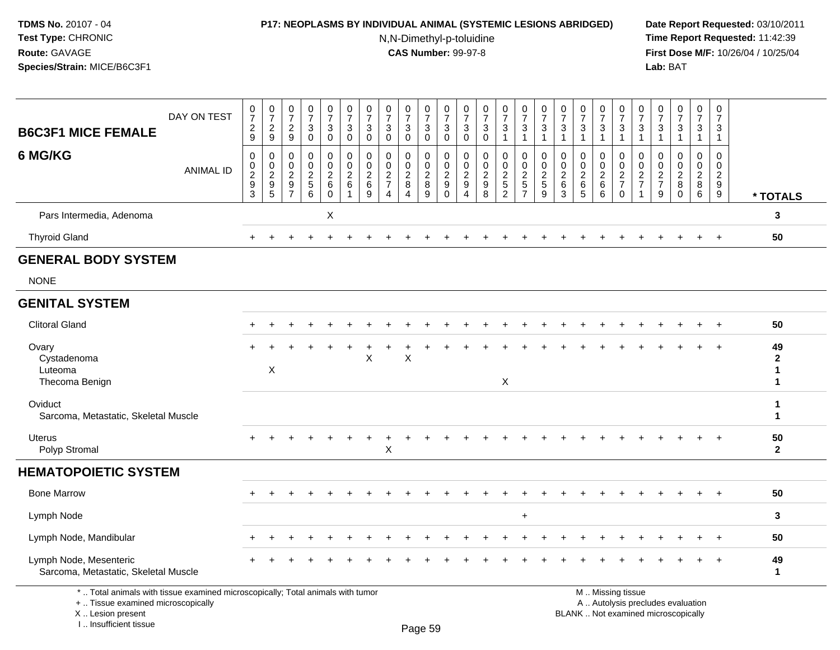I .. Insufficient tissue

### **P17: NEOPLASMS BY INDIVIDUAL ANIMAL (SYSTEMIC LESIONS ABRIDGED) Date Report Requested:** 03/10/2011

N,N-Dimethyl-p-toluidine

| <b>B6C3F1 MICE FEMALE</b>                                                                                                                 | DAY ON TEST      | $\frac{0}{7}$<br>$\frac{2}{9}$                    | $\frac{0}{7}$<br>$\frac{2}{9}$                                                    | $\frac{0}{7}$<br>$\frac{2}{9}$                   | $\frac{0}{7}$<br>3<br>$\mathsf{O}$                            | $\frac{0}{7}$<br>$\mathbf{3}$<br>$\pmb{0}$             | $\frac{0}{7}$<br>$\sqrt{3}$<br>$\pmb{0}$            | $\begin{array}{c} 0 \\ 7 \end{array}$<br>$\sqrt{3}$<br>$\mathbf 0$ | $\begin{array}{c} 0 \\ 7 \end{array}$<br>$\mathbf{3}$<br>$\mathbf 0$ | $\frac{0}{7}$<br>3<br>$\pmb{0}$                                | $\frac{0}{7}$<br>$_{0}^{3}$                               | $\frac{0}{7}$<br>$\sqrt{3}$<br>$\mathbf 0$            | 0<br>$\overline{7}$<br>$\mathbf{3}$<br>0                                 | $\begin{array}{c} 0 \\ 7 \end{array}$<br>$\sqrt{3}$<br>$\mathbf 0$ | $\frac{0}{7}$<br>$\sqrt{3}$<br>$\mathbf{1}$           | $\begin{array}{c} 0 \\ 7 \end{array}$<br>$\sqrt{3}$<br>$\mathbf{1}$ | $\begin{array}{c} 0 \\ 7 \end{array}$<br>3<br>1 | $\frac{0}{7}$<br>$\mathbf 3$<br>$\overline{1}$         | $\frac{0}{7}$<br>$\sqrt{3}$                                                 | $\mathbf 0$<br>$\overline{7}$<br>$\sqrt{3}$<br>$\overline{1}$ | $\begin{array}{c} 0 \\ 7 \end{array}$<br>$\frac{3}{1}$ | $\mathbf 0$<br>$\overline{7}$<br>3<br>$\overline{1}$     | 0<br>$\overline{7}$<br>3<br>$\mathbf{1}$                         | $\frac{0}{7}$<br>3<br>$\mathbf 1$                                      | $\begin{smallmatrix} 0\\7 \end{smallmatrix}$<br>$\mathbf{3}$<br>$\mathbf{1}$ | $\begin{array}{c} 0 \\ 7 \end{array}$<br>$\mathbf{3}$<br>$\mathbf{1}$                |                                                    |
|-------------------------------------------------------------------------------------------------------------------------------------------|------------------|---------------------------------------------------|-----------------------------------------------------------------------------------|--------------------------------------------------|---------------------------------------------------------------|--------------------------------------------------------|-----------------------------------------------------|--------------------------------------------------------------------|----------------------------------------------------------------------|----------------------------------------------------------------|-----------------------------------------------------------|-------------------------------------------------------|--------------------------------------------------------------------------|--------------------------------------------------------------------|-------------------------------------------------------|---------------------------------------------------------------------|-------------------------------------------------|--------------------------------------------------------|-----------------------------------------------------------------------------|---------------------------------------------------------------|--------------------------------------------------------|----------------------------------------------------------|------------------------------------------------------------------|------------------------------------------------------------------------|------------------------------------------------------------------------------|--------------------------------------------------------------------------------------|----------------------------------------------------|
| 6 MG/KG                                                                                                                                   | <b>ANIMAL ID</b> | 0<br>0<br>$\overline{c}$<br>$\boldsymbol{9}$<br>3 | $\mathbf 0$<br>$\mathbf 0$<br>$\sqrt{2}$<br>$\begin{array}{c} 9 \\ 5 \end{array}$ | $\mathbf 0$<br>$\mathbf 0$<br>2<br>$\frac{9}{7}$ | $\mathbf 0$<br>$\mathbf 0$<br>$\overline{c}$<br>$\frac{5}{6}$ | $\mathbf 0$<br>$\mathbf 0$<br>$\overline{c}$<br>$^6_0$ | $\mathbf 0$<br>$\mathbf 0$<br>$\sqrt{2}$<br>$\,6\,$ | $\mathbf 0$<br>0<br>$\overline{2}$<br>$\,6\,$<br>9                 | 0<br>$\mathbf 0$<br>$\sqrt{2}$<br>$\overline{7}$<br>$\overline{4}$   | 0<br>$\mathbf 0$<br>$\overline{c}$<br>$\bf8$<br>$\overline{4}$ | 0<br>$\mathbf 0$<br>$\overline{2}$<br>$\overline{8}$<br>9 | 0<br>$\mathbf 0$<br>$\boldsymbol{2}$<br>9<br>$\Omega$ | $\mathbf 0$<br>0<br>$\overline{2}$<br>$\boldsymbol{9}$<br>$\overline{4}$ | $\mathbf 0$<br>$\mathbf 0$<br>$\sqrt{2}$<br>$_{\rm 8}^{\rm 9}$     | 0<br>$\mathbf 0$<br>$\boldsymbol{2}$<br>$\frac{5}{2}$ | $\Omega$<br>$\mathbf 0$<br>$\overline{2}$<br>$\frac{5}{7}$          | 0<br>$\mathbf 0$<br>$\overline{2}$<br>5<br>9    | $\Omega$<br>$\Omega$<br>$\overline{2}$<br>$\,6\,$<br>3 | 0<br>$\mathbf 0$<br>$\overline{2}$<br>$\begin{array}{c} 6 \\ 5 \end{array}$ | 0<br>$\mathbf 0$<br>$\sqrt{2}$<br>$^6_6$                      | 0<br>$\mathbf 0$<br>$\frac{2}{7}$<br>$\mathbf 0$       | 0<br>0<br>$\sqrt{2}$<br>$\overline{7}$<br>$\overline{1}$ | $\Omega$<br>$\mathbf 0$<br>$\overline{2}$<br>$\overline{7}$<br>9 | $\mathbf 0$<br>$\mathbf 0$<br>$\overline{2}$<br>$\bf 8$<br>$\mathbf 0$ | $\mathbf 0$<br>$\overline{0}$<br>$\overline{2}$<br>$\overline{8}$<br>6       | $\mathbf 0$<br>$\mathbf 0$<br>$\overline{2}$<br>$\boldsymbol{9}$<br>$\boldsymbol{9}$ | * TOTALS                                           |
| Pars Intermedia, Adenoma                                                                                                                  |                  |                                                   |                                                                                   |                                                  |                                                               | X                                                      |                                                     |                                                                    |                                                                      |                                                                |                                                           |                                                       |                                                                          |                                                                    |                                                       |                                                                     |                                                 |                                                        |                                                                             |                                                               |                                                        |                                                          |                                                                  |                                                                        |                                                                              |                                                                                      | 3                                                  |
| <b>Thyroid Gland</b>                                                                                                                      |                  |                                                   |                                                                                   |                                                  |                                                               |                                                        |                                                     |                                                                    |                                                                      |                                                                |                                                           |                                                       |                                                                          |                                                                    |                                                       |                                                                     |                                                 |                                                        |                                                                             |                                                               |                                                        |                                                          |                                                                  |                                                                        |                                                                              | $\div$                                                                               | 50                                                 |
| <b>GENERAL BODY SYSTEM</b>                                                                                                                |                  |                                                   |                                                                                   |                                                  |                                                               |                                                        |                                                     |                                                                    |                                                                      |                                                                |                                                           |                                                       |                                                                          |                                                                    |                                                       |                                                                     |                                                 |                                                        |                                                                             |                                                               |                                                        |                                                          |                                                                  |                                                                        |                                                                              |                                                                                      |                                                    |
| <b>NONE</b>                                                                                                                               |                  |                                                   |                                                                                   |                                                  |                                                               |                                                        |                                                     |                                                                    |                                                                      |                                                                |                                                           |                                                       |                                                                          |                                                                    |                                                       |                                                                     |                                                 |                                                        |                                                                             |                                                               |                                                        |                                                          |                                                                  |                                                                        |                                                                              |                                                                                      |                                                    |
| <b>GENITAL SYSTEM</b>                                                                                                                     |                  |                                                   |                                                                                   |                                                  |                                                               |                                                        |                                                     |                                                                    |                                                                      |                                                                |                                                           |                                                       |                                                                          |                                                                    |                                                       |                                                                     |                                                 |                                                        |                                                                             |                                                               |                                                        |                                                          |                                                                  |                                                                        |                                                                              |                                                                                      |                                                    |
| <b>Clitoral Gland</b>                                                                                                                     |                  |                                                   |                                                                                   |                                                  |                                                               |                                                        |                                                     |                                                                    |                                                                      |                                                                |                                                           |                                                       |                                                                          |                                                                    |                                                       |                                                                     |                                                 |                                                        |                                                                             |                                                               |                                                        |                                                          |                                                                  |                                                                        |                                                                              | $\div$                                                                               | 50                                                 |
| Ovary<br>Cystadenoma<br>Luteoma<br>Thecoma Benign                                                                                         |                  |                                                   | $\boldsymbol{\mathsf{X}}$                                                         |                                                  |                                                               |                                                        |                                                     | X                                                                  |                                                                      | X                                                              |                                                           |                                                       |                                                                          |                                                                    | $\boldsymbol{\mathsf{X}}$                             |                                                                     |                                                 |                                                        |                                                                             |                                                               |                                                        |                                                          |                                                                  |                                                                        |                                                                              |                                                                                      | 49<br>$\mathbf{2}$<br>$\mathbf{1}$<br>$\mathbf{1}$ |
| Oviduct<br>Sarcoma, Metastatic, Skeletal Muscle                                                                                           |                  |                                                   |                                                                                   |                                                  |                                                               |                                                        |                                                     |                                                                    |                                                                      |                                                                |                                                           |                                                       |                                                                          |                                                                    |                                                       |                                                                     |                                                 |                                                        |                                                                             |                                                               |                                                        |                                                          |                                                                  |                                                                        |                                                                              |                                                                                      | 1<br>$\mathbf{1}$                                  |
| <b>Uterus</b><br>Polyp Stromal                                                                                                            |                  |                                                   |                                                                                   |                                                  |                                                               |                                                        |                                                     |                                                                    | X                                                                    |                                                                |                                                           |                                                       |                                                                          |                                                                    |                                                       |                                                                     |                                                 |                                                        |                                                                             |                                                               |                                                        |                                                          |                                                                  |                                                                        |                                                                              |                                                                                      | 50<br>$\overline{2}$                               |
| <b>HEMATOPOIETIC SYSTEM</b>                                                                                                               |                  |                                                   |                                                                                   |                                                  |                                                               |                                                        |                                                     |                                                                    |                                                                      |                                                                |                                                           |                                                       |                                                                          |                                                                    |                                                       |                                                                     |                                                 |                                                        |                                                                             |                                                               |                                                        |                                                          |                                                                  |                                                                        |                                                                              |                                                                                      |                                                    |
| <b>Bone Marrow</b>                                                                                                                        |                  |                                                   |                                                                                   |                                                  |                                                               |                                                        |                                                     |                                                                    |                                                                      |                                                                |                                                           |                                                       |                                                                          |                                                                    |                                                       |                                                                     |                                                 |                                                        |                                                                             |                                                               |                                                        |                                                          |                                                                  |                                                                        |                                                                              |                                                                                      | 50                                                 |
| Lymph Node                                                                                                                                |                  |                                                   |                                                                                   |                                                  |                                                               |                                                        |                                                     |                                                                    |                                                                      |                                                                |                                                           |                                                       |                                                                          |                                                                    |                                                       | $\ddot{}$                                                           |                                                 |                                                        |                                                                             |                                                               |                                                        |                                                          |                                                                  |                                                                        |                                                                              |                                                                                      | 3                                                  |
| Lymph Node, Mandibular                                                                                                                    |                  |                                                   |                                                                                   |                                                  |                                                               |                                                        |                                                     |                                                                    |                                                                      |                                                                |                                                           |                                                       |                                                                          |                                                                    |                                                       |                                                                     |                                                 |                                                        |                                                                             |                                                               |                                                        |                                                          |                                                                  |                                                                        |                                                                              |                                                                                      | 50                                                 |
| Lymph Node, Mesenteric<br>Sarcoma, Metastatic, Skeletal Muscle                                                                            |                  |                                                   |                                                                                   |                                                  |                                                               |                                                        |                                                     |                                                                    |                                                                      |                                                                |                                                           |                                                       |                                                                          |                                                                    |                                                       |                                                                     |                                                 |                                                        |                                                                             |                                                               |                                                        |                                                          |                                                                  |                                                                        |                                                                              | $+$                                                                                  | 49<br>1                                            |
| *  Total animals with tissue examined microscopically; Total animals with tumor<br>+  Tissue examined microscopically<br>X Lesion present |                  |                                                   |                                                                                   |                                                  |                                                               |                                                        |                                                     |                                                                    |                                                                      |                                                                |                                                           |                                                       |                                                                          |                                                                    |                                                       |                                                                     |                                                 |                                                        | BLANK  Not examined microscopically                                         |                                                               | M  Missing tissue<br>A  Autolysis precludes evaluation |                                                          |                                                                  |                                                                        |                                                                              |                                                                                      |                                                    |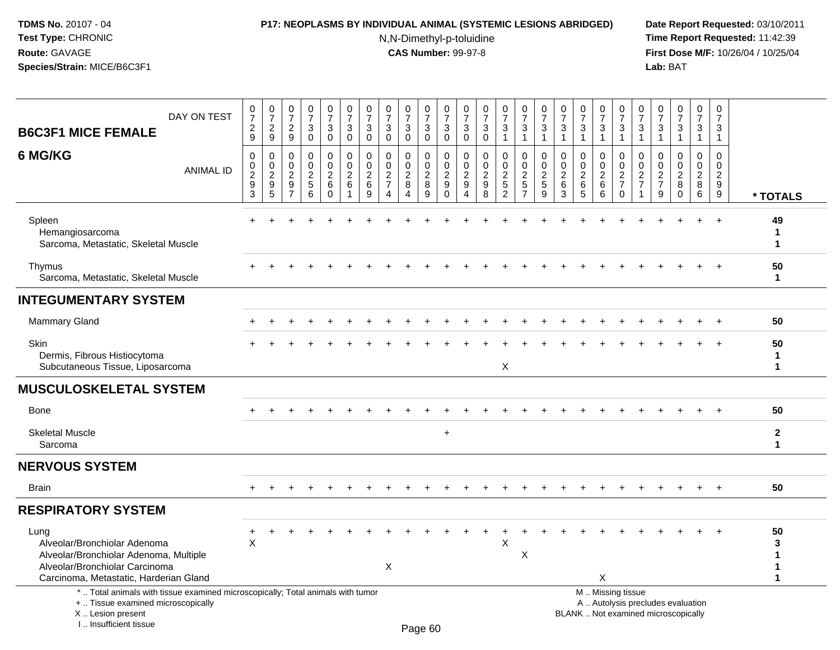### **P17: NEOPLASMS BY INDIVIDUAL ANIMAL (SYSTEMIC LESIONS ABRIDGED) Date Report Requested:** 03/10/2011

N,N-Dimethyl-p-toluidine

| DAY ON TEST<br><b>B6C3F1 MICE FEMALE</b>                                                                                                                             | $\begin{array}{c} 0 \\ 7 \\ 2 \end{array}$<br>9      | $\begin{smallmatrix}0\\7\end{smallmatrix}$<br>$\boldsymbol{2}$<br>9 | $\begin{array}{c} 0 \\ 7 \end{array}$<br>$\sqrt{2}$<br>9 | $\frac{0}{7}$<br>$\sqrt{3}$<br>$\mathbf 0$     | $\begin{array}{c} 0 \\ 7 \end{array}$<br>$\sqrt{3}$<br>$\mathbf 0$ | $\frac{0}{7}$<br>$\mathbf{3}$<br>$\mathbf 0$                      | $\frac{0}{7}$<br>$\ensuremath{\mathsf{3}}$<br>$\mathbf 0$ | $\frac{0}{7}$<br>$\sqrt{3}$<br>$\mathbf 0$                                                          | $\begin{array}{c} 0 \\ 7 \end{array}$<br>$\sqrt{3}$<br>$\mathbf 0$ | $\begin{array}{c} 0 \\ 7 \end{array}$<br>$\sqrt{3}$<br>$\mathbf 0$ | $\begin{array}{c} 0 \\ 7 \end{array}$<br>$\sqrt{3}$<br>$\mathbf 0$ | $\frac{0}{7}$<br>$\sqrt{3}$<br>$\mathbf 0$            | $\frac{0}{7}$<br>$\sqrt{3}$<br>$\mathbf 0$          | $\frac{0}{7}$<br>$\mathbf 3$<br>$\mathbf{1}$              | $\begin{array}{c} 0 \\ 7 \end{array}$<br>$\mathbf{3}$<br>$\mathbf{1}$        | $\begin{array}{c} 0 \\ 7 \end{array}$<br>$\sqrt{3}$<br>$\overline{1}$ | $\frac{0}{7}$<br>$\ensuremath{\mathsf{3}}$<br>$\overline{1}$ | $\begin{array}{c} 0 \\ 7 \end{array}$<br>$\ensuremath{\mathsf{3}}$<br>$\overline{1}$ | $\frac{0}{7}$<br>$\sqrt{3}$<br>$\mathbf{1}$                     | $\frac{0}{7}$<br>$\sqrt{3}$<br>$\mathbf{1}$                                   | $\frac{0}{7}$<br>3<br>$\mathbf{1}$                                        | $\frac{0}{7}$<br>$\sqrt{3}$<br>$\mathbf{1}$     | $\frac{0}{7}$<br>$\sqrt{3}$<br>$\mathbf{1}$                   | $\begin{smallmatrix} 0\\7 \end{smallmatrix}$<br>$\ensuremath{\mathsf{3}}$<br>$\mathbf{1}$ | $\boldsymbol{0}$<br>$\overline{7}$<br>$\mathbf{3}$<br>$\mathbf{1}$ |                                              |
|----------------------------------------------------------------------------------------------------------------------------------------------------------------------|------------------------------------------------------|---------------------------------------------------------------------|----------------------------------------------------------|------------------------------------------------|--------------------------------------------------------------------|-------------------------------------------------------------------|-----------------------------------------------------------|-----------------------------------------------------------------------------------------------------|--------------------------------------------------------------------|--------------------------------------------------------------------|--------------------------------------------------------------------|-------------------------------------------------------|-----------------------------------------------------|-----------------------------------------------------------|------------------------------------------------------------------------------|-----------------------------------------------------------------------|--------------------------------------------------------------|--------------------------------------------------------------------------------------|-----------------------------------------------------------------|-------------------------------------------------------------------------------|---------------------------------------------------------------------------|-------------------------------------------------|---------------------------------------------------------------|-------------------------------------------------------------------------------------------|--------------------------------------------------------------------|----------------------------------------------|
| 6 MG/KG<br><b>ANIMAL ID</b>                                                                                                                                          | $\mathbf 0$<br>$_{2}^{\rm 0}$<br>9<br>$\mathfrak{S}$ | 0<br>$\mathsf{O}\xspace$<br>$\overline{2}$<br>$9\,$<br>5            | $\mathbf{0}$<br>0<br>$\sqrt{2}$<br>9<br>$\overline{7}$   | $\mathbf 0$<br>$\mathbf 0$<br>$rac{2}{5}$<br>6 | 0<br>$\mathbf 0$<br>$\overline{2}$<br>$\,6\,$<br>$\mathbf 0$       | $\mathbf 0$<br>$\mathbf 0$<br>$\overline{2}$<br>6<br>$\mathbf{1}$ | 0<br>$\mathbf 0$<br>$\boldsymbol{2}$<br>6<br>9            | $\mathbf 0$<br>$\mathsf{O}\xspace$<br>$\overline{2}$<br>$\overline{7}$<br>$\boldsymbol{\varLambda}$ | $\mathbf 0$<br>$\pmb{0}$<br>$\overline{2}$<br>8<br>4               | $\mathbf 0$<br>0<br>$\overline{2}$<br>8<br>9                       | $\mathbf 0$<br>$\mathbf 0$<br>$\overline{2}$<br>9<br>$\Omega$      | $\Omega$<br>$\mathbf 0$<br>$\boldsymbol{2}$<br>9<br>4 | $\Omega$<br>$\mathbf 0$<br>$\overline{2}$<br>9<br>8 | $\mathbf 0$<br>0<br>$\overline{2}$<br>5<br>$\overline{2}$ | $\mathbf 0$<br>$\mathbf 0$<br>$\overline{2}$<br>$\sqrt{5}$<br>$\overline{7}$ | $\mathbf 0$<br>$\pmb{0}$<br>$\overline{2}$<br>$\overline{5}$<br>9     | $\mathbf 0$<br>$\pmb{0}$<br>$\frac{2}{6}$<br>3               | $\Omega$<br>$\mathbf 0$<br>$\overline{2}$<br>$\,6$<br>5                              | 0<br>$\boldsymbol{0}$<br>$\overline{2}$<br>$6\phantom{1}6$<br>6 | $\mathbf 0$<br>$\mathsf 0$<br>$\overline{2}$<br>$\overline{7}$<br>$\mathbf 0$ | $\Omega$<br>$\pmb{0}$<br>$\overline{2}$<br>$\overline{7}$<br>$\mathbf{1}$ | 0<br>0<br>$\overline{2}$<br>$\overline{7}$<br>9 | $\mathbf 0$<br>$\mathbf 0$<br>$\overline{2}$<br>8<br>$\Omega$ | $\mathbf 0$<br>$\mathsf{O}\xspace$<br>$\overline{2}$<br>8<br>$\,6\,$                      | $\Omega$<br>$\mathbf 0$<br>$\overline{2}$<br>9<br>9                | * TOTALS                                     |
| Spleen<br>Hemangiosarcoma<br>Sarcoma, Metastatic, Skeletal Muscle                                                                                                    |                                                      |                                                                     |                                                          |                                                |                                                                    |                                                                   |                                                           |                                                                                                     |                                                                    |                                                                    |                                                                    |                                                       |                                                     |                                                           |                                                                              |                                                                       |                                                              |                                                                                      |                                                                 |                                                                               |                                                                           |                                                 |                                                               |                                                                                           |                                                                    | 49<br>1<br>$\mathbf{1}$                      |
| Thymus<br>Sarcoma, Metastatic, Skeletal Muscle                                                                                                                       |                                                      |                                                                     |                                                          |                                                |                                                                    |                                                                   |                                                           |                                                                                                     |                                                                    |                                                                    |                                                                    |                                                       |                                                     |                                                           |                                                                              |                                                                       |                                                              |                                                                                      |                                                                 |                                                                               |                                                                           |                                                 |                                                               |                                                                                           |                                                                    | 50<br>$\mathbf 1$                            |
| <b>INTEGUMENTARY SYSTEM</b>                                                                                                                                          |                                                      |                                                                     |                                                          |                                                |                                                                    |                                                                   |                                                           |                                                                                                     |                                                                    |                                                                    |                                                                    |                                                       |                                                     |                                                           |                                                                              |                                                                       |                                                              |                                                                                      |                                                                 |                                                                               |                                                                           |                                                 |                                                               |                                                                                           |                                                                    |                                              |
| <b>Mammary Gland</b>                                                                                                                                                 |                                                      |                                                                     |                                                          |                                                |                                                                    |                                                                   |                                                           |                                                                                                     |                                                                    |                                                                    |                                                                    |                                                       |                                                     |                                                           |                                                                              |                                                                       |                                                              |                                                                                      |                                                                 |                                                                               |                                                                           |                                                 |                                                               |                                                                                           |                                                                    | 50                                           |
| <b>Skin</b><br>Dermis, Fibrous Histiocytoma<br>Subcutaneous Tissue, Liposarcoma                                                                                      |                                                      |                                                                     |                                                          |                                                |                                                                    |                                                                   |                                                           |                                                                                                     |                                                                    |                                                                    |                                                                    |                                                       |                                                     | X                                                         |                                                                              |                                                                       |                                                              |                                                                                      |                                                                 |                                                                               |                                                                           |                                                 |                                                               |                                                                                           |                                                                    | 50<br>1<br>$\mathbf{1}$                      |
| <b>MUSCULOSKELETAL SYSTEM</b>                                                                                                                                        |                                                      |                                                                     |                                                          |                                                |                                                                    |                                                                   |                                                           |                                                                                                     |                                                                    |                                                                    |                                                                    |                                                       |                                                     |                                                           |                                                                              |                                                                       |                                                              |                                                                                      |                                                                 |                                                                               |                                                                           |                                                 |                                                               |                                                                                           |                                                                    |                                              |
| <b>Bone</b>                                                                                                                                                          |                                                      |                                                                     |                                                          |                                                |                                                                    |                                                                   |                                                           |                                                                                                     |                                                                    |                                                                    |                                                                    |                                                       |                                                     |                                                           |                                                                              |                                                                       |                                                              |                                                                                      |                                                                 |                                                                               |                                                                           |                                                 |                                                               |                                                                                           |                                                                    | 50                                           |
| <b>Skeletal Muscle</b><br>Sarcoma                                                                                                                                    |                                                      |                                                                     |                                                          |                                                |                                                                    |                                                                   |                                                           |                                                                                                     |                                                                    |                                                                    | $\ddot{}$                                                          |                                                       |                                                     |                                                           |                                                                              |                                                                       |                                                              |                                                                                      |                                                                 |                                                                               |                                                                           |                                                 |                                                               |                                                                                           |                                                                    | $\overline{2}$<br>$\mathbf{1}$               |
| <b>NERVOUS SYSTEM</b>                                                                                                                                                |                                                      |                                                                     |                                                          |                                                |                                                                    |                                                                   |                                                           |                                                                                                     |                                                                    |                                                                    |                                                                    |                                                       |                                                     |                                                           |                                                                              |                                                                       |                                                              |                                                                                      |                                                                 |                                                                               |                                                                           |                                                 |                                                               |                                                                                           |                                                                    |                                              |
| <b>Brain</b>                                                                                                                                                         | $+$                                                  |                                                                     |                                                          |                                                |                                                                    |                                                                   |                                                           |                                                                                                     |                                                                    |                                                                    |                                                                    |                                                       |                                                     |                                                           | ÷                                                                            |                                                                       |                                                              |                                                                                      |                                                                 |                                                                               |                                                                           |                                                 |                                                               | $+$                                                                                       | $+$                                                                | 50                                           |
| <b>RESPIRATORY SYSTEM</b>                                                                                                                                            |                                                      |                                                                     |                                                          |                                                |                                                                    |                                                                   |                                                           |                                                                                                     |                                                                    |                                                                    |                                                                    |                                                       |                                                     |                                                           |                                                                              |                                                                       |                                                              |                                                                                      |                                                                 |                                                                               |                                                                           |                                                 |                                                               |                                                                                           |                                                                    |                                              |
| Lung<br>Alveolar/Bronchiolar Adenoma<br>Alveolar/Bronchiolar Adenoma, Multiple<br>Alveolar/Bronchiolar Carcinoma<br>Carcinoma, Metastatic, Harderian Gland           | $\sf X$                                              |                                                                     |                                                          |                                                |                                                                    |                                                                   |                                                           | Χ                                                                                                   |                                                                    |                                                                    |                                                                    |                                                       |                                                     | X                                                         | X                                                                            |                                                                       |                                                              |                                                                                      | X                                                               |                                                                               |                                                                           |                                                 |                                                               |                                                                                           | $\ddot{}$                                                          | 50<br>3<br>$\mathbf{1}$<br>1<br>$\mathbf{1}$ |
| *  Total animals with tissue examined microscopically; Total animals with tumor<br>+  Tissue examined microscopically<br>X Lesion present<br>I., Insufficient tissue |                                                      |                                                                     |                                                          |                                                |                                                                    |                                                                   |                                                           |                                                                                                     |                                                                    | Page 60                                                            |                                                                    |                                                       |                                                     |                                                           |                                                                              |                                                                       |                                                              |                                                                                      |                                                                 | M  Missing tissue                                                             | A  Autolysis precludes evaluation<br>BLANK  Not examined microscopically  |                                                 |                                                               |                                                                                           |                                                                    |                                              |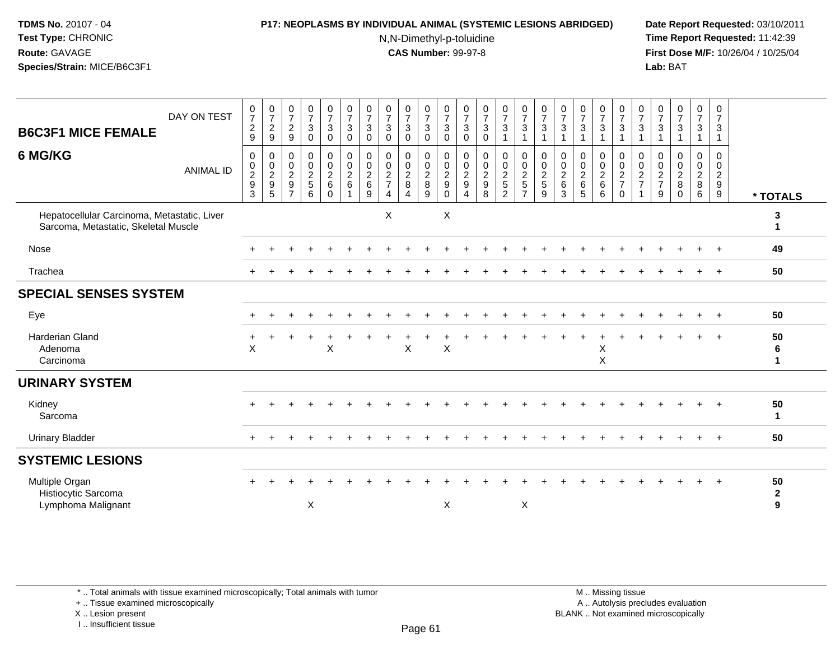### **P17: NEOPLASMS BY INDIVIDUAL ANIMAL (SYSTEMIC LESIONS ABRIDGED) Date Report Requested:** 03/10/2011

N,N-Dimethyl-p-toluidine

 **Time Report Requested:** 11:42:39 **First Dose M/F:** 10/26/04 / 10/25/04 Lab: BAT **Lab:** BAT

| DAY ON TEST<br><b>B6C3F1 MICE FEMALE</b><br>6 MG/KG<br><b>ANIMAL ID</b>             | $\frac{0}{7}$<br>$\overline{c}$<br>9<br>0<br>$\pmb{0}$<br>$\frac{2}{9}$ | $\frac{0}{7}$<br>$\frac{2}{9}$<br>0<br>$\begin{array}{c} 0 \\ 2 \\ 9 \\ 5 \end{array}$ | $\begin{array}{c} 0 \\ 7 \end{array}$<br>$\overline{c}$<br>$9\,$<br>$\mathbf 0$<br>$\mathbf 0$<br>$\sqrt{2}$<br>$\boldsymbol{9}$ | $\frac{0}{7}$<br>3<br>$\mathbf 0$<br>0<br>$\mathbf 0$<br>$\frac{2}{5}$ | $\frac{0}{7}$<br>$\sqrt{3}$<br>$\mathbf 0$<br>0<br>$\ddot{\mathbf{0}}$<br>$\frac{2}{6}$ | $\frac{0}{7}$<br>$\sqrt{3}$<br>$\mathbf 0$<br>0<br>$\pmb{0}$<br>$\boldsymbol{2}$<br>$\,6\,$ | $\frac{0}{7}$<br>$\mathbf{3}$<br>$\mathbf 0$<br>$\mathbf 0$<br>$\mathbf 0$<br>$\frac{2}{6}$ | $\frac{0}{7}$<br>$\sqrt{3}$<br>$\mathbf 0$<br>$\mathbf 0$<br>$\mathbf 0$<br>$\frac{2}{7}$ | $\frac{0}{7}$<br>3<br>$\mathbf 0$<br>0<br>$\mathbf 0$<br>$\boldsymbol{2}$<br>8 | $\frac{0}{7}$<br>$\ensuremath{\mathsf{3}}$<br>$\mathbf 0$<br>0<br>$\overline{0}$<br>$\frac{2}{8}$ | $\frac{0}{7}$<br>$\ensuremath{\mathsf{3}}$<br>$\mathbf 0$<br>0<br>$\pmb{0}$<br>$\frac{2}{9}$ | $\frac{0}{7}$<br>3<br>$\mathbf 0$<br>0<br>$\mathbf 0$<br>$\frac{2}{9}$ | $\frac{0}{7}$<br>$\mathbf{3}$<br>$\mathbf 0$<br>$\mathbf 0$<br>$\mathbf 0$<br>$\overline{2}$<br>$\overline{9}$ | $\frac{0}{7}$<br>$\sqrt{3}$<br>$\mathbf{1}$<br>0<br>$\mathbf 0$<br>$\boldsymbol{2}$<br>$\sqrt{5}$ | $\frac{0}{7}$<br>$\ensuremath{\mathsf{3}}$<br>$\mathbf{1}$<br>0<br>$\overline{0}$<br>$\frac{2}{5}$ | $\frac{0}{7}$<br>$\mathbf{3}$<br>$\mathbf{1}$<br>$\mathbf 0$<br>$\pmb{0}$<br>$\overline{c}$<br>$\sqrt{5}$ | $\frac{0}{7}$<br>$\mathbf{3}$<br>$\Omega$<br>$\mathbf 0$<br>$^2\phantom{1}6$ | $\frac{0}{7}$<br>$\mathbf{3}$<br>-1<br>$\mathbf 0$<br>$\boldsymbol{0}$<br>$\overline{2}$<br>$6\phantom{a}$ | $\frac{0}{7}$<br>$\sqrt{3}$<br>$\mathbf{1}$<br>0<br>$\mathbf 0$<br>$^2\phantom{1}6$ | $\frac{0}{7}$<br>$\ensuremath{\mathsf{3}}$<br>$\mathbf{1}$<br>0<br>$\mathsf{O}\xspace$<br>$\frac{2}{7}$ | $\frac{0}{7}$<br>3<br>$\mathbf 1$<br>0<br>0<br>$\frac{2}{7}$ | $\frac{0}{7}$<br>3<br>0<br>0<br>$\frac{2}{7}$ | $\frac{0}{7}$<br>$\mathbf{3}$<br>1<br>$\Omega$<br>$\mathbf 0$<br>$\frac{2}{8}$ | $\frac{0}{7}$<br>$\mathbf{3}$<br>$\mathbf{1}$<br>0<br>$\mathbf 0$<br>$\frac{2}{8}$ | 0<br>$\overline{7}$<br>3<br>$\mathbf{1}$<br>$\Omega$<br>$\mathbf 0$<br>$\frac{2}{9}$ |                         |
|-------------------------------------------------------------------------------------|-------------------------------------------------------------------------|----------------------------------------------------------------------------------------|----------------------------------------------------------------------------------------------------------------------------------|------------------------------------------------------------------------|-----------------------------------------------------------------------------------------|---------------------------------------------------------------------------------------------|---------------------------------------------------------------------------------------------|-------------------------------------------------------------------------------------------|--------------------------------------------------------------------------------|---------------------------------------------------------------------------------------------------|----------------------------------------------------------------------------------------------|------------------------------------------------------------------------|----------------------------------------------------------------------------------------------------------------|---------------------------------------------------------------------------------------------------|----------------------------------------------------------------------------------------------------|-----------------------------------------------------------------------------------------------------------|------------------------------------------------------------------------------|------------------------------------------------------------------------------------------------------------|-------------------------------------------------------------------------------------|---------------------------------------------------------------------------------------------------------|--------------------------------------------------------------|-----------------------------------------------|--------------------------------------------------------------------------------|------------------------------------------------------------------------------------|--------------------------------------------------------------------------------------|-------------------------|
|                                                                                     | 3                                                                       |                                                                                        | $\overline{7}$                                                                                                                   | 6                                                                      | $\Omega$                                                                                |                                                                                             | 9                                                                                           | $\overline{4}$                                                                            | $\Delta$                                                                       | 9                                                                                                 | $\Omega$                                                                                     | 4                                                                      | 8                                                                                                              | $\overline{2}$                                                                                    | $\overline{7}$                                                                                     | 9                                                                                                         | 3                                                                            | 5                                                                                                          | 6                                                                                   | $\Omega$                                                                                                |                                                              | 9                                             | $\Omega$                                                                       | 6                                                                                  | 9                                                                                    | * TOTALS                |
| Hepatocellular Carcinoma, Metastatic, Liver<br>Sarcoma, Metastatic, Skeletal Muscle |                                                                         |                                                                                        |                                                                                                                                  |                                                                        |                                                                                         |                                                                                             |                                                                                             | $\boldsymbol{\mathsf{X}}$                                                                 |                                                                                |                                                                                                   | $\mathsf X$                                                                                  |                                                                        |                                                                                                                |                                                                                                   |                                                                                                    |                                                                                                           |                                                                              |                                                                                                            |                                                                                     |                                                                                                         |                                                              |                                               |                                                                                |                                                                                    |                                                                                      | 3<br>1                  |
| Nose                                                                                |                                                                         |                                                                                        |                                                                                                                                  |                                                                        |                                                                                         |                                                                                             |                                                                                             |                                                                                           |                                                                                |                                                                                                   |                                                                                              |                                                                        |                                                                                                                |                                                                                                   |                                                                                                    |                                                                                                           |                                                                              |                                                                                                            |                                                                                     |                                                                                                         |                                                              |                                               |                                                                                |                                                                                    |                                                                                      | 49                      |
| Trachea                                                                             |                                                                         |                                                                                        |                                                                                                                                  |                                                                        |                                                                                         |                                                                                             |                                                                                             |                                                                                           |                                                                                |                                                                                                   |                                                                                              |                                                                        |                                                                                                                |                                                                                                   |                                                                                                    |                                                                                                           |                                                                              |                                                                                                            |                                                                                     |                                                                                                         |                                                              |                                               |                                                                                |                                                                                    | $\ddot{}$                                                                            | 50                      |
| <b>SPECIAL SENSES SYSTEM</b>                                                        |                                                                         |                                                                                        |                                                                                                                                  |                                                                        |                                                                                         |                                                                                             |                                                                                             |                                                                                           |                                                                                |                                                                                                   |                                                                                              |                                                                        |                                                                                                                |                                                                                                   |                                                                                                    |                                                                                                           |                                                                              |                                                                                                            |                                                                                     |                                                                                                         |                                                              |                                               |                                                                                |                                                                                    |                                                                                      |                         |
| Eye                                                                                 |                                                                         |                                                                                        |                                                                                                                                  |                                                                        |                                                                                         |                                                                                             |                                                                                             |                                                                                           |                                                                                |                                                                                                   |                                                                                              |                                                                        |                                                                                                                |                                                                                                   |                                                                                                    |                                                                                                           |                                                                              |                                                                                                            |                                                                                     |                                                                                                         |                                                              |                                               |                                                                                |                                                                                    |                                                                                      | 50                      |
| <b>Harderian Gland</b><br>Adenoma<br>Carcinoma                                      | $\times$                                                                |                                                                                        |                                                                                                                                  |                                                                        | $\times$                                                                                |                                                                                             |                                                                                             |                                                                                           | X                                                                              |                                                                                                   | $\mathsf X$                                                                                  |                                                                        |                                                                                                                |                                                                                                   |                                                                                                    |                                                                                                           |                                                                              |                                                                                                            | X<br>X                                                                              |                                                                                                         |                                                              |                                               |                                                                                |                                                                                    |                                                                                      | 50<br>6<br>1            |
| <b>URINARY SYSTEM</b>                                                               |                                                                         |                                                                                        |                                                                                                                                  |                                                                        |                                                                                         |                                                                                             |                                                                                             |                                                                                           |                                                                                |                                                                                                   |                                                                                              |                                                                        |                                                                                                                |                                                                                                   |                                                                                                    |                                                                                                           |                                                                              |                                                                                                            |                                                                                     |                                                                                                         |                                                              |                                               |                                                                                |                                                                                    |                                                                                      |                         |
| Kidney<br>Sarcoma                                                                   |                                                                         |                                                                                        |                                                                                                                                  |                                                                        |                                                                                         |                                                                                             |                                                                                             |                                                                                           |                                                                                |                                                                                                   |                                                                                              |                                                                        |                                                                                                                |                                                                                                   |                                                                                                    |                                                                                                           |                                                                              |                                                                                                            |                                                                                     |                                                                                                         |                                                              |                                               |                                                                                |                                                                                    |                                                                                      | 50<br>-1                |
| <b>Urinary Bladder</b>                                                              |                                                                         |                                                                                        |                                                                                                                                  |                                                                        |                                                                                         |                                                                                             |                                                                                             |                                                                                           |                                                                                |                                                                                                   |                                                                                              |                                                                        |                                                                                                                |                                                                                                   |                                                                                                    |                                                                                                           |                                                                              |                                                                                                            |                                                                                     |                                                                                                         |                                                              |                                               |                                                                                |                                                                                    |                                                                                      | 50                      |
| <b>SYSTEMIC LESIONS</b>                                                             |                                                                         |                                                                                        |                                                                                                                                  |                                                                        |                                                                                         |                                                                                             |                                                                                             |                                                                                           |                                                                                |                                                                                                   |                                                                                              |                                                                        |                                                                                                                |                                                                                                   |                                                                                                    |                                                                                                           |                                                                              |                                                                                                            |                                                                                     |                                                                                                         |                                                              |                                               |                                                                                |                                                                                    |                                                                                      |                         |
| Multiple Organ<br>Histiocytic Sarcoma<br>Lymphoma Malignant                         |                                                                         |                                                                                        |                                                                                                                                  | X                                                                      |                                                                                         |                                                                                             |                                                                                             |                                                                                           |                                                                                |                                                                                                   | X                                                                                            |                                                                        |                                                                                                                |                                                                                                   | X                                                                                                  |                                                                                                           |                                                                              |                                                                                                            |                                                                                     |                                                                                                         |                                                              |                                               |                                                                                |                                                                                    | $^{+}$                                                                               | 50<br>$\mathbf{2}$<br>9 |

\* .. Total animals with tissue examined microscopically; Total animals with tumor

+ .. Tissue examined microscopically

X .. Lesion present

I .. Insufficient tissue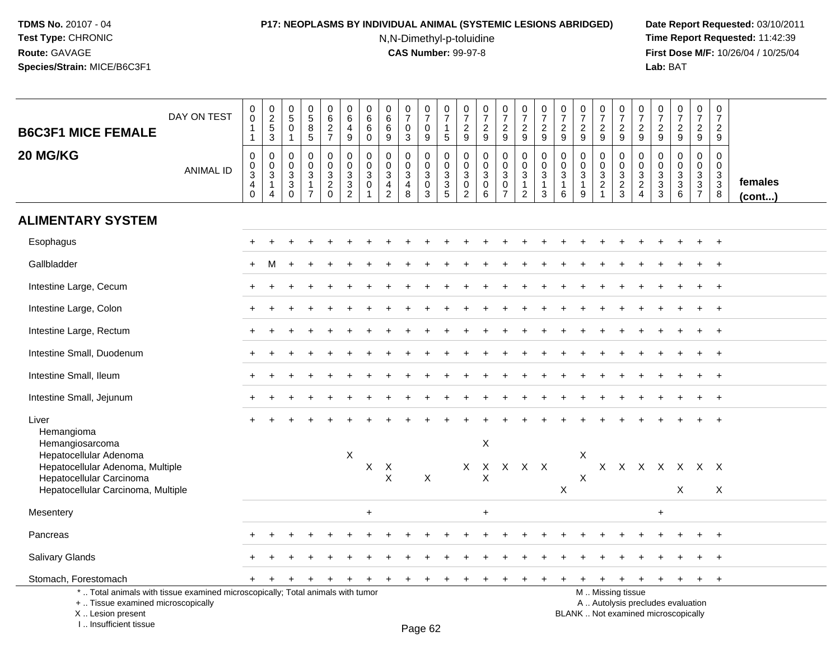# **P17: NEOPLASMS BY INDIVIDUAL ANIMAL (SYSTEMIC LESIONS ABRIDGED) Date Report Requested:** 03/10/2011

N,N-Dimethyl-p-toluidine

| <b>B6C3F1 MICE FEMALE</b>                                                                                                                                           | DAY ON TEST      | $\mathbf 0$<br>$\pmb{0}$<br>$\mathbf{1}$<br>$\mathbf{1}$                            | $\pmb{0}$<br>$\frac{2}{5}$<br>3 | $\pmb{0}$<br>$\overline{5}$<br>$\mathbf 0$<br>$\blacktriangleleft$          | $\begin{array}{c} 0 \\ 5 \\ 8 \end{array}$<br>5                              | 0<br>$6\overline{6}$<br>$\overline{2}$<br>$\overline{7}$ | $\mathbf 0$<br>$\,6\,$<br>$\overline{4}$<br>9             | $\mathbf 0$<br>6<br>6<br>$\mathbf 0$                      | 0<br>$\,6$<br>6<br>9                                                      | $\frac{0}{7}$<br>0<br>3                                | 0<br>$\overline{7}$<br>0<br>9                                  | $\pmb{0}$<br>$\overline{7}$<br>$\mathbf{1}$<br>5                | $\frac{0}{7}$<br>$\overline{c}$<br>9            | $\pmb{0}$<br>$\overline{7}$<br>$\boldsymbol{2}$<br>9                   | $\begin{smallmatrix}0\\7\end{smallmatrix}$<br>$\boldsymbol{2}$<br>9 | $\frac{0}{7}$<br>$\frac{2}{9}$                                      | $\begin{array}{c} 0 \\ 7 \end{array}$<br>$\overline{2}$<br>9  | 0<br>$\overline{7}$<br>$\overline{c}$<br>9                   | $\frac{0}{7}$<br>$\boldsymbol{2}$<br>$9\,$                                     | $\begin{array}{c} 0 \\ 7 \end{array}$<br>$\boldsymbol{2}$<br>9            | $\pmb{0}$<br>$\overline{7}$<br>$\overline{c}$<br>9                 | $\pmb{0}$<br>$\overline{7}$<br>$\overline{2}$<br>9              | 0<br>$\overline{7}$<br>$\overline{2}$<br>9         | $\frac{0}{7}$<br>$\overline{c}$<br>9                                     | $\pmb{0}$<br>$\overline{7}$<br>$\overline{2}$<br>9            | 0<br>$\overline{7}$<br>$\overline{2}$<br>9       |                   |
|---------------------------------------------------------------------------------------------------------------------------------------------------------------------|------------------|-------------------------------------------------------------------------------------|---------------------------------|-----------------------------------------------------------------------------|------------------------------------------------------------------------------|----------------------------------------------------------|-----------------------------------------------------------|-----------------------------------------------------------|---------------------------------------------------------------------------|--------------------------------------------------------|----------------------------------------------------------------|-----------------------------------------------------------------|-------------------------------------------------|------------------------------------------------------------------------|---------------------------------------------------------------------|---------------------------------------------------------------------|---------------------------------------------------------------|--------------------------------------------------------------|--------------------------------------------------------------------------------|---------------------------------------------------------------------------|--------------------------------------------------------------------|-----------------------------------------------------------------|----------------------------------------------------|--------------------------------------------------------------------------|---------------------------------------------------------------|--------------------------------------------------|-------------------|
| 20 MG/KG                                                                                                                                                            | <b>ANIMAL ID</b> | $\pmb{0}$<br>$\mathbf 0$<br>$\ensuremath{\mathsf{3}}$<br>$\overline{4}$<br>$\Omega$ | 0<br>$\mathbf 0$<br>3<br>1<br>4 | 0<br>$\mathbf 0$<br>$\ensuremath{\mathsf{3}}$<br>$\overline{3}$<br>$\Omega$ | $\mathbf 0$<br>$\mathbf 0$<br>$\mathbf{3}$<br>$\mathbf{1}$<br>$\overline{7}$ | 0<br>$\mathbf 0$<br>3<br>$\overline{c}$<br>$\Omega$      | $\pmb{0}$<br>$\pmb{0}$<br>$\overline{3}$<br>$\frac{3}{2}$ | $\mathbf 0$<br>$\mathbf 0$<br>$\mathbf{3}$<br>$\mathbf 0$ | $\mathbf 0$<br>$\Omega$<br>$\sqrt{3}$<br>$\overline{4}$<br>$\overline{c}$ | $\mathbf 0$<br>$\mathbf 0$<br>3<br>$\overline{4}$<br>8 | $\mathbf 0$<br>$\mathbf 0$<br>$\mathbf{3}$<br>$\mathbf 0$<br>3 | $\mathbf 0$<br>$\mathsf 0$<br>$\sqrt{3}$<br>$\overline{3}$<br>5 | $\mathbf 0$<br>$\mathbf 0$<br>$_{\rm 0}^3$<br>2 | $\mathbf 0$<br>$\mathbf 0$<br>$\sqrt{3}$<br>$\mathbf 0$<br>6           | 0<br>$\mathbf 0$<br>3<br>$\mathbf 0$<br>$\overline{7}$              | $\pmb{0}$<br>$\ddot{\mathbf{0}}$<br>$\frac{3}{1}$<br>$\overline{a}$ | $\pmb{0}$<br>$\mathbf 0$<br>$\mathbf{3}$<br>$\mathbf{1}$<br>3 | $\mathbf 0$<br>$\Omega$<br>$\mathbf{3}$<br>$\mathbf{1}$<br>6 | $\mathbf 0$<br>$\mathbf 0$<br>$\ensuremath{\mathsf{3}}$<br>$\overline{1}$<br>9 | 0<br>$\mathbf 0$<br>$\mathbf{3}$<br>$\sqrt{2}$<br>$\overline{\mathbf{1}}$ | $\mathbf 0$<br>$\overline{0}$<br>$\sqrt{3}$<br>$\overline{2}$<br>3 | $\mathbf 0$<br>$\mathbf 0$<br>$\sqrt{3}$<br>$\overline{c}$<br>4 | 0<br>$\Omega$<br>$\sqrt{3}$<br>$\overline{3}$<br>3 | $\mathbf 0$<br>0<br>$\ensuremath{\mathsf{3}}$<br>$\overline{3}$<br>6     | $\mathbf 0$<br>$\mathbf 0$<br>$\frac{3}{3}$<br>$\overline{7}$ | $\mathbf 0$<br>$\Omega$<br>3<br>$\mathbf 3$<br>8 | females<br>(cont) |
| <b>ALIMENTARY SYSTEM</b>                                                                                                                                            |                  |                                                                                     |                                 |                                                                             |                                                                              |                                                          |                                                           |                                                           |                                                                           |                                                        |                                                                |                                                                 |                                                 |                                                                        |                                                                     |                                                                     |                                                               |                                                              |                                                                                |                                                                           |                                                                    |                                                                 |                                                    |                                                                          |                                                               |                                                  |                   |
| Esophagus                                                                                                                                                           |                  |                                                                                     |                                 |                                                                             |                                                                              |                                                          |                                                           |                                                           |                                                                           |                                                        |                                                                |                                                                 |                                                 |                                                                        |                                                                     |                                                                     |                                                               |                                                              |                                                                                |                                                                           |                                                                    |                                                                 |                                                    |                                                                          |                                                               | $+$                                              |                   |
| Gallbladder                                                                                                                                                         |                  |                                                                                     | M                               |                                                                             |                                                                              |                                                          |                                                           |                                                           |                                                                           |                                                        |                                                                |                                                                 |                                                 |                                                                        |                                                                     |                                                                     |                                                               |                                                              |                                                                                |                                                                           |                                                                    |                                                                 |                                                    |                                                                          |                                                               |                                                  |                   |
| Intestine Large, Cecum                                                                                                                                              |                  |                                                                                     |                                 |                                                                             |                                                                              |                                                          |                                                           |                                                           |                                                                           |                                                        |                                                                |                                                                 |                                                 |                                                                        |                                                                     |                                                                     |                                                               |                                                              |                                                                                |                                                                           |                                                                    |                                                                 |                                                    |                                                                          | $\ddot{}$                                                     | $+$                                              |                   |
| Intestine Large, Colon                                                                                                                                              |                  |                                                                                     |                                 |                                                                             |                                                                              |                                                          |                                                           |                                                           |                                                                           |                                                        |                                                                |                                                                 |                                                 |                                                                        |                                                                     |                                                                     |                                                               |                                                              |                                                                                |                                                                           |                                                                    |                                                                 |                                                    |                                                                          |                                                               | $+$                                              |                   |
| Intestine Large, Rectum                                                                                                                                             |                  |                                                                                     |                                 |                                                                             |                                                                              |                                                          |                                                           |                                                           |                                                                           |                                                        |                                                                |                                                                 |                                                 |                                                                        |                                                                     |                                                                     |                                                               |                                                              |                                                                                |                                                                           |                                                                    |                                                                 |                                                    |                                                                          |                                                               | $^{+}$                                           |                   |
| Intestine Small, Duodenum                                                                                                                                           |                  |                                                                                     |                                 |                                                                             |                                                                              |                                                          |                                                           |                                                           |                                                                           |                                                        |                                                                |                                                                 |                                                 |                                                                        |                                                                     |                                                                     |                                                               |                                                              |                                                                                |                                                                           |                                                                    |                                                                 |                                                    |                                                                          |                                                               | $+$                                              |                   |
| Intestine Small, Ileum                                                                                                                                              |                  |                                                                                     |                                 |                                                                             |                                                                              |                                                          |                                                           |                                                           |                                                                           |                                                        |                                                                |                                                                 |                                                 |                                                                        |                                                                     |                                                                     |                                                               |                                                              |                                                                                |                                                                           |                                                                    |                                                                 |                                                    |                                                                          |                                                               |                                                  |                   |
| Intestine Small, Jejunum                                                                                                                                            |                  |                                                                                     |                                 |                                                                             |                                                                              |                                                          |                                                           |                                                           |                                                                           |                                                        |                                                                |                                                                 |                                                 |                                                                        |                                                                     |                                                                     |                                                               |                                                              |                                                                                |                                                                           |                                                                    |                                                                 |                                                    |                                                                          |                                                               | $+$                                              |                   |
| Liver<br>Hemangioma                                                                                                                                                 |                  |                                                                                     |                                 |                                                                             |                                                                              |                                                          |                                                           |                                                           |                                                                           |                                                        |                                                                |                                                                 |                                                 |                                                                        |                                                                     |                                                                     |                                                               |                                                              |                                                                                |                                                                           |                                                                    |                                                                 |                                                    |                                                                          |                                                               |                                                  |                   |
| Hemangiosarcoma<br>Hepatocellular Adenoma<br>Hepatocellular Adenoma, Multiple<br>Hepatocellular Carcinoma<br>Hepatocellular Carcinoma, Multiple                     |                  |                                                                                     |                                 |                                                                             |                                                                              |                                                          | $\boldsymbol{\mathsf{X}}$                                 | X                                                         | $\times$<br>$\mathsf{X}$                                                  |                                                        | X                                                              |                                                                 | $\times$                                        | $\boldsymbol{\mathsf{X}}$<br>$\mathsf{X}$<br>$\boldsymbol{\mathsf{X}}$ |                                                                     | X X X                                                               |                                                               | X                                                            | $\mathsf X$<br>X                                                               |                                                                           |                                                                    |                                                                 |                                                    | X X X X X X X<br>X                                                       |                                                               | X                                                |                   |
| Mesentery                                                                                                                                                           |                  |                                                                                     |                                 |                                                                             |                                                                              |                                                          |                                                           | $\ddot{}$                                                 |                                                                           |                                                        |                                                                |                                                                 |                                                 | $\ddot{}$                                                              |                                                                     |                                                                     |                                                               |                                                              |                                                                                |                                                                           |                                                                    |                                                                 | $\ddot{}$                                          |                                                                          |                                                               |                                                  |                   |
| Pancreas                                                                                                                                                            |                  |                                                                                     |                                 |                                                                             |                                                                              |                                                          |                                                           |                                                           |                                                                           |                                                        |                                                                |                                                                 |                                                 |                                                                        |                                                                     |                                                                     |                                                               |                                                              |                                                                                |                                                                           |                                                                    |                                                                 |                                                    |                                                                          |                                                               | $+$                                              |                   |
| Salivary Glands                                                                                                                                                     |                  |                                                                                     |                                 |                                                                             |                                                                              |                                                          |                                                           |                                                           |                                                                           |                                                        |                                                                |                                                                 |                                                 |                                                                        |                                                                     |                                                                     |                                                               |                                                              |                                                                                |                                                                           |                                                                    |                                                                 |                                                    |                                                                          |                                                               | $\ddot{}$                                        |                   |
| Stomach, Forestomach                                                                                                                                                |                  |                                                                                     |                                 |                                                                             |                                                                              |                                                          |                                                           |                                                           |                                                                           | ÷                                                      | $\ddot{}$                                                      | ٠                                                               |                                                 |                                                                        |                                                                     |                                                                     |                                                               |                                                              |                                                                                | +                                                                         | ÷                                                                  | $\ddot{}$                                                       | $+$                                                | $\ddot{}$                                                                | $+$                                                           | $+$                                              |                   |
| *  Total animals with tissue examined microscopically; Total animals with tumor<br>+  Tissue examined microscopically<br>X  Lesion present<br>I Insufficient tissue |                  |                                                                                     |                                 |                                                                             |                                                                              |                                                          |                                                           |                                                           |                                                                           |                                                        | $D_{200}$ $62$                                                 |                                                                 |                                                 |                                                                        |                                                                     |                                                                     |                                                               |                                                              |                                                                                |                                                                           | M  Missing tissue                                                  |                                                                 |                                                    | A  Autolysis precludes evaluation<br>BLANK  Not examined microscopically |                                                               |                                                  |                   |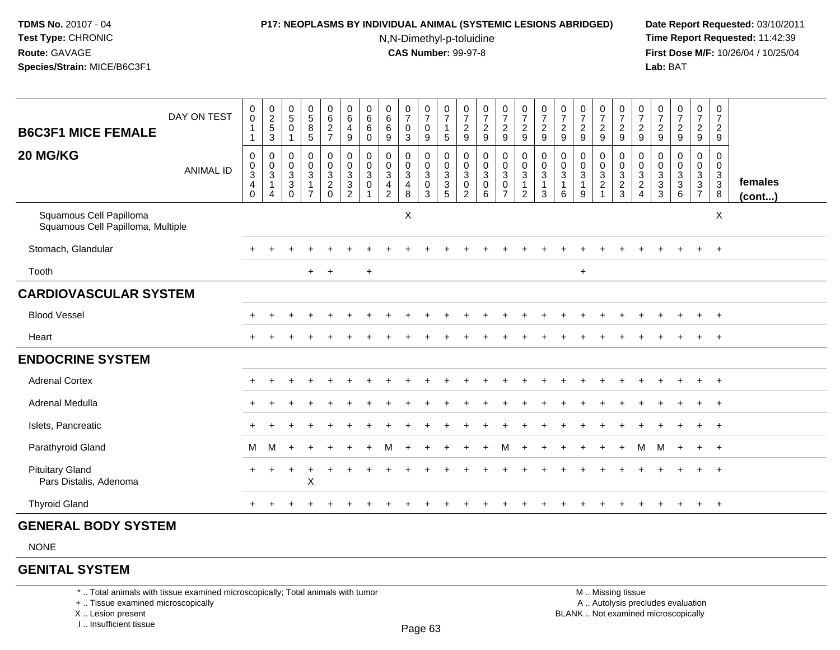#### **P17: NEOPLASMS BY INDIVIDUAL ANIMAL (SYSTEMIC LESIONS ABRIDGED) Date Report Requested:** 03/10/2011

N,N-Dimethyl-p-toluidine

 **Time Report Requested:** 11:42:39 **First Dose M/F:** 10/26/04 / 10/25/04 Lab: BAT **Lab:** BAT

| DAY ON TEST<br><b>B6C3F1 MICE FEMALE</b>                     |                  | $_{\rm 0}^{\rm 0}$<br>1                              | $\frac{0}{2}$<br>$\frac{5}{3}$                                  | $\begin{array}{c} 0 \\ 5 \end{array}$<br>$\mathbf 0$<br>-1   | $\frac{0}{5}$<br>$\frac{8}{5}$                                                  | 0627                                                 | $\begin{array}{c} 0 \\ 6 \end{array}$<br>$\overline{\mathbf{4}}$<br>$9\,$            | $\begin{matrix} 0 \\ 6 \end{matrix}$<br>6<br>$\mathbf 0$ | $\begin{array}{c} 0 \\ 6 \end{array}$<br>$\,6\,$<br>$\boldsymbol{9}$       | $\frac{0}{7}$<br>$\pmb{0}$<br>$\mathbf{3}$                         | $\frac{0}{7}$<br>$\pmb{0}$<br>9                                  | $\frac{0}{7}$<br>$\mathbf{1}$<br>5 | $\frac{0}{7}$<br>$\frac{2}{9}$                       | $\frac{0}{7}$<br>$\frac{2}{9}$ | $\begin{smallmatrix}0\\7\end{smallmatrix}$<br>$\frac{2}{9}$    | $\frac{0}{7}$<br>$\frac{2}{9}$                                                       | $\frac{0}{7}$<br>$\frac{2}{9}$                  | $\frac{0}{7}$<br>$\frac{2}{9}$                          | $\frac{0}{7}$<br>$\frac{2}{9}$                    | $\frac{0}{7}$<br>$\frac{2}{9}$ | $\frac{0}{7}$<br>$\frac{2}{9}$                       | $\frac{0}{7}$<br>$\overline{\mathbf{c}}$<br>9 | $\frac{0}{7}$<br>$\overline{\mathbf{c}}$<br>$\boldsymbol{9}$ | $\frac{0}{7}$<br>$\boldsymbol{2}$<br>9                              | $\begin{array}{c} 0 \\ 7 \end{array}$<br>$\frac{2}{9}$ | 0<br>$\overline{7}$<br>$\overline{c}$<br>$\boldsymbol{9}$    |                         |
|--------------------------------------------------------------|------------------|------------------------------------------------------|-----------------------------------------------------------------|--------------------------------------------------------------|---------------------------------------------------------------------------------|------------------------------------------------------|--------------------------------------------------------------------------------------|----------------------------------------------------------|----------------------------------------------------------------------------|--------------------------------------------------------------------|------------------------------------------------------------------|------------------------------------|------------------------------------------------------|--------------------------------|----------------------------------------------------------------|--------------------------------------------------------------------------------------|-------------------------------------------------|---------------------------------------------------------|---------------------------------------------------|--------------------------------|------------------------------------------------------|-----------------------------------------------|--------------------------------------------------------------|---------------------------------------------------------------------|--------------------------------------------------------|--------------------------------------------------------------|-------------------------|
| 20 MG/KG                                                     | <b>ANIMAL ID</b> | 0<br>$_{3}^{\rm 0}$<br>$\overline{4}$<br>$\mathbf 0$ | $\mathbf 0$<br>$_{3}^{\rm 0}$<br>$\mathbf{1}$<br>$\overline{4}$ | 0<br>$\mathbf 0$<br>$\overline{3}$<br>$\sqrt{3}$<br>$\Omega$ | $\pmb{0}$<br>$\overline{0}$<br>$\overline{3}$<br>$\mathbf{1}$<br>$\overline{7}$ | $\begin{array}{c} 0 \\ 0 \\ 3 \\ 2 \\ 0 \end{array}$ | $\pmb{0}$<br>$\mathsf{O}\xspace$<br>$\mathbf{3}$<br>$\overline{3}$<br>$\overline{2}$ | 0<br>0<br>3<br>$\mathbf 0$                               | $\mathbf 0$<br>$\pmb{0}$<br>$\overline{3}$<br>$\overline{\mathbf{4}}$<br>2 | 0<br>$\mathbf 0$<br>$\overline{3}$<br>$\overline{\mathbf{4}}$<br>8 | $\mathbf 0$<br>$\mathbf 0$<br>$\overline{3}$<br>$\mathbf 0$<br>3 | 0<br>0<br>$\frac{3}{3}$<br>5       | 0<br>$_{3}^{\rm 0}$<br>$\mathbf 0$<br>$\overline{2}$ | 000306                         | $\begin{smallmatrix}0\0\0\3\end{smallmatrix}$<br>$\frac{0}{7}$ | $\pmb{0}$<br>$\ddot{\mathbf{0}}$<br>$\overline{3}$<br>$\mathbf{1}$<br>$\overline{2}$ | $\mathbf 0$<br>$\mathbf 0$<br>$\mathbf{3}$<br>3 | 0<br>$\mathbf 0$<br>$\overline{3}$<br>$\mathbf{1}$<br>6 | $\mathbf 0$<br>$\mathbf 0$<br>$\overline{3}$<br>9 | 0<br>$\frac{0}{2}$             | 0<br>$\begin{array}{c} 0 \\ 3 \\ 2 \\ 3 \end{array}$ | 0<br>0<br>$\frac{3}{2}$<br>$\overline{4}$     | 0<br>$\pmb{0}$<br>$\frac{3}{3}$<br>$\mathbf{3}$              | $\pmb{0}$<br>$\begin{smallmatrix} 0\\ 3\\ 3 \end{smallmatrix}$<br>6 | 0<br>$\mathbf 0$<br>$\frac{3}{3}$<br>$\overline{7}$    | $\mathbf 0$<br>$\mathbf 0$<br>$\mathbf 3$<br>$\sqrt{3}$<br>8 | females<br>$($ cont $)$ |
| Squamous Cell Papilloma<br>Squamous Cell Papilloma, Multiple |                  |                                                      |                                                                 |                                                              |                                                                                 |                                                      |                                                                                      |                                                          |                                                                            | X                                                                  |                                                                  |                                    |                                                      |                                |                                                                |                                                                                      |                                                 |                                                         |                                                   |                                |                                                      |                                               |                                                              |                                                                     |                                                        | X                                                            |                         |
| Stomach, Glandular                                           |                  |                                                      |                                                                 |                                                              |                                                                                 |                                                      |                                                                                      |                                                          |                                                                            |                                                                    |                                                                  |                                    |                                                      |                                |                                                                |                                                                                      |                                                 |                                                         |                                                   |                                |                                                      |                                               |                                                              |                                                                     |                                                        | $+$                                                          |                         |
| Tooth                                                        |                  |                                                      |                                                                 |                                                              | $+$                                                                             | $\overline{+}$                                       |                                                                                      | $+$                                                      |                                                                            |                                                                    |                                                                  |                                    |                                                      |                                |                                                                |                                                                                      |                                                 |                                                         | $+$                                               |                                |                                                      |                                               |                                                              |                                                                     |                                                        |                                                              |                         |
| <b>CARDIOVASCULAR SYSTEM</b>                                 |                  |                                                      |                                                                 |                                                              |                                                                                 |                                                      |                                                                                      |                                                          |                                                                            |                                                                    |                                                                  |                                    |                                                      |                                |                                                                |                                                                                      |                                                 |                                                         |                                                   |                                |                                                      |                                               |                                                              |                                                                     |                                                        |                                                              |                         |
| <b>Blood Vessel</b>                                          |                  |                                                      |                                                                 |                                                              |                                                                                 |                                                      |                                                                                      |                                                          |                                                                            |                                                                    |                                                                  |                                    |                                                      |                                |                                                                |                                                                                      |                                                 |                                                         |                                                   |                                |                                                      |                                               |                                                              |                                                                     |                                                        | $+$                                                          |                         |
| Heart                                                        |                  |                                                      |                                                                 |                                                              |                                                                                 |                                                      |                                                                                      |                                                          |                                                                            |                                                                    |                                                                  |                                    |                                                      |                                |                                                                |                                                                                      |                                                 |                                                         |                                                   |                                |                                                      |                                               |                                                              |                                                                     | $\pm$                                                  | $+$                                                          |                         |
| <b>ENDOCRINE SYSTEM</b>                                      |                  |                                                      |                                                                 |                                                              |                                                                                 |                                                      |                                                                                      |                                                          |                                                                            |                                                                    |                                                                  |                                    |                                                      |                                |                                                                |                                                                                      |                                                 |                                                         |                                                   |                                |                                                      |                                               |                                                              |                                                                     |                                                        |                                                              |                         |
| <b>Adrenal Cortex</b>                                        |                  |                                                      |                                                                 |                                                              |                                                                                 |                                                      |                                                                                      |                                                          |                                                                            |                                                                    |                                                                  |                                    |                                                      |                                |                                                                |                                                                                      |                                                 |                                                         |                                                   |                                |                                                      |                                               |                                                              |                                                                     |                                                        | $+$                                                          |                         |
| Adrenal Medulla                                              |                  |                                                      |                                                                 |                                                              |                                                                                 |                                                      |                                                                                      |                                                          |                                                                            |                                                                    |                                                                  |                                    |                                                      |                                |                                                                |                                                                                      |                                                 |                                                         |                                                   |                                |                                                      |                                               |                                                              |                                                                     |                                                        | $+$                                                          |                         |
| Islets, Pancreatic                                           |                  |                                                      |                                                                 |                                                              |                                                                                 |                                                      |                                                                                      |                                                          |                                                                            |                                                                    |                                                                  |                                    |                                                      |                                |                                                                |                                                                                      |                                                 |                                                         |                                                   |                                |                                                      |                                               |                                                              |                                                                     | $+$                                                    | $+$                                                          |                         |
| Parathyroid Gland                                            |                  | м                                                    | м                                                               |                                                              |                                                                                 |                                                      |                                                                                      |                                                          |                                                                            |                                                                    |                                                                  |                                    |                                                      |                                |                                                                |                                                                                      |                                                 |                                                         |                                                   |                                |                                                      | M                                             | M                                                            | $\pm$                                                               | $+$ $+$                                                |                                                              |                         |
| <b>Pituitary Gland</b><br>Pars Distalis, Adenoma             |                  | $\pm$                                                |                                                                 |                                                              | Χ                                                                               |                                                      |                                                                                      |                                                          |                                                                            |                                                                    |                                                                  |                                    |                                                      |                                |                                                                |                                                                                      |                                                 |                                                         |                                                   |                                |                                                      |                                               |                                                              |                                                                     |                                                        | $+$                                                          |                         |
| <b>Thyroid Gland</b>                                         |                  |                                                      |                                                                 |                                                              |                                                                                 |                                                      |                                                                                      |                                                          |                                                                            |                                                                    |                                                                  |                                    |                                                      |                                |                                                                |                                                                                      |                                                 |                                                         |                                                   |                                |                                                      |                                               |                                                              |                                                                     |                                                        | $+$                                                          |                         |

# **GENERAL BODY SYSTEM**

NONE

# **GENITAL SYSTEM**

\* .. Total animals with tissue examined microscopically; Total animals with tumor

+ .. Tissue examined microscopically

X .. Lesion present

I .. Insufficient tissue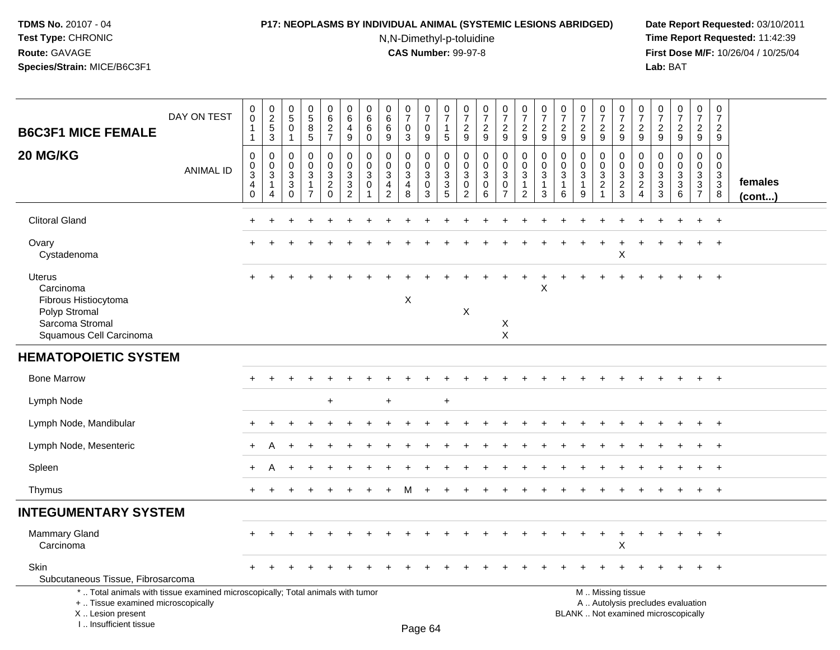### **P17: NEOPLASMS BY INDIVIDUAL ANIMAL (SYSTEMIC LESIONS ABRIDGED) Date Report Requested:** 03/10/2011

N,N-Dimethyl-p-toluidine

| <b>B6C3F1 MICE FEMALE</b>                                                                                                                                           | DAY ON TEST      | $\pmb{0}$<br>$\mathsf 0$<br>$\mathbf 1$           | $\begin{array}{c} 0 \\ 2 \\ 5 \end{array}$<br>3 | $\pmb{0}$<br>$5\phantom{.0}$<br>$\overline{0}$<br>$\overline{1}$    | $\begin{array}{c} 0 \\ 5 \end{array}$<br>8<br>5      | 0<br>6<br>$\overline{c}$<br>$\overline{7}$                    | $\pmb{0}$<br>$\,6\,$<br>$\overline{4}$<br>9                                             | $\mathbf 0$<br>6<br>6<br>0                   | $\pmb{0}$<br>6<br>6<br>9                                          | $\begin{array}{c} 0 \\ 7 \end{array}$<br>$\mathbf 0$<br>$\mathbf{3}$ | $\frac{0}{7}$<br>$\mathbf 0$<br>9                   | 0<br>$\overline{7}$<br>1<br>5                                      | $\pmb{0}$<br>$\overline{7}$<br>$\overline{2}$<br>9                     | $\frac{0}{7}$<br>$\overline{2}$<br>$\boldsymbol{9}$              | $\begin{array}{c} 0 \\ 7 \end{array}$<br>$\frac{2}{9}$                                 | $\begin{array}{c} 0 \\ 7 \end{array}$<br>$\overline{2}$<br>9               | $\frac{0}{7}$<br>$\overline{2}$<br>9 | $\frac{0}{7}$<br>$\overline{c}$<br>9                            | $\frac{0}{7}$<br>$\overline{c}$<br>9    | $\frac{0}{7}$<br>$\overline{2}$<br>9     | $\frac{0}{7}$<br>$\boldsymbol{2}$<br>$\overline{9}$    | 0<br>$\overline{7}$<br>2<br>9                        | $\frac{0}{7}$<br>$\overline{2}$<br>9                      | $\frac{0}{7}$<br>$\overline{a}$<br>9       | $\frac{0}{7}$<br>$\overline{2}$<br>9                    | $\pmb{0}$<br>$\overline{7}$<br>$\overline{2}$<br>9              |                   |
|---------------------------------------------------------------------------------------------------------------------------------------------------------------------|------------------|---------------------------------------------------|-------------------------------------------------|---------------------------------------------------------------------|------------------------------------------------------|---------------------------------------------------------------|-----------------------------------------------------------------------------------------|----------------------------------------------|-------------------------------------------------------------------|----------------------------------------------------------------------|-----------------------------------------------------|--------------------------------------------------------------------|------------------------------------------------------------------------|------------------------------------------------------------------|----------------------------------------------------------------------------------------|----------------------------------------------------------------------------|--------------------------------------|-----------------------------------------------------------------|-----------------------------------------|------------------------------------------|--------------------------------------------------------|------------------------------------------------------|-----------------------------------------------------------|--------------------------------------------|---------------------------------------------------------|-----------------------------------------------------------------|-------------------|
| 20 MG/KG                                                                                                                                                            | <b>ANIMAL ID</b> | 0<br>$\pmb{0}$<br>$\mathbf 3$<br>4<br>$\mathbf 0$ | 0<br>$\mathbf 0$<br>$\sqrt{3}$<br>-1<br>4       | $\Omega$<br>$\mathbf 0$<br>$\mathbf{3}$<br>$\mathbf{3}$<br>$\Omega$ | $\mathbf 0$<br>$\mathbf 0$<br>$\mathbf{3}$<br>1<br>7 | 0<br>$\pmb{0}$<br>$\sqrt{3}$<br>$\overline{c}$<br>$\mathbf 0$ | $\mathbf 0$<br>$\pmb{0}$<br>$\ensuremath{\mathsf{3}}$<br>$\mathbf{3}$<br>$\overline{2}$ | $\mathbf{0}$<br>$\mathbf 0$<br>3<br>$\Omega$ | $\mathbf 0$<br>$\mathbf 0$<br>$\mathbf{3}$<br>4<br>$\overline{2}$ | $\mathbf 0$<br>$\mathbf 0$<br>$\sqrt{3}$<br>$\overline{4}$<br>8      | $\mathbf 0$<br>$\mathbf 0$<br>3<br>$\mathbf 0$<br>3 | $\mathbf 0$<br>0<br>$\ensuremath{\mathsf{3}}$<br>$\mathbf{3}$<br>5 | $\Omega$<br>$\mathbf 0$<br>$\sqrt{3}$<br>$\mathbf 0$<br>$\overline{2}$ | $\mathbf 0$<br>$\mathbf 0$<br>$\mathfrak{Z}$<br>$\mathbf 0$<br>6 | $\mathbf 0$<br>$\pmb{0}$<br>$\ensuremath{\mathsf{3}}$<br>$\mathbf 0$<br>$\overline{7}$ | $\mathbf 0$<br>$\mathbf 0$<br>$\sqrt{3}$<br>$\mathbf{1}$<br>$\overline{2}$ | $\mathbf 0$<br>$\mathbf 0$<br>3<br>3 | $\mathbf 0$<br>$\mathbf 0$<br>$\mathbf{3}$<br>$\mathbf{1}$<br>6 | $\Omega$<br>0<br>3<br>$\mathbf{1}$<br>9 | 0<br>0<br>$\mathbf{3}$<br>$\overline{c}$ | $\mathbf 0$<br>$\boldsymbol{0}$<br>$\frac{3}{2}$       | $\Omega$<br>$\mathbf{0}$<br>3<br>$\overline{c}$<br>4 | $\Omega$<br>$\Omega$<br>$\mathbf{3}$<br>$\mathbf{3}$<br>3 | $\mathbf 0$<br>0<br>$\mathbf{3}$<br>3<br>6 | $\mathbf 0$<br>0<br>3<br>$\mathbf{3}$<br>$\overline{7}$ | $\mathbf 0$<br>$\mathbf 0$<br>$\mathbf{3}$<br>$\mathbf{3}$<br>8 | females<br>(cont) |
| <b>Clitoral Gland</b>                                                                                                                                               |                  |                                                   |                                                 |                                                                     |                                                      |                                                               |                                                                                         |                                              |                                                                   |                                                                      |                                                     |                                                                    |                                                                        |                                                                  |                                                                                        |                                                                            |                                      |                                                                 |                                         |                                          |                                                        |                                                      |                                                           |                                            | $\ddot{}$                                               | $+$                                                             |                   |
| Ovary<br>Cystadenoma                                                                                                                                                |                  |                                                   |                                                 |                                                                     |                                                      |                                                               |                                                                                         |                                              |                                                                   |                                                                      |                                                     |                                                                    |                                                                        |                                                                  |                                                                                        |                                                                            |                                      |                                                                 |                                         |                                          | $\mathsf X$                                            |                                                      |                                                           |                                            | $+$                                                     | $+$                                                             |                   |
| <b>Uterus</b><br>Carcinoma<br>Fibrous Histiocytoma<br>Polyp Stromal<br>Sarcoma Stromal<br>Squamous Cell Carcinoma                                                   |                  |                                                   |                                                 |                                                                     |                                                      |                                                               |                                                                                         |                                              |                                                                   | $\mathsf X$                                                          |                                                     |                                                                    | X                                                                      |                                                                  | X<br>$\pmb{\times}$                                                                    |                                                                            | Χ                                    |                                                                 |                                         |                                          |                                                        |                                                      |                                                           |                                            |                                                         | $\overline{+}$                                                  |                   |
| <b>HEMATOPOIETIC SYSTEM</b>                                                                                                                                         |                  |                                                   |                                                 |                                                                     |                                                      |                                                               |                                                                                         |                                              |                                                                   |                                                                      |                                                     |                                                                    |                                                                        |                                                                  |                                                                                        |                                                                            |                                      |                                                                 |                                         |                                          |                                                        |                                                      |                                                           |                                            |                                                         |                                                                 |                   |
| <b>Bone Marrow</b>                                                                                                                                                  |                  |                                                   |                                                 |                                                                     |                                                      |                                                               |                                                                                         |                                              |                                                                   |                                                                      |                                                     |                                                                    |                                                                        |                                                                  |                                                                                        |                                                                            |                                      |                                                                 |                                         |                                          |                                                        |                                                      |                                                           |                                            | $\ddot{}$                                               | $+$                                                             |                   |
| Lymph Node                                                                                                                                                          |                  |                                                   |                                                 |                                                                     |                                                      | $\ddot{}$                                                     |                                                                                         |                                              | $\ddot{}$                                                         |                                                                      |                                                     | $\ddot{}$                                                          |                                                                        |                                                                  |                                                                                        |                                                                            |                                      |                                                                 |                                         |                                          |                                                        |                                                      |                                                           |                                            |                                                         |                                                                 |                   |
| Lymph Node, Mandibular                                                                                                                                              |                  |                                                   |                                                 |                                                                     |                                                      |                                                               |                                                                                         |                                              |                                                                   |                                                                      |                                                     |                                                                    |                                                                        |                                                                  |                                                                                        |                                                                            |                                      |                                                                 |                                         |                                          |                                                        |                                                      |                                                           |                                            |                                                         | $\overline{+}$                                                  |                   |
| Lymph Node, Mesenteric                                                                                                                                              |                  |                                                   |                                                 |                                                                     |                                                      |                                                               |                                                                                         |                                              |                                                                   |                                                                      |                                                     |                                                                    |                                                                        |                                                                  |                                                                                        |                                                                            |                                      |                                                                 |                                         |                                          |                                                        |                                                      |                                                           |                                            |                                                         | $\ddot{}$                                                       |                   |
| Spleen                                                                                                                                                              |                  | $\ddot{}$                                         | A                                               |                                                                     |                                                      |                                                               |                                                                                         |                                              |                                                                   |                                                                      |                                                     |                                                                    |                                                                        |                                                                  |                                                                                        |                                                                            |                                      |                                                                 |                                         |                                          |                                                        |                                                      |                                                           |                                            |                                                         | $^+$                                                            |                   |
| Thymus                                                                                                                                                              |                  | $\ddot{}$                                         |                                                 |                                                                     |                                                      |                                                               |                                                                                         |                                              |                                                                   | м                                                                    |                                                     |                                                                    |                                                                        |                                                                  |                                                                                        |                                                                            |                                      |                                                                 |                                         |                                          |                                                        |                                                      |                                                           |                                            | $+$                                                     | $+$                                                             |                   |
| <b>INTEGUMENTARY SYSTEM</b>                                                                                                                                         |                  |                                                   |                                                 |                                                                     |                                                      |                                                               |                                                                                         |                                              |                                                                   |                                                                      |                                                     |                                                                    |                                                                        |                                                                  |                                                                                        |                                                                            |                                      |                                                                 |                                         |                                          |                                                        |                                                      |                                                           |                                            |                                                         |                                                                 |                   |
| <b>Mammary Gland</b><br>Carcinoma                                                                                                                                   |                  |                                                   |                                                 |                                                                     |                                                      |                                                               |                                                                                         |                                              |                                                                   |                                                                      |                                                     |                                                                    |                                                                        |                                                                  |                                                                                        |                                                                            |                                      |                                                                 | $\ddot{}$                               | $+$                                      | $\ddot{}$<br>X                                         | $\ddot{}$                                            | $\ddot{}$                                                 | $\overline{+}$                             | $+$                                                     | $+$                                                             |                   |
| Skin<br>Subcutaneous Tissue, Fibrosarcoma                                                                                                                           |                  |                                                   |                                                 |                                                                     |                                                      |                                                               |                                                                                         |                                              |                                                                   |                                                                      |                                                     |                                                                    |                                                                        |                                                                  |                                                                                        |                                                                            |                                      |                                                                 |                                         |                                          |                                                        |                                                      |                                                           |                                            |                                                         |                                                                 |                   |
| *  Total animals with tissue examined microscopically; Total animals with tumor<br>+  Tissue examined microscopically<br>X  Lesion present<br>I Insufficient tissue |                  |                                                   |                                                 |                                                                     |                                                      |                                                               |                                                                                         |                                              |                                                                   |                                                                      | $D_{200}$ $64$                                      |                                                                    |                                                                        |                                                                  |                                                                                        |                                                                            |                                      |                                                                 | BLANK  Not examined microscopically     |                                          | M  Missing tissue<br>A  Autolysis precludes evaluation |                                                      |                                                           |                                            |                                                         |                                                                 |                   |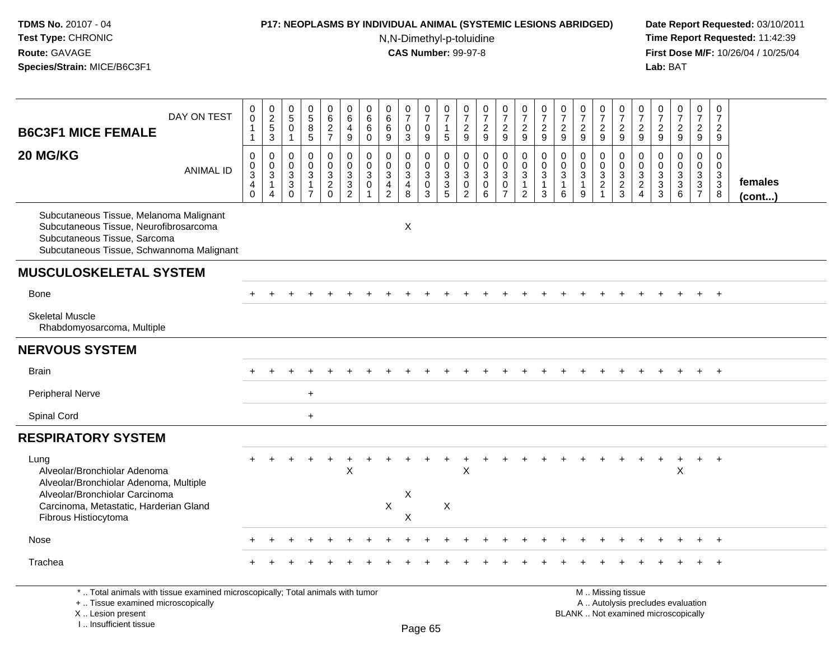### **P17: NEOPLASMS BY INDIVIDUAL ANIMAL (SYSTEMIC LESIONS ABRIDGED) Date Report Requested:** 03/10/2011

N,N-Dimethyl-p-toluidine

| <b>B6C3F1 MICE FEMALE</b>                                                                                                                                           | DAY ON TEST      | $\pmb{0}$<br>0<br>$\mathbf{1}$<br>$\overline{1}$                            | $\begin{array}{c} 0 \\ 2 \\ 5 \end{array}$<br>3                              | $\begin{array}{c} 0 \\ 5 \end{array}$<br>$\mathbf 0$<br>$\mathbf{1}$                | $\begin{array}{c} 0 \\ 5 \end{array}$<br>8<br>5      | $\begin{array}{c} 0 \\ 6 \end{array}$<br>$\overline{c}$<br>$\overline{7}$ | $\pmb{0}$<br>$\,6\,$<br>$\overline{4}$<br>$9\,$           | $\pmb{0}$<br>6<br>$\,6\,$<br>0                                         | $\pmb{0}$<br>$\,6$<br>6<br>9                                                  | $\frac{0}{7}$<br>$\mathbf 0$<br>3             | $\frac{0}{7}$<br>$\mathsf{O}\xspace$<br>$\boldsymbol{9}$     | $\frac{0}{7}$<br>$\mathbf{1}$<br>$5\phantom{.0}$ | $\frac{0}{7}$<br>$\boldsymbol{2}$<br>$9\,$                                 | $\frac{0}{7}$<br>$\frac{2}{9}$                  | $\begin{array}{c} 0 \\ 7 \end{array}$<br>$\boldsymbol{2}$<br>$\boldsymbol{9}$ | $\frac{0}{7}$<br>$\overline{2}$<br>$\boldsymbol{9}$                      | $\frac{0}{7}$<br>$\overline{2}$<br>9                  | $\begin{array}{c} 0 \\ 7 \end{array}$<br>$\overline{c}$<br>9 | $\begin{array}{c} 0 \\ 7 \end{array}$<br>$\overline{2}$<br>9 | $\begin{array}{c} 0 \\ 7 \end{array}$<br>$\overline{2}$<br>9 | $\frac{0}{7}$<br>$\boldsymbol{2}$<br>$\overline{9}$ | 0<br>$\overline{7}$<br>$\boldsymbol{2}$<br>$\boldsymbol{9}$               | $\frac{0}{7}$<br>$\overline{2}$<br>9                             | $\frac{0}{7}$<br>$\frac{2}{9}$            | $\begin{smallmatrix} 0\\7 \end{smallmatrix}$<br>$\overline{2}$<br>9 | $\pmb{0}$<br>$\overline{7}$<br>$\overline{2}$<br>9 |                         |
|---------------------------------------------------------------------------------------------------------------------------------------------------------------------|------------------|-----------------------------------------------------------------------------|------------------------------------------------------------------------------|-------------------------------------------------------------------------------------|------------------------------------------------------|---------------------------------------------------------------------------|-----------------------------------------------------------|------------------------------------------------------------------------|-------------------------------------------------------------------------------|-----------------------------------------------|--------------------------------------------------------------|--------------------------------------------------|----------------------------------------------------------------------------|-------------------------------------------------|-------------------------------------------------------------------------------|--------------------------------------------------------------------------|-------------------------------------------------------|--------------------------------------------------------------|--------------------------------------------------------------|--------------------------------------------------------------|-----------------------------------------------------|---------------------------------------------------------------------------|------------------------------------------------------------------|-------------------------------------------|---------------------------------------------------------------------|----------------------------------------------------|-------------------------|
| 20 MG/KG                                                                                                                                                            | <b>ANIMAL ID</b> | $\mathbf 0$<br>0<br>$\ensuremath{\mathsf{3}}$<br>$\overline{4}$<br>$\Omega$ | $\mathbf 0$<br>$\mathbf 0$<br>$\ensuremath{\mathsf{3}}$<br>$\mathbf{1}$<br>4 | $\mathbf 0$<br>$\mathbf 0$<br>$\ensuremath{\mathsf{3}}$<br>$\mathbf{3}$<br>$\Omega$ | $\Omega$<br>0<br>3<br>$\mathbf{1}$<br>$\overline{7}$ | 0<br>$\mathbf 0$<br>$\frac{3}{2}$<br>$\mathbf 0$                          | $\pmb{0}$<br>$\pmb{0}$<br>$\frac{3}{3}$<br>$\overline{2}$ | $\mathbf 0$<br>$\mathbf 0$<br>$\ensuremath{\mathsf{3}}$<br>$\mathbf 0$ | $\Omega$<br>$\mathbf 0$<br>$\overline{3}$<br>$\overline{a}$<br>$\overline{2}$ | 0<br>0<br>$\mathbf{3}$<br>$\overline{4}$<br>8 | 0<br>$\mathsf{O}\xspace$<br>$\overline{3}$<br>$\pmb{0}$<br>3 | $\Omega$<br>$\pmb{0}$<br>$\frac{3}{3}$<br>5      | $\mathbf{0}$<br>$\mathbf 0$<br>$\sqrt{3}$<br>$\mathbf 0$<br>$\overline{2}$ | $\pmb{0}$<br>$\pmb{0}$<br>$\overline{3}$ 0<br>6 | 0<br>$\mathsf 0$<br>$\overline{3}$<br>0<br>$\overline{7}$                     | $\mathbf 0$<br>$\pmb{0}$<br>$\sqrt{3}$<br>$\mathbf{1}$<br>$\overline{2}$ | 0<br>$\mathbf 0$<br>$\mathbf{3}$<br>$\mathbf{1}$<br>3 | $\Omega$<br>$\mathbf 0$<br>$\sqrt{3}$<br>$\mathbf{1}$<br>6   | $\Omega$<br>$\pmb{0}$<br>$\overline{3}$<br>$\mathbf{1}$<br>9 | $\mathbf 0$<br>$\mathbf 0$<br>$\frac{3}{2}$                  | $\mathbf 0$<br>$\mathsf{O}\xspace$<br>$\frac{3}{2}$ | $\Omega$<br>$\mathbf 0$<br>$\sqrt{3}$<br>$\overline{c}$<br>$\overline{4}$ | 0<br>$\mathbf 0$<br>$\sqrt{3}$<br>$\ensuremath{\mathsf{3}}$<br>3 | 0<br>0<br>$\frac{3}{3}$<br>$6\phantom{1}$ | $\mathbf 0$<br>$\mathbf 0$<br>$\frac{3}{3}$                         | $\mathbf 0$<br>0<br>$_3^3$<br>8                    | females<br>$($ cont $)$ |
| Subcutaneous Tissue, Melanoma Malignant<br>Subcutaneous Tissue, Neurofibrosarcoma<br>Subcutaneous Tissue, Sarcoma<br>Subcutaneous Tissue, Schwannoma Malignant      |                  |                                                                             |                                                                              |                                                                                     |                                                      |                                                                           |                                                           |                                                                        |                                                                               | X                                             |                                                              |                                                  |                                                                            |                                                 |                                                                               |                                                                          |                                                       |                                                              |                                                              |                                                              |                                                     |                                                                           |                                                                  |                                           |                                                                     |                                                    |                         |
| <b>MUSCULOSKELETAL SYSTEM</b>                                                                                                                                       |                  |                                                                             |                                                                              |                                                                                     |                                                      |                                                                           |                                                           |                                                                        |                                                                               |                                               |                                                              |                                                  |                                                                            |                                                 |                                                                               |                                                                          |                                                       |                                                              |                                                              |                                                              |                                                     |                                                                           |                                                                  |                                           |                                                                     |                                                    |                         |
| <b>Bone</b>                                                                                                                                                         |                  |                                                                             |                                                                              |                                                                                     |                                                      |                                                                           |                                                           |                                                                        |                                                                               |                                               |                                                              |                                                  |                                                                            |                                                 |                                                                               |                                                                          |                                                       |                                                              |                                                              |                                                              |                                                     |                                                                           |                                                                  |                                           |                                                                     | $+$                                                |                         |
| <b>Skeletal Muscle</b><br>Rhabdomyosarcoma, Multiple                                                                                                                |                  |                                                                             |                                                                              |                                                                                     |                                                      |                                                                           |                                                           |                                                                        |                                                                               |                                               |                                                              |                                                  |                                                                            |                                                 |                                                                               |                                                                          |                                                       |                                                              |                                                              |                                                              |                                                     |                                                                           |                                                                  |                                           |                                                                     |                                                    |                         |
| <b>NERVOUS SYSTEM</b>                                                                                                                                               |                  |                                                                             |                                                                              |                                                                                     |                                                      |                                                                           |                                                           |                                                                        |                                                                               |                                               |                                                              |                                                  |                                                                            |                                                 |                                                                               |                                                                          |                                                       |                                                              |                                                              |                                                              |                                                     |                                                                           |                                                                  |                                           |                                                                     |                                                    |                         |
| <b>Brain</b>                                                                                                                                                        |                  |                                                                             |                                                                              |                                                                                     |                                                      |                                                                           |                                                           |                                                                        |                                                                               |                                               |                                                              |                                                  |                                                                            |                                                 |                                                                               |                                                                          |                                                       |                                                              |                                                              |                                                              |                                                     |                                                                           |                                                                  |                                           | $+$                                                                 | $+$                                                |                         |
| <b>Peripheral Nerve</b>                                                                                                                                             |                  |                                                                             |                                                                              |                                                                                     | $+$                                                  |                                                                           |                                                           |                                                                        |                                                                               |                                               |                                                              |                                                  |                                                                            |                                                 |                                                                               |                                                                          |                                                       |                                                              |                                                              |                                                              |                                                     |                                                                           |                                                                  |                                           |                                                                     |                                                    |                         |
| Spinal Cord                                                                                                                                                         |                  |                                                                             |                                                                              |                                                                                     | $\ddot{}$                                            |                                                                           |                                                           |                                                                        |                                                                               |                                               |                                                              |                                                  |                                                                            |                                                 |                                                                               |                                                                          |                                                       |                                                              |                                                              |                                                              |                                                     |                                                                           |                                                                  |                                           |                                                                     |                                                    |                         |
| <b>RESPIRATORY SYSTEM</b>                                                                                                                                           |                  |                                                                             |                                                                              |                                                                                     |                                                      |                                                                           |                                                           |                                                                        |                                                                               |                                               |                                                              |                                                  |                                                                            |                                                 |                                                                               |                                                                          |                                                       |                                                              |                                                              |                                                              |                                                     |                                                                           |                                                                  |                                           |                                                                     |                                                    |                         |
| Lung<br>Alveolar/Bronchiolar Adenoma<br>Alveolar/Bronchiolar Adenoma, Multiple                                                                                      |                  |                                                                             |                                                                              |                                                                                     |                                                      |                                                                           | X                                                         |                                                                        |                                                                               |                                               |                                                              |                                                  | $\mathsf X$                                                                |                                                 |                                                                               |                                                                          |                                                       |                                                              |                                                              |                                                              |                                                     |                                                                           |                                                                  | Χ                                         | $\pm$                                                               | $^{+}$                                             |                         |
| Alveolar/Bronchiolar Carcinoma<br>Carcinoma, Metastatic, Harderian Gland                                                                                            |                  |                                                                             |                                                                              |                                                                                     |                                                      |                                                                           |                                                           |                                                                        | $\mathsf{X}$                                                                  | X                                             |                                                              | X                                                |                                                                            |                                                 |                                                                               |                                                                          |                                                       |                                                              |                                                              |                                                              |                                                     |                                                                           |                                                                  |                                           |                                                                     |                                                    |                         |
| Fibrous Histiocytoma                                                                                                                                                |                  |                                                                             |                                                                              |                                                                                     |                                                      |                                                                           |                                                           |                                                                        |                                                                               | X                                             |                                                              |                                                  |                                                                            |                                                 |                                                                               |                                                                          |                                                       |                                                              |                                                              |                                                              |                                                     |                                                                           |                                                                  |                                           |                                                                     |                                                    |                         |
| Nose                                                                                                                                                                |                  |                                                                             |                                                                              |                                                                                     |                                                      |                                                                           |                                                           |                                                                        |                                                                               |                                               |                                                              |                                                  |                                                                            |                                                 |                                                                               |                                                                          |                                                       |                                                              |                                                              |                                                              |                                                     |                                                                           |                                                                  |                                           |                                                                     |                                                    |                         |
| Trachea                                                                                                                                                             |                  |                                                                             |                                                                              |                                                                                     |                                                      |                                                                           |                                                           |                                                                        |                                                                               |                                               |                                                              |                                                  |                                                                            |                                                 |                                                                               |                                                                          |                                                       |                                                              |                                                              |                                                              |                                                     |                                                                           |                                                                  |                                           |                                                                     |                                                    |                         |
| *  Total animals with tissue examined microscopically; Total animals with tumor<br>+  Tissue examined microscopically<br>X  Lesion present<br>I Insufficient tissue |                  |                                                                             |                                                                              |                                                                                     |                                                      |                                                                           |                                                           |                                                                        |                                                                               |                                               | Dano 65                                                      |                                                  |                                                                            |                                                 |                                                                               |                                                                          |                                                       |                                                              | M  Missing tissue<br>BLANK  Not examined microscopically     |                                                              |                                                     |                                                                           |                                                                  | A  Autolysis precludes evaluation         |                                                                     |                                                    |                         |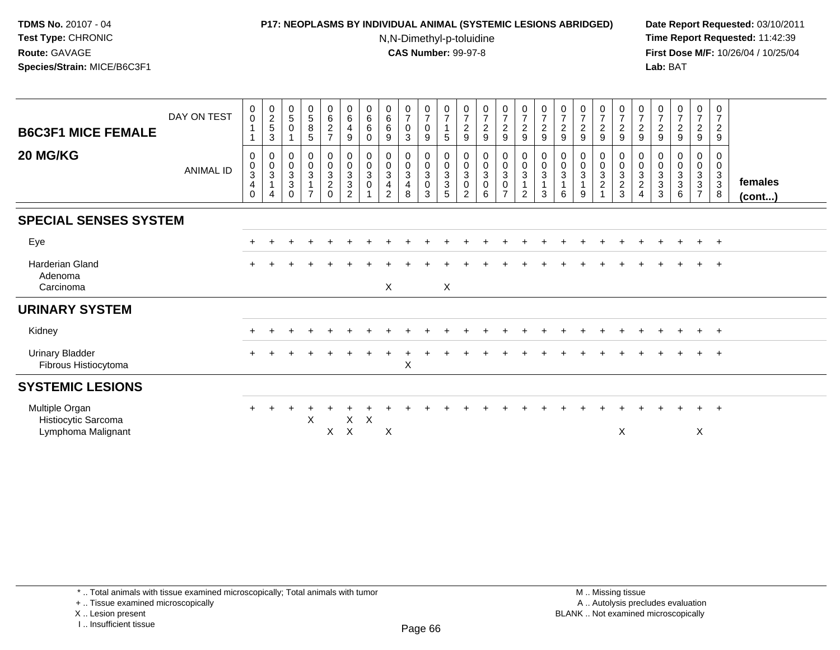# **P17: NEOPLASMS BY INDIVIDUAL ANIMAL (SYSTEMIC LESIONS ABRIDGED) Date Report Requested:** 03/10/2011

N,N-Dimethyl-p-toluidine

 **Time Report Requested:** 11:42:39 **First Dose M/F:** 10/26/04 / 10/25/04 Lab: BAT **Lab:** BAT

| <b>B6C3F1 MICE FEMALE</b>                                   | DAY ON TEST      | 0<br>0                                  | $\begin{array}{c} 0 \\ 2 \\ 5 \end{array}$<br>$\mathbf{3}$ | $\begin{array}{c} 0 \\ 5 \end{array}$<br>$\mathbf 0$   | $\begin{array}{c} 0 \\ 5 \end{array}$<br>8<br>5 | $0\over 6$<br>$\overline{c}$<br>$\overline{7}$ | $\begin{array}{c} 0 \\ 6 \end{array}$<br>$\overline{4}$<br>9   | $\begin{array}{c} 0 \\ 6 \end{array}$<br>6<br>$\mathbf 0$ | $\begin{array}{c} 0 \\ 6 \end{array}$<br>6<br>9                         | $\frac{0}{7}$<br>$\mathbf 0$<br>3 | $\frac{0}{7}$<br>$\mathbf 0$<br>9                | 0<br>$\overline{7}$<br>$\mathbf{1}$<br>5  | 0<br>$\overline{7}$<br>$\boldsymbol{2}$<br>9 | $\begin{array}{c} 0 \\ 7 \\ 2 \end{array}$<br>9                 | $\begin{array}{c} 0 \\ 7 \\ 2 \end{array}$<br>9                          | $\frac{0}{7}$<br>$\overline{2}$<br>9                                            | $\frac{0}{7}$<br>$\boldsymbol{2}$<br>9                            | $\frac{0}{7}$<br>$\overline{c}$<br>9    | $\begin{array}{c} 0 \\ 7 \\ 2 \end{array}$<br>9 | $\frac{0}{7}$<br>$\frac{2}{9}$                                 | $\frac{0}{7}$<br>$\overline{c}$<br>9 | 0<br>$\overline{7}$<br>$\boldsymbol{2}$<br>9   | 0<br>$\overline{7}$<br>$\overline{c}$<br>9                         | $\frac{0}{7}$<br>$\overline{c}$<br>9                         | 0<br>$\overline{7}$<br>$\overline{a}$<br>9           | 0<br>$\overline{7}$<br>$\overline{2}$<br>9 |                   |
|-------------------------------------------------------------|------------------|-----------------------------------------|------------------------------------------------------------|--------------------------------------------------------|-------------------------------------------------|------------------------------------------------|----------------------------------------------------------------|-----------------------------------------------------------|-------------------------------------------------------------------------|-----------------------------------|--------------------------------------------------|-------------------------------------------|----------------------------------------------|-----------------------------------------------------------------|--------------------------------------------------------------------------|---------------------------------------------------------------------------------|-------------------------------------------------------------------|-----------------------------------------|-------------------------------------------------|----------------------------------------------------------------|--------------------------------------|------------------------------------------------|--------------------------------------------------------------------|--------------------------------------------------------------|------------------------------------------------------|--------------------------------------------|-------------------|
| 20 MG/KG                                                    | <b>ANIMAL ID</b> | 0<br>$_{3}^{\rm 0}$<br>4<br>$\mathbf 0$ | $\begin{smallmatrix}0\\0\\3\end{smallmatrix}$<br>4         | $\pmb{0}$<br>$\frac{0}{3}$<br>$\mathbf{3}$<br>$\Omega$ | $\mathbf 0$<br>$\mathsf{O}\xspace$<br>3         | 0<br>$\frac{0}{3}$<br>$\frac{2}{0}$            | $\begin{smallmatrix}0\\0\\3\end{smallmatrix}$<br>$\frac{3}{2}$ | 0<br>$\frac{0}{3}$<br>$\pmb{0}$                           | $\pmb{0}$<br>$\frac{0}{3}$<br>$\overline{\mathbf{4}}$<br>$\mathfrak{D}$ | 0<br>$\frac{0}{3}$<br>4<br>8      | $\mathbf 0$<br>$\frac{0}{3}$<br>$\mathsf 0$<br>3 | 0<br>$\frac{0}{3}$<br>3<br>$\overline{5}$ | 0<br>$_{3}^{\rm 0}$<br>$\pmb{0}$<br>2        | $\begin{smallmatrix}0\\0\\3\end{smallmatrix}$<br>$\pmb{0}$<br>6 | $\begin{matrix} 0 \\ 0 \\ 3 \end{matrix}$<br>$\pmb{0}$<br>$\overline{z}$ | $\begin{smallmatrix}0\\0\\3\end{smallmatrix}$<br>$\mathbf{1}$<br>$\overline{2}$ | $\begin{smallmatrix} 0\\0 \end{smallmatrix}$<br>$\mathbf{3}$<br>3 | 0<br>$\frac{0}{3}$<br>$\mathbf{1}$<br>6 | 0<br>$\overline{0}$<br>3<br>9                   | $\begin{smallmatrix}0\0\0\3\end{smallmatrix}$<br>$\frac{2}{1}$ | 0<br>$\frac{0}{3}$<br>$\frac{2}{3}$  | 0<br>$\mathbf 0$<br>3<br>$\boldsymbol{2}$<br>4 | 0<br>$\pmb{0}$<br>$\overline{3}$<br>$\ensuremath{\mathsf{3}}$<br>3 | 0<br>$\pmb{0}$<br>$\ensuremath{\mathsf{3}}$<br>$\frac{3}{6}$ | 0<br>$\frac{0}{3}$<br>$\mathbf{3}$<br>$\overline{7}$ | 0<br>$\mathbf 0$<br>$\frac{3}{3}$<br>8     | females<br>(cont) |
| <b>SPECIAL SENSES SYSTEM</b>                                |                  |                                         |                                                            |                                                        |                                                 |                                                |                                                                |                                                           |                                                                         |                                   |                                                  |                                           |                                              |                                                                 |                                                                          |                                                                                 |                                                                   |                                         |                                                 |                                                                |                                      |                                                |                                                                    |                                                              |                                                      |                                            |                   |
| Eye                                                         |                  | $+$                                     |                                                            |                                                        |                                                 |                                                |                                                                |                                                           |                                                                         |                                   |                                                  |                                           |                                              |                                                                 |                                                                          |                                                                                 |                                                                   |                                         |                                                 |                                                                |                                      |                                                |                                                                    | $\ddot{}$                                                    | $+$                                                  | $+$                                        |                   |
| <b>Harderian Gland</b><br>Adenoma<br>Carcinoma              |                  |                                         |                                                            |                                                        |                                                 |                                                |                                                                |                                                           | X                                                                       |                                   |                                                  | X                                         |                                              |                                                                 |                                                                          |                                                                                 |                                                                   |                                         |                                                 |                                                                |                                      |                                                |                                                                    |                                                              |                                                      | $\overline{ }$                             |                   |
| <b>URINARY SYSTEM</b>                                       |                  |                                         |                                                            |                                                        |                                                 |                                                |                                                                |                                                           |                                                                         |                                   |                                                  |                                           |                                              |                                                                 |                                                                          |                                                                                 |                                                                   |                                         |                                                 |                                                                |                                      |                                                |                                                                    |                                                              |                                                      |                                            |                   |
| Kidney                                                      |                  |                                         |                                                            |                                                        |                                                 |                                                |                                                                |                                                           |                                                                         |                                   |                                                  |                                           |                                              |                                                                 |                                                                          |                                                                                 |                                                                   |                                         |                                                 |                                                                |                                      |                                                |                                                                    | $\ddot{}$                                                    | $+$                                                  | $+$                                        |                   |
| <b>Urinary Bladder</b><br>Fibrous Histiocytoma              |                  | $\pm$                                   |                                                            |                                                        |                                                 |                                                |                                                                |                                                           |                                                                         | $\pmb{\times}$                    |                                                  |                                           |                                              |                                                                 |                                                                          |                                                                                 |                                                                   |                                         |                                                 |                                                                |                                      |                                                |                                                                    |                                                              | $+$                                                  | $+$                                        |                   |
| <b>SYSTEMIC LESIONS</b>                                     |                  |                                         |                                                            |                                                        |                                                 |                                                |                                                                |                                                           |                                                                         |                                   |                                                  |                                           |                                              |                                                                 |                                                                          |                                                                                 |                                                                   |                                         |                                                 |                                                                |                                      |                                                |                                                                    |                                                              |                                                      |                                            |                   |
| Multiple Organ<br>Histiocytic Sarcoma<br>Lymphoma Malignant |                  | $+$                                     |                                                            |                                                        | X                                               | X                                              | X<br>$\mathsf{X}$                                              | $\pmb{\times}$                                            | X                                                                       |                                   |                                                  |                                           |                                              |                                                                 |                                                                          |                                                                                 |                                                                   |                                         |                                                 |                                                                | $\boldsymbol{\mathsf{X}}$            |                                                |                                                                    |                                                              | $+$<br>X                                             | $+$                                        |                   |

\* .. Total animals with tissue examined microscopically; Total animals with tumor

+ .. Tissue examined microscopically

X .. Lesion present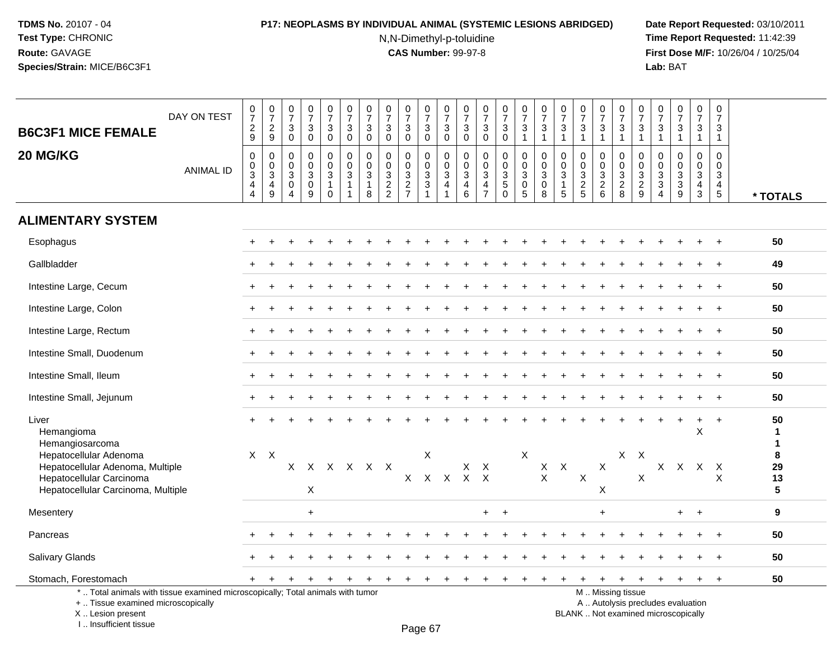# **P17: NEOPLASMS BY INDIVIDUAL ANIMAL (SYSTEMIC LESIONS ABRIDGED) Date Report Requested:** 03/10/2011

N,N-Dimethyl-p-toluidine

 **Time Report Requested:** 11:42:39 **First Dose M/F:** 10/26/04 / 10/25/04<br>**Lab:** BAT **Lab:** BAT

| <b>B6C3F1 MICE FEMALE</b>                                                                                                                                              | DAY ON TEST      | 0729                                                            | $\begin{smallmatrix} 0\\7 \end{smallmatrix}$<br>$\frac{2}{9}$ | $\frac{0}{7}$<br>$\sqrt{3}$<br>$\mathbf 0$              | $\begin{array}{c} 0 \\ 7 \end{array}$<br>$\sqrt{3}$<br>$\mathsf{O}\xspace$  | $\begin{array}{c} 0 \\ 7 \end{array}$<br>$\mathbf{3}$<br>$\mathbf 0$     | $\frac{0}{7}$<br>3<br>$\mathbf 0$                                            | $\begin{array}{c} 0 \\ 7 \\ 3 \end{array}$<br>$\mathbf 0$ | $\begin{array}{c} 0 \\ 7 \end{array}$<br>$\overline{3}$<br>$\mathbf 0$ | $\begin{array}{c} 0 \\ 7 \end{array}$<br>$\sqrt{3}$<br>$\mathbf 0$ | $\begin{array}{c} 0 \\ 7 \end{array}$<br>$\mathsf 3$<br>$\mathbf 0$ | $\begin{array}{c} 0 \\ 7 \end{array}$<br>$\overline{3}$<br>$\mathbf 0$           | $\frac{0}{7}$<br>3<br>$\mathbf 0$ | $\begin{array}{c} 0 \\ 7 \end{array}$<br>$\mathsf 3$<br>$\mathbf 0$            | $\frac{0}{7}$<br>$\sqrt{3}$<br>$\pmb{0}$                             | $\begin{smallmatrix}0\\7\end{smallmatrix}$<br>$\sqrt{3}$<br>$\mathbf{1}$                 | $\begin{array}{c} 0 \\ 7 \end{array}$<br>$\sqrt{3}$<br>$\overline{1}$ | $\begin{matrix} 0 \\ 7 \end{matrix}$<br>$\ensuremath{\mathsf{3}}$<br>$\mathbf{1}$ | $\frac{0}{7}$<br>$\mathsf 3$<br>$\mathbf{1}$ | $\frac{0}{7}$<br>3<br>$\mathbf{1}$                                                            | $\frac{0}{7}$<br>$\overline{3}$<br>$\mathbf{1}$ | $\frac{0}{7}$<br>$\ensuremath{\mathsf{3}}$<br>$\mathbf{1}$               | $\frac{0}{7}$<br>$\mathbf{3}$<br>$\mathbf{1}$                                 | $\frac{0}{7}$<br>$\sqrt{3}$<br>$\mathbf{1}$                                | $\frac{0}{7}$<br>3<br>$\mathbf{1}$                                | $\begin{smallmatrix}0\\7\end{smallmatrix}$<br>$\mathbf{3}$<br>$\mathbf{1}$         |                                                                        |
|------------------------------------------------------------------------------------------------------------------------------------------------------------------------|------------------|-----------------------------------------------------------------|---------------------------------------------------------------|---------------------------------------------------------|-----------------------------------------------------------------------------|--------------------------------------------------------------------------|------------------------------------------------------------------------------|-----------------------------------------------------------|------------------------------------------------------------------------|--------------------------------------------------------------------|---------------------------------------------------------------------|----------------------------------------------------------------------------------|-----------------------------------|--------------------------------------------------------------------------------|----------------------------------------------------------------------|------------------------------------------------------------------------------------------|-----------------------------------------------------------------------|-----------------------------------------------------------------------------------|----------------------------------------------|-----------------------------------------------------------------------------------------------|-------------------------------------------------|--------------------------------------------------------------------------|-------------------------------------------------------------------------------|----------------------------------------------------------------------------|-------------------------------------------------------------------|------------------------------------------------------------------------------------|------------------------------------------------------------------------|
| 20 MG/KG                                                                                                                                                               | <b>ANIMAL ID</b> | $\pmb{0}$<br>$_{3}^{\rm 0}$<br>$\overline{4}$<br>$\overline{4}$ | 0<br>$\mathbf 0$<br>$\overline{3}$<br>4<br>9                  | $\mathbf 0$<br>0<br>$\mathbf{3}$<br>0<br>$\overline{4}$ | $\mathbf 0$<br>$\mathbf 0$<br>$\overline{3}$<br>$\pmb{0}$<br>$\overline{9}$ | 0<br>$\mathbf 0$<br>$\ensuremath{\mathsf{3}}$<br>$\mathbf 1$<br>$\Omega$ | $\mathbf 0$<br>$\mathbf 0$<br>$\ensuremath{\mathsf{3}}$<br>$\mathbf{1}$<br>1 | 0<br>$\pmb{0}$<br>$\overline{3}$<br>$\mathbf{1}$<br>8     | 0<br>$\mathbf 0$<br>$\frac{3}{2}$                                      | $\mathbf 0$<br>$\mathbf 0$<br>$\frac{3}{2}$                        | 0<br>$\mathbf 0$<br>$\frac{3}{3}$                                   | $\mathbf 0$<br>$\mathbf 0$<br>$\overline{3}$<br>$\overline{4}$<br>$\overline{1}$ | 0<br>0<br>3<br>4<br>6             | $\mathbf 0$<br>$\pmb{0}$<br>$\overline{3}$<br>$\overline{4}$<br>$\overline{7}$ | $\mathbf 0$<br>$\pmb{0}$<br>$\overline{3}$<br>$\sqrt{5}$<br>$\Omega$ | $\mathbf 0$<br>$\mathbf 0$<br>$\ensuremath{\mathsf{3}}$<br>$\mathsf 0$<br>$\overline{5}$ | $\mathbf 0$<br>$\pmb{0}$<br>$\sqrt{3}$<br>$\mathbf 0$<br>8            | $\mathbf 0$<br>$\mathbf 0$<br>$\mathbf 3$<br>$\mathbf{1}$<br>$\sqrt{5}$           | $\mathbf 0$<br>$\mathbf 0$<br>$\frac{3}{2}$  | 0<br>0<br>$\mathbf{3}$<br>$\begin{array}{c} 2 \\ 6 \end{array}$                               | $\mathbf 0$<br>$\mathbf 0$<br>$\frac{3}{2}$ 8   | $\mathbf 0$<br>$\mathbf 0$<br>$\begin{array}{c} 3 \\ 2 \\ 9 \end{array}$ | 0<br>$\mathbf 0$<br>$\ensuremath{\mathsf{3}}$<br>$\sqrt{3}$<br>$\overline{4}$ | $\mathbf 0$<br>$\mathbf 0$<br>$\ensuremath{\mathsf{3}}$<br>$\sqrt{3}$<br>9 | $\mathbf 0$<br>$\mathbf 0$<br>$\mathbf{3}$<br>$\overline{4}$<br>3 | $\mathbf 0$<br>0<br>$\ensuremath{\mathsf{3}}$<br>$\overline{4}$<br>$5\phantom{.0}$ | * TOTALS                                                               |
| <b>ALIMENTARY SYSTEM</b>                                                                                                                                               |                  |                                                                 |                                                               |                                                         |                                                                             |                                                                          |                                                                              |                                                           |                                                                        |                                                                    |                                                                     |                                                                                  |                                   |                                                                                |                                                                      |                                                                                          |                                                                       |                                                                                   |                                              |                                                                                               |                                                 |                                                                          |                                                                               |                                                                            |                                                                   |                                                                                    |                                                                        |
| Esophagus                                                                                                                                                              |                  |                                                                 |                                                               |                                                         |                                                                             |                                                                          |                                                                              |                                                           |                                                                        |                                                                    |                                                                     |                                                                                  |                                   |                                                                                |                                                                      |                                                                                          |                                                                       |                                                                                   |                                              |                                                                                               |                                                 |                                                                          |                                                                               |                                                                            |                                                                   |                                                                                    | 50                                                                     |
| Gallbladder                                                                                                                                                            |                  |                                                                 |                                                               |                                                         |                                                                             |                                                                          |                                                                              |                                                           |                                                                        |                                                                    |                                                                     |                                                                                  |                                   |                                                                                |                                                                      |                                                                                          |                                                                       |                                                                                   |                                              |                                                                                               |                                                 |                                                                          |                                                                               |                                                                            |                                                                   |                                                                                    | 49                                                                     |
| Intestine Large, Cecum                                                                                                                                                 |                  |                                                                 |                                                               |                                                         |                                                                             |                                                                          |                                                                              |                                                           |                                                                        |                                                                    |                                                                     |                                                                                  |                                   |                                                                                |                                                                      |                                                                                          |                                                                       |                                                                                   |                                              |                                                                                               |                                                 |                                                                          |                                                                               |                                                                            |                                                                   |                                                                                    | 50                                                                     |
| Intestine Large, Colon                                                                                                                                                 |                  |                                                                 |                                                               |                                                         |                                                                             |                                                                          |                                                                              |                                                           |                                                                        |                                                                    |                                                                     |                                                                                  |                                   |                                                                                |                                                                      |                                                                                          |                                                                       |                                                                                   |                                              |                                                                                               |                                                 |                                                                          |                                                                               |                                                                            |                                                                   | $\ddot{}$                                                                          | 50                                                                     |
| Intestine Large, Rectum                                                                                                                                                |                  |                                                                 |                                                               |                                                         |                                                                             |                                                                          |                                                                              |                                                           |                                                                        |                                                                    |                                                                     |                                                                                  |                                   |                                                                                |                                                                      |                                                                                          |                                                                       |                                                                                   |                                              |                                                                                               |                                                 |                                                                          |                                                                               |                                                                            |                                                                   |                                                                                    | 50                                                                     |
| Intestine Small, Duodenum                                                                                                                                              |                  |                                                                 |                                                               |                                                         |                                                                             |                                                                          |                                                                              |                                                           |                                                                        |                                                                    |                                                                     |                                                                                  |                                   |                                                                                |                                                                      |                                                                                          |                                                                       |                                                                                   |                                              |                                                                                               |                                                 |                                                                          |                                                                               |                                                                            |                                                                   |                                                                                    | 50                                                                     |
| Intestine Small, Ileum                                                                                                                                                 |                  |                                                                 |                                                               |                                                         |                                                                             |                                                                          |                                                                              |                                                           |                                                                        |                                                                    |                                                                     |                                                                                  |                                   |                                                                                |                                                                      |                                                                                          |                                                                       |                                                                                   |                                              |                                                                                               |                                                 |                                                                          |                                                                               |                                                                            |                                                                   |                                                                                    | 50                                                                     |
| Intestine Small, Jejunum                                                                                                                                               |                  |                                                                 |                                                               |                                                         |                                                                             |                                                                          |                                                                              |                                                           |                                                                        |                                                                    |                                                                     |                                                                                  |                                   |                                                                                |                                                                      |                                                                                          |                                                                       |                                                                                   |                                              |                                                                                               |                                                 |                                                                          |                                                                               |                                                                            |                                                                   |                                                                                    | 50                                                                     |
| Liver<br>Hemangioma<br>Hemangiosarcoma<br>Hepatocellular Adenoma<br>Hepatocellular Adenoma, Multiple<br>Hepatocellular Carcinoma<br>Hepatocellular Carcinoma, Multiple |                  |                                                                 | $X$ $X$                                                       | X                                                       | X                                                                           |                                                                          | x x x x x                                                                    |                                                           |                                                                        |                                                                    | Χ<br>X X X                                                          |                                                                                  | $\mathsf{X}$                      | $\mathsf{X}$<br>$X$ $X$                                                        |                                                                      | Χ                                                                                        | $\mathsf X$<br>$\mathsf X$                                            | $\mathsf X$                                                                       | $\mathsf X$                                  | $\mathsf{X}$<br>X                                                                             | X.                                              | X,<br>$\boldsymbol{\mathsf{X}}$                                          |                                                                               | $X$ $X$                                                                    | $\ddot{}$<br>X<br>$X$ $X$                                         | $\ddot{}$<br>X                                                                     | 50<br>$\mathbf{1}$<br>$\mathbf{1}$<br>8<br>29<br>13<br>$5\phantom{.0}$ |
| Mesentery                                                                                                                                                              |                  |                                                                 |                                                               |                                                         | $\ddot{}$                                                                   |                                                                          |                                                                              |                                                           |                                                                        |                                                                    |                                                                     |                                                                                  |                                   | $+$                                                                            | $^{+}$                                                               |                                                                                          |                                                                       |                                                                                   |                                              | $\ddot{}$                                                                                     |                                                 |                                                                          |                                                                               | +                                                                          | $^{+}$                                                            |                                                                                    | 9                                                                      |
| Pancreas                                                                                                                                                               |                  |                                                                 |                                                               |                                                         |                                                                             |                                                                          |                                                                              |                                                           |                                                                        |                                                                    |                                                                     |                                                                                  |                                   |                                                                                |                                                                      |                                                                                          |                                                                       |                                                                                   |                                              |                                                                                               |                                                 |                                                                          |                                                                               |                                                                            |                                                                   |                                                                                    | 50                                                                     |
| Salivary Glands                                                                                                                                                        |                  |                                                                 |                                                               |                                                         |                                                                             |                                                                          |                                                                              |                                                           |                                                                        |                                                                    |                                                                     |                                                                                  |                                   |                                                                                |                                                                      |                                                                                          |                                                                       |                                                                                   |                                              |                                                                                               |                                                 |                                                                          |                                                                               |                                                                            |                                                                   |                                                                                    | 50                                                                     |
| Stomach, Forestomach                                                                                                                                                   |                  |                                                                 |                                                               |                                                         |                                                                             |                                                                          |                                                                              |                                                           |                                                                        | $\ddot{}$                                                          | $\ddot{}$                                                           |                                                                                  |                                   |                                                                                | $\ddot{}$                                                            | $\ddot{}$                                                                                | $\ddot{}$                                                             | $\ddot{}$                                                                         |                                              | $\ddot{}$                                                                                     | $+$                                             | $+$                                                                      | $\ddot{}$                                                                     | $\ddot{}$                                                                  | $+$                                                               | $\ddot{}$                                                                          | 50                                                                     |
| *  Total animals with tissue examined microscopically; Total animals with tumor<br>+  Tissue examined microscopically<br>X Lesion present                              |                  |                                                                 |                                                               |                                                         |                                                                             |                                                                          |                                                                              |                                                           |                                                                        |                                                                    |                                                                     |                                                                                  |                                   |                                                                                |                                                                      |                                                                                          |                                                                       |                                                                                   |                                              | M  Missing tissue<br>A  Autolysis precludes evaluation<br>BLANK  Not examined microscopically |                                                 |                                                                          |                                                                               |                                                                            |                                                                   |                                                                                    |                                                                        |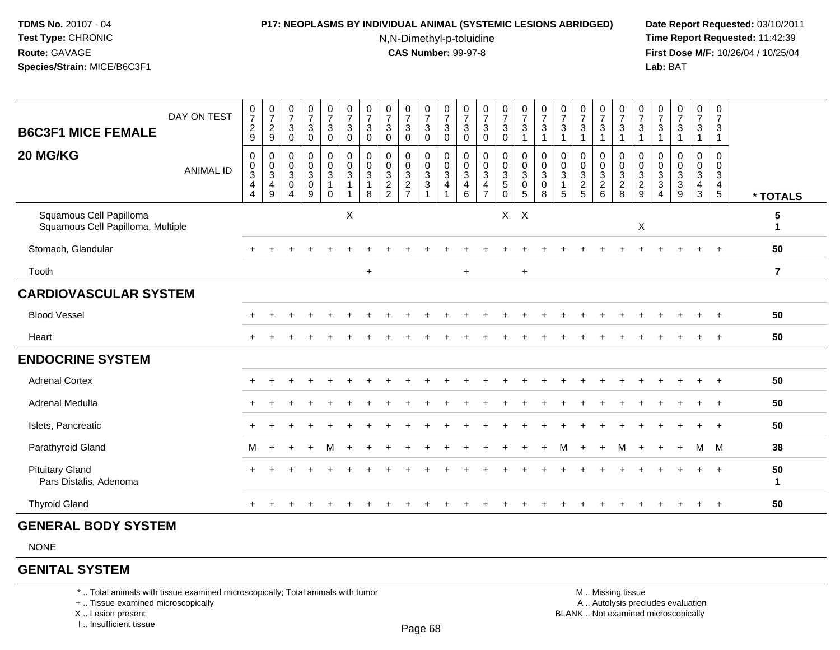#### **P17: NEOPLASMS BY INDIVIDUAL ANIMAL (SYSTEMIC LESIONS ABRIDGED) Date Report Requested:** 03/10/2011

N,N-Dimethyl-p-toluidine

 **Time Report Requested:** 11:42:39 **First Dose M/F:** 10/26/04 / 10/25/04<br>**Lab:** BAT **Lab:** BAT

| <b>B6C3F1 MICE FEMALE</b>                                    | DAY ON TEST      | $\begin{smallmatrix}0\\7\end{smallmatrix}$<br>$\frac{2}{9}$       | 0729                                                      | $\frac{0}{7}$<br>$\mathbf{3}$<br>$\boldsymbol{0}$                                | $\frac{0}{7}$<br>$\mathbf{3}$<br>$\pmb{0}$                   | $\begin{smallmatrix}0\\7\end{smallmatrix}$<br>$\mathbf{3}$<br>$\mathsf 0$        | $\begin{array}{c} 0 \\ 7 \end{array}$<br>$\mathbf{3}$<br>$\mathbf 0$ | $\frac{0}{7}$<br>$\mathbf{3}$<br>$\pmb{0}$                                   | $\frac{0}{7}$<br>$\mathbf 3$<br>$\mathbf 0$ | $\begin{array}{c} 0 \\ 7 \end{array}$<br>$\mathsf 3$<br>$\mathbf 0$ | $\frac{0}{7}$<br>3<br>$\mathbf 0$                           | $\frac{0}{7}$<br>$\mathbf{3}$<br>$\pmb{0}$              | $\frac{0}{7}$<br>$\sqrt{3}$<br>$\mathbf 0$ | $\frac{0}{7}$<br>$\sqrt{3}$<br>$\pmb{0}$     | $\begin{matrix}0\\7\\3\\0\end{matrix}$      | $\frac{0}{7}$<br>$\frac{3}{1}$                                        | $\frac{0}{7}$<br>$\mathbf{3}$                      | $\frac{0}{7}$<br>$\sqrt{3}$<br>1                                | $\frac{0}{7}$<br>$\mathbf{3}$<br>$\mathbf{1}$        | $\frac{0}{7}$<br>$\overline{3}$                                  | $\frac{0}{7}$<br>$\frac{3}{1}$                                      | $\frac{0}{7}$<br>$\sqrt{3}$<br>$\overline{1}$                              | $\frac{0}{7}$<br>$\mathbf{3}$<br>$\overline{1}$                      | $\frac{0}{7}$<br>3                     | $\begin{array}{c} 0 \\ 7 \end{array}$<br>$\mathfrak{S}$<br>$\mathbf{1}$ | 0<br>$\overline{7}$<br>$\mathbf{3}$                                |                |
|--------------------------------------------------------------|------------------|-------------------------------------------------------------------|-----------------------------------------------------------|----------------------------------------------------------------------------------|--------------------------------------------------------------|----------------------------------------------------------------------------------|----------------------------------------------------------------------|------------------------------------------------------------------------------|---------------------------------------------|---------------------------------------------------------------------|-------------------------------------------------------------|---------------------------------------------------------|--------------------------------------------|----------------------------------------------|---------------------------------------------|-----------------------------------------------------------------------|----------------------------------------------------|-----------------------------------------------------------------|------------------------------------------------------|------------------------------------------------------------------|---------------------------------------------------------------------|----------------------------------------------------------------------------|----------------------------------------------------------------------|----------------------------------------|-------------------------------------------------------------------------|--------------------------------------------------------------------|----------------|
| 20 MG/KG                                                     | <b>ANIMAL ID</b> | $\mathbf 0$<br>$_{3}^{\rm 0}$<br>$\overline{4}$<br>$\overline{4}$ | 0<br>$_{3}^{\rm 0}$<br>$\overline{4}$<br>$\boldsymbol{9}$ | $\boldsymbol{0}$<br>$\pmb{0}$<br>$\overline{3}$<br>$\mathbf 0$<br>$\overline{4}$ | $\mathbf 0$<br>$\mathbf 0$<br>$\sqrt{3}$<br>$\mathsf 0$<br>9 | $\mathbf 0$<br>$\mathsf{O}\xspace$<br>$\overline{3}$<br>$\mathbf{1}$<br>$\Omega$ | $\pmb{0}$<br>$\mathbf 0$<br>$\sqrt{3}$<br>$\mathbf{1}$               | $\mathbf 0$<br>$\mathbf 0$<br>$\ensuremath{\mathsf{3}}$<br>$\mathbf{1}$<br>8 | $\mathbf 0$<br>$\mathbf 0$<br>$\frac{3}{2}$ | $\mathbf 0$<br>$\pmb{0}$<br>$\frac{3}{2}$                           | $\mathbf 0$<br>$\mathbf 0$<br>$\frac{3}{3}$<br>$\mathbf{1}$ | 0<br>$\mathbf 0$<br>3<br>$\overline{4}$<br>$\mathbf{1}$ | 0<br>0<br>$\frac{3}{4}$<br>6               | $\pmb{0}$<br>$\frac{0}{3}$<br>$\overline{7}$ | $\mathbf 0$<br>$\frac{0}{3}$<br>$\mathbf 0$ | $\mathbf 0$<br>$\begin{matrix}0\\3\\0\end{matrix}$<br>$5\phantom{.0}$ | $\mathbf 0$<br>0<br>$\mathbf{3}$<br>$\pmb{0}$<br>8 | 0<br>$\mathsf{O}\xspace$<br>$\overline{3}$<br>$\mathbf{1}$<br>5 | 0<br>$\begin{array}{c} 0 \\ 3 \\ 2 \\ 5 \end{array}$ | $\overline{0}$<br>$\mathbf 0$<br>$\frac{3}{2}$<br>$6\phantom{1}$ | $\boldsymbol{0}$<br>$\begin{array}{c} 0 \\ 3 \\ 2 \\ 8 \end{array}$ | 0<br>$\mathbf 0$<br>$\ensuremath{\mathsf{3}}$<br>$\boldsymbol{2}$<br>$9\,$ | 0<br>$\mathbf 0$<br>$\mathbf{3}$<br>$\overline{3}$<br>$\overline{4}$ | 0<br>$\mathbf 0$<br>$\frac{3}{3}$<br>9 | 0<br>$\mathbf 0$<br>$\frac{3}{4}$<br>3                                  | 0<br>$\pmb{0}$<br>$\mathbf{3}$<br>$\overline{4}$<br>$\overline{5}$ | * TOTALS       |
| Squamous Cell Papilloma<br>Squamous Cell Papilloma, Multiple |                  |                                                                   |                                                           |                                                                                  |                                                              |                                                                                  | X                                                                    |                                                                              |                                             |                                                                     |                                                             |                                                         |                                            |                                              | $X$ $X$                                     |                                                                       |                                                    |                                                                 |                                                      |                                                                  |                                                                     | $\boldsymbol{\mathsf{X}}$                                                  |                                                                      |                                        |                                                                         |                                                                    | 5<br>1         |
| Stomach, Glandular                                           |                  |                                                                   |                                                           |                                                                                  |                                                              |                                                                                  |                                                                      |                                                                              |                                             |                                                                     |                                                             |                                                         |                                            |                                              |                                             |                                                                       |                                                    |                                                                 |                                                      |                                                                  |                                                                     |                                                                            |                                                                      |                                        |                                                                         | $+$                                                                | 50             |
| Tooth                                                        |                  |                                                                   |                                                           |                                                                                  |                                                              |                                                                                  |                                                                      | $\ddot{}$                                                                    |                                             |                                                                     |                                                             |                                                         | $+$                                        |                                              |                                             | $\ddot{}$                                                             |                                                    |                                                                 |                                                      |                                                                  |                                                                     |                                                                            |                                                                      |                                        |                                                                         |                                                                    | $\overline{7}$ |
| <b>CARDIOVASCULAR SYSTEM</b>                                 |                  |                                                                   |                                                           |                                                                                  |                                                              |                                                                                  |                                                                      |                                                                              |                                             |                                                                     |                                                             |                                                         |                                            |                                              |                                             |                                                                       |                                                    |                                                                 |                                                      |                                                                  |                                                                     |                                                                            |                                                                      |                                        |                                                                         |                                                                    |                |
| <b>Blood Vessel</b>                                          |                  |                                                                   |                                                           |                                                                                  |                                                              |                                                                                  |                                                                      |                                                                              |                                             |                                                                     |                                                             |                                                         |                                            |                                              |                                             |                                                                       |                                                    |                                                                 |                                                      |                                                                  |                                                                     |                                                                            |                                                                      |                                        |                                                                         | $\pm$                                                              | 50             |
| Heart                                                        |                  |                                                                   |                                                           |                                                                                  |                                                              |                                                                                  |                                                                      |                                                                              |                                             |                                                                     |                                                             |                                                         |                                            |                                              |                                             |                                                                       |                                                    |                                                                 |                                                      |                                                                  |                                                                     |                                                                            |                                                                      |                                        |                                                                         | $+$                                                                | 50             |
| <b>ENDOCRINE SYSTEM</b>                                      |                  |                                                                   |                                                           |                                                                                  |                                                              |                                                                                  |                                                                      |                                                                              |                                             |                                                                     |                                                             |                                                         |                                            |                                              |                                             |                                                                       |                                                    |                                                                 |                                                      |                                                                  |                                                                     |                                                                            |                                                                      |                                        |                                                                         |                                                                    |                |
| <b>Adrenal Cortex</b>                                        |                  |                                                                   |                                                           |                                                                                  |                                                              |                                                                                  |                                                                      |                                                                              |                                             |                                                                     |                                                             |                                                         |                                            |                                              |                                             |                                                                       |                                                    |                                                                 |                                                      |                                                                  |                                                                     |                                                                            |                                                                      |                                        |                                                                         | $\ddot{}$                                                          | 50             |
| Adrenal Medulla                                              |                  |                                                                   |                                                           |                                                                                  |                                                              |                                                                                  |                                                                      |                                                                              |                                             |                                                                     |                                                             |                                                         |                                            |                                              |                                             |                                                                       |                                                    |                                                                 |                                                      |                                                                  |                                                                     |                                                                            |                                                                      |                                        |                                                                         | $+$                                                                | 50             |
| Islets, Pancreatic                                           |                  |                                                                   |                                                           |                                                                                  |                                                              |                                                                                  |                                                                      |                                                                              |                                             |                                                                     |                                                             |                                                         |                                            |                                              |                                             |                                                                       |                                                    |                                                                 |                                                      |                                                                  |                                                                     |                                                                            |                                                                      |                                        |                                                                         | $\div$                                                             | 50             |
| Parathyroid Gland                                            |                  | м                                                                 | $+$                                                       |                                                                                  | ÷.                                                           | м                                                                                |                                                                      |                                                                              |                                             |                                                                     |                                                             |                                                         |                                            |                                              |                                             |                                                                       |                                                    | м                                                               |                                                      | $\ddot{}$                                                        | м                                                                   |                                                                            |                                                                      | $\div$                                 | M                                                                       | M                                                                  | 38             |
| <b>Pituitary Gland</b><br>Pars Distalis, Adenoma             |                  |                                                                   |                                                           |                                                                                  |                                                              |                                                                                  |                                                                      |                                                                              |                                             |                                                                     |                                                             |                                                         |                                            |                                              |                                             |                                                                       |                                                    |                                                                 |                                                      |                                                                  |                                                                     |                                                                            |                                                                      |                                        |                                                                         | $\pm$                                                              | 50<br>1        |
| <b>Thyroid Gland</b>                                         |                  |                                                                   |                                                           |                                                                                  |                                                              |                                                                                  |                                                                      |                                                                              |                                             |                                                                     |                                                             |                                                         |                                            |                                              |                                             |                                                                       |                                                    |                                                                 |                                                      |                                                                  |                                                                     |                                                                            |                                                                      |                                        |                                                                         | $\overline{ }$                                                     | 50             |

# **GENERAL BODY SYSTEM**

NONE

# **GENITAL SYSTEM**

\* .. Total animals with tissue examined microscopically; Total animals with tumor

+ .. Tissue examined microscopically

X .. Lesion present

I .. Insufficient tissue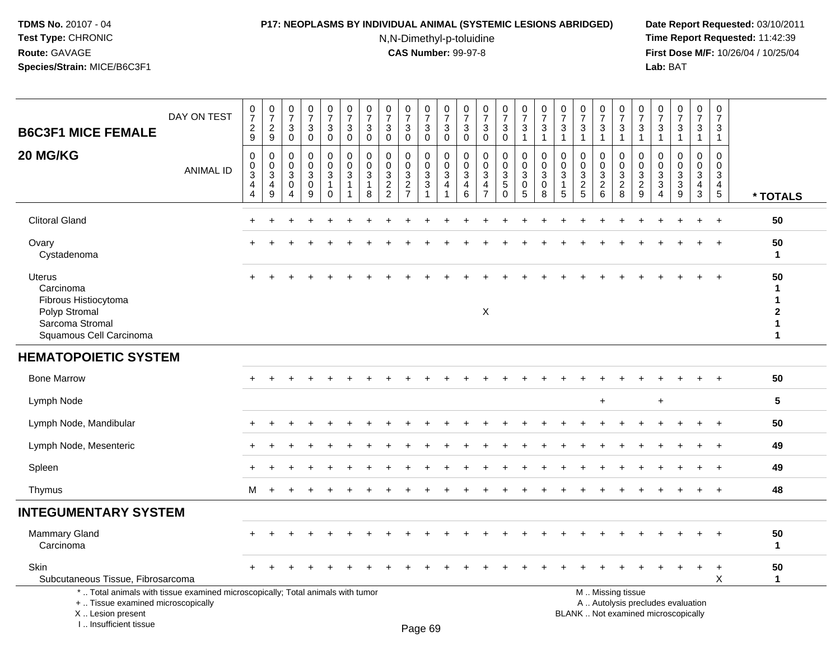### **P17: NEOPLASMS BY INDIVIDUAL ANIMAL (SYSTEMIC LESIONS ABRIDGED) Date Report Requested:** 03/10/2011

N,N-Dimethyl-p-toluidine

| DAY ON TEST<br><b>B6C3F1 MICE FEMALE</b>                                                                                                                            | $\frac{0}{7}$<br>$\boldsymbol{2}$<br>9                          | $\frac{0}{7}$<br>$\overline{c}$<br>9                            | $\begin{array}{c} 0 \\ 7 \end{array}$<br>3<br>$\mathbf 0$         | $\frac{0}{7}$<br>3<br>$\mathbf 0$ | $\begin{array}{c} 0 \\ 7 \end{array}$<br>3<br>$\mathbf 0$       | $\begin{array}{c} 0 \\ 7 \end{array}$<br>$\sqrt{3}$<br>$\mathbf 0$ | 0<br>$\overline{7}$<br>3<br>$\mathbf 0$ | 0<br>$\overline{7}$<br>3<br>$\mathbf 0$                | 0<br>$\overline{7}$<br>3<br>$\mathbf 0$ | $\begin{array}{c} 0 \\ 7 \end{array}$<br>3<br>$\mathbf 0$                       | $\begin{array}{c} 0 \\ 7 \end{array}$<br>$\mathbf{3}$<br>$\mathbf 0$ | $\begin{smallmatrix}0\\7\end{smallmatrix}$<br>3<br>$\mathbf 0$    | $\frac{0}{7}$<br>3<br>$\mathbf 0$                                         | $\frac{0}{7}$<br>3<br>$\mathbf 0$                           | $\frac{0}{7}$<br>$\mathbf{3}$<br>$\mathbf{1}$      | $\begin{array}{c} 0 \\ 7 \end{array}$<br>3<br>$\mathbf{1}$ | $\pmb{0}$<br>$\overline{7}$<br>$\mathbf{3}$<br>$\overline{1}$ | 0<br>$\overline{7}$<br>3<br>$\mathbf{1}$                  | 0<br>$\overline{7}$<br>$\mathbf{3}$<br>$\mathbf{1}$ | $\frac{0}{7}$<br>$\ensuremath{\mathsf{3}}$<br>$\mathbf{1}$ | $\frac{0}{7}$<br>3<br>$\mathbf{1}$                                       | 0<br>$\overline{7}$<br>3<br>$\blacktriangleleft$     | $\begin{array}{c} 0 \\ 7 \end{array}$<br>$\mathbf{3}$<br>$\overline{1}$ | 0<br>$\overline{7}$<br>3<br>$\mathbf{1}$                        | $\pmb{0}$<br>$\overline{7}$<br>$\mathbf{3}$<br>$\mathbf{1}$      |                                                                        |
|---------------------------------------------------------------------------------------------------------------------------------------------------------------------|-----------------------------------------------------------------|-----------------------------------------------------------------|-------------------------------------------------------------------|-----------------------------------|-----------------------------------------------------------------|--------------------------------------------------------------------|-----------------------------------------|--------------------------------------------------------|-----------------------------------------|---------------------------------------------------------------------------------|----------------------------------------------------------------------|-------------------------------------------------------------------|---------------------------------------------------------------------------|-------------------------------------------------------------|----------------------------------------------------|------------------------------------------------------------|---------------------------------------------------------------|-----------------------------------------------------------|-----------------------------------------------------|------------------------------------------------------------|--------------------------------------------------------------------------|------------------------------------------------------|-------------------------------------------------------------------------|-----------------------------------------------------------------|------------------------------------------------------------------|------------------------------------------------------------------------|
| 20 MG/KG<br><b>ANIMAL ID</b>                                                                                                                                        | $\mathbf 0$<br>$\mathbf 0$<br>$\sqrt{3}$<br>$\overline{4}$<br>4 | $\mathbf 0$<br>$\mathbf 0$<br>$\sqrt{3}$<br>$\overline{4}$<br>9 | 0<br>$\mathbf 0$<br>$\ensuremath{\mathsf{3}}$<br>$\mathbf 0$<br>4 | 0<br>$\mathbf 0$<br>3<br>0<br>9   | 0<br>$\mathbf 0$<br>$\sqrt{3}$<br>$\overline{1}$<br>$\mathbf 0$ | $\mathbf 0$<br>$\mathbf 0$<br>$\sqrt{3}$<br>$\mathbf 1$            | $\mathbf 0$<br>$\Omega$<br>3<br>-1<br>8 | $\mathbf 0$<br>$\Omega$<br>$\sqrt{3}$<br>$\frac{2}{2}$ | 0<br>$\mathbf 0$<br>3<br>$\frac{2}{7}$  | 0<br>$\mathbf 0$<br>$\ensuremath{\mathsf{3}}$<br>$\mathbf{3}$<br>$\overline{1}$ | $\mathbf 0$<br>$\mathbf 0$<br>$\sqrt{3}$<br>4                        | $\mathbf 0$<br>$\mathbf 0$<br>$\mathbf{3}$<br>$\overline{4}$<br>6 | $\mathbf 0$<br>$\Omega$<br>$\sqrt{3}$<br>$\overline{4}$<br>$\overline{7}$ | $\mathbf 0$<br>$\mathbf 0$<br>$\mathbf{3}$<br>5<br>$\Omega$ | 0<br>$\mathbf 0$<br>$\sqrt{3}$<br>$\mathbf 0$<br>5 | 0<br>$\pmb{0}$<br>$\sqrt{3}$<br>$\mathbf 0$<br>8           | $\Omega$<br>$\Omega$<br>3<br>5                                | $\Omega$<br>$\Omega$<br>3<br>$\overline{\mathbf{c}}$<br>5 | 0<br>$\mathbf 0$<br>$\sqrt{3}$<br>$\frac{2}{6}$     | $\mathbf 0$<br>$\mathbf 0$<br>$\sqrt{3}$<br>$\frac{2}{8}$  | 0<br>$\Omega$<br>3<br>$\overline{\mathbf{c}}$<br>9                       | 0<br>$\Omega$<br>3<br>$\mathbf{3}$<br>$\overline{4}$ | $\mathbf 0$<br>$\mathbf 0$<br>$\mathbf{3}$<br>$\overline{3}$<br>9       | $\mathbf 0$<br>$\mathbf 0$<br>$\mathbf{3}$<br>4<br>$\mathbf{3}$ | $\mathbf 0$<br>$\Omega$<br>3<br>$\overline{4}$<br>$\overline{5}$ | * TOTALS                                                               |
| <b>Clitoral Gland</b>                                                                                                                                               |                                                                 |                                                                 |                                                                   |                                   |                                                                 |                                                                    |                                         |                                                        |                                         |                                                                                 |                                                                      |                                                                   |                                                                           |                                                             |                                                    |                                                            |                                                               |                                                           |                                                     |                                                            |                                                                          |                                                      |                                                                         | $\ddot{}$                                                       | $+$                                                              | 50                                                                     |
| Ovary<br>Cystadenoma                                                                                                                                                |                                                                 |                                                                 |                                                                   |                                   |                                                                 |                                                                    |                                         |                                                        |                                         |                                                                                 |                                                                      |                                                                   |                                                                           |                                                             |                                                    |                                                            |                                                               |                                                           |                                                     |                                                            |                                                                          |                                                      |                                                                         | $\ddot{}$                                                       | $+$                                                              | 50<br>$\mathbf{1}$                                                     |
| Uterus<br>Carcinoma<br>Fibrous Histiocytoma<br>Polyp Stromal<br>Sarcoma Stromal<br>Squamous Cell Carcinoma                                                          |                                                                 |                                                                 |                                                                   |                                   |                                                                 |                                                                    |                                         |                                                        |                                         |                                                                                 |                                                                      |                                                                   | $\mathsf X$                                                               |                                                             |                                                    |                                                            |                                                               |                                                           |                                                     |                                                            |                                                                          |                                                      |                                                                         |                                                                 |                                                                  | 50<br>1<br>$\mathbf 1$<br>$\mathbf{2}$<br>$\mathbf{1}$<br>$\mathbf{1}$ |
| <b>HEMATOPOIETIC SYSTEM</b>                                                                                                                                         |                                                                 |                                                                 |                                                                   |                                   |                                                                 |                                                                    |                                         |                                                        |                                         |                                                                                 |                                                                      |                                                                   |                                                                           |                                                             |                                                    |                                                            |                                                               |                                                           |                                                     |                                                            |                                                                          |                                                      |                                                                         |                                                                 |                                                                  |                                                                        |
| <b>Bone Marrow</b>                                                                                                                                                  |                                                                 |                                                                 |                                                                   |                                   |                                                                 |                                                                    |                                         |                                                        |                                         |                                                                                 |                                                                      |                                                                   |                                                                           |                                                             |                                                    |                                                            |                                                               |                                                           |                                                     |                                                            |                                                                          |                                                      |                                                                         |                                                                 | $\pm$                                                            | 50                                                                     |
| Lymph Node                                                                                                                                                          |                                                                 |                                                                 |                                                                   |                                   |                                                                 |                                                                    |                                         |                                                        |                                         |                                                                                 |                                                                      |                                                                   |                                                                           |                                                             |                                                    |                                                            |                                                               |                                                           | $\ddot{}$                                           |                                                            |                                                                          | $\ddot{}$                                            |                                                                         |                                                                 |                                                                  | 5                                                                      |
| Lymph Node, Mandibular                                                                                                                                              |                                                                 |                                                                 |                                                                   |                                   |                                                                 |                                                                    |                                         |                                                        |                                         |                                                                                 |                                                                      |                                                                   |                                                                           |                                                             |                                                    |                                                            |                                                               |                                                           |                                                     |                                                            |                                                                          |                                                      |                                                                         |                                                                 | $\div$                                                           | 50                                                                     |
| Lymph Node, Mesenteric                                                                                                                                              |                                                                 |                                                                 |                                                                   |                                   |                                                                 |                                                                    |                                         |                                                        |                                         |                                                                                 |                                                                      |                                                                   |                                                                           |                                                             |                                                    |                                                            |                                                               |                                                           |                                                     |                                                            |                                                                          |                                                      |                                                                         |                                                                 |                                                                  | 49                                                                     |
| Spleen                                                                                                                                                              |                                                                 |                                                                 |                                                                   |                                   |                                                                 |                                                                    |                                         |                                                        |                                         |                                                                                 |                                                                      |                                                                   |                                                                           |                                                             |                                                    |                                                            |                                                               |                                                           |                                                     |                                                            |                                                                          |                                                      |                                                                         |                                                                 | $\ddot{}$                                                        | 49                                                                     |
| Thymus                                                                                                                                                              | м                                                               | $\div$                                                          |                                                                   |                                   |                                                                 |                                                                    |                                         |                                                        |                                         |                                                                                 |                                                                      |                                                                   |                                                                           |                                                             |                                                    |                                                            |                                                               |                                                           |                                                     |                                                            |                                                                          |                                                      |                                                                         |                                                                 |                                                                  | 48                                                                     |
| <b>INTEGUMENTARY SYSTEM</b>                                                                                                                                         |                                                                 |                                                                 |                                                                   |                                   |                                                                 |                                                                    |                                         |                                                        |                                         |                                                                                 |                                                                      |                                                                   |                                                                           |                                                             |                                                    |                                                            |                                                               |                                                           |                                                     |                                                            |                                                                          |                                                      |                                                                         |                                                                 |                                                                  |                                                                        |
| <b>Mammary Gland</b><br>Carcinoma                                                                                                                                   |                                                                 |                                                                 |                                                                   |                                   |                                                                 |                                                                    |                                         |                                                        |                                         |                                                                                 |                                                                      |                                                                   |                                                                           |                                                             |                                                    |                                                            |                                                               |                                                           |                                                     |                                                            |                                                                          |                                                      |                                                                         |                                                                 | $\div$                                                           | 50<br>1                                                                |
| Skin<br>Subcutaneous Tissue, Fibrosarcoma                                                                                                                           |                                                                 |                                                                 |                                                                   |                                   |                                                                 |                                                                    |                                         |                                                        |                                         |                                                                                 |                                                                      |                                                                   |                                                                           |                                                             |                                                    |                                                            |                                                               |                                                           |                                                     |                                                            |                                                                          |                                                      |                                                                         |                                                                 | X                                                                | 50<br>$\mathbf{1}$                                                     |
| *  Total animals with tissue examined microscopically; Total animals with tumor<br>+  Tissue examined microscopically<br>X  Lesion present<br>I Insufficient tissue |                                                                 |                                                                 |                                                                   |                                   |                                                                 |                                                                    |                                         |                                                        |                                         | $D_{200}$ $60$                                                                  |                                                                      |                                                                   |                                                                           |                                                             |                                                    |                                                            |                                                               |                                                           |                                                     | M  Missing tissue                                          | A  Autolysis precludes evaluation<br>BLANK  Not examined microscopically |                                                      |                                                                         |                                                                 |                                                                  |                                                                        |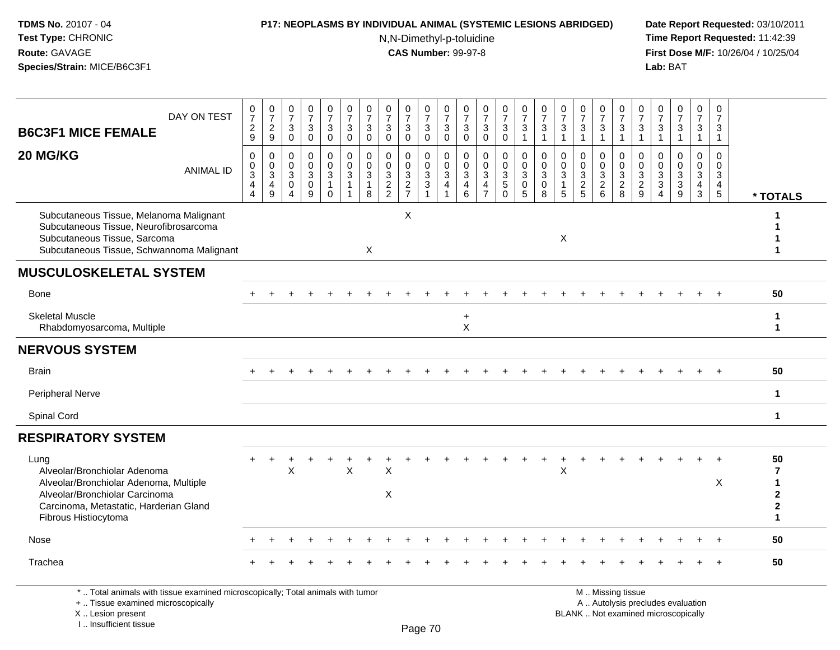I .. Insufficient tissue

### **P17: NEOPLASMS BY INDIVIDUAL ANIMAL (SYSTEMIC LESIONS ABRIDGED) Date Report Requested:** 03/10/2011

N,N-Dimethyl-p-toluidine

 **Time Report Requested:** 11:42:39 **First Dose M/F:** 10/26/04 / 10/25/04<br>**Lab:** BAT **Lab:** BAT

| DAY ON TEST                                                                                                                                                                        | $\frac{0}{7}$                                                     | $\begin{array}{c} 0 \\ 7 \end{array}$                                                 | 0<br>$\overline{7}$                                            | $\frac{0}{7}$                                              | $\frac{0}{7}$                                                   | $\frac{0}{7}$                                                                | $\frac{0}{7}$                                        | $\frac{0}{7}$                                                 | $\frac{0}{7}$                               | $\frac{0}{7}$                                                     | $\frac{0}{7}$                                                                    | $\frac{0}{7}$                                      | $\frac{0}{7}$                                       | $\frac{0}{7}$                                        | $\frac{0}{7}$                                                    | $\frac{0}{7}$                                        | $\frac{0}{7}$                                                          | 0<br>$\overline{7}$                                            | $\frac{0}{7}$                                                  | 0<br>$\overline{7}$                | $\frac{0}{7}$                                                  | $\frac{0}{7}$                                     | $\frac{0}{7}$                                                            | $\begin{array}{c} 0 \\ 7 \end{array}$                               | $\pmb{0}$<br>$\overline{7}$                                                 |                                                                                         |
|------------------------------------------------------------------------------------------------------------------------------------------------------------------------------------|-------------------------------------------------------------------|---------------------------------------------------------------------------------------|----------------------------------------------------------------|------------------------------------------------------------|-----------------------------------------------------------------|------------------------------------------------------------------------------|------------------------------------------------------|---------------------------------------------------------------|---------------------------------------------|-------------------------------------------------------------------|----------------------------------------------------------------------------------|----------------------------------------------------|-----------------------------------------------------|------------------------------------------------------|------------------------------------------------------------------|------------------------------------------------------|------------------------------------------------------------------------|----------------------------------------------------------------|----------------------------------------------------------------|------------------------------------|----------------------------------------------------------------|---------------------------------------------------|--------------------------------------------------------------------------|---------------------------------------------------------------------|-----------------------------------------------------------------------------|-----------------------------------------------------------------------------------------|
| <b>B6C3F1 MICE FEMALE</b>                                                                                                                                                          | $\frac{2}{9}$                                                     | $\overline{c}$<br>$\mathsf g$                                                         | $\sqrt{3}$<br>$\mathbf 0$                                      | $_{\rm 0}^3$                                               | $\ensuremath{\mathsf{3}}$<br>$\mathsf{O}\xspace$                | $\ensuremath{\mathsf{3}}$<br>$\mathbf 0$                                     | $\ensuremath{\mathsf{3}}$<br>$\mathbf 0$             | $\ensuremath{\mathsf{3}}$<br>$\mathbf 0$                      | $\ensuremath{\mathsf{3}}$<br>$\mathbf 0$    | 3<br>$\mathbf 0$                                                  | $_{0}^{3}$                                                                       | $\ensuremath{\mathsf{3}}$<br>$\mathbf 0$           | 3<br>$\mathbf 0$                                    | $\mathbf{3}$<br>$\pmb{0}$                            | $\mathbf 3$<br>$\mathbf{1}$                                      | 3<br>$\mathbf{1}$                                    | $\ensuremath{\mathsf{3}}$<br>$\overline{1}$                            | $\ensuremath{\mathsf{3}}$<br>$\mathbf{1}$                      | $\ensuremath{\mathsf{3}}$<br>$\mathbf{1}$                      | 3<br>$\mathbf{1}$                  | 3<br>$\mathbf{1}$                                              | $\ensuremath{\mathsf{3}}$<br>$\mathbf{1}$         | $\ensuremath{\mathsf{3}}$<br>$\mathbf{1}$                                | $\frac{3}{1}$                                                       | 3<br>$\mathbf{1}$                                                           |                                                                                         |
| 20 MG/KG<br><b>ANIMAL ID</b>                                                                                                                                                       | $\mathbf 0$<br>$\pmb{0}$<br>$\overline{3}$<br>4<br>$\overline{4}$ | $\mathsf{O}\xspace$<br>$\mathbf 0$<br>$\mathfrak{S}$<br>$\overline{4}$<br>$\mathsf g$ | $\mathbf 0$<br>$\mathbf 0$<br>3<br>0<br>$\boldsymbol{\Lambda}$ | $\mathbf 0$<br>$\mathbf 0$<br>$\sqrt{3}$<br>$\pmb{0}$<br>9 | 0<br>$\mathbf 0$<br>$\mathfrak{Z}$<br>$\mathbf{1}$<br>$\pmb{0}$ | $\mathbf 0$<br>$\mathbf 0$<br>$\mathbf{3}$<br>$\mathbf{1}$<br>$\overline{1}$ | $\mathbf 0$<br>$\mathbf 0$<br>$\mathbf{3}$<br>1<br>8 | $\mathbf 0$<br>$\mathbf 0$<br>$\mathfrak{Z}$<br>$\frac{2}{2}$ | $\mathbf 0$<br>$\mathbf 0$<br>$\frac{3}{2}$ | $\mathbf 0$<br>$\mathbf 0$<br>$\mathbf{3}$<br>3<br>$\overline{1}$ | $\mathbf 0$<br>$\mathbf 0$<br>$\overline{3}$<br>$\overline{4}$<br>$\overline{1}$ | 0<br>$\mathbf 0$<br>3<br>$\overline{4}$<br>$\,6\,$ | $\mathbf 0$<br>$\Omega$<br>3<br>4<br>$\overline{7}$ | 0<br>$\mathbf 0$<br>$\mathbf{3}$<br>5<br>$\mathbf 0$ | $\mathbf 0$<br>$\mathbf 0$<br>$\sqrt{3}$<br>0<br>$5\phantom{.0}$ | $\mathbf 0$<br>$\pmb{0}$<br>$\mathfrak{Z}$<br>0<br>8 | $\mathbf 0$<br>$\mathbf 0$<br>$\sqrt{3}$<br>$\mathbf{1}$<br>$\sqrt{5}$ | 0<br>$\mathbf 0$<br>$\ensuremath{\mathsf{3}}$<br>$\frac{2}{5}$ | 0<br>$\mathbf 0$<br>$\ensuremath{\mathsf{3}}$<br>$\frac{2}{6}$ | 0<br>0<br>$\mathbf{3}$<br>$_{8}^2$ | 0<br>$\mathbf 0$<br>$\ensuremath{\mathsf{3}}$<br>$\frac{2}{9}$ | 0<br>$\mathbf 0$<br>$\mathbf{3}$<br>$\frac{3}{4}$ | $\mathbf 0$<br>$\mathbf 0$<br>$\overline{3}$<br>$\frac{3}{9}$            | $\mathbf 0$<br>$\mathsf{O}\xspace$<br>$\overline{3}$<br>$rac{4}{3}$ | $\mathbf 0$<br>$\mathbf 0$<br>$\mathbf{3}$<br>$\overline{4}$<br>$\,$ 5 $\,$ | * TOTALS                                                                                |
| Subcutaneous Tissue, Melanoma Malignant<br>Subcutaneous Tissue, Neurofibrosarcoma<br>Subcutaneous Tissue, Sarcoma<br>Subcutaneous Tissue, Schwannoma Malignant                     |                                                                   |                                                                                       |                                                                |                                                            |                                                                 |                                                                              | X                                                    |                                                               | X                                           |                                                                   |                                                                                  |                                                    |                                                     |                                                      |                                                                  |                                                      | X                                                                      |                                                                |                                                                |                                    |                                                                |                                                   |                                                                          |                                                                     |                                                                             | -1<br>1                                                                                 |
| <b>MUSCULOSKELETAL SYSTEM</b>                                                                                                                                                      |                                                                   |                                                                                       |                                                                |                                                            |                                                                 |                                                                              |                                                      |                                                               |                                             |                                                                   |                                                                                  |                                                    |                                                     |                                                      |                                                                  |                                                      |                                                                        |                                                                |                                                                |                                    |                                                                |                                                   |                                                                          |                                                                     |                                                                             |                                                                                         |
| <b>Bone</b>                                                                                                                                                                        |                                                                   |                                                                                       |                                                                |                                                            |                                                                 |                                                                              |                                                      |                                                               |                                             |                                                                   |                                                                                  |                                                    |                                                     |                                                      |                                                                  |                                                      |                                                                        |                                                                |                                                                |                                    |                                                                |                                                   |                                                                          |                                                                     |                                                                             | 50                                                                                      |
| <b>Skeletal Muscle</b><br>Rhabdomyosarcoma, Multiple                                                                                                                               |                                                                   |                                                                                       |                                                                |                                                            |                                                                 |                                                                              |                                                      |                                                               |                                             |                                                                   |                                                                                  | $\ddot{}$<br>X                                     |                                                     |                                                      |                                                                  |                                                      |                                                                        |                                                                |                                                                |                                    |                                                                |                                                   |                                                                          |                                                                     |                                                                             | 1<br>$\mathbf{1}$                                                                       |
| <b>NERVOUS SYSTEM</b>                                                                                                                                                              |                                                                   |                                                                                       |                                                                |                                                            |                                                                 |                                                                              |                                                      |                                                               |                                             |                                                                   |                                                                                  |                                                    |                                                     |                                                      |                                                                  |                                                      |                                                                        |                                                                |                                                                |                                    |                                                                |                                                   |                                                                          |                                                                     |                                                                             |                                                                                         |
| <b>Brain</b>                                                                                                                                                                       |                                                                   |                                                                                       |                                                                |                                                            |                                                                 |                                                                              |                                                      |                                                               |                                             |                                                                   |                                                                                  |                                                    |                                                     |                                                      |                                                                  |                                                      |                                                                        |                                                                |                                                                |                                    |                                                                |                                                   |                                                                          |                                                                     |                                                                             | 50                                                                                      |
| <b>Peripheral Nerve</b>                                                                                                                                                            |                                                                   |                                                                                       |                                                                |                                                            |                                                                 |                                                                              |                                                      |                                                               |                                             |                                                                   |                                                                                  |                                                    |                                                     |                                                      |                                                                  |                                                      |                                                                        |                                                                |                                                                |                                    |                                                                |                                                   |                                                                          |                                                                     |                                                                             | $\mathbf{1}$                                                                            |
| Spinal Cord                                                                                                                                                                        |                                                                   |                                                                                       |                                                                |                                                            |                                                                 |                                                                              |                                                      |                                                               |                                             |                                                                   |                                                                                  |                                                    |                                                     |                                                      |                                                                  |                                                      |                                                                        |                                                                |                                                                |                                    |                                                                |                                                   |                                                                          |                                                                     |                                                                             | $\mathbf 1$                                                                             |
| <b>RESPIRATORY SYSTEM</b>                                                                                                                                                          |                                                                   |                                                                                       |                                                                |                                                            |                                                                 |                                                                              |                                                      |                                                               |                                             |                                                                   |                                                                                  |                                                    |                                                     |                                                      |                                                                  |                                                      |                                                                        |                                                                |                                                                |                                    |                                                                |                                                   |                                                                          |                                                                     |                                                                             |                                                                                         |
| Lung<br>Alveolar/Bronchiolar Adenoma<br>Alveolar/Bronchiolar Adenoma, Multiple<br>Alveolar/Bronchiolar Carcinoma<br>Carcinoma, Metastatic, Harderian Gland<br>Fibrous Histiocytoma |                                                                   |                                                                                       | X                                                              |                                                            |                                                                 | X                                                                            |                                                      | X<br>$\pmb{\times}$                                           |                                             |                                                                   |                                                                                  |                                                    |                                                     |                                                      |                                                                  |                                                      | X                                                                      |                                                                |                                                                |                                    |                                                                |                                                   |                                                                          |                                                                     | X                                                                           | 50<br>$\overline{7}$<br>$\mathbf 1$<br>$\mathbf{2}$<br>$\boldsymbol{2}$<br>$\mathbf{1}$ |
| Nose                                                                                                                                                                               |                                                                   |                                                                                       |                                                                |                                                            |                                                                 |                                                                              |                                                      |                                                               |                                             |                                                                   |                                                                                  |                                                    |                                                     |                                                      |                                                                  |                                                      |                                                                        |                                                                |                                                                |                                    |                                                                |                                                   |                                                                          |                                                                     |                                                                             | 50                                                                                      |
| Trachea                                                                                                                                                                            |                                                                   |                                                                                       |                                                                |                                                            |                                                                 |                                                                              |                                                      |                                                               |                                             |                                                                   |                                                                                  |                                                    |                                                     |                                                      |                                                                  |                                                      |                                                                        |                                                                |                                                                |                                    |                                                                |                                                   |                                                                          |                                                                     |                                                                             | 50                                                                                      |
| *  Total animals with tissue examined microscopically; Total animals with tumor<br>+  Tissue examined microscopically<br>X  Lesion present                                         |                                                                   |                                                                                       |                                                                |                                                            |                                                                 |                                                                              |                                                      |                                                               |                                             |                                                                   |                                                                                  |                                                    |                                                     |                                                      |                                                                  |                                                      |                                                                        |                                                                |                                                                | M  Missing tissue                  |                                                                |                                                   | A  Autolysis precludes evaluation<br>BLANK  Not examined microscopically |                                                                     |                                                                             |                                                                                         |

Page 70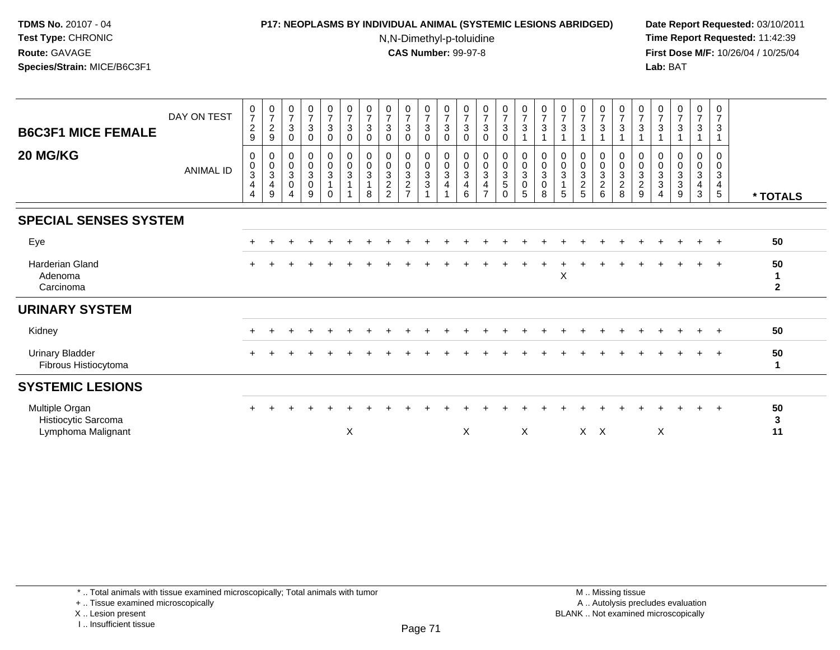# **P17: NEOPLASMS BY INDIVIDUAL ANIMAL (SYSTEMIC LESIONS ABRIDGED) Date Report Requested:** 03/10/2011

N,N-Dimethyl-p-toluidine

 **Time Report Requested:** 11:42:39 **First Dose M/F:** 10/26/04 / 10/25/04 Lab: BAT **Lab:** BAT

| <b>B6C3F1 MICE FEMALE</b><br>20 MG/KG                       | DAY ON TEST<br><b>ANIMAL ID</b> | $\begin{array}{c} 0 \\ 7 \end{array}$<br>$\overline{c}$<br>9<br>0<br>$\mathsf{O}\xspace$<br>3<br>4<br>4 | $\frac{0}{7}$<br>$\boldsymbol{2}$<br>9<br>0<br>$\pmb{0}$<br>$\sqrt{3}$<br>$\overline{4}$<br>9 | $\begin{array}{c} 0 \\ 7 \end{array}$<br>$\mathbf{3}$<br>$\mathbf 0$<br>$\boldsymbol{0}$<br>$\pmb{0}$<br>$\sqrt{3}$<br>$\pmb{0}$<br>4 | $\begin{array}{c} 0 \\ 7 \end{array}$<br>$\mathbf{3}$<br>0<br>$_0^0$<br>$\mathbf{3}$<br>$\pmb{0}$<br>9 | $\frac{0}{7}$<br>$\sqrt{3}$<br>$\mathbf 0$<br>$\begin{smallmatrix}0\\0\end{smallmatrix}$<br>$\mathbf{3}$<br>$\mathbf{1}$<br>$\Omega$ | $\frac{0}{7}$<br>$\sqrt{3}$<br>$\mathbf 0$<br>0<br>$\mathbf 0$<br>$\mathbf{3}$ | $\frac{0}{7}$<br>$\sqrt{3}$<br>$\mathbf 0$<br>0<br>$\mathbf 0$<br>$\sqrt{3}$<br>8 | $\begin{array}{c} 0 \\ 7 \end{array}$<br>$\mathfrak{Z}$<br>$\mathbf 0$<br>0<br>$\pmb{0}$<br>$\mathfrak{Z}$<br>$\frac{2}{2}$ | $\begin{array}{c} 0 \\ 7 \end{array}$<br>$\overline{3}$<br>$\mathbf 0$<br>$\begin{smallmatrix}0\0\0\3\end{smallmatrix}$<br>$\frac{2}{7}$ | $\frac{0}{7}$<br>$\mathbf{3}$<br>$\mathbf 0$<br>0<br>$\frac{0}{3}$<br>$\sqrt{3}$ | $\frac{0}{7}$<br>3<br>$\mathbf 0$<br>0<br>$\pmb{0}$<br>3<br>4 | $\begin{array}{c} 0 \\ 7 \\ 3 \end{array}$<br>$\mathbf 0$<br>$\mathbf 0$<br>$_{3}^{\rm 0}$<br>4<br>6 | $\frac{0}{7}$<br>$\mathfrak{S}$<br>$\mathbf 0$<br>$_0^0$<br>$\mathbf{3}$<br>$\overline{\mathbf{4}}$<br>$\overline{ }$ | $\frac{0}{7}$<br>$\overline{3}$<br>$\mathbf 0$<br>$_0^0$<br>$\overline{3}$<br>5<br>$\Omega$ | $\begin{array}{c} 0 \\ 7 \end{array}$<br>$\sqrt{3}$<br>$\begin{smallmatrix}0\\0\\3\end{smallmatrix}$<br>$\frac{0}{5}$ | $\frac{0}{7}$<br>3<br>0<br>$\pmb{0}$<br>$\mathsf 3$<br>$\mathbf 0$<br>8 | $\frac{0}{7}$<br>3<br>0<br>$\pmb{0}$<br>3<br>5 | $\frac{0}{7}$<br>3<br>0<br>$\mathbf 0$<br>3<br>$\frac{2}{5}$ | $\begin{array}{c} 0 \\ 7 \end{array}$<br>$\overline{3}$<br>$\pmb{0}$<br>$\pmb{0}$<br>$\sqrt{3}$<br>$\frac{2}{6}$ | $\frac{0}{7}$<br>3<br>0<br>$\pmb{0}$<br>$\sqrt{3}$<br>$\frac{2}{8}$ | $\begin{smallmatrix}0\\7\end{smallmatrix}$<br>$\mathbf{3}$<br>$\mathbf 0$<br>$\mathbf 0$<br>$\frac{3}{2}$ | $\frac{0}{7}$<br>$\mathbf{3}$<br>0<br>$\mathsf 0$<br>$\sqrt{3}$<br>$\sqrt{3}$<br>$\overline{A}$ | $\frac{0}{7}$<br>3<br>0<br>$\boldsymbol{0}$<br>3<br>3<br>9 | $\begin{smallmatrix}0\\7\end{smallmatrix}$<br>$\mathbf{3}$<br>1<br>0<br>$\frac{0}{3}$<br>$\overline{\mathbf{4}}$<br>$\mathbf{3}$ | 0<br>$\overline{7}$<br>3<br>0<br>$\mathbf 0$<br>3<br>$\overline{4}$<br>5 | * TOTALS               |
|-------------------------------------------------------------|---------------------------------|---------------------------------------------------------------------------------------------------------|-----------------------------------------------------------------------------------------------|---------------------------------------------------------------------------------------------------------------------------------------|--------------------------------------------------------------------------------------------------------|--------------------------------------------------------------------------------------------------------------------------------------|--------------------------------------------------------------------------------|-----------------------------------------------------------------------------------|-----------------------------------------------------------------------------------------------------------------------------|------------------------------------------------------------------------------------------------------------------------------------------|----------------------------------------------------------------------------------|---------------------------------------------------------------|------------------------------------------------------------------------------------------------------|-----------------------------------------------------------------------------------------------------------------------|---------------------------------------------------------------------------------------------|-----------------------------------------------------------------------------------------------------------------------|-------------------------------------------------------------------------|------------------------------------------------|--------------------------------------------------------------|------------------------------------------------------------------------------------------------------------------|---------------------------------------------------------------------|-----------------------------------------------------------------------------------------------------------|-------------------------------------------------------------------------------------------------|------------------------------------------------------------|----------------------------------------------------------------------------------------------------------------------------------|--------------------------------------------------------------------------|------------------------|
|                                                             |                                 |                                                                                                         |                                                                                               |                                                                                                                                       |                                                                                                        |                                                                                                                                      |                                                                                |                                                                                   |                                                                                                                             |                                                                                                                                          |                                                                                  |                                                               |                                                                                                      |                                                                                                                       |                                                                                             |                                                                                                                       |                                                                         |                                                |                                                              |                                                                                                                  |                                                                     |                                                                                                           |                                                                                                 |                                                            |                                                                                                                                  |                                                                          |                        |
| <b>SPECIAL SENSES SYSTEM</b>                                |                                 |                                                                                                         |                                                                                               |                                                                                                                                       |                                                                                                        |                                                                                                                                      |                                                                                |                                                                                   |                                                                                                                             |                                                                                                                                          |                                                                                  |                                                               |                                                                                                      |                                                                                                                       |                                                                                             |                                                                                                                       |                                                                         |                                                |                                                              |                                                                                                                  |                                                                     |                                                                                                           |                                                                                                 |                                                            |                                                                                                                                  |                                                                          |                        |
| Eye                                                         |                                 | $\pm$                                                                                                   |                                                                                               |                                                                                                                                       |                                                                                                        |                                                                                                                                      |                                                                                |                                                                                   |                                                                                                                             |                                                                                                                                          |                                                                                  |                                                               |                                                                                                      |                                                                                                                       |                                                                                             |                                                                                                                       |                                                                         |                                                |                                                              |                                                                                                                  |                                                                     |                                                                                                           |                                                                                                 |                                                            |                                                                                                                                  | $+$                                                                      | 50                     |
| <b>Harderian Gland</b><br>Adenoma<br>Carcinoma              |                                 | $\ddot{}$                                                                                               |                                                                                               |                                                                                                                                       |                                                                                                        |                                                                                                                                      |                                                                                |                                                                                   |                                                                                                                             |                                                                                                                                          |                                                                                  |                                                               |                                                                                                      |                                                                                                                       |                                                                                             |                                                                                                                       |                                                                         | X                                              |                                                              |                                                                                                                  |                                                                     |                                                                                                           |                                                                                                 |                                                            |                                                                                                                                  | $+$                                                                      | 50<br>1<br>$\mathbf 2$ |
| <b>URINARY SYSTEM</b>                                       |                                 |                                                                                                         |                                                                                               |                                                                                                                                       |                                                                                                        |                                                                                                                                      |                                                                                |                                                                                   |                                                                                                                             |                                                                                                                                          |                                                                                  |                                                               |                                                                                                      |                                                                                                                       |                                                                                             |                                                                                                                       |                                                                         |                                                |                                                              |                                                                                                                  |                                                                     |                                                                                                           |                                                                                                 |                                                            |                                                                                                                                  |                                                                          |                        |
| Kidney                                                      |                                 | $\div$                                                                                                  |                                                                                               |                                                                                                                                       |                                                                                                        |                                                                                                                                      |                                                                                |                                                                                   |                                                                                                                             |                                                                                                                                          |                                                                                  |                                                               |                                                                                                      |                                                                                                                       |                                                                                             |                                                                                                                       |                                                                         |                                                |                                                              |                                                                                                                  |                                                                     |                                                                                                           |                                                                                                 | $\ddot{}$                                                  | $+$                                                                                                                              | $+$                                                                      | 50                     |
| <b>Urinary Bladder</b><br>Fibrous Histiocytoma              |                                 |                                                                                                         |                                                                                               |                                                                                                                                       |                                                                                                        |                                                                                                                                      |                                                                                |                                                                                   |                                                                                                                             |                                                                                                                                          |                                                                                  |                                                               |                                                                                                      |                                                                                                                       |                                                                                             |                                                                                                                       |                                                                         |                                                |                                                              |                                                                                                                  |                                                                     |                                                                                                           |                                                                                                 |                                                            |                                                                                                                                  | $+$                                                                      | 50                     |
| <b>SYSTEMIC LESIONS</b>                                     |                                 |                                                                                                         |                                                                                               |                                                                                                                                       |                                                                                                        |                                                                                                                                      |                                                                                |                                                                                   |                                                                                                                             |                                                                                                                                          |                                                                                  |                                                               |                                                                                                      |                                                                                                                       |                                                                                             |                                                                                                                       |                                                                         |                                                |                                                              |                                                                                                                  |                                                                     |                                                                                                           |                                                                                                 |                                                            |                                                                                                                                  |                                                                          |                        |
| Multiple Organ<br>Histiocytic Sarcoma<br>Lymphoma Malignant |                                 | $\ddot{}$                                                                                               |                                                                                               |                                                                                                                                       |                                                                                                        |                                                                                                                                      | $\mathsf X$                                                                    |                                                                                   |                                                                                                                             |                                                                                                                                          |                                                                                  |                                                               | X                                                                                                    |                                                                                                                       |                                                                                             | X                                                                                                                     |                                                                         |                                                | $X$ $X$                                                      |                                                                                                                  |                                                                     |                                                                                                           | $\boldsymbol{\mathsf{X}}$                                                                       |                                                            |                                                                                                                                  | $+$                                                                      | 50<br>3<br>11          |

+ .. Tissue examined microscopically

X .. Lesion present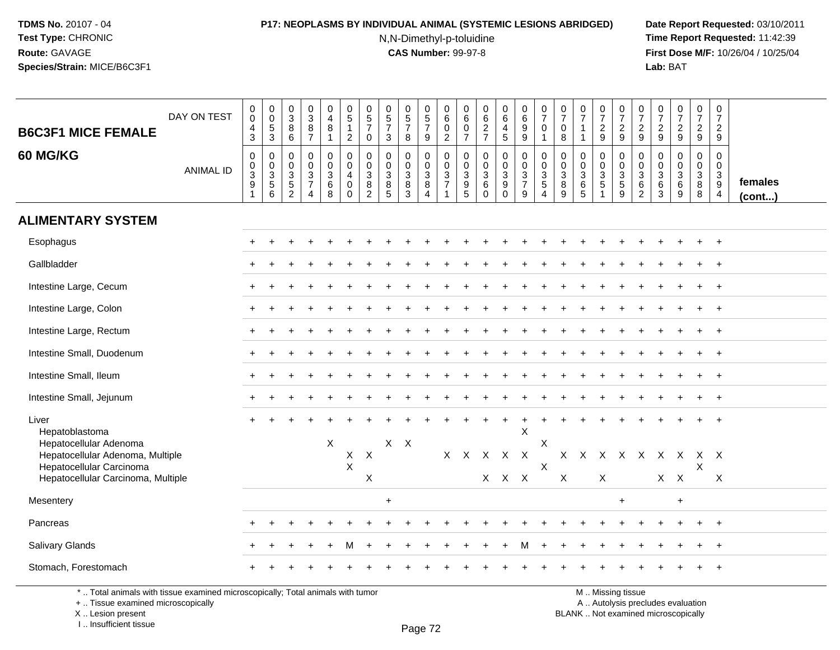### **P17: NEOPLASMS BY INDIVIDUAL ANIMAL (SYSTEMIC LESIONS ABRIDGED) Date Report Requested:** 03/10/2011

N,N-Dimethyl-p-toluidine

 **Time Report Requested:** 11:42:39 **First Dose M/F:** 10/26/04 / 10/25/04 Lab: BAT **Lab:** BAT

| <b>B6C3F1 MICE FEMALE</b>                                                       | DAY ON TEST      | $\,0\,$<br>$\ddot{\mathbf{0}}$<br>$\overline{4}$<br>$\mathbf{3}$         | 0<br>$\overline{0}$<br>$\,$ 5 $\,$<br>$\mathbf{3}$ | 0<br>$\overline{3}$<br>$\bf 8$<br>6           | $_{3}^{\rm 0}$<br>$\frac{8}{7}$                                                   | $\mathbf 0$<br>$\overline{4}$<br>8<br>$\mathbf{1}$      | $\pmb{0}$<br>$\overline{5}$<br>$\overline{1}$<br>$\overline{2}$       | 0<br>$\,$ 5 $\,$<br>$\overline{7}$<br>$\mathbf 0$            | $\pmb{0}$<br>$\overline{5}$<br>$\overline{7}$<br>$\mathbf{3}$ | $\begin{array}{c} 0 \\ 5 \end{array}$<br>$\overline{7}$<br>8 | $\begin{array}{c} 0 \\ 5 \end{array}$<br>$\overline{7}$<br>9                                | 0<br>$\,6\,$<br>$\pmb{0}$<br>$\overline{2}$ | 0<br>$\,6\,$<br>$\pmb{0}$<br>$\overline{7}$                                                      | 0<br>$6\phantom{a}$<br>$\frac{2}{7}$                    | 0<br>$6\phantom{a}$<br>$\overline{\mathbf{4}}$<br>$\overline{5}$                 | $\begin{array}{c} 0 \\ 6 \end{array}$<br>$\frac{9}{9}$                | $\frac{0}{7}$<br>0<br>$\mathbf{1}$                      | 0<br>$\overline{7}$<br>$\pmb{0}$<br>8                | $\begin{array}{c} 0 \\ 7 \end{array}$<br>$\mathbf{1}$                    | $\frac{0}{7}$<br>$\sqrt{2}$<br>9                            | $\frac{0}{7}$<br>$\sqrt{2}$<br>9              | 0<br>$\overline{7}$<br>$\overline{c}$<br>9   | $\frac{0}{7}$<br>$\sqrt{2}$<br>9                     | $\frac{0}{7}$<br>$\overline{2}$<br>9          | $\begin{smallmatrix}0\\7\end{smallmatrix}$<br>$\overline{2}$<br>9 | $\begin{array}{c} 0 \\ 7 \end{array}$<br>$\overline{c}$<br>9             |                   |
|---------------------------------------------------------------------------------|------------------|--------------------------------------------------------------------------|----------------------------------------------------|-----------------------------------------------|-----------------------------------------------------------------------------------|---------------------------------------------------------|-----------------------------------------------------------------------|--------------------------------------------------------------|---------------------------------------------------------------|--------------------------------------------------------------|---------------------------------------------------------------------------------------------|---------------------------------------------|--------------------------------------------------------------------------------------------------|---------------------------------------------------------|----------------------------------------------------------------------------------|-----------------------------------------------------------------------|---------------------------------------------------------|------------------------------------------------------|--------------------------------------------------------------------------|-------------------------------------------------------------|-----------------------------------------------|----------------------------------------------|------------------------------------------------------|-----------------------------------------------|-------------------------------------------------------------------|--------------------------------------------------------------------------|-------------------|
| 60 MG/KG                                                                        | <b>ANIMAL ID</b> | $\boldsymbol{0}$<br>$\mathbf 0$<br>$\sqrt{3}$<br>$9\,$<br>$\overline{1}$ | 0<br>$\pmb{0}$<br>$\sqrt{3}$<br>$\sqrt{5}$<br>6    | $\mathbf 0$<br>$\Omega$<br>3<br>$\frac{5}{2}$ | 0<br>$\mathbf 0$<br>$\ensuremath{\mathsf{3}}$<br>$\overline{7}$<br>$\overline{4}$ | 0<br>$\mathbf 0$<br>$\ensuremath{\mathsf{3}}$<br>6<br>8 | $\pmb{0}$<br>$\mathbf 0$<br>$\overline{4}$<br>$\mathbf 0$<br>$\Omega$ | $\mathbf 0$<br>$\Omega$<br>$\sqrt{3}$<br>8<br>$\overline{2}$ | $\mathbf 0$<br>$\mathbf 0$<br>$\mathbf 3$<br>$\bf 8$<br>5     | 0<br>$\mathbf 0$<br>3<br>$\frac{8}{3}$                       | 0<br>$\mathsf{O}\xspace$<br>$\ensuremath{\mathsf{3}}$<br>$\bf 8$<br>$\overline{\mathbf{A}}$ | $\mathbf 0$<br>$\mathbf 0$<br>$\frac{3}{7}$ | $\mathbf 0$<br>$\mathbf 0$<br>$\ensuremath{\mathsf{3}}$<br>$\begin{array}{c} 9 \\ 5 \end{array}$ | 0<br>$\mathbf 0$<br>$\mathbf{3}$<br>$\,6\,$<br>$\Omega$ | 0<br>$\mathbf 0$<br>$\ensuremath{\mathsf{3}}$<br>$\boldsymbol{9}$<br>$\mathbf 0$ | $\boldsymbol{0}$<br>$\overline{0}$<br>$\frac{3}{7}$<br>$\overline{9}$ | 0<br>$\mathbf 0$<br>$\mathbf{3}$<br>5<br>$\overline{4}$ | $\mathbf 0$<br>$\mathbf 0$<br>$\mathbf{3}$<br>$^8_9$ | $\mathbf 0$<br>$\mathbf 0$<br>$\ensuremath{\mathsf{3}}$<br>$\frac{6}{5}$ | 0<br>$\mathbf 0$<br>$\ensuremath{\mathsf{3}}$<br>$\sqrt{5}$ | $\mathbf 0$<br>$\frac{0}{3}$<br>$\frac{5}{9}$ | 0<br>$\mathbf 0$<br>3<br>6<br>$\overline{2}$ | $\mathbf 0$<br>$\mathbf 0$<br>$\mathbf{3}$<br>$^6_3$ | 0<br>$\overline{0}$<br>$\mathbf{3}$<br>6<br>9 | 0<br>$\overline{0}$<br>$\frac{3}{8}$<br>8                         | $\mathbf 0$<br>$\mathbf 0$<br>$\begin{array}{c} 3 \\ 9 \\ 4 \end{array}$ | females<br>(cont) |
| <b>ALIMENTARY SYSTEM</b>                                                        |                  |                                                                          |                                                    |                                               |                                                                                   |                                                         |                                                                       |                                                              |                                                               |                                                              |                                                                                             |                                             |                                                                                                  |                                                         |                                                                                  |                                                                       |                                                         |                                                      |                                                                          |                                                             |                                               |                                              |                                                      |                                               |                                                                   |                                                                          |                   |
| Esophagus                                                                       |                  |                                                                          |                                                    |                                               |                                                                                   |                                                         |                                                                       |                                                              |                                                               |                                                              |                                                                                             |                                             |                                                                                                  |                                                         |                                                                                  |                                                                       |                                                         |                                                      |                                                                          |                                                             |                                               |                                              |                                                      |                                               | $\pm$                                                             | $+$                                                                      |                   |
| Gallbladder                                                                     |                  |                                                                          |                                                    |                                               |                                                                                   |                                                         |                                                                       |                                                              |                                                               |                                                              |                                                                                             |                                             |                                                                                                  |                                                         |                                                                                  |                                                                       |                                                         |                                                      |                                                                          |                                                             |                                               |                                              |                                                      |                                               |                                                                   |                                                                          |                   |
| Intestine Large, Cecum                                                          |                  |                                                                          |                                                    |                                               |                                                                                   |                                                         |                                                                       |                                                              |                                                               |                                                              |                                                                                             |                                             |                                                                                                  |                                                         |                                                                                  |                                                                       |                                                         |                                                      |                                                                          |                                                             |                                               |                                              |                                                      |                                               |                                                                   | $\overline{ }$                                                           |                   |
| Intestine Large, Colon                                                          |                  |                                                                          |                                                    |                                               |                                                                                   |                                                         |                                                                       |                                                              |                                                               |                                                              |                                                                                             |                                             |                                                                                                  |                                                         |                                                                                  |                                                                       |                                                         |                                                      |                                                                          |                                                             |                                               |                                              |                                                      |                                               |                                                                   | $\overline{1}$                                                           |                   |
| Intestine Large, Rectum                                                         |                  |                                                                          |                                                    |                                               |                                                                                   |                                                         |                                                                       |                                                              |                                                               |                                                              |                                                                                             |                                             |                                                                                                  |                                                         |                                                                                  |                                                                       |                                                         |                                                      |                                                                          |                                                             |                                               |                                              |                                                      |                                               |                                                                   |                                                                          |                   |
| Intestine Small, Duodenum                                                       |                  |                                                                          |                                                    |                                               |                                                                                   |                                                         |                                                                       |                                                              |                                                               |                                                              |                                                                                             |                                             |                                                                                                  |                                                         |                                                                                  |                                                                       |                                                         |                                                      |                                                                          |                                                             |                                               |                                              |                                                      |                                               |                                                                   | $\pm$                                                                    |                   |
| Intestine Small, Ileum                                                          |                  |                                                                          |                                                    |                                               |                                                                                   |                                                         |                                                                       |                                                              |                                                               |                                                              |                                                                                             |                                             |                                                                                                  |                                                         |                                                                                  |                                                                       |                                                         |                                                      |                                                                          |                                                             |                                               |                                              |                                                      |                                               |                                                                   | $\ddot{}$                                                                |                   |
| Intestine Small, Jejunum                                                        |                  |                                                                          |                                                    |                                               |                                                                                   |                                                         |                                                                       |                                                              |                                                               |                                                              |                                                                                             |                                             |                                                                                                  |                                                         |                                                                                  |                                                                       |                                                         |                                                      |                                                                          |                                                             |                                               |                                              |                                                      |                                               |                                                                   |                                                                          |                   |
| Liver<br>Hepatoblastoma<br>Hepatocellular Adenoma                               |                  |                                                                          |                                                    |                                               |                                                                                   | X                                                       |                                                                       |                                                              | $X$ $X$                                                       |                                                              |                                                                                             |                                             |                                                                                                  |                                                         |                                                                                  | $\times$                                                              | X                                                       |                                                      |                                                                          |                                                             |                                               |                                              |                                                      |                                               |                                                                   |                                                                          |                   |
| Hepatocellular Adenoma, Multiple<br>Hepatocellular Carcinoma                    |                  |                                                                          |                                                    |                                               |                                                                                   |                                                         | X<br>$\pmb{\times}$                                                   | $\boldsymbol{\mathsf{X}}$<br>$\pmb{\times}$                  |                                                               |                                                              |                                                                                             |                                             | X X                                                                                              |                                                         | X X X<br>X X X                                                                   |                                                                       | X                                                       |                                                      |                                                                          | X                                                           | X X X X X X X                                 |                                              |                                                      | $X$ $X$                                       | XX<br>X                                                           |                                                                          |                   |
| Hepatocellular Carcinoma, Multiple                                              |                  |                                                                          |                                                    |                                               |                                                                                   |                                                         |                                                                       |                                                              |                                                               |                                                              |                                                                                             |                                             |                                                                                                  |                                                         |                                                                                  |                                                                       |                                                         | X                                                    |                                                                          |                                                             |                                               |                                              |                                                      |                                               |                                                                   | Χ                                                                        |                   |
| Mesentery                                                                       |                  |                                                                          |                                                    |                                               |                                                                                   |                                                         |                                                                       |                                                              | $\ddot{}$                                                     |                                                              |                                                                                             |                                             |                                                                                                  |                                                         |                                                                                  |                                                                       |                                                         |                                                      |                                                                          |                                                             | +                                             |                                              |                                                      | $+$                                           |                                                                   |                                                                          |                   |
| Pancreas                                                                        |                  |                                                                          |                                                    |                                               |                                                                                   |                                                         |                                                                       |                                                              |                                                               |                                                              |                                                                                             |                                             |                                                                                                  |                                                         |                                                                                  |                                                                       |                                                         |                                                      |                                                                          |                                                             |                                               |                                              |                                                      |                                               | $\ddot{}$                                                         | $+$                                                                      |                   |
| Salivary Glands                                                                 |                  |                                                                          |                                                    |                                               |                                                                                   |                                                         |                                                                       |                                                              |                                                               |                                                              |                                                                                             |                                             |                                                                                                  |                                                         |                                                                                  |                                                                       |                                                         |                                                      |                                                                          |                                                             |                                               |                                              |                                                      |                                               |                                                                   |                                                                          |                   |
| Stomach, Forestomach                                                            |                  |                                                                          |                                                    |                                               |                                                                                   |                                                         |                                                                       |                                                              |                                                               |                                                              |                                                                                             |                                             |                                                                                                  |                                                         |                                                                                  |                                                                       |                                                         |                                                      |                                                                          |                                                             |                                               |                                              |                                                      |                                               |                                                                   |                                                                          |                   |
| *  Total animals with tissue examined microscopically; Total animals with tumor |                  |                                                                          |                                                    |                                               |                                                                                   |                                                         |                                                                       |                                                              |                                                               |                                                              |                                                                                             |                                             |                                                                                                  |                                                         |                                                                                  |                                                                       |                                                         |                                                      |                                                                          |                                                             | M  Missing tissue                             |                                              |                                                      |                                               |                                                                   |                                                                          |                   |

\* .. Total animals with tissue examined microscopically; Total animals with tumor

+ .. Tissue examined microscopically

X .. Lesion present

I .. Insufficient tissue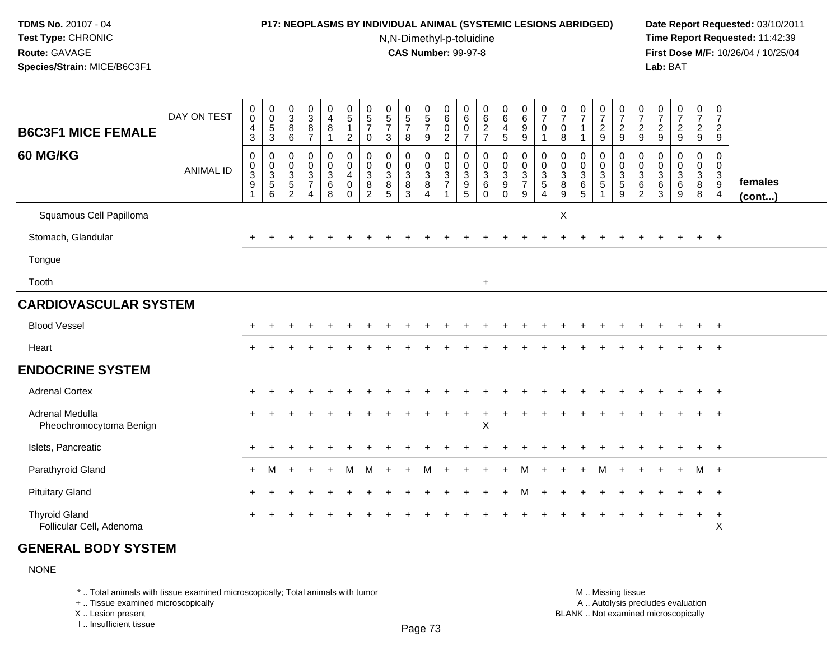### **P17: NEOPLASMS BY INDIVIDUAL ANIMAL (SYSTEMIC LESIONS ABRIDGED) Date Report Requested:** 03/10/2011

N,N-Dimethyl-p-toluidine

 **Time Report Requested:** 11:42:39 **First Dose M/F:** 10/26/04 / 10/25/04 Lab: BAT **Lab:** BAT

| <b>B6C3F1 MICE FEMALE</b>                        | DAY ON TEST      | $\pmb{0}$<br>$\pmb{0}$<br>$\overline{4}$<br>$\mathbf{3}$     | $\begin{smallmatrix}0\\0\end{smallmatrix}$<br>$\sqrt{5}$<br>$\sqrt{3}$ | $_{3}^{\rm 0}$<br>8<br>6                          | 03887                                               | $\begin{smallmatrix}0\0\4\end{smallmatrix}$<br>$\, 8$<br>$\mathbf{1}$ | $\begin{array}{c} 0 \\ 5 \\ 1 \end{array}$<br>$\sqrt{2}$              | $\begin{array}{c} 0 \\ 5 \\ 7 \end{array}$<br>$\mathbf 0$ | $\begin{array}{c} 0 \\ 5 \\ 7 \end{array}$<br>$\mathbf{3}$ | $\begin{array}{c} 0 \\ 5 \\ 7 \end{array}$<br>8     | $\begin{array}{c} 0 \\ 5 \\ 7 \end{array}$<br>$\mathsf g$ | $\begin{array}{c} 0 \\ 6 \end{array}$<br>$\pmb{0}$<br>$\overline{2}$ | 06007                                                | $062$<br>$7$                                          | $064$<br>$45$                                                  | 0<br>0<br>0<br>0<br>0             | $\begin{array}{c} 0 \\ 7 \end{array}$<br>$\pmb{0}$<br>$\mathbf{1}$ | 0<br>$\overline{7}$<br>$\mathbf 0$<br>8 | $\frac{0}{7}$<br>$\overline{1}$           | $\frac{0}{7}$<br>$\frac{2}{9}$                                  | 0729                                 | $\frac{0}{7}$<br>$\frac{2}{9}$     | 0<br>$\overline{7}$<br>$\frac{2}{9}$                           | $\begin{smallmatrix} 0\\7 \end{smallmatrix}$<br>$\frac{2}{9}$ | $\frac{0}{7}$<br>$\frac{2}{9}$           | $\mathbf 0$<br>$\overline{7}$<br>$\overline{2}$<br>9              |                         |
|--------------------------------------------------|------------------|--------------------------------------------------------------|------------------------------------------------------------------------|---------------------------------------------------|-----------------------------------------------------|-----------------------------------------------------------------------|-----------------------------------------------------------------------|-----------------------------------------------------------|------------------------------------------------------------|-----------------------------------------------------|-----------------------------------------------------------|----------------------------------------------------------------------|------------------------------------------------------|-------------------------------------------------------|----------------------------------------------------------------|-----------------------------------|--------------------------------------------------------------------|-----------------------------------------|-------------------------------------------|-----------------------------------------------------------------|--------------------------------------|------------------------------------|----------------------------------------------------------------|---------------------------------------------------------------|------------------------------------------|-------------------------------------------------------------------|-------------------------|
| <b>60 MG/KG</b>                                  | <b>ANIMAL ID</b> | $\mathbf 0$<br>$\begin{smallmatrix}0\\3\\9\end{smallmatrix}$ | $\pmb{0}$<br>$\overline{0}$<br>$\frac{3}{5}$<br>$6\phantom{1}$         | 0<br>$\pmb{0}$<br>$\frac{3}{5}$<br>$\overline{2}$ | 0<br>$\mathbf 0$<br>$\frac{3}{7}$<br>$\overline{4}$ | 0<br>$\pmb{0}$<br>$\frac{3}{6}$<br>8                                  | $\mathbf 0$<br>$\pmb{0}$<br>$\overline{a}$<br>$\mathbf 0$<br>$\Omega$ | 0<br>$\pmb{0}$<br>$\mathbf 3$<br>8<br>$\overline{2}$      | 0<br>$\boldsymbol{0}$<br>$\mathbf{3}$<br>8<br>5            | 0<br>$\pmb{0}$<br>$\mathbf{3}$<br>8<br>$\mathbf{3}$ | 0<br>$\frac{0}{3}$<br>$\overline{4}$                      | 0<br>$\pmb{0}$<br>$\frac{3}{7}$                                      | 0<br>$\begin{array}{c} 0 \\ 3 \\ 9 \\ 5 \end{array}$ | $\mathbf 0$<br>$\pmb{0}$<br>$\frac{3}{6}$<br>$\Omega$ | 0<br>$\pmb{0}$<br>$\mathbf{3}$<br>$\boldsymbol{9}$<br>$\Omega$ | $\mathbf 0$<br>$\frac{0}{3}$<br>9 | $\pmb{0}$<br>$\overline{0}$<br>$\frac{3}{5}$<br>$\overline{4}$     | 0<br>0<br>$\mathbf{3}$<br>$\bf 8$<br>9  | 0<br>$\mathbf 0$<br>$\mathbf 3$<br>6<br>5 | 0<br>$\pmb{0}$<br>$\mathbf 3$<br>$\overline{5}$<br>$\mathbf{1}$ | 0<br>$\pmb{0}$<br>$\frac{3}{5}$<br>9 | 0<br>0<br>3<br>6<br>$\overline{2}$ | 0<br>0<br>$\ensuremath{\mathsf{3}}$<br>$\,6$<br>$\mathfrak{Z}$ | 0<br>$\pmb{0}$<br>$\frac{3}{6}$<br>$\overline{9}$             | 0<br>$\pmb{0}$<br>$\mathbf{3}$<br>8<br>8 | $\mathbf 0$<br>$\mathbf 0$<br>$\mathbf{3}$<br>9<br>$\overline{4}$ | females<br>$($ cont $)$ |
| Squamous Cell Papilloma                          |                  |                                                              |                                                                        |                                                   |                                                     |                                                                       |                                                                       |                                                           |                                                            |                                                     |                                                           |                                                                      |                                                      |                                                       |                                                                |                                   |                                                                    | X                                       |                                           |                                                                 |                                      |                                    |                                                                |                                                               |                                          |                                                                   |                         |
| Stomach, Glandular                               |                  |                                                              |                                                                        |                                                   |                                                     |                                                                       |                                                                       |                                                           |                                                            |                                                     |                                                           |                                                                      |                                                      |                                                       |                                                                |                                   |                                                                    |                                         |                                           |                                                                 |                                      |                                    |                                                                |                                                               |                                          | $+$                                                               |                         |
| Tongue                                           |                  |                                                              |                                                                        |                                                   |                                                     |                                                                       |                                                                       |                                                           |                                                            |                                                     |                                                           |                                                                      |                                                      |                                                       |                                                                |                                   |                                                                    |                                         |                                           |                                                                 |                                      |                                    |                                                                |                                                               |                                          |                                                                   |                         |
| Tooth                                            |                  |                                                              |                                                                        |                                                   |                                                     |                                                                       |                                                                       |                                                           |                                                            |                                                     |                                                           |                                                                      |                                                      | $\ddot{}$                                             |                                                                |                                   |                                                                    |                                         |                                           |                                                                 |                                      |                                    |                                                                |                                                               |                                          |                                                                   |                         |
| <b>CARDIOVASCULAR SYSTEM</b>                     |                  |                                                              |                                                                        |                                                   |                                                     |                                                                       |                                                                       |                                                           |                                                            |                                                     |                                                           |                                                                      |                                                      |                                                       |                                                                |                                   |                                                                    |                                         |                                           |                                                                 |                                      |                                    |                                                                |                                                               |                                          |                                                                   |                         |
| <b>Blood Vessel</b>                              |                  |                                                              |                                                                        |                                                   |                                                     |                                                                       |                                                                       |                                                           |                                                            |                                                     |                                                           |                                                                      |                                                      |                                                       |                                                                |                                   |                                                                    |                                         |                                           |                                                                 |                                      |                                    |                                                                |                                                               |                                          | $\ddot{}$                                                         |                         |
| Heart                                            |                  |                                                              |                                                                        |                                                   |                                                     |                                                                       |                                                                       |                                                           |                                                            |                                                     |                                                           |                                                                      |                                                      |                                                       |                                                                |                                   |                                                                    |                                         |                                           |                                                                 |                                      |                                    |                                                                |                                                               |                                          | $+$                                                               |                         |
| <b>ENDOCRINE SYSTEM</b>                          |                  |                                                              |                                                                        |                                                   |                                                     |                                                                       |                                                                       |                                                           |                                                            |                                                     |                                                           |                                                                      |                                                      |                                                       |                                                                |                                   |                                                                    |                                         |                                           |                                                                 |                                      |                                    |                                                                |                                                               |                                          |                                                                   |                         |
| <b>Adrenal Cortex</b>                            |                  |                                                              |                                                                        |                                                   |                                                     |                                                                       |                                                                       |                                                           |                                                            |                                                     |                                                           |                                                                      |                                                      |                                                       |                                                                |                                   |                                                                    |                                         |                                           |                                                                 |                                      |                                    |                                                                |                                                               | $\pm$                                    | $^+$                                                              |                         |
| Adrenal Medulla<br>Pheochromocytoma Benign       |                  |                                                              |                                                                        |                                                   |                                                     |                                                                       |                                                                       |                                                           |                                                            |                                                     |                                                           |                                                                      |                                                      | $\boldsymbol{\mathsf{X}}$                             |                                                                |                                   |                                                                    |                                         |                                           |                                                                 |                                      |                                    |                                                                |                                                               |                                          |                                                                   |                         |
| Islets, Pancreatic                               |                  |                                                              |                                                                        |                                                   |                                                     |                                                                       |                                                                       |                                                           |                                                            |                                                     |                                                           |                                                                      |                                                      |                                                       |                                                                |                                   |                                                                    |                                         |                                           |                                                                 |                                      |                                    |                                                                |                                                               | $\ddot{}$                                | $^{+}$                                                            |                         |
| Parathyroid Gland                                |                  | $+$                                                          | M                                                                      |                                                   |                                                     | $\ddot{}$                                                             | м                                                                     | м                                                         |                                                            |                                                     | м                                                         |                                                                      |                                                      |                                                       |                                                                | M                                 |                                                                    |                                         |                                           | M                                                               |                                      |                                    |                                                                |                                                               | M +                                      |                                                                   |                         |
| <b>Pituitary Gland</b>                           |                  | $\pm$                                                        |                                                                        |                                                   |                                                     |                                                                       |                                                                       |                                                           |                                                            |                                                     |                                                           |                                                                      |                                                      |                                                       |                                                                | м                                 |                                                                    |                                         |                                           |                                                                 |                                      |                                    |                                                                |                                                               | $\ddot{}$                                | $+$                                                               |                         |
| <b>Thyroid Gland</b><br>Follicular Cell, Adenoma |                  |                                                              |                                                                        |                                                   |                                                     |                                                                       |                                                                       |                                                           |                                                            |                                                     |                                                           |                                                                      |                                                      |                                                       |                                                                |                                   |                                                                    |                                         |                                           |                                                                 |                                      |                                    |                                                                |                                                               | $+$                                      | $+$<br>X                                                          |                         |

# **GENERAL BODY SYSTEM**

NONE

\* .. Total animals with tissue examined microscopically; Total animals with tumor

+ .. Tissue examined microscopically

X .. Lesion present

I .. Insufficient tissue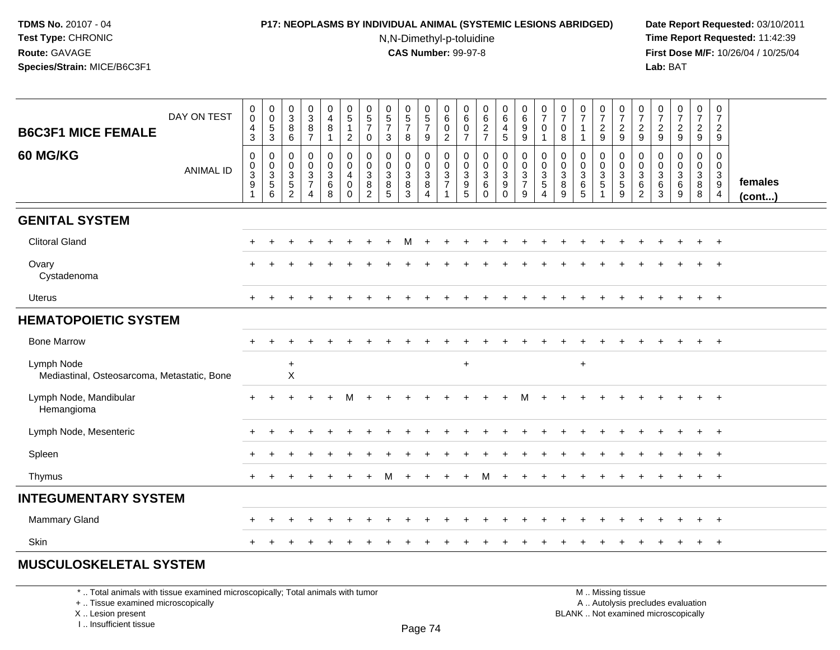### **P17: NEOPLASMS BY INDIVIDUAL ANIMAL (SYSTEMIC LESIONS ABRIDGED) Date Report Requested:** 03/10/2011

N,N-Dimethyl-p-toluidine

 **Time Report Requested:** 11:42:39 **First Dose M/F:** 10/26/04 / 10/25/04 Lab: BAT **Lab:** BAT

| DAY ON TEST<br><b>B6C3F1 MICE FEMALE</b>                  | $\mathbf 0$<br>$\mathbf 0$<br>$\overline{4}$<br>$\mathbf{3}$ | $\pmb{0}$<br>$\mathsf{O}\xspace$<br>$\sqrt{5}$<br>$\overline{3}$ | $_{3}^{\rm 0}$<br>8<br>6                                                   | $\frac{0}{3}$<br>8<br>$\overline{7}$         | $\begin{smallmatrix}0\\4\end{smallmatrix}$<br>$\bf 8$<br>$\mathbf{1}$ | $\begin{array}{c} 0 \\ 5 \end{array}$<br>$\mathbf{1}$<br>$\overline{2}$     | $\begin{array}{c} 0 \\ 5 \\ 7 \end{array}$<br>$\mathbf 0$                 | $\begin{array}{c} 0 \\ 5 \\ 7 \end{array}$<br>$\mathbf{3}$ | $\begin{array}{c} 0 \\ 5 \\ 7 \end{array}$<br>8      | $\begin{array}{c} 0 \\ 5 \\ 7 \end{array}$<br>$9\,$ | $\begin{array}{c} 0 \\ 6 \end{array}$<br>$\mathbf 0$<br>$\overline{2}$ | $\begin{array}{c} 0 \\ 6 \end{array}$<br>$\mathbf 0$<br>$\overline{7}$ | $\begin{array}{c} 0 \\ 6 \end{array}$<br>$\frac{2}{7}$ | $\begin{smallmatrix}0\0\0\end{smallmatrix}$<br>$\overline{4}$<br>5         | $\begin{array}{c} 0 \\ 6 \end{array}$<br>$\frac{9}{9}$ | $\begin{smallmatrix}0\\7\end{smallmatrix}$<br>$\mathsf{O}\xspace$<br>$\mathbf{1}$ | $\begin{array}{c} 0 \\ 7 \end{array}$<br>$\mathbf 0$<br>$\,8\,$ | $\frac{0}{7}$<br>$\overline{1}$                              | $\frac{0}{7}$<br>$\frac{2}{9}$     | $\frac{0}{7}$<br>$\frac{2}{9}$        | $\frac{0}{7}$<br>$\frac{2}{9}$                                  | $\frac{0}{7}$<br>$\frac{2}{9}$      | $\begin{array}{c} 0 \\ 7 \end{array}$<br>$\frac{2}{9}$ | $\frac{0}{7}$<br>$\frac{2}{9}$                 | $\frac{0}{7}$<br>$\overline{a}$<br>9                                    |                   |
|-----------------------------------------------------------|--------------------------------------------------------------|------------------------------------------------------------------|----------------------------------------------------------------------------|----------------------------------------------|-----------------------------------------------------------------------|-----------------------------------------------------------------------------|---------------------------------------------------------------------------|------------------------------------------------------------|------------------------------------------------------|-----------------------------------------------------|------------------------------------------------------------------------|------------------------------------------------------------------------|--------------------------------------------------------|----------------------------------------------------------------------------|--------------------------------------------------------|-----------------------------------------------------------------------------------|-----------------------------------------------------------------|--------------------------------------------------------------|------------------------------------|---------------------------------------|-----------------------------------------------------------------|-------------------------------------|--------------------------------------------------------|------------------------------------------------|-------------------------------------------------------------------------|-------------------|
| 60 MG/KG<br><b>ANIMAL ID</b>                              | $\boldsymbol{0}$<br>$\frac{0}{3}$<br>1                       | 0<br>$_{3}^{\rm 0}$<br>$\,$ 5 $\,$<br>6                          | $\mathbf 0$<br>$\pmb{0}$<br>$\overline{3}$<br>$\sqrt{5}$<br>$\overline{2}$ | 0<br>$\frac{0}{3}$<br>$\boldsymbol{\Lambda}$ | $\mathsf 0$<br>$\frac{0}{3}$<br>8                                     | $\mathbf 0$<br>$\overline{0}$<br>$\overline{4}$<br>$\pmb{0}$<br>$\mathbf 0$ | $\mathbf 0$<br>$\mathbf 0$<br>$\overline{3}$<br>$\bf 8$<br>$\overline{2}$ | $\pmb{0}$<br>$\pmb{0}$<br>$\overline{3}$<br>$\, 8$<br>5    | 0<br>$\mathsf{O}\xspace$<br>$\overline{3}$<br>8<br>3 | $\mathsf 0$<br>$\frac{0}{3}$<br>$\overline{4}$      | $\pmb{0}$<br>$\frac{0}{3}$<br>$\overline{1}$                           | $\mathbf 0$<br>$_{3}^{\rm 0}$<br>$\begin{array}{c} 9 \\ 5 \end{array}$ | $\pmb{0}$<br>$\frac{0}{3}$<br>$\,6\,$<br>$\Omega$      | 0<br>$\mathsf{O}\xspace$<br>$\overline{3}$<br>$\boldsymbol{9}$<br>$\Omega$ | $\pmb{0}$<br>$\frac{0}{3}$<br>9                        | $\mathbf 0$<br>$\frac{0}{3}$<br>4                                                 | 0<br>$\mathbf 0$<br>$\overline{3}$<br>8<br>9                    | $\mathbf 0$<br>$\mathbf 0$<br>$\overline{3}$<br>$\,6\,$<br>5 | 0<br>$\frac{0}{3}$<br>$\mathbf{1}$ | 0<br>$\frac{0}{3}$<br>$\sqrt{5}$<br>9 | 0<br>$\mathbf 0$<br>$\overline{3}$<br>$\,6\,$<br>$\overline{2}$ | 0<br>$_{3}^{\rm 0}$<br>$\,6\,$<br>3 | $\mathbf 0$<br>$\frac{0}{3}$<br>$\,6\,$<br>9           | 0<br>$\mathsf{O}\xspace$<br>$\frac{3}{8}$<br>8 | $\mathbf 0$<br>$\mathbf 0$<br>$\overline{3}$<br>$9\,$<br>$\overline{4}$ | females<br>(cont) |
| <b>GENITAL SYSTEM</b>                                     |                                                              |                                                                  |                                                                            |                                              |                                                                       |                                                                             |                                                                           |                                                            |                                                      |                                                     |                                                                        |                                                                        |                                                        |                                                                            |                                                        |                                                                                   |                                                                 |                                                              |                                    |                                       |                                                                 |                                     |                                                        |                                                |                                                                         |                   |
| <b>Clitoral Gland</b>                                     |                                                              |                                                                  |                                                                            |                                              |                                                                       |                                                                             |                                                                           |                                                            | м                                                    |                                                     |                                                                        |                                                                        |                                                        |                                                                            |                                                        |                                                                                   |                                                                 |                                                              |                                    |                                       |                                                                 |                                     |                                                        | $\ddot{}$                                      | $^{+}$                                                                  |                   |
| Ovary<br>Cystadenoma                                      |                                                              |                                                                  |                                                                            |                                              |                                                                       |                                                                             |                                                                           |                                                            |                                                      |                                                     |                                                                        |                                                                        |                                                        |                                                                            |                                                        |                                                                                   |                                                                 |                                                              |                                    |                                       |                                                                 |                                     |                                                        |                                                |                                                                         |                   |
| Uterus                                                    |                                                              |                                                                  |                                                                            |                                              |                                                                       |                                                                             |                                                                           |                                                            |                                                      |                                                     |                                                                        |                                                                        |                                                        |                                                                            |                                                        |                                                                                   |                                                                 |                                                              |                                    |                                       |                                                                 |                                     |                                                        |                                                | $+$                                                                     |                   |
| <b>HEMATOPOIETIC SYSTEM</b>                               |                                                              |                                                                  |                                                                            |                                              |                                                                       |                                                                             |                                                                           |                                                            |                                                      |                                                     |                                                                        |                                                                        |                                                        |                                                                            |                                                        |                                                                                   |                                                                 |                                                              |                                    |                                       |                                                                 |                                     |                                                        |                                                |                                                                         |                   |
| <b>Bone Marrow</b>                                        | $\ddot{}$                                                    |                                                                  |                                                                            |                                              |                                                                       |                                                                             |                                                                           |                                                            |                                                      |                                                     |                                                                        |                                                                        |                                                        |                                                                            |                                                        |                                                                                   |                                                                 |                                                              |                                    |                                       |                                                                 |                                     |                                                        | $+$                                            | $+$                                                                     |                   |
| Lymph Node<br>Mediastinal, Osteosarcoma, Metastatic, Bone |                                                              |                                                                  | $\ddot{}$<br>$\mathsf X$                                                   |                                              |                                                                       |                                                                             |                                                                           |                                                            |                                                      |                                                     |                                                                        | $\ddot{}$                                                              |                                                        |                                                                            |                                                        |                                                                                   |                                                                 | $+$                                                          |                                    |                                       |                                                                 |                                     |                                                        |                                                |                                                                         |                   |
| Lymph Node, Mandibular<br>Hemangioma                      | $+$                                                          |                                                                  |                                                                            |                                              |                                                                       | М                                                                           |                                                                           |                                                            |                                                      |                                                     |                                                                        |                                                                        |                                                        |                                                                            |                                                        |                                                                                   |                                                                 |                                                              |                                    |                                       |                                                                 |                                     |                                                        | $+$                                            | $+$                                                                     |                   |
| Lymph Node, Mesenteric                                    |                                                              |                                                                  |                                                                            |                                              |                                                                       |                                                                             |                                                                           |                                                            |                                                      |                                                     |                                                                        |                                                                        |                                                        |                                                                            |                                                        |                                                                                   |                                                                 |                                                              |                                    |                                       |                                                                 |                                     |                                                        | $\ddot{}$                                      | $+$                                                                     |                   |
| Spleen                                                    |                                                              |                                                                  |                                                                            |                                              |                                                                       |                                                                             |                                                                           |                                                            |                                                      |                                                     |                                                                        |                                                                        |                                                        |                                                                            |                                                        |                                                                                   |                                                                 |                                                              |                                    |                                       |                                                                 |                                     |                                                        |                                                | $+$                                                                     |                   |
| Thymus                                                    | $\ddot{}$                                                    |                                                                  |                                                                            |                                              |                                                                       |                                                                             |                                                                           | м                                                          |                                                      |                                                     |                                                                        |                                                                        | м                                                      |                                                                            |                                                        |                                                                                   |                                                                 |                                                              |                                    |                                       |                                                                 |                                     |                                                        | $\pm$                                          | $+$                                                                     |                   |
| <b>INTEGUMENTARY SYSTEM</b>                               |                                                              |                                                                  |                                                                            |                                              |                                                                       |                                                                             |                                                                           |                                                            |                                                      |                                                     |                                                                        |                                                                        |                                                        |                                                                            |                                                        |                                                                                   |                                                                 |                                                              |                                    |                                       |                                                                 |                                     |                                                        |                                                |                                                                         |                   |
| Mammary Gland                                             |                                                              |                                                                  |                                                                            |                                              |                                                                       |                                                                             |                                                                           |                                                            |                                                      |                                                     |                                                                        |                                                                        |                                                        |                                                                            |                                                        |                                                                                   |                                                                 |                                                              |                                    |                                       |                                                                 |                                     |                                                        |                                                | $+$                                                                     |                   |
| Skin                                                      |                                                              |                                                                  |                                                                            |                                              |                                                                       |                                                                             |                                                                           |                                                            |                                                      |                                                     |                                                                        |                                                                        |                                                        |                                                                            |                                                        |                                                                                   |                                                                 |                                                              |                                    |                                       |                                                                 |                                     |                                                        | $\pm$                                          | $+$                                                                     |                   |

# **MUSCULOSKELETAL SYSTEM**

\* .. Total animals with tissue examined microscopically; Total animals with tumor

+ .. Tissue examined microscopically

X .. Lesion present

I .. Insufficient tissue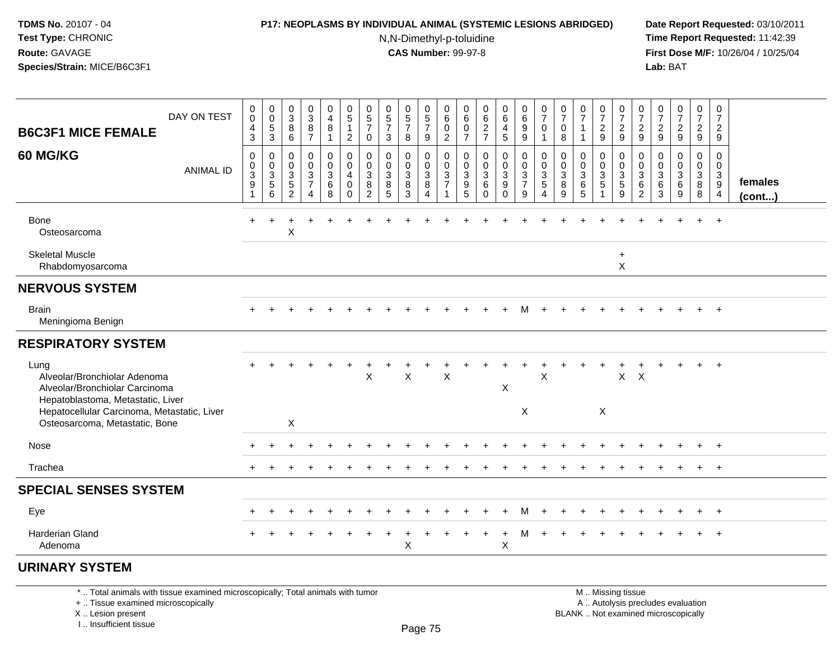#### **P17: NEOPLASMS BY INDIVIDUAL ANIMAL (SYSTEMIC LESIONS ABRIDGED) Date Report Requested:** 03/10/2011

N,N-Dimethyl-p-toluidine

 **Time Report Requested:** 11:42:39 **First Dose M/F:** 10/26/04 / 10/25/04 Lab: BAT **Lab:** BAT

| <b>B6C3F1 MICE FEMALE</b>                                                                                   | DAY ON TEST      | 0<br>$\mathsf 0$<br>$\overline{4}$<br>3                      | $_{\rm 0}^{\rm 0}$<br>$\frac{5}{3}$                            | $_3^0$<br>$\, 8$<br>6                                                             | 0<br>3<br>$\bf 8$<br>$\overline{7}$          | $\pmb{0}$<br>$\overline{4}$<br>$\bf8$<br>$\overline{1}$               | $\begin{array}{c} 0 \\ 5 \end{array}$<br>$\mathbf{1}$<br>$\overline{2}$ | $\begin{array}{c} 0 \\ 5 \end{array}$<br>$\overline{7}$<br>$\mathbf 0$ | $\begin{array}{c} 0 \\ 5 \end{array}$<br>$\overline{7}$<br>3   | 0<br>$\frac{5}{7}$<br>8                                     | 0<br>$\sqrt{5}$<br>$\overline{7}$<br>9                | 0<br>6<br>$\pmb{0}$<br>$\overline{2}$ | 0<br>$\,6$<br>$\boldsymbol{0}$<br>$\overline{7}$                     | $_{6}^{\rm 0}$<br>$\boldsymbol{2}$<br>$\overline{7}$        | $\begin{array}{c} 0 \\ 6 \end{array}$<br>$\overline{4}$<br>$\sqrt{5}$  | 0<br>$\,6$<br>$9\,$<br>9                             | 0<br>$\overline{7}$<br>$\mathbf 0$<br>1 | 0<br>$\boldsymbol{7}$<br>0<br>8  | $\frac{0}{7}$<br>$\mathbf{1}$              | 0<br>$\boldsymbol{7}$<br>$\sqrt{2}$<br>9                 | 0<br>$\boldsymbol{7}$<br>$\sqrt{2}$<br>9                  | 0<br>$\overline{7}$<br>$\overline{c}$<br>9                            | $\frac{0}{7}$<br>$\overline{c}$<br>9 | $\frac{0}{7}$<br>$\overline{a}$<br>9 | $\frac{0}{7}$<br>$\overline{a}$<br>9               | $\pmb{0}$<br>$\boldsymbol{7}$<br>$\overline{c}$<br>9            |                   |
|-------------------------------------------------------------------------------------------------------------|------------------|--------------------------------------------------------------|----------------------------------------------------------------|-----------------------------------------------------------------------------------|----------------------------------------------|-----------------------------------------------------------------------|-------------------------------------------------------------------------|------------------------------------------------------------------------|----------------------------------------------------------------|-------------------------------------------------------------|-------------------------------------------------------|---------------------------------------|----------------------------------------------------------------------|-------------------------------------------------------------|------------------------------------------------------------------------|------------------------------------------------------|-----------------------------------------|----------------------------------|--------------------------------------------|----------------------------------------------------------|-----------------------------------------------------------|-----------------------------------------------------------------------|--------------------------------------|--------------------------------------|----------------------------------------------------|-----------------------------------------------------------------|-------------------|
| 60 MG/KG                                                                                                    | <b>ANIMAL ID</b> | 0<br>0<br>$\ensuremath{\mathsf{3}}$<br>$\boldsymbol{9}$<br>1 | $\mathbf 0$<br>$\begin{array}{c} 0 \\ 3 \\ 5 \end{array}$<br>6 | $\pmb{0}$<br>$\,0\,$<br>$\ensuremath{\mathsf{3}}$<br>$\sqrt{5}$<br>$\overline{2}$ | 0<br>$\mathbf 0$<br>3<br>$\overline{7}$<br>4 | $\pmb{0}$<br>$\mathbf 0$<br>$\ensuremath{\mathsf{3}}$<br>$\,6\,$<br>8 | $\pmb{0}$<br>$\mathbf 0$<br>$\overline{4}$<br>$\mathbf 0$<br>$\Omega$   | 0<br>0<br>3<br>8<br>$\overline{2}$                                     | $\boldsymbol{0}$<br>$\boldsymbol{0}$<br>$\mathbf{3}$<br>8<br>5 | 0<br>$\pmb{0}$<br>$\ensuremath{\mathsf{3}}$<br>$\,8\,$<br>3 | $\mathbf 0$<br>0<br>$\sqrt{3}$<br>8<br>$\overline{4}$ | 0<br>$\pmb{0}$<br>3<br>$\overline{7}$ | $\pmb{0}$<br>0<br>$\ensuremath{\mathsf{3}}$<br>$\boldsymbol{9}$<br>5 | $\pmb{0}$<br>$\pmb{0}$<br>$\sqrt{3}$<br>$\,6\,$<br>$\Omega$ | $\pmb{0}$<br>$\mathbf 0$<br>$\sqrt{3}$<br>$\boldsymbol{9}$<br>$\Omega$ | $\mathbf 0$<br>$_{3}^{\rm 0}$<br>$\overline{7}$<br>9 | 0<br>$\pmb{0}$<br>3<br>5<br>4           | 0<br>0<br>$\mathbf{3}$<br>8<br>9 | 0<br>$\pmb{0}$<br>$\sqrt{3}$<br>$\,6$<br>5 | $\mathbf 0$<br>$\mathbf 0$<br>$\mathbf{3}$<br>$\sqrt{5}$ | $\mathbf 0$<br>$\pmb{0}$<br>$\sqrt{3}$<br>$\sqrt{5}$<br>9 | $\mathbf 0$<br>0<br>$\mathbf{3}$<br>$6\phantom{1}6$<br>$\overline{c}$ | 0<br>0<br>3<br>6<br>3                | 0<br>0<br>3<br>6<br>9                | $\pmb{0}$<br>$\mathbf 0$<br>$\mathbf{3}$<br>8<br>8 | $\mathbf 0$<br>$\mathbf 0$<br>$\sqrt{3}$<br>9<br>$\overline{4}$ | females<br>(cont) |
| Bone<br>Osteosarcoma                                                                                        |                  | $\div$                                                       |                                                                | X                                                                                 |                                              |                                                                       |                                                                         |                                                                        |                                                                |                                                             |                                                       |                                       |                                                                      |                                                             |                                                                        |                                                      |                                         |                                  |                                            |                                                          |                                                           |                                                                       |                                      |                                      |                                                    | $\overline{1}$                                                  |                   |
| <b>Skeletal Muscle</b><br>Rhabdomyosarcoma                                                                  |                  |                                                              |                                                                |                                                                                   |                                              |                                                                       |                                                                         |                                                                        |                                                                |                                                             |                                                       |                                       |                                                                      |                                                             |                                                                        |                                                      |                                         |                                  |                                            |                                                          | $\ddot{}$<br>$\times$                                     |                                                                       |                                      |                                      |                                                    |                                                                 |                   |
| <b>NERVOUS SYSTEM</b>                                                                                       |                  |                                                              |                                                                |                                                                                   |                                              |                                                                       |                                                                         |                                                                        |                                                                |                                                             |                                                       |                                       |                                                                      |                                                             |                                                                        |                                                      |                                         |                                  |                                            |                                                          |                                                           |                                                                       |                                      |                                      |                                                    |                                                                 |                   |
| <b>Brain</b><br>Meningioma Benign                                                                           |                  |                                                              |                                                                |                                                                                   |                                              |                                                                       |                                                                         |                                                                        |                                                                |                                                             |                                                       |                                       |                                                                      |                                                             |                                                                        | м                                                    |                                         |                                  |                                            |                                                          |                                                           |                                                                       |                                      |                                      |                                                    | $+$                                                             |                   |
| <b>RESPIRATORY SYSTEM</b>                                                                                   |                  |                                                              |                                                                |                                                                                   |                                              |                                                                       |                                                                         |                                                                        |                                                                |                                                             |                                                       |                                       |                                                                      |                                                             |                                                                        |                                                      |                                         |                                  |                                            |                                                          |                                                           |                                                                       |                                      |                                      |                                                    |                                                                 |                   |
| Lung<br>Alveolar/Bronchiolar Adenoma<br>Alveolar/Bronchiolar Carcinoma<br>Hepatoblastoma, Metastatic, Liver |                  |                                                              |                                                                |                                                                                   |                                              |                                                                       |                                                                         | X                                                                      |                                                                | X                                                           |                                                       | X                                     |                                                                      |                                                             | $\pmb{\times}$                                                         |                                                      | $\sf X$                                 |                                  |                                            |                                                          | X                                                         | $\times$                                                              |                                      |                                      |                                                    | $\overline{1}$                                                  |                   |
| Hepatocellular Carcinoma, Metastatic, Liver<br>Osteosarcoma, Metastatic, Bone                               |                  |                                                              |                                                                | $\boldsymbol{\mathsf{X}}$                                                         |                                              |                                                                       |                                                                         |                                                                        |                                                                |                                                             |                                                       |                                       |                                                                      |                                                             |                                                                        | X                                                    |                                         |                                  |                                            | X                                                        |                                                           |                                                                       |                                      |                                      |                                                    |                                                                 |                   |
| Nose                                                                                                        |                  |                                                              |                                                                |                                                                                   |                                              |                                                                       |                                                                         |                                                                        |                                                                |                                                             |                                                       |                                       |                                                                      |                                                             |                                                                        |                                                      |                                         |                                  |                                            |                                                          |                                                           |                                                                       |                                      |                                      |                                                    | $+$                                                             |                   |
| Trachea                                                                                                     |                  |                                                              |                                                                |                                                                                   |                                              |                                                                       |                                                                         |                                                                        |                                                                |                                                             |                                                       |                                       |                                                                      |                                                             |                                                                        |                                                      |                                         |                                  |                                            |                                                          |                                                           |                                                                       |                                      |                                      |                                                    | $^{+}$                                                          |                   |
| <b>SPECIAL SENSES SYSTEM</b>                                                                                |                  |                                                              |                                                                |                                                                                   |                                              |                                                                       |                                                                         |                                                                        |                                                                |                                                             |                                                       |                                       |                                                                      |                                                             |                                                                        |                                                      |                                         |                                  |                                            |                                                          |                                                           |                                                                       |                                      |                                      |                                                    |                                                                 |                   |
| Eye                                                                                                         |                  |                                                              |                                                                |                                                                                   |                                              |                                                                       |                                                                         |                                                                        |                                                                |                                                             |                                                       |                                       |                                                                      |                                                             | $\div$                                                                 | м                                                    |                                         |                                  |                                            |                                                          |                                                           |                                                                       |                                      |                                      |                                                    | $+$                                                             |                   |
| Harderian Gland<br>Adenoma                                                                                  |                  |                                                              |                                                                |                                                                                   |                                              |                                                                       |                                                                         |                                                                        |                                                                | $\mathsf X$                                                 |                                                       |                                       |                                                                      |                                                             | $\sf X$                                                                | м                                                    |                                         |                                  |                                            |                                                          |                                                           |                                                                       |                                      |                                      |                                                    | $\overline{1}$                                                  |                   |
| <b>URINARY SYSTEM</b>                                                                                       |                  |                                                              |                                                                |                                                                                   |                                              |                                                                       |                                                                         |                                                                        |                                                                |                                                             |                                                       |                                       |                                                                      |                                                             |                                                                        |                                                      |                                         |                                  |                                            |                                                          |                                                           |                                                                       |                                      |                                      |                                                    |                                                                 |                   |

\* .. Total animals with tissue examined microscopically; Total animals with tumor

+ .. Tissue examined microscopically

X .. Lesion present

I .. Insufficient tissue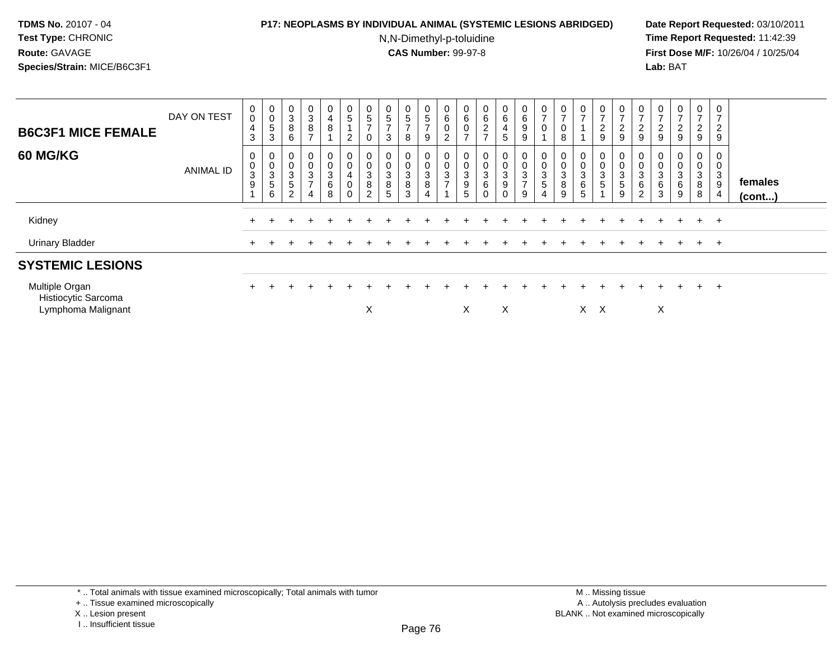### **P17: NEOPLASMS BY INDIVIDUAL ANIMAL (SYSTEMIC LESIONS ABRIDGED) Date Report Requested:** 03/10/2011

N,N-Dimethyl-p-toluidine

 **Time Report Requested:** 11:42:39 **First Dose M/F:** 10/26/04 / 10/25/04 Lab: BAT **Lab:** BAT

| <b>B6C3F1 MICE FEMALE</b>                                   | DAY ON TEST      | 0<br>$\mathsf{O}\xspace$<br>4<br>$\mathbf{3}$                   | 0<br>$\pmb{0}$<br>$\sqrt{5}$<br>$\sqrt{3}$                                   | $_{3}^{\rm 0}$<br>$\,8\,$<br>$\,6\,$                 | $\mathbf 0$<br>$\ensuremath{\mathsf{3}}$<br>$\bf 8$<br>$\overline{ }$                     | 0<br>4<br>8                              | $\begin{array}{c} 0 \\ 5 \end{array}$<br>$\overline{2}$              | 0<br>$\sqrt{5}$<br>$\overline{ }$<br>$\mathbf 0$ | 0<br>$\sqrt{5}$<br>$\rightarrow$<br>$\mathbf{3}$ | $\begin{array}{c} 0 \\ 5 \end{array}$<br>$\overline{\phantom{a}}$<br>8 | $\begin{array}{c} 0 \\ 5 \end{array}$<br>$\overline{ }$<br>9                      | 0<br>6<br>0<br><sup>o</sup><br>∠   | 0<br>6<br>0<br>$\overline{ }$                    | 0<br>6<br>$\boldsymbol{2}$<br>$\rightarrow$             | 0<br>6<br>$\overline{4}$<br>5 <sup>5</sup> | $\begin{array}{c} 0 \\ 6 \end{array}$<br>$\boldsymbol{9}$<br>$\boldsymbol{9}$ | $\frac{0}{7}$<br>$\pmb{0}$                      | $\mathbf 0$<br>$\overline{ }$<br>8        | 0<br>$\rightarrow$    | $\frac{0}{7}$<br>$\overline{\mathbf{c}}$<br>9 | $\frac{0}{7}$<br>$\overline{c}$<br>$\boldsymbol{9}$            | 0<br>$\overline{ }$<br>$\overline{2}$<br>$\boldsymbol{9}$     | $\mathbf 0$<br>$\overline{ }$<br>$\overline{c}$<br>$\boldsymbol{9}$ | $\overline{0}$<br>$\overline{ }$<br>$\frac{2}{9}$ | $\frac{0}{7}$<br>$\boldsymbol{2}$<br>9   | 0<br>$\overline{\phantom{a}}$<br>$\overline{c}$<br>9        |                         |
|-------------------------------------------------------------|------------------|-----------------------------------------------------------------|------------------------------------------------------------------------------|------------------------------------------------------|-------------------------------------------------------------------------------------------|------------------------------------------|----------------------------------------------------------------------|--------------------------------------------------|--------------------------------------------------|------------------------------------------------------------------------|-----------------------------------------------------------------------------------|------------------------------------|--------------------------------------------------|---------------------------------------------------------|--------------------------------------------|-------------------------------------------------------------------------------|-------------------------------------------------|-------------------------------------------|-----------------------|-----------------------------------------------|----------------------------------------------------------------|---------------------------------------------------------------|---------------------------------------------------------------------|---------------------------------------------------|------------------------------------------|-------------------------------------------------------------|-------------------------|
| <b>60 MG/KG</b>                                             | <b>ANIMAL ID</b> | 0<br>$\pmb{0}$<br>$\ensuremath{\mathsf{3}}$<br>$\boldsymbol{9}$ | 0<br>$\mathsf{O}\xspace$<br>$\ensuremath{\mathsf{3}}$<br>$\overline{5}$<br>6 | 0<br>$_{3}^{\rm 0}$<br>$\mathbf 5$<br>$\overline{2}$ | 0<br>$\pmb{0}$<br>$\ensuremath{\mathsf{3}}$<br>$\overline{\phantom{a}}$<br>$\overline{4}$ | 0<br>$\pmb{0}$<br>$\mathbf{3}$<br>6<br>8 | 0<br>$\mathsf 0$<br>$\overline{\mathbf{4}}$<br>$\boldsymbol{0}$<br>0 | $\mathbf 0$<br>3<br>8<br>$\overline{c}$          | 0<br>$\pmb{0}$<br>$\sqrt{3}$<br>$\bf 8$<br>5     | 0<br>$\mathbf 0$<br>$\mathbf{3}$<br>$\bf 8$<br>3                       | $\pmb{0}$<br>$\mathbf 0$<br>$\ensuremath{\mathsf{3}}$<br>$\, 8$<br>$\overline{4}$ | $\mathbf 0$<br>3<br>$\overline{ }$ | $\pmb{0}$<br>$\sqrt{3}$<br>$\boldsymbol{9}$<br>5 | $\mathbf 0$<br>0<br>$\ensuremath{\mathsf{3}}$<br>6<br>0 | 0<br>0<br>$\mathbf{3}$<br>9<br>$\Omega$    | $\mathbf 0$<br>$\frac{0}{3}$<br>$\overline{z}$<br>9                           | 0<br>$\pmb{0}$<br>$\sqrt{3}$<br>$\sqrt{5}$<br>4 | $\pmb{0}$<br>$\mathbf{3}$<br>$\bf 8$<br>9 | 0<br>0<br>3<br>6<br>5 | $_0^0$<br>3<br>5                              | 0<br>$\pmb{0}$<br>$\sqrt{3}$<br>$\sqrt{5}$<br>$\boldsymbol{9}$ | 0<br>$\mathsf{O}\xspace$<br>$\sqrt{3}$<br>6<br>$\overline{c}$ | 0<br>$\pmb{0}$<br>$\mathbf{3}$<br>$\,6\,$<br>3                      | 0<br>$\pmb{0}$<br>3<br>6<br>9                     | $\boldsymbol{0}$<br>$\sqrt{3}$<br>8<br>8 | 0<br>$\mathbf 0$<br>3<br>$\boldsymbol{9}$<br>$\overline{4}$ | females<br>$($ cont $)$ |
| Kidney                                                      |                  |                                                                 |                                                                              |                                                      |                                                                                           |                                          |                                                                      |                                                  |                                                  |                                                                        |                                                                                   |                                    |                                                  |                                                         |                                            |                                                                               |                                                 |                                           |                       |                                               |                                                                |                                                               |                                                                     |                                                   | $+$                                      | $+$                                                         |                         |
| <b>Urinary Bladder</b>                                      |                  | $\pm$                                                           |                                                                              |                                                      |                                                                                           |                                          |                                                                      |                                                  |                                                  |                                                                        |                                                                                   |                                    |                                                  |                                                         |                                            |                                                                               |                                                 |                                           |                       |                                               |                                                                |                                                               |                                                                     |                                                   | $+$                                      | $+$                                                         |                         |
| <b>SYSTEMIC LESIONS</b>                                     |                  |                                                                 |                                                                              |                                                      |                                                                                           |                                          |                                                                      |                                                  |                                                  |                                                                        |                                                                                   |                                    |                                                  |                                                         |                                            |                                                                               |                                                 |                                           |                       |                                               |                                                                |                                                               |                                                                     |                                                   |                                          |                                                             |                         |
| Multiple Organ<br>Histiocytic Sarcoma<br>Lymphoma Malignant |                  | $\pm$                                                           |                                                                              |                                                      |                                                                                           |                                          |                                                                      | X                                                |                                                  |                                                                        |                                                                                   |                                    | Χ                                                |                                                         | X                                          |                                                                               |                                                 |                                           | $X \times$            |                                               |                                                                |                                                               | X                                                                   |                                                   | $+$                                      | $+$                                                         |                         |

<sup>+ ..</sup> Tissue examined microscopically

X .. Lesion present

I .. Insufficient tissue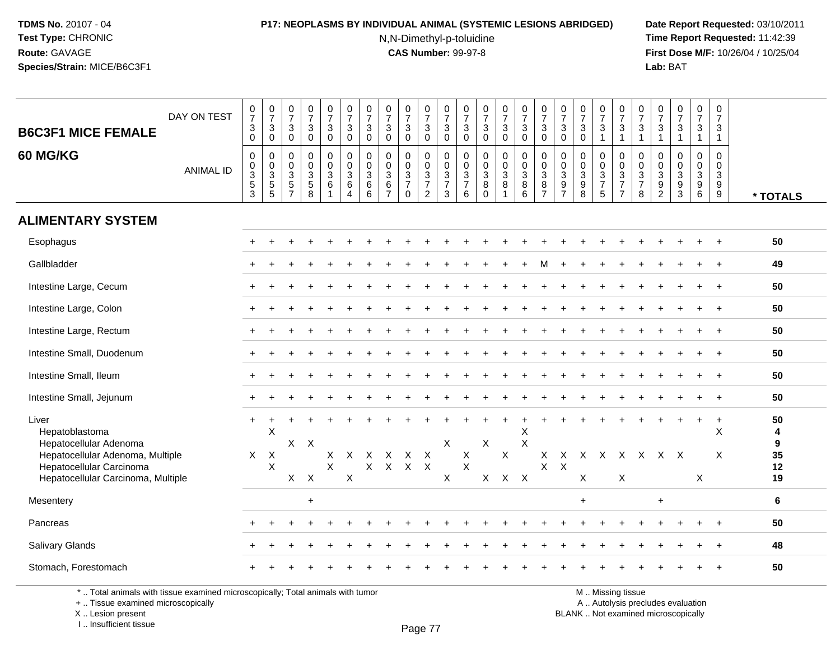## **P17: NEOPLASMS BY INDIVIDUAL ANIMAL (SYSTEMIC LESIONS ABRIDGED) Date Report Requested:** 03/10/2011

N,N-Dimethyl-p-toluidine

 **Time Report Requested:** 11:42:39 **First Dose M/F:** 10/26/04 / 10/25/04 Lab: BAT **Lab:** BAT

| <b>B6C3F1 MICE FEMALE</b><br>60 MG/KG                                                                                                                   | DAY ON TEST<br><b>ANIMAL ID</b> | $\frac{0}{7}$<br>$_0^3$<br>0<br>$\pmb{0}$<br>$\frac{3}{5}$ | $\begin{array}{c} 0 \\ 7 \\ 3 \\ 0 \end{array}$<br>$\boldsymbol{0}$<br>$\begin{array}{c} 0 \\ 3 \\ 5 \\ 5 \end{array}$ | $\begin{array}{c} 0 \\ 7 \end{array}$<br>$\mathsf 3$<br>$\mathbf 0$<br>$\mathbf 0$<br>$\mathbf 0$<br>$\overline{3}$<br>$\overline{5}$ | $\frac{0}{7}$<br>3<br>$\mathbf 0$<br>0<br>0<br>3<br>5 | $\frac{0}{7}$<br>$_0^3$<br>0<br>$\ddot{\mathbf{0}}$<br>$\overline{3}$<br>$6^{\circ}$ | $\frac{0}{7}$<br>$\mathbf{3}$<br>$\mathbf 0$<br>$\mathbf 0$<br>$\pmb{0}$<br>$\mathsf 3$<br>$6\phantom{a}$ | 0<br>$\overline{7}$<br>3<br>$\mathbf 0$<br>$\mathbf 0$<br>$\mathbf 0$<br>$\mathbf{3}$<br>$6\overline{6}$ | $\begin{array}{c} 0 \\ 7 \end{array}$<br>$\mathbf{3}$<br>$\Omega$<br>$\mathbf 0$<br>$\mathbf 0$<br>$\mathbf{3}$<br>$6\phantom{1}6$ | $\frac{0}{7}$<br>3<br>$\mathbf 0$<br>$\mathbf 0$<br>$\mathbf 0$<br>$\sqrt{3}$<br>$\overline{7}$ | $\frac{0}{7}$<br>3<br>$\mathbf 0$<br>$\mathbf 0$<br>$\mathbf 0$<br>$\frac{3}{7}$ | $\frac{0}{7}$<br>$\mathbf{3}$<br>$\mathbf 0$<br>0<br>$\mathbf 0$<br>$\frac{3}{7}$ | 0<br>$\overline{7}$<br>$_{0}^{3}$<br>$\mathbf 0$<br>0<br>$\frac{3}{7}$ | $\frac{0}{7}$<br>$_0^3$<br>0<br>$\pmb{0}$<br>$\overline{3}$<br>8 | $\begin{array}{c} 0 \\ 7 \end{array}$<br>$\mathbf{3}$<br>$\mathbf 0$<br>$\mathbf 0$<br>$\pmb{0}$<br>$\sqrt{3}$<br>$\overline{8}$ | $\begin{array}{c} 0 \\ 7 \end{array}$<br>$\mathbf{3}$<br>$\mathbf 0$<br>$\mathbf 0$<br>$\mathbf 0$<br>$\frac{3}{8}$ | $\frac{0}{7}$<br>3<br>$\mathbf 0$<br>$\mathbf 0$<br>$\mathbf 0$<br>$\ensuremath{\mathsf{3}}$<br>$\overline{8}$ | $\frac{0}{7}$<br>$\ensuremath{\mathsf{3}}$<br>$\mathbf 0$<br>$\mathbf 0$<br>$\mathbf 0$<br>$\frac{3}{9}$ | $\begin{array}{c} 0 \\ 7 \end{array}$<br>$\mathbf{3}$<br>$\Omega$<br>$\mathbf 0$<br>$\pmb{0}$<br>$\frac{3}{8}$ | $\begin{array}{c} 0 \\ 7 \end{array}$<br>3<br>$\overline{1}$<br>0<br>$\mathbf 0$<br>$\frac{3}{7}$ | $\frac{0}{7}$<br>$\sqrt{3}$<br>$\overline{1}$<br>$\mathbf 0$<br>$\mathsf{O}\xspace$<br>$\frac{3}{7}$ | $\frac{0}{7}$<br>$\mathbf{3}$<br>$\mathbf{1}$<br>$\mathbf 0$<br>$\mathbf 0$<br>$\frac{3}{7}$ | $\frac{0}{7}$<br>$\mathbf{3}$<br>$\mathbf{1}$<br>$\mathbf 0$<br>$\mathbf 0$<br>$\frac{3}{9}$ | $\frac{0}{7}$<br>3<br>$\mathbf{1}$<br>0<br>$\mathbf 0$<br>$\frac{3}{9}$ | $\frac{0}{7}$<br>$\mathbf{3}$<br>$\mathbf{1}$<br>0<br>$\pmb{0}$<br>$\frac{3}{9}$ | $\begin{smallmatrix}0\\7\end{smallmatrix}$<br>3<br>$\mathbf{1}$<br>$\mathbf 0$<br>$\mathbf 0$<br>$\mathsf 3$<br>$\overline{9}$ |                                |
|---------------------------------------------------------------------------------------------------------------------------------------------------------|---------------------------------|------------------------------------------------------------|------------------------------------------------------------------------------------------------------------------------|---------------------------------------------------------------------------------------------------------------------------------------|-------------------------------------------------------|--------------------------------------------------------------------------------------|-----------------------------------------------------------------------------------------------------------|----------------------------------------------------------------------------------------------------------|------------------------------------------------------------------------------------------------------------------------------------|-------------------------------------------------------------------------------------------------|----------------------------------------------------------------------------------|-----------------------------------------------------------------------------------|------------------------------------------------------------------------|------------------------------------------------------------------|----------------------------------------------------------------------------------------------------------------------------------|---------------------------------------------------------------------------------------------------------------------|----------------------------------------------------------------------------------------------------------------|----------------------------------------------------------------------------------------------------------|----------------------------------------------------------------------------------------------------------------|---------------------------------------------------------------------------------------------------|------------------------------------------------------------------------------------------------------|----------------------------------------------------------------------------------------------|----------------------------------------------------------------------------------------------|-------------------------------------------------------------------------|----------------------------------------------------------------------------------|--------------------------------------------------------------------------------------------------------------------------------|--------------------------------|
|                                                                                                                                                         |                                 | $\overline{3}$                                             |                                                                                                                        | $\overline{7}$                                                                                                                        | $\overline{8}$                                        | $\overline{1}$                                                                       | $\overline{4}$                                                                                            | $\overline{6}$                                                                                           | $\overline{7}$                                                                                                                     | $\mathbf 0$                                                                                     | $\overline{2}$                                                                   | 3                                                                                 | 6                                                                      | $\mathbf 0$                                                      | $\overline{1}$                                                                                                                   | 6                                                                                                                   | $\overline{7}$                                                                                                 | $\overline{7}$                                                                                           |                                                                                                                | $\overline{5}$                                                                                    | $\overline{7}$                                                                                       | 8                                                                                            | $\overline{2}$                                                                               | $\overline{3}$                                                          |                                                                                  | $\overline{9}$                                                                                                                 | * TOTALS                       |
| <b>ALIMENTARY SYSTEM</b>                                                                                                                                |                                 |                                                            |                                                                                                                        |                                                                                                                                       |                                                       |                                                                                      |                                                                                                           |                                                                                                          |                                                                                                                                    |                                                                                                 |                                                                                  |                                                                                   |                                                                        |                                                                  |                                                                                                                                  |                                                                                                                     |                                                                                                                |                                                                                                          |                                                                                                                |                                                                                                   |                                                                                                      |                                                                                              |                                                                                              |                                                                         |                                                                                  |                                                                                                                                |                                |
| Esophagus                                                                                                                                               |                                 |                                                            |                                                                                                                        |                                                                                                                                       |                                                       |                                                                                      |                                                                                                           |                                                                                                          |                                                                                                                                    |                                                                                                 |                                                                                  |                                                                                   |                                                                        |                                                                  |                                                                                                                                  |                                                                                                                     |                                                                                                                |                                                                                                          |                                                                                                                |                                                                                                   |                                                                                                      |                                                                                              |                                                                                              |                                                                         |                                                                                  |                                                                                                                                | 50                             |
| Gallbladder                                                                                                                                             |                                 |                                                            |                                                                                                                        |                                                                                                                                       |                                                       |                                                                                      |                                                                                                           |                                                                                                          |                                                                                                                                    |                                                                                                 |                                                                                  |                                                                                   |                                                                        |                                                                  |                                                                                                                                  |                                                                                                                     | м                                                                                                              |                                                                                                          |                                                                                                                |                                                                                                   |                                                                                                      |                                                                                              |                                                                                              |                                                                         |                                                                                  | $\overline{1}$                                                                                                                 | 49                             |
| Intestine Large, Cecum                                                                                                                                  |                                 |                                                            |                                                                                                                        |                                                                                                                                       |                                                       |                                                                                      |                                                                                                           |                                                                                                          |                                                                                                                                    |                                                                                                 |                                                                                  |                                                                                   |                                                                        |                                                                  |                                                                                                                                  |                                                                                                                     |                                                                                                                |                                                                                                          |                                                                                                                |                                                                                                   |                                                                                                      |                                                                                              |                                                                                              |                                                                         |                                                                                  |                                                                                                                                | 50                             |
| Intestine Large, Colon                                                                                                                                  |                                 |                                                            |                                                                                                                        |                                                                                                                                       |                                                       |                                                                                      |                                                                                                           |                                                                                                          |                                                                                                                                    |                                                                                                 |                                                                                  |                                                                                   |                                                                        |                                                                  |                                                                                                                                  |                                                                                                                     |                                                                                                                |                                                                                                          |                                                                                                                |                                                                                                   |                                                                                                      |                                                                                              |                                                                                              |                                                                         |                                                                                  |                                                                                                                                | 50                             |
| Intestine Large, Rectum                                                                                                                                 |                                 |                                                            |                                                                                                                        |                                                                                                                                       |                                                       |                                                                                      |                                                                                                           |                                                                                                          |                                                                                                                                    |                                                                                                 |                                                                                  |                                                                                   |                                                                        |                                                                  |                                                                                                                                  |                                                                                                                     |                                                                                                                |                                                                                                          |                                                                                                                |                                                                                                   |                                                                                                      |                                                                                              |                                                                                              |                                                                         |                                                                                  |                                                                                                                                | 50                             |
| Intestine Small, Duodenum                                                                                                                               |                                 |                                                            |                                                                                                                        |                                                                                                                                       |                                                       |                                                                                      |                                                                                                           |                                                                                                          |                                                                                                                                    |                                                                                                 |                                                                                  |                                                                                   |                                                                        |                                                                  |                                                                                                                                  |                                                                                                                     |                                                                                                                |                                                                                                          |                                                                                                                |                                                                                                   |                                                                                                      |                                                                                              |                                                                                              |                                                                         |                                                                                  |                                                                                                                                | 50                             |
| Intestine Small, Ileum                                                                                                                                  |                                 |                                                            |                                                                                                                        |                                                                                                                                       |                                                       |                                                                                      |                                                                                                           |                                                                                                          |                                                                                                                                    |                                                                                                 |                                                                                  |                                                                                   |                                                                        |                                                                  |                                                                                                                                  |                                                                                                                     |                                                                                                                |                                                                                                          |                                                                                                                |                                                                                                   |                                                                                                      |                                                                                              |                                                                                              |                                                                         |                                                                                  |                                                                                                                                | 50                             |
| Intestine Small, Jejunum                                                                                                                                |                                 |                                                            |                                                                                                                        |                                                                                                                                       |                                                       |                                                                                      |                                                                                                           |                                                                                                          |                                                                                                                                    |                                                                                                 |                                                                                  |                                                                                   |                                                                        |                                                                  |                                                                                                                                  |                                                                                                                     |                                                                                                                |                                                                                                          |                                                                                                                |                                                                                                   |                                                                                                      |                                                                                              |                                                                                              |                                                                         |                                                                                  | $\overline{1}$                                                                                                                 | 50                             |
| Liver<br>Hepatoblastoma<br>Hepatocellular Adenoma<br>Hepatocellular Adenoma, Multiple<br>Hepatocellular Carcinoma<br>Hepatocellular Carcinoma, Multiple |                                 | $\ddot{}$<br>$\mathsf{X}$                                  | X<br>$\mathsf{X}$<br>$\boldsymbol{\mathsf{X}}$                                                                         | $X$ $X$<br>X                                                                                                                          | $\mathsf{X}$                                          | Χ<br>$\sf X$                                                                         | $\mathsf{X}$<br>X                                                                                         | Χ<br>$\mathsf{X}$                                                                                        | X<br>$\mathsf X$                                                                                                                   | X<br>$\mathsf{X}$                                                                               | $\mathsf{X}$<br>$\mathsf{X}$                                                     | X<br>X                                                                            | X<br>$\sf X$                                                           | X<br>$\mathsf{X}$                                                | $\boldsymbol{\mathsf{X}}$<br>$\mathsf{X}$                                                                                        | X<br>$\boldsymbol{\mathsf{X}}$<br>$\mathsf{X}$                                                                      | X<br>$\mathsf X$                                                                                               | X<br>$\mathsf X$                                                                                         | X X<br>X                                                                                                       |                                                                                                   | $\mathsf{X}$<br>$\boldsymbol{\mathsf{X}}$                                                            |                                                                                              | X X X                                                                                        |                                                                         | $\ddot{}$<br>X                                                                   | $\ddot{}$<br>X<br>X                                                                                                            | 50<br>4<br>9<br>35<br>12<br>19 |
| Mesentery                                                                                                                                               |                                 |                                                            |                                                                                                                        |                                                                                                                                       | $\ddot{}$                                             |                                                                                      |                                                                                                           |                                                                                                          |                                                                                                                                    |                                                                                                 |                                                                                  |                                                                                   |                                                                        |                                                                  |                                                                                                                                  |                                                                                                                     |                                                                                                                |                                                                                                          | $\ddot{}$                                                                                                      |                                                                                                   |                                                                                                      |                                                                                              | $\ddot{}$                                                                                    |                                                                         |                                                                                  |                                                                                                                                | 6                              |
| Pancreas                                                                                                                                                |                                 |                                                            |                                                                                                                        |                                                                                                                                       |                                                       |                                                                                      |                                                                                                           |                                                                                                          |                                                                                                                                    |                                                                                                 |                                                                                  |                                                                                   |                                                                        |                                                                  |                                                                                                                                  |                                                                                                                     |                                                                                                                |                                                                                                          |                                                                                                                |                                                                                                   |                                                                                                      |                                                                                              |                                                                                              |                                                                         |                                                                                  | $\overline{1}$                                                                                                                 | 50                             |
| Salivary Glands                                                                                                                                         |                                 |                                                            |                                                                                                                        |                                                                                                                                       |                                                       |                                                                                      |                                                                                                           |                                                                                                          |                                                                                                                                    |                                                                                                 |                                                                                  |                                                                                   |                                                                        |                                                                  |                                                                                                                                  |                                                                                                                     |                                                                                                                |                                                                                                          |                                                                                                                |                                                                                                   |                                                                                                      |                                                                                              |                                                                                              |                                                                         |                                                                                  |                                                                                                                                | 48                             |
| Stomach, Forestomach                                                                                                                                    |                                 |                                                            |                                                                                                                        |                                                                                                                                       |                                                       |                                                                                      |                                                                                                           |                                                                                                          |                                                                                                                                    |                                                                                                 |                                                                                  |                                                                                   |                                                                        |                                                                  |                                                                                                                                  |                                                                                                                     |                                                                                                                |                                                                                                          |                                                                                                                |                                                                                                   |                                                                                                      |                                                                                              |                                                                                              |                                                                         |                                                                                  |                                                                                                                                | 50                             |

\* .. Total animals with tissue examined microscopically; Total animals with tumor

+ .. Tissue examined microscopically

X .. Lesion present

I .. Insufficient tissue

M .. Missing tissue

y the contract of the contract of the contract of the contract of the contract of  $\mathsf A$  . Autolysis precludes evaluation

Lesion present BLANK .. Not examined microscopically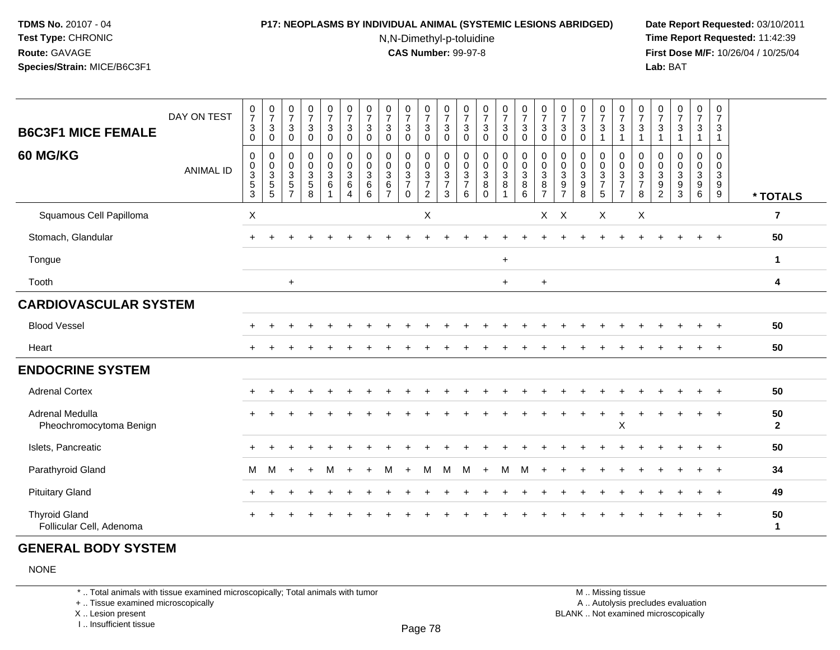#### **P17: NEOPLASMS BY INDIVIDUAL ANIMAL (SYSTEMIC LESIONS ABRIDGED) Date Report Requested:** 03/10/2011

N,N-Dimethyl-p-toluidine

 **Time Report Requested:** 11:42:39 **First Dose M/F:** 10/26/04 / 10/25/04 Lab: BAT **Lab:** BAT

| <b>B6C3F1 MICE FEMALE</b>                        | DAY ON TEST      | $\frac{0}{7}$<br>$\sqrt{3}$<br>$\mathsf 0$              | $\frac{0}{7}$<br>$\mathbf{3}$<br>$\mathbf 0$                              | $\frac{0}{7}$<br>$\mathbf 3$<br>$\mathbf 0$                                       | $\frac{0}{7}$<br>$\mathbf{3}$<br>$\mathsf 0$      | $\begin{smallmatrix}0\\7\end{smallmatrix}$<br>$\mathfrak{S}$<br>$\mathsf 0$ | $\frac{0}{7}$<br>$\sqrt{3}$<br>$\pmb{0}$                                | $\frac{0}{7}$<br>$\mathbf 3$<br>$\mathbf 0$                       | $\frac{0}{7}$<br>$\mathbf{3}$<br>$\mathbf 0$                    | $\frac{0}{7}$<br>3<br>$\mathbf 0$                    | $\frac{0}{7}$<br>$\mathsf 3$<br>$\mathsf{O}\xspace$           | $\frac{0}{7}$<br>$\sqrt{3}$<br>$\mathsf{O}\xspace$     | 0<br>$\overline{7}$<br>$\mathbf{3}$<br>0      | $\frac{0}{7}$<br>$\sqrt{3}$<br>$\pmb{0}$                    | $\frac{0}{7}$<br>$\mathsf 3$<br>$\pmb{0}$              | $\frac{0}{7}$<br>$\mathbf{3}$<br>$\mathsf 0$        | $\frac{0}{7}$<br>3<br>0                      | $\frac{0}{7}$<br>$\sqrt{3}$<br>0            | $\frac{0}{7}$<br>$\mathsf 3$<br>$\pmb{0}$                         | $\frac{0}{7}$<br>$\mathbf{3}$<br>$\overline{1}$                | $\frac{0}{7}$<br>$\sqrt{3}$<br>$\overline{1}$                      | $\frac{0}{7}$<br>$\mathbf{3}$<br>$\mathbf{1}$ | $\frac{0}{7}$<br>$\ensuremath{\mathsf{3}}$<br>$\mathbf{1}$ | $\frac{0}{7}$<br>$\ensuremath{\mathsf{3}}$                             | $\frac{0}{7}$<br>$\sqrt{3}$<br>$\overline{1}$        | 0<br>$\overline{7}$<br>$\mathbf{3}$<br>$\mathbf{1}$ |                    |
|--------------------------------------------------|------------------|---------------------------------------------------------|---------------------------------------------------------------------------|-----------------------------------------------------------------------------------|---------------------------------------------------|-----------------------------------------------------------------------------|-------------------------------------------------------------------------|-------------------------------------------------------------------|-----------------------------------------------------------------|------------------------------------------------------|---------------------------------------------------------------|--------------------------------------------------------|-----------------------------------------------|-------------------------------------------------------------|--------------------------------------------------------|-----------------------------------------------------|----------------------------------------------|---------------------------------------------|-------------------------------------------------------------------|----------------------------------------------------------------|--------------------------------------------------------------------|-----------------------------------------------|------------------------------------------------------------|------------------------------------------------------------------------|------------------------------------------------------|-----------------------------------------------------|--------------------|
| 60 MG/KG                                         | <b>ANIMAL ID</b> | $\pmb{0}$<br>$\pmb{0}$<br>$\frac{3}{5}$<br>$\mathbf{3}$ | 0<br>$\boldsymbol{0}$<br>$\mathbf{3}$<br>$\overline{5}$<br>$5\phantom{1}$ | $\boldsymbol{0}$<br>$\pmb{0}$<br>$\mathbf{3}$<br>$\overline{5}$<br>$\overline{7}$ | 0<br>$\pmb{0}$<br>$\mathbf{3}$<br>$\sqrt{5}$<br>8 | $\mathsf 0$<br>$\mathsf{O}\xspace$<br>$\mathbf{3}$<br>6                     | $\pmb{0}$<br>$\pmb{0}$<br>$\sqrt{3}$<br>$\,6$<br>$\boldsymbol{\Lambda}$ | $\mathbf 0$<br>$\pmb{0}$<br>$\sqrt{3}$<br>$\,6$<br>$6\phantom{1}$ | $\pmb{0}$<br>$\mathbf 0$<br>$\mathbf{3}$<br>6<br>$\overline{7}$ | 0<br>0<br>$\mathbf{3}$<br>$\overline{7}$<br>$\Omega$ | $\mathbf 0$<br>$\mathbf 0$<br>$\frac{3}{7}$<br>$\overline{2}$ | $\mathsf{O}\xspace$<br>$\pmb{0}$<br>$\frac{3}{7}$<br>3 | 0<br>0<br>$\mathbf{3}$<br>$\overline{7}$<br>6 | $\mathbf 0$<br>$\pmb{0}$<br>$\overline{3}$<br>8<br>$\Omega$ | 0<br>$\mathbf 0$<br>$\mathsf 3$<br>8<br>$\overline{1}$ | $\mathsf 0$<br>$\mathbf 0$<br>$\mathsf 3$<br>8<br>6 | 0<br>$\mathbf 0$<br>3<br>8<br>$\overline{7}$ | 0<br>0<br>$\sqrt{3}$<br>9<br>$\overline{7}$ | $\pmb{0}$<br>$\pmb{0}$<br>$\overline{3}$<br>$\boldsymbol{9}$<br>8 | 0<br>$\pmb{0}$<br>$\mathbf{3}$<br>$\overline{7}$<br>$\sqrt{5}$ | $\boldsymbol{0}$<br>$\mathbf 0$<br>$\frac{3}{7}$<br>$\overline{7}$ | 0<br>0<br>$\mathbf{3}$<br>$\overline{7}$<br>8 | $\mathbf 0$<br>0<br>$\sqrt{3}$<br>9<br>2                   | $\mathbf 0$<br>$\pmb{0}$<br>$\ensuremath{\mathsf{3}}$<br>$\frac{9}{3}$ | $\mathbf 0$<br>$\pmb{0}$<br>$\overline{3}$<br>$^9$ 6 | $\pmb{0}$<br>$\mathbf 0$<br>$\mathbf{3}$<br>9<br>9  | * TOTALS           |
| Squamous Cell Papilloma                          |                  | $\boldsymbol{\mathsf{X}}$                               |                                                                           |                                                                                   |                                                   |                                                                             |                                                                         |                                                                   |                                                                 |                                                      | $\mathsf X$                                                   |                                                        |                                               |                                                             |                                                        |                                                     | X                                            | $\boldsymbol{\mathsf{X}}$                   |                                                                   | X                                                              |                                                                    | $\boldsymbol{\mathsf{X}}$                     |                                                            |                                                                        |                                                      |                                                     | $\overline{7}$     |
| Stomach, Glandular                               |                  |                                                         |                                                                           |                                                                                   |                                                   |                                                                             |                                                                         |                                                                   |                                                                 |                                                      |                                                               |                                                        |                                               |                                                             |                                                        |                                                     |                                              |                                             |                                                                   |                                                                |                                                                    |                                               |                                                            |                                                                        |                                                      |                                                     | 50                 |
| Tongue                                           |                  |                                                         |                                                                           |                                                                                   |                                                   |                                                                             |                                                                         |                                                                   |                                                                 |                                                      |                                                               |                                                        |                                               |                                                             | $\ddot{}$                                              |                                                     |                                              |                                             |                                                                   |                                                                |                                                                    |                                               |                                                            |                                                                        |                                                      |                                                     | $\mathbf{1}$       |
| Tooth                                            |                  |                                                         |                                                                           | $\ddot{}$                                                                         |                                                   |                                                                             |                                                                         |                                                                   |                                                                 |                                                      |                                                               |                                                        |                                               |                                                             | $\ddot{}$                                              |                                                     | $\ddot{}$                                    |                                             |                                                                   |                                                                |                                                                    |                                               |                                                            |                                                                        |                                                      |                                                     | 4                  |
| <b>CARDIOVASCULAR SYSTEM</b>                     |                  |                                                         |                                                                           |                                                                                   |                                                   |                                                                             |                                                                         |                                                                   |                                                                 |                                                      |                                                               |                                                        |                                               |                                                             |                                                        |                                                     |                                              |                                             |                                                                   |                                                                |                                                                    |                                               |                                                            |                                                                        |                                                      |                                                     |                    |
| <b>Blood Vessel</b>                              |                  |                                                         |                                                                           |                                                                                   |                                                   |                                                                             |                                                                         |                                                                   |                                                                 |                                                      |                                                               |                                                        |                                               |                                                             |                                                        |                                                     |                                              |                                             |                                                                   |                                                                |                                                                    |                                               |                                                            |                                                                        |                                                      |                                                     | 50                 |
| Heart                                            |                  |                                                         |                                                                           |                                                                                   |                                                   |                                                                             |                                                                         |                                                                   |                                                                 |                                                      |                                                               |                                                        |                                               |                                                             |                                                        |                                                     |                                              |                                             |                                                                   |                                                                |                                                                    |                                               |                                                            |                                                                        |                                                      |                                                     | 50                 |
| <b>ENDOCRINE SYSTEM</b>                          |                  |                                                         |                                                                           |                                                                                   |                                                   |                                                                             |                                                                         |                                                                   |                                                                 |                                                      |                                                               |                                                        |                                               |                                                             |                                                        |                                                     |                                              |                                             |                                                                   |                                                                |                                                                    |                                               |                                                            |                                                                        |                                                      |                                                     |                    |
| <b>Adrenal Cortex</b>                            |                  |                                                         |                                                                           |                                                                                   |                                                   |                                                                             |                                                                         |                                                                   |                                                                 |                                                      |                                                               |                                                        |                                               |                                                             |                                                        |                                                     |                                              |                                             |                                                                   |                                                                |                                                                    |                                               |                                                            |                                                                        |                                                      | $+$                                                 | 50                 |
| Adrenal Medulla<br>Pheochromocytoma Benign       |                  |                                                         |                                                                           |                                                                                   |                                                   |                                                                             |                                                                         |                                                                   |                                                                 |                                                      |                                                               |                                                        |                                               |                                                             |                                                        |                                                     |                                              |                                             |                                                                   | $\ddot{}$                                                      | $\boldsymbol{\mathsf{X}}$                                          |                                               |                                                            |                                                                        |                                                      | $+$                                                 | 50<br>$\mathbf{2}$ |
| Islets, Pancreatic                               |                  |                                                         |                                                                           |                                                                                   |                                                   |                                                                             |                                                                         |                                                                   |                                                                 |                                                      |                                                               |                                                        |                                               |                                                             |                                                        |                                                     |                                              |                                             |                                                                   |                                                                |                                                                    |                                               |                                                            |                                                                        |                                                      | $\overline{+}$                                      | 50                 |
| Parathyroid Gland                                |                  | М                                                       | M                                                                         |                                                                                   | $\ddot{}$                                         | M                                                                           | $\ddot{}$                                                               |                                                                   | м                                                               | $+$                                                  | M                                                             | M                                                      | M                                             | $+$                                                         | M                                                      | M                                                   | $\ddot{}$                                    |                                             |                                                                   |                                                                |                                                                    |                                               |                                                            |                                                                        |                                                      | $^{+}$                                              | 34                 |
| <b>Pituitary Gland</b>                           |                  | $\pm$                                                   |                                                                           |                                                                                   |                                                   |                                                                             |                                                                         |                                                                   |                                                                 |                                                      |                                                               |                                                        |                                               |                                                             |                                                        |                                                     |                                              |                                             |                                                                   |                                                                |                                                                    |                                               |                                                            |                                                                        |                                                      | $\overline{+}$                                      | 49                 |
| <b>Thyroid Gland</b><br>Follicular Cell, Adenoma |                  |                                                         |                                                                           |                                                                                   |                                                   |                                                                             |                                                                         |                                                                   |                                                                 |                                                      |                                                               |                                                        |                                               |                                                             |                                                        |                                                     |                                              |                                             |                                                                   |                                                                |                                                                    |                                               |                                                            |                                                                        |                                                      |                                                     | 50<br>$\mathbf 1$  |

### **GENERAL BODY SYSTEM**

NONE

\* .. Total animals with tissue examined microscopically; Total animals with tumor

+ .. Tissue examined microscopically

X .. Lesion present

I .. Insufficient tissue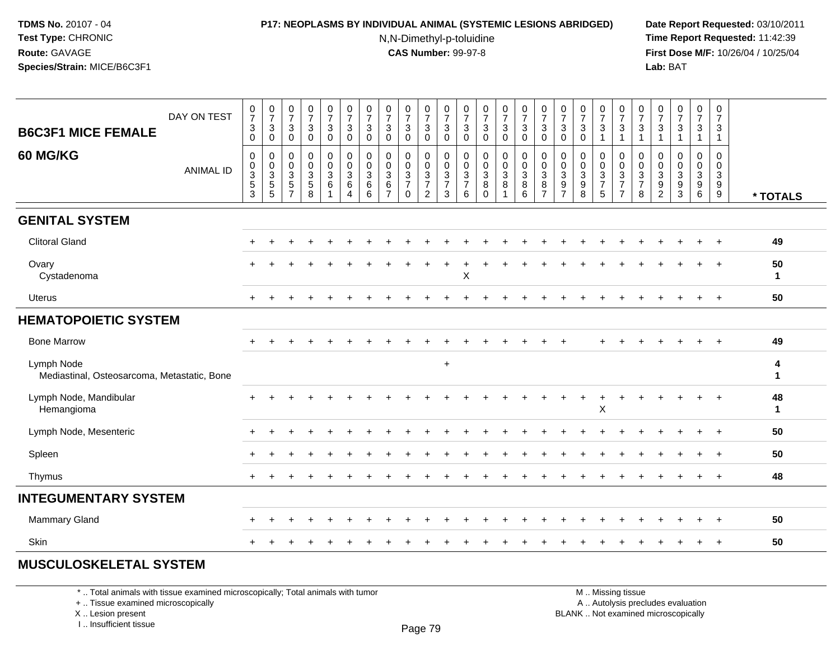### **P17: NEOPLASMS BY INDIVIDUAL ANIMAL (SYSTEMIC LESIONS ABRIDGED) Date Report Requested:** 03/10/2011

N,N-Dimethyl-p-toluidine

 **Time Report Requested:** 11:42:39 **First Dose M/F:** 10/26/04 / 10/25/04 Lab: BAT **Lab:** BAT

| <b>B6C3F1 MICE FEMALE</b>                                 | DAY ON TEST      | $\frac{0}{7}$<br>$\mathbf{3}$<br>$\mathbf 0$                                 | $\begin{smallmatrix}0\\7\end{smallmatrix}$<br>$\mathbf{3}$<br>0 | $\begin{smallmatrix}0\\7\end{smallmatrix}$<br>$\sqrt{3}$<br>$\mathbf 0$             | $\frac{0}{7}$<br>$\mathbf{3}$<br>$\Omega$                    | $\begin{array}{c} 0 \\ 7 \end{array}$<br>$\ensuremath{\mathsf{3}}$<br>$\overline{0}$ | $\begin{array}{c} 0 \\ 7 \end{array}$<br>$\mathbf{3}$<br>$\mathbf 0$ | $\frac{0}{7}$<br>3<br>$\mathbf{0}$                       | $\frac{0}{7}$<br>$\sqrt{3}$<br>$\Omega$                                       | $\frac{0}{7}$<br>$\mathbf{3}$<br>$\Omega$        | $\begin{array}{c} 0 \\ 7 \end{array}$<br>$\sqrt{3}$<br>$\mathbf 0$ | $\frac{0}{7}$<br>$\mathbf{3}$<br>$\Omega$        | $\begin{smallmatrix}0\\7\end{smallmatrix}$<br>3<br>$\mathbf{0}$ | $\frac{0}{7}$<br>$\sqrt{3}$<br>$\Omega$     | $\frac{0}{7}$<br>$\mathbf{3}$<br>$\mathbf 0$              | $\begin{smallmatrix}0\\7\end{smallmatrix}$<br>$\mathsf 3$<br>$\Omega$ | $\begin{array}{c} 0 \\ 7 \end{array}$<br>$\sqrt{3}$<br>$\Omega$ | $\frac{0}{7}$<br>3<br>$\Omega$                                           | $\frac{0}{7}$<br>$\ensuremath{\mathsf{3}}$<br>$\overline{0}$ | $\frac{0}{7}$<br>$\mathbf{3}$<br>$\overline{1}$      | $\begin{array}{c} 0 \\ 7 \end{array}$<br>$\mathbf{3}$ | $\frac{0}{7}$<br>$\sqrt{3}$<br>$\overline{1}$ | $\frac{0}{7}$<br>$\mathbf{3}$<br>$\blacktriangleleft$                              | $\begin{smallmatrix}0\\7\end{smallmatrix}$<br>$\ensuremath{\mathsf{3}}$<br>$\mathbf{1}$ | $\frac{0}{7}$<br>$\mathbf{3}$<br>$\mathbf{1}$ | 0<br>$\overline{7}$<br>3                                    |                    |
|-----------------------------------------------------------|------------------|------------------------------------------------------------------------------|-----------------------------------------------------------------|-------------------------------------------------------------------------------------|--------------------------------------------------------------|--------------------------------------------------------------------------------------|----------------------------------------------------------------------|----------------------------------------------------------|-------------------------------------------------------------------------------|--------------------------------------------------|--------------------------------------------------------------------|--------------------------------------------------|-----------------------------------------------------------------|---------------------------------------------|-----------------------------------------------------------|-----------------------------------------------------------------------|-----------------------------------------------------------------|--------------------------------------------------------------------------|--------------------------------------------------------------|------------------------------------------------------|-------------------------------------------------------|-----------------------------------------------|------------------------------------------------------------------------------------|-----------------------------------------------------------------------------------------|-----------------------------------------------|-------------------------------------------------------------|--------------------|
| <b>60 MG/KG</b>                                           | <b>ANIMAL ID</b> | $\boldsymbol{0}$<br>$\begin{array}{c} 0 \\ 3 \\ 5 \end{array}$<br>$\sqrt{3}$ | 0<br>$\frac{0}{3}$<br>5                                         | $\pmb{0}$<br>$\mathsf{O}\xspace$<br>$\overline{3}$<br>$\,$ 5 $\,$<br>$\overline{7}$ | $\pmb{0}$<br>$\begin{array}{c} 0 \\ 3 \\ 5 \end{array}$<br>8 | $\pmb{0}$<br>$\frac{0}{3}$<br>$\overline{ }$                                         | $\mathbf 0$<br>$\frac{0}{3}$<br>$6\phantom{1}6$<br>$\overline{4}$    | $\mathbf 0$<br>$\pmb{0}$<br>$\overline{3}$<br>$\,6$<br>6 | $\mathsf{O}\xspace$<br>$\pmb{0}$<br>$\overline{3}$<br>$\,6$<br>$\overline{7}$ | $\mathsf{O}\xspace$<br>$\frac{0}{3}$<br>$\Omega$ | $\mathbf 0$<br>$\frac{0}{3}$<br>2                                  | $\mathsf 0$<br>$\mathbf 0$<br>$\frac{3}{7}$<br>3 | 0<br>$\pmb{0}$<br>$\overline{3}$<br>$\overline{7}$<br>6         | $\pmb{0}$<br>$\frac{0}{3}$<br>8<br>$\Omega$ | $\mathsf 0$<br>$\begin{array}{c} 0 \\ 3 \\ 8 \end{array}$ | 0<br>$\frac{0}{3}$<br>6                                               | $\mathbf 0$<br>$\frac{0}{3}$<br>$\bf 8$<br>$\overline{7}$       | 0<br>$\mathbf 0$<br>$\overline{3}$<br>$\boldsymbol{9}$<br>$\overline{7}$ | $\mathsf{O}\xspace$<br>$\frac{0}{3}$<br>8                    | 0<br>$\begin{array}{c} 0 \\ 3 \\ 7 \end{array}$<br>5 | 0<br>$\frac{0}{3}$<br>$\overline{7}$                  | $\mathbf 0$<br>$\frac{0}{3}$<br>8             | $\mathbf 0$<br>$\mathbf 0$<br>$\overline{3}$<br>$\boldsymbol{9}$<br>$\overline{2}$ | $\mathbf 0$<br>$_{3}^{\rm 0}$<br>$\boldsymbol{9}$<br>3                                  | $\mathsf 0$<br>$\frac{0}{3}$<br>6             | 0<br>$\mathsf{O}\xspace$<br>$\overline{3}$<br>$\frac{9}{9}$ | * TOTALS           |
| <b>GENITAL SYSTEM</b>                                     |                  |                                                                              |                                                                 |                                                                                     |                                                              |                                                                                      |                                                                      |                                                          |                                                                               |                                                  |                                                                    |                                                  |                                                                 |                                             |                                                           |                                                                       |                                                                 |                                                                          |                                                              |                                                      |                                                       |                                               |                                                                                    |                                                                                         |                                               |                                                             |                    |
| <b>Clitoral Gland</b>                                     |                  |                                                                              |                                                                 |                                                                                     |                                                              |                                                                                      |                                                                      |                                                          |                                                                               |                                                  |                                                                    |                                                  |                                                                 |                                             |                                                           |                                                                       |                                                                 |                                                                          |                                                              |                                                      |                                                       |                                               |                                                                                    |                                                                                         |                                               | $\pm$                                                       | 49                 |
| Ovary<br>Cystadenoma                                      |                  |                                                                              |                                                                 |                                                                                     |                                                              |                                                                                      |                                                                      |                                                          |                                                                               |                                                  |                                                                    |                                                  | X                                                               |                                             |                                                           |                                                                       |                                                                 |                                                                          |                                                              |                                                      |                                                       |                                               |                                                                                    |                                                                                         |                                               |                                                             | 50<br>1            |
| Uterus                                                    |                  |                                                                              |                                                                 |                                                                                     |                                                              |                                                                                      |                                                                      |                                                          |                                                                               |                                                  |                                                                    |                                                  |                                                                 |                                             |                                                           |                                                                       |                                                                 |                                                                          |                                                              |                                                      |                                                       |                                               |                                                                                    |                                                                                         | $\ddot{}$                                     | $+$                                                         | 50                 |
| <b>HEMATOPOIETIC SYSTEM</b>                               |                  |                                                                              |                                                                 |                                                                                     |                                                              |                                                                                      |                                                                      |                                                          |                                                                               |                                                  |                                                                    |                                                  |                                                                 |                                             |                                                           |                                                                       |                                                                 |                                                                          |                                                              |                                                      |                                                       |                                               |                                                                                    |                                                                                         |                                               |                                                             |                    |
| <b>Bone Marrow</b>                                        |                  | $\ddot{}$                                                                    | ÷                                                               |                                                                                     |                                                              |                                                                                      |                                                                      |                                                          |                                                                               |                                                  |                                                                    |                                                  |                                                                 |                                             |                                                           |                                                                       |                                                                 | $\div$                                                                   |                                                              |                                                      |                                                       |                                               |                                                                                    |                                                                                         | $\ddot{}$                                     | $+$                                                         | 49                 |
| Lymph Node<br>Mediastinal, Osteosarcoma, Metastatic, Bone |                  |                                                                              |                                                                 |                                                                                     |                                                              |                                                                                      |                                                                      |                                                          |                                                                               |                                                  |                                                                    | $\ddot{}$                                        |                                                                 |                                             |                                                           |                                                                       |                                                                 |                                                                          |                                                              |                                                      |                                                       |                                               |                                                                                    |                                                                                         |                                               |                                                             | 4<br>1             |
| Lymph Node, Mandibular<br>Hemangioma                      |                  |                                                                              |                                                                 |                                                                                     |                                                              |                                                                                      |                                                                      |                                                          |                                                                               |                                                  |                                                                    |                                                  |                                                                 |                                             |                                                           |                                                                       |                                                                 |                                                                          |                                                              | $\div$<br>$\mathsf X$                                |                                                       |                                               |                                                                                    |                                                                                         | $\div$                                        | $\ddot{}$                                                   | 48<br>$\mathbf{1}$ |
| Lymph Node, Mesenteric                                    |                  |                                                                              |                                                                 |                                                                                     |                                                              |                                                                                      |                                                                      |                                                          |                                                                               |                                                  |                                                                    |                                                  |                                                                 |                                             |                                                           |                                                                       |                                                                 |                                                                          |                                                              |                                                      |                                                       |                                               |                                                                                    |                                                                                         |                                               | $\div$                                                      | 50                 |
| Spleen                                                    |                  |                                                                              |                                                                 |                                                                                     |                                                              |                                                                                      |                                                                      |                                                          |                                                                               |                                                  |                                                                    |                                                  |                                                                 |                                             |                                                           |                                                                       |                                                                 |                                                                          |                                                              |                                                      |                                                       |                                               |                                                                                    |                                                                                         |                                               |                                                             | 50                 |
| Thymus                                                    |                  |                                                                              |                                                                 |                                                                                     |                                                              |                                                                                      |                                                                      |                                                          |                                                                               |                                                  |                                                                    |                                                  |                                                                 |                                             |                                                           |                                                                       |                                                                 |                                                                          |                                                              |                                                      |                                                       |                                               |                                                                                    |                                                                                         |                                               | $\div$                                                      | 48                 |
| <b>INTEGUMENTARY SYSTEM</b>                               |                  |                                                                              |                                                                 |                                                                                     |                                                              |                                                                                      |                                                                      |                                                          |                                                                               |                                                  |                                                                    |                                                  |                                                                 |                                             |                                                           |                                                                       |                                                                 |                                                                          |                                                              |                                                      |                                                       |                                               |                                                                                    |                                                                                         |                                               |                                                             |                    |
| <b>Mammary Gland</b>                                      |                  |                                                                              |                                                                 |                                                                                     |                                                              |                                                                                      |                                                                      |                                                          |                                                                               |                                                  |                                                                    |                                                  |                                                                 |                                             |                                                           |                                                                       |                                                                 |                                                                          |                                                              |                                                      |                                                       |                                               |                                                                                    |                                                                                         |                                               |                                                             | 50                 |
| Skin                                                      |                  |                                                                              |                                                                 |                                                                                     |                                                              |                                                                                      |                                                                      |                                                          |                                                                               |                                                  |                                                                    |                                                  |                                                                 |                                             |                                                           |                                                                       |                                                                 |                                                                          |                                                              |                                                      |                                                       |                                               |                                                                                    |                                                                                         | $\pm$                                         | $+$                                                         | 50                 |
|                                                           |                  |                                                                              |                                                                 |                                                                                     |                                                              |                                                                                      |                                                                      |                                                          |                                                                               |                                                  |                                                                    |                                                  |                                                                 |                                             |                                                           |                                                                       |                                                                 |                                                                          |                                                              |                                                      |                                                       |                                               |                                                                                    |                                                                                         |                                               |                                                             |                    |

# **MUSCULOSKELETAL SYSTEM**

\* .. Total animals with tissue examined microscopically; Total animals with tumor

+ .. Tissue examined microscopically

X .. Lesion present

I .. Insufficient tissue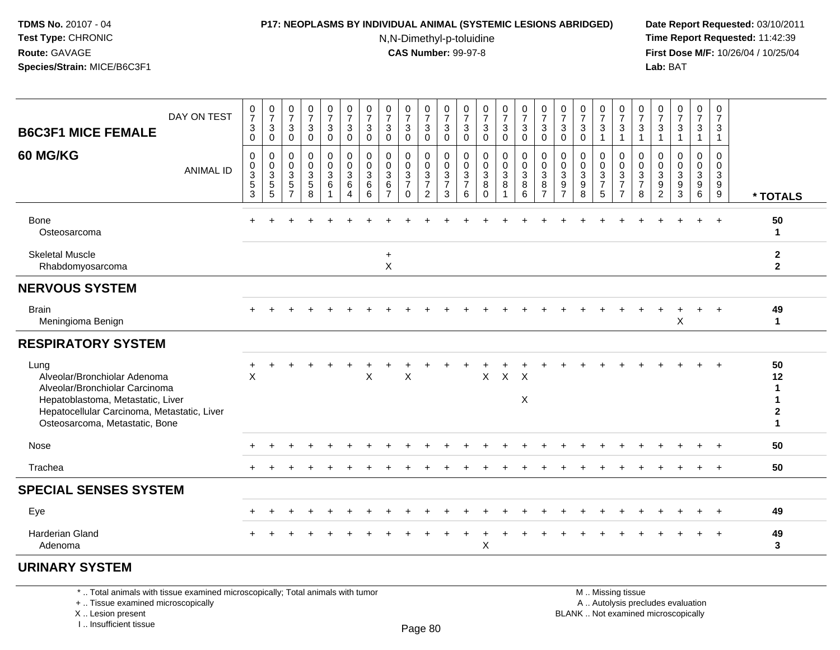#### **P17: NEOPLASMS BY INDIVIDUAL ANIMAL (SYSTEMIC LESIONS ABRIDGED) Date Report Requested:** 03/10/2011

N,N-Dimethyl-p-toluidine

 **Time Report Requested:** 11:42:39 **First Dose M/F:** 10/26/04 / 10/25/04 Lab: BAT **Lab:** BAT

| DAY ON TEST<br><b>B6C3F1 MICE FEMALE</b>                                                                                                                                                     | $\frac{0}{7}$<br>$\sqrt{3}$<br>$\Omega$                                     | $\frac{0}{7}$<br>$\sqrt{3}$<br>$\mathbf 0$                  | $\begin{array}{c} 0 \\ 7 \end{array}$<br>$\mathbf{3}$<br>$\mathbf 0$                  | $\frac{0}{7}$<br>3<br>$\mathbf 0$ | $\frac{0}{7}$<br>$\mathbf{3}$<br>$\mathbf 0$                     | $\frac{0}{7}$<br>$\sqrt{3}$<br>$\mathbf 0$                                | $\frac{0}{7}$<br>3<br>$\mathbf 0$              | $\frac{0}{7}$<br>$\mathbf{3}$<br>$\mathbf 0$                          | $\frac{0}{7}$<br>$\sqrt{3}$<br>$\Omega$              | $\begin{array}{c} 0 \\ 7 \end{array}$<br>$\sqrt{3}$<br>$\mathsf 0$ | $\frac{0}{7}$<br>$\sqrt{3}$<br>$\mathbf 0$ | $\frac{0}{7}$<br>$\mathbf{3}$<br>$\mathbf 0$ | $\frac{0}{7}$<br>$\sqrt{3}$<br>$\mathbf 0$                     | $\frac{0}{7}$<br>3<br>$\mathbf 0$     | $\frac{0}{7}$<br>$\mathbf{3}$<br>$\mathbf 0$                               | $\frac{0}{7}$<br>$\sqrt{3}$<br>$\mathbf 0$                                       | $\frac{0}{7}$<br>$\sqrt{3}$<br>$\mathbf 0$                                                    | $\frac{0}{7}$<br>3<br>$\Omega$                          | $\frac{0}{7}$<br>$\sqrt{3}$<br>$\mathbf{1}$         | $\frac{0}{7}$<br>$\sqrt{3}$<br>$\mathbf{1}$                         | $\frac{0}{7}$<br>3<br>$\overline{1}$         | $\frac{0}{7}$<br>$\ensuremath{\mathsf{3}}$                                | $\begin{array}{c} 0 \\ 7 \end{array}$<br>$\sqrt{3}$<br>1                                      | $\frac{0}{7}$<br>$\mathbf{3}$<br>$\mathbf{1}$                          | 0<br>$\overline{7}$<br>3<br>$\mathbf{1}$                 |                                         |
|----------------------------------------------------------------------------------------------------------------------------------------------------------------------------------------------|-----------------------------------------------------------------------------|-------------------------------------------------------------|---------------------------------------------------------------------------------------|-----------------------------------|------------------------------------------------------------------|---------------------------------------------------------------------------|------------------------------------------------|-----------------------------------------------------------------------|------------------------------------------------------|--------------------------------------------------------------------|--------------------------------------------|----------------------------------------------|----------------------------------------------------------------|---------------------------------------|----------------------------------------------------------------------------|----------------------------------------------------------------------------------|-----------------------------------------------------------------------------------------------|---------------------------------------------------------|-----------------------------------------------------|---------------------------------------------------------------------|----------------------------------------------|---------------------------------------------------------------------------|-----------------------------------------------------------------------------------------------|------------------------------------------------------------------------|----------------------------------------------------------|-----------------------------------------|
| 60 MG/KG<br><b>ANIMAL ID</b>                                                                                                                                                                 | $\mathbf 0$<br>0<br>$\ensuremath{\mathsf{3}}$<br>$\sqrt{5}$<br>$\mathbf{3}$ | $\mathbf 0$<br>$\mathbf 0$<br>$\sqrt{3}$<br>$\sqrt{5}$<br>5 | $\pmb{0}$<br>$\mathbf 0$<br>$\ensuremath{\mathsf{3}}$<br>$\sqrt{5}$<br>$\overline{7}$ | 0<br>0<br>3<br>5<br>8             | $\pmb{0}$<br>$\mathbf 0$<br>$\ensuremath{\mathsf{3}}$<br>$\,6\,$ | $\pmb{0}$<br>$\pmb{0}$<br>$\sqrt{3}$<br>$\,6\,$<br>$\boldsymbol{\Lambda}$ | 0<br>$\mathbf 0$<br>$\sqrt{3}$<br>$\,6\,$<br>6 | $\mathbf 0$<br>$\mathbf 0$<br>$\sqrt{3}$<br>$\,6\,$<br>$\overline{7}$ | 0<br>0<br>$\mathbf{3}$<br>$\overline{7}$<br>$\Omega$ | 0<br>$\mathsf{O}\xspace$<br>$\frac{3}{7}$<br>2                     | 0<br>$\pmb{0}$<br>$\frac{3}{7}$<br>3       | $\mathbf 0$<br>0<br>$\frac{3}{7}$<br>6       | $\mathbf 0$<br>$\mathbf 0$<br>$\sqrt{3}$<br>$\bf8$<br>$\Omega$ | 0<br>$\mathsf 0$<br>$\mathbf{3}$<br>8 | 0<br>$\mathbf 0$<br>$\ensuremath{\mathsf{3}}$<br>$\bf 8$<br>$6\phantom{1}$ | $\pmb{0}$<br>$\pmb{0}$<br>$\ensuremath{\mathsf{3}}$<br>$\bf 8$<br>$\overline{7}$ | $\mathbf 0$<br>$\mathbf 0$<br>$\ensuremath{\mathsf{3}}$<br>$\boldsymbol{9}$<br>$\overline{7}$ | $\mathbf 0$<br>$\mathbf 0$<br>$\mathbf 3$<br>$9\,$<br>8 | 0<br>$\pmb{0}$<br>$\sqrt{3}$<br>$\overline{7}$<br>5 | $\pmb{0}$<br>$\mathsf{O}\xspace$<br>$\frac{3}{7}$<br>$\overline{7}$ | 0<br>0<br>$\mathsf 3$<br>$\overline{7}$<br>8 | 0<br>0<br>$\ensuremath{\mathsf{3}}$<br>$\boldsymbol{9}$<br>$\overline{2}$ | $\mathbf 0$<br>$\mathbf 0$<br>$\ensuremath{\mathsf{3}}$<br>$\boldsymbol{9}$<br>$\overline{3}$ | 0<br>$\mathsf 0$<br>$\ensuremath{\mathsf{3}}$<br>$\boldsymbol{9}$<br>6 | $\mathbf 0$<br>$\mathbf 0$<br>$\mathbf{3}$<br>$9\,$<br>9 | * TOTALS                                |
| <b>Bone</b><br>Osteosarcoma                                                                                                                                                                  |                                                                             |                                                             |                                                                                       |                                   |                                                                  |                                                                           |                                                |                                                                       |                                                      |                                                                    |                                            |                                              |                                                                |                                       |                                                                            |                                                                                  |                                                                                               |                                                         |                                                     |                                                                     |                                              |                                                                           |                                                                                               |                                                                        |                                                          | 50<br>$\mathbf{1}$                      |
| <b>Skeletal Muscle</b><br>Rhabdomyosarcoma                                                                                                                                                   |                                                                             |                                                             |                                                                                       |                                   |                                                                  |                                                                           |                                                | $\ddot{}$<br>X                                                        |                                                      |                                                                    |                                            |                                              |                                                                |                                       |                                                                            |                                                                                  |                                                                                               |                                                         |                                                     |                                                                     |                                              |                                                                           |                                                                                               |                                                                        |                                                          | $\mathbf{2}$<br>$\mathbf{2}$            |
| <b>NERVOUS SYSTEM</b>                                                                                                                                                                        |                                                                             |                                                             |                                                                                       |                                   |                                                                  |                                                                           |                                                |                                                                       |                                                      |                                                                    |                                            |                                              |                                                                |                                       |                                                                            |                                                                                  |                                                                                               |                                                         |                                                     |                                                                     |                                              |                                                                           |                                                                                               |                                                                        |                                                          |                                         |
| <b>Brain</b><br>Meningioma Benign                                                                                                                                                            |                                                                             |                                                             |                                                                                       |                                   |                                                                  |                                                                           |                                                |                                                                       |                                                      |                                                                    |                                            |                                              |                                                                |                                       |                                                                            |                                                                                  |                                                                                               |                                                         |                                                     |                                                                     |                                              |                                                                           | X                                                                                             |                                                                        |                                                          | 49<br>$\mathbf{1}$                      |
| <b>RESPIRATORY SYSTEM</b>                                                                                                                                                                    |                                                                             |                                                             |                                                                                       |                                   |                                                                  |                                                                           |                                                |                                                                       |                                                      |                                                                    |                                            |                                              |                                                                |                                       |                                                                            |                                                                                  |                                                                                               |                                                         |                                                     |                                                                     |                                              |                                                                           |                                                                                               |                                                                        |                                                          |                                         |
| Lung<br>Alveolar/Bronchiolar Adenoma<br>Alveolar/Bronchiolar Carcinoma<br>Hepatoblastoma, Metastatic, Liver<br>Hepatocellular Carcinoma, Metastatic, Liver<br>Osteosarcoma, Metastatic, Bone | $\sf X$                                                                     |                                                             |                                                                                       |                                   |                                                                  |                                                                           | X                                              |                                                                       | X                                                    |                                                                    |                                            |                                              | $\mathsf{X}$                                                   | $\mathsf X$                           | $\mathsf{X}$<br>X                                                          |                                                                                  |                                                                                               |                                                         |                                                     |                                                                     |                                              |                                                                           |                                                                                               |                                                                        |                                                          | 50<br>12<br>1<br>1<br>$\mathbf{2}$<br>1 |
| Nose                                                                                                                                                                                         |                                                                             |                                                             |                                                                                       |                                   |                                                                  |                                                                           |                                                |                                                                       |                                                      |                                                                    |                                            |                                              |                                                                |                                       |                                                                            |                                                                                  |                                                                                               |                                                         |                                                     |                                                                     |                                              |                                                                           |                                                                                               |                                                                        |                                                          | 50                                      |
| Trachea                                                                                                                                                                                      |                                                                             |                                                             |                                                                                       |                                   |                                                                  |                                                                           |                                                |                                                                       |                                                      |                                                                    |                                            |                                              |                                                                |                                       |                                                                            |                                                                                  |                                                                                               |                                                         |                                                     |                                                                     |                                              |                                                                           |                                                                                               |                                                                        |                                                          | 50                                      |
| <b>SPECIAL SENSES SYSTEM</b>                                                                                                                                                                 |                                                                             |                                                             |                                                                                       |                                   |                                                                  |                                                                           |                                                |                                                                       |                                                      |                                                                    |                                            |                                              |                                                                |                                       |                                                                            |                                                                                  |                                                                                               |                                                         |                                                     |                                                                     |                                              |                                                                           |                                                                                               |                                                                        |                                                          |                                         |
| Eye                                                                                                                                                                                          |                                                                             |                                                             |                                                                                       |                                   |                                                                  |                                                                           |                                                |                                                                       |                                                      |                                                                    |                                            |                                              |                                                                |                                       |                                                                            |                                                                                  |                                                                                               |                                                         |                                                     |                                                                     |                                              |                                                                           |                                                                                               |                                                                        |                                                          | 49                                      |
| <b>Harderian Gland</b><br>Adenoma                                                                                                                                                            |                                                                             |                                                             |                                                                                       |                                   |                                                                  |                                                                           |                                                |                                                                       |                                                      |                                                                    |                                            |                                              | X                                                              |                                       |                                                                            |                                                                                  |                                                                                               |                                                         |                                                     |                                                                     |                                              |                                                                           |                                                                                               |                                                                        |                                                          | 49<br>3                                 |
|                                                                                                                                                                                              |                                                                             |                                                             |                                                                                       |                                   |                                                                  |                                                                           |                                                |                                                                       |                                                      |                                                                    |                                            |                                              |                                                                |                                       |                                                                            |                                                                                  |                                                                                               |                                                         |                                                     |                                                                     |                                              |                                                                           |                                                                                               |                                                                        |                                                          |                                         |

# **URINARY SYSTEM**

\* .. Total animals with tissue examined microscopically; Total animals with tumor

+ .. Tissue examined microscopically

X .. Lesion present

I .. Insufficient tissue

 M .. Missing tissuey the contract of the contract of the contract of the contract of the contract of  $\mathsf A$  . Autolysis precludes evaluation

Lesion present BLANK .. Not examined microscopically